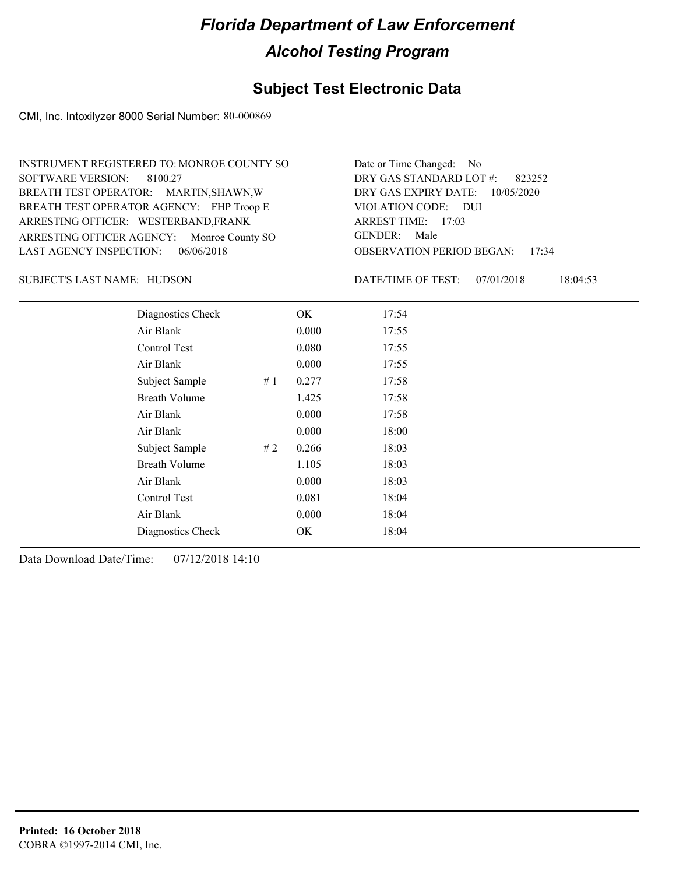### **Subject Test Electronic Data**

CMI, Inc. Intoxilyzer 8000 Serial Number: 80-000869

| INSTRUMENT REGISTERED TO: MONROE COUNTY SO | Date or Time Changed: No               |
|--------------------------------------------|----------------------------------------|
| SOFTWARE VERSION: 8100.27                  | DRY GAS STANDARD LOT #: 823252         |
| BREATH TEST OPERATOR: MARTIN, SHAWN, W     | DRY GAS EXPIRY DATE: 10/05/2020        |
| BREATH TEST OPERATOR AGENCY: FHP Troop E   | VIOLATION CODE: DUI                    |
| ARRESTING OFFICER: WESTERBAND, FRANK       | ARREST TIME: 17:03                     |
| ARRESTING OFFICER AGENCY: Monroe County SO | GENDER: Male                           |
| LAST AGENCY INSPECTION: $06/06/2018$       | <b>OBSERVATION PERIOD BEGAN: 17:34</b> |

SUBJECT'S LAST NAME: HUDSON DATE/TIME OF TEST:

DATE/TIME OF TEST: 07/01/2018 18:04:53

| Diagnostics Check    |    | OK    | 17:54 |
|----------------------|----|-------|-------|
| Air Blank            |    | 0.000 | 17:55 |
| Control Test         |    | 0.080 | 17:55 |
| Air Blank            |    | 0.000 | 17:55 |
| Subject Sample       | #1 | 0.277 | 17:58 |
| <b>Breath Volume</b> |    | 1.425 | 17:58 |
| Air Blank            |    | 0.000 | 17:58 |
| Air Blank            |    | 0.000 | 18:00 |
| Subject Sample       | #2 | 0.266 | 18:03 |
| <b>Breath Volume</b> |    | 1.105 | 18:03 |
| Air Blank            |    | 0.000 | 18:03 |
| Control Test         |    | 0.081 | 18:04 |
| Air Blank            |    | 0.000 | 18:04 |
| Diagnostics Check    |    | OK    | 18:04 |
|                      |    |       |       |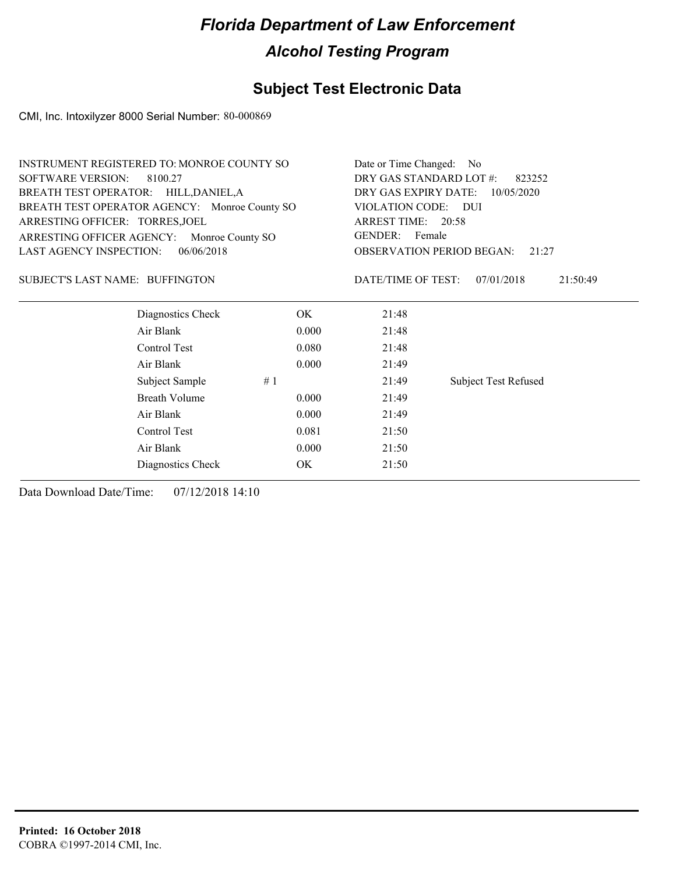### **Subject Test Electronic Data**

CMI, Inc. Intoxilyzer 8000 Serial Number: 80-000869

| <b>INSTRUMENT REGISTERED TO: MONROE COUNTY SO</b> | Date or Time Changed:             | No                                                                                                                                                              |                             |  |
|---------------------------------------------------|-----------------------------------|-----------------------------------------------------------------------------------------------------------------------------------------------------------------|-----------------------------|--|
| <b>SOFTWARE VERSION:</b><br>8100.27               | DRY GAS STANDARD LOT #:<br>823252 |                                                                                                                                                                 |                             |  |
| BREATH TEST OPERATOR: HILL, DANIEL, A             |                                   | DRY GAS EXPIRY DATE:<br>10/05/2020<br><b>VIOLATION CODE:</b><br><b>DUI</b><br>ARREST TIME: 20:58<br>GENDER: Female<br><b>OBSERVATION PERIOD BEGAN:</b><br>21:27 |                             |  |
| BREATH TEST OPERATOR AGENCY: Monroe County SO     |                                   |                                                                                                                                                                 |                             |  |
| ARRESTING OFFICER: TORRES, JOEL                   |                                   |                                                                                                                                                                 |                             |  |
| ARRESTING OFFICER AGENCY:<br>Monroe County SO     |                                   |                                                                                                                                                                 |                             |  |
| LAST AGENCY INSPECTION:<br>06/06/2018             |                                   |                                                                                                                                                                 |                             |  |
| SUBJECT'S LAST NAME: BUFFINGTON                   |                                   | DATE/TIME OF TEST:                                                                                                                                              | 07/01/2018<br>21:50:49      |  |
| Diagnostics Check                                 | OK                                | 21:48                                                                                                                                                           |                             |  |
| Air Blank                                         | 0.000                             | 21:48                                                                                                                                                           |                             |  |
| Control Test                                      | 0.080                             | 21:48                                                                                                                                                           |                             |  |
| Air Blank                                         | 0.000                             | 21:49                                                                                                                                                           |                             |  |
| Subject Sample                                    | #1                                | 21:49                                                                                                                                                           | <b>Subject Test Refused</b> |  |
| <b>Breath Volume</b>                              | 0.000                             | 21:49                                                                                                                                                           |                             |  |
| Air Blank                                         | 0.000                             | 21:49                                                                                                                                                           |                             |  |
| Control Test                                      | 0.081                             | 21:50                                                                                                                                                           |                             |  |
| Air Blank                                         | 0.000                             | 21:50                                                                                                                                                           |                             |  |
| Diagnostics Check                                 | OK                                | 21:50                                                                                                                                                           |                             |  |
|                                                   |                                   |                                                                                                                                                                 |                             |  |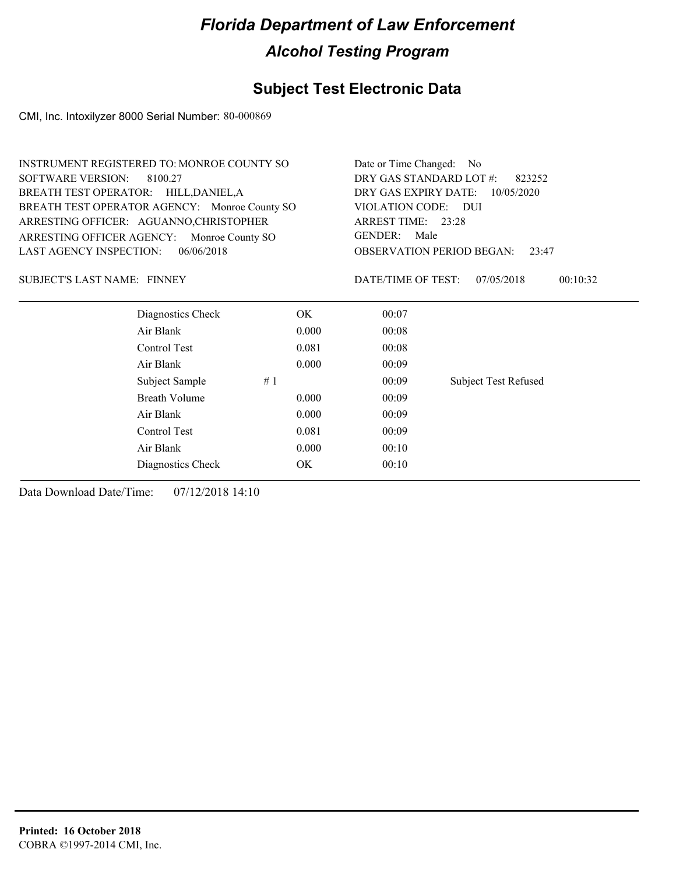### **Subject Test Electronic Data**

CMI, Inc. Intoxilyzer 8000 Serial Number: 80-000869

| INSTRUMENT REGISTERED TO: MONROE COUNTY SO    |            | Date or Time Changed: No                                                                                              |                             |  |
|-----------------------------------------------|------------|-----------------------------------------------------------------------------------------------------------------------|-----------------------------|--|
| <b>SOFTWARE VERSION:</b><br>8100.27           |            | DRY GAS STANDARD LOT #:<br>823252                                                                                     |                             |  |
| BREATH TEST OPERATOR: HILL, DANIEL, A         |            | DRY GAS EXPIRY DATE:<br>10/05/2020<br><b>VIOLATION CODE:</b><br>- DUI<br>ARREST TIME: 23:28<br><b>GENDER:</b><br>Male |                             |  |
| BREATH TEST OPERATOR AGENCY: Monroe County SO |            |                                                                                                                       |                             |  |
| ARRESTING OFFICER: AGUANNO, CHRISTOPHER       |            |                                                                                                                       |                             |  |
| ARRESTING OFFICER AGENCY: Monroe County SO    |            |                                                                                                                       |                             |  |
| <b>LAST AGENCY INSPECTION:</b>                | 06/06/2018 | <b>OBSERVATION PERIOD BEGAN:</b>                                                                                      | 23:47                       |  |
| SUBJECT'S LAST NAME: FINNEY                   |            | DATE/TIME OF TEST:                                                                                                    | 07/05/2018<br>00:10:32      |  |
| Diagnostics Check                             | OK.        | 00:07                                                                                                                 |                             |  |
| Air Blank                                     | 0.000      | 00:08                                                                                                                 |                             |  |
| Control Test                                  | 0.081      | 00:08                                                                                                                 |                             |  |
| Air Blank                                     | 0.000      | 00:09                                                                                                                 |                             |  |
| Subject Sample                                | #1         | 00:09                                                                                                                 | <b>Subject Test Refused</b> |  |
| <b>Breath Volume</b>                          | 0.000      | 00:09                                                                                                                 |                             |  |
| Air Blank                                     | 0.000      | 00:09                                                                                                                 |                             |  |
| Control Test                                  | 0.081      | 00:09                                                                                                                 |                             |  |
| Air Blank                                     | 0.000      | 00:10                                                                                                                 |                             |  |
| Diagnostics Check                             | OK         | 00:10                                                                                                                 |                             |  |
|                                               |            |                                                                                                                       |                             |  |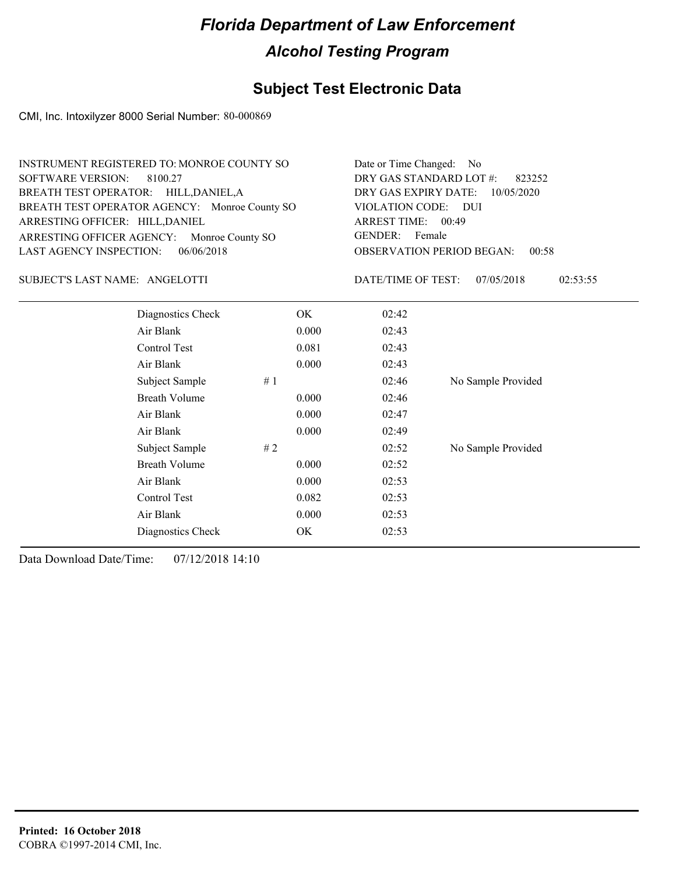### **Subject Test Electronic Data**

CMI, Inc. Intoxilyzer 8000 Serial Number: 80-000869

| Date or Time Changed: No               |
|----------------------------------------|
| DRY GAS STANDARD LOT $\#$ : 823252     |
| DRY GAS EXPIRY DATE: 10/05/2020        |
| VIOLATION CODE: DUI                    |
| ARREST TIME: 00:49                     |
| GENDER: Female                         |
| <b>OBSERVATION PERIOD BEGAN: 00:58</b> |
|                                        |

#### SUBJECT'S LAST NAME: ANGELOTTI DATE/TIME OF TEST:

DATE/TIME OF TEST: 07/05/2018 02:53:55

| Diagnostics Check    | OK    | 02:42 |                    |
|----------------------|-------|-------|--------------------|
| Air Blank            | 0.000 | 02:43 |                    |
| Control Test         | 0.081 | 02:43 |                    |
| Air Blank            | 0.000 | 02:43 |                    |
| Subject Sample<br>#1 |       | 02:46 | No Sample Provided |
| <b>Breath Volume</b> | 0.000 | 02:46 |                    |
| Air Blank            | 0.000 | 02:47 |                    |
| Air Blank            | 0.000 | 02:49 |                    |
| Subject Sample<br>#2 |       | 02:52 | No Sample Provided |
| <b>Breath Volume</b> | 0.000 | 02:52 |                    |
| Air Blank            | 0.000 | 02:53 |                    |
| Control Test         | 0.082 | 02:53 |                    |
| Air Blank            | 0.000 | 02:53 |                    |
| Diagnostics Check    | OK    | 02:53 |                    |
|                      |       |       |                    |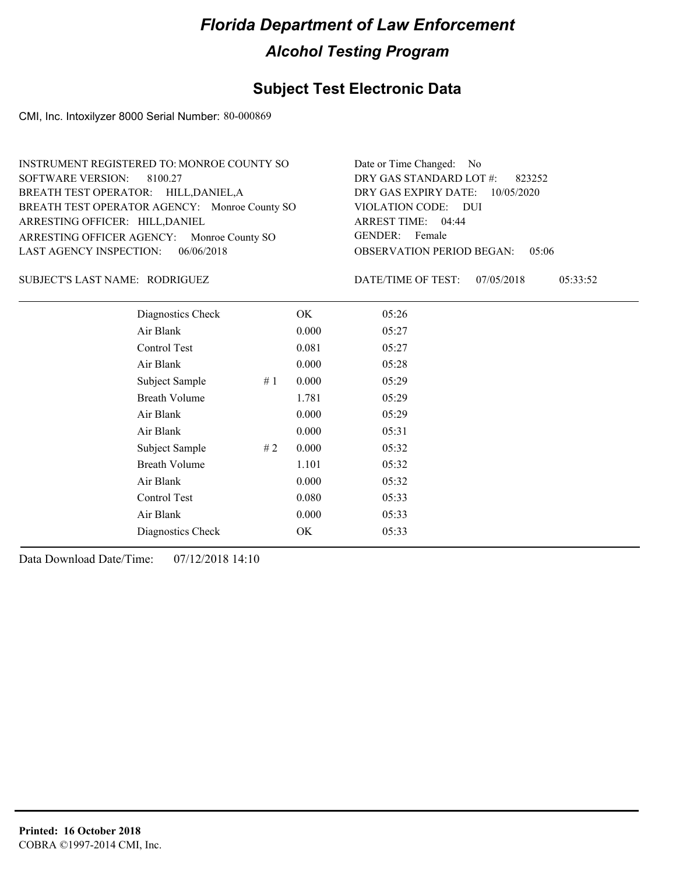### **Subject Test Electronic Data**

CMI, Inc. Intoxilyzer 8000 Serial Number: 80-000869

| INSTRUMENT REGISTERED TO: MONROE COUNTY SO    | Date or Time Changed: No               |
|-----------------------------------------------|----------------------------------------|
| SOFTWARE VERSION: 8100.27                     | DRY GAS STANDARD LOT $\#$ : 823252     |
| BREATH TEST OPERATOR: HILL, DANIEL, A         | DRY GAS EXPIRY DATE: 10/05/2020        |
| BREATH TEST OPERATOR AGENCY: Monroe County SO | VIOLATION CODE: DUI                    |
| ARRESTING OFFICER: HILL, DANIEL               | ARREST TIME: 04:44                     |
| ARRESTING OFFICER AGENCY: Monroe County SO    | GENDER: Female                         |
| LAST AGENCY INSPECTION: $06/06/2018$          | <b>OBSERVATION PERIOD BEGAN: 05:06</b> |

RODRIGUEZ SUBJECT'S LAST NAME: DATE/TIME OF TEST:

DATE/TIME OF TEST: 07/05/2018 05:33:52

| Diagnostics Check    |    | OK    | 05:26 |
|----------------------|----|-------|-------|
| Air Blank            |    | 0.000 | 05:27 |
| Control Test         |    | 0.081 | 05:27 |
| Air Blank            |    | 0.000 | 05:28 |
| Subject Sample       | #1 | 0.000 | 05:29 |
| <b>Breath Volume</b> |    | 1.781 | 05:29 |
| Air Blank            |    | 0.000 | 05:29 |
| Air Blank            |    | 0.000 | 05:31 |
| Subject Sample       | #2 | 0.000 | 05:32 |
| <b>Breath Volume</b> |    | 1.101 | 05:32 |
| Air Blank            |    | 0.000 | 05:32 |
| Control Test         |    | 0.080 | 05:33 |
| Air Blank            |    | 0.000 | 05:33 |
| Diagnostics Check    |    | OK    | 05:33 |
|                      |    |       |       |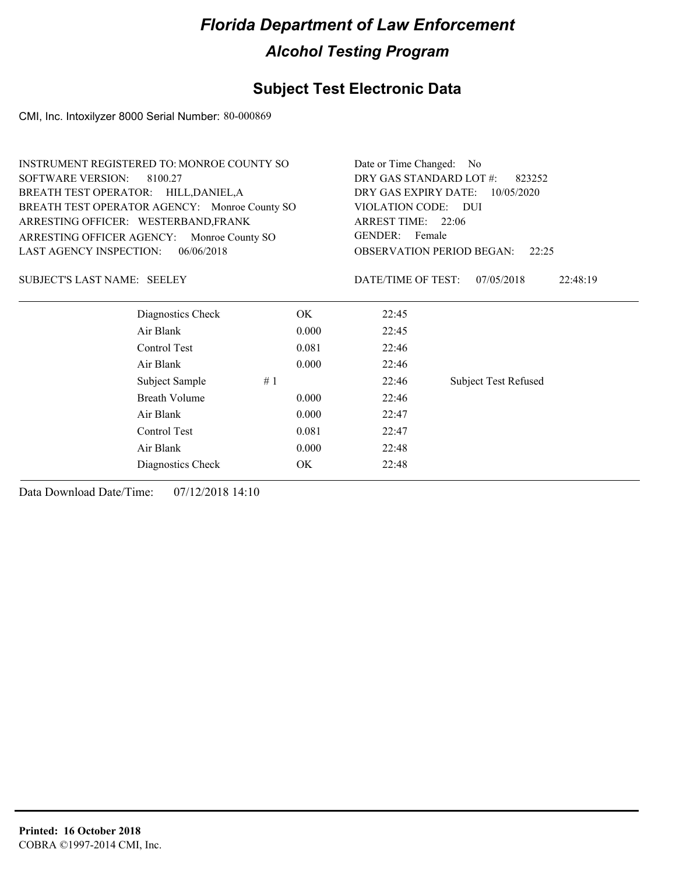### **Subject Test Electronic Data**

CMI, Inc. Intoxilyzer 8000 Serial Number: 80-000869

|                                               | <b>INSTRUMENT REGISTERED TO: MONROE COUNTY SO</b> |       |                                   | Date or Time Changed:<br>N <sub>0</sub>   |
|-----------------------------------------------|---------------------------------------------------|-------|-----------------------------------|-------------------------------------------|
| <b>SOFTWARE VERSION:</b>                      | 8100.27                                           |       | DRY GAS STANDARD LOT #:<br>823252 |                                           |
|                                               | BREATH TEST OPERATOR: HILL, DANIEL, A             |       | DRY GAS EXPIRY DATE:              | 10/05/2020                                |
| BREATH TEST OPERATOR AGENCY: Monroe County SO |                                                   |       | VIOLATION CODE:                   | – DUI                                     |
| ARRESTING OFFICER: WESTERBAND, FRANK          |                                                   |       | ARREST TIME: 22:06                |                                           |
| ARRESTING OFFICER AGENCY:                     | Monroe County SO                                  |       | GENDER: Female                    |                                           |
| LAST AGENCY INSPECTION:                       | 06/06/2018                                        |       |                                   | <b>OBSERVATION PERIOD BEGAN:</b><br>22:25 |
| SUBJECT'S LAST NAME: SEELEY                   |                                                   |       | DATE/TIME OF TEST:                | 07/05/2018<br>22:48:19                    |
|                                               | Diagnostics Check                                 | OK.   | 22:45                             |                                           |
|                                               | Air Blank                                         | 0.000 | 22:45                             |                                           |
|                                               | Control Test                                      | 0.081 | 22:46                             |                                           |
|                                               | Air Blank                                         | 0.000 | 22:46                             |                                           |
|                                               | Subject Sample                                    | #1    | 22:46                             | <b>Subject Test Refused</b>               |
|                                               | Breath Volume                                     | 0.000 | 22:46                             |                                           |
|                                               | Air Blank                                         | 0.000 | 22:47                             |                                           |
|                                               | Control Test                                      | 0.081 | 22:47                             |                                           |
|                                               | Air Blank                                         | 0.000 | 22:48                             |                                           |
|                                               | Diagnostics Check                                 | OK.   | 22:48                             |                                           |
|                                               |                                                   |       |                                   |                                           |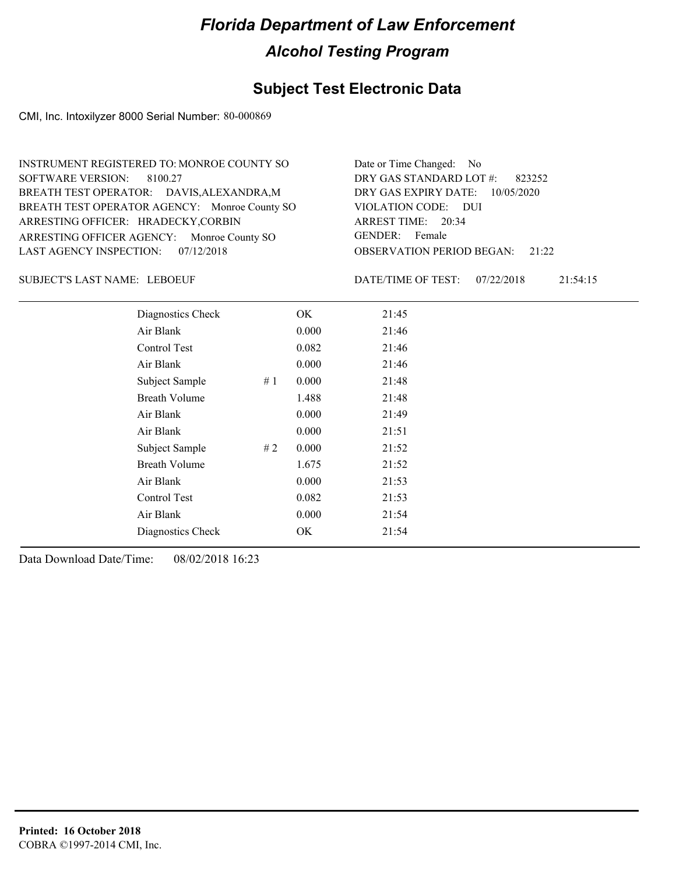### **Subject Test Electronic Data**

CMI, Inc. Intoxilyzer 8000 Serial Number: 80-000869

| <b>INSTRUMENT REGISTERED TO: MONROE COUNTY SO</b> | Date or Time Changed: No               |
|---------------------------------------------------|----------------------------------------|
| SOFTWARE VERSION: 8100.27                         | DRY GAS STANDARD LOT $\#$ : 823252     |
| BREATH TEST OPERATOR: DAVIS, ALEXANDRA, M         | DRY GAS EXPIRY DATE: 10/05/2020        |
| BREATH TEST OPERATOR AGENCY: Monroe County SO     | VIOLATION CODE: DUI                    |
| ARRESTING OFFICER: HRADECKY, CORBIN               | ARREST TIME: 20:34                     |
| ARRESTING OFFICER AGENCY: Monroe County SO        | GENDER: Female                         |
| LAST AGENCY INSPECTION: $07/12/2018$              | <b>OBSERVATION PERIOD BEGAN:</b> 21:22 |

LEBOEUF SUBJECT'S LAST NAME: DATE/TIME OF TEST:

DATE/TIME OF TEST: 07/22/2018 21:54:15

| Diagnostics Check    | OK    | 21:45 |
|----------------------|-------|-------|
| Air Blank            | 0.000 | 21:46 |
| <b>Control Test</b>  | 0.082 | 21:46 |
| Air Blank            | 0.000 | 21:46 |
| Subject Sample<br>#1 | 0.000 | 21:48 |
| <b>Breath Volume</b> | 1.488 | 21:48 |
| Air Blank            | 0.000 | 21:49 |
| Air Blank            | 0.000 | 21:51 |
| Subject Sample<br>#2 | 0.000 | 21:52 |
| <b>Breath Volume</b> | 1.675 | 21:52 |
| Air Blank            | 0.000 | 21:53 |
| Control Test         | 0.082 | 21:53 |
| Air Blank            | 0.000 | 21:54 |
| Diagnostics Check    | OK    | 21:54 |
|                      |       |       |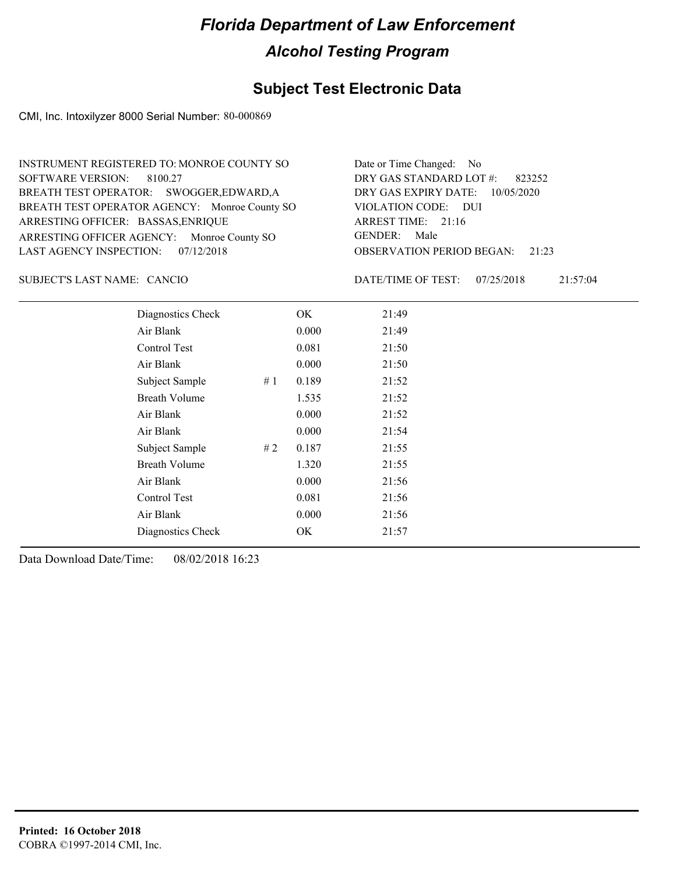### **Subject Test Electronic Data**

CMI, Inc. Intoxilyzer 8000 Serial Number: 80-000869

| INSTRUMENT REGISTERED TO: MONROE COUNTY SO    | Date or Time Changed: No               |
|-----------------------------------------------|----------------------------------------|
| SOFTWARE VERSION: 8100.27                     | DRY GAS STANDARD LOT $\#$ : 823252     |
| BREATH TEST OPERATOR: SWOGGER, EDWARD, A      | DRY GAS EXPIRY DATE: 10/05/2020        |
| BREATH TEST OPERATOR AGENCY: Monroe County SO | VIOLATION CODE: DUI                    |
| ARRESTING OFFICER: BASSAS, ENRIQUE            | ARREST TIME: 21:16                     |
| ARRESTING OFFICER AGENCY: Monroe County SO    | GENDER: Male                           |
| LAST AGENCY INSPECTION: 07/12/2018            | <b>OBSERVATION PERIOD BEGAN:</b> 21:23 |

SUBJECT'S LAST NAME: CANCIO DATE/TIME OF TEST:

DATE/TIME OF TEST: 07/25/2018 21:57:04

| Diagnostics Check    |    | OK    | 21:49 |
|----------------------|----|-------|-------|
| Air Blank            |    | 0.000 | 21:49 |
| Control Test         |    | 0.081 | 21:50 |
| Air Blank            |    | 0.000 | 21:50 |
| Subject Sample       | #1 | 0.189 | 21:52 |
| <b>Breath Volume</b> |    | 1.535 | 21:52 |
| Air Blank            |    | 0.000 | 21:52 |
| Air Blank            |    | 0.000 | 21:54 |
| Subject Sample       | #2 | 0.187 | 21:55 |
| <b>Breath Volume</b> |    | 1.320 | 21:55 |
| Air Blank            |    | 0.000 | 21:56 |
| Control Test         |    | 0.081 | 21:56 |
| Air Blank            |    | 0.000 | 21:56 |
| Diagnostics Check    |    | OK    | 21:57 |
|                      |    |       |       |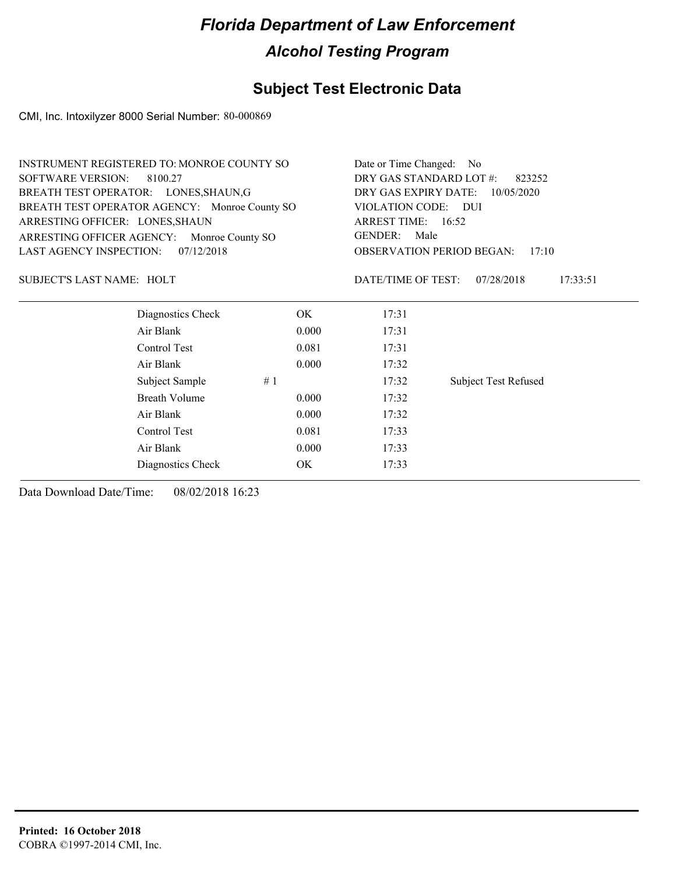### **Subject Test Electronic Data**

CMI, Inc. Intoxilyzer 8000 Serial Number: 80-000869

| <b>INSTRUMENT REGISTERED TO: MONROE COUNTY SO</b> |                      |       | Date or Time Changed: No                  |                             |  |
|---------------------------------------------------|----------------------|-------|-------------------------------------------|-----------------------------|--|
| <b>SOFTWARE VERSION:</b>                          | 8100.27              |       | DRY GAS STANDARD LOT #:<br>823252         |                             |  |
| BREATH TEST OPERATOR: LONES, SHAUN, G             |                      |       | DRY GAS EXPIRY DATE:<br>10/05/2020        |                             |  |
| BREATH TEST OPERATOR AGENCY: Monroe County SO     |                      |       | VIOLATION CODE: DUI                       |                             |  |
| ARRESTING OFFICER: LONES, SHAUN                   |                      |       | ARREST TIME: 16:52                        |                             |  |
| ARRESTING OFFICER AGENCY:                         | Monroe County SO     |       | <b>GENDER:</b><br>Male                    |                             |  |
| <b>LAST AGENCY INSPECTION:</b>                    | 07/12/2018           |       | <b>OBSERVATION PERIOD BEGAN:</b><br>17:10 |                             |  |
| <b>SUBJECT'S LAST NAME: HOLT</b>                  |                      |       | DATE/TIME OF TEST:                        | 07/28/2018<br>17:33:51      |  |
|                                                   | Diagnostics Check    | OK.   | 17:31                                     |                             |  |
|                                                   | Air Blank            | 0.000 | 17:31                                     |                             |  |
|                                                   | Control Test         | 0.081 | 17:31                                     |                             |  |
|                                                   | Air Blank            | 0.000 | 17:32                                     |                             |  |
|                                                   | Subject Sample       | #1    | 17:32                                     | <b>Subject Test Refused</b> |  |
|                                                   | <b>Breath Volume</b> | 0.000 | 17:32                                     |                             |  |
|                                                   | Air Blank            | 0.000 | 17:32                                     |                             |  |
|                                                   | Control Test         | 0.081 | 17:33                                     |                             |  |
|                                                   | Air Blank            | 0.000 | 17:33                                     |                             |  |
|                                                   | Diagnostics Check    | OK    | 17:33                                     |                             |  |
|                                                   |                      |       |                                           |                             |  |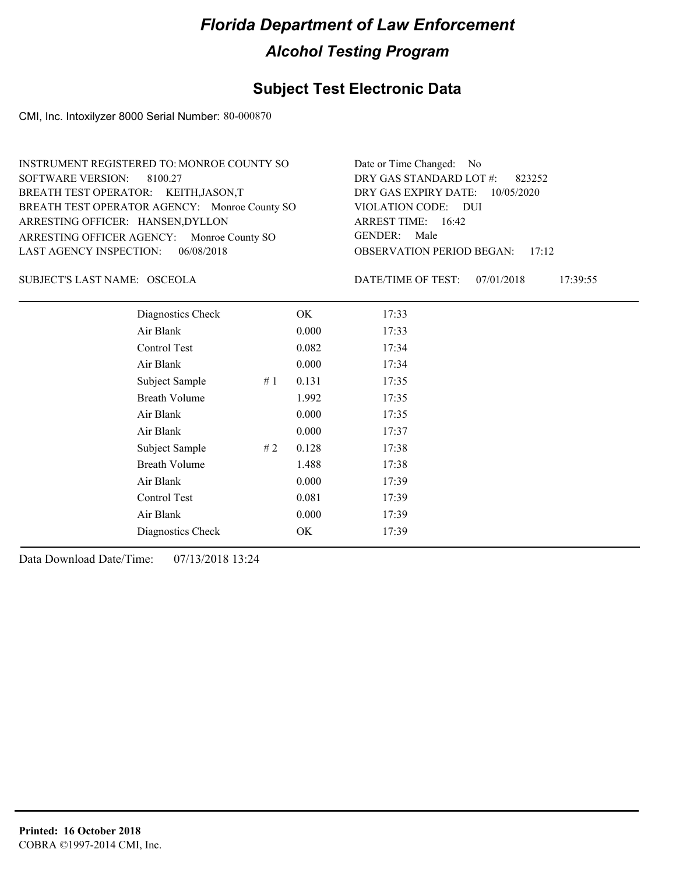### **Subject Test Electronic Data**

CMI, Inc. Intoxilyzer 8000 Serial Number: 80-000870

| INSTRUMENT REGISTERED TO: MONROE COUNTY SO    | Date or Time Changed: No               |
|-----------------------------------------------|----------------------------------------|
| SOFTWARE VERSION: 8100.27                     | DRY GAS STANDARD LOT $#$ : 823252      |
| BREATH TEST OPERATOR: KEITH, JASON, T         | DRY GAS EXPIRY DATE: 10/05/2020        |
| BREATH TEST OPERATOR AGENCY: Monroe County SO | VIOLATION CODE: DUI                    |
| ARRESTING OFFICER: HANSEN, DYLLON             | ARREST TIME: 16:42                     |
| ARRESTING OFFICER AGENCY: Monroe County SO    | GENDER: Male                           |
| LAST AGENCY INSPECTION: 06/08/2018            | <b>OBSERVATION PERIOD BEGAN: 17:12</b> |

OSCEOLA SUBJECT'S LAST NAME: DATE/TIME OF TEST:

DATE/TIME OF TEST: 07/01/2018 17:39:55

| Diagnostics Check    |    | OK    | 17:33 |
|----------------------|----|-------|-------|
| Air Blank            |    | 0.000 | 17:33 |
| Control Test         |    | 0.082 | 17:34 |
| Air Blank            |    | 0.000 | 17:34 |
| Subject Sample       | #1 | 0.131 | 17:35 |
| <b>Breath Volume</b> |    | 1.992 | 17:35 |
| Air Blank            |    | 0.000 | 17:35 |
| Air Blank            |    | 0.000 | 17:37 |
| Subject Sample       | #2 | 0.128 | 17:38 |
| <b>Breath Volume</b> |    | 1.488 | 17:38 |
| Air Blank            |    | 0.000 | 17:39 |
| Control Test         |    | 0.081 | 17:39 |
| Air Blank            |    | 0.000 | 17:39 |
| Diagnostics Check    |    | OK    | 17:39 |
|                      |    |       |       |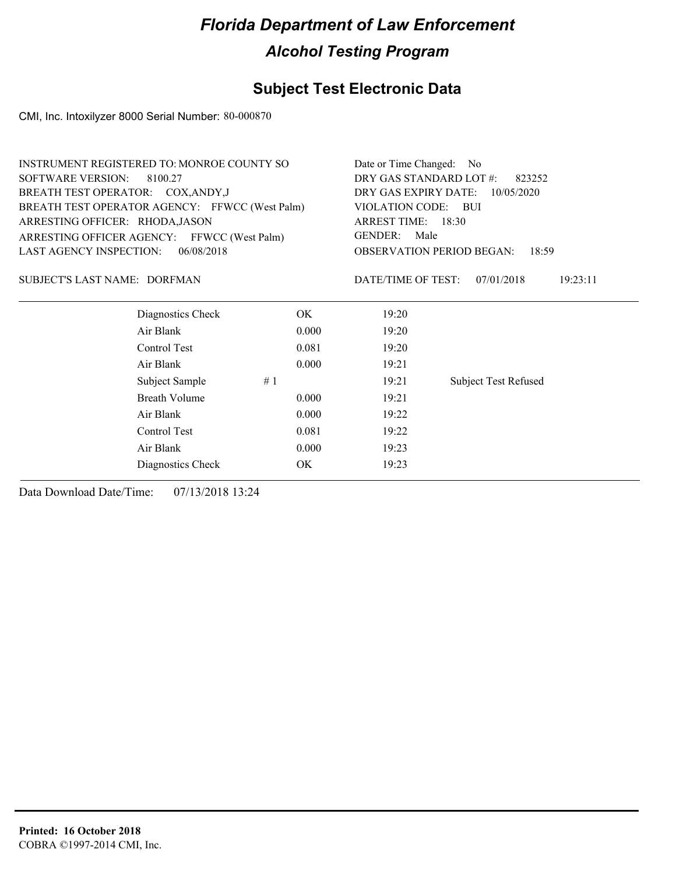## **Subject Test Electronic Data**

CMI, Inc. Intoxilyzer 8000 Serial Number: 80-000870

| INSTRUMENT REGISTERED TO: MONROE COUNTY SO     | Date or Time Changed: No                     |
|------------------------------------------------|----------------------------------------------|
| SOFTWARE VERSION: 8100.27                      | DRY GAS STANDARD LOT #:<br>823252            |
| BREATH TEST OPERATOR: COX, ANDY, J             | DRY GAS EXPIRY DATE: $10/05/2020$            |
| BREATH TEST OPERATOR AGENCY: FFWCC (West Palm) | VIOLATION CODE: BUI                          |
| ARRESTING OFFICER: RHODA, JASON                | ARREST TIME: $18:30$                         |
| ARRESTING OFFICER AGENCY: FFWCC (West Palm)    | Male<br>GENDER:                              |
| LAST AGENCY INSPECTION: 06/08/2018             | <b>OBSERVATION PERIOD BEGAN:</b><br>18:59    |
| SUBJECT'S LAST NAME: DORFMAN                   | 19:23:11<br>DATE/TIME OF TEST:<br>07/01/2018 |

| Diagnostics Check    |    | OK    | 19:20 |                             |
|----------------------|----|-------|-------|-----------------------------|
| Air Blank            |    | 0.000 | 19:20 |                             |
| Control Test         |    | 0.081 | 19:20 |                             |
| Air Blank            |    | 0.000 | 19:21 |                             |
| Subject Sample       | #1 |       | 19:21 | <b>Subject Test Refused</b> |
| <b>Breath Volume</b> |    | 0.000 | 19:21 |                             |
| Air Blank            |    | 0.000 | 19:22 |                             |
| Control Test         |    | 0.081 | 19:22 |                             |
| Air Blank            |    | 0.000 | 19:23 |                             |
| Diagnostics Check    |    | OK    | 19:23 |                             |
|                      |    |       |       |                             |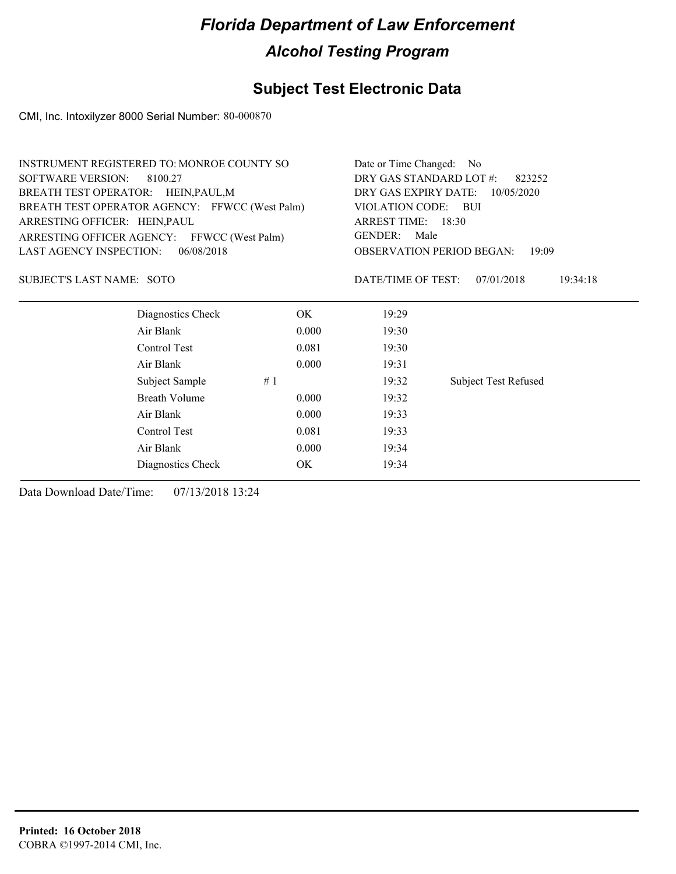### **Subject Test Electronic Data**

CMI, Inc. Intoxilyzer 8000 Serial Number: 80-000870

|                                             | INSTRUMENT REGISTERED TO: MONROE COUNTY SO     |                                    | Date or Time Changed: No                  |                             |  |
|---------------------------------------------|------------------------------------------------|------------------------------------|-------------------------------------------|-----------------------------|--|
| <b>SOFTWARE VERSION:</b>                    | 8100.27                                        | DRY GAS STANDARD LOT #:<br>823252  |                                           |                             |  |
| BREATH TEST OPERATOR: HEIN, PAUL, M         |                                                | DRY GAS EXPIRY DATE:<br>10/05/2020 |                                           |                             |  |
|                                             | BREATH TEST OPERATOR AGENCY: FFWCC (West Palm) | VIOLATION CODE:                    | – BUI                                     |                             |  |
| ARRESTING OFFICER: HEIN, PAUL               |                                                |                                    | ARREST TIME: 18:30                        |                             |  |
| ARRESTING OFFICER AGENCY: FFWCC (West Palm) |                                                |                                    | GENDER: Male                              |                             |  |
| <b>LAST AGENCY INSPECTION:</b>              | 06/08/2018                                     |                                    | <b>OBSERVATION PERIOD BEGAN:</b><br>19:09 |                             |  |
| <b>SUBJECT'S LAST NAME: SOTO</b>            |                                                |                                    | DATE/TIME OF TEST:                        | 07/01/2018<br>19:34:18      |  |
|                                             | Diagnostics Check                              | OK.                                | 19:29                                     |                             |  |
|                                             | Air Blank                                      | 0.000                              | 19:30                                     |                             |  |
|                                             | Control Test                                   | 0.081                              | 19:30                                     |                             |  |
|                                             | Air Blank                                      | 0.000                              | 19:31                                     |                             |  |
|                                             | Subject Sample                                 | #1                                 | 19:32                                     | <b>Subject Test Refused</b> |  |
|                                             | Breath Volume                                  | 0.000                              | 19:32                                     |                             |  |
|                                             | Air Blank                                      | 0.000                              | 19:33                                     |                             |  |
|                                             | Control Test                                   | 0.081                              | 19:33                                     |                             |  |
|                                             | Air Blank                                      | 0.000                              | 19:34                                     |                             |  |

Diagnostics Check OK 19:34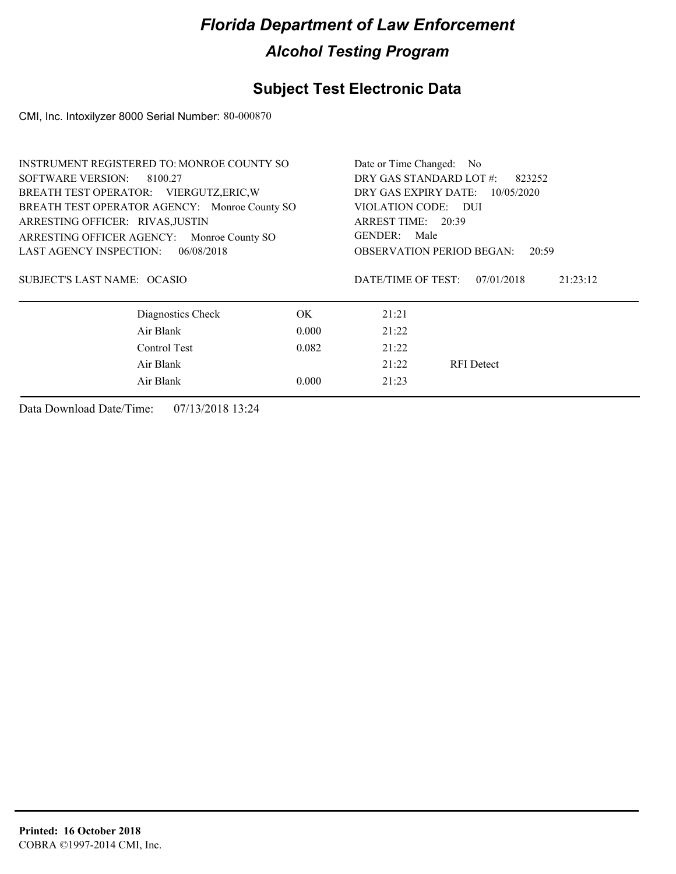## **Subject Test Electronic Data**

CMI, Inc. Intoxilyzer 8000 Serial Number: 80-000870

| INSTRUMENT REGISTERED TO: MONROE COUNTY SO    |                                   | Date or Time Changed: No                     |  |  |
|-----------------------------------------------|-----------------------------------|----------------------------------------------|--|--|
| <b>SOFTWARE VERSION:</b><br>8100.27           | DRY GAS STANDARD LOT #:<br>823252 |                                              |  |  |
| BREATH TEST OPERATOR: VIERGUTZ, ERIC, W       |                                   | DRY GAS EXPIRY DATE:<br>10/05/2020           |  |  |
| BREATH TEST OPERATOR AGENCY: Monroe County SO |                                   | VIOLATION CODE: DUI                          |  |  |
| ARRESTING OFFICER: RIVAS, JUSTIN              |                                   | ARREST TIME: 20:39                           |  |  |
| ARRESTING OFFICER AGENCY: Monroe County SO    |                                   | GENDER: Male                                 |  |  |
| 06/08/2018<br>LAST AGENCY INSPECTION:         |                                   | <b>OBSERVATION PERIOD BEGAN:</b><br>20:59    |  |  |
| SUBJECT'S LAST NAME: OCASIO                   |                                   | DATE/TIME OF TEST:<br>07/01/2018<br>21:23:12 |  |  |
| Diagnostics Check                             | OK.                               | 21:21                                        |  |  |
| Air Blank                                     | 0.000                             | 21:22                                        |  |  |
| Control Test                                  | 0.082                             | 21:22                                        |  |  |
| Air Blank                                     |                                   | 21:22<br><b>RFI</b> Detect                   |  |  |
| Air Blank                                     | 0.000                             | 21:23                                        |  |  |
|                                               |                                   |                                              |  |  |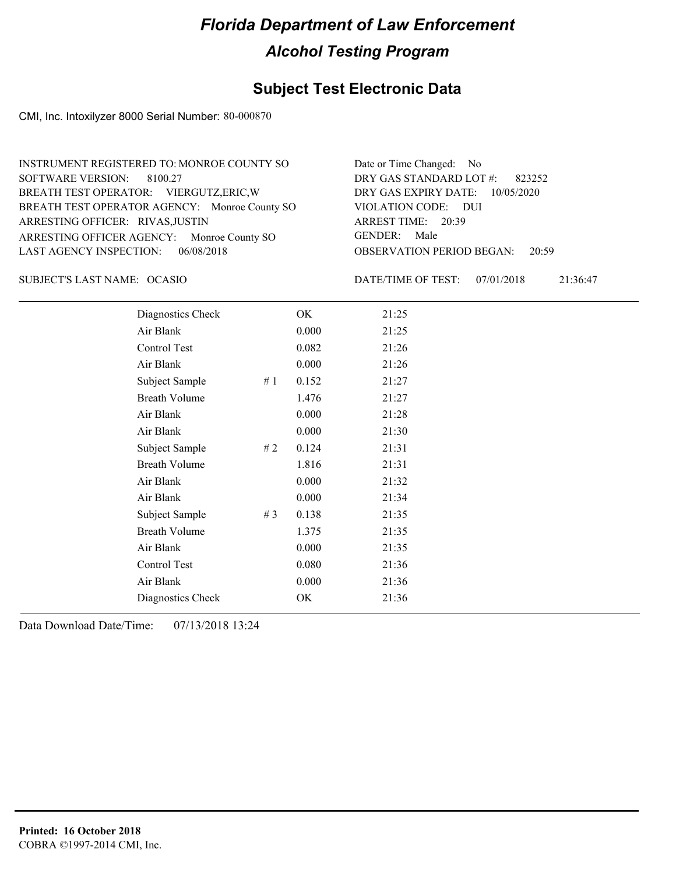### **Subject Test Electronic Data**

CMI, Inc. Intoxilyzer 8000 Serial Number: 80-000870

| INSTRUMENT REGISTERED TO: MONROE COUNTY SO    | Date or Time Changed: No               |
|-----------------------------------------------|----------------------------------------|
| SOFTWARE VERSION: 8100.27                     | DRY GAS STANDARD LOT #: 823252         |
| BREATH TEST OPERATOR: VIERGUTZ, ERIC, W       | DRY GAS EXPIRY DATE: 10/05/2020        |
| BREATH TEST OPERATOR AGENCY: Monroe County SO | VIOLATION CODE: DUI                    |
| ARRESTING OFFICER: RIVAS, JUSTIN              | ARREST TIME: 20:39                     |
| ARRESTING OFFICER AGENCY: Monroe County SO    | GENDER: Male                           |
| LAST AGENCY INSPECTION: 06/08/2018            | <b>OBSERVATION PERIOD BEGAN: 20:59</b> |

OCASIO SUBJECT'S LAST NAME: DATE/TIME OF TEST:

DATE/TIME OF TEST: 07/01/2018 21:36:47

| Diagnostics Check    |    | OK    | 21:25 |
|----------------------|----|-------|-------|
| Air Blank            |    | 0.000 | 21:25 |
| Control Test         |    | 0.082 | 21:26 |
| Air Blank            |    | 0.000 | 21:26 |
| Subject Sample       | #1 | 0.152 | 21:27 |
| <b>Breath Volume</b> |    | 1.476 | 21:27 |
| Air Blank            |    | 0.000 | 21:28 |
| Air Blank            |    | 0.000 | 21:30 |
| Subject Sample       | #2 | 0.124 | 21:31 |
| <b>Breath Volume</b> |    | 1.816 | 21:31 |
| Air Blank            |    | 0.000 | 21:32 |
| Air Blank            |    | 0.000 | 21:34 |
| Subject Sample       | #3 | 0.138 | 21:35 |
| <b>Breath Volume</b> |    | 1.375 | 21:35 |
| Air Blank            |    | 0.000 | 21:35 |
| Control Test         |    | 0.080 | 21:36 |
| Air Blank            |    | 0.000 | 21:36 |
| Diagnostics Check    |    | OK    | 21:36 |
|                      |    |       |       |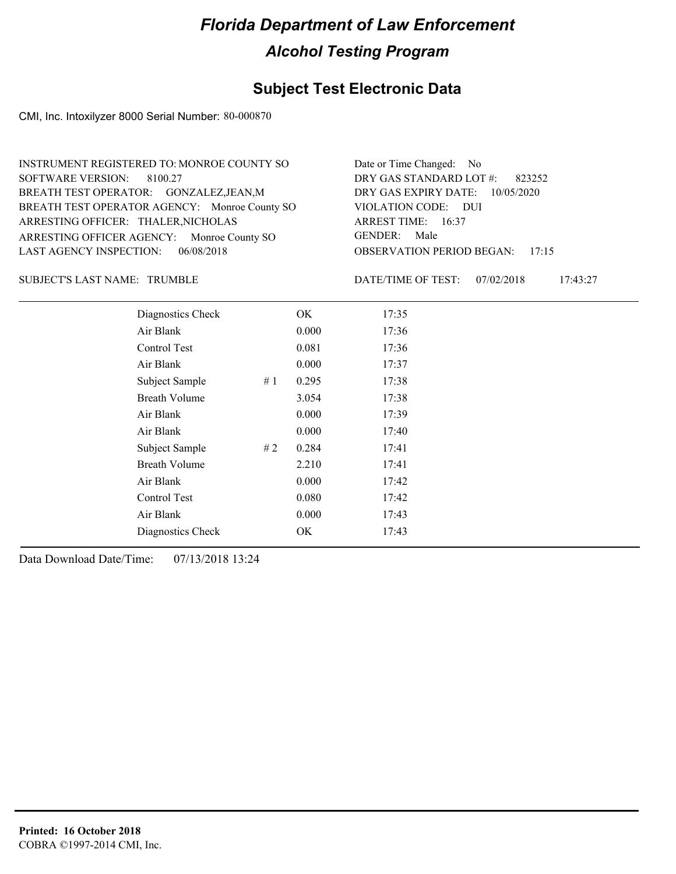### **Subject Test Electronic Data**

CMI, Inc. Intoxilyzer 8000 Serial Number: 80-000870

| INSTRUMENT REGISTERED TO: MONROE COUNTY SO    | Date or Time Changed: No               |
|-----------------------------------------------|----------------------------------------|
| SOFTWARE VERSION: 8100.27                     | DRY GAS STANDARD LOT $\#$ : 823252     |
| BREATH TEST OPERATOR: GONZALEZ, JEAN, M       | DRY GAS EXPIRY DATE: 10/05/2020        |
| BREATH TEST OPERATOR AGENCY: Monroe County SO | VIOLATION CODE: DUI                    |
| ARRESTING OFFICER: THALER, NICHOLAS           | ARREST TIME: 16:37                     |
| ARRESTING OFFICER AGENCY: Monroe County SO    | GENDER: Male                           |
| LAST AGENCY INSPECTION: $06/08/2018$          | <b>OBSERVATION PERIOD BEGAN: 17:15</b> |

#### SUBJECT'S LAST NAME: TRUMBLE **Example 19 Set 10** DATE/TIME OF TEST:

DATE/TIME OF TEST: 07/02/2018 17:43:27

| Diagnostics Check    |    | OK    | 17:35 |
|----------------------|----|-------|-------|
| Air Blank            |    | 0.000 | 17:36 |
| Control Test         |    | 0.081 | 17:36 |
| Air Blank            |    | 0.000 | 17:37 |
| Subject Sample       | #1 | 0.295 | 17:38 |
| <b>Breath Volume</b> |    | 3.054 | 17:38 |
| Air Blank            |    | 0.000 | 17:39 |
| Air Blank            |    | 0.000 | 17:40 |
| Subject Sample       | #2 | 0.284 | 17:41 |
| <b>Breath Volume</b> |    | 2.210 | 17:41 |
| Air Blank            |    | 0.000 | 17:42 |
| Control Test         |    | 0.080 | 17:42 |
| Air Blank            |    | 0.000 | 17:43 |
| Diagnostics Check    |    | OK    | 17:43 |
|                      |    |       |       |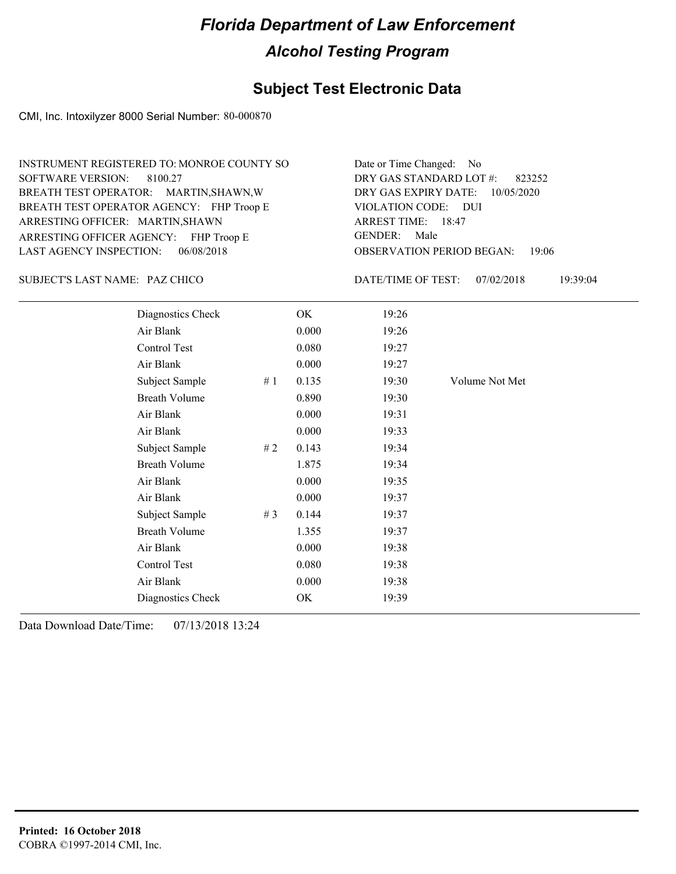#### **Subject Test Electronic Data**

CMI, Inc. Intoxilyzer 8000 Serial Number: 80-000870

ARRESTING OFFICER AGENCY: FHP Troop E GENDER: BREATH TEST OPERATOR AGENCY: FHP Troop E VIOLATION CODE: SOFTWARE VERSION: ARRESTING OFFICER: MARTIN, SHAWN BREATH TEST OPERATOR: MARTIN,SHAWN,W LAST AGENCY INSPECTION: 06/08/2018 8100.27 INSTRUMENT REGISTERED TO: MONROE COUNTY SO

OBSERVATION PERIOD BEGAN: 19:06 VIOLATION CODE: DUI 18:47 ARREST TIME: DRY GAS EXPIRY DATE: 10/05/2020 823252 DRY GAS STANDARD LOT #: Date or Time Changed: No GENDER: Male

PAZ CHICO SUBJECT'S LAST NAME: DATE/TIME OF TEST:

DATE/TIME OF TEST: 07/02/2018 19:39:04

| Diagnostics Check    |    | OK    | 19:26 |                |
|----------------------|----|-------|-------|----------------|
| Air Blank            |    | 0.000 | 19:26 |                |
| Control Test         |    | 0.080 | 19:27 |                |
| Air Blank            |    | 0.000 | 19:27 |                |
| Subject Sample       | #1 | 0.135 | 19:30 | Volume Not Met |
| <b>Breath Volume</b> |    | 0.890 | 19:30 |                |
| Air Blank            |    | 0.000 | 19:31 |                |
| Air Blank            |    | 0.000 | 19:33 |                |
| Subject Sample       | #2 | 0.143 | 19:34 |                |
| <b>Breath Volume</b> |    | 1.875 | 19:34 |                |
| Air Blank            |    | 0.000 | 19:35 |                |
| Air Blank            |    | 0.000 | 19:37 |                |
| Subject Sample       | #3 | 0.144 | 19:37 |                |
| <b>Breath Volume</b> |    | 1.355 | 19:37 |                |
| Air Blank            |    | 0.000 | 19:38 |                |
| Control Test         |    | 0.080 | 19:38 |                |
| Air Blank            |    | 0.000 | 19:38 |                |
| Diagnostics Check    |    | OK    | 19:39 |                |
|                      |    |       |       |                |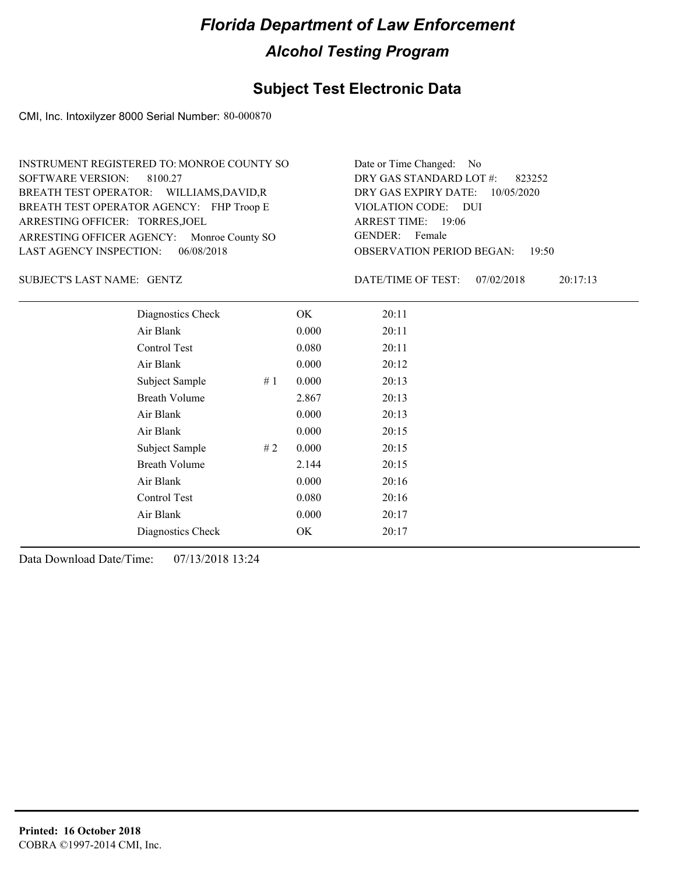### **Subject Test Electronic Data**

CMI, Inc. Intoxilyzer 8000 Serial Number: 80-000870

| INSTRUMENT REGISTERED TO: MONROE COUNTY SO | Date or Time Changed: No               |
|--------------------------------------------|----------------------------------------|
| SOFTWARE VERSION: 8100.27                  | DRY GAS STANDARD LOT $\#$ : 823252     |
| BREATH TEST OPERATOR: WILLIAMS, DAVID, R   | DRY GAS EXPIRY DATE: 10/05/2020        |
| BREATH TEST OPERATOR AGENCY: FHP Troop E   | VIOLATION CODE: DUI                    |
| ARRESTING OFFICER: TORRES, JOEL            | ARREST TIME: 19:06                     |
| ARRESTING OFFICER AGENCY: Monroe County SO | GENDER: Female                         |
| LAST AGENCY INSPECTION: 06/08/2018         | <b>OBSERVATION PERIOD BEGAN: 19:50</b> |

GENTZ SUBJECT'S LAST NAME: DATE/TIME OF TEST:

DATE/TIME OF TEST: 07/02/2018 20:17:13

| Diagnostics Check    |    | OK    | 20:11 |  |
|----------------------|----|-------|-------|--|
| Air Blank            |    | 0.000 | 20:11 |  |
| Control Test         |    | 0.080 | 20:11 |  |
| Air Blank            |    | 0.000 | 20:12 |  |
| Subject Sample       | #1 | 0.000 | 20:13 |  |
| <b>Breath Volume</b> |    | 2.867 | 20:13 |  |
| Air Blank            |    | 0.000 | 20:13 |  |
| Air Blank            |    | 0.000 | 20:15 |  |
| Subject Sample       | #2 | 0.000 | 20:15 |  |
| <b>Breath Volume</b> |    | 2.144 | 20:15 |  |
| Air Blank            |    | 0.000 | 20:16 |  |
| Control Test         |    | 0.080 | 20:16 |  |
| Air Blank            |    | 0.000 | 20:17 |  |
| Diagnostics Check    |    | OK    | 20:17 |  |
|                      |    |       |       |  |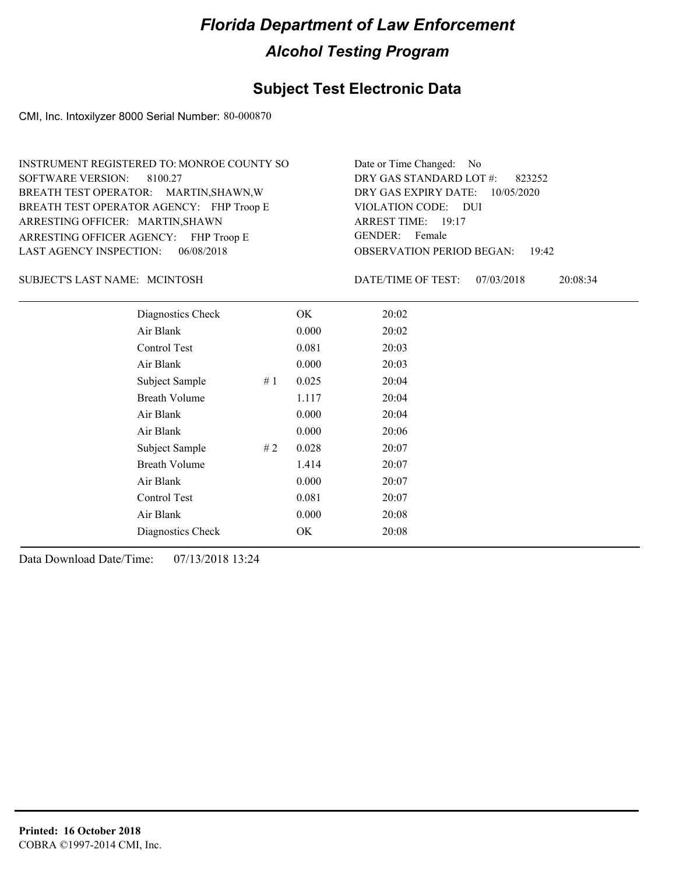### **Subject Test Electronic Data**

CMI, Inc. Intoxilyzer 8000 Serial Number: 80-000870

| INSTRUMENT REGISTERED TO: MONROE COUNTY SO | Date or Time Changed: No               |
|--------------------------------------------|----------------------------------------|
| SOFTWARE VERSION: 8100.27                  | DRY GAS STANDARD LOT #: 823252         |
| BREATH TEST OPERATOR: MARTIN, SHAWN, W     | DRY GAS EXPIRY DATE: 10/05/2020        |
| BREATH TEST OPERATOR AGENCY: FHP Troop E   | VIOLATION CODE: DUI                    |
| ARRESTING OFFICER: MARTIN, SHAWN           | ARREST TIME: 19:17                     |
| ARRESTING OFFICER AGENCY: FHP Troop E      | GENDER: Female                         |
| LAST AGENCY INSPECTION: 06/08/2018         | <b>OBSERVATION PERIOD BEGAN: 19:42</b> |

#### SUBJECT'S LAST NAME: MCINTOSH DATE/TIME OF TEST:

DATE/TIME OF TEST: 07/03/2018 20:08:34

| Diagnostics Check    |    | OK    | 20:02 |
|----------------------|----|-------|-------|
| Air Blank            |    | 0.000 | 20:02 |
| Control Test         |    | 0.081 | 20:03 |
| Air Blank            |    | 0.000 | 20:03 |
| Subject Sample       | #1 | 0.025 | 20:04 |
| <b>Breath Volume</b> |    | 1.117 | 20:04 |
| Air Blank            |    | 0.000 | 20:04 |
| Air Blank            |    | 0.000 | 20:06 |
| Subject Sample       | #2 | 0.028 | 20:07 |
| <b>Breath Volume</b> |    | 1.414 | 20:07 |
| Air Blank            |    | 0.000 | 20:07 |
| Control Test         |    | 0.081 | 20:07 |
| Air Blank            |    | 0.000 | 20:08 |
| Diagnostics Check    |    | OK    | 20:08 |
|                      |    |       |       |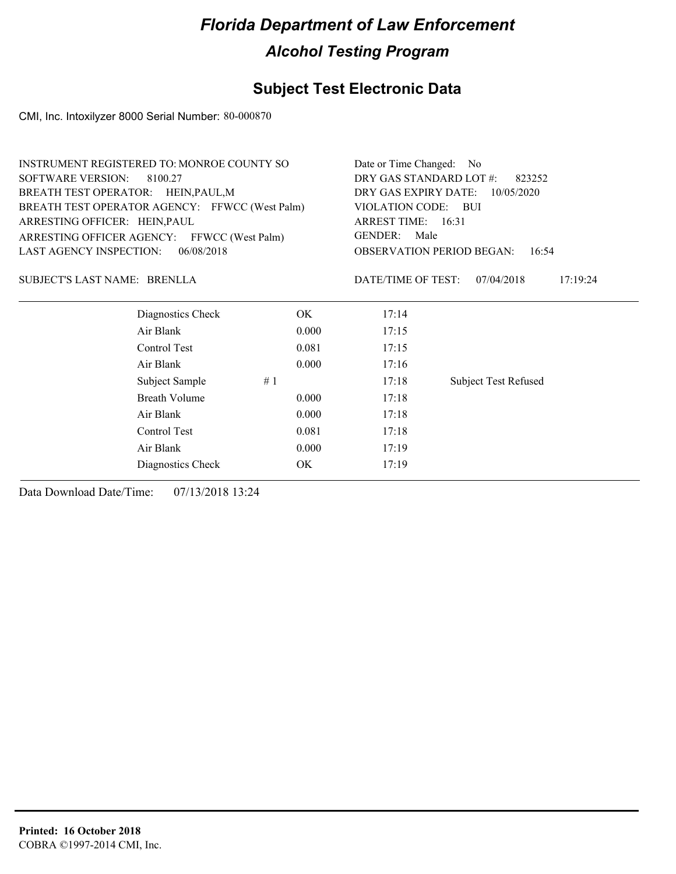## **Subject Test Electronic Data**

CMI, Inc. Intoxilyzer 8000 Serial Number: 80-000870

|                                     | <b>INSTRUMENT REGISTERED TO: MONROE COUNTY SO</b> |       |                    | Date or Time Changed: No                          |  |  |  |
|-------------------------------------|---------------------------------------------------|-------|--------------------|---------------------------------------------------|--|--|--|
| <b>SOFTWARE VERSION:</b>            | 8100.27                                           |       |                    | DRY GAS STANDARD LOT #:<br>823252                 |  |  |  |
| BREATH TEST OPERATOR: HEIN, PAUL, M |                                                   |       |                    | DRY GAS EXPIRY DATE:<br>10/05/2020                |  |  |  |
|                                     | BREATH TEST OPERATOR AGENCY: FFWCC (West Palm)    |       |                    | VIOLATION CODE: BUI                               |  |  |  |
| ARRESTING OFFICER: HEIN, PAUL       |                                                   |       | ARREST TIME: 16:31 |                                                   |  |  |  |
|                                     | ARRESTING OFFICER AGENCY: FFWCC (West Palm)       |       | <b>GENDER:</b>     | Male<br><b>OBSERVATION PERIOD BEGAN:</b><br>16:54 |  |  |  |
| <b>LAST AGENCY INSPECTION:</b>      | 06/08/2018                                        |       |                    |                                                   |  |  |  |
| SUBJECT'S LAST NAME: BRENLLA        |                                                   |       | DATE/TIME OF TEST: | 17:19:24<br>07/04/2018                            |  |  |  |
|                                     | Diagnostics Check                                 | OK.   | 17:14              |                                                   |  |  |  |
|                                     | Air Blank                                         | 0.000 | 17:15              |                                                   |  |  |  |
|                                     | Control Test                                      | 0.081 | 17:15              |                                                   |  |  |  |
|                                     | Air Blank                                         | 0.000 | 17:16              |                                                   |  |  |  |
|                                     | Subject Sample                                    | #1    | 17:18              | <b>Subject Test Refused</b>                       |  |  |  |
|                                     | Breath Volume                                     | 0.000 | 17:18              |                                                   |  |  |  |
|                                     | Air Blank                                         | 0.000 | 17:18              |                                                   |  |  |  |
|                                     | Control Test                                      | 0.081 | 17:18              |                                                   |  |  |  |
|                                     | Air Blank                                         | 0.000 | 17:19              |                                                   |  |  |  |
|                                     | Diagnostics Check                                 | OK.   | 17:19              |                                                   |  |  |  |
|                                     |                                                   |       |                    |                                                   |  |  |  |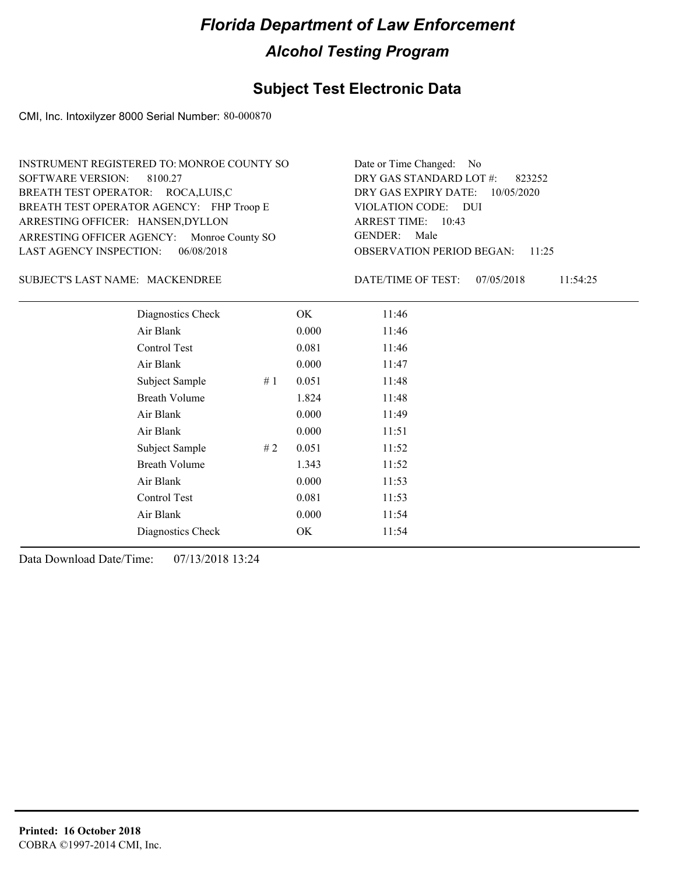### **Subject Test Electronic Data**

CMI, Inc. Intoxilyzer 8000 Serial Number: 80-000870

#### MACKENDREE SUBJECT'S LAST NAME: DATE/TIME OF TEST:

DATE/TIME OF TEST: 07/05/2018 11:54:25

| Diagnostics Check    |    | OK    | 11:46 |
|----------------------|----|-------|-------|
| Air Blank            |    | 0.000 | 11:46 |
| Control Test         |    | 0.081 | 11:46 |
| Air Blank            |    | 0.000 | 11:47 |
| Subject Sample       | #1 | 0.051 | 11:48 |
| <b>Breath Volume</b> |    | 1.824 | 11:48 |
| Air Blank            |    | 0.000 | 11:49 |
| Air Blank            |    | 0.000 | 11:51 |
| Subject Sample       | #2 | 0.051 | 11:52 |
| <b>Breath Volume</b> |    | 1.343 | 11:52 |
| Air Blank            |    | 0.000 | 11:53 |
| Control Test         |    | 0.081 | 11:53 |
| Air Blank            |    | 0.000 | 11:54 |
| Diagnostics Check    |    | OK    | 11:54 |
|                      |    |       |       |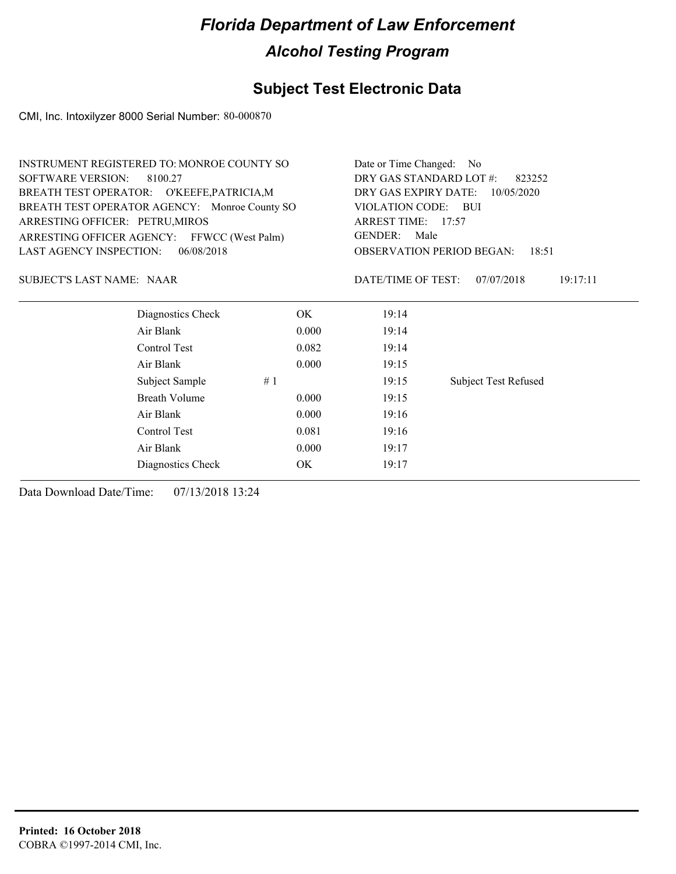### **Subject Test Electronic Data**

CMI, Inc. Intoxilyzer 8000 Serial Number: 80-000870

|                                  | <b>INSTRUMENT REGISTERED TO: MONROE COUNTY SO</b> |       | Date or Time Changed: No                  |                             |  |
|----------------------------------|---------------------------------------------------|-------|-------------------------------------------|-----------------------------|--|
| <b>SOFTWARE VERSION:</b>         | 8100.27                                           |       | DRY GAS STANDARD LOT #:<br>823252         |                             |  |
|                                  | BREATH TEST OPERATOR: O'KEEFE, PATRICIA, M        |       | DRY GAS EXPIRY DATE:<br>10/05/2020        |                             |  |
|                                  | BREATH TEST OPERATOR AGENCY: Monroe County SO     |       | <b>VIOLATION CODE:</b>                    | – BUI                       |  |
| ARRESTING OFFICER: PETRU, MIROS  |                                                   |       | ARREST TIME: 17:57                        |                             |  |
|                                  | ARRESTING OFFICER AGENCY: FFWCC (West Palm)       |       | <b>GENDER:</b><br>Male                    |                             |  |
| LAST AGENCY INSPECTION:          | 06/08/2018                                        |       | <b>OBSERVATION PERIOD BEGAN:</b><br>18:51 |                             |  |
| <b>SUBJECT'S LAST NAME: NAAR</b> |                                                   |       | DATE/TIME OF TEST:                        | 07/07/2018<br>19:17:11      |  |
|                                  | Diagnostics Check                                 | OK.   | 19:14                                     |                             |  |
|                                  | Air Blank                                         | 0.000 | 19:14                                     |                             |  |
|                                  | Control Test                                      | 0.082 | 19:14                                     |                             |  |
|                                  | Air Blank                                         | 0.000 | 19:15                                     |                             |  |
|                                  | Subject Sample                                    | #1    | 19:15                                     | <b>Subject Test Refused</b> |  |
|                                  | <b>Breath Volume</b>                              | 0.000 | 19:15                                     |                             |  |
|                                  | Air Blank                                         | 0.000 | 19:16                                     |                             |  |
|                                  | Control Test                                      | 0.081 | 19:16                                     |                             |  |
|                                  | Air Blank                                         | 0.000 | 19:17                                     |                             |  |
|                                  | Diagnostics Check                                 | OK    | 19:17                                     |                             |  |
|                                  |                                                   |       |                                           |                             |  |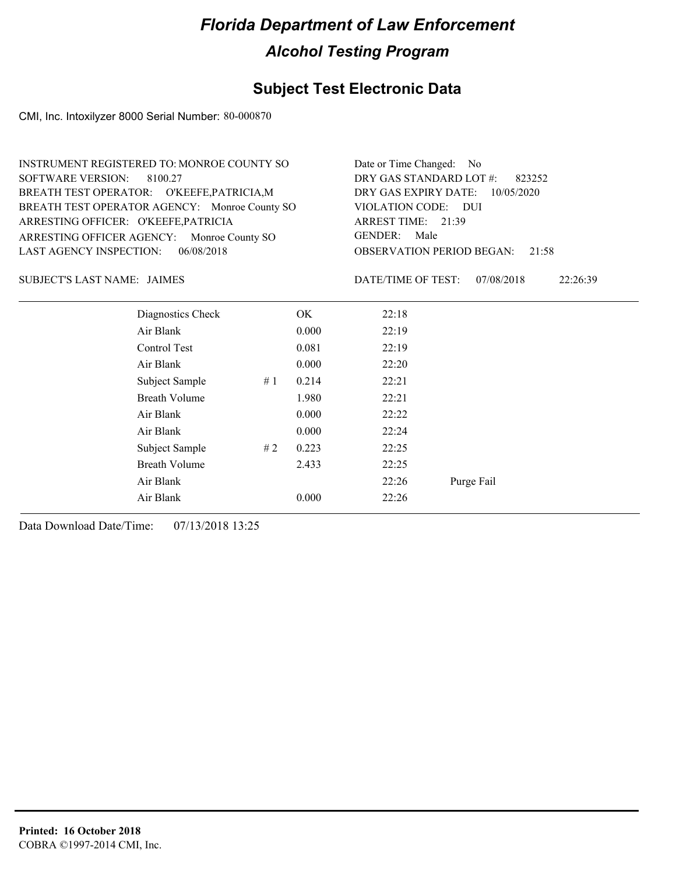#### **Subject Test Electronic Data**

CMI, Inc. Intoxilyzer 8000 Serial Number: 80-000870

| <b>INSTRUMENT REGISTERED TO: MONROE COUNTY SO</b> |                                               |                                   |       | Date or Time Changed: No                  |                        |  |  |
|---------------------------------------------------|-----------------------------------------------|-----------------------------------|-------|-------------------------------------------|------------------------|--|--|
| SOFTWARE VERSION:                                 | 8100.27                                       | DRY GAS STANDARD LOT #:<br>823252 |       |                                           |                        |  |  |
| BREATH TEST OPERATOR: O'KEEFE, PATRICIA, M        |                                               |                                   |       | DRY GAS EXPIRY DATE:<br>10/05/2020        |                        |  |  |
|                                                   | BREATH TEST OPERATOR AGENCY: Monroe County SO |                                   |       | VIOLATION CODE: DUI                       |                        |  |  |
| ARRESTING OFFICER: O'KEEFE, PATRICIA              |                                               |                                   |       | ARREST TIME: 21:39                        |                        |  |  |
| ARRESTING OFFICER AGENCY: Monroe County SO        |                                               |                                   |       | <b>GENDER:</b><br>Male                    |                        |  |  |
| <b>LAST AGENCY INSPECTION:</b>                    | 06/08/2018                                    |                                   |       | <b>OBSERVATION PERIOD BEGAN:</b><br>21:58 |                        |  |  |
| SUBJECT'S LAST NAME: JAIMES                       |                                               |                                   |       | DATE/TIME OF TEST:                        | 07/08/2018<br>22:26:39 |  |  |
|                                                   | Diagnostics Check                             |                                   | OK.   | 22:18                                     |                        |  |  |
|                                                   | Air Blank                                     |                                   | 0.000 | 22:19                                     |                        |  |  |
|                                                   | Control Test                                  |                                   | 0.081 | 22:19                                     |                        |  |  |
|                                                   | Air Blank                                     |                                   | 0.000 | 22:20                                     |                        |  |  |
|                                                   | Subject Sample                                | #1                                | 0.214 | 22:21                                     |                        |  |  |
|                                                   | Breath Volume                                 |                                   | 1.980 | 22:21                                     |                        |  |  |
|                                                   | Air Blank                                     |                                   | 0.000 | 22:22                                     |                        |  |  |
|                                                   | Air Blank                                     |                                   | 0.000 | 22:24                                     |                        |  |  |
|                                                   |                                               |                                   |       |                                           |                        |  |  |

Air Blank 22:26 Purge Fail

Subject Sample # 2 0.223 22:25 Breath Volume 2.433 22:25

Air Blank 0.000 22:26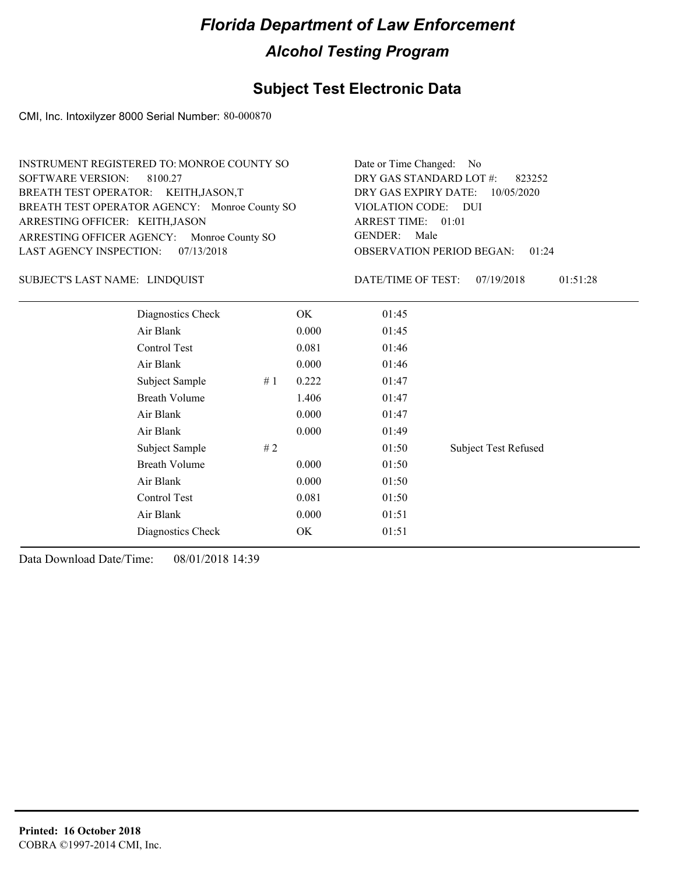### **Subject Test Electronic Data**

CMI, Inc. Intoxilyzer 8000 Serial Number: 80-000870

| INSTRUMENT REGISTERED TO: MONROE COUNTY SO    | Date or Time Changed: No               |
|-----------------------------------------------|----------------------------------------|
| SOFTWARE VERSION: 8100.27                     | DRY GAS STANDARD LOT $\#$ : 823252     |
| BREATH TEST OPERATOR: KEITH, JASON, T         | DRY GAS EXPIRY DATE: $10/05/2020$      |
| BREATH TEST OPERATOR AGENCY: Monroe County SO | VIOLATION CODE: DUI                    |
| ARRESTING OFFICER: KEITH, JASON               | ARREST TIME: 01:01                     |
| ARRESTING OFFICER AGENCY: Monroe County SO    | GENDER: Male                           |
| LAST AGENCY INSPECTION: 07/13/2018            | <b>OBSERVATION PERIOD BEGAN: 01:24</b> |

#### SUBJECT'S LAST NAME: LINDQUIST  $\begin{array}{ccc} \text{DATE} & \text{DATE} \\ \text{array} & \text{DATE} \end{array}$

DATE/TIME OF TEST: 07/19/2018 01:51:28

| Diagnostics Check    |    | OK    | 01:45 |                             |
|----------------------|----|-------|-------|-----------------------------|
| Air Blank            |    | 0.000 | 01:45 |                             |
| Control Test         |    | 0.081 | 01:46 |                             |
| Air Blank            |    | 0.000 | 01:46 |                             |
| Subject Sample       | #1 | 0.222 | 01:47 |                             |
| <b>Breath Volume</b> |    | 1.406 | 01:47 |                             |
| Air Blank            |    | 0.000 | 01:47 |                             |
| Air Blank            |    | 0.000 | 01:49 |                             |
| Subject Sample       | #2 |       | 01:50 | <b>Subject Test Refused</b> |
| <b>Breath Volume</b> |    | 0.000 | 01:50 |                             |
| Air Blank            |    | 0.000 | 01:50 |                             |
| Control Test         |    | 0.081 | 01:50 |                             |
| Air Blank            |    | 0.000 | 01:51 |                             |
| Diagnostics Check    |    | OK    | 01:51 |                             |
|                      |    |       |       |                             |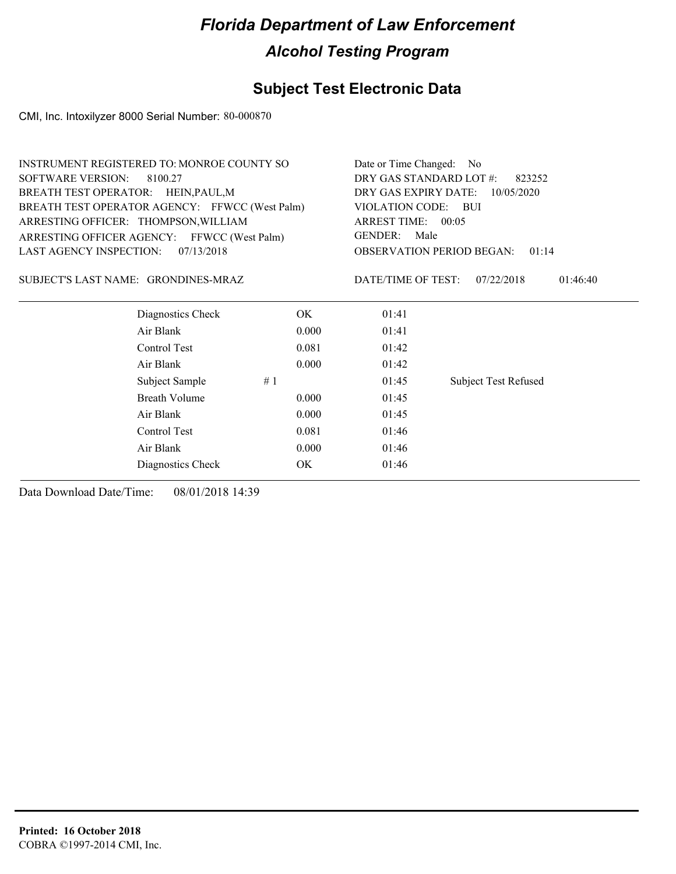### **Subject Test Electronic Data**

CMI, Inc. Intoxilyzer 8000 Serial Number: 80-000870

| DRY GAS STANDARD LOT #:<br><b>SOFTWARE VERSION:</b><br>8100.27<br>823252<br>BREATH TEST OPERATOR: HEIN, PAUL, M<br>DRY GAS EXPIRY DATE:<br>10/05/2020<br>BREATH TEST OPERATOR AGENCY: FFWCC (West Palm)<br>VIOLATION CODE: BUI<br>ARRESTING OFFICER: THOMPSON, WILLIAM<br>ARREST TIME: 00:05<br>Male<br><b>GENDER:</b><br>ARRESTING OFFICER AGENCY: FFWCC (West Palm)<br>07/13/2018<br>LAST AGENCY INSPECTION:<br><b>OBSERVATION PERIOD BEGAN:</b><br>01:14<br>SUBJECT'S LAST NAME: GRONDINES-MRAZ<br>DATE/TIME OF TEST:<br>07/22/2018<br>01:46:40<br>Diagnostics Check<br>OK.<br>01:41<br>Air Blank<br>0.000<br>01:41<br>Control Test<br>0.081<br>01:42<br>Air Blank<br>0.000<br>01:42<br>Subject Sample<br>#1<br>01:45<br><b>Subject Test Refused</b><br>Breath Volume<br>01:45<br>0.000<br>Air Blank<br>01:45<br>0.000<br>Control Test<br>0.081<br>01:46<br>Air Blank<br>0.000<br>01:46<br>OK<br>Diagnostics Check<br>01:46 |  | <b>INSTRUMENT REGISTERED TO: MONROE COUNTY SO</b> |  |  | Date or Time Changed: No |  |
|--------------------------------------------------------------------------------------------------------------------------------------------------------------------------------------------------------------------------------------------------------------------------------------------------------------------------------------------------------------------------------------------------------------------------------------------------------------------------------------------------------------------------------------------------------------------------------------------------------------------------------------------------------------------------------------------------------------------------------------------------------------------------------------------------------------------------------------------------------------------------------------------------------------------------------|--|---------------------------------------------------|--|--|--------------------------|--|
|                                                                                                                                                                                                                                                                                                                                                                                                                                                                                                                                                                                                                                                                                                                                                                                                                                                                                                                                |  |                                                   |  |  |                          |  |
|                                                                                                                                                                                                                                                                                                                                                                                                                                                                                                                                                                                                                                                                                                                                                                                                                                                                                                                                |  |                                                   |  |  |                          |  |
|                                                                                                                                                                                                                                                                                                                                                                                                                                                                                                                                                                                                                                                                                                                                                                                                                                                                                                                                |  |                                                   |  |  |                          |  |
|                                                                                                                                                                                                                                                                                                                                                                                                                                                                                                                                                                                                                                                                                                                                                                                                                                                                                                                                |  |                                                   |  |  |                          |  |
|                                                                                                                                                                                                                                                                                                                                                                                                                                                                                                                                                                                                                                                                                                                                                                                                                                                                                                                                |  |                                                   |  |  |                          |  |
|                                                                                                                                                                                                                                                                                                                                                                                                                                                                                                                                                                                                                                                                                                                                                                                                                                                                                                                                |  |                                                   |  |  |                          |  |
|                                                                                                                                                                                                                                                                                                                                                                                                                                                                                                                                                                                                                                                                                                                                                                                                                                                                                                                                |  |                                                   |  |  |                          |  |
|                                                                                                                                                                                                                                                                                                                                                                                                                                                                                                                                                                                                                                                                                                                                                                                                                                                                                                                                |  |                                                   |  |  |                          |  |
|                                                                                                                                                                                                                                                                                                                                                                                                                                                                                                                                                                                                                                                                                                                                                                                                                                                                                                                                |  |                                                   |  |  |                          |  |
|                                                                                                                                                                                                                                                                                                                                                                                                                                                                                                                                                                                                                                                                                                                                                                                                                                                                                                                                |  |                                                   |  |  |                          |  |
|                                                                                                                                                                                                                                                                                                                                                                                                                                                                                                                                                                                                                                                                                                                                                                                                                                                                                                                                |  |                                                   |  |  |                          |  |
|                                                                                                                                                                                                                                                                                                                                                                                                                                                                                                                                                                                                                                                                                                                                                                                                                                                                                                                                |  |                                                   |  |  |                          |  |
|                                                                                                                                                                                                                                                                                                                                                                                                                                                                                                                                                                                                                                                                                                                                                                                                                                                                                                                                |  |                                                   |  |  |                          |  |
|                                                                                                                                                                                                                                                                                                                                                                                                                                                                                                                                                                                                                                                                                                                                                                                                                                                                                                                                |  |                                                   |  |  |                          |  |
|                                                                                                                                                                                                                                                                                                                                                                                                                                                                                                                                                                                                                                                                                                                                                                                                                                                                                                                                |  |                                                   |  |  |                          |  |
|                                                                                                                                                                                                                                                                                                                                                                                                                                                                                                                                                                                                                                                                                                                                                                                                                                                                                                                                |  |                                                   |  |  |                          |  |
|                                                                                                                                                                                                                                                                                                                                                                                                                                                                                                                                                                                                                                                                                                                                                                                                                                                                                                                                |  |                                                   |  |  |                          |  |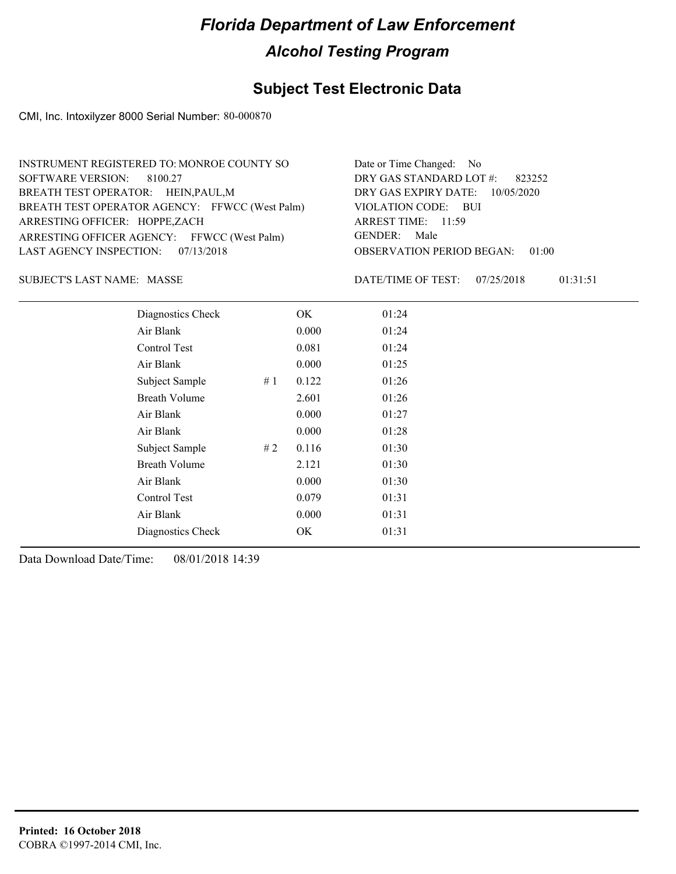### **Subject Test Electronic Data**

CMI, Inc. Intoxilyzer 8000 Serial Number: 80-000870

| INSTRUMENT REGISTERED TO: MONROE COUNTY SO     | Date or Time Changed: No               |
|------------------------------------------------|----------------------------------------|
| SOFTWARE VERSION: 8100.27                      | DRY GAS STANDARD LOT $\#$ : 823252     |
| BREATH TEST OPERATOR: HEIN, PAUL, M            | DRY GAS EXPIRY DATE: $10/05/2020$      |
| BREATH TEST OPERATOR AGENCY: FFWCC (West Palm) | VIOLATION CODE: BUI                    |
| ARRESTING OFFICER: HOPPE,ZACH                  | ARREST TIME: 11:59                     |
| ARRESTING OFFICER AGENCY: FFWCC (West Palm)    | GENDER: Male                           |
| LAST AGENCY INSPECTION: 07/13/2018             | <b>OBSERVATION PERIOD BEGAN: 01:00</b> |
|                                                |                                        |

SUBJECT'S LAST NAME: MASSE **Example 20** DATE/TIME OF TEST:

DATE/TIME OF TEST: 07/25/2018 01:31:51

| Diagnostics Check    | OK    | 01:24 |
|----------------------|-------|-------|
| Air Blank            | 0.000 | 01:24 |
| Control Test         | 0.081 | 01:24 |
| Air Blank            | 0.000 | 01:25 |
| Subject Sample<br>#1 | 0.122 | 01:26 |
| <b>Breath Volume</b> | 2.601 | 01:26 |
| Air Blank            | 0.000 | 01:27 |
| Air Blank            | 0.000 | 01:28 |
| Subject Sample<br>#2 | 0.116 | 01:30 |
| <b>Breath Volume</b> | 2.121 | 01:30 |
| Air Blank            | 0.000 | 01:30 |
| Control Test         | 0.079 | 01:31 |
| Air Blank            | 0.000 | 01:31 |
| Diagnostics Check    | OK    | 01:31 |
|                      |       |       |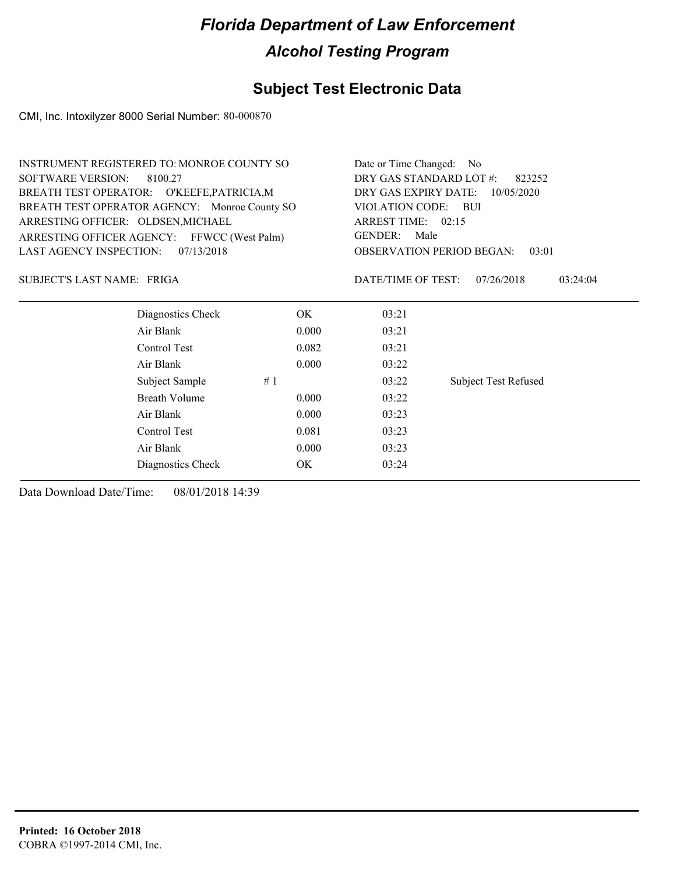### **Subject Test Electronic Data**

CMI, Inc. Intoxilyzer 8000 Serial Number: 80-000870

| <b>INSTRUMENT REGISTERED TO: MONROE COUNTY SO</b> |                   |       | Date or Time Changed: No           |                                           |  |  |
|---------------------------------------------------|-------------------|-------|------------------------------------|-------------------------------------------|--|--|
| <b>SOFTWARE VERSION:</b><br>8100.27               |                   |       |                                    | DRY GAS STANDARD LOT #:<br>823252         |  |  |
| BREATH TEST OPERATOR: O'KEEFE, PATRICIA, M        |                   |       | DRY GAS EXPIRY DATE:<br>10/05/2020 |                                           |  |  |
| BREATH TEST OPERATOR AGENCY: Monroe County SO     |                   |       | VIOLATION CODE:                    | – BUI                                     |  |  |
| ARRESTING OFFICER: OLDSEN, MICHAEL                |                   |       | ARREST TIME: 02:15                 |                                           |  |  |
| ARRESTING OFFICER AGENCY: FFWCC (West Palm)       |                   |       | GENDER: Male                       |                                           |  |  |
| <b>LAST AGENCY INSPECTION:</b>                    | 07/13/2018        |       |                                    | <b>OBSERVATION PERIOD BEGAN:</b><br>03:01 |  |  |
| SUBJECT'S LAST NAME: FRIGA                        |                   |       | DATE/TIME OF TEST:                 | 07/26/2018<br>03:24:04                    |  |  |
|                                                   | Diagnostics Check | OK.   | 03:21                              |                                           |  |  |
| Air Blank                                         |                   | 0.000 | 03:21                              |                                           |  |  |
| Control Test                                      |                   | 0.082 | 03:21                              |                                           |  |  |
| Air Blank                                         |                   | 0.000 | 03:22                              |                                           |  |  |
| Subject Sample                                    | #1                |       | 03:22                              | <b>Subject Test Refused</b>               |  |  |
| <b>Breath Volume</b>                              |                   | 0.000 | 03:22                              |                                           |  |  |
| Air Blank                                         |                   | 0.000 | 03:23                              |                                           |  |  |
| Control Test                                      |                   | 0.081 | 03:23                              |                                           |  |  |
| Air Blank                                         |                   | 0.000 | 03:23                              |                                           |  |  |
|                                                   | Diagnostics Check | OK    | 03:24                              |                                           |  |  |
|                                                   |                   |       |                                    |                                           |  |  |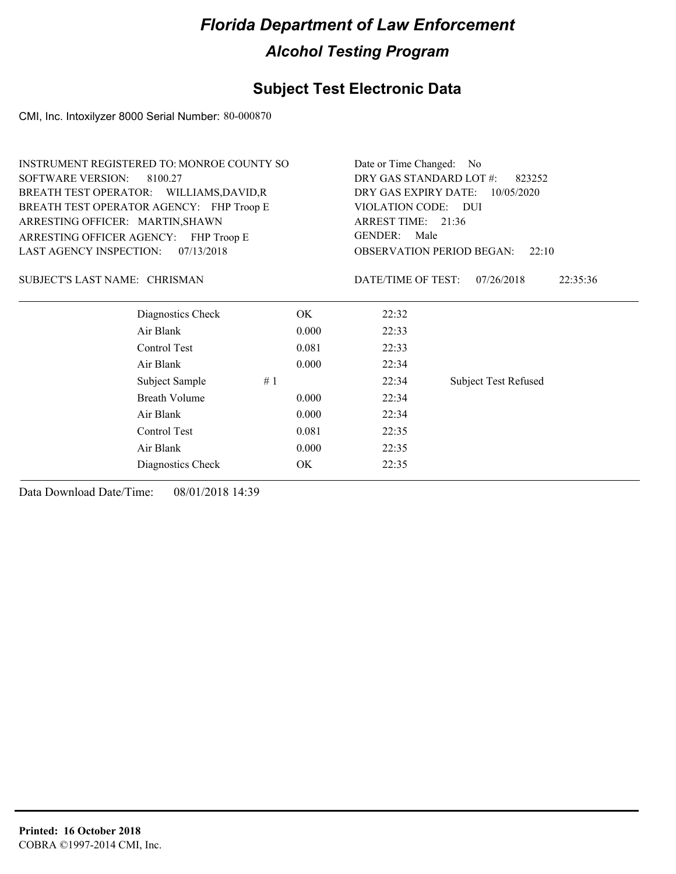### **Subject Test Electronic Data**

CMI, Inc. Intoxilyzer 8000 Serial Number: 80-000870

|                                          | INSTRUMENT REGISTERED TO: MONROE COUNTY SO |    |                                    | Date or Time Changed: No          |                                           |  |
|------------------------------------------|--------------------------------------------|----|------------------------------------|-----------------------------------|-------------------------------------------|--|
| <b>SOFTWARE VERSION:</b><br>8100.27      |                                            |    |                                    | DRY GAS STANDARD LOT #:<br>823252 |                                           |  |
| BREATH TEST OPERATOR: WILLIAMS, DAVID, R |                                            |    | DRY GAS EXPIRY DATE:<br>10/05/2020 |                                   |                                           |  |
|                                          | BREATH TEST OPERATOR AGENCY: FHP Troop E   |    |                                    | VIOLATION CODE: DUI               |                                           |  |
| ARRESTING OFFICER: MARTIN, SHAWN         |                                            |    |                                    | ARREST TIME: 21:36                |                                           |  |
|                                          | ARRESTING OFFICER AGENCY: FHP Troop E      |    |                                    | <b>GENDER:</b><br>Male            |                                           |  |
| <b>LAST AGENCY INSPECTION:</b>           | 07/13/2018                                 |    |                                    |                                   | <b>OBSERVATION PERIOD BEGAN:</b><br>22:10 |  |
| SUBJECT'S LAST NAME: CHRISMAN            |                                            |    |                                    | DATE/TIME OF TEST:                | 07/26/2018<br>22:35:36                    |  |
|                                          | Diagnostics Check                          |    | OK                                 | 22:32                             |                                           |  |
|                                          | Air Blank                                  |    | 0.000                              | 22:33                             |                                           |  |
|                                          | Control Test                               |    | 0.081                              | 22:33                             |                                           |  |
|                                          | Air Blank                                  |    | 0.000                              | 22:34                             |                                           |  |
|                                          | Subject Sample                             | #1 |                                    | 22:34                             | <b>Subject Test Refused</b>               |  |
|                                          | <b>Breath Volume</b>                       |    | 0.000                              | 22:34                             |                                           |  |
|                                          | Air Blank                                  |    | 0.000                              | 22:34                             |                                           |  |
|                                          | Control Test                               |    | 0.081                              | 22:35                             |                                           |  |
|                                          | Air Blank                                  |    | 0.000                              | 22:35                             |                                           |  |
|                                          | Diagnostics Check                          |    | OK                                 | 22:35                             |                                           |  |
|                                          |                                            |    |                                    |                                   |                                           |  |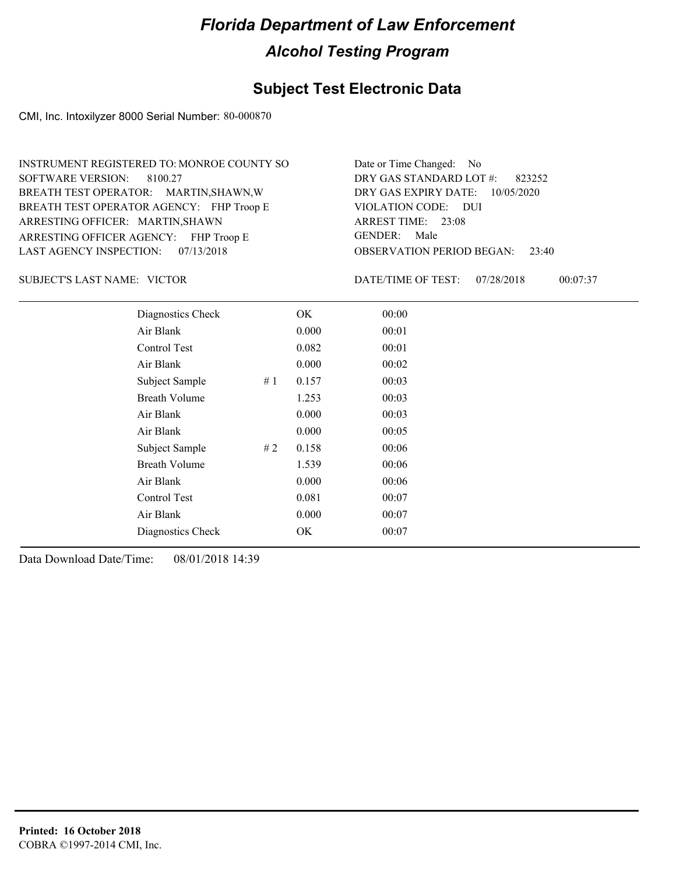#### **Subject Test Electronic Data**

CMI, Inc. Intoxilyzer 8000 Serial Number: 80-000870

ARRESTING OFFICER AGENCY: FHP Troop E GENDER: BREATH TEST OPERATOR AGENCY: FHP Troop E VIOLATION CODE: SOFTWARE VERSION: 8100.27 ARRESTING OFFICER: MARTIN, SHAWN BREATH TEST OPERATOR: MARTIN,SHAWN,W LAST AGENCY INSPECTION: 07/13/2018 INSTRUMENT REGISTERED TO: MONROE COUNTY SO

OBSERVATION PERIOD BEGAN: 23:40 VIOLATION CODE: DUI 23:08 ARREST TIME: DRY GAS EXPIRY DATE: 10/05/2020 823252 DRY GAS STANDARD LOT #: Date or Time Changed: No GENDER: Male

SUBJECT'S LAST NAME: VICTOR **Example 20 SUBJECT'S LAST NAME:** VICTOR

DATE/TIME OF TEST: 07/28/2018 00:07:37

| Diagnostics Check    |    | OK    | 00:00 |  |
|----------------------|----|-------|-------|--|
| Air Blank            |    | 0.000 | 00:01 |  |
| <b>Control Test</b>  |    | 0.082 | 00:01 |  |
| Air Blank            |    | 0.000 | 00:02 |  |
| Subject Sample       | #1 | 0.157 | 00:03 |  |
| <b>Breath Volume</b> |    | 1.253 | 00:03 |  |
| Air Blank            |    | 0.000 | 00:03 |  |
| Air Blank            |    | 0.000 | 00:05 |  |
| Subject Sample       | #2 | 0.158 | 00:06 |  |
| <b>Breath Volume</b> |    | 1.539 | 00:06 |  |
| Air Blank            |    | 0.000 | 00:06 |  |
| <b>Control Test</b>  |    | 0.081 | 00:07 |  |
| Air Blank            |    | 0.000 | 00:07 |  |
| Diagnostics Check    |    | OK    | 00:07 |  |
|                      |    |       |       |  |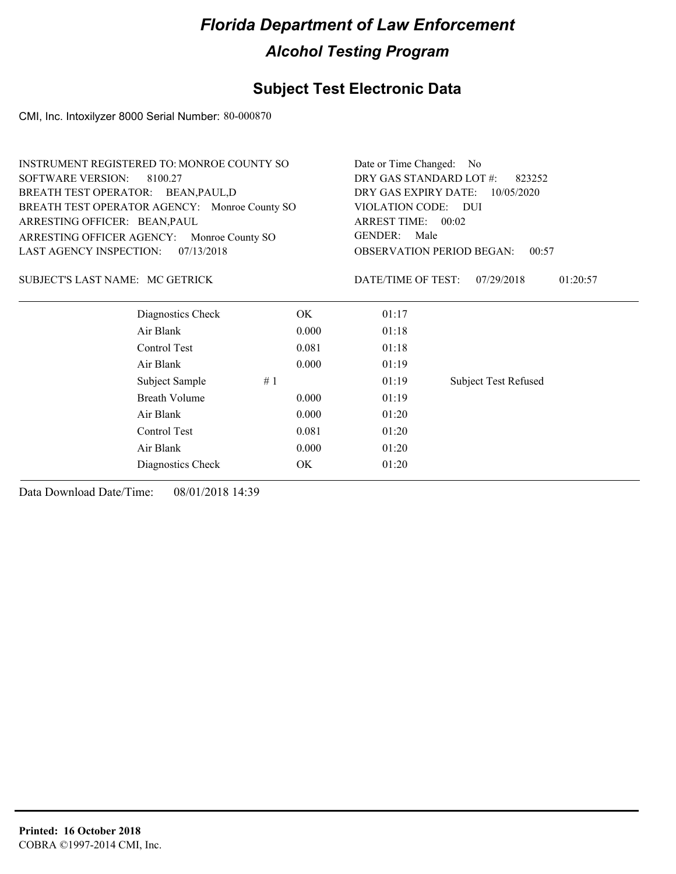### **Subject Test Electronic Data**

CMI, Inc. Intoxilyzer 8000 Serial Number: 80-000870

|                                     | <b>INSTRUMENT REGISTERED TO: MONROE COUNTY SO</b> |                        |                                   | Date or Time Changed: No                  |  |  |
|-------------------------------------|---------------------------------------------------|------------------------|-----------------------------------|-------------------------------------------|--|--|
| <b>SOFTWARE VERSION:</b><br>8100.27 |                                                   |                        | DRY GAS STANDARD LOT #:<br>823252 |                                           |  |  |
| BREATH TEST OPERATOR: BEAN, PAUL, D |                                                   |                        |                                   | DRY GAS EXPIRY DATE:<br>10/05/2020        |  |  |
|                                     | BREATH TEST OPERATOR AGENCY: Monroe County SO     | <b>VIOLATION CODE:</b> | - DUI                             |                                           |  |  |
| ARRESTING OFFICER: BEAN, PAUL       |                                                   |                        | ARREST TIME: 00:02                |                                           |  |  |
|                                     | ARRESTING OFFICER AGENCY: Monroe County SO        |                        | <b>GENDER:</b><br>Male            |                                           |  |  |
| <b>LAST AGENCY INSPECTION:</b>      | 07/13/2018                                        |                        |                                   | <b>OBSERVATION PERIOD BEGAN:</b><br>00:57 |  |  |
| SUBJECT'S LAST NAME: MC GETRICK     |                                                   |                        | DATE/TIME OF TEST:                | 07/29/2018<br>01:20:57                    |  |  |
|                                     | Diagnostics Check                                 | OK.                    | 01:17                             |                                           |  |  |
|                                     | Air Blank                                         | 0.000                  | 01:18                             |                                           |  |  |
|                                     | Control Test                                      | 0.081                  | 01:18                             |                                           |  |  |
|                                     | Air Blank                                         | 0.000                  | 01:19                             |                                           |  |  |
|                                     | Subject Sample                                    | #1                     | 01:19                             | Subject Test Refused                      |  |  |
|                                     | Breath Volume                                     | 0.000                  | 01:19                             |                                           |  |  |
|                                     | Air Blank                                         | 0.000                  | 01:20                             |                                           |  |  |
|                                     | Control Test                                      | 0.081                  | 01:20                             |                                           |  |  |
|                                     | Air Blank                                         | 0.000                  | 01:20                             |                                           |  |  |
|                                     | Diagnostics Check                                 | OK                     | 01:20                             |                                           |  |  |
|                                     |                                                   |                        |                                   |                                           |  |  |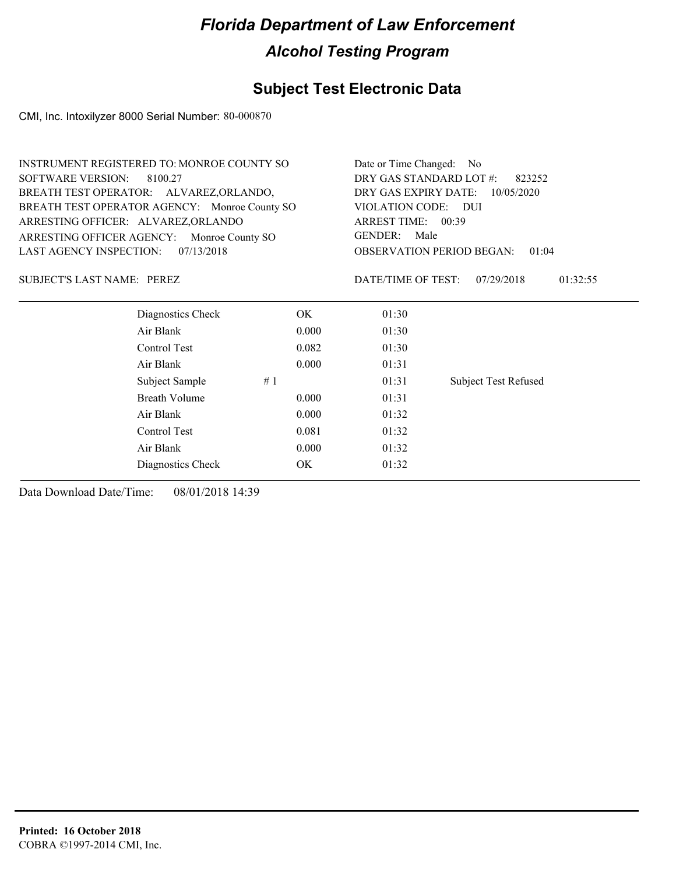### **Subject Test Electronic Data**

CMI, Inc. Intoxilyzer 8000 Serial Number: 80-000870

| <b>INSTRUMENT REGISTERED TO: MONROE COUNTY SO</b> | Date or Time Changed: No           |                        |                                           |  |
|---------------------------------------------------|------------------------------------|------------------------|-------------------------------------------|--|
| <b>SOFTWARE VERSION:</b><br>8100.27               | DRY GAS STANDARD LOT #:<br>823252  |                        |                                           |  |
| BREATH TEST OPERATOR: ALVAREZ, ORLANDO,           | DRY GAS EXPIRY DATE:<br>10/05/2020 |                        |                                           |  |
| BREATH TEST OPERATOR AGENCY: Monroe County SO     |                                    | VIOLATION CODE: DUI    |                                           |  |
| ARRESTING OFFICER: ALVAREZ, ORLANDO               |                                    | ARREST TIME: 00:39     |                                           |  |
| ARRESTING OFFICER AGENCY: Monroe County SO        |                                    | <b>GENDER:</b><br>Male |                                           |  |
| <b>LAST AGENCY INSPECTION:</b><br>07/13/2018      |                                    |                        | <b>OBSERVATION PERIOD BEGAN:</b><br>01:04 |  |
| SUBJECT'S LAST NAME: PEREZ                        |                                    | DATE/TIME OF TEST:     | 07/29/2018<br>01:32:55                    |  |
| Diagnostics Check                                 | OK.                                | 01:30                  |                                           |  |
| Air Blank                                         | 0.000                              | 01:30                  |                                           |  |
| Control Test                                      | 0.082                              | 01:30                  |                                           |  |
| Air Blank                                         | 0.000                              | 01:31                  |                                           |  |
| Subject Sample                                    | #1                                 | 01:31                  | <b>Subject Test Refused</b>               |  |
| Breath Volume                                     | 0.000                              | 01:31                  |                                           |  |
| Air Blank                                         | 0.000                              | 01:32                  |                                           |  |
| Control Test                                      | 0.081                              | 01:32                  |                                           |  |
| Air Blank                                         | 01:32                              |                        |                                           |  |
| Diagnostics Check                                 | OK                                 | 01:32                  |                                           |  |
|                                                   |                                    |                        |                                           |  |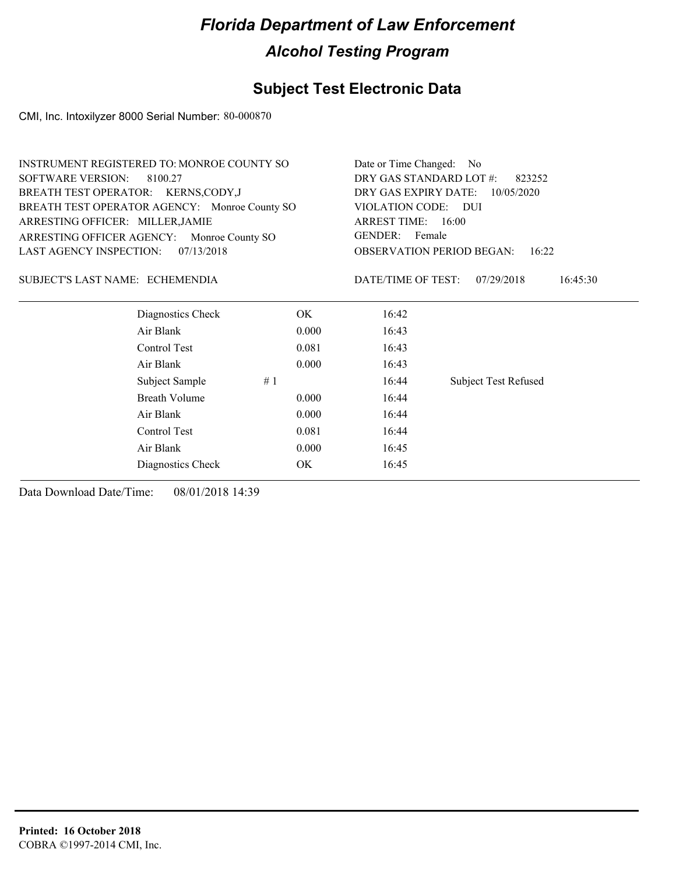### **Subject Test Electronic Data**

CMI, Inc. Intoxilyzer 8000 Serial Number: 80-000870

|                                     | INSTRUMENT REGISTERED TO: MONROE COUNTY SO    |       | Date or Time Changed: No          |                                           |  |
|-------------------------------------|-----------------------------------------------|-------|-----------------------------------|-------------------------------------------|--|
| <b>SOFTWARE VERSION:</b><br>8100.27 |                                               |       | DRY GAS STANDARD LOT #:<br>823252 |                                           |  |
|                                     | BREATH TEST OPERATOR: KERNS, CODY, J          |       |                                   | DRY GAS EXPIRY DATE:<br>10/05/2020        |  |
|                                     | BREATH TEST OPERATOR AGENCY: Monroe County SO |       | VIOLATION CODE: DUI               |                                           |  |
| ARRESTING OFFICER: MILLER, JAMIE    |                                               |       | ARREST TIME: 16:00                |                                           |  |
|                                     | ARRESTING OFFICER AGENCY: Monroe County SO    |       | GENDER: Female                    |                                           |  |
| <b>LAST AGENCY INSPECTION:</b>      | 07/13/2018                                    |       |                                   | <b>OBSERVATION PERIOD BEGAN:</b><br>16:22 |  |
| SUBJECT'S LAST NAME: ECHEMENDIA     |                                               |       | DATE/TIME OF TEST:                | 16:45:30<br>07/29/2018                    |  |
|                                     | Diagnostics Check                             | OK.   | 16:42                             |                                           |  |
|                                     | Air Blank                                     | 0.000 | 16:43                             |                                           |  |
|                                     | Control Test                                  | 0.081 | 16:43                             |                                           |  |
|                                     | Air Blank                                     | 0.000 | 16:43                             |                                           |  |
|                                     | Subject Sample                                | #1    | 16:44                             | <b>Subject Test Refused</b>               |  |
|                                     | <b>Breath Volume</b>                          | 0.000 | 16:44                             |                                           |  |
|                                     | Air Blank                                     | 0.000 | 16:44                             |                                           |  |
|                                     | Control Test                                  | 0.081 | 16:44                             |                                           |  |
|                                     | Air Blank                                     | 0.000 | 16:45                             |                                           |  |
|                                     |                                               |       |                                   |                                           |  |

Diagnostics Check OK 16:45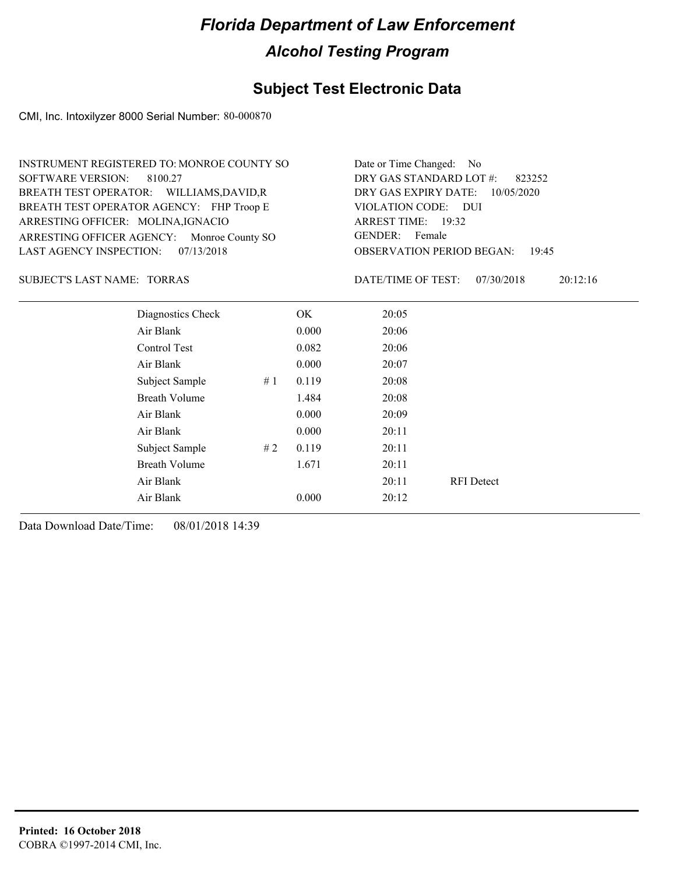### **Subject Test Electronic Data**

CMI, Inc. Intoxilyzer 8000 Serial Number: 80-000870

| INSTRUMENT REGISTERED TO: MONROE COUNTY SO | Date or Time Changed: No               |
|--------------------------------------------|----------------------------------------|
| SOFTWARE VERSION: 8100.27                  | DRY GAS STANDARD LOT $\#$ : 823252     |
| BREATH TEST OPERATOR: WILLIAMS, DAVID, R   | DRY GAS EXPIRY DATE: 10/05/2020        |
| BREATH TEST OPERATOR AGENCY: FHP Troop E   | VIOLATION CODE: DUI                    |
| ARRESTING OFFICER: MOLINA, IGNACIO         | ARREST TIME: 19:32                     |
| ARRESTING OFFICER AGENCY: Monroe County SO | GENDER: Female                         |
| LAST AGENCY INSPECTION: 07/13/2018         | <b>OBSERVATION PERIOD BEGAN: 19:45</b> |

#### SUBJECT'S LAST NAME: TORRAS DATE/TIME OF TEST:

DATE/TIME OF TEST: 07/30/2018 20:12:16

| Diagnostics Check    |    | OK    | 20:05 |                   |
|----------------------|----|-------|-------|-------------------|
| Air Blank            |    | 0.000 | 20:06 |                   |
| Control Test         |    | 0.082 | 20:06 |                   |
| Air Blank            |    | 0.000 | 20:07 |                   |
| Subject Sample       | #1 | 0.119 | 20:08 |                   |
| <b>Breath Volume</b> |    | 1.484 | 20:08 |                   |
| Air Blank            |    | 0.000 | 20:09 |                   |
| Air Blank            |    | 0.000 | 20:11 |                   |
| Subject Sample       | #2 | 0.119 | 20:11 |                   |
| <b>Breath Volume</b> |    | 1.671 | 20:11 |                   |
| Air Blank            |    |       | 20:11 | <b>RFI</b> Detect |
| Air Blank            |    | 0.000 | 20:12 |                   |
|                      |    |       |       |                   |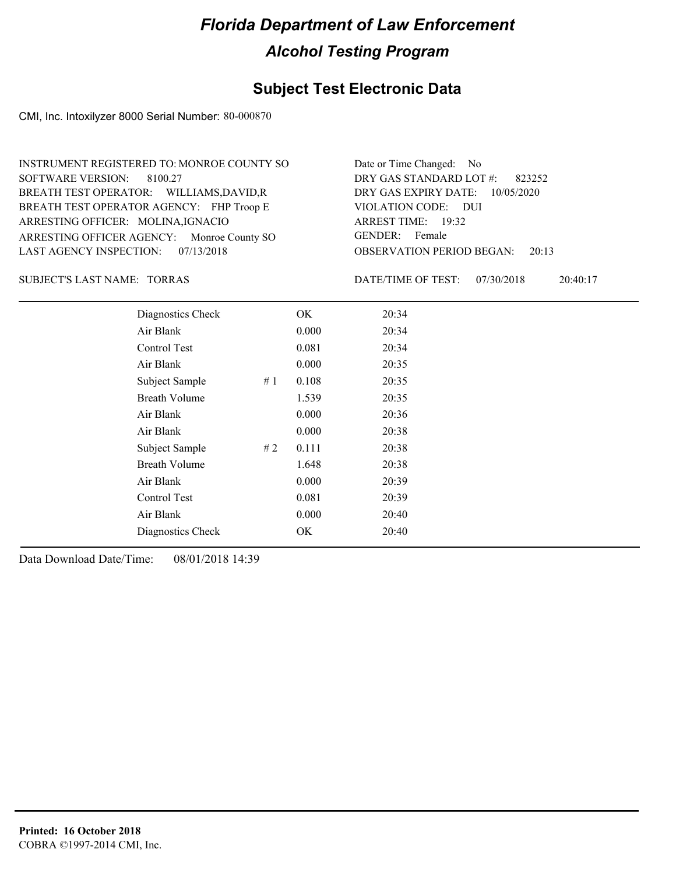### **Subject Test Electronic Data**

CMI, Inc. Intoxilyzer 8000 Serial Number: 80-000870

| Date or Time Changed: No               |
|----------------------------------------|
| DRY GAS STANDARD LOT $\#$ : 823252     |
| DRY GAS EXPIRY DATE: $10/05/2020$      |
| VIOLATION CODE: DUI                    |
| ARREST TIME: 19:32                     |
| GENDER: Female                         |
| <b>OBSERVATION PERIOD BEGAN: 20:13</b> |
|                                        |

SUBJECT'S LAST NAME: TORRAS DATE/TIME OF TEST:

DATE/TIME OF TEST: 07/30/2018 20:40:17

| Diagnostics Check    |    | OK    | 20:34 |
|----------------------|----|-------|-------|
| Air Blank            |    | 0.000 | 20:34 |
| Control Test         |    | 0.081 | 20:34 |
| Air Blank            |    | 0.000 | 20:35 |
| Subject Sample       | #1 | 0.108 | 20:35 |
| <b>Breath Volume</b> |    | 1.539 | 20:35 |
| Air Blank            |    | 0.000 | 20:36 |
| Air Blank            |    | 0.000 | 20:38 |
| Subject Sample       | #2 | 0.111 | 20:38 |
| <b>Breath Volume</b> |    | 1.648 | 20:38 |
| Air Blank            |    | 0.000 | 20:39 |
| Control Test         |    | 0.081 | 20:39 |
| Air Blank            |    | 0.000 | 20:40 |
| Diagnostics Check    |    | OK    | 20:40 |
|                      |    |       |       |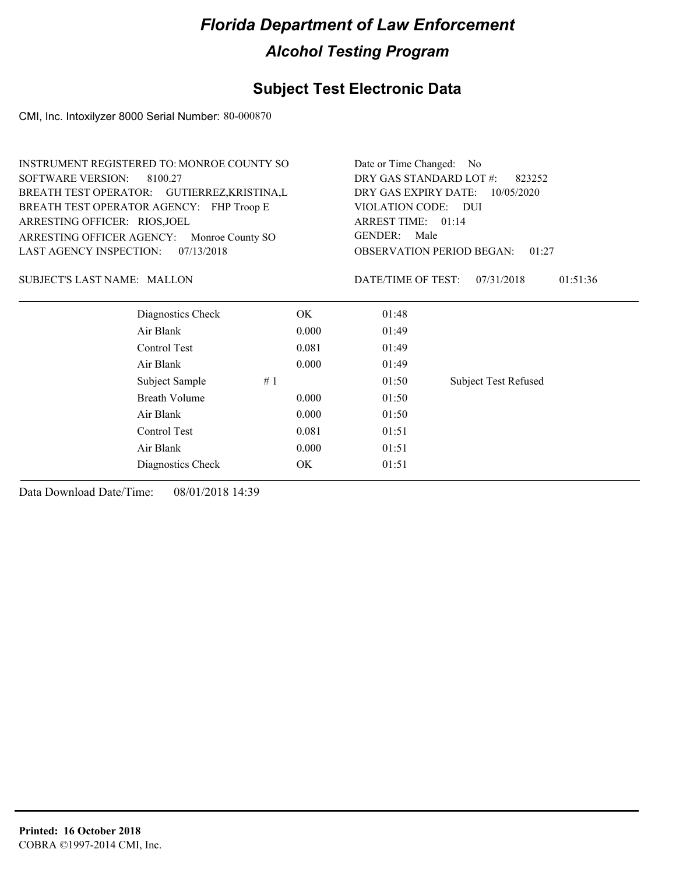## **Subject Test Electronic Data**

CMI, Inc. Intoxilyzer 8000 Serial Number: 80-000870

| INSTRUMENT REGISTERED TO: MONROE COUNTY SO   | Date or Time Changed: No                    |
|----------------------------------------------|---------------------------------------------|
| SOFTWARE VERSION: 8100.27                    | DRY GAS STANDARD LOT #:<br>823252           |
| BREATH TEST OPERATOR: GUTIERREZ, KRISTINA, L | DRY GAS EXPIRY DATE: $10/05/2020$           |
| BREATH TEST OPERATOR AGENCY: FHP Troop E     | VIOLATION CODE: DUI                         |
| ARRESTING OFFICER: RIOS, JOEL                | ARREST TIME: 01:14                          |
| ARRESTING OFFICER AGENCY: Monroe County SO   | GENDER: Male                                |
| LAST AGENCY INSPECTION: $07/13/2018$         | <b>OBSERVATION PERIOD BEGAN: 01:27</b>      |
| <b>SUBJECT'S LAST NAME: MALLON</b>           | 01:51:36<br>DATE/TIME OF TEST: $07/31/2018$ |
| $  -$                                        |                                             |

| Diagnostics Check    |    | OK    | 01:48 |                             |
|----------------------|----|-------|-------|-----------------------------|
| Air Blank            |    | 0.000 | 01:49 |                             |
| Control Test         |    | 0.081 | 01:49 |                             |
| Air Blank            |    | 0.000 | 01:49 |                             |
| Subject Sample       | #1 |       | 01:50 | <b>Subject Test Refused</b> |
| <b>Breath Volume</b> |    | 0.000 | 01:50 |                             |
| Air Blank            |    | 0.000 | 01:50 |                             |
| Control Test         |    | 0.081 | 01:51 |                             |
| Air Blank            |    | 0.000 | 01:51 |                             |
| Diagnostics Check    |    | OK.   | 01:51 |                             |
|                      |    |       |       |                             |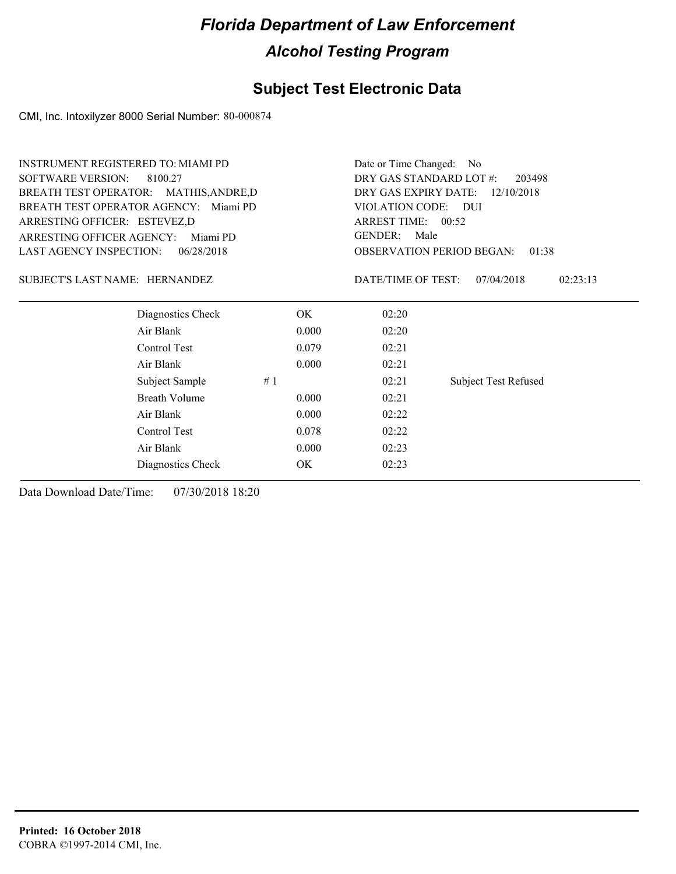### **Subject Test Electronic Data**

CMI, Inc. Intoxilyzer 8000 Serial Number: 80-000874

| <b>INSTRUMENT REGISTERED TO: MIAMI PD</b>                                    |                                    |                                                                                                                                                             |  |                                              |
|------------------------------------------------------------------------------|------------------------------------|-------------------------------------------------------------------------------------------------------------------------------------------------------------|--|----------------------------------------------|
| <b>SOFTWARE VERSION:</b><br>8100.27                                          |                                    |                                                                                                                                                             |  |                                              |
|                                                                              | DRY GAS EXPIRY DATE:<br>12/10/2018 |                                                                                                                                                             |  |                                              |
| BREATH TEST OPERATOR AGENCY: Miami PD                                        |                                    |                                                                                                                                                             |  |                                              |
| ARRESTING OFFICER: ESTEVEZ,D<br><b>ARRESTING OFFICER AGENCY:</b><br>Miami PD |                                    |                                                                                                                                                             |  |                                              |
|                                                                              |                                    |                                                                                                                                                             |  | <b>LAST AGENCY INSPECTION:</b><br>06/28/2018 |
|                                                                              | DATE/TIME OF TEST:                 | 07/04/2018<br>02:23:13                                                                                                                                      |  |                                              |
| OK.                                                                          | 02:20                              |                                                                                                                                                             |  |                                              |
| 0.000                                                                        | 02:20                              |                                                                                                                                                             |  |                                              |
| 0.079                                                                        | 02:21                              |                                                                                                                                                             |  |                                              |
| 0.000                                                                        | 02:21                              |                                                                                                                                                             |  |                                              |
|                                                                              | 02:21                              | <b>Subject Test Refused</b>                                                                                                                                 |  |                                              |
| 0.000                                                                        | 02:21                              |                                                                                                                                                             |  |                                              |
| 0.000                                                                        | 02:22                              |                                                                                                                                                             |  |                                              |
| 0.078                                                                        | 02:22                              |                                                                                                                                                             |  |                                              |
| 0.000                                                                        | 02:23                              |                                                                                                                                                             |  |                                              |
| OK                                                                           | 02:23                              |                                                                                                                                                             |  |                                              |
|                                                                              |                                    | Date or Time Changed:<br>DRY GAS STANDARD LOT #:<br>VIOLATION CODE: DUI<br>ARREST TIME: 00:52<br><b>GENDER:</b><br>Male<br><b>OBSERVATION PERIOD BEGAN:</b> |  |                                              |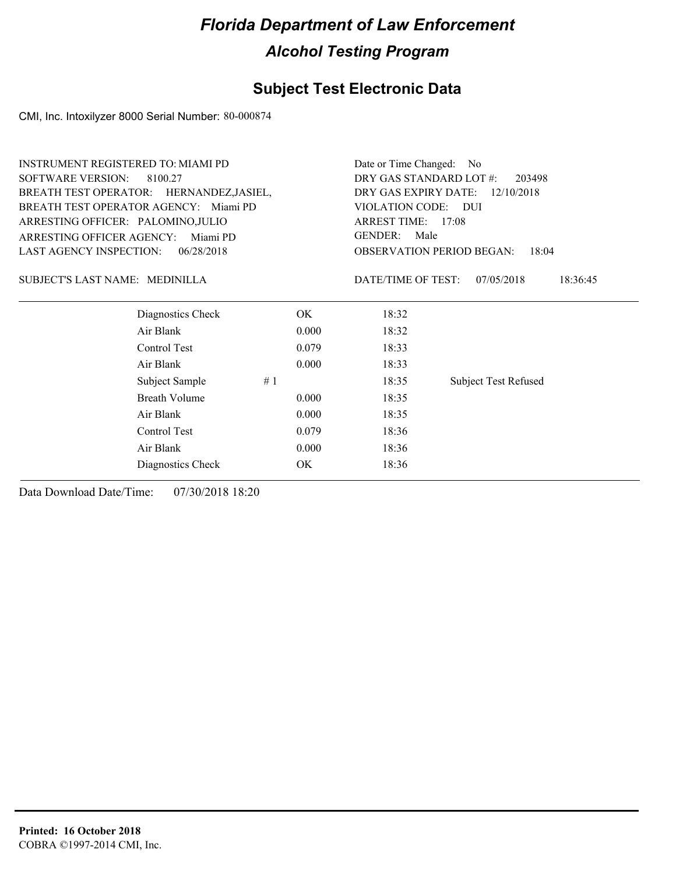### **Subject Test Electronic Data**

CMI, Inc. Intoxilyzer 8000 Serial Number: 80-000874

| <b>INSTRUMENT REGISTERED TO: MIAMI PD</b>    | Date or Time Changed: No                                                 |                    |                             |  |
|----------------------------------------------|--------------------------------------------------------------------------|--------------------|-----------------------------|--|
| <b>SOFTWARE VERSION:</b><br>8100.27          | DRY GAS STANDARD LOT #:<br>203498                                        |                    |                             |  |
| BREATH TEST OPERATOR: HERNANDEZ, JASIEL,     | DRY GAS EXPIRY DATE:<br>12/10/2018                                       |                    |                             |  |
| BREATH TEST OPERATOR AGENCY: Miami PD        | VIOLATION CODE:<br>- DUI<br>ARREST TIME: 17:08<br><b>GENDER:</b><br>Male |                    |                             |  |
| ARRESTING OFFICER: PALOMINO, JULIO           |                                                                          |                    |                             |  |
| <b>ARRESTING OFFICER AGENCY:</b><br>Miami PD |                                                                          |                    |                             |  |
| <b>LAST AGENCY INSPECTION:</b><br>06/28/2018 | <b>OBSERVATION PERIOD BEGAN:</b><br>18:04                                |                    |                             |  |
| SUBJECT'S LAST NAME: MEDINILLA               |                                                                          | DATE/TIME OF TEST: | 07/05/2018<br>18:36:45      |  |
| Diagnostics Check                            | OK.                                                                      | 18:32              |                             |  |
| Air Blank                                    | 0.000                                                                    | 18:32              |                             |  |
| Control Test                                 | 0.079                                                                    | 18:33              |                             |  |
| Air Blank                                    | 0.000                                                                    | 18:33              |                             |  |
| Subject Sample                               | #1                                                                       | 18:35              | <b>Subject Test Refused</b> |  |
| <b>Breath Volume</b>                         | 0.000                                                                    | 18:35              |                             |  |
| Air Blank                                    | 0.000                                                                    | 18:35              |                             |  |
| Control Test                                 | 0.079                                                                    | 18:36              |                             |  |
| Air Blank                                    | 0.000                                                                    | 18:36              |                             |  |
| Diagnostics Check                            | OK                                                                       | 18:36              |                             |  |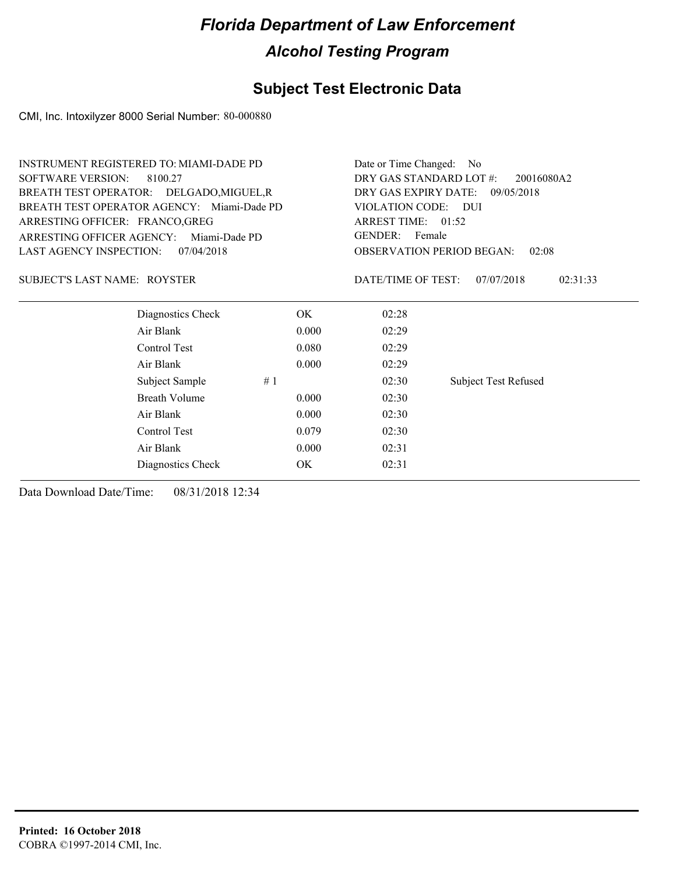#### **Subject Test Electronic Data**

CMI, Inc. Intoxilyzer 8000 Serial Number: 80-000880

|                                 | <b>INSTRUMENT REGISTERED TO: MIAMI-DADE PD</b> |                          | Date or Time Changed:<br>No.          |                                           |  |  |  |
|---------------------------------|------------------------------------------------|--------------------------|---------------------------------------|-------------------------------------------|--|--|--|
| <b>SOFTWARE VERSION:</b>        | 8100.27                                        |                          | DRY GAS STANDARD LOT #:<br>20016080A2 |                                           |  |  |  |
|                                 | BREATH TEST OPERATOR: DELGADO, MIGUEL, R       |                          | DRY GAS EXPIRY DATE:<br>09/05/2018    |                                           |  |  |  |
|                                 | BREATH TEST OPERATOR AGENCY: Miami-Dade PD     |                          | VIOLATION CODE: DUI                   |                                           |  |  |  |
| ARRESTING OFFICER: FRANCO, GREG |                                                | ARREST TIME: 01:52       |                                       |                                           |  |  |  |
| ARRESTING OFFICER AGENCY:       | Miami-Dade PD                                  | <b>GENDER:</b><br>Female |                                       |                                           |  |  |  |
| LAST AGENCY INSPECTION:         | 07/04/2018                                     |                          |                                       | <b>OBSERVATION PERIOD BEGAN:</b><br>02:08 |  |  |  |
| SUBJECT'S LAST NAME: ROYSTER    |                                                |                          | DATE/TIME OF TEST:                    | 07/07/2018<br>02:31:33                    |  |  |  |
|                                 | Diagnostics Check                              | OK.                      | 02:28                                 |                                           |  |  |  |
|                                 | Air Blank                                      | 0.000                    | 02:29                                 |                                           |  |  |  |
|                                 | Control Test                                   | 0.080                    | 02:29                                 |                                           |  |  |  |
|                                 | Air Blank                                      | 0.000                    | 02:29                                 |                                           |  |  |  |
|                                 | Subject Sample                                 | #1                       | 02:30                                 | <b>Subject Test Refused</b>               |  |  |  |
|                                 | Breath Volume                                  | 0.000                    | 02:30                                 |                                           |  |  |  |
|                                 | Air Blank                                      | 0.000                    | 02:30                                 |                                           |  |  |  |
|                                 | Control Test                                   | 0.079                    | 02:30                                 |                                           |  |  |  |
|                                 | Air Blank                                      | 0.000                    | 02:31                                 |                                           |  |  |  |
|                                 | Diagnostics Check                              | OK                       | 02:31                                 |                                           |  |  |  |
|                                 |                                                |                          |                                       |                                           |  |  |  |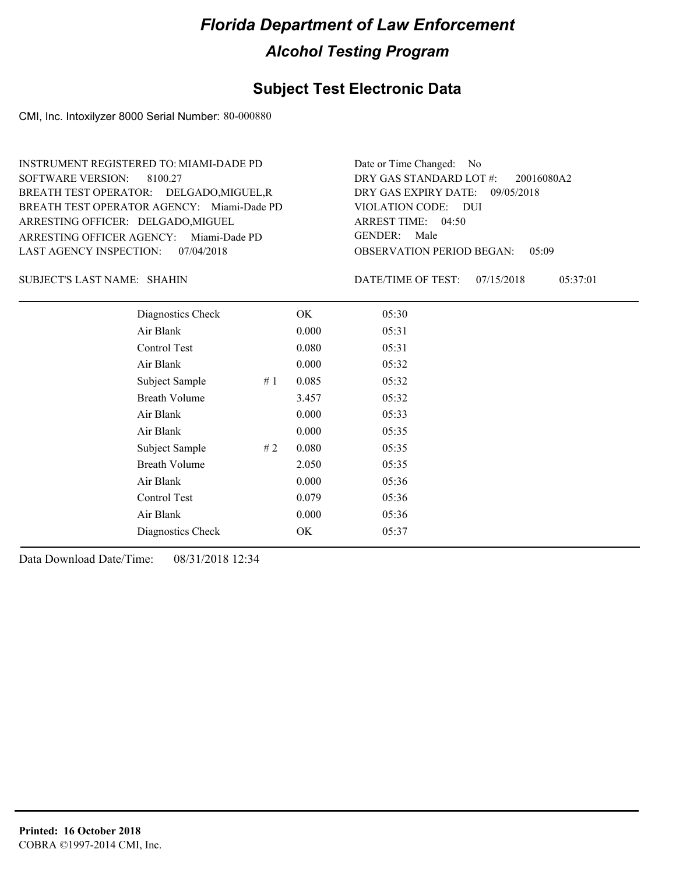#### **Subject Test Electronic Data**

CMI, Inc. Intoxilyzer 8000 Serial Number: 80-000880

ARRESTING OFFICER AGENCY: Miami-Dade PD GENDER: BREATH TEST OPERATOR AGENCY: Miami-Dade PD VIOLATION CODE: SOFTWARE VERSION: ARRESTING OFFICER: DELGADO, MIGUEL BREATH TEST OPERATOR: DELGADO,MIGUEL,R LAST AGENCY INSPECTION: 07/04/2018 8100.27 INSTRUMENT REGISTERED TO: MIAMI-DADE PD

OBSERVATION PERIOD BEGAN: 05:09 VIOLATION CODE: DUI ARREST TIME: 04:50 DRY GAS EXPIRY DATE: 09/05/2018 20016080A2 DRY GAS STANDARD LOT #: Date or Time Changed: No GENDER: Male

SHAHIN SUBJECT'S LAST NAME: DATE/TIME OF TEST:

DATE/TIME OF TEST: 07/15/2018 05:37:01

| Diagnostics Check    |    | OK    | 05:30 |
|----------------------|----|-------|-------|
| Air Blank            |    | 0.000 | 05:31 |
| Control Test         |    | 0.080 | 05:31 |
| Air Blank            |    | 0.000 | 05:32 |
| Subject Sample       | #1 | 0.085 | 05:32 |
| <b>Breath Volume</b> |    | 3.457 | 05:32 |
| Air Blank            |    | 0.000 | 05:33 |
| Air Blank            |    | 0.000 | 05:35 |
| Subject Sample       | #2 | 0.080 | 05:35 |
| <b>Breath Volume</b> |    | 2.050 | 05:35 |
| Air Blank            |    | 0.000 | 05:36 |
| Control Test         |    | 0.079 | 05:36 |
| Air Blank            |    | 0.000 | 05:36 |
| Diagnostics Check    |    | OK    | 05:37 |
|                      |    |       |       |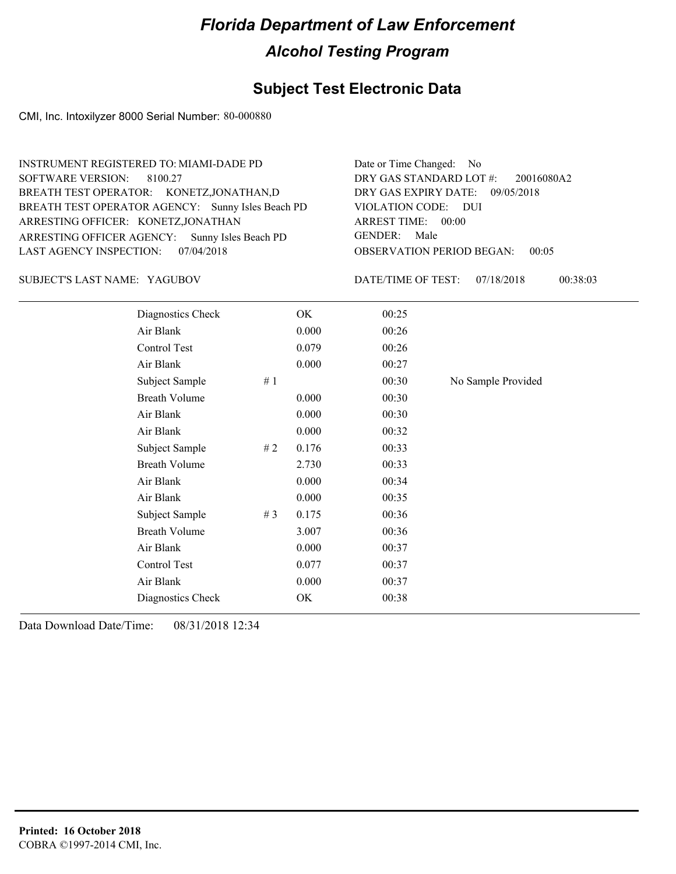#### **Subject Test Electronic Data**

CMI, Inc. Intoxilyzer 8000 Serial Number: 80-000880

OBSERVATION PERIOD BEGAN: 00:05 ARRESTING OFFICER AGENCY: GENDER: Sunny Isles Beach PD BREATH TEST OPERATOR AGENCY: Sunny Isles Beach PD VIOLATION CODE: SOFTWARE VERSION: VIOLATION CODE: DUI ARREST TIME: 00:00 ARRESTING OFFICER: KONETZ,JONATHAN DRY GAS EXPIRY DATE: 09/05/2018 20016080A2 BREATH TEST OPERATOR: KONETZ,JONATHAN,D LAST AGENCY INSPECTION: 07/04/2018 8100.27 INSTRUMENT REGISTERED TO: MIAMI-DADE PD DRY GAS STANDARD LOT #: Date or Time Changed: No GENDER: Male

YAGUBOV SUBJECT'S LAST NAME: DATE/TIME OF TEST:

DATE/TIME OF TEST: 07/18/2018 00:38:03

| Diagnostics Check    |    | OK    | 00:25 |                    |
|----------------------|----|-------|-------|--------------------|
| Air Blank            |    | 0.000 | 00:26 |                    |
| Control Test         |    | 0.079 | 00:26 |                    |
| Air Blank            |    | 0.000 | 00:27 |                    |
| Subject Sample       | #1 |       | 00:30 | No Sample Provided |
| <b>Breath Volume</b> |    | 0.000 | 00:30 |                    |
| Air Blank            |    | 0.000 | 00:30 |                    |
| Air Blank            |    | 0.000 | 00:32 |                    |
| Subject Sample       | #2 | 0.176 | 00:33 |                    |
| <b>Breath Volume</b> |    | 2.730 | 00:33 |                    |
| Air Blank            |    | 0.000 | 00:34 |                    |
| Air Blank            |    | 0.000 | 00:35 |                    |
| Subject Sample       | #3 | 0.175 | 00:36 |                    |
| <b>Breath Volume</b> |    | 3.007 | 00:36 |                    |
| Air Blank            |    | 0.000 | 00:37 |                    |
| Control Test         |    | 0.077 | 00:37 |                    |
| Air Blank            |    | 0.000 | 00:37 |                    |
| Diagnostics Check    |    | OK    | 00:38 |                    |
|                      |    |       |       |                    |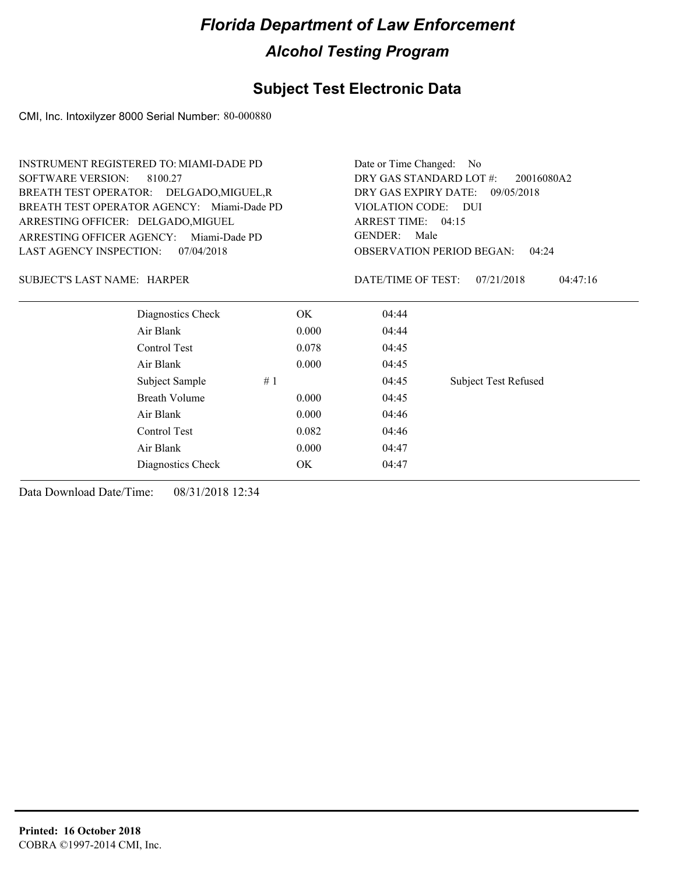### **Subject Test Electronic Data**

CMI, Inc. Intoxilyzer 8000 Serial Number: 80-000880

| <b>INSTRUMENT REGISTERED TO: MIAMI-DADE PD</b><br><b>SOFTWARE VERSION:</b><br>8100.27<br>BREATH TEST OPERATOR: DELGADO, MIGUEL, R |                   | Date or Time Changed:<br>- No<br>DRY GAS STANDARD LOT #:<br>20016080A2<br>DRY GAS EXPIRY DATE:<br>09/05/2018 |                        |                             |  |  |
|-----------------------------------------------------------------------------------------------------------------------------------|-------------------|--------------------------------------------------------------------------------------------------------------|------------------------|-----------------------------|--|--|
| BREATH TEST OPERATOR AGENCY: Miami-Dade PD<br>ARRESTING OFFICER: DELGADO, MIGUEL                                                  |                   | VIOLATION CODE: DUI<br>ARREST TIME: 04:15                                                                    |                        |                             |  |  |
| ARRESTING OFFICER AGENCY:                                                                                                         | Miami-Dade PD     |                                                                                                              | <b>GENDER:</b><br>Male |                             |  |  |
| <b>LAST AGENCY INSPECTION:</b>                                                                                                    | 07/04/2018        | <b>OBSERVATION PERIOD BEGAN:</b><br>04:24                                                                    |                        |                             |  |  |
| <b>SUBJECT'S LAST NAME: HARPER</b>                                                                                                |                   |                                                                                                              | DATE/TIME OF TEST:     | 07/21/2018<br>04:47:16      |  |  |
|                                                                                                                                   | Diagnostics Check | OK                                                                                                           | 04:44                  |                             |  |  |
| Air Blank                                                                                                                         |                   | 0.000                                                                                                        | 04:44                  |                             |  |  |
| Control Test                                                                                                                      |                   | 0.078                                                                                                        | 04:45                  |                             |  |  |
| Air Blank                                                                                                                         |                   | 0.000                                                                                                        | 04:45                  |                             |  |  |
| Subject Sample                                                                                                                    | #1                |                                                                                                              | 04:45                  | <b>Subject Test Refused</b> |  |  |
| <b>Breath Volume</b>                                                                                                              |                   | 0.000                                                                                                        | 04:45                  |                             |  |  |
| Air Blank                                                                                                                         |                   | 0.000                                                                                                        | 04:46                  |                             |  |  |
| Control Test                                                                                                                      |                   | 0.082                                                                                                        | 04:46                  |                             |  |  |
| Air Blank                                                                                                                         |                   | 0.000                                                                                                        | 04:47                  |                             |  |  |
|                                                                                                                                   | Diagnostics Check | OK                                                                                                           | 04:47                  |                             |  |  |
|                                                                                                                                   |                   |                                                                                                              |                        |                             |  |  |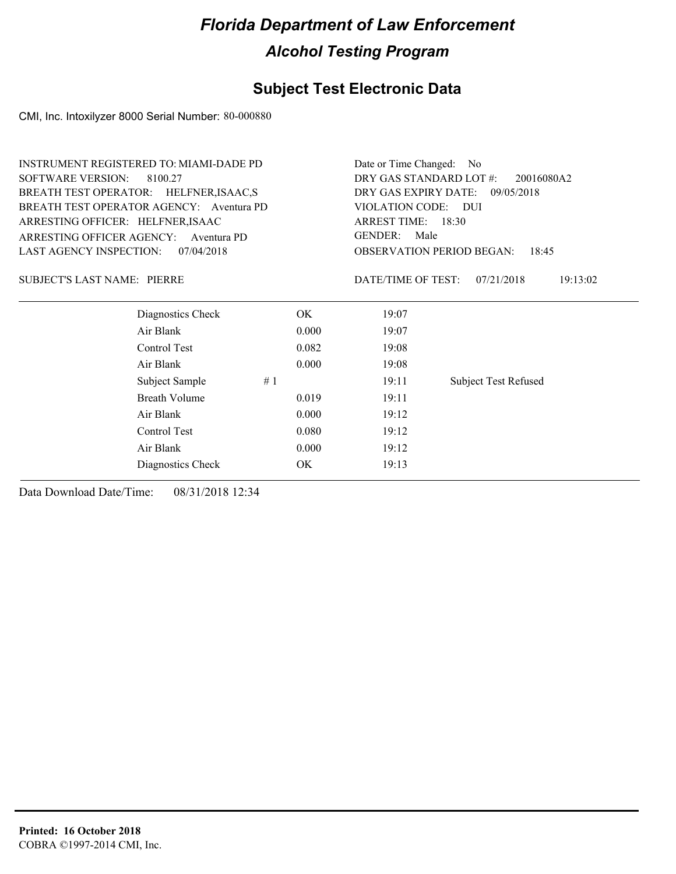### **Subject Test Electronic Data**

CMI, Inc. Intoxilyzer 8000 Serial Number: 80-000880

|                                       | <b>INSTRUMENT REGISTERED TO: MIAMI-DADE PD</b> |                    |                        | Date or Time Changed:<br>No.              |                             |          |  |  |
|---------------------------------------|------------------------------------------------|--------------------|------------------------|-------------------------------------------|-----------------------------|----------|--|--|
| <b>SOFTWARE VERSION:</b>              | 8100.27                                        |                    |                        | DRY GAS STANDARD LOT #:<br>20016080A2     |                             |          |  |  |
|                                       | BREATH TEST OPERATOR: HELFNER, ISAAC, S        |                    |                        | DRY GAS EXPIRY DATE:<br>09/05/2018        |                             |          |  |  |
|                                       | BREATH TEST OPERATOR AGENCY: Aventura PD       |                    | VIOLATION CODE: DUI    |                                           |                             |          |  |  |
| ARRESTING OFFICER: HELFNER, ISAAC     |                                                | ARREST TIME: 18:30 |                        |                                           |                             |          |  |  |
| ARRESTING OFFICER AGENCY:             | Aventura PD                                    |                    | <b>GENDER:</b><br>Male |                                           |                             |          |  |  |
| LAST AGENCY INSPECTION:<br>07/04/2018 |                                                |                    |                        | <b>OBSERVATION PERIOD BEGAN:</b><br>18:45 |                             |          |  |  |
| <b>SUBJECT'S LAST NAME: PIERRE</b>    |                                                |                    |                        | DATE/TIME OF TEST:                        | 07/21/2018                  | 19:13:02 |  |  |
|                                       | Diagnostics Check                              |                    | OK.                    | 19:07                                     |                             |          |  |  |
|                                       | Air Blank                                      |                    | 0.000                  | 19:07                                     |                             |          |  |  |
|                                       | Control Test                                   |                    | 0.082                  | 19:08                                     |                             |          |  |  |
|                                       | Air Blank                                      |                    | 0.000                  | 19:08                                     |                             |          |  |  |
|                                       | Subject Sample                                 | #1                 |                        | 19:11                                     | <b>Subject Test Refused</b> |          |  |  |
|                                       | <b>Breath Volume</b>                           |                    | 0.019                  | 19:11                                     |                             |          |  |  |
|                                       | Air Blank                                      |                    | 0.000                  | 19:12                                     |                             |          |  |  |
|                                       | Control Test                                   |                    | 0.080                  | 19:12                                     |                             |          |  |  |
|                                       | Air Blank                                      |                    | 0.000                  | 19:12                                     |                             |          |  |  |
|                                       | Diagnostics Check                              |                    | OK                     | 19:13                                     |                             |          |  |  |
|                                       |                                                |                    |                        |                                           |                             |          |  |  |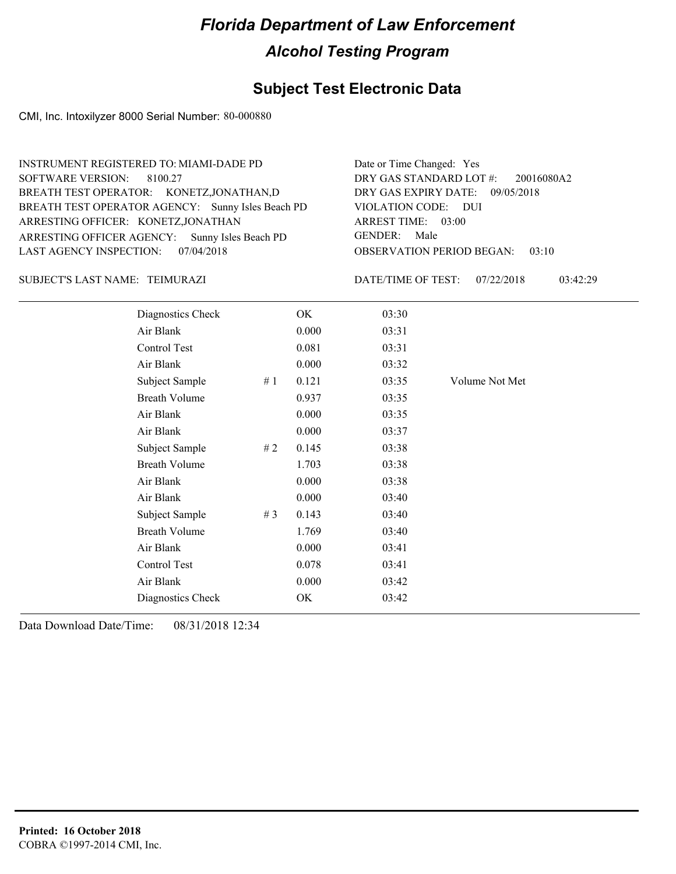#### **Subject Test Electronic Data**

CMI, Inc. Intoxilyzer 8000 Serial Number: 80-000880

ARRESTING OFFICER AGENCY: GENDER: Sunny Isles Beach PD BREATH TEST OPERATOR AGENCY: Sunny Isles Beach PD VIOLATION CODE: SOFTWARE VERSION: VIOLATION CODE: DUI ARRESTING OFFICER: KONETZ,JONATHAN DRY GAS EXPIRY DATE: 09/05/2018 BREATH TEST OPERATOR: KONETZ,JONATHAN,D LAST AGENCY INSPECTION: 07/04/2018 8100.27 INSTRUMENT REGISTERED TO: MIAMI-DADE PD DRY GAS STANDARD LOT #: Date or Time Changed: Yes

TEIMURAZI SUBJECT'S LAST NAME: DATE/TIME OF TEST:

OBSERVATION PERIOD BEGAN: 03:10 ARREST TIME: 03:00 GENDER: Male

20016080A2

DATE/TIME OF TEST: 07/22/2018 03:42:29

| Diagnostics Check    |       | OK    | 03:30 |                |
|----------------------|-------|-------|-------|----------------|
| Air Blank            |       | 0.000 | 03:31 |                |
| Control Test         |       | 0.081 | 03:31 |                |
| Air Blank            |       | 0.000 | 03:32 |                |
| Subject Sample       | #1    | 0.121 | 03:35 | Volume Not Met |
| <b>Breath Volume</b> |       | 0.937 | 03:35 |                |
| Air Blank            |       | 0.000 | 03:35 |                |
| Air Blank            |       | 0.000 | 03:37 |                |
| Subject Sample       | #2    | 0.145 | 03:38 |                |
| <b>Breath Volume</b> |       | 1.703 | 03:38 |                |
| Air Blank            |       | 0.000 | 03:38 |                |
| Air Blank            |       | 0.000 | 03:40 |                |
| Subject Sample       | # $3$ | 0.143 | 03:40 |                |
| <b>Breath Volume</b> |       | 1.769 | 03:40 |                |
| Air Blank            |       | 0.000 | 03:41 |                |
| Control Test         |       | 0.078 | 03:41 |                |
| Air Blank            |       | 0.000 | 03:42 |                |
| Diagnostics Check    |       | OK    | 03:42 |                |
|                      |       |       |       |                |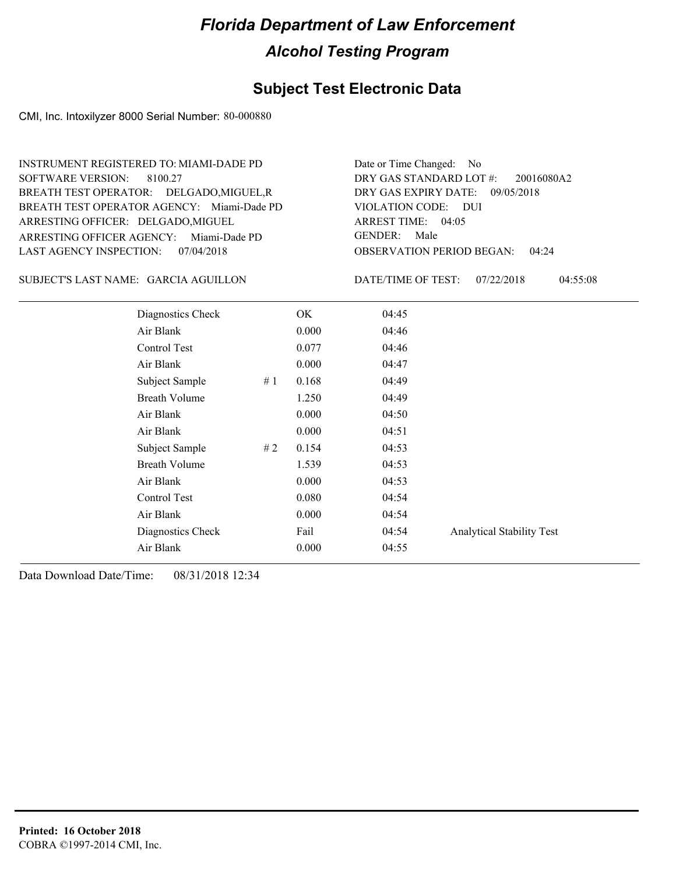#### **Subject Test Electronic Data**

CMI, Inc. Intoxilyzer 8000 Serial Number: 80-000880

ARRESTING OFFICER AGENCY: Miami-Dade PD GENDER: BREATH TEST OPERATOR AGENCY: Miami-Dade PD VIOLATION CODE: SOFTWARE VERSION: ARRESTING OFFICER: DELGADO, MIGUEL BREATH TEST OPERATOR: DELGADO,MIGUEL,R LAST AGENCY INSPECTION: 07/04/2018 8100.27 INSTRUMENT REGISTERED TO: MIAMI-DADE PD

OBSERVATION PERIOD BEGAN: 04:24 VIOLATION CODE: DUI ARREST TIME: 04:05 DRY GAS EXPIRY DATE: 09/05/2018 20016080A2 DRY GAS STANDARD LOT #: Date or Time Changed: No GENDER: Male

SUBJECT'S LAST NAME: GARCIA AGUILLON DATE/TIME OF TEST:

DATE/TIME OF TEST: 07/22/2018 04:55:08

| Diagnostics Check    |    | OK    | 04:45 |                                  |
|----------------------|----|-------|-------|----------------------------------|
| Air Blank            |    | 0.000 | 04:46 |                                  |
| Control Test         |    | 0.077 | 04:46 |                                  |
| Air Blank            |    | 0.000 | 04:47 |                                  |
| Subject Sample       | #1 | 0.168 | 04:49 |                                  |
| <b>Breath Volume</b> |    | 1.250 | 04:49 |                                  |
| Air Blank            |    | 0.000 | 04:50 |                                  |
| Air Blank            |    | 0.000 | 04:51 |                                  |
| Subject Sample       | #2 | 0.154 | 04:53 |                                  |
| <b>Breath Volume</b> |    | 1.539 | 04:53 |                                  |
| Air Blank            |    | 0.000 | 04:53 |                                  |
| Control Test         |    | 0.080 | 04:54 |                                  |
| Air Blank            |    | 0.000 | 04:54 |                                  |
| Diagnostics Check    |    | Fail  | 04:54 | <b>Analytical Stability Test</b> |
| Air Blank            |    | 0.000 | 04:55 |                                  |
|                      |    |       |       |                                  |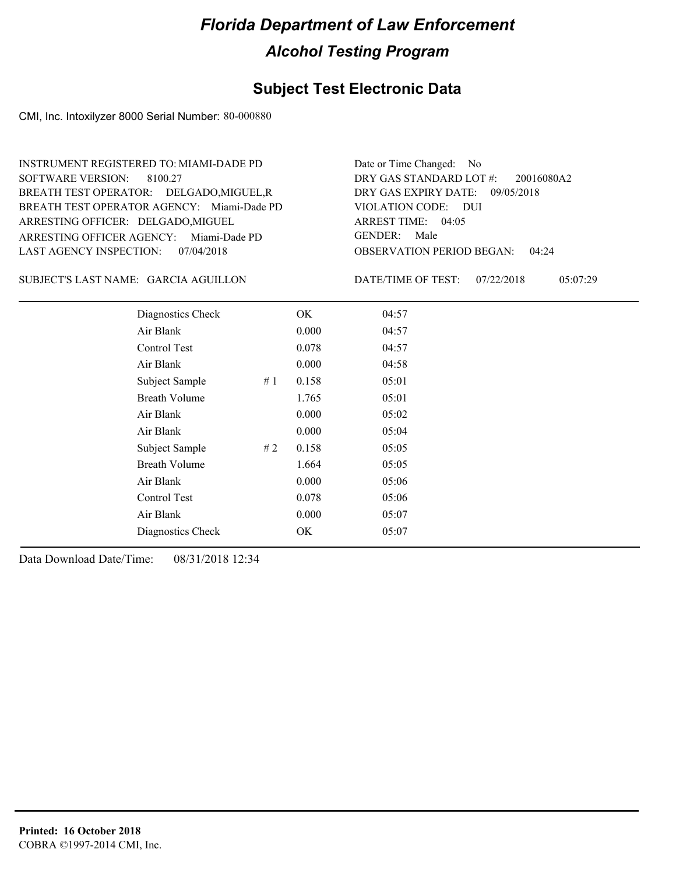#### **Subject Test Electronic Data**

CMI, Inc. Intoxilyzer 8000 Serial Number: 80-000880

ARRESTING OFFICER AGENCY: Miami-Dade PD GENDER: BREATH TEST OPERATOR AGENCY: Miami-Dade PD VIOLATION CODE: SOFTWARE VERSION: ARRESTING OFFICER: DELGADO, MIGUEL BREATH TEST OPERATOR: DELGADO,MIGUEL,R LAST AGENCY INSPECTION: 07/04/2018 8100.27 INSTRUMENT REGISTERED TO: MIAMI-DADE PD

OBSERVATION PERIOD BEGAN: 04:24 VIOLATION CODE: DUI ARREST TIME: 04:05 DRY GAS EXPIRY DATE: 09/05/2018 20016080A2 DRY GAS STANDARD LOT #: Date or Time Changed: No GENDER: Male

SUBJECT'S LAST NAME: GARCIA AGUILLON DATE/TIME OF TEST:

DATE/TIME OF TEST: 07/22/2018 05:07:29

| Diagnostics Check    |    | OK    | 04:57 |
|----------------------|----|-------|-------|
| Air Blank            |    | 0.000 | 04:57 |
| Control Test         |    | 0.078 | 04:57 |
| Air Blank            |    | 0.000 | 04:58 |
| Subject Sample       | #1 | 0.158 | 05:01 |
| <b>Breath Volume</b> |    | 1.765 | 05:01 |
| Air Blank            |    | 0.000 | 05:02 |
| Air Blank            |    | 0.000 | 05:04 |
| Subject Sample       | #2 | 0.158 | 05:05 |
| <b>Breath Volume</b> |    | 1.664 | 05:05 |
| Air Blank            |    | 0.000 | 05:06 |
| Control Test         |    | 0.078 | 05:06 |
| Air Blank            |    | 0.000 | 05:07 |
| Diagnostics Check    |    | OK    | 05:07 |
|                      |    |       |       |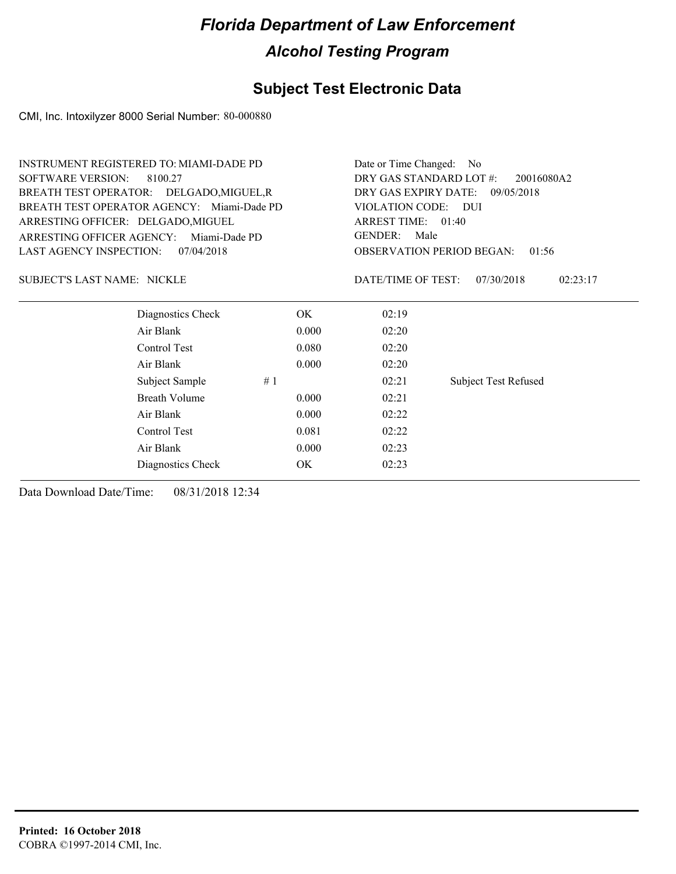#### **Subject Test Electronic Data**

CMI, Inc. Intoxilyzer 8000 Serial Number: 80-000880

| <b>INSTRUMENT REGISTERED TO: MIAMI-DADE PD</b> |       | Date or Time Changed:<br>No           |                                           |  |  |
|------------------------------------------------|-------|---------------------------------------|-------------------------------------------|--|--|
| <b>SOFTWARE VERSION:</b><br>8100.27            |       | DRY GAS STANDARD LOT #:<br>20016080A2 |                                           |  |  |
| BREATH TEST OPERATOR: DELGADO, MIGUEL, R       |       | DRY GAS EXPIRY DATE:<br>09/05/2018    |                                           |  |  |
| BREATH TEST OPERATOR AGENCY: Miami-Dade PD     |       | VIOLATION CODE: DUI                   |                                           |  |  |
| ARRESTING OFFICER: DELGADO, MIGUEL             |       | ARREST TIME: 01:40                    |                                           |  |  |
| ARRESTING OFFICER AGENCY:<br>Miami-Dade PD     |       | <b>GENDER:</b><br>Male                |                                           |  |  |
| <b>LAST AGENCY INSPECTION:</b><br>07/04/2018   |       |                                       | <b>OBSERVATION PERIOD BEGAN:</b><br>01:56 |  |  |
| <b>SUBJECT'S LAST NAME: NICKLE</b>             |       | DATE/TIME OF TEST:                    | 07/30/2018<br>02:23:17                    |  |  |
| Diagnostics Check                              | OK.   | 02:19                                 |                                           |  |  |
| Air Blank                                      | 0.000 | 02:20                                 |                                           |  |  |
| Control Test                                   | 0.080 | 02:20                                 |                                           |  |  |
| Air Blank                                      | 0.000 | 02:20                                 |                                           |  |  |
| Subject Sample                                 | #1    | 02:21                                 | <b>Subject Test Refused</b>               |  |  |
| <b>Breath Volume</b>                           | 0.000 | 02:21                                 |                                           |  |  |
| Air Blank                                      | 0.000 | 02:22                                 |                                           |  |  |
| Control Test                                   | 0.081 | 02:22                                 |                                           |  |  |
| Air Blank                                      | 0.000 | 02:23                                 |                                           |  |  |
| Diagnostics Check                              | OK.   | 02:23                                 |                                           |  |  |
|                                                |       |                                       |                                           |  |  |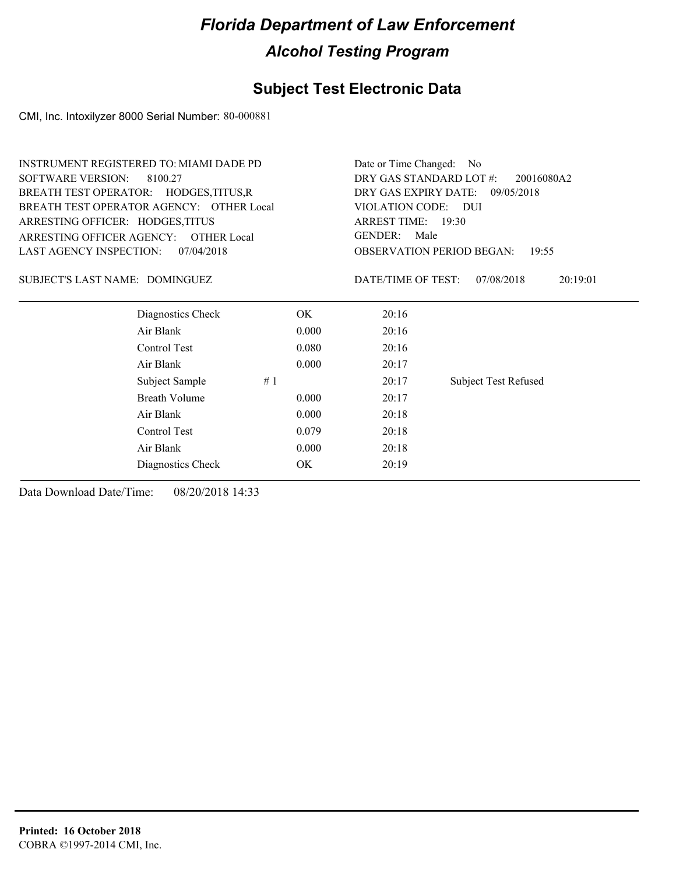#### **Subject Test Electronic Data**

CMI, Inc. Intoxilyzer 8000 Serial Number: 80-000881

| <b>INSTRUMENT REGISTERED TO: MIAMI DADE PD</b> | Date or Time Changed: No                                              |                    |                                           |  |  |
|------------------------------------------------|-----------------------------------------------------------------------|--------------------|-------------------------------------------|--|--|
| <b>SOFTWARE VERSION:</b><br>8100.27            | DRY GAS STANDARD LOT #:<br>20016080A2                                 |                    |                                           |  |  |
| BREATH TEST OPERATOR: HODGES, TITUS, R         | DRY GAS EXPIRY DATE:<br>09/05/2018<br><b>VIOLATION CODE:</b><br>- DUI |                    |                                           |  |  |
| BREATH TEST OPERATOR AGENCY: OTHER Local       |                                                                       |                    |                                           |  |  |
| ARRESTING OFFICER: HODGES, TITUS               |                                                                       | ARREST TIME: 19:30 |                                           |  |  |
| ARRESTING OFFICER AGENCY: OTHER Local          | <b>GENDER:</b><br>Male                                                |                    |                                           |  |  |
| LAST AGENCY INSPECTION:<br>07/04/2018          |                                                                       |                    | <b>OBSERVATION PERIOD BEGAN:</b><br>19:55 |  |  |
| SUBJECT'S LAST NAME: DOMINGUEZ                 |                                                                       | DATE/TIME OF TEST: | 07/08/2018<br>20:19:01                    |  |  |
| Diagnostics Check                              | OK.                                                                   | 20:16              |                                           |  |  |
| Air Blank                                      | 0.000                                                                 | 20:16              |                                           |  |  |
| Control Test                                   | 0.080                                                                 | 20:16              |                                           |  |  |
| Air Blank                                      | 0.000                                                                 | 20:17              |                                           |  |  |
| Subject Sample<br>#1                           |                                                                       | 20:17              | <b>Subject Test Refused</b>               |  |  |
| Breath Volume                                  | 0.000                                                                 | 20:17              |                                           |  |  |
| Air Blank                                      | 0.000                                                                 | 20:18              |                                           |  |  |
| Control Test                                   | 0.079                                                                 | 20:18              |                                           |  |  |
| Air Blank                                      | 0.000                                                                 | 20:18              |                                           |  |  |
| Diagnostics Check                              | OK                                                                    | 20:19              |                                           |  |  |
|                                                |                                                                       |                    |                                           |  |  |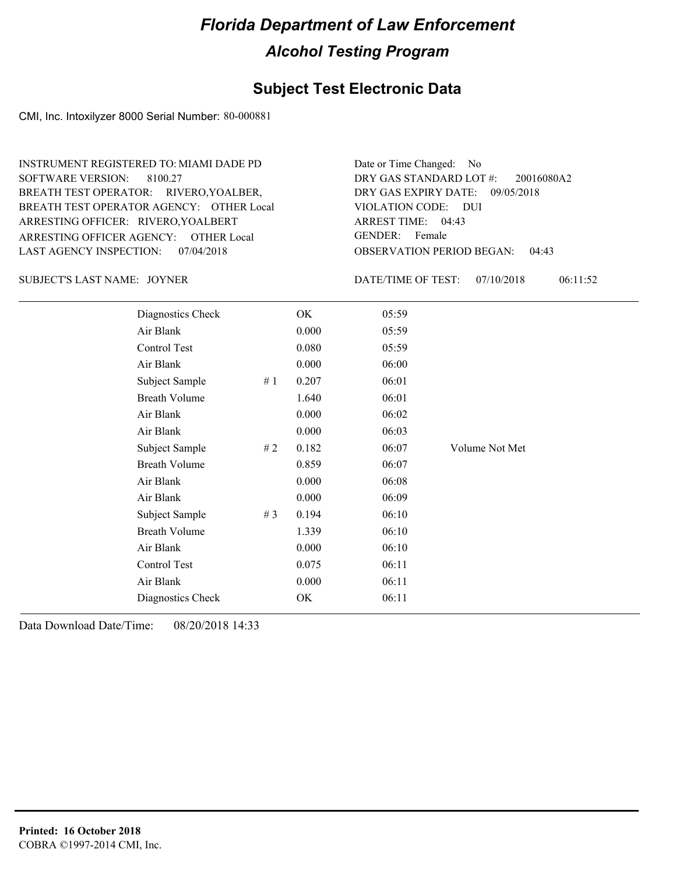#### **Subject Test Electronic Data**

CMI, Inc. Intoxilyzer 8000 Serial Number: 80-000881

ARRESTING OFFICER AGENCY: GENDER: OTHER Local BREATH TEST OPERATOR AGENCY: OTHER Local VIOLATION CODE: SOFTWARE VERSION: 8100.27 ARRESTING OFFICER: RIVERO, YOALBERT BREATH TEST OPERATOR: RIVERO, YOALBER, LAST AGENCY INSPECTION: 07/04/2018 INSTRUMENT REGISTERED TO: MIAMI DADE PD

OBSERVATION PERIOD BEGAN: 04:43 VIOLATION CODE: DUI 04:43 ARREST TIME: DRY GAS EXPIRY DATE: 09/05/2018 20016080A2 DRY GAS STANDARD LOT #: Date or Time Changed: No GENDER: Female

SUBJECT'S LAST NAME: JOYNER DESCRIPTION DATE/TIME OF TEST:

DATE/TIME OF TEST: 07/10/2018 06:11:52

| /7/10/2018 | 06:1 |
|------------|------|
|------------|------|

| Diagnostics Check    |    | OK    | 05:59 |                |
|----------------------|----|-------|-------|----------------|
| Air Blank            |    | 0.000 | 05:59 |                |
| Control Test         |    | 0.080 | 05:59 |                |
| Air Blank            |    | 0.000 | 06:00 |                |
| Subject Sample       | #1 | 0.207 | 06:01 |                |
| <b>Breath Volume</b> |    | 1.640 | 06:01 |                |
| Air Blank            |    | 0.000 | 06:02 |                |
| Air Blank            |    | 0.000 | 06:03 |                |
| Subject Sample       | #2 | 0.182 | 06:07 | Volume Not Met |
| <b>Breath Volume</b> |    | 0.859 | 06:07 |                |
| Air Blank            |    | 0.000 | 06:08 |                |
| Air Blank            |    | 0.000 | 06:09 |                |
| Subject Sample       | #3 | 0.194 | 06:10 |                |
| <b>Breath Volume</b> |    | 1.339 | 06:10 |                |
| Air Blank            |    | 0.000 | 06:10 |                |
| <b>Control Test</b>  |    | 0.075 | 06:11 |                |
| Air Blank            |    | 0.000 | 06:11 |                |
| Diagnostics Check    |    | OK    | 06:11 |                |
|                      |    |       |       |                |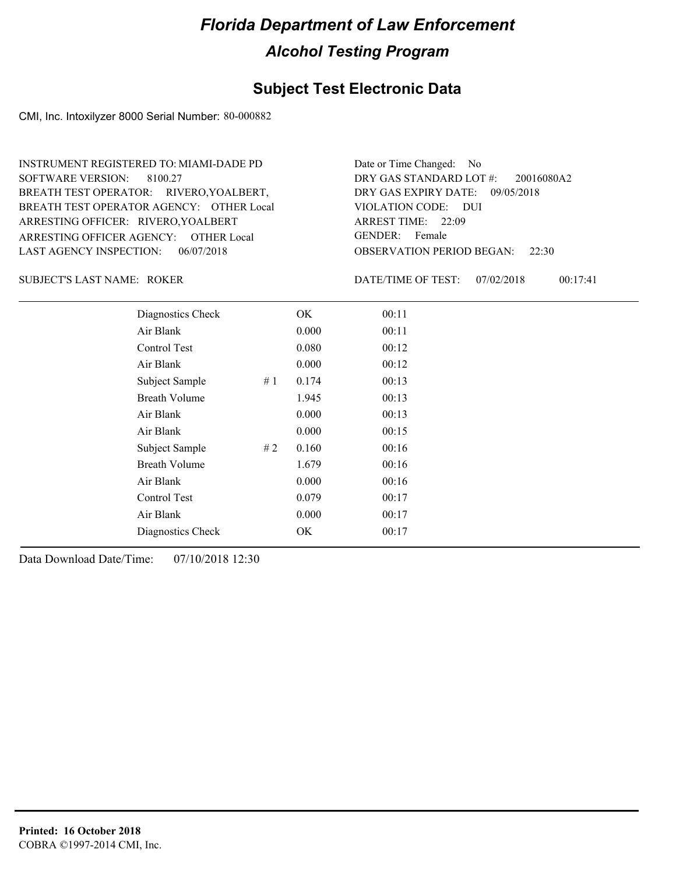#### **Subject Test Electronic Data**

CMI, Inc. Intoxilyzer 8000 Serial Number: 80-000882

ARRESTING OFFICER AGENCY: GENDER: OTHER Local BREATH TEST OPERATOR AGENCY: OTHER Local VIOLATION CODE: SOFTWARE VERSION: ARRESTING OFFICER: RIVERO, YOALBERT BREATH TEST OPERATOR: RIVERO,YOALBERT, LAST AGENCY INSPECTION: 06/07/2018 8100.27 INSTRUMENT REGISTERED TO: MIAMI-DADE PD

OBSERVATION PERIOD BEGAN: 22:30 VIOLATION CODE: DUI ARREST TIME: 22:09 DRY GAS EXPIRY DATE: 09/05/2018 20016080A2 DRY GAS STANDARD LOT #: Date or Time Changed: No GENDER: Female

ROKER SUBJECT'S LAST NAME: DATE/TIME OF TEST:

DATE/TIME OF TEST: 07/02/2018 00:17:41

| Diagnostics Check    |    | OK    | 00:11 |
|----------------------|----|-------|-------|
| Air Blank            |    | 0.000 | 00:11 |
| Control Test         |    | 0.080 | 00:12 |
| Air Blank            |    | 0.000 | 00:12 |
| Subject Sample       | #1 | 0.174 | 00:13 |
| <b>Breath Volume</b> |    | 1.945 | 00:13 |
| Air Blank            |    | 0.000 | 00:13 |
| Air Blank            |    | 0.000 | 00:15 |
| Subject Sample       | #2 | 0.160 | 00:16 |
| <b>Breath Volume</b> |    | 1.679 | 00:16 |
| Air Blank            |    | 0.000 | 00:16 |
| Control Test         |    | 0.079 | 00:17 |
| Air Blank            |    | 0.000 | 00:17 |
| Diagnostics Check    |    | OK    | 00:17 |
|                      |    |       |       |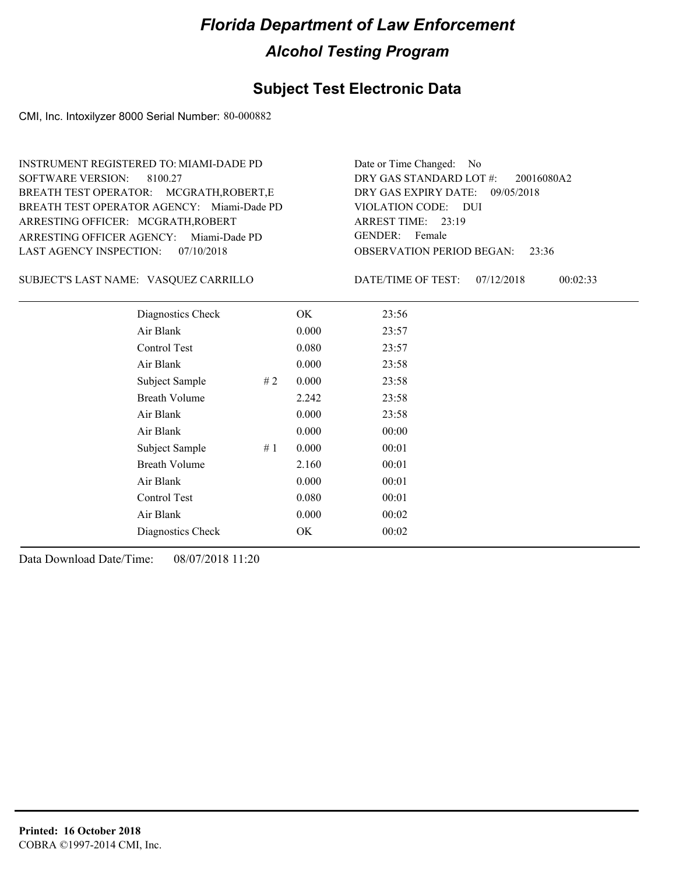#### **Subject Test Electronic Data**

CMI, Inc. Intoxilyzer 8000 Serial Number: 80-000882

ARRESTING OFFICER AGENCY: Miami-Dade PD GENDER: BREATH TEST OPERATOR AGENCY: Miami-Dade PD VIOLATION CODE: SOFTWARE VERSION: ARRESTING OFFICER: MCGRATH,ROBERT BREATH TEST OPERATOR: MCGRATH,ROBERT,E LAST AGENCY INSPECTION: 07/10/2018 8100.27 INSTRUMENT REGISTERED TO: MIAMI-DADE PD

OBSERVATION PERIOD BEGAN: 23:36 VIOLATION CODE: DUI 23:19 ARREST TIME: DRY GAS EXPIRY DATE: 09/05/2018 20016080A2 DRY GAS STANDARD LOT #: Date or Time Changed: No GENDER: Female

VASQUEZ CARRILLO SUBJECT'S LAST NAME: DATE/TIME OF TEST:

DATE/TIME OF TEST: 07/12/2018 00:02:33

| Diagnostics Check    | OK    | 23:56 |
|----------------------|-------|-------|
| Air Blank            | 0.000 | 23:57 |
| Control Test         | 0.080 | 23:57 |
| Air Blank            | 0.000 | 23:58 |
| Subject Sample<br>#2 | 0.000 | 23:58 |
| <b>Breath Volume</b> | 2.242 | 23:58 |
| Air Blank            | 0.000 | 23:58 |
| Air Blank            | 0.000 | 00:00 |
| Subject Sample<br>#1 | 0.000 | 00:01 |
| <b>Breath Volume</b> | 2.160 | 00:01 |
| Air Blank            | 0.000 | 00:01 |
| Control Test         | 0.080 | 00:01 |
| Air Blank            | 0.000 | 00:02 |
| Diagnostics Check    | OK    | 00:02 |
|                      |       |       |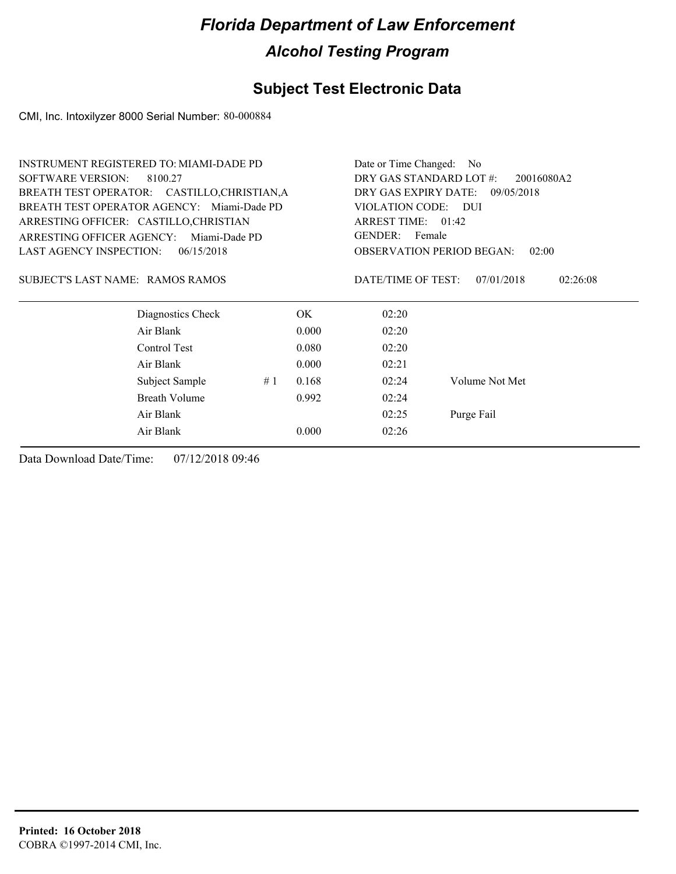### **Subject Test Electronic Data**

CMI, Inc. Intoxilyzer 8000 Serial Number: 80-000884

| <b>INSTRUMENT REGISTERED TO: MIAMI-DADE PD</b> |                   |                                           |       | Date or Time Changed: No              |                        |  |  |
|------------------------------------------------|-------------------|-------------------------------------------|-------|---------------------------------------|------------------------|--|--|
| <b>SOFTWARE VERSION:</b>                       | 8100.27           |                                           |       | DRY GAS STANDARD LOT #:<br>20016080A2 |                        |  |  |
| BREATH TEST OPERATOR: CASTILLO, CHRISTIAN, A   |                   |                                           |       | DRY GAS EXPIRY DATE:<br>09/05/2018    |                        |  |  |
| BREATH TEST OPERATOR AGENCY: Miami-Dade PD     |                   |                                           |       | <b>VIOLATION CODE:</b><br><b>DUI</b>  |                        |  |  |
| ARRESTING OFFICER: CASTILLO, CHRISTIAN         |                   | ARREST TIME: 01:42                        |       |                                       |                        |  |  |
| ARRESTING OFFICER AGENCY:                      | Miami-Dade PD     | GENDER: Female                            |       |                                       |                        |  |  |
| <b>LAST AGENCY INSPECTION:</b>                 | 06/15/2018        | <b>OBSERVATION PERIOD BEGAN:</b><br>02:00 |       |                                       |                        |  |  |
| SUBJECT'S LAST NAME: RAMOS RAMOS               |                   |                                           |       | DATE/TIME OF TEST:                    | 07/01/2018<br>02:26:08 |  |  |
|                                                | Diagnostics Check |                                           | OK.   | 02:20                                 |                        |  |  |
|                                                | Air Blank         |                                           | 0.000 | 02:20                                 |                        |  |  |
|                                                | Control Test      |                                           | 0.080 | 02:20                                 |                        |  |  |
|                                                | Air Blank         |                                           | 0.000 | 02:21                                 |                        |  |  |
|                                                | Subject Sample    | #1                                        | 0.168 | 02:24                                 | Volume Not Met         |  |  |
|                                                | Breath Volume     |                                           | 0.992 | 02:24                                 |                        |  |  |
|                                                | Air Blank         |                                           |       | 02:25                                 | Purge Fail             |  |  |
|                                                | Air Blank         |                                           | 0.000 | 02:26                                 |                        |  |  |
|                                                |                   |                                           |       |                                       |                        |  |  |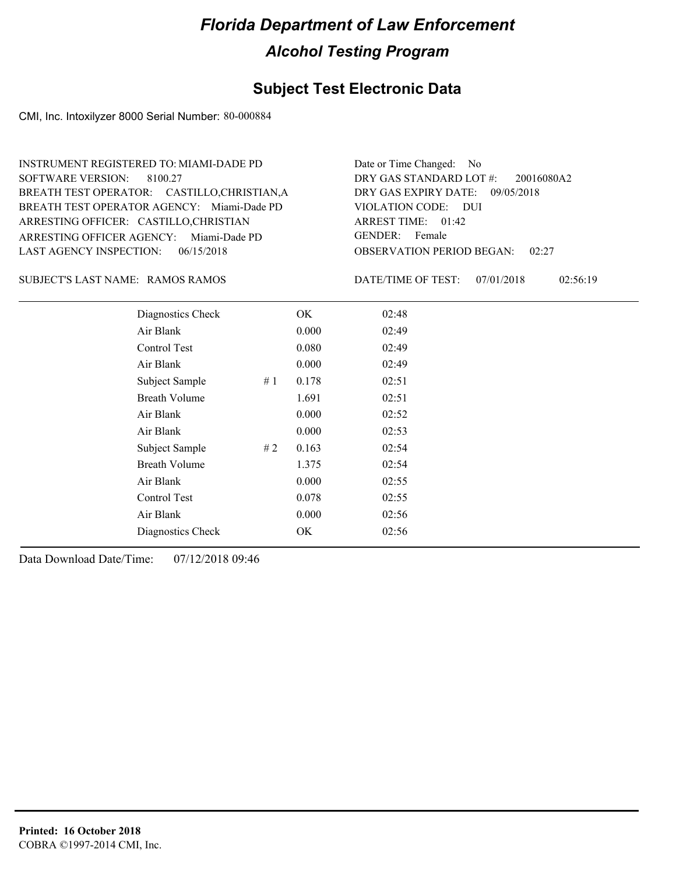#### **Subject Test Electronic Data**

CMI, Inc. Intoxilyzer 8000 Serial Number: 80-000884

ARRESTING OFFICER AGENCY: Miami-Dade PD GENDER: BREATH TEST OPERATOR AGENCY: Miami-Dade PD VIOLATION CODE: SOFTWARE VERSION: ARRESTING OFFICER: CASTILLO,CHRISTIAN BREATH TEST OPERATOR: CASTILLO,CHRISTIAN,A LAST AGENCY INSPECTION: 06/15/2018 8100.27 INSTRUMENT REGISTERED TO: MIAMI-DADE PD

OBSERVATION PERIOD BEGAN: 02:27 VIOLATION CODE: DUI ARREST TIME: 01:42 DRY GAS EXPIRY DATE: 09/05/2018 20016080A2 DRY GAS STANDARD LOT #: Date or Time Changed: No GENDER: Female

SUBJECT'S LAST NAME: RAMOS RAMOS NAMES DATE/TIME OF TEST:

DATE/TIME OF TEST: 07/01/2018 02:56:19

| Diagnostics Check    |    | OK    | 02:48 |
|----------------------|----|-------|-------|
| Air Blank            |    | 0.000 | 02:49 |
| Control Test         |    | 0.080 | 02:49 |
| Air Blank            |    | 0.000 | 02:49 |
| Subject Sample       | #1 | 0.178 | 02:51 |
| <b>Breath Volume</b> |    | 1.691 | 02:51 |
| Air Blank            |    | 0.000 | 02:52 |
| Air Blank            |    | 0.000 | 02:53 |
| Subject Sample       | #2 | 0.163 | 02:54 |
| <b>Breath Volume</b> |    | 1.375 | 02:54 |
| Air Blank            |    | 0.000 | 02:55 |
| Control Test         |    | 0.078 | 02:55 |
| Air Blank            |    | 0.000 | 02:56 |
| Diagnostics Check    |    | OK    | 02:56 |
|                      |    |       |       |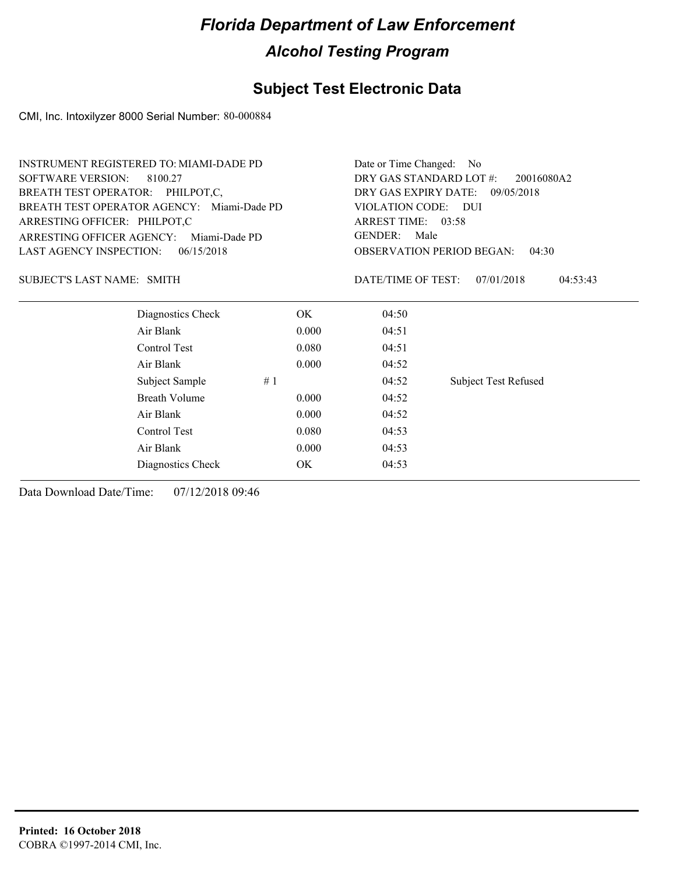### **Subject Test Electronic Data**

CMI, Inc. Intoxilyzer 8000 Serial Number: 80-000884

| <b>INSTRUMENT REGISTERED TO: MIAMI-DADE PD</b> |               | Date or Time Changed: No                  |                                    |                             |  |  |
|------------------------------------------------|---------------|-------------------------------------------|------------------------------------|-----------------------------|--|--|
| <b>SOFTWARE VERSION:</b><br>8100.27            |               | DRY GAS STANDARD LOT #:<br>20016080A2     |                                    |                             |  |  |
| BREATH TEST OPERATOR: PHILPOT,C,               |               |                                           | DRY GAS EXPIRY DATE:<br>09/05/2018 |                             |  |  |
| BREATH TEST OPERATOR AGENCY: Miami-Dade PD     |               | VIOLATION CODE: DUI                       |                                    |                             |  |  |
| ARRESTING OFFICER: PHILPOT,C                   |               | ARREST TIME: 03:58                        |                                    |                             |  |  |
| ARRESTING OFFICER AGENCY:                      | Miami-Dade PD | <b>GENDER:</b><br>Male                    |                                    |                             |  |  |
| <b>LAST AGENCY INSPECTION:</b>                 | 06/15/2018    | <b>OBSERVATION PERIOD BEGAN:</b><br>04:30 |                                    |                             |  |  |
| SUBJECT'S LAST NAME: SMITH                     |               |                                           | DATE/TIME OF TEST:                 | 07/01/2018<br>04:53:43      |  |  |
| Diagnostics Check                              |               | OK.                                       | 04:50                              |                             |  |  |
| Air Blank                                      |               | 0.000                                     | 04:51                              |                             |  |  |
| Control Test                                   |               | 0.080                                     | 04:51                              |                             |  |  |
| Air Blank                                      |               | 0.000                                     | 04:52                              |                             |  |  |
| Subject Sample                                 | #1            |                                           | 04:52                              | <b>Subject Test Refused</b> |  |  |
| Breath Volume                                  |               | 0.000                                     | 04:52                              |                             |  |  |
| Air Blank                                      |               | 0.000                                     | 04:52                              |                             |  |  |
| Control Test                                   |               | 0.080                                     | 04:53                              |                             |  |  |
| Air Blank                                      |               | 0.000                                     | 04:53                              |                             |  |  |
| Diagnostics Check                              |               | OK.                                       | 04:53                              |                             |  |  |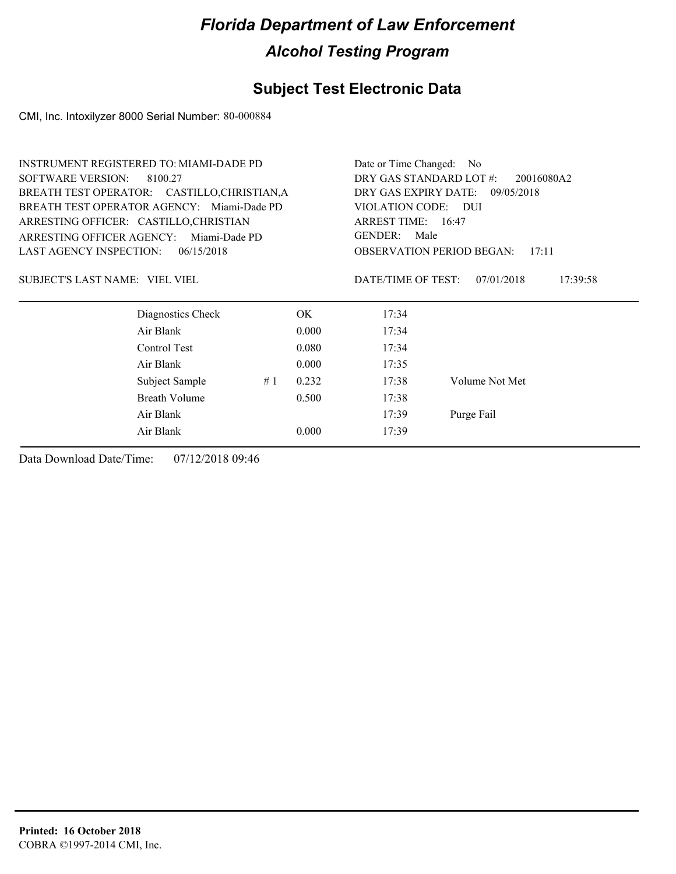### **Subject Test Electronic Data**

CMI, Inc. Intoxilyzer 8000 Serial Number: 80-000884

|                                              | <b>INSTRUMENT REGISTERED TO: MIAMI-DADE PD</b> |                        |                                       | Date or Time Changed: No                  |                        |  |
|----------------------------------------------|------------------------------------------------|------------------------|---------------------------------------|-------------------------------------------|------------------------|--|
| <b>SOFTWARE VERSION:</b>                     | 8100.27                                        |                        | DRY GAS STANDARD LOT #:<br>20016080A2 |                                           |                        |  |
|                                              | BREATH TEST OPERATOR: CASTILLO, CHRISTIAN, A   |                        | DRY GAS EXPIRY DATE:                  | 09/05/2018                                |                        |  |
|                                              | BREATH TEST OPERATOR AGENCY: Miami-Dade PD     | VIOLATION CODE: DUI    |                                       |                                           |                        |  |
|                                              | ARRESTING OFFICER: CASTILLO, CHRISTIAN         | ARREST TIME: 16:47     |                                       |                                           |                        |  |
| ARRESTING OFFICER AGENCY:                    | Miami-Dade PD                                  | <b>GENDER:</b><br>Male |                                       |                                           |                        |  |
| <b>LAST AGENCY INSPECTION:</b><br>06/15/2018 |                                                |                        |                                       | <b>OBSERVATION PERIOD BEGAN:</b><br>17:11 |                        |  |
| SUBJECT'S LAST NAME: VIEL VIEL               |                                                |                        |                                       | DATE/TIME OF TEST:                        | 07/01/2018<br>17:39:58 |  |
|                                              | Diagnostics Check                              |                        | OK.                                   | 17:34                                     |                        |  |
|                                              | Air Blank                                      |                        | 0.000                                 | 17:34                                     |                        |  |
|                                              | Control Test                                   |                        | 0.080                                 | 17:34                                     |                        |  |
|                                              | Air Blank                                      |                        | 0.000                                 | 17:35                                     |                        |  |
|                                              | Subject Sample                                 | #1                     | 0.232                                 | 17:38                                     | Volume Not Met         |  |
|                                              | <b>Breath Volume</b>                           |                        | 0.500                                 | 17:38                                     |                        |  |
|                                              | Air Blank                                      | 17:39                  | Purge Fail                            |                                           |                        |  |
|                                              | Air Blank                                      |                        | 0.000                                 | 17:39                                     |                        |  |
|                                              |                                                |                        |                                       |                                           |                        |  |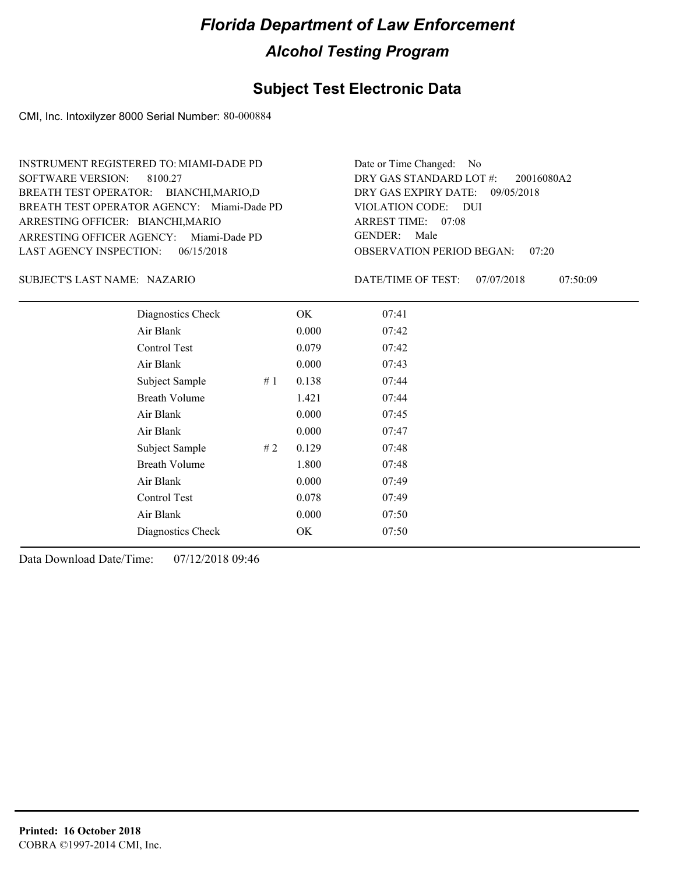#### **Subject Test Electronic Data**

CMI, Inc. Intoxilyzer 8000 Serial Number: 80-000884

ARRESTING OFFICER AGENCY: Miami-Dade PD GENDER: BREATH TEST OPERATOR AGENCY: Miami-Dade PD VIOLATION CODE: SOFTWARE VERSION: ARRESTING OFFICER: BIANCHI, MARIO BREATH TEST OPERATOR: BIANCHI,MARIO,D LAST AGENCY INSPECTION: 06/15/2018 8100.27 INSTRUMENT REGISTERED TO: MIAMI-DADE PD

OBSERVATION PERIOD BEGAN: 07:20 VIOLATION CODE: DUI ARREST TIME: 07:08 DRY GAS EXPIRY DATE: 09/05/2018 20016080A2 DRY GAS STANDARD LOT #: Date or Time Changed: No GENDER: Male

NAZARIO SUBJECT'S LAST NAME: DATE/TIME OF TEST:

DATE/TIME OF TEST: 07/07/2018 07:50:09

| Diagnostics Check    |    | OK    | 07:41 |
|----------------------|----|-------|-------|
| Air Blank            |    | 0.000 | 07:42 |
| Control Test         |    | 0.079 | 07:42 |
| Air Blank            |    | 0.000 | 07:43 |
| Subject Sample<br>#1 |    | 0.138 | 07:44 |
| <b>Breath Volume</b> |    | 1.421 | 07:44 |
| Air Blank            |    | 0.000 | 07:45 |
| Air Blank            |    | 0.000 | 07:47 |
| Subject Sample       | #2 | 0.129 | 07:48 |
| <b>Breath Volume</b> |    | 1.800 | 07:48 |
| Air Blank            |    | 0.000 | 07:49 |
| Control Test         |    | 0.078 | 07:49 |
| Air Blank            |    | 0.000 | 07:50 |
| Diagnostics Check    |    | OK.   | 07:50 |
|                      |    |       |       |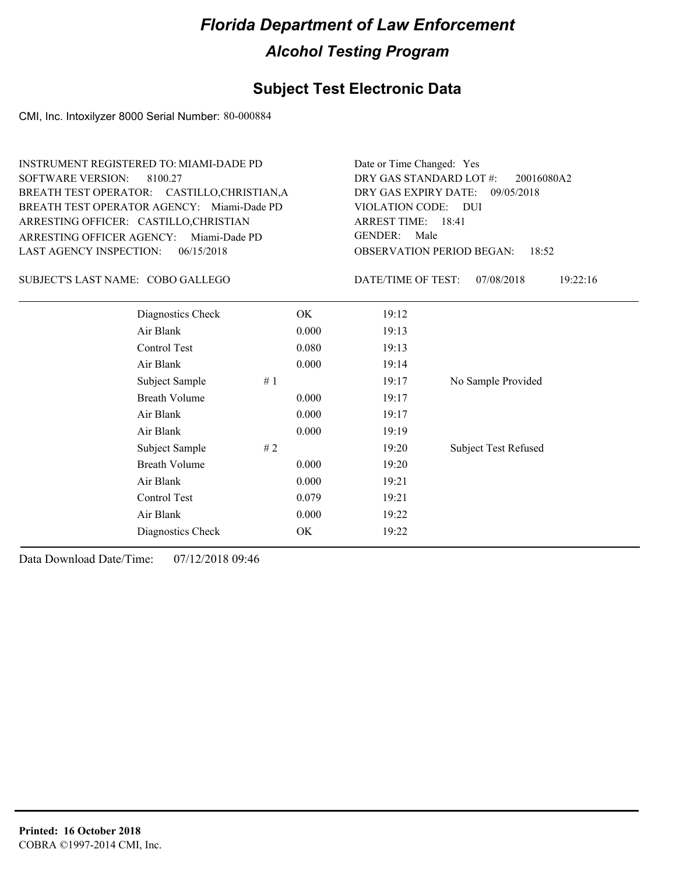### **Subject Test Electronic Data**

CMI, Inc. Intoxilyzer 8000 Serial Number: 80-000884

| <b>SOFTWARE VERSION:</b>                                            | <b>INSTRUMENT REGISTERED TO: MIAMI-DADE PD</b><br>8100.27<br>BREATH TEST OPERATOR: CASTILLO, CHRISTIAN, A<br>BREATH TEST OPERATOR AGENCY: Miami-Dade PD<br>ARRESTING OFFICER: CASTILLO, CHRISTIAN<br>ARRESTING OFFICER AGENCY: Miami-Dade PD | Date or Time Changed: Yes<br>DRY GAS STANDARD LOT #:<br>20016080A2<br>DRY GAS EXPIRY DATE:<br>09/05/2018<br>VIOLATION CODE: DUI<br>ARREST TIME: 18:41<br><b>GENDER:</b><br>Male<br><b>OBSERVATION PERIOD BEGAN:</b> |                    |                                 |
|---------------------------------------------------------------------|----------------------------------------------------------------------------------------------------------------------------------------------------------------------------------------------------------------------------------------------|---------------------------------------------------------------------------------------------------------------------------------------------------------------------------------------------------------------------|--------------------|---------------------------------|
| <b>LAST AGENCY INSPECTION:</b><br>SUBJECT'S LAST NAME: COBO GALLEGO | 06/15/2018                                                                                                                                                                                                                                   |                                                                                                                                                                                                                     | DATE/TIME OF TEST: | 18:52<br>07/08/2018<br>19:22:16 |
|                                                                     | Diagnostics Check                                                                                                                                                                                                                            | OK.                                                                                                                                                                                                                 | 19:12              |                                 |
|                                                                     | Air Blank                                                                                                                                                                                                                                    | 0.000                                                                                                                                                                                                               | 19:13              |                                 |
|                                                                     | Control Test                                                                                                                                                                                                                                 | 0.080                                                                                                                                                                                                               | 19:13              |                                 |
|                                                                     | Air Blank                                                                                                                                                                                                                                    | 0.000                                                                                                                                                                                                               | 19:14              |                                 |
|                                                                     | Subject Sample                                                                                                                                                                                                                               | #1                                                                                                                                                                                                                  | 19:17              | No Sample Provided              |
|                                                                     | <b>Breath Volume</b>                                                                                                                                                                                                                         | 0.000                                                                                                                                                                                                               | 19:17              |                                 |
|                                                                     | Air Blank                                                                                                                                                                                                                                    | 0.000                                                                                                                                                                                                               | 19:17              |                                 |
|                                                                     | Air Blank                                                                                                                                                                                                                                    | 0.000                                                                                                                                                                                                               | 19:19              |                                 |
|                                                                     | Subject Sample                                                                                                                                                                                                                               | $\#$ 2                                                                                                                                                                                                              | 19:20              | <b>Subject Test Refused</b>     |
|                                                                     | <b>Breath Volume</b>                                                                                                                                                                                                                         | 0.000                                                                                                                                                                                                               | 19:20              |                                 |
|                                                                     | Air Blank                                                                                                                                                                                                                                    | 0.000                                                                                                                                                                                                               | 19:21              |                                 |
|                                                                     | Control Test                                                                                                                                                                                                                                 | 0.079                                                                                                                                                                                                               | 19:21              |                                 |
|                                                                     | Air Blank                                                                                                                                                                                                                                    | 0.000                                                                                                                                                                                                               | 19:22              |                                 |
|                                                                     | Diagnostics Check                                                                                                                                                                                                                            | OK                                                                                                                                                                                                                  | 19:22              |                                 |
|                                                                     |                                                                                                                                                                                                                                              |                                                                                                                                                                                                                     |                    |                                 |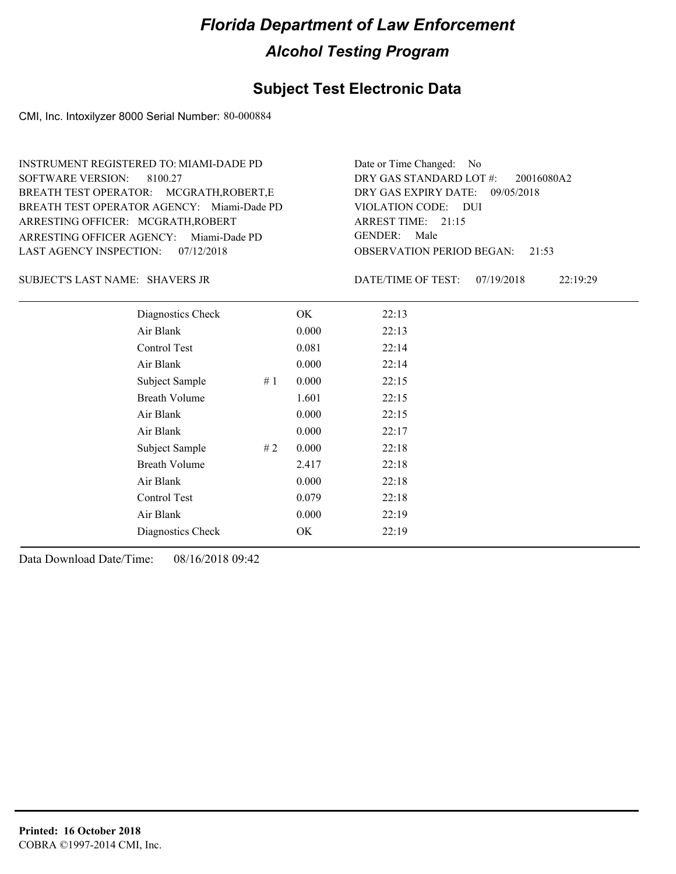#### **Subject Test Electronic Data**

CMI, Inc. Intoxilyzer 8000 Serial Number: 80-000884

ARRESTING OFFICER AGENCY: Miami-Dade PD GENDER: BREATH TEST OPERATOR AGENCY: Miami-Dade PD VIOLATION CODE: SOFTWARE VERSION: 8100.27 ARRESTING OFFICER: MCGRATH,ROBERT BREATH TEST OPERATOR: MCGRATH,ROBERT,E LAST AGENCY INSPECTION: 07/12/2018 INSTRUMENT REGISTERED TO: MIAMI-DADE PD

OBSERVATION PERIOD BEGAN: 21:53 VIOLATION CODE: DUI 21:15 ARREST TIME: DRY GAS EXPIRY DATE: 09/05/2018 20016080A2 DRY GAS STANDARD LOT #: Date or Time Changed: No GENDER: Male

SHAVERS JR SUBJECT'S LAST NAME: DATE/TIME OF TEST:

DATE/TIME OF TEST: 07/19/2018 22:19:29

| Diagnostics Check    | OK    | 22:13 |
|----------------------|-------|-------|
| Air Blank            | 0.000 | 22:13 |
| Control Test         | 0.081 | 22:14 |
| Air Blank            | 0.000 | 22:14 |
| Subject Sample<br>#1 | 0.000 | 22:15 |
| <b>Breath Volume</b> | 1.601 | 22:15 |
| Air Blank            | 0.000 | 22:15 |
| Air Blank            | 0.000 | 22:17 |
| Subject Sample<br>#2 | 0.000 | 22:18 |
| <b>Breath Volume</b> | 2.417 | 22:18 |
| Air Blank            | 0.000 | 22:18 |
| Control Test         | 0.079 | 22:18 |
| Air Blank            | 0.000 | 22:19 |
| Diagnostics Check    | OK    | 22:19 |
|                      |       |       |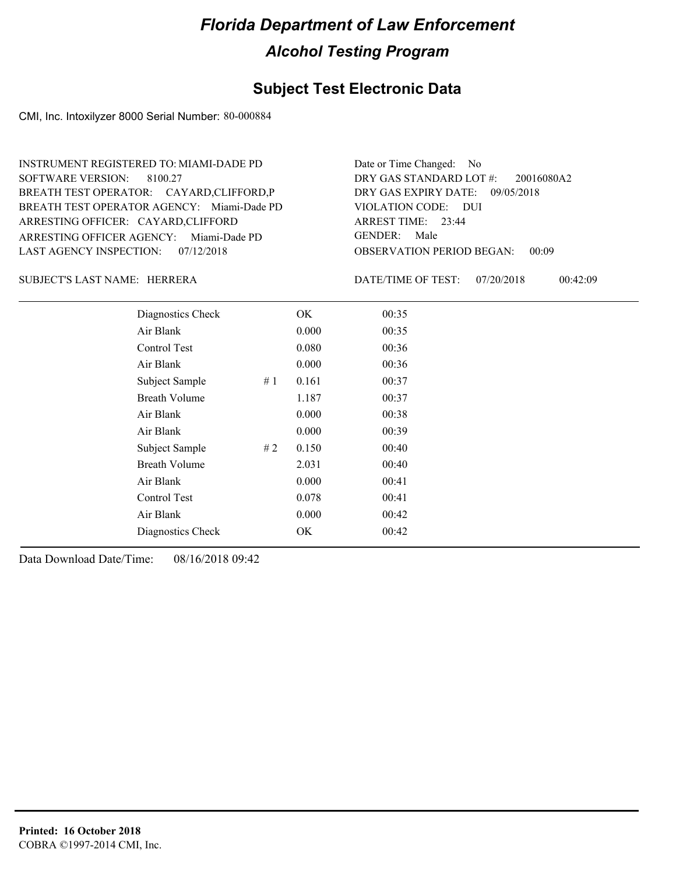#### **Subject Test Electronic Data**

CMI, Inc. Intoxilyzer 8000 Serial Number: 80-000884

ARRESTING OFFICER AGENCY: Miami-Dade PD GENDER: BREATH TEST OPERATOR AGENCY: Miami-Dade PD VIOLATION CODE: SOFTWARE VERSION: ARRESTING OFFICER: CAYARD,CLIFFORD BREATH TEST OPERATOR: CAYARD,CLIFFORD,P LAST AGENCY INSPECTION: 07/12/2018 8100.27 INSTRUMENT REGISTERED TO: MIAMI-DADE PD

OBSERVATION PERIOD BEGAN: 00:09 VIOLATION CODE: DUI 23:44 ARREST TIME: DRY GAS EXPIRY DATE: 09/05/2018 20016080A2 DRY GAS STANDARD LOT #: Date or Time Changed: No GENDER: Male

#### HERRERA SUBJECT'S LAST NAME: DATE/TIME OF TEST:

DATE/TIME OF TEST: 07/20/2018 00:42:09

| Diagnostics Check    |    | OK    | 00:35 |
|----------------------|----|-------|-------|
| Air Blank            |    | 0.000 | 00:35 |
| Control Test         |    | 0.080 | 00:36 |
| Air Blank            |    | 0.000 | 00:36 |
| Subject Sample       | #1 | 0.161 | 00:37 |
| <b>Breath Volume</b> |    | 1.187 | 00:37 |
| Air Blank            |    | 0.000 | 00:38 |
| Air Blank            |    | 0.000 | 00:39 |
| Subject Sample       | #2 | 0.150 | 00:40 |
| <b>Breath Volume</b> |    | 2.031 | 00:40 |
| Air Blank            |    | 0.000 | 00:41 |
| Control Test         |    | 0.078 | 00:41 |
| Air Blank            |    | 0.000 | 00:42 |
| Diagnostics Check    |    | OK    | 00:42 |
|                      |    |       |       |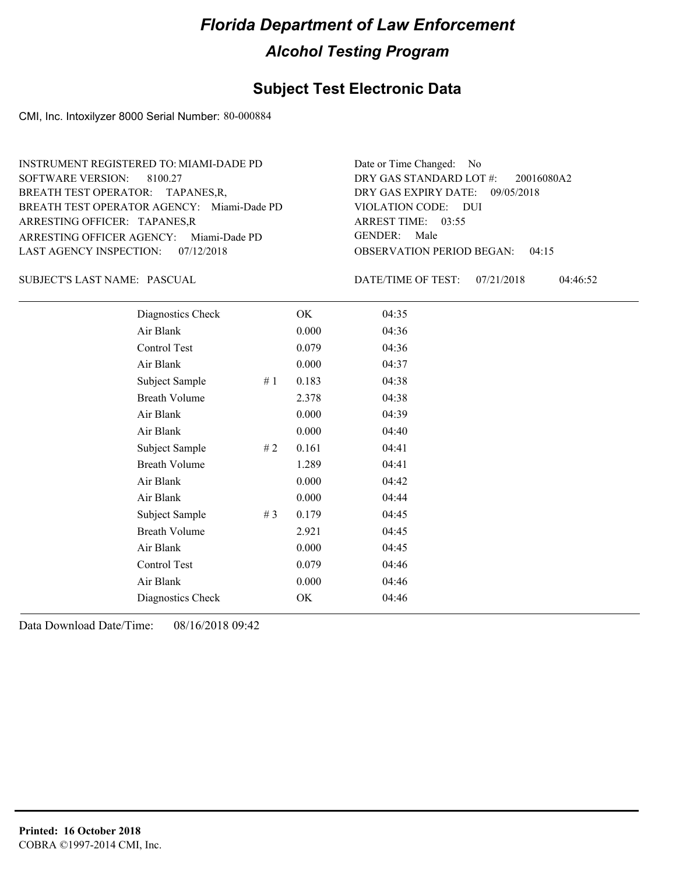#### **Subject Test Electronic Data**

CMI, Inc. Intoxilyzer 8000 Serial Number: 80-000884

ARRESTING OFFICER AGENCY: Miami-Dade PD GENDER: BREATH TEST OPERATOR AGENCY: Miami-Dade PD VIOLATION CODE: SOFTWARE VERSION: 8100.27 ARRESTING OFFICER: TAPANES,R BREATH TEST OPERATOR: TAPANES,R, LAST AGENCY INSPECTION: 07/12/2018 INSTRUMENT REGISTERED TO: MIAMI-DADE PD

OBSERVATION PERIOD BEGAN: 04:15 VIOLATION CODE: DUI ARREST TIME: 03:55 DRY GAS EXPIRY DATE: 09/05/2018 20016080A2 DRY GAS STANDARD LOT #: Date or Time Changed: No GENDER: Male

PASCUAL SUBJECT'S LAST NAME: DATE/TIME OF TEST:

DATE/TIME OF TEST: 07/21/2018 04:46:52

| Diagnostics Check    |       | OK    | 04:35 |
|----------------------|-------|-------|-------|
| Air Blank            |       | 0.000 | 04:36 |
| Control Test         |       | 0.079 | 04:36 |
| Air Blank            |       | 0.000 | 04:37 |
| Subject Sample       | #1    | 0.183 | 04:38 |
| <b>Breath Volume</b> |       | 2.378 | 04:38 |
| Air Blank            |       | 0.000 | 04:39 |
| Air Blank            |       | 0.000 | 04:40 |
| Subject Sample       | #2    | 0.161 | 04:41 |
| <b>Breath Volume</b> |       | 1.289 | 04:41 |
| Air Blank            |       | 0.000 | 04:42 |
| Air Blank            |       | 0.000 | 04:44 |
| Subject Sample       | # $3$ | 0.179 | 04:45 |
| <b>Breath Volume</b> |       | 2.921 | 04:45 |
| Air Blank            |       | 0.000 | 04:45 |
| Control Test         |       | 0.079 | 04:46 |
| Air Blank            |       | 0.000 | 04:46 |
| Diagnostics Check    |       | OK    | 04:46 |
|                      |       |       |       |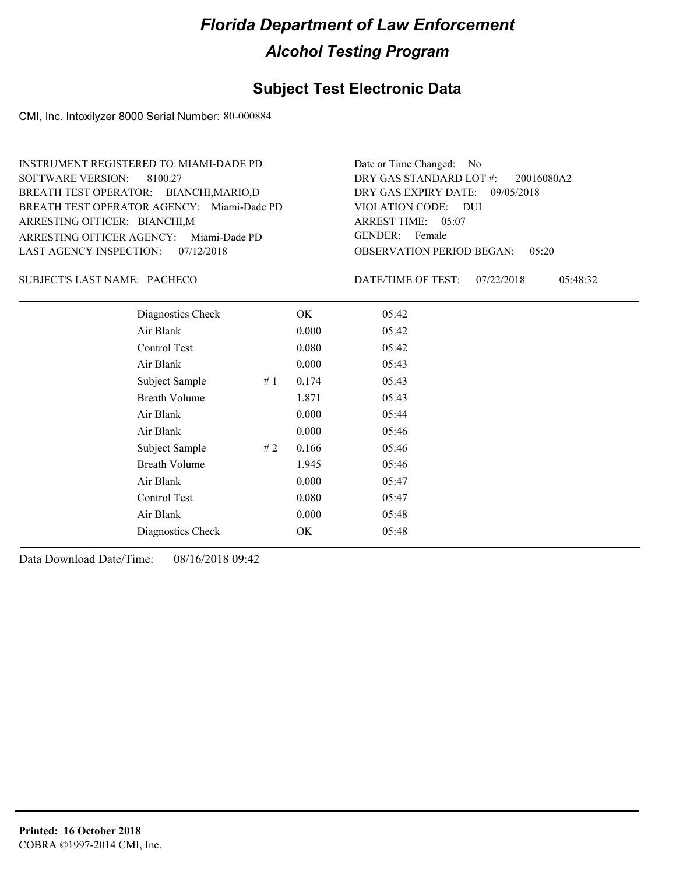#### **Subject Test Electronic Data**

CMI, Inc. Intoxilyzer 8000 Serial Number: 80-000884

ARRESTING OFFICER AGENCY: Miami-Dade PD GENDER: BREATH TEST OPERATOR AGENCY: Miami-Dade PD VIOLATION CODE: SOFTWARE VERSION: 8100.27 ARRESTING OFFICER: BIANCHI,M BREATH TEST OPERATOR: BIANCHI,MARIO,D LAST AGENCY INSPECTION: 07/12/2018 INSTRUMENT REGISTERED TO: MIAMI-DADE PD

OBSERVATION PERIOD BEGAN: 05:20 VIOLATION CODE: DUI ARREST TIME: 05:07 DRY GAS EXPIRY DATE: 09/05/2018 20016080A2 DRY GAS STANDARD LOT #: Date or Time Changed: No GENDER: Female

#### SUBJECT'S LAST NAME: PACHECO DATE/TIME OF TEST:

DATE/TIME OF TEST: 07/22/2018 05:48:32

| Diagnostics Check    |    | OK    | 05:42 |
|----------------------|----|-------|-------|
| Air Blank            |    | 0.000 | 05:42 |
| Control Test         |    | 0.080 | 05:42 |
| Air Blank            |    | 0.000 | 05:43 |
| Subject Sample       | #1 | 0.174 | 05:43 |
| <b>Breath Volume</b> |    | 1.871 | 05:43 |
| Air Blank            |    | 0.000 | 05:44 |
| Air Blank            |    | 0.000 | 05:46 |
| Subject Sample       | #2 | 0.166 | 05:46 |
| <b>Breath Volume</b> |    | 1.945 | 05:46 |
| Air Blank            |    | 0.000 | 05:47 |
| Control Test         |    | 0.080 | 05:47 |
| Air Blank            |    | 0.000 | 05:48 |
| Diagnostics Check    |    | OK    | 05:48 |
|                      |    |       |       |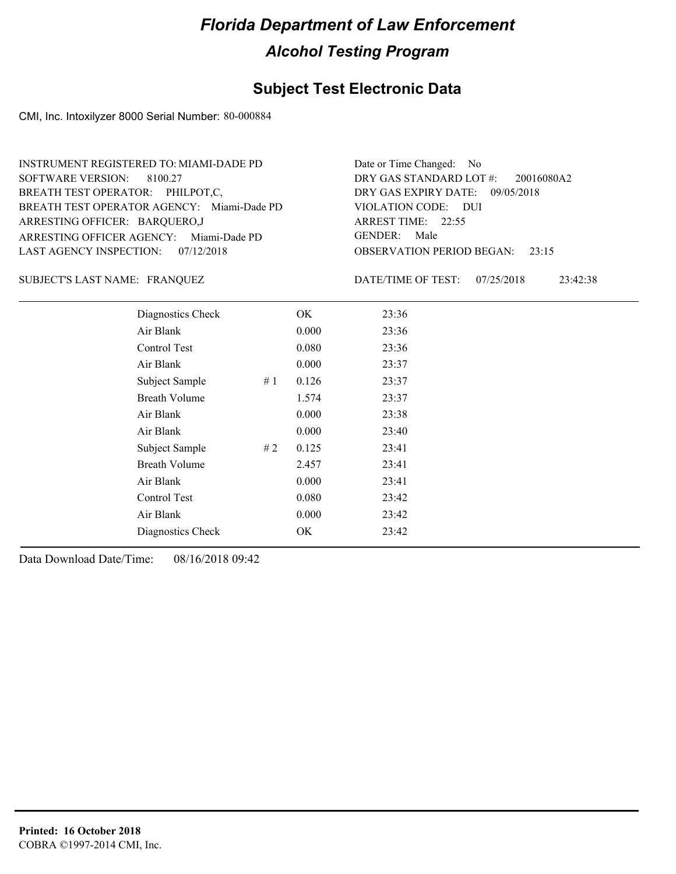#### **Subject Test Electronic Data**

CMI, Inc. Intoxilyzer 8000 Serial Number: 80-000884

ARRESTING OFFICER AGENCY: Miami-Dade PD GENDER: BREATH TEST OPERATOR AGENCY: Miami-Dade PD VIOLATION CODE: SOFTWARE VERSION: 8100.27 ARRESTING OFFICER: BARQUERO,J BREATH TEST OPERATOR: PHILPOT,C, LAST AGENCY INSPECTION: 07/12/2018 INSTRUMENT REGISTERED TO: MIAMI-DADE PD

OBSERVATION PERIOD BEGAN: 23:15 VIOLATION CODE: DUI ARREST TIME: 22:55 DRY GAS EXPIRY DATE: 09/05/2018 20016080A2 DRY GAS STANDARD LOT #: Date or Time Changed: No GENDER: Male

FRANQUEZ SUBJECT'S LAST NAME: DATE/TIME OF TEST:

DATE/TIME OF TEST: 07/25/2018 23:42:38

| Diagnostics Check    |    | OK    | 23:36 |
|----------------------|----|-------|-------|
| Air Blank            |    | 0.000 | 23:36 |
| Control Test         |    | 0.080 | 23:36 |
| Air Blank            |    | 0.000 | 23:37 |
| Subject Sample       | #1 | 0.126 | 23:37 |
| <b>Breath Volume</b> |    | 1.574 | 23:37 |
| Air Blank            |    | 0.000 | 23:38 |
| Air Blank            |    | 0.000 | 23:40 |
| Subject Sample       | #2 | 0.125 | 23:41 |
| <b>Breath Volume</b> |    | 2.457 | 23:41 |
| Air Blank            |    | 0.000 | 23:41 |
| Control Test         |    | 0.080 | 23:42 |
| Air Blank            |    | 0.000 | 23:42 |
| Diagnostics Check    |    | OK    | 23:42 |
|                      |    |       |       |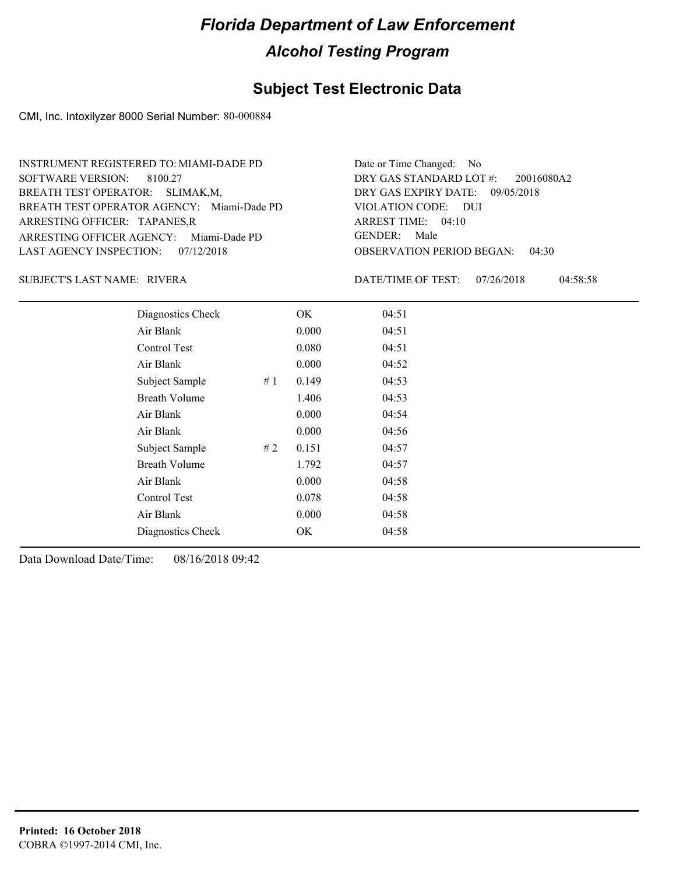#### **Subject Test Electronic Data**

CMI, Inc. Intoxilyzer 8000 Serial Number: 80-000884

ARRESTING OFFICER AGENCY: Miami-Dade PD GENDER: BREATH TEST OPERATOR AGENCY: Miami-Dade PD VIOLATION CODE: SOFTWARE VERSION: 8100.27 ARRESTING OFFICER: TAPANES,R BREATH TEST OPERATOR: SLIMAK,M, LAST AGENCY INSPECTION: 07/12/2018 INSTRUMENT REGISTERED TO: MIAMI-DADE PD

OBSERVATION PERIOD BEGAN: 04:30 VIOLATION CODE: DUI ARREST TIME: 04:10 DRY GAS EXPIRY DATE: 09/05/2018 20016080A2 DRY GAS STANDARD LOT #: Date or Time Changed: No GENDER: Male

RIVERA SUBJECT'S LAST NAME: DATE/TIME OF TEST:

DATE/TIME OF TEST: 07/26/2018 04:58:58

| Diagnostics Check    |    | OK    | 04:51 |
|----------------------|----|-------|-------|
| Air Blank            |    | 0.000 | 04:51 |
| Control Test         |    | 0.080 | 04:51 |
| Air Blank            |    | 0.000 | 04:52 |
| Subject Sample       | #1 | 0.149 | 04:53 |
| <b>Breath Volume</b> |    | 1.406 | 04:53 |
| Air Blank            |    | 0.000 | 04:54 |
| Air Blank            |    | 0.000 | 04:56 |
| Subject Sample       | #2 | 0.151 | 04:57 |
| <b>Breath Volume</b> |    | 1.792 | 04:57 |
| Air Blank            |    | 0.000 | 04:58 |
| <b>Control Test</b>  |    | 0.078 | 04:58 |
| Air Blank            |    | 0.000 | 04:58 |
| Diagnostics Check    |    | OK    | 04:58 |
|                      |    |       |       |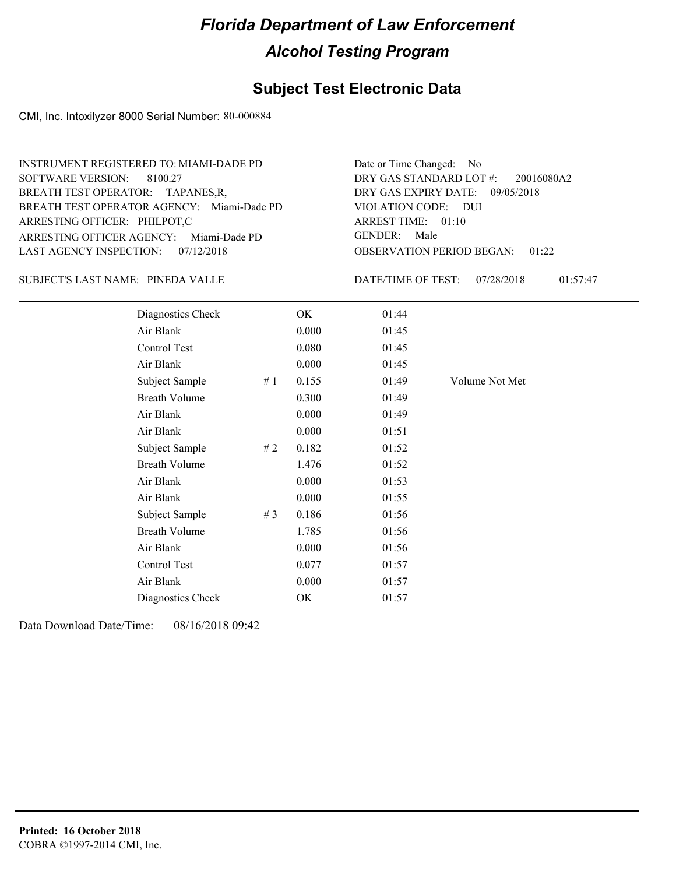#### **Subject Test Electronic Data**

CMI, Inc. Intoxilyzer 8000 Serial Number: 80-000884

ARRESTING OFFICER AGENCY: Miami-Dade PD GENDER: BREATH TEST OPERATOR AGENCY: Miami-Dade PD VIOLATION CODE: SOFTWARE VERSION: 8100.27 ARRESTING OFFICER: PHILPOT,C BREATH TEST OPERATOR: TAPANES,R, LAST AGENCY INSPECTION: 07/12/2018 INSTRUMENT REGISTERED TO: MIAMI-DADE PD

SUBJECT'S LAST NAME: PINEDA VALLE DATE/TIME OF TEST:

OBSERVATION PERIOD BEGAN: 01:22 VIOLATION CODE: DUI ARREST TIME: 01:10 DRY GAS EXPIRY DATE: 09/05/2018 20016080A2 DRY GAS STANDARD LOT #: Date or Time Changed: No GENDER: Male

DATE/TIME OF TEST: 07/28/2018 01:57:47

| Diagnostics Check    |    | OK    | 01:44 |                |
|----------------------|----|-------|-------|----------------|
| Air Blank            |    | 0.000 | 01:45 |                |
| Control Test         |    | 0.080 | 01:45 |                |
| Air Blank            |    | 0.000 | 01:45 |                |
| Subject Sample       | #1 | 0.155 | 01:49 | Volume Not Met |
| <b>Breath Volume</b> |    | 0.300 | 01:49 |                |
| Air Blank            |    | 0.000 | 01:49 |                |
| Air Blank            |    | 0.000 | 01:51 |                |
| Subject Sample       | #2 | 0.182 | 01:52 |                |
| <b>Breath Volume</b> |    | 1.476 | 01:52 |                |
| Air Blank            |    | 0.000 | 01:53 |                |
| Air Blank            |    | 0.000 | 01:55 |                |
| Subject Sample       | #3 | 0.186 | 01:56 |                |
| <b>Breath Volume</b> |    | 1.785 | 01:56 |                |
| Air Blank            |    | 0.000 | 01:56 |                |
| Control Test         |    | 0.077 | 01:57 |                |
| Air Blank            |    | 0.000 | 01:57 |                |
| Diagnostics Check    |    | OK    | 01:57 |                |
|                      |    |       |       |                |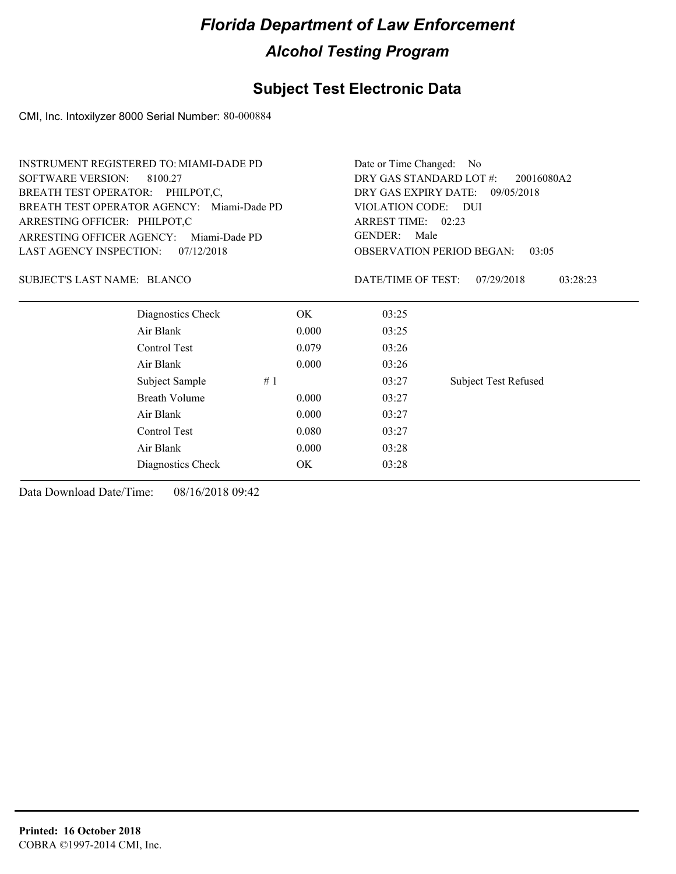#### **Subject Test Electronic Data**

CMI, Inc. Intoxilyzer 8000 Serial Number: 80-000884

| DRY GAS STANDARD LOT #:<br><b>SOFTWARE VERSION:</b><br>8100.27<br>20016080A2<br>BREATH TEST OPERATOR: PHILPOT,C,<br>DRY GAS EXPIRY DATE: 09/05/2018<br>BREATH TEST OPERATOR AGENCY: Miami-Dade PD<br>VIOLATION CODE: DUI<br>ARREST TIME: 02:23<br>ARRESTING OFFICER: PHILPOT,C<br><b>GENDER:</b><br>Male<br>ARRESTING OFFICER AGENCY:<br>Miami-Dade PD<br><b>LAST AGENCY INSPECTION:</b><br><b>OBSERVATION PERIOD BEGAN:</b><br>07/12/2018<br>03:05<br><b>SUBJECT'S LAST NAME: BLANCO</b><br>DATE/TIME OF TEST:<br>07/29/2018<br>03:28:23<br>Diagnostics Check<br>OK.<br>03:25<br>Air Blank<br>0.000<br>03:25<br>Control Test<br>03:26<br>0.079<br>Air Blank<br>0.000<br>03:26<br>Subject Sample<br>#1<br>03:27<br><b>Subject Test Refused</b><br><b>Breath Volume</b><br>0.000<br>03:27<br>Air Blank<br>0.000<br>03:27<br>Control Test<br>0.080<br>03:27<br>Air Blank<br>0.000<br>03:28<br>OK<br>03:28<br>Diagnostics Check | <b>INSTRUMENT REGISTERED TO: MIAMI-DADE PD</b> |  | Date or Time Changed: No |  |  |
|------------------------------------------------------------------------------------------------------------------------------------------------------------------------------------------------------------------------------------------------------------------------------------------------------------------------------------------------------------------------------------------------------------------------------------------------------------------------------------------------------------------------------------------------------------------------------------------------------------------------------------------------------------------------------------------------------------------------------------------------------------------------------------------------------------------------------------------------------------------------------------------------------------------------------|------------------------------------------------|--|--------------------------|--|--|
|                                                                                                                                                                                                                                                                                                                                                                                                                                                                                                                                                                                                                                                                                                                                                                                                                                                                                                                              |                                                |  |                          |  |  |
|                                                                                                                                                                                                                                                                                                                                                                                                                                                                                                                                                                                                                                                                                                                                                                                                                                                                                                                              |                                                |  |                          |  |  |
|                                                                                                                                                                                                                                                                                                                                                                                                                                                                                                                                                                                                                                                                                                                                                                                                                                                                                                                              |                                                |  |                          |  |  |
|                                                                                                                                                                                                                                                                                                                                                                                                                                                                                                                                                                                                                                                                                                                                                                                                                                                                                                                              |                                                |  |                          |  |  |
|                                                                                                                                                                                                                                                                                                                                                                                                                                                                                                                                                                                                                                                                                                                                                                                                                                                                                                                              |                                                |  |                          |  |  |
|                                                                                                                                                                                                                                                                                                                                                                                                                                                                                                                                                                                                                                                                                                                                                                                                                                                                                                                              |                                                |  |                          |  |  |
|                                                                                                                                                                                                                                                                                                                                                                                                                                                                                                                                                                                                                                                                                                                                                                                                                                                                                                                              |                                                |  |                          |  |  |
|                                                                                                                                                                                                                                                                                                                                                                                                                                                                                                                                                                                                                                                                                                                                                                                                                                                                                                                              |                                                |  |                          |  |  |
|                                                                                                                                                                                                                                                                                                                                                                                                                                                                                                                                                                                                                                                                                                                                                                                                                                                                                                                              |                                                |  |                          |  |  |
|                                                                                                                                                                                                                                                                                                                                                                                                                                                                                                                                                                                                                                                                                                                                                                                                                                                                                                                              |                                                |  |                          |  |  |
|                                                                                                                                                                                                                                                                                                                                                                                                                                                                                                                                                                                                                                                                                                                                                                                                                                                                                                                              |                                                |  |                          |  |  |
|                                                                                                                                                                                                                                                                                                                                                                                                                                                                                                                                                                                                                                                                                                                                                                                                                                                                                                                              |                                                |  |                          |  |  |
|                                                                                                                                                                                                                                                                                                                                                                                                                                                                                                                                                                                                                                                                                                                                                                                                                                                                                                                              |                                                |  |                          |  |  |
|                                                                                                                                                                                                                                                                                                                                                                                                                                                                                                                                                                                                                                                                                                                                                                                                                                                                                                                              |                                                |  |                          |  |  |
|                                                                                                                                                                                                                                                                                                                                                                                                                                                                                                                                                                                                                                                                                                                                                                                                                                                                                                                              |                                                |  |                          |  |  |
|                                                                                                                                                                                                                                                                                                                                                                                                                                                                                                                                                                                                                                                                                                                                                                                                                                                                                                                              |                                                |  |                          |  |  |
|                                                                                                                                                                                                                                                                                                                                                                                                                                                                                                                                                                                                                                                                                                                                                                                                                                                                                                                              |                                                |  |                          |  |  |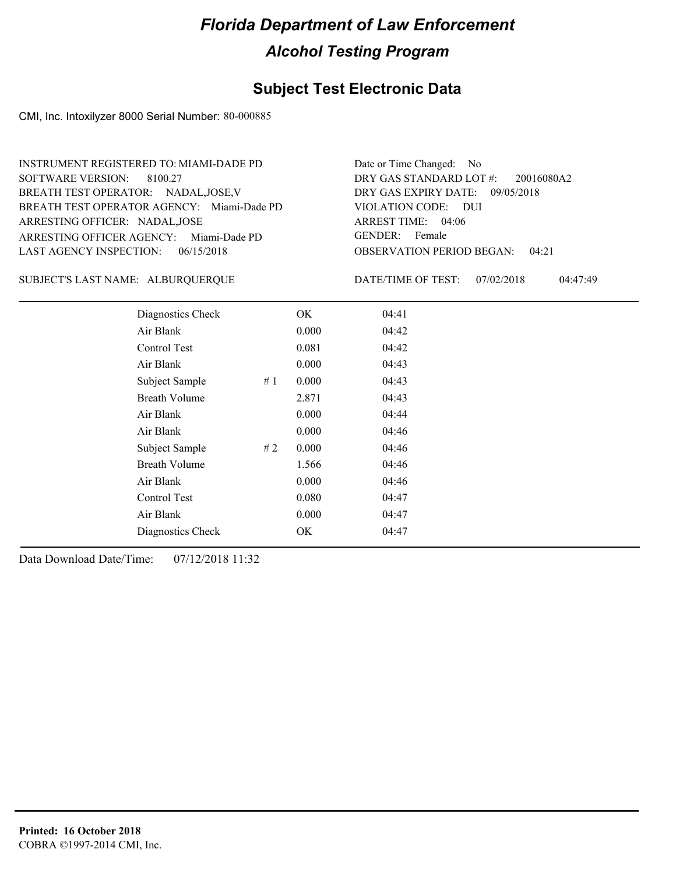#### **Subject Test Electronic Data**

CMI, Inc. Intoxilyzer 8000 Serial Number: 80-000885

ARRESTING OFFICER AGENCY: Miami-Dade PD GENDER: BREATH TEST OPERATOR AGENCY: Miami-Dade PD VIOLATION CODE: SOFTWARE VERSION: 8100.27 ARRESTING OFFICER: NADAL,JOSE BREATH TEST OPERATOR: NADAL,JOSE,V LAST AGENCY INSPECTION: 06/15/2018 INSTRUMENT REGISTERED TO: MIAMI-DADE PD

OBSERVATION PERIOD BEGAN: 04:21 VIOLATION CODE: DUI ARREST TIME: 04:06 DRY GAS EXPIRY DATE: 09/05/2018 20016080A2 DRY GAS STANDARD LOT #: Date or Time Changed: No GENDER: Female

ALBURQUERQUE SUBJECT'S LAST NAME: DATE/TIME OF TEST:

DATE/TIME OF TEST: 07/02/2018 04:47:49

| Diagnostics Check    |    | OK    | 04:41 |
|----------------------|----|-------|-------|
| Air Blank            |    | 0.000 | 04:42 |
| Control Test         |    | 0.081 | 04:42 |
| Air Blank            |    | 0.000 | 04:43 |
| Subject Sample       | #1 | 0.000 | 04:43 |
| <b>Breath Volume</b> |    | 2.871 | 04:43 |
| Air Blank            |    | 0.000 | 04:44 |
| Air Blank            |    | 0.000 | 04:46 |
| Subject Sample       | #2 | 0.000 | 04:46 |
| <b>Breath Volume</b> |    | 1.566 | 04:46 |
| Air Blank            |    | 0.000 | 04:46 |
| Control Test         |    | 0.080 | 04:47 |
| Air Blank            |    | 0.000 | 04:47 |
| Diagnostics Check    |    | OK    | 04:47 |
|                      |    |       |       |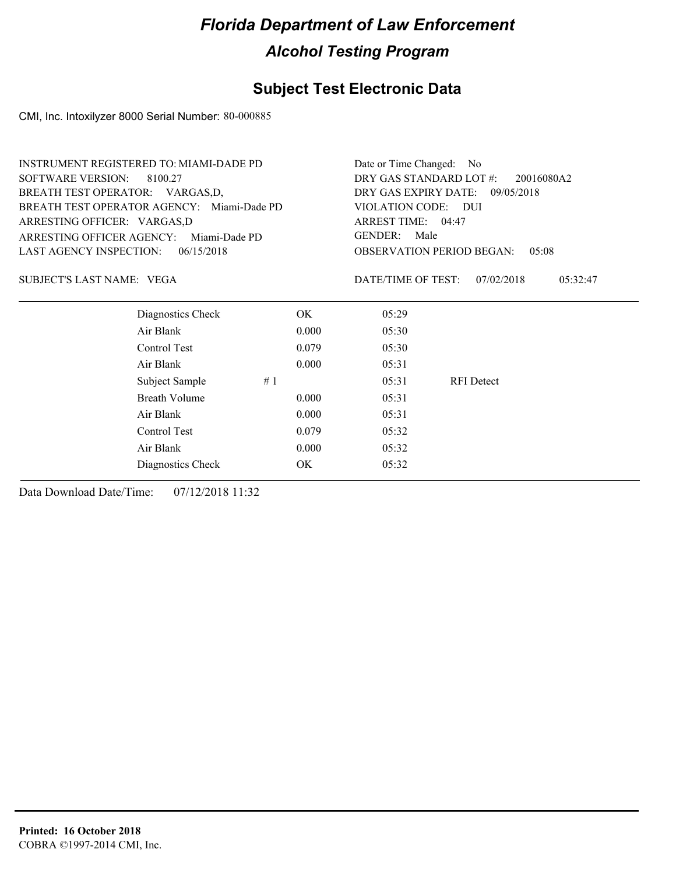#### **Subject Test Electronic Data**

CMI, Inc. Intoxilyzer 8000 Serial Number: 80-000885

| DRY GAS STANDARD LOT #:<br><b>SOFTWARE VERSION:</b><br>8100.27<br>20016080A2<br>BREATH TEST OPERATOR: VARGAS,D,<br>DRY GAS EXPIRY DATE: 09/05/2018<br>BREATH TEST OPERATOR AGENCY: Miami-Dade PD<br>VIOLATION CODE: DUI<br>ARREST TIME: 04:47<br>ARRESTING OFFICER: VARGAS,D<br><b>GENDER:</b><br>Male<br>ARRESTING OFFICER AGENCY:<br>Miami-Dade PD<br>LAST AGENCY INSPECTION:<br>06/15/2018<br><b>OBSERVATION PERIOD BEGAN:</b><br>0.5:08<br>SUBJECT'S LAST NAME: VEGA<br>DATE/TIME OF TEST:<br>07/02/2018<br>05:32:47 | Date or Time Changed: No |  |  |
|--------------------------------------------------------------------------------------------------------------------------------------------------------------------------------------------------------------------------------------------------------------------------------------------------------------------------------------------------------------------------------------------------------------------------------------------------------------------------------------------------------------------------|--------------------------|--|--|
|                                                                                                                                                                                                                                                                                                                                                                                                                                                                                                                          |                          |  |  |
|                                                                                                                                                                                                                                                                                                                                                                                                                                                                                                                          |                          |  |  |
|                                                                                                                                                                                                                                                                                                                                                                                                                                                                                                                          |                          |  |  |
|                                                                                                                                                                                                                                                                                                                                                                                                                                                                                                                          |                          |  |  |
|                                                                                                                                                                                                                                                                                                                                                                                                                                                                                                                          |                          |  |  |
|                                                                                                                                                                                                                                                                                                                                                                                                                                                                                                                          |                          |  |  |
|                                                                                                                                                                                                                                                                                                                                                                                                                                                                                                                          |                          |  |  |
| Diagnostics Check<br>OK.<br>05:29                                                                                                                                                                                                                                                                                                                                                                                                                                                                                        |                          |  |  |
| Air Blank<br>0.000<br>05:30                                                                                                                                                                                                                                                                                                                                                                                                                                                                                              |                          |  |  |
| Control Test<br>0.079<br>05:30                                                                                                                                                                                                                                                                                                                                                                                                                                                                                           |                          |  |  |
| Air Blank<br>0.000<br>05:31                                                                                                                                                                                                                                                                                                                                                                                                                                                                                              |                          |  |  |
| Subject Sample<br>#1<br>05:31<br><b>RFI</b> Detect                                                                                                                                                                                                                                                                                                                                                                                                                                                                       |                          |  |  |
| Breath Volume<br>05:31<br>0.000                                                                                                                                                                                                                                                                                                                                                                                                                                                                                          |                          |  |  |
| Air Blank<br>0.000<br>05:31                                                                                                                                                                                                                                                                                                                                                                                                                                                                                              |                          |  |  |
| Control Test<br>0.079<br>05:32                                                                                                                                                                                                                                                                                                                                                                                                                                                                                           |                          |  |  |
| Air Blank<br>0.000<br>05:32                                                                                                                                                                                                                                                                                                                                                                                                                                                                                              |                          |  |  |
| OK<br>Diagnostics Check<br>05:32                                                                                                                                                                                                                                                                                                                                                                                                                                                                                         |                          |  |  |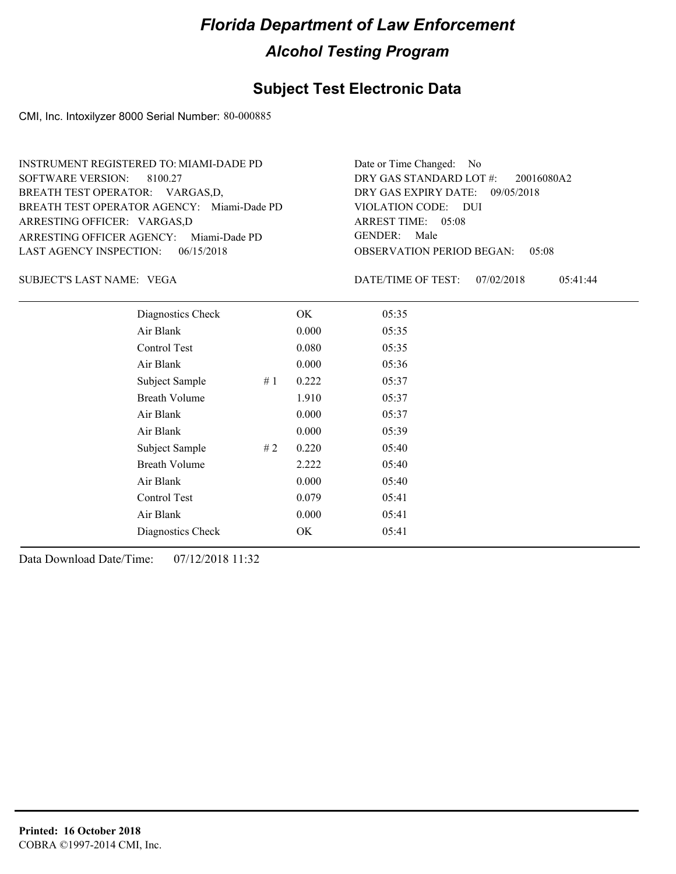#### **Subject Test Electronic Data**

CMI, Inc. Intoxilyzer 8000 Serial Number: 80-000885

ARRESTING OFFICER AGENCY: Miami-Dade PD GENDER: BREATH TEST OPERATOR AGENCY: Miami-Dade PD VIOLATION CODE: SOFTWARE VERSION: 8100.27 ARRESTING OFFICER: VARGAS,D BREATH TEST OPERATOR: VARGAS,D, LAST AGENCY INSPECTION: 06/15/2018 INSTRUMENT REGISTERED TO: MIAMI-DADE PD

OBSERVATION PERIOD BEGAN: 05:08 VIOLATION CODE: DUI ARREST TIME: 05:08 DRY GAS EXPIRY DATE: 09/05/2018 20016080A2 DRY GAS STANDARD LOT #: Date or Time Changed: No GENDER: Male

VEGA SUBJECT'S LAST NAME: DATE/TIME OF TEST:

DATE/TIME OF TEST: 07/02/2018 05:41:44

| Diagnostics Check     | OK    | 05:35 |
|-----------------------|-------|-------|
| Air Blank             | 0.000 | 05:35 |
| Control Test          | 0.080 | 05:35 |
| Air Blank             | 0.000 | 05:36 |
| Subject Sample<br>#1  | 0.222 | 05:37 |
| <b>Breath Volume</b>  | 1.910 | 05:37 |
| Air Blank             | 0.000 | 05:37 |
| Air Blank             | 0.000 | 05:39 |
| Subject Sample<br># 2 | 0.220 | 05:40 |
| <b>Breath Volume</b>  | 2.222 | 05:40 |
| Air Blank             | 0.000 | 05:40 |
| Control Test          | 0.079 | 05:41 |
| Air Blank             | 0.000 | 05:41 |
| Diagnostics Check     | OK    | 05:41 |
|                       |       |       |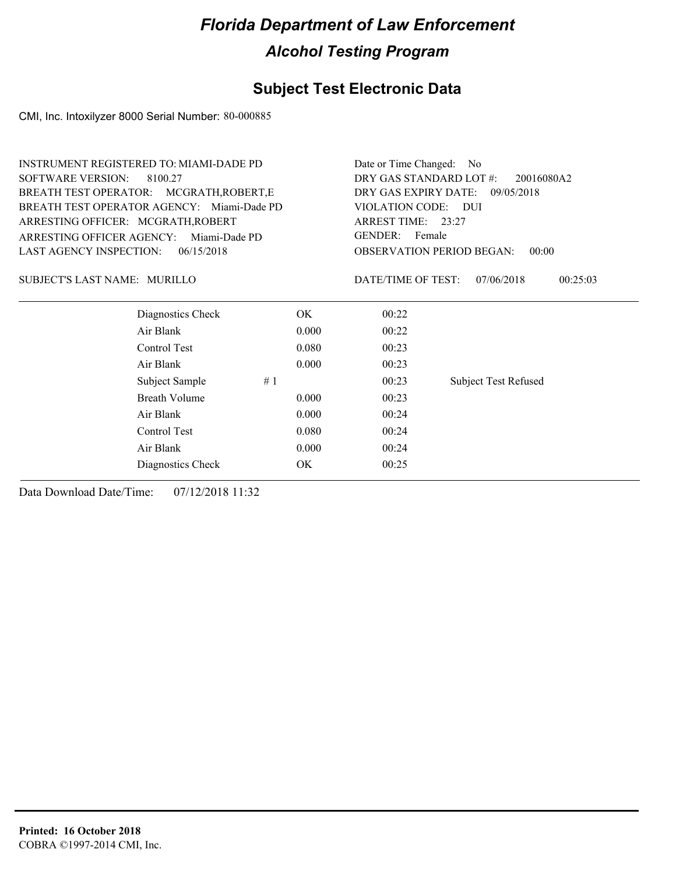### **Subject Test Electronic Data**

CMI, Inc. Intoxilyzer 8000 Serial Number: 80-000885

| <b>INSTRUMENT REGISTERED TO: MIAMI-DADE PD</b> |                      |                                           |                          | Date or Time Changed: No              |                             |          |  |  |
|------------------------------------------------|----------------------|-------------------------------------------|--------------------------|---------------------------------------|-----------------------------|----------|--|--|
| <b>SOFTWARE VERSION:</b><br>8100.27            |                      |                                           |                          | DRY GAS STANDARD LOT #:<br>20016080A2 |                             |          |  |  |
| BREATH TEST OPERATOR: MCGRATH, ROBERT, E       |                      |                                           |                          | DRY GAS EXPIRY DATE:<br>09/05/2018    |                             |          |  |  |
| BREATH TEST OPERATOR AGENCY: Miami-Dade PD     |                      |                                           | VIOLATION CODE:<br>– DUI |                                       |                             |          |  |  |
| ARRESTING OFFICER: MCGRATH, ROBERT             |                      |                                           | ARREST TIME: 23:27       |                                       |                             |          |  |  |
| ARRESTING OFFICER AGENCY:                      | Miami-Dade PD        |                                           | <b>GENDER:</b><br>Female |                                       |                             |          |  |  |
| <b>LAST AGENCY INSPECTION:</b>                 | 06/15/2018           | <b>OBSERVATION PERIOD BEGAN:</b><br>00:00 |                          |                                       |                             |          |  |  |
| SUBJECT'S LAST NAME: MURILLO                   |                      |                                           |                          | DATE/TIME OF TEST:                    | 07/06/2018                  | 00:25:03 |  |  |
|                                                | Diagnostics Check    |                                           | OK.                      | 00:22                                 |                             |          |  |  |
| Air Blank                                      |                      |                                           | 0.000                    | 00:22                                 |                             |          |  |  |
|                                                | Control Test         |                                           | 0.080                    | 00:23                                 |                             |          |  |  |
| Air Blank                                      |                      |                                           | 0.000                    | 00:23                                 |                             |          |  |  |
|                                                | Subject Sample       | #1                                        |                          | 00:23                                 | <b>Subject Test Refused</b> |          |  |  |
|                                                | <b>Breath Volume</b> |                                           | 0.000                    | 00:23                                 |                             |          |  |  |
| Air Blank                                      |                      |                                           | 0.000                    | 00:24                                 |                             |          |  |  |
| Control Test                                   |                      |                                           | 0.080                    | 00:24                                 |                             |          |  |  |
| Air Blank                                      |                      |                                           | 0.000                    | 00:24                                 |                             |          |  |  |
|                                                | Diagnostics Check    |                                           | OK.                      | 00:25                                 |                             |          |  |  |
|                                                |                      |                                           |                          |                                       |                             |          |  |  |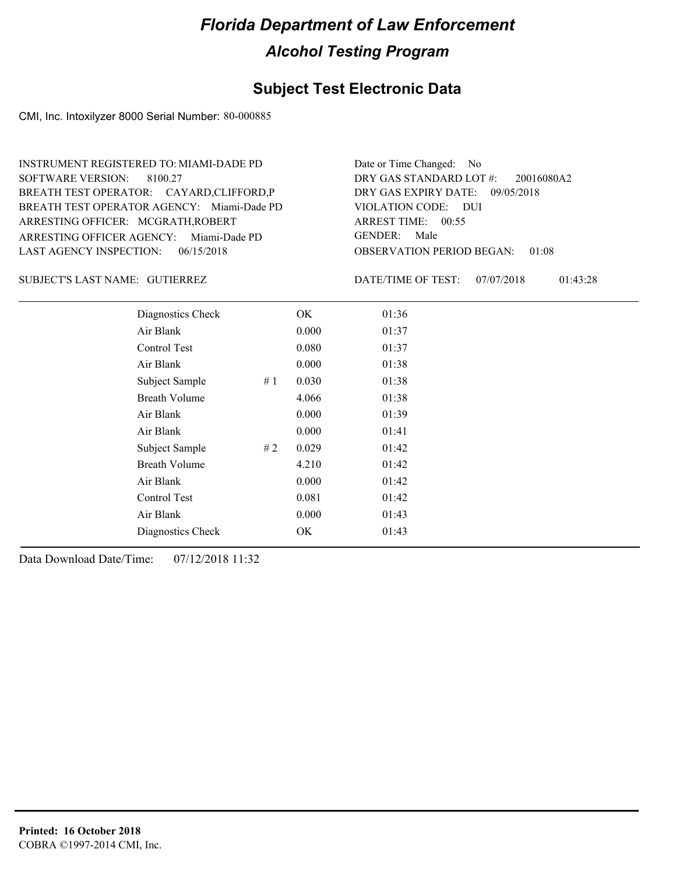#### **Subject Test Electronic Data**

CMI, Inc. Intoxilyzer 8000 Serial Number: 80-000885

ARRESTING OFFICER AGENCY: Miami-Dade PD GENDER: BREATH TEST OPERATOR AGENCY: Miami-Dade PD VIOLATION CODE: SOFTWARE VERSION: ARRESTING OFFICER: MCGRATH,ROBERT BREATH TEST OPERATOR: CAYARD,CLIFFORD,P LAST AGENCY INSPECTION: 06/15/2018 8100.27 INSTRUMENT REGISTERED TO: MIAMI-DADE PD

OBSERVATION PERIOD BEGAN: 01:08 VIOLATION CODE: DUI ARREST TIME: 00:55 DRY GAS EXPIRY DATE: 09/05/2018 20016080A2 DRY GAS STANDARD LOT #: Date or Time Changed: No GENDER: Male

GUTIERREZ SUBJECT'S LAST NAME: DATE/TIME OF TEST:

DATE/TIME OF TEST: 07/07/2018 01:43:28

| Diagnostics Check    |    | OK    | 01:36 |
|----------------------|----|-------|-------|
| Air Blank            |    | 0.000 | 01:37 |
| Control Test         |    | 0.080 | 01:37 |
| Air Blank            |    | 0.000 | 01:38 |
| Subject Sample       | #1 | 0.030 | 01:38 |
| <b>Breath Volume</b> |    | 4.066 | 01:38 |
| Air Blank            |    | 0.000 | 01:39 |
| Air Blank            |    | 0.000 | 01:41 |
| Subject Sample       | #2 | 0.029 | 01:42 |
| <b>Breath Volume</b> |    | 4.210 | 01:42 |
| Air Blank            |    | 0.000 | 01:42 |
| <b>Control Test</b>  |    | 0.081 | 01:42 |
| Air Blank            |    | 0.000 | 01:43 |
| Diagnostics Check    |    | OK    | 01:43 |
|                      |    |       |       |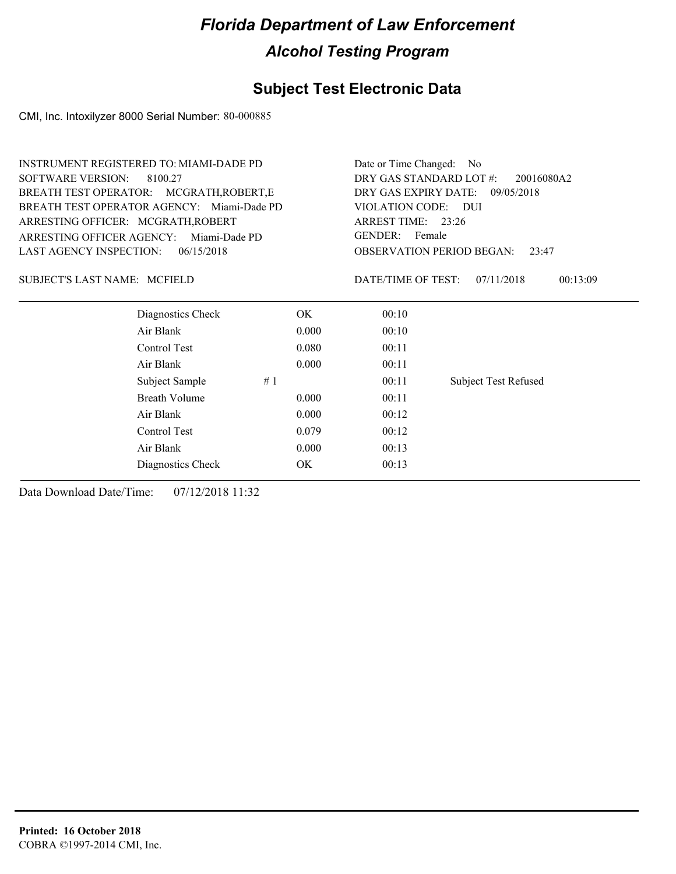#### **Subject Test Electronic Data**

CMI, Inc. Intoxilyzer 8000 Serial Number: 80-000885

|                                     | <b>INSTRUMENT REGISTERED TO: MIAMI-DADE PD</b> |                                           | Date or Time Changed: No        |                             |  |  |
|-------------------------------------|------------------------------------------------|-------------------------------------------|---------------------------------|-----------------------------|--|--|
| <b>SOFTWARE VERSION:</b>            | 8100.27                                        | DRY GAS STANDARD LOT #:<br>20016080A2     |                                 |                             |  |  |
|                                     | BREATH TEST OPERATOR: MCGRATH, ROBERT, E       |                                           | DRY GAS EXPIRY DATE: 09/05/2018 |                             |  |  |
|                                     | BREATH TEST OPERATOR AGENCY: Miami-Dade PD     | VIOLATION CODE: DUI                       |                                 |                             |  |  |
| ARRESTING OFFICER: MCGRATH, ROBERT  |                                                | ARREST TIME: 23:26                        |                                 |                             |  |  |
| ARRESTING OFFICER AGENCY:           | Miami-Dade PD                                  | <b>GENDER:</b><br>Female                  |                                 |                             |  |  |
| <b>LAST AGENCY INSPECTION:</b>      | 06/15/2018                                     | <b>OBSERVATION PERIOD BEGAN:</b><br>23:47 |                                 |                             |  |  |
| <b>SUBJECT'S LAST NAME: MCFIELD</b> |                                                |                                           | DATE/TIME OF TEST:              | 07/11/2018<br>00:13:09      |  |  |
|                                     | Diagnostics Check                              | OK.                                       | 00:10                           |                             |  |  |
|                                     | Air Blank                                      | 0.000                                     | 00:10                           |                             |  |  |
|                                     | Control Test                                   | 0.080                                     | 00:11                           |                             |  |  |
|                                     | Air Blank                                      | 0.000                                     | 00:11                           |                             |  |  |
|                                     | Subject Sample                                 | #1                                        | 00:11                           | <b>Subject Test Refused</b> |  |  |
|                                     | <b>Breath Volume</b>                           | 0.000                                     | 00:11                           |                             |  |  |
|                                     | Air Blank                                      | 0.000                                     | 00:12                           |                             |  |  |
|                                     | Control Test                                   | 0.079                                     | 00:12                           |                             |  |  |
|                                     | Air Blank                                      | 0.000                                     | 00:13                           |                             |  |  |
|                                     | Diagnostics Check                              | OK                                        | 00:13                           |                             |  |  |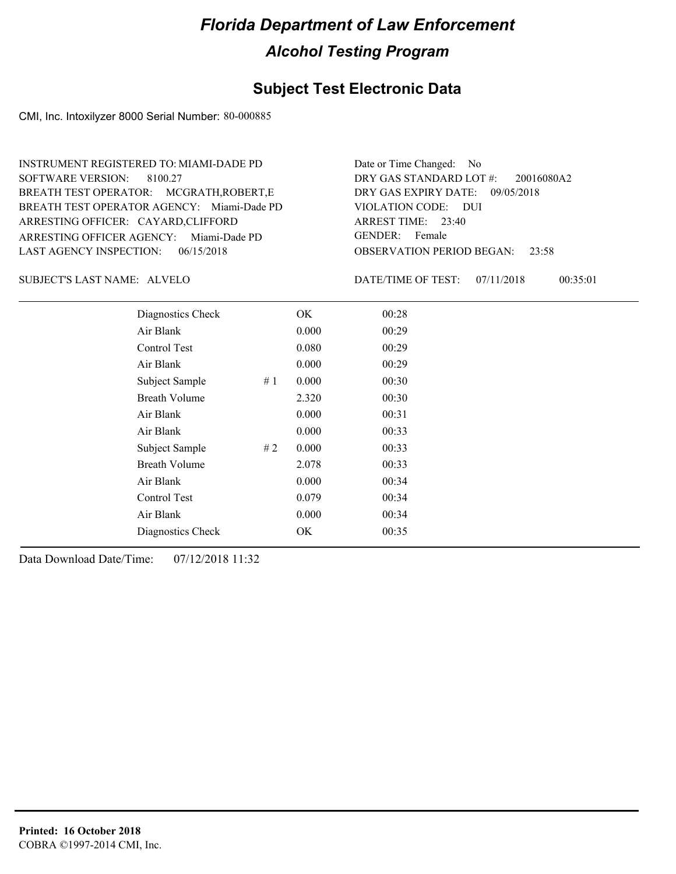#### **Subject Test Electronic Data**

CMI, Inc. Intoxilyzer 8000 Serial Number: 80-000885

ARRESTING OFFICER AGENCY: Miami-Dade PD GENDER: BREATH TEST OPERATOR AGENCY: Miami-Dade PD VIOLATION CODE: SOFTWARE VERSION: 8100.27 ARRESTING OFFICER: CAYARD,CLIFFORD BREATH TEST OPERATOR: MCGRATH,ROBERT,E LAST AGENCY INSPECTION: 06/15/2018 INSTRUMENT REGISTERED TO: MIAMI-DADE PD

OBSERVATION PERIOD BEGAN: 23:58 VIOLATION CODE: DUI 23:40 ARREST TIME: DRY GAS EXPIRY DATE: 09/05/2018 20016080A2 DRY GAS STANDARD LOT #: Date or Time Changed: No GENDER: Female

SUBJECT'S LAST NAME: ALVELO DATE/TIME OF TEST:

DATE/TIME OF TEST: 07/11/2018 00:35:01

| Diagnostics Check    |    | OK    | 00:28 |  |
|----------------------|----|-------|-------|--|
| Air Blank            |    | 0.000 | 00:29 |  |
| Control Test         |    | 0.080 | 00:29 |  |
| Air Blank            |    | 0.000 | 00:29 |  |
| Subject Sample       | #1 | 0.000 | 00:30 |  |
| <b>Breath Volume</b> |    | 2.320 | 00:30 |  |
| Air Blank            |    | 0.000 | 00:31 |  |
| Air Blank            |    | 0.000 | 00:33 |  |
| Subject Sample       | #2 | 0.000 | 00:33 |  |
| <b>Breath Volume</b> |    | 2.078 | 00:33 |  |
| Air Blank            |    | 0.000 | 00:34 |  |
| Control Test         |    | 0.079 | 00:34 |  |
| Air Blank            |    | 0.000 | 00:34 |  |
| Diagnostics Check    |    | OK    | 00:35 |  |
|                      |    |       |       |  |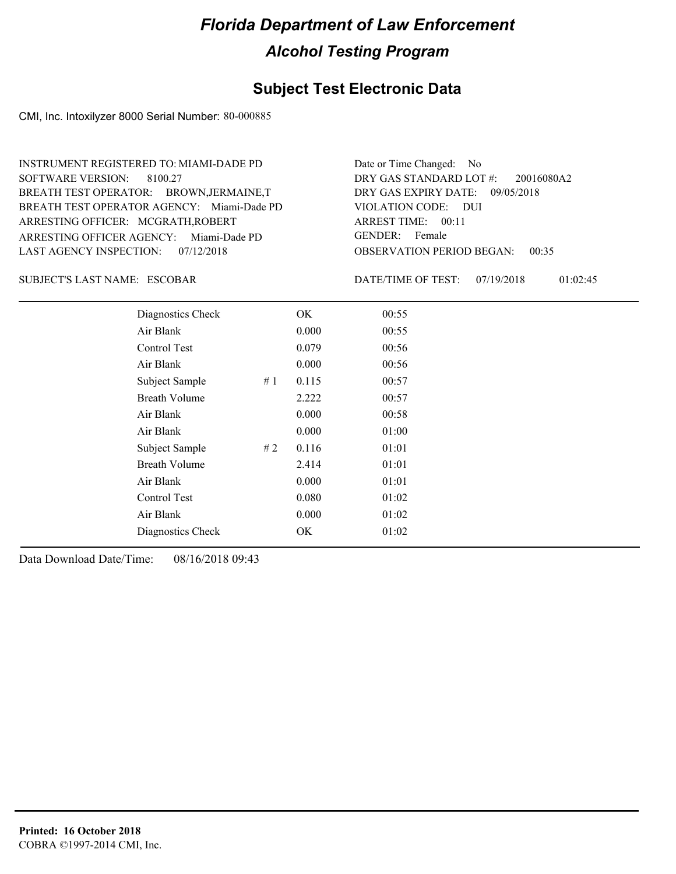#### **Subject Test Electronic Data**

CMI, Inc. Intoxilyzer 8000 Serial Number: 80-000885

ARRESTING OFFICER AGENCY: Miami-Dade PD GENDER: BREATH TEST OPERATOR AGENCY: Miami-Dade PD VIOLATION CODE: SOFTWARE VERSION: 8100.27 ARRESTING OFFICER: MCGRATH,ROBERT BREATH TEST OPERATOR: BROWN,JERMAINE,T LAST AGENCY INSPECTION: 07/12/2018 INSTRUMENT REGISTERED TO: MIAMI-DADE PD

OBSERVATION PERIOD BEGAN: 00:35 VIOLATION CODE: DUI ARREST TIME: 00:11 DRY GAS EXPIRY DATE: 09/05/2018 20016080A2 DRY GAS STANDARD LOT #: Date or Time Changed: No GENDER: Female

ESCOBAR SUBJECT'S LAST NAME: DATE/TIME OF TEST:

DATE/TIME OF TEST: 07/19/2018 01:02:45

| Diagnostics Check    | OK    | 00:55 |
|----------------------|-------|-------|
| Air Blank            | 0.000 | 00:55 |
| Control Test         | 0.079 | 00:56 |
| Air Blank            | 0.000 | 00:56 |
| Subject Sample<br>#1 | 0.115 | 00:57 |
| <b>Breath Volume</b> | 2.222 | 00:57 |
| Air Blank            | 0.000 | 00:58 |
| Air Blank            | 0.000 | 01:00 |
| Subject Sample<br>#2 | 0.116 | 01:01 |
| <b>Breath Volume</b> | 2.414 | 01:01 |
| Air Blank            | 0.000 | 01:01 |
| Control Test         | 0.080 | 01:02 |
| Air Blank            | 0.000 | 01:02 |
| Diagnostics Check    | OK    | 01:02 |
|                      |       |       |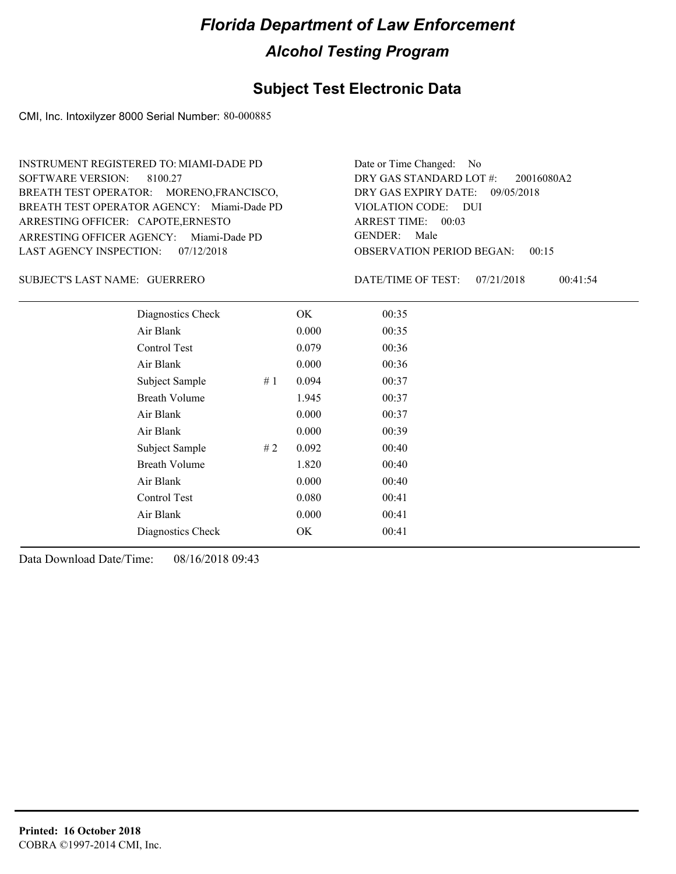#### **Subject Test Electronic Data**

CMI, Inc. Intoxilyzer 8000 Serial Number: 80-000885

ARRESTING OFFICER AGENCY: Miami-Dade PD GENDER: BREATH TEST OPERATOR AGENCY: Miami-Dade PD VIOLATION CODE: SOFTWARE VERSION: 8100.27 ARRESTING OFFICER: CAPOTE, ERNESTO BREATH TEST OPERATOR: MORENO,FRANCISCO, LAST AGENCY INSPECTION: 07/12/2018 INSTRUMENT REGISTERED TO: MIAMI-DADE PD

OBSERVATION PERIOD BEGAN: 00:15 VIOLATION CODE: DUI ARREST TIME: 00:03 DRY GAS EXPIRY DATE: 09/05/2018 20016080A2 DRY GAS STANDARD LOT #: Date or Time Changed: No GENDER: Male

GUERRERO SUBJECT'S LAST NAME: DATE/TIME OF TEST:

DATE/TIME OF TEST: 07/21/2018 00:41:54

| Diagnostics Check    |    | OK    | 00:35 |
|----------------------|----|-------|-------|
| Air Blank            |    | 0.000 | 00:35 |
| Control Test         |    | 0.079 | 00:36 |
| Air Blank            |    | 0.000 | 00:36 |
| Subject Sample       | #1 | 0.094 | 00:37 |
| <b>Breath Volume</b> |    | 1.945 | 00:37 |
| Air Blank            |    | 0.000 | 00:37 |
| Air Blank            |    | 0.000 | 00:39 |
| Subject Sample       | #2 | 0.092 | 00:40 |
| <b>Breath Volume</b> |    | 1.820 | 00:40 |
| Air Blank            |    | 0.000 | 00:40 |
| <b>Control Test</b>  |    | 0.080 | 00:41 |
| Air Blank            |    | 0.000 | 00:41 |
| Diagnostics Check    |    | OK    | 00:41 |
|                      |    |       |       |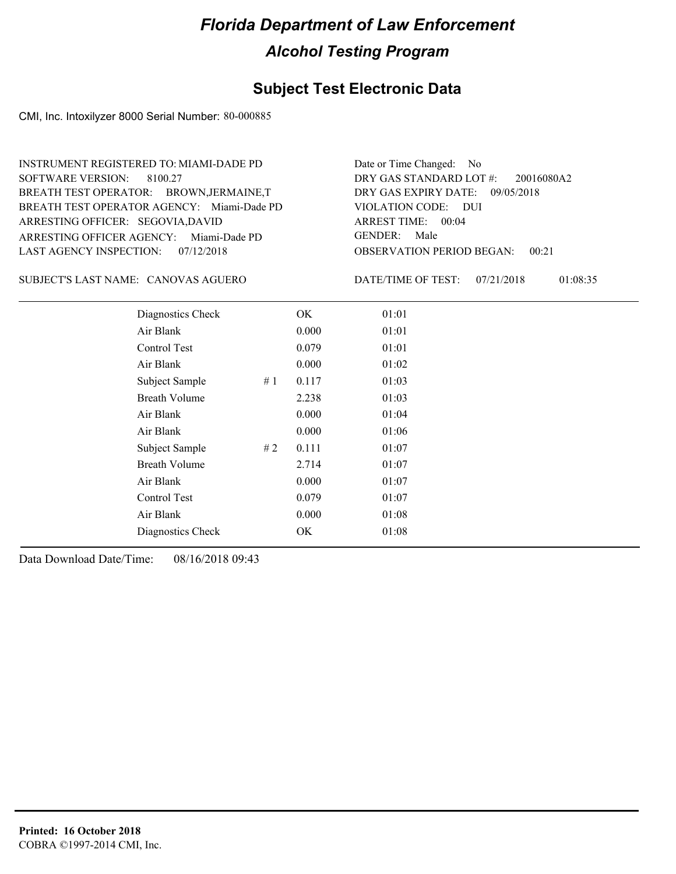#### **Subject Test Electronic Data**

CMI, Inc. Intoxilyzer 8000 Serial Number: 80-000885

ARRESTING OFFICER AGENCY: Miami-Dade PD GENDER: BREATH TEST OPERATOR AGENCY: Miami-Dade PD VIOLATION CODE: SOFTWARE VERSION: 8100.27 ARRESTING OFFICER: SEGOVIA,DAVID BREATH TEST OPERATOR: BROWN,JERMAINE,T LAST AGENCY INSPECTION: 07/12/2018 INSTRUMENT REGISTERED TO: MIAMI-DADE PD

OBSERVATION PERIOD BEGAN: 00:21 VIOLATION CODE: DUI ARREST TIME: 00:04 DRY GAS EXPIRY DATE: 09/05/2018 20016080A2 DRY GAS STANDARD LOT #: Date or Time Changed: No GENDER: Male

CANOVAS AGUERO SUBJECT'S LAST NAME: DATE/TIME OF TEST:

DATE/TIME OF TEST: 07/21/2018 01:08:35

| Diagnostics Check    |    | OK    | 01:01 |
|----------------------|----|-------|-------|
| Air Blank            |    | 0.000 | 01:01 |
| Control Test         |    | 0.079 | 01:01 |
| Air Blank            |    | 0.000 | 01:02 |
| Subject Sample       | #1 | 0.117 | 01:03 |
| <b>Breath Volume</b> |    | 2.238 | 01:03 |
| Air Blank            |    | 0.000 | 01:04 |
| Air Blank            |    | 0.000 | 01:06 |
| Subject Sample       | #2 | 0.111 | 01:07 |
| <b>Breath Volume</b> |    | 2.714 | 01:07 |
| Air Blank            |    | 0.000 | 01:07 |
| Control Test         |    | 0.079 | 01:07 |
| Air Blank            |    | 0.000 | 01:08 |
| Diagnostics Check    |    | OK    | 01:08 |
|                      |    |       |       |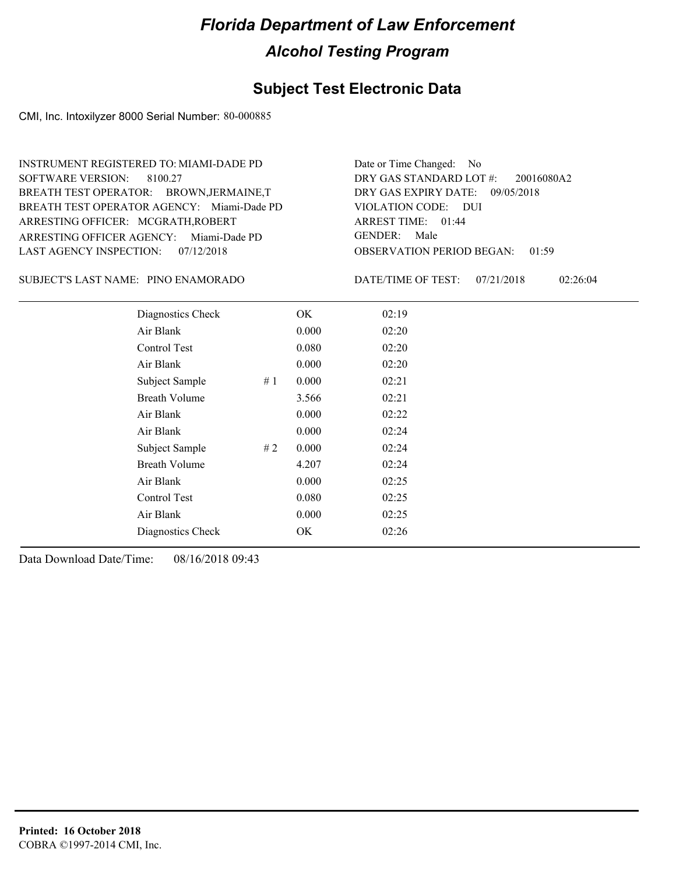#### **Subject Test Electronic Data**

CMI, Inc. Intoxilyzer 8000 Serial Number: 80-000885

ARRESTING OFFICER AGENCY: Miami-Dade PD GENDER: BREATH TEST OPERATOR AGENCY: Miami-Dade PD VIOLATION CODE: SOFTWARE VERSION: 8100.27 ARRESTING OFFICER: MCGRATH,ROBERT BREATH TEST OPERATOR: BROWN,JERMAINE,T LAST AGENCY INSPECTION: 07/12/2018 INSTRUMENT REGISTERED TO: MIAMI-DADE PD

OBSERVATION PERIOD BEGAN: 01:59 VIOLATION CODE: DUI ARREST TIME: 01:44 DRY GAS EXPIRY DATE: 09/05/2018 20016080A2 DRY GAS STANDARD LOT #: Date or Time Changed: No GENDER: Male

PINO ENAMORADO SUBJECT'S LAST NAME: DATE/TIME OF TEST:

DATE/TIME OF TEST: 07/21/2018 02:26:04

| Diagnostics Check    | OK    | 02:19 |
|----------------------|-------|-------|
| Air Blank            | 0.000 | 02:20 |
| Control Test         | 0.080 | 02:20 |
| Air Blank            | 0.000 | 02:20 |
| Subject Sample<br>#1 | 0.000 | 02:21 |
| <b>Breath Volume</b> | 3.566 | 02:21 |
| Air Blank            | 0.000 | 02:22 |
| Air Blank            | 0.000 | 02:24 |
| Subject Sample<br>#2 | 0.000 | 02:24 |
| <b>Breath Volume</b> | 4.207 | 02:24 |
| Air Blank            | 0.000 | 02:25 |
| Control Test         | 0.080 | 02:25 |
| Air Blank            | 0.000 | 02:25 |
| Diagnostics Check    | OK    | 02:26 |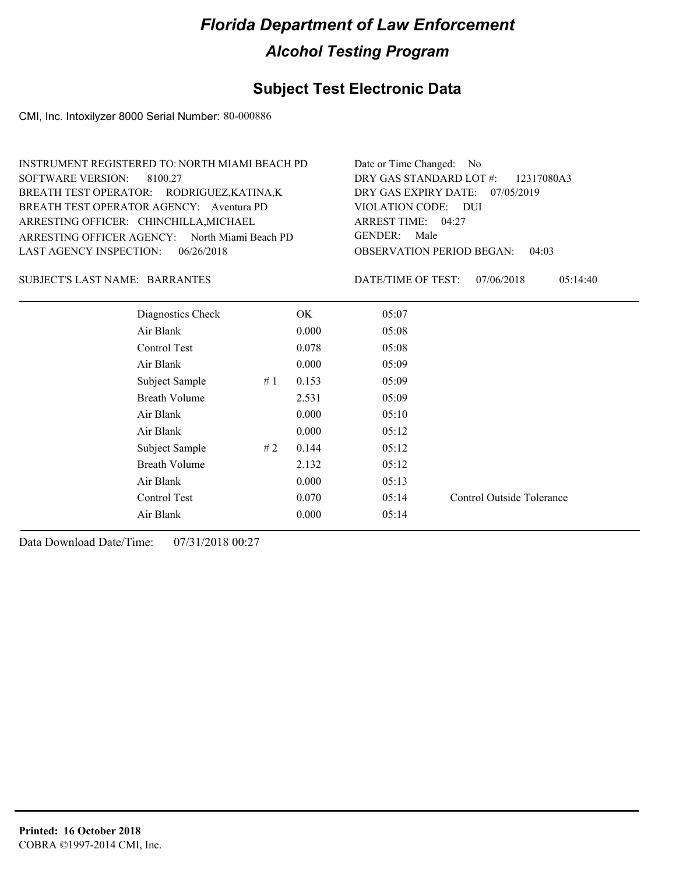#### **Subject Test Electronic Data**

CMI, Inc. Intoxilyzer 8000 Serial Number: 80-000886

| INSTRUMENT REGISTERED TO: NORTH MIAMI BEACH PD | Date or Time Changed: No               |
|------------------------------------------------|----------------------------------------|
| SOFTWARE VERSION: 8100.27                      | DRY GAS STANDARD LOT $\#$ : 12317080A3 |
| BREATH TEST OPERATOR: RODRIGUEZ, KATINA, K     | DRY GAS EXPIRY DATE: $07/05/2019$      |
| BREATH TEST OPERATOR AGENCY: Aventura PD       | VIOLATION CODE: DUI                    |
| ARRESTING OFFICER: CHINCHILLA, MICHAEL         | ARREST TIME: $04:27$                   |
| ARRESTING OFFICER AGENCY: North Miami Beach PD | GENDER: Male                           |
| LAST AGENCY INSPECTION: $06/26/2018$           | <b>OBSERVATION PERIOD BEGAN: 04:03</b> |
|                                                |                                        |

#### BARRANTES SUBJECT'S LAST NAME: DATE/TIME OF TEST:

DATE/TIME OF TEST: 07/06/2018 05:14:40

| Diagnostics Check    |    | OK.   | 05:07 |                           |
|----------------------|----|-------|-------|---------------------------|
| Air Blank            |    | 0.000 | 05:08 |                           |
| Control Test         |    | 0.078 | 05:08 |                           |
| Air Blank            |    | 0.000 | 05:09 |                           |
| Subject Sample       | #1 | 0.153 | 05:09 |                           |
| <b>Breath Volume</b> |    | 2.531 | 05:09 |                           |
| Air Blank            |    | 0.000 | 05:10 |                           |
| Air Blank            |    | 0.000 | 05:12 |                           |
| Subject Sample       | #2 | 0.144 | 05:12 |                           |
| <b>Breath Volume</b> |    | 2.132 | 05:12 |                           |
| Air Blank            |    | 0.000 | 05:13 |                           |
| Control Test         |    | 0.070 | 05:14 | Control Outside Tolerance |
| Air Blank            |    | 0.000 | 05:14 |                           |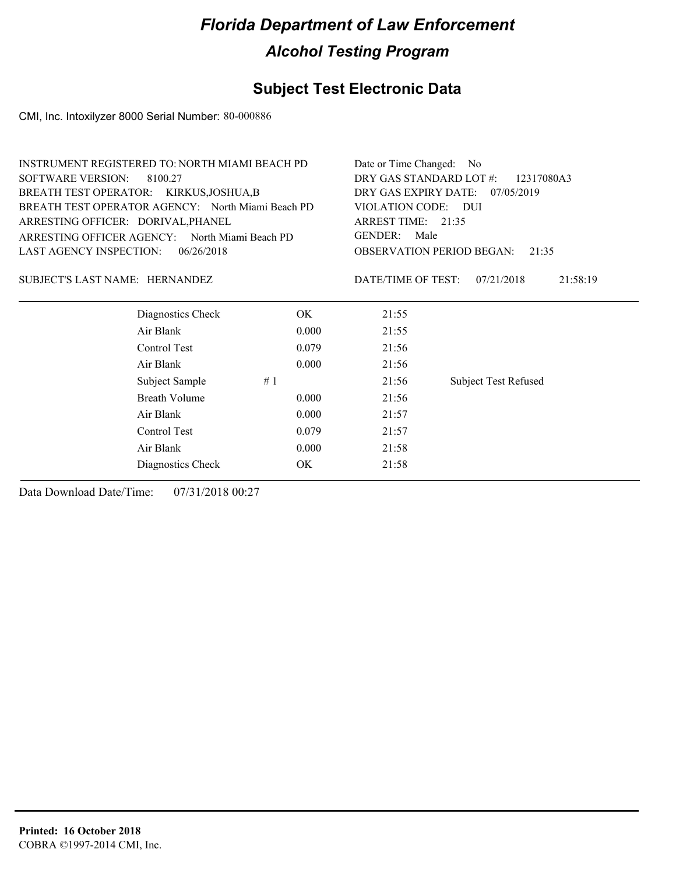### **Subject Test Electronic Data**

CMI, Inc. Intoxilyzer 8000 Serial Number: 80-000886

| <b>INSTRUMENT REGISTERED TO: NORTH MIAMI BEACH PD</b> |                      | Date or Time Changed: No              |                    |                                    |          |
|-------------------------------------------------------|----------------------|---------------------------------------|--------------------|------------------------------------|----------|
| <b>SOFTWARE VERSION:</b><br>8100.27                   |                      | DRY GAS STANDARD LOT #:<br>12317080A3 |                    |                                    |          |
| BREATH TEST OPERATOR: KIRKUS, JOSHUA, B               |                      | DRY GAS EXPIRY DATE:<br>07/05/2019    |                    |                                    |          |
| BREATH TEST OPERATOR AGENCY: North Miami Beach PD     |                      | VIOLATION CODE:<br>- DUI              |                    |                                    |          |
| ARRESTING OFFICER: DORIVAL, PHANEL                    |                      | ARREST TIME: 21:35                    |                    |                                    |          |
| ARRESTING OFFICER AGENCY: North Miami Beach PD        |                      | <b>GENDER:</b><br>Male                |                    |                                    |          |
| <b>LAST AGENCY INSPECTION:</b>                        | 06/26/2018           |                                       |                    | OBSERVATION PERIOD BEGAN:<br>21:35 |          |
| SUBJECT'S LAST NAME: HERNANDEZ                        |                      |                                       | DATE/TIME OF TEST: | 07/21/2018                         | 21:58:19 |
|                                                       | Diagnostics Check    | OK.                                   | 21:55              |                                    |          |
| Air Blank                                             |                      | 0.000                                 | 21:55              |                                    |          |
| Control Test                                          |                      | 0.079                                 | 21:56              |                                    |          |
| Air Blank                                             |                      | 0.000                                 | 21:56              |                                    |          |
|                                                       | Subject Sample<br>#1 |                                       | 21:56              | <b>Subject Test Refused</b>        |          |
|                                                       | Breath Volume        | 0.000                                 | 21:56              |                                    |          |
| Air Blank                                             |                      | 0.000                                 | 21:57              |                                    |          |
| Control Test                                          |                      | 0.079                                 | 21:57              |                                    |          |
| Air Blank                                             |                      | 0.000                                 | 21:58              |                                    |          |
|                                                       | Diagnostics Check    | OK.                                   | 21:58              |                                    |          |
|                                                       |                      |                                       |                    |                                    |          |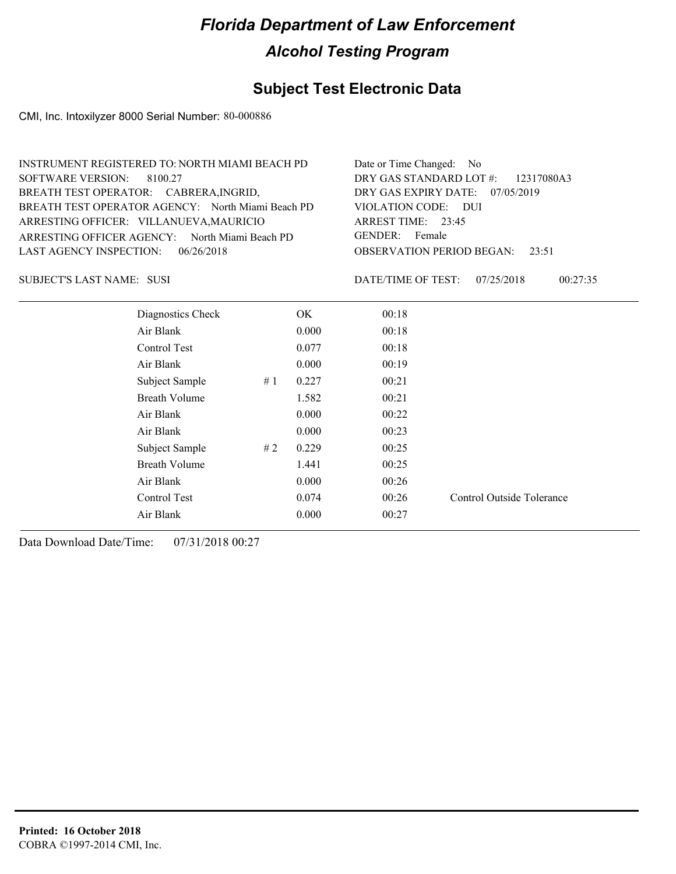#### **Subject Test Electronic Data**

CMI, Inc. Intoxilyzer 8000 Serial Number: 80-000886

| INSTRUMENT REGISTERED TO: NORTH MIAMI BEACH PD    | Date or Time Changed: No               |
|---------------------------------------------------|----------------------------------------|
| SOFTWARE VERSION: 8100.27                         | DRY GAS STANDARD LOT #: 12317080A3     |
| BREATH TEST OPERATOR: CABRERA, INGRID,            | DRY GAS EXPIRY DATE: $07/05/2019$      |
| BREATH TEST OPERATOR AGENCY: North Miami Beach PD | VIOLATION CODE: DUI                    |
| ARRESTING OFFICER: VILLANUEVA, MAURICIO           | ARREST TIME: $23:45$                   |
| ARRESTING OFFICER AGENCY: North Miami Beach PD    | GENDER: Female                         |
| LAST AGENCY INSPECTION: $06/26/2018$              | <b>OBSERVATION PERIOD BEGAN: 23:51</b> |
|                                                   |                                        |

SUSI SUBJECT'S LAST NAME: DATE/TIME OF TEST:

DATE/TIME OF TEST: 07/25/2018 00:27:35

| Diagnostics Check    |    | OK.   | 00:18 |                           |
|----------------------|----|-------|-------|---------------------------|
| Air Blank            |    | 0.000 | 00:18 |                           |
| Control Test         |    | 0.077 | 00:18 |                           |
| Air Blank            |    | 0.000 | 00:19 |                           |
| Subject Sample       | #1 | 0.227 | 00:21 |                           |
| <b>Breath Volume</b> |    | 1.582 | 00:21 |                           |
| Air Blank            |    | 0.000 | 00:22 |                           |
| Air Blank            |    | 0.000 | 00:23 |                           |
| Subject Sample       | #2 | 0.229 | 00:25 |                           |
| <b>Breath Volume</b> |    | 1.441 | 00:25 |                           |
| Air Blank            |    | 0.000 | 00:26 |                           |
| Control Test         |    | 0.074 | 00:26 | Control Outside Tolerance |
| Air Blank            |    | 0.000 | 00:27 |                           |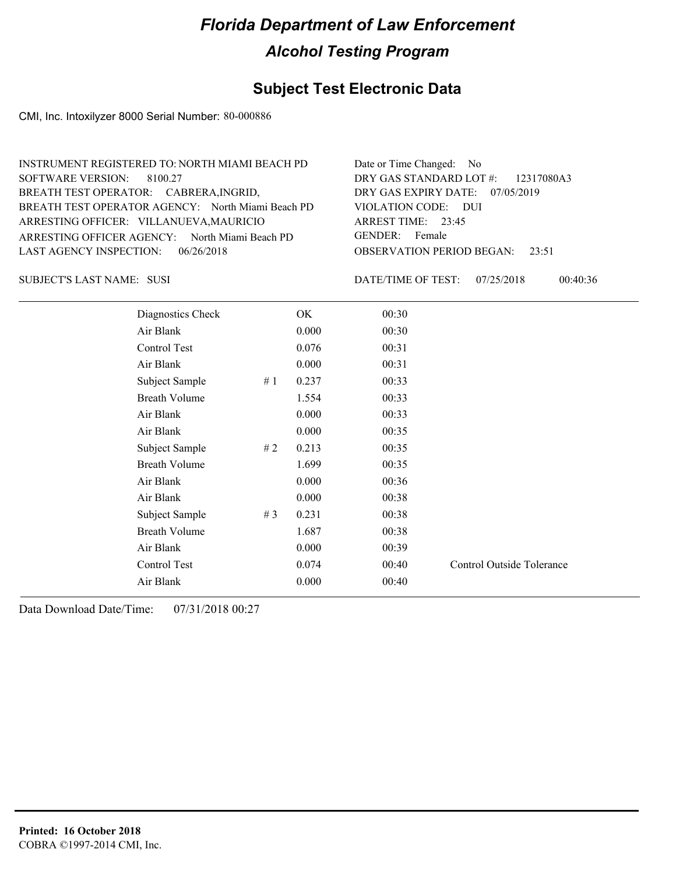#### **Subject Test Electronic Data**

CMI, Inc. Intoxilyzer 8000 Serial Number: 80-000886

| INSTRUMENT REGISTERED TO: NORTH MIAMI BEACH PD    | Date or Time Changed: No               |
|---------------------------------------------------|----------------------------------------|
| SOFTWARE VERSION: 8100.27                         | DRY GAS STANDARD LOT $\#$ : 12317080A3 |
| BREATH TEST OPERATOR: CABRERA, INGRID,            | DRY GAS EXPIRY DATE: 07/05/2019        |
| BREATH TEST OPERATOR AGENCY: North Miami Beach PD | VIOLATION CODE: DUI                    |
| ARRESTING OFFICER: VILLANUEVA, MAURICIO           | ARREST TIME: $23:45$                   |
| ARRESTING OFFICER AGENCY: North Miami Beach PD    | GENDER: Female                         |
| LAST AGENCY INSPECTION: $06/26/2018$              | <b>OBSERVATION PERIOD BEGAN: 23:51</b> |
|                                                   |                                        |

SUSI SUBJECT'S LAST NAME: DATE/TIME OF TEST:

DATE/TIME OF TEST: 07/25/2018 00:40:36

| Diagnostics Check    |    | OK    | 00:30 |                           |
|----------------------|----|-------|-------|---------------------------|
| Air Blank            |    | 0.000 | 00:30 |                           |
| Control Test         |    | 0.076 | 00:31 |                           |
| Air Blank            |    | 0.000 | 00:31 |                           |
| Subject Sample       | #1 | 0.237 | 00:33 |                           |
| <b>Breath Volume</b> |    | 1.554 | 00:33 |                           |
| Air Blank            |    | 0.000 | 00:33 |                           |
| Air Blank            |    | 0.000 | 00:35 |                           |
| Subject Sample       | #2 | 0.213 | 00:35 |                           |
| <b>Breath Volume</b> |    | 1.699 | 00:35 |                           |
| Air Blank            |    | 0.000 | 00:36 |                           |
| Air Blank            |    | 0.000 | 00:38 |                           |
| Subject Sample       | #3 | 0.231 | 00:38 |                           |
| <b>Breath Volume</b> |    | 1.687 | 00:38 |                           |
| Air Blank            |    | 0.000 | 00:39 |                           |
| Control Test         |    | 0.074 | 00:40 | Control Outside Tolerance |
| Air Blank            |    | 0.000 | 00:40 |                           |
|                      |    |       |       |                           |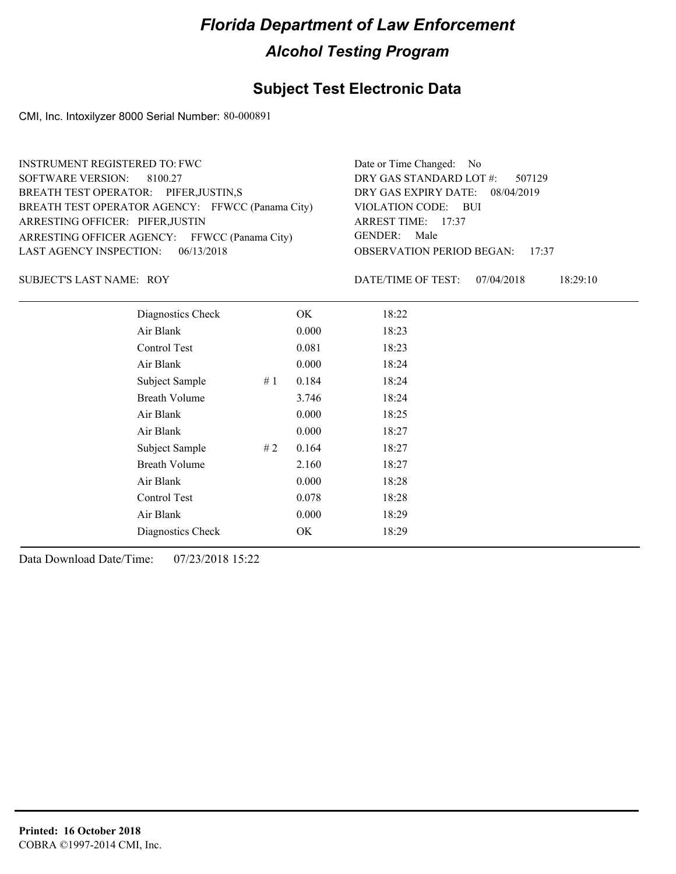#### **Subject Test Electronic Data**

CMI, Inc. Intoxilyzer 8000 Serial Number: 80-000891

| <b>INSTRUMENT REGISTERED TO: FWC</b>             | Date or Time Changed: No               |
|--------------------------------------------------|----------------------------------------|
| SOFTWARE VERSION: 8100.27                        | DRY GAS STANDARD LOT #: 507129         |
| BREATH TEST OPERATOR: PIFER, JUSTIN, S           | DRY GAS EXPIRY DATE: 08/04/2019        |
| BREATH TEST OPERATOR AGENCY: FFWCC (Panama City) | VIOLATION CODE: BUI                    |
| ARRESTING OFFICER: PIFER, JUSTIN                 | ARREST TIME: 17:37                     |
| ARRESTING OFFICER AGENCY: FFWCC (Panama City)    | GENDER: Male                           |
| LAST AGENCY INSPECTION: $06/13/2018$             | <b>OBSERVATION PERIOD BEGAN: 17:37</b> |
|                                                  |                                        |

SUBJECT'S LAST NAME: ROY DATE/TIME OF TEST:

DATE/TIME OF TEST: 07/04/2018 18:29:10

| Diagnostics Check    |    | OK    | 18:22 |
|----------------------|----|-------|-------|
| Air Blank            |    | 0.000 | 18:23 |
| Control Test         |    | 0.081 | 18:23 |
| Air Blank            |    | 0.000 | 18:24 |
| Subject Sample       | #1 | 0.184 | 18:24 |
| <b>Breath Volume</b> |    | 3.746 | 18:24 |
| Air Blank            |    | 0.000 | 18:25 |
| Air Blank            |    | 0.000 | 18:27 |
| Subject Sample       | #2 | 0.164 | 18:27 |
| <b>Breath Volume</b> |    | 2.160 | 18:27 |
| Air Blank            |    | 0.000 | 18:28 |
| Control Test         |    | 0.078 | 18:28 |
| Air Blank            |    | 0.000 | 18:29 |
| Diagnostics Check    |    | OK    | 18:29 |
|                      |    |       |       |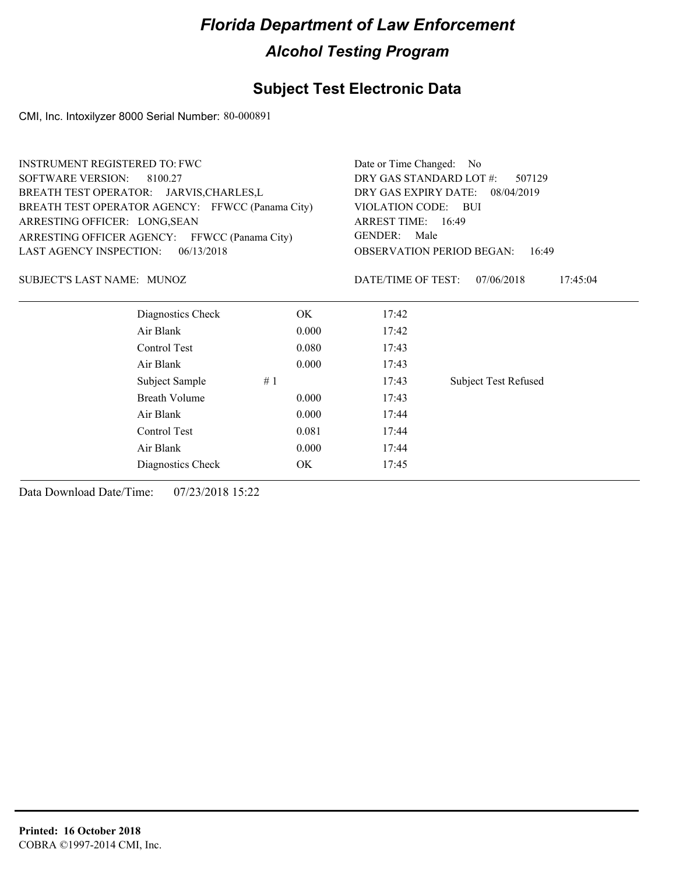#### **Subject Test Electronic Data**

CMI, Inc. Intoxilyzer 8000 Serial Number: 80-000891

| <b>INSTRUMENT REGISTERED TO: FWC</b>             | Date or Time Changed:<br>No.      |                                                                                           |                             |  |
|--------------------------------------------------|-----------------------------------|-------------------------------------------------------------------------------------------|-----------------------------|--|
| <b>SOFTWARE VERSION:</b><br>8100.27              | DRY GAS STANDARD LOT #:<br>507129 |                                                                                           |                             |  |
| BREATH TEST OPERATOR: JARVIS, CHARLES, L         |                                   | DRY GAS EXPIRY DATE:<br>08/04/2019                                                        |                             |  |
| BREATH TEST OPERATOR AGENCY: FFWCC (Panama City) | <b>VIOLATION CODE:</b><br>– BUI   |                                                                                           |                             |  |
| ARRESTING OFFICER: LONG, SEAN                    |                                   | ARREST TIME: 16:49<br><b>GENDER:</b><br>Male<br><b>OBSERVATION PERIOD BEGAN:</b><br>16:49 |                             |  |
| ARRESTING OFFICER AGENCY: FFWCC (Panama City)    |                                   |                                                                                           |                             |  |
| <b>LAST AGENCY INSPECTION:</b><br>06/13/2018     |                                   |                                                                                           |                             |  |
| SUBJECT'S LAST NAME: MUNOZ                       |                                   | DATE/TIME OF TEST:                                                                        | 07/06/2018<br>17:45:04      |  |
| Diagnostics Check                                | OK.                               | 17:42                                                                                     |                             |  |
| Air Blank                                        | 0.000                             | 17:42                                                                                     |                             |  |
| Control Test                                     | 0.080                             | 17:43                                                                                     |                             |  |
| Air Blank                                        | 0.000                             | 17:43                                                                                     |                             |  |
| Subject Sample                                   | #1                                | 17:43                                                                                     | <b>Subject Test Refused</b> |  |
| <b>Breath Volume</b>                             | 0.000                             | 17:43                                                                                     |                             |  |
| Air Blank                                        | 0.000                             | 17:44                                                                                     |                             |  |
| Control Test                                     | 0.081                             | 17:44                                                                                     |                             |  |
| Air Blank                                        | 0.000                             | 17:44                                                                                     |                             |  |
| Diagnostics Check                                | OK.                               | 17:45                                                                                     |                             |  |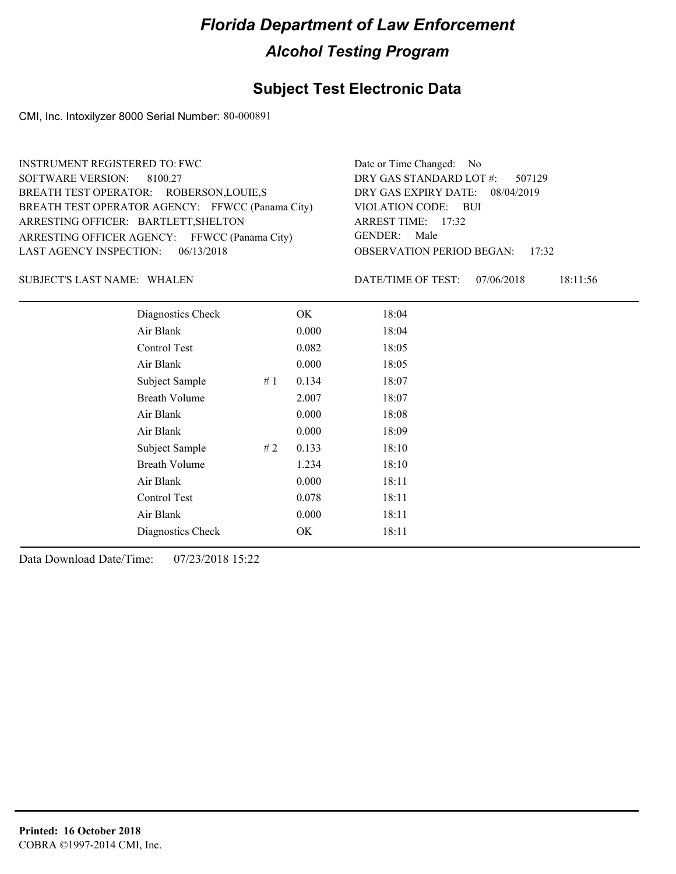#### **Subject Test Electronic Data**

CMI, Inc. Intoxilyzer 8000 Serial Number: 80-000891

| <b>INSTRUMENT REGISTERED TO: FWC</b>             | Date or Time Changed: No               |
|--------------------------------------------------|----------------------------------------|
| SOFTWARE VERSION: 8100.27                        | DRY GAS STANDARD LOT #: 507129         |
| BREATH TEST OPERATOR: ROBERSON, LOUIE, S         | DRY GAS EXPIRY DATE: 08/04/2019        |
| BREATH TEST OPERATOR AGENCY: FFWCC (Panama City) | VIOLATION CODE: BUI                    |
| ARRESTING OFFICER: BARTLETT, SHELTON             | ARREST TIME: $17:32$                   |
| ARRESTING OFFICER AGENCY: FFWCC (Panama City)    | GENDER: Male                           |
| LAST AGENCY INSPECTION: $06/13/2018$             | <b>OBSERVATION PERIOD BEGAN: 17:32</b> |
|                                                  |                                        |

SUBJECT'S LAST NAME: WHALEN **Example 20** DATE/TIME OF TEST:

DATE/TIME OF TEST: 07/06/2018 18:11:56

| Diagnostics Check    | OK    | 18:04 |
|----------------------|-------|-------|
| Air Blank            | 0.000 | 18:04 |
| <b>Control Test</b>  | 0.082 | 18:05 |
| Air Blank            | 0.000 | 18:05 |
| Subject Sample<br>#1 | 0.134 | 18:07 |
| <b>Breath Volume</b> | 2.007 | 18:07 |
| Air Blank            | 0.000 | 18:08 |
| Air Blank            | 0.000 | 18:09 |
| Subject Sample<br>#2 | 0.133 | 18:10 |
| <b>Breath Volume</b> | 1.234 | 18:10 |
| Air Blank            | 0.000 | 18:11 |
| Control Test         | 0.078 | 18:11 |
| Air Blank            | 0.000 | 18:11 |
| Diagnostics Check    | OK    | 18:11 |
|                      |       |       |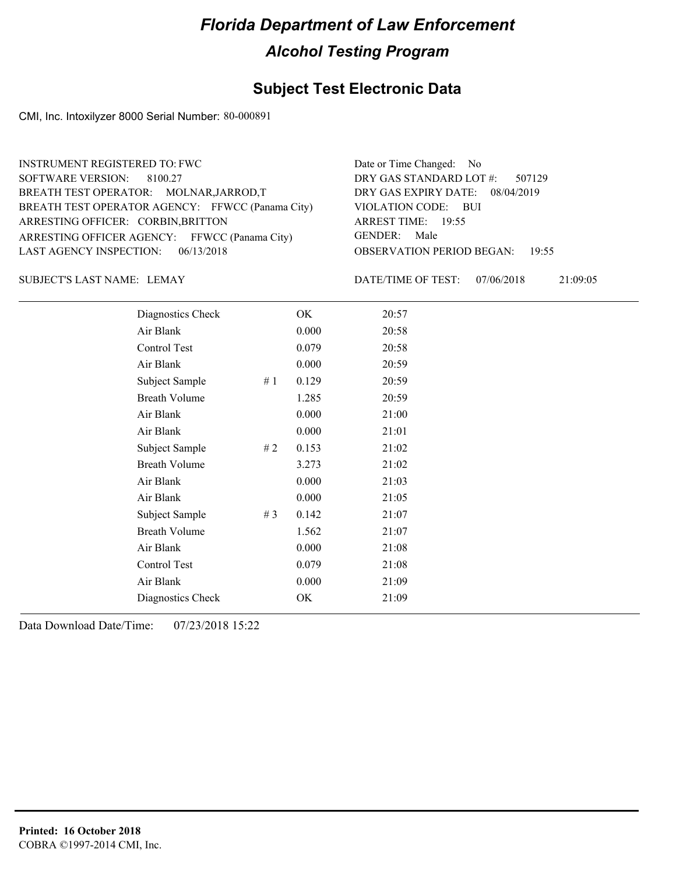#### **Subject Test Electronic Data**

CMI, Inc. Intoxilyzer 8000 Serial Number: 80-000891

| <b>INSTRUMENT REGISTERED TO: FWC</b>             | Date or Time Changed: No               |
|--------------------------------------------------|----------------------------------------|
| SOFTWARE VERSION: 8100.27                        | DRY GAS STANDARD LOT $\#$ : 507129     |
| BREATH TEST OPERATOR: MOLNAR, JARROD, T          | DRY GAS EXPIRY DATE: 08/04/2019        |
| BREATH TEST OPERATOR AGENCY: FFWCC (Panama City) | VIOLATION CODE: BUI                    |
| ARRESTING OFFICER: CORBIN, BRITTON               | ARREST TIME: 19:55                     |
| ARRESTING OFFICER AGENCY: FFWCC (Panama City)    | GENDER: Male                           |
| LAST AGENCY INSPECTION: 06/13/2018               | <b>OBSERVATION PERIOD BEGAN: 19:55</b> |
|                                                  |                                        |

SUBJECT'S LAST NAME: LEMAY DATE/TIME OF TEST:

DATE/TIME OF TEST: 07/06/2018 21:09:05

| Diagnostics Check    |    | OK    | 20:57 |
|----------------------|----|-------|-------|
| Air Blank            |    | 0.000 | 20:58 |
| Control Test         |    | 0.079 | 20:58 |
| Air Blank            |    | 0.000 | 20:59 |
| Subject Sample       | #1 | 0.129 | 20:59 |
| <b>Breath Volume</b> |    | 1.285 | 20:59 |
| Air Blank            |    | 0.000 | 21:00 |
| Air Blank            |    | 0.000 | 21:01 |
| Subject Sample       | #2 | 0.153 | 21:02 |
| <b>Breath Volume</b> |    | 3.273 | 21:02 |
| Air Blank            |    | 0.000 | 21:03 |
| Air Blank            |    | 0.000 | 21:05 |
| Subject Sample       | #3 | 0.142 | 21:07 |
| <b>Breath Volume</b> |    | 1.562 | 21:07 |
| Air Blank            |    | 0.000 | 21:08 |
| Control Test         |    | 0.079 | 21:08 |
| Air Blank            |    | 0.000 | 21:09 |
| Diagnostics Check    |    | OK    | 21:09 |
|                      |    |       |       |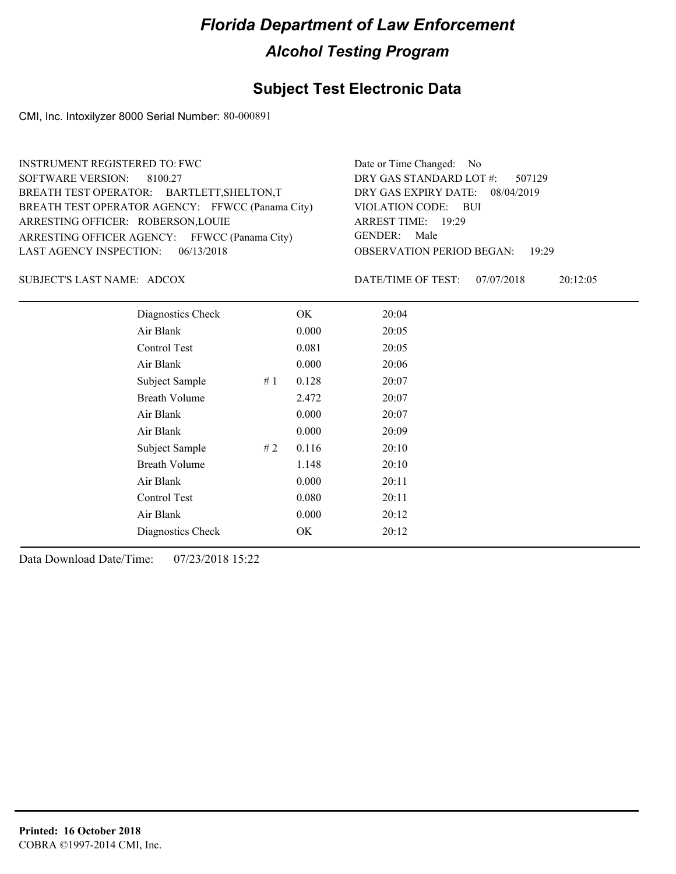#### **Subject Test Electronic Data**

CMI, Inc. Intoxilyzer 8000 Serial Number: 80-000891

| <b>INSTRUMENT REGISTERED TO: FWC</b>             | Date or Time Changed: No               |
|--------------------------------------------------|----------------------------------------|
| SOFTWARE VERSION: 8100.27                        | DRY GAS STANDARD LOT #: 507129         |
| BREATH TEST OPERATOR: BARTLETT, SHELTON, T       | DRY GAS EXPIRY DATE: 08/04/2019        |
| BREATH TEST OPERATOR AGENCY: FFWCC (Panama City) | VIOLATION CODE: BUI                    |
| ARRESTING OFFICER: ROBERSON, LOUIE               | ARREST TIME: 19:29                     |
| ARRESTING OFFICER AGENCY: FFWCC (Panama City)    | GENDER: Male                           |
| LAST AGENCY INSPECTION: $06/13/2018$             | <b>OBSERVATION PERIOD BEGAN: 19:29</b> |
|                                                  |                                        |

SUBJECT'S LAST NAME: ADCOX DATE/TIME OF TEST:

DATE/TIME OF TEST: 07/07/2018 20:12:05

| Diagnostics Check    |    | OK    | 20:04 |
|----------------------|----|-------|-------|
| Air Blank            |    | 0.000 | 20:05 |
| Control Test         |    | 0.081 | 20:05 |
| Air Blank            |    | 0.000 | 20:06 |
| Subject Sample       | #1 | 0.128 | 20:07 |
| <b>Breath Volume</b> |    | 2.472 | 20:07 |
| Air Blank            |    | 0.000 | 20:07 |
| Air Blank            |    | 0.000 | 20:09 |
| Subject Sample       | #2 | 0.116 | 20:10 |
| <b>Breath Volume</b> |    | 1.148 | 20:10 |
| Air Blank            |    | 0.000 | 20:11 |
| <b>Control Test</b>  |    | 0.080 | 20:11 |
| Air Blank            |    | 0.000 | 20:12 |
| Diagnostics Check    |    | OK    | 20:12 |
|                      |    |       |       |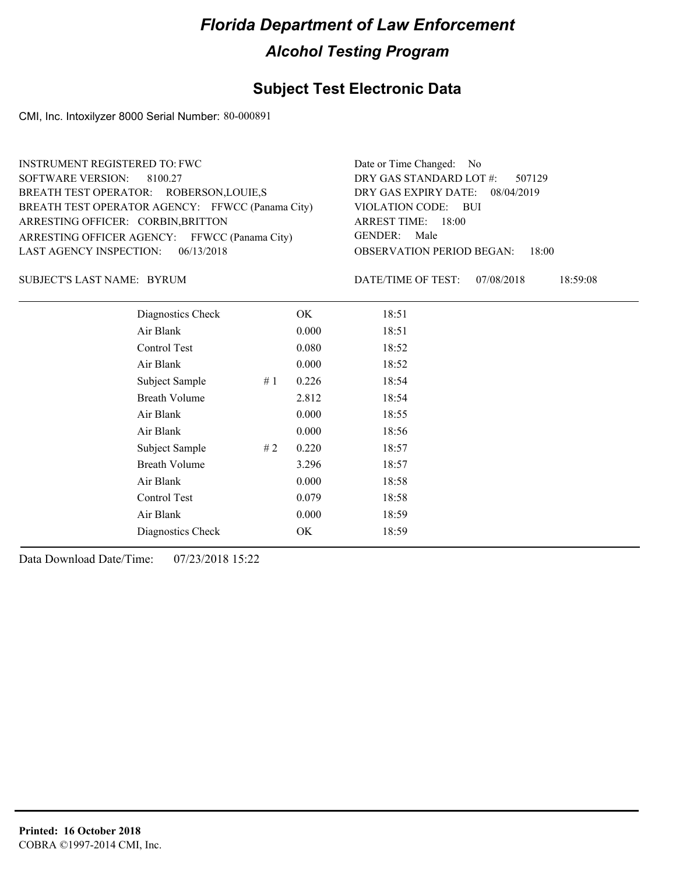#### **Subject Test Electronic Data**

CMI, Inc. Intoxilyzer 8000 Serial Number: 80-000891

| <b>INSTRUMENT REGISTERED TO: FWC</b>             | Date or Time Changed: No               |
|--------------------------------------------------|----------------------------------------|
| SOFTWARE VERSION: 8100.27                        | DRY GAS STANDARD LOT #: 507129         |
| BREATH TEST OPERATOR: ROBERSON, LOUIE, S         | DRY GAS EXPIRY DATE: 08/04/2019        |
| BREATH TEST OPERATOR AGENCY: FFWCC (Panama City) | VIOLATION CODE: BUI                    |
| ARRESTING OFFICER: CORBIN, BRITTON               | ARREST TIME: 18:00                     |
| ARRESTING OFFICER AGENCY: FFWCC (Panama City)    | GENDER: Male                           |
| LAST AGENCY INSPECTION: $06/13/2018$             | <b>OBSERVATION PERIOD BEGAN: 18:00</b> |
|                                                  |                                        |

SUBJECT'S LAST NAME: BYRUM DATE/TIME OF TEST:

DATE/TIME OF TEST: 07/08/2018 18:59:08

| Diagnostics Check    |    | OK    | 18:51 |
|----------------------|----|-------|-------|
| Air Blank            |    | 0.000 | 18:51 |
| Control Test         |    | 0.080 | 18:52 |
| Air Blank            |    | 0.000 | 18:52 |
| Subject Sample<br>#1 |    | 0.226 | 18:54 |
| <b>Breath Volume</b> |    | 2.812 | 18:54 |
| Air Blank            |    | 0.000 | 18:55 |
| Air Blank            |    | 0.000 | 18:56 |
| Subject Sample       | #2 | 0.220 | 18:57 |
| <b>Breath Volume</b> |    | 3.296 | 18:57 |
| Air Blank            |    | 0.000 | 18:58 |
| Control Test         |    | 0.079 | 18:58 |
| Air Blank            |    | 0.000 | 18:59 |
| Diagnostics Check    |    | OK    | 18:59 |
|                      |    |       |       |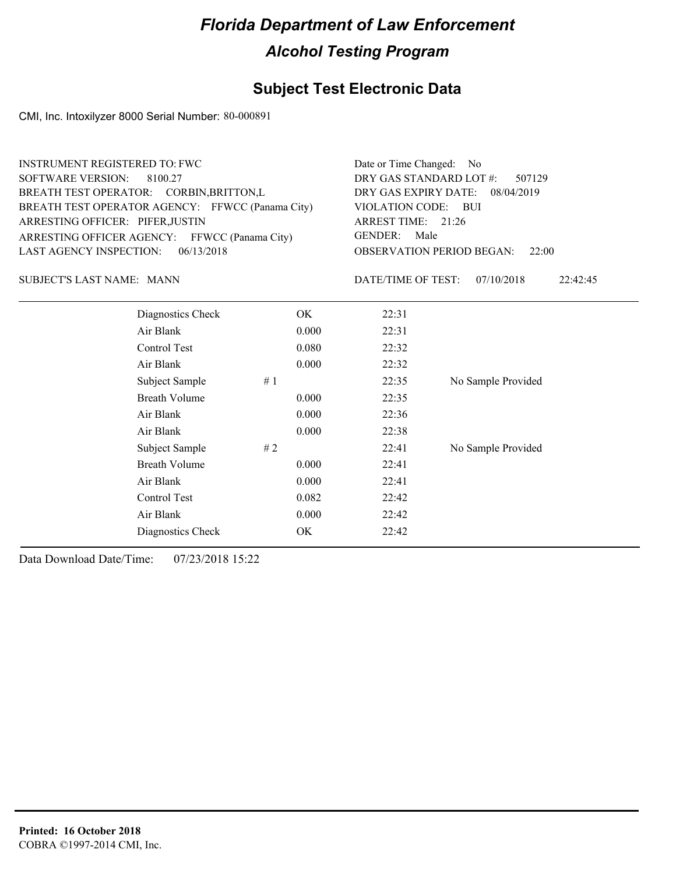### **Subject Test Electronic Data**

CMI, Inc. Intoxilyzer 8000 Serial Number: 80-000891

| <b>INSTRUMENT REGISTERED TO: FWC</b><br><b>SOFTWARE VERSION:</b><br>8100.27<br>BREATH TEST OPERATOR: CORBIN, BRITTON, L<br>BREATH TEST OPERATOR AGENCY: FFWCC (Panama City)<br>ARRESTING OFFICER: PIFER, JUSTIN<br>ARRESTING OFFICER AGENCY: FFWCC (Panama City)<br><b>LAST AGENCY INSPECTION:</b><br>06/13/2018 |       | Date or Time Changed:<br>No.<br>DRY GAS STANDARD LOT #:<br>507129<br>DRY GAS EXPIRY DATE:<br>08/04/2019<br>VIOLATION CODE: BUI<br>ARREST TIME: 21:26<br><b>GENDER:</b><br>Male<br><b>OBSERVATION PERIOD BEGAN:</b><br>22:00 |                        |  |
|------------------------------------------------------------------------------------------------------------------------------------------------------------------------------------------------------------------------------------------------------------------------------------------------------------------|-------|-----------------------------------------------------------------------------------------------------------------------------------------------------------------------------------------------------------------------------|------------------------|--|
| SUBJECT'S LAST NAME: MANN                                                                                                                                                                                                                                                                                        |       | DATE/TIME OF TEST:                                                                                                                                                                                                          | 07/10/2018<br>22:42:45 |  |
| Diagnostics Check                                                                                                                                                                                                                                                                                                | OK    | 22:31                                                                                                                                                                                                                       |                        |  |
| Air Blank                                                                                                                                                                                                                                                                                                        | 0.000 | 22:31                                                                                                                                                                                                                       |                        |  |
| Control Test                                                                                                                                                                                                                                                                                                     | 0.080 | 22:32                                                                                                                                                                                                                       |                        |  |
| Air Blank                                                                                                                                                                                                                                                                                                        | 0.000 | 22:32                                                                                                                                                                                                                       |                        |  |
| Subject Sample                                                                                                                                                                                                                                                                                                   | #1    | 22:35                                                                                                                                                                                                                       | No Sample Provided     |  |
| <b>Breath Volume</b>                                                                                                                                                                                                                                                                                             | 0.000 | 22:35                                                                                                                                                                                                                       |                        |  |
| Air Blank                                                                                                                                                                                                                                                                                                        | 0.000 | 22:36                                                                                                                                                                                                                       |                        |  |
| Air Blank                                                                                                                                                                                                                                                                                                        | 0.000 | 22:38                                                                                                                                                                                                                       |                        |  |
| Subject Sample                                                                                                                                                                                                                                                                                                   | #2    | 22:41                                                                                                                                                                                                                       | No Sample Provided     |  |
| <b>Breath Volume</b>                                                                                                                                                                                                                                                                                             | 0.000 | 22:41                                                                                                                                                                                                                       |                        |  |
| Air Blank                                                                                                                                                                                                                                                                                                        | 0.000 | 22:41                                                                                                                                                                                                                       |                        |  |
| Control Test                                                                                                                                                                                                                                                                                                     | 0.082 | 22:42                                                                                                                                                                                                                       |                        |  |
| Air Blank                                                                                                                                                                                                                                                                                                        | 0.000 | 22:42                                                                                                                                                                                                                       |                        |  |
| Diagnostics Check                                                                                                                                                                                                                                                                                                | OK    | 22:42                                                                                                                                                                                                                       |                        |  |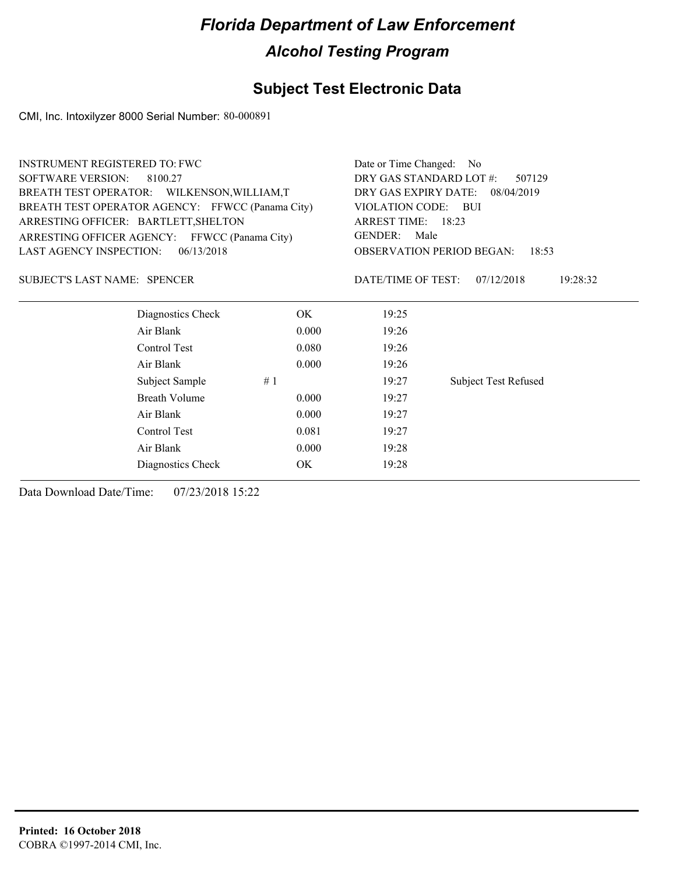#### **Subject Test Electronic Data**

CMI, Inc. Intoxilyzer 8000 Serial Number: 80-000891

| <b>INSTRUMENT REGISTERED TO: FWC</b> |                                                  |       | Date or Time Changed: No                     |                                           |  |  |
|--------------------------------------|--------------------------------------------------|-------|----------------------------------------------|-------------------------------------------|--|--|
| <b>SOFTWARE VERSION:</b>             | 8100.27                                          |       |                                              | DRY GAS STANDARD LOT #:<br>507129         |  |  |
|                                      | BREATH TEST OPERATOR: WILKENSON, WILLIAM, T      |       | DRY GAS EXPIRY DATE:<br>08/04/2019           |                                           |  |  |
|                                      | BREATH TEST OPERATOR AGENCY: FFWCC (Panama City) |       | VIOLATION CODE: BUI                          |                                           |  |  |
| ARRESTING OFFICER: BARTLETT, SHELTON |                                                  |       | ARREST TIME: 18:23<br><b>GENDER:</b><br>Male |                                           |  |  |
|                                      | ARRESTING OFFICER AGENCY: FFWCC (Panama City)    |       |                                              |                                           |  |  |
| LAST AGENCY INSPECTION:              | 06/13/2018                                       |       |                                              | <b>OBSERVATION PERIOD BEGAN:</b><br>18:53 |  |  |
| <b>SUBJECT'S LAST NAME: SPENCER</b>  |                                                  |       | DATE/TIME OF TEST:                           | 07/12/2018<br>19:28:32                    |  |  |
|                                      | Diagnostics Check                                | OK.   | 19:25                                        |                                           |  |  |
|                                      | Air Blank                                        | 0.000 | 19:26                                        |                                           |  |  |
|                                      | Control Test                                     | 0.080 | 19:26                                        |                                           |  |  |
|                                      | Air Blank                                        | 0.000 | 19:26                                        |                                           |  |  |
|                                      | Subject Sample                                   | #1    | 19:27                                        | <b>Subject Test Refused</b>               |  |  |
|                                      | <b>Breath Volume</b>                             | 0.000 | 19:27                                        |                                           |  |  |
|                                      | Air Blank                                        | 0.000 | 19:27                                        |                                           |  |  |
|                                      | Control Test                                     | 0.081 | 19:27                                        |                                           |  |  |
|                                      | Air Blank                                        | 0.000 | 19:28                                        |                                           |  |  |
|                                      | Diagnostics Check                                | OK    | 19:28                                        |                                           |  |  |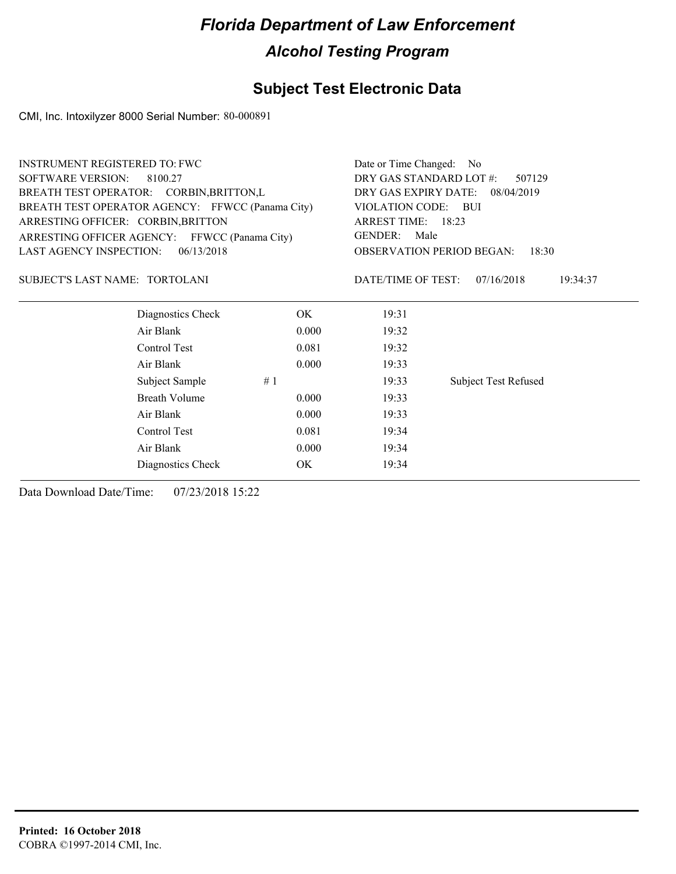#### **Subject Test Electronic Data**

CMI, Inc. Intoxilyzer 8000 Serial Number: 80-000891

| <b>INSTRUMENT REGISTERED TO: FWC</b>             |            | Date or Time Changed: No                                                                  |                             |  |  |
|--------------------------------------------------|------------|-------------------------------------------------------------------------------------------|-----------------------------|--|--|
| SOFTWARE VERSION:<br>8100.27                     |            | DRY GAS STANDARD LOT #:<br>507129                                                         |                             |  |  |
| BREATH TEST OPERATOR: CORBIN, BRITTON, L         |            | DRY GAS EXPIRY DATE:<br>08/04/2019                                                        |                             |  |  |
| BREATH TEST OPERATOR AGENCY: FFWCC (Panama City) |            | VIOLATION CODE:<br><b>BUI</b>                                                             |                             |  |  |
| ARRESTING OFFICER: CORBIN, BRITTON               |            | ARREST TIME: 18:23<br><b>GENDER:</b><br>Male<br><b>OBSERVATION PERIOD BEGAN:</b><br>18:30 |                             |  |  |
| ARRESTING OFFICER AGENCY: FFWCC (Panama City)    |            |                                                                                           |                             |  |  |
| <b>LAST AGENCY INSPECTION:</b>                   | 06/13/2018 |                                                                                           |                             |  |  |
| SUBJECT'S LAST NAME: TORTOLANI                   |            | DATE/TIME OF TEST:                                                                        | 07/16/2018<br>19:34:37      |  |  |
| Diagnostics Check                                | OK.        | 19:31                                                                                     |                             |  |  |
| Air Blank                                        | 0.000      | 19:32                                                                                     |                             |  |  |
| Control Test                                     | 0.081      | 19:32                                                                                     |                             |  |  |
| Air Blank                                        | 0.000      | 19:33                                                                                     |                             |  |  |
| Subject Sample                                   | #1         | 19:33                                                                                     | <b>Subject Test Refused</b> |  |  |
| <b>Breath Volume</b>                             | 0.000      | 19:33                                                                                     |                             |  |  |
| Air Blank                                        | 0.000      | 19:33                                                                                     |                             |  |  |
| Control Test                                     | 0.081      | 19:34                                                                                     |                             |  |  |
| Air Blank                                        | 0.000      | 19:34                                                                                     |                             |  |  |
| Diagnostics Check                                | OK         | 19:34                                                                                     |                             |  |  |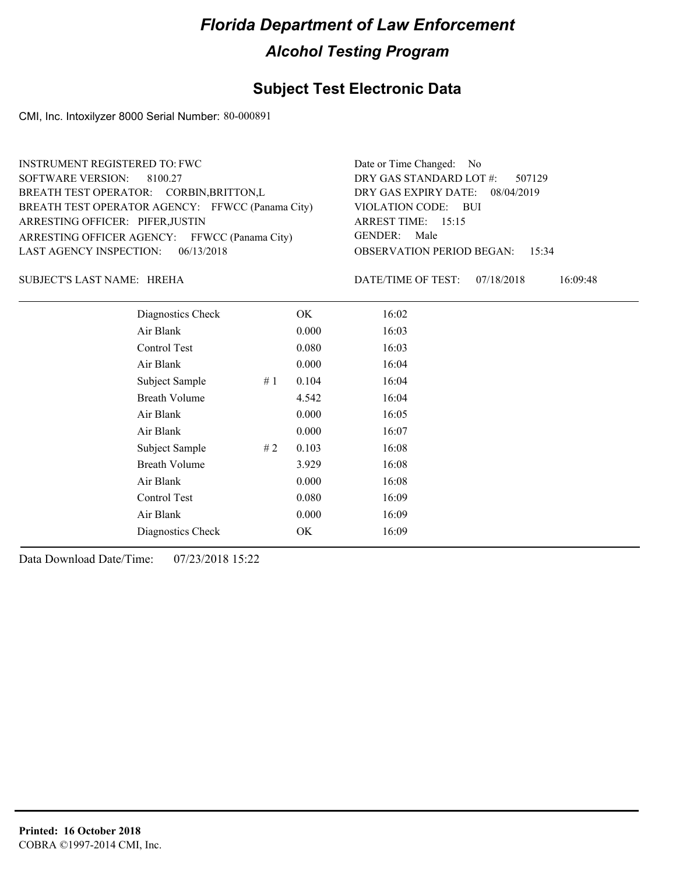#### **Subject Test Electronic Data**

CMI, Inc. Intoxilyzer 8000 Serial Number: 80-000891

| <b>INSTRUMENT REGISTERED TO: FWC</b>             | Date or Time Changed: No               |
|--------------------------------------------------|----------------------------------------|
| SOFTWARE VERSION: 8100.27                        | DRY GAS STANDARD LOT #: 507129         |
| BREATH TEST OPERATOR: CORBIN, BRITTON, L         | DRY GAS EXPIRY DATE: 08/04/2019        |
| BREATH TEST OPERATOR AGENCY: FFWCC (Panama City) | VIOLATION CODE: BUI                    |
| ARRESTING OFFICER: PIFER, JUSTIN                 | ARREST TIME: $15:15$                   |
| ARRESTING OFFICER AGENCY: FFWCC (Panama City)    | GENDER: Male                           |
| LAST AGENCY INSPECTION: $06/13/2018$             | <b>OBSERVATION PERIOD BEGAN: 15:34</b> |
|                                                  |                                        |

HREHA SUBJECT'S LAST NAME: DATE/TIME OF TEST:

DATE/TIME OF TEST: 07/18/2018 16:09:48

| Diagnostics Check    |    | OK    | 16:02 |
|----------------------|----|-------|-------|
| Air Blank            |    | 0.000 | 16:03 |
| Control Test         |    | 0.080 | 16:03 |
| Air Blank            |    | 0.000 | 16:04 |
| Subject Sample       | #1 | 0.104 | 16:04 |
| <b>Breath Volume</b> |    | 4.542 | 16:04 |
| Air Blank            |    | 0.000 | 16:05 |
| Air Blank            |    | 0.000 | 16:07 |
| Subject Sample       | #2 | 0.103 | 16:08 |
| <b>Breath Volume</b> |    | 3.929 | 16:08 |
| Air Blank            |    | 0.000 | 16:08 |
| Control Test         |    | 0.080 | 16:09 |
| Air Blank            |    | 0.000 | 16:09 |
| Diagnostics Check    |    | OK    | 16:09 |
|                      |    |       |       |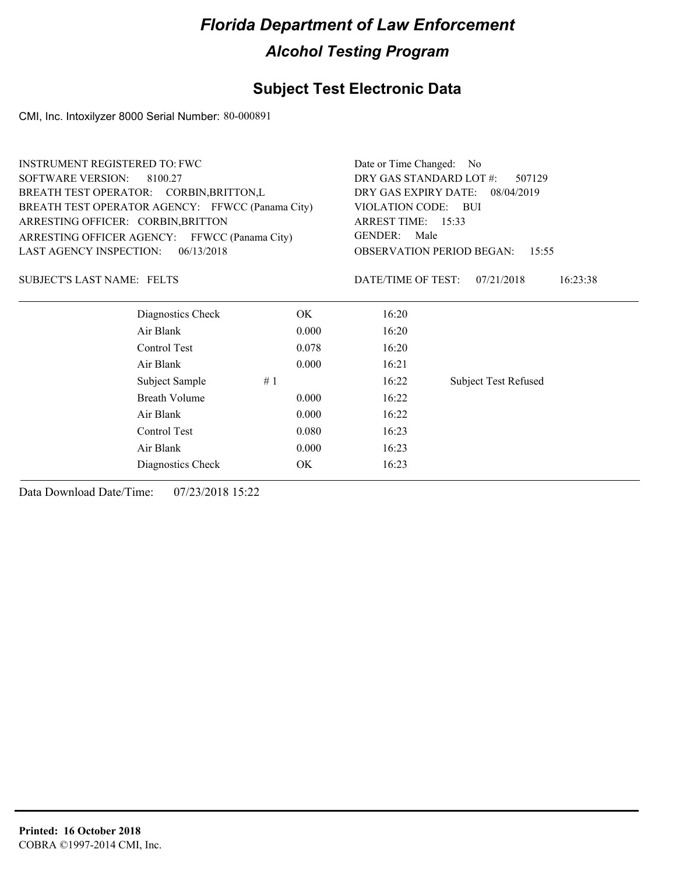#### **Subject Test Electronic Data**

CMI, Inc. Intoxilyzer 8000 Serial Number: 80-000891

| <b>INSTRUMENT REGISTERED TO: FWC</b>             | Date or Time Changed: No                     |  |  |
|--------------------------------------------------|----------------------------------------------|--|--|
| <b>SOFTWARE VERSION:</b><br>8100.27              | DRY GAS STANDARD LOT #:<br>507129            |  |  |
| BREATH TEST OPERATOR: CORBIN, BRITTON, L         | DRY GAS EXPIRY DATE:<br>08/04/2019           |  |  |
| BREATH TEST OPERATOR AGENCY: FFWCC (Panama City) | VIOLATION CODE:<br>BUI                       |  |  |
| ARRESTING OFFICER: CORBIN, BRITTON               | ARREST TIME: 15:33                           |  |  |
| ARRESTING OFFICER AGENCY: FFWCC (Panama City)    | <b>GENDER:</b><br>Male                       |  |  |
| 06/13/2018<br>LAST AGENCY INSPECTION:            | <b>OBSERVATION PERIOD BEGAN:</b><br>15:55    |  |  |
| <b>SUBJECT'S LAST NAME: FELTS</b>                | DATE/TIME OF TEST:<br>16:23:38<br>07/21/2018 |  |  |
| Diagnostics Check<br>OK.                         | 16:20                                        |  |  |
| Air Blank<br>0.000                               | 16:20                                        |  |  |
| Control Test<br>0.078                            | 16:20                                        |  |  |
| Air Blank<br>0.000                               | 16:21                                        |  |  |
| Subject Sample<br>#1                             | 16:22<br><b>Subject Test Refused</b>         |  |  |
| Breath Volume<br>0.000                           | 16:22                                        |  |  |
| Air Blank<br>0.000                               | 16:22                                        |  |  |
| Control Test<br>0.080                            | 16:23                                        |  |  |
| Air Blank<br>0.000                               | 16:23                                        |  |  |
| OK<br>Diagnostics Check                          | 16:23                                        |  |  |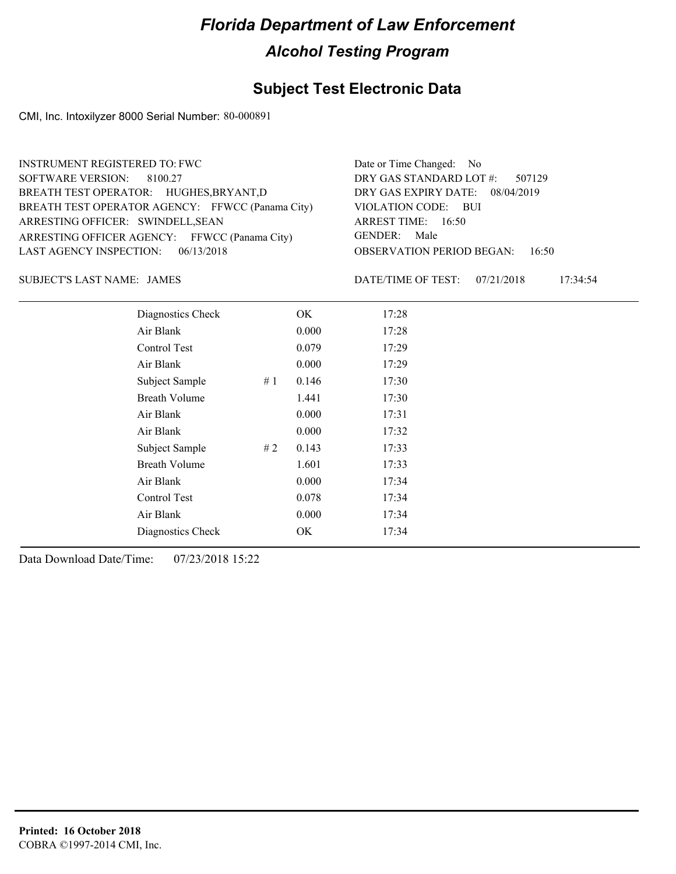#### **Subject Test Electronic Data**

CMI, Inc. Intoxilyzer 8000 Serial Number: 80-000891

| <b>INSTRUMENT REGISTERED TO: FWC</b>             | Date or Time Changed: No               |
|--------------------------------------------------|----------------------------------------|
| SOFTWARE VERSION: 8100.27                        | DRY GAS STANDARD LOT $\#$ : 507129     |
| BREATH TEST OPERATOR: HUGHES, BRYANT, D          | DRY GAS EXPIRY DATE: 08/04/2019        |
| BREATH TEST OPERATOR AGENCY: FFWCC (Panama City) | VIOLATION CODE: BUI                    |
| ARRESTING OFFICER: SWINDELL, SEAN                | ARREST TIME: 16:50                     |
| ARRESTING OFFICER AGENCY: FFWCC (Panama City)    | GENDER: Male                           |
| LAST AGENCY INSPECTION: $06/13/2018$             | <b>OBSERVATION PERIOD BEGAN: 16:50</b> |
|                                                  |                                        |

JAMES SUBJECT'S LAST NAME: DATE/TIME OF TEST:

DATE/TIME OF TEST: 07/21/2018 17:34:54

| Diagnostics Check    |    | OK    | 17:28 |
|----------------------|----|-------|-------|
| Air Blank            |    | 0.000 | 17:28 |
| Control Test         |    | 0.079 | 17:29 |
| Air Blank            |    | 0.000 | 17:29 |
| Subject Sample       | #1 | 0.146 | 17:30 |
| <b>Breath Volume</b> |    | 1.441 | 17:30 |
| Air Blank            |    | 0.000 | 17:31 |
| Air Blank            |    | 0.000 | 17:32 |
| Subject Sample       | #2 | 0.143 | 17:33 |
| <b>Breath Volume</b> |    | 1.601 | 17:33 |
| Air Blank            |    | 0.000 | 17:34 |
| Control Test         |    | 0.078 | 17:34 |
| Air Blank            |    | 0.000 | 17:34 |
| Diagnostics Check    |    | OK    | 17:34 |
|                      |    |       |       |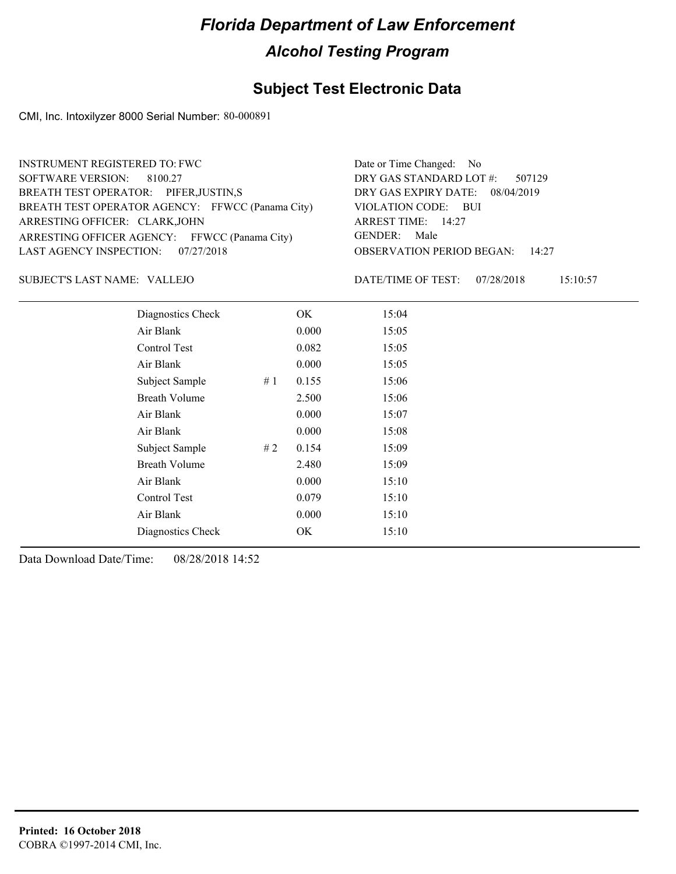#### **Subject Test Electronic Data**

CMI, Inc. Intoxilyzer 8000 Serial Number: 80-000891

| <b>INSTRUMENT REGISTERED TO: FWC</b>             | Date or Time Changed: No               |
|--------------------------------------------------|----------------------------------------|
| SOFTWARE VERSION: 8100.27                        | DRY GAS STANDARD LOT #: 507129         |
| BREATH TEST OPERATOR: PIFER, JUSTIN, S           | DRY GAS EXPIRY DATE: 08/04/2019        |
| BREATH TEST OPERATOR AGENCY: FFWCC (Panama City) | VIOLATION CODE: BUI                    |
| ARRESTING OFFICER: CLARK, JOHN                   | ARREST TIME: 14:27                     |
| ARRESTING OFFICER AGENCY: FFWCC (Panama City)    | GENDER: Male                           |
| LAST AGENCY INSPECTION: 07/27/2018               | <b>OBSERVATION PERIOD BEGAN: 14:27</b> |
|                                                  |                                        |

VALLEJO SUBJECT'S LAST NAME: DATE/TIME OF TEST:

DATE/TIME OF TEST: 07/28/2018 15:10:57

| Diagnostics Check    | OK    | 15:04 |
|----------------------|-------|-------|
| Air Blank            | 0.000 | 15:05 |
| Control Test         | 0.082 | 15:05 |
| Air Blank            | 0.000 | 15:05 |
| Subject Sample<br>#1 | 0.155 | 15:06 |
| <b>Breath Volume</b> | 2.500 | 15:06 |
| Air Blank            | 0.000 | 15:07 |
| Air Blank            | 0.000 | 15:08 |
| Subject Sample<br>#2 | 0.154 | 15:09 |
| <b>Breath Volume</b> | 2.480 | 15:09 |
| Air Blank            | 0.000 | 15:10 |
| Control Test         | 0.079 | 15:10 |
| Air Blank            | 0.000 | 15:10 |
| Diagnostics Check    | OK    | 15:10 |
|                      |       |       |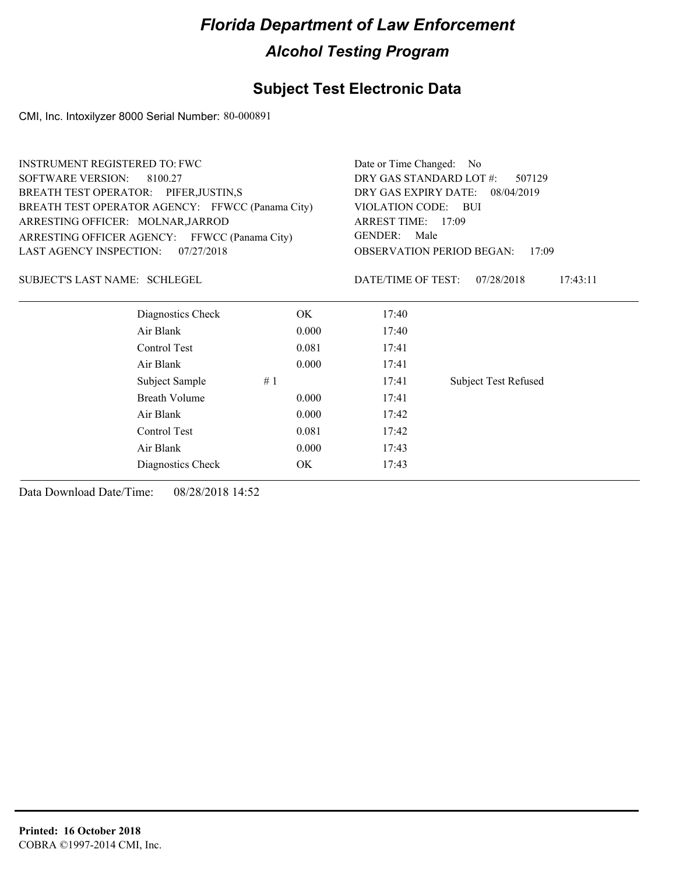#### **Subject Test Electronic Data**

CMI, Inc. Intoxilyzer 8000 Serial Number: 80-000891

| <b>INSTRUMENT REGISTERED TO: FWC</b>             |                      |       | Date or Time Changed: No                                                                                                                     |                             |  |
|--------------------------------------------------|----------------------|-------|----------------------------------------------------------------------------------------------------------------------------------------------|-----------------------------|--|
| <b>SOFTWARE VERSION:</b>                         | 8100.27              |       | DRY GAS STANDARD LOT #:<br>507129                                                                                                            |                             |  |
| BREATH TEST OPERATOR: PIFER, JUSTIN, S           |                      |       | DRY GAS EXPIRY DATE: 08/04/2019<br>VIOLATION CODE: BUI<br>ARREST TIME: 17:09<br>GENDER:<br>Male<br><b>OBSERVATION PERIOD BEGAN:</b><br>17:09 |                             |  |
| BREATH TEST OPERATOR AGENCY: FFWCC (Panama City) |                      |       |                                                                                                                                              |                             |  |
| ARRESTING OFFICER: MOLNAR, JARROD                |                      |       |                                                                                                                                              |                             |  |
| ARRESTING OFFICER AGENCY: FFWCC (Panama City)    |                      |       |                                                                                                                                              |                             |  |
| LAST AGENCY INSPECTION:                          | 07/27/2018           |       |                                                                                                                                              |                             |  |
| SUBJECT'S LAST NAME: SCHLEGEL                    |                      |       | DATE/TIME OF TEST:                                                                                                                           | 07/28/2018<br>17:43:11      |  |
|                                                  | Diagnostics Check    | OK.   | 17:40                                                                                                                                        |                             |  |
|                                                  | Air Blank            | 0.000 | 17:40                                                                                                                                        |                             |  |
|                                                  | Control Test         | 0.081 | 17:41                                                                                                                                        |                             |  |
|                                                  | Air Blank            | 0.000 | 17:41                                                                                                                                        |                             |  |
|                                                  | Subject Sample       | #1    | 17:41                                                                                                                                        | <b>Subject Test Refused</b> |  |
|                                                  | <b>Breath Volume</b> | 0.000 | 17:41                                                                                                                                        |                             |  |
|                                                  | Air Blank            | 0.000 | 17:42                                                                                                                                        |                             |  |
|                                                  | Control Test         | 0.081 | 17:42                                                                                                                                        |                             |  |
|                                                  | Air Blank            | 0.000 | 17:43                                                                                                                                        |                             |  |
|                                                  | Diagnostics Check    | ОK    | 17:43                                                                                                                                        |                             |  |
|                                                  |                      |       |                                                                                                                                              |                             |  |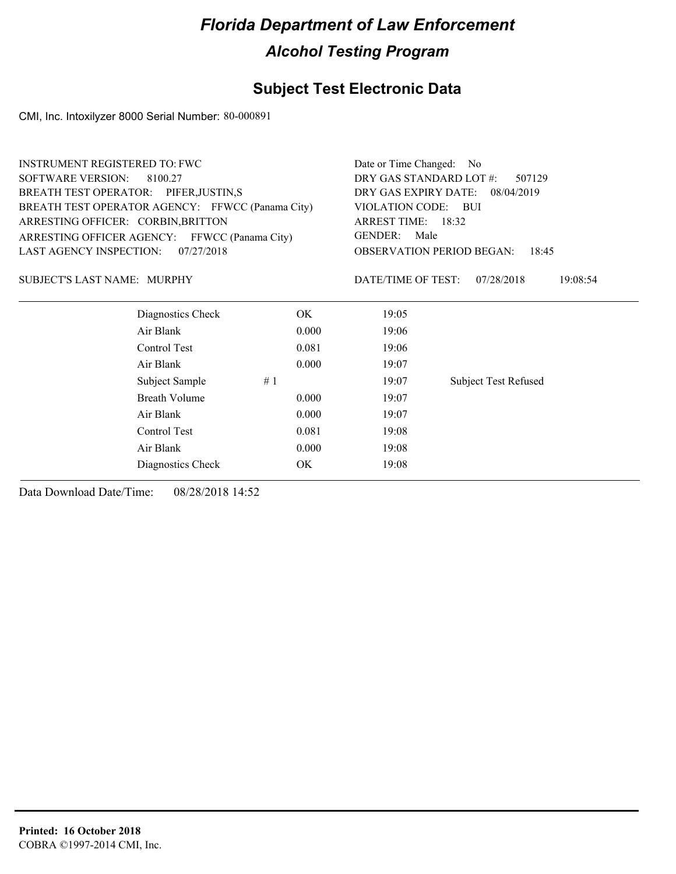#### **Subject Test Electronic Data**

CMI, Inc. Intoxilyzer 8000 Serial Number: 80-000891

|                                                  | Date or Time Changed: No                                                                                                                               |                             |  |
|--------------------------------------------------|--------------------------------------------------------------------------------------------------------------------------------------------------------|-----------------------------|--|
|                                                  | DRY GAS STANDARD LOT #:<br>507129                                                                                                                      |                             |  |
|                                                  | DRY GAS EXPIRY DATE:<br>08/04/2019<br>VIOLATION CODE: BUI<br>ARREST TIME: 18:32<br><b>GENDER:</b><br>Male<br><b>OBSERVATION PERIOD BEGAN:</b><br>18:45 |                             |  |
| BREATH TEST OPERATOR AGENCY: FFWCC (Panama City) |                                                                                                                                                        |                             |  |
|                                                  |                                                                                                                                                        |                             |  |
| ARRESTING OFFICER AGENCY: FFWCC (Panama City)    |                                                                                                                                                        |                             |  |
|                                                  |                                                                                                                                                        |                             |  |
|                                                  | DATE/TIME OF TEST:                                                                                                                                     | 07/28/2018<br>19:08:54      |  |
| OK.                                              | 19:05                                                                                                                                                  |                             |  |
| 0.000                                            | 19:06                                                                                                                                                  |                             |  |
| 0.081                                            | 19:06                                                                                                                                                  |                             |  |
| 0.000                                            | 19:07                                                                                                                                                  |                             |  |
| #1                                               | 19:07                                                                                                                                                  | <b>Subject Test Refused</b> |  |
| 0.000                                            | 19:07                                                                                                                                                  |                             |  |
| 0.000                                            | 19:07                                                                                                                                                  |                             |  |
| 0.081                                            | 19:08                                                                                                                                                  |                             |  |
| 0.000                                            | 19:08                                                                                                                                                  |                             |  |
| OK.                                              | 19:08                                                                                                                                                  |                             |  |
|                                                  |                                                                                                                                                        |                             |  |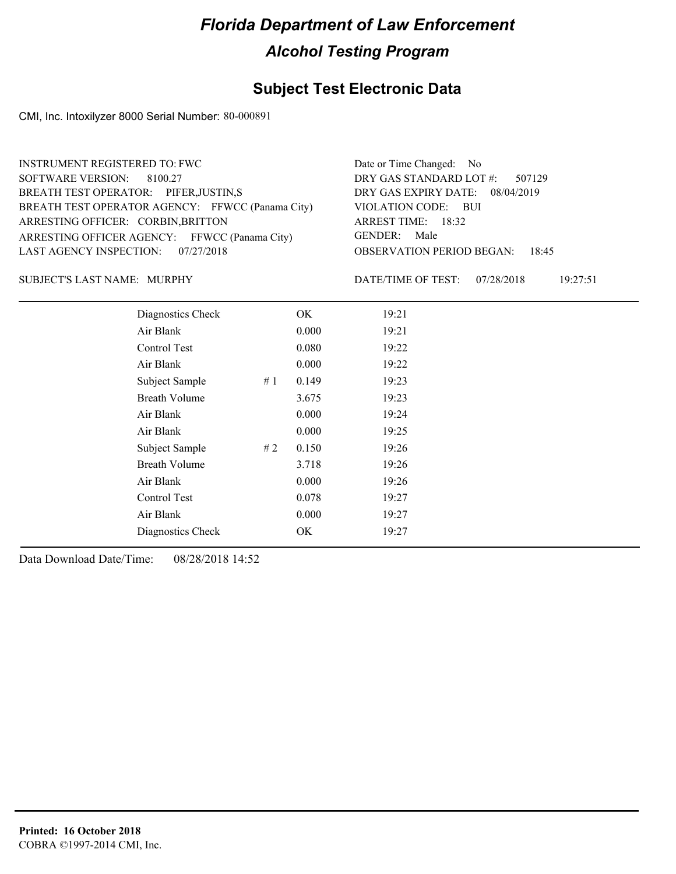#### **Subject Test Electronic Data**

CMI, Inc. Intoxilyzer 8000 Serial Number: 80-000891

| <b>INSTRUMENT REGISTERED TO: FWC</b>             | Date or Time Changed: No               |
|--------------------------------------------------|----------------------------------------|
| SOFTWARE VERSION: 8100.27                        | DRY GAS STANDARD LOT #: 507129         |
| BREATH TEST OPERATOR: PIFER, JUSTIN, S           | DRY GAS EXPIRY DATE: 08/04/2019        |
| BREATH TEST OPERATOR AGENCY: FFWCC (Panama City) | VIOLATION CODE: BUI                    |
| ARRESTING OFFICER: CORBIN, BRITTON               | ARREST TIME: 18:32                     |
| ARRESTING OFFICER AGENCY: FFWCC (Panama City)    | GENDER: Male                           |
| LAST AGENCY INSPECTION: 07/27/2018               | <b>OBSERVATION PERIOD BEGAN: 18:45</b> |
|                                                  |                                        |

#### SUBJECT'S LAST NAME: MURPHY DATE/TIME OF TEST:

DATE/TIME OF TEST: 07/28/2018 19:27:51

| Diagnostics Check    | OK    | 19:21 |
|----------------------|-------|-------|
| Air Blank            | 0.000 | 19:21 |
| Control Test         | 0.080 | 19:22 |
| Air Blank            | 0.000 | 19:22 |
| Subject Sample<br>#1 | 0.149 | 19:23 |
| <b>Breath Volume</b> | 3.675 | 19:23 |
| Air Blank            | 0.000 | 19:24 |
| Air Blank            | 0.000 | 19:25 |
| Subject Sample<br>#2 | 0.150 | 19:26 |
| <b>Breath Volume</b> | 3.718 | 19:26 |
| Air Blank            | 0.000 | 19:26 |
| Control Test         | 0.078 | 19:27 |
| Air Blank            | 0.000 | 19:27 |
| Diagnostics Check    | OK    | 19:27 |
|                      |       |       |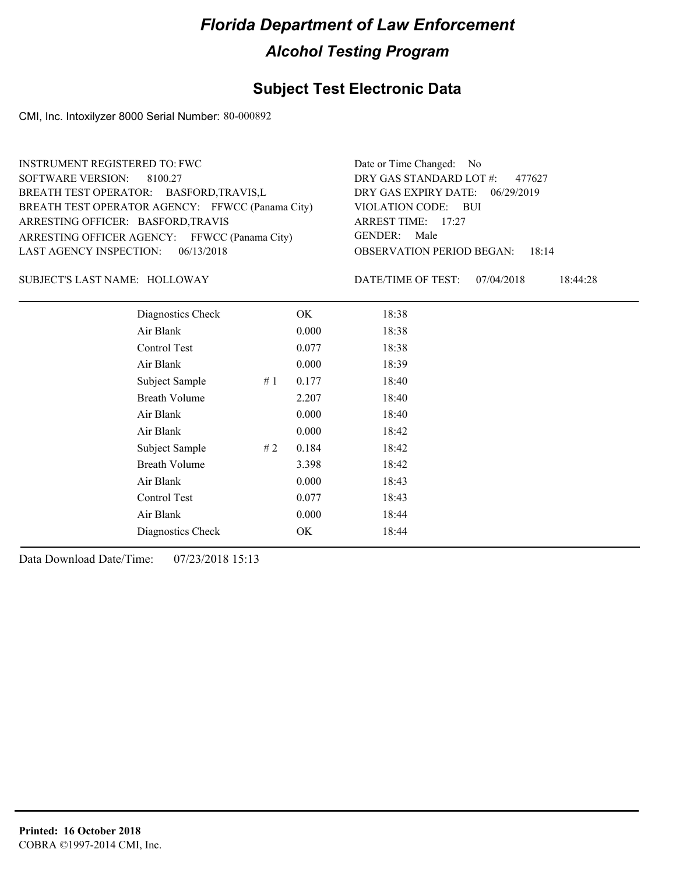#### **Subject Test Electronic Data**

CMI, Inc. Intoxilyzer 8000 Serial Number: 80-000892

| <b>INSTRUMENT REGISTERED TO: FWC</b>             | Date or Time Changed: No               |
|--------------------------------------------------|----------------------------------------|
| SOFTWARE VERSION: 8100.27                        | DRY GAS STANDARD LOT #: 477627         |
| BREATH TEST OPERATOR: BASFORD, TRAVIS, L         | DRY GAS EXPIRY DATE: 06/29/2019        |
| BREATH TEST OPERATOR AGENCY: FFWCC (Panama City) | VIOLATION CODE: BUI                    |
| ARRESTING OFFICER: BASFORD, TRAVIS               | ARREST TIME: $17:27$                   |
| ARRESTING OFFICER AGENCY: FFWCC (Panama City)    | GENDER: Male                           |
| LAST AGENCY INSPECTION: $06/13/2018$             | <b>OBSERVATION PERIOD BEGAN: 18:14</b> |
|                                                  |                                        |

SUBJECT'S LAST NAME: HOLLOWAY DATE/TIME OF TEST:

DATE/TIME OF TEST: 07/04/2018 18:44:28

| Diagnostics Check    |    | OK    | 18:38 |
|----------------------|----|-------|-------|
| Air Blank            |    | 0.000 | 18:38 |
| Control Test         |    | 0.077 | 18:38 |
| Air Blank            |    | 0.000 | 18:39 |
| Subject Sample       | #1 | 0.177 | 18:40 |
| <b>Breath Volume</b> |    | 2.207 | 18:40 |
| Air Blank            |    | 0.000 | 18:40 |
| Air Blank            |    | 0.000 | 18:42 |
| Subject Sample       | #2 | 0.184 | 18:42 |
| <b>Breath Volume</b> |    | 3.398 | 18:42 |
| Air Blank            |    | 0.000 | 18:43 |
| Control Test         |    | 0.077 | 18:43 |
| Air Blank            |    | 0.000 | 18:44 |
| Diagnostics Check    |    | OK    | 18:44 |
|                      |    |       |       |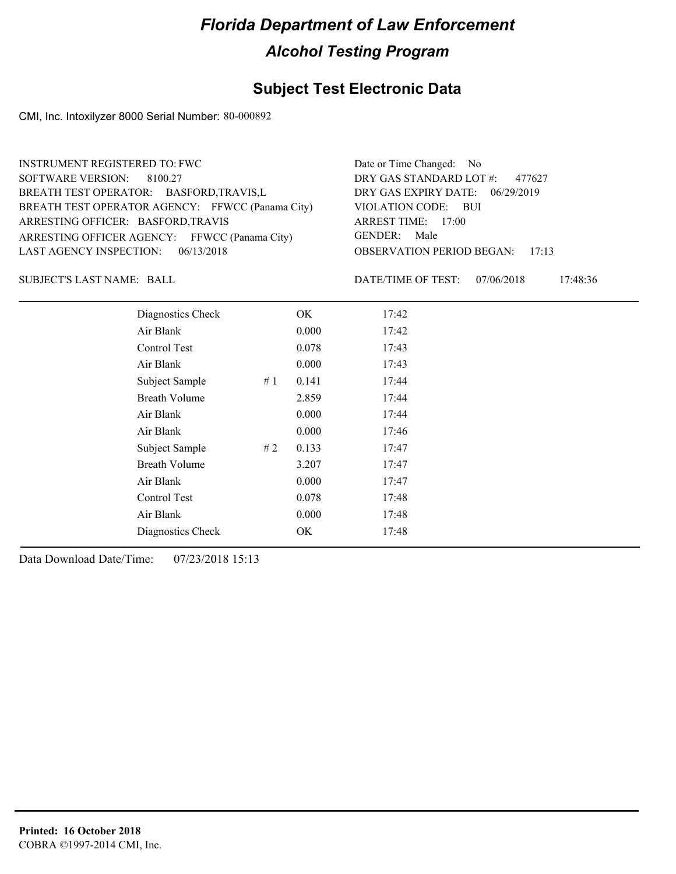#### **Subject Test Electronic Data**

CMI, Inc. Intoxilyzer 8000 Serial Number: 80-000892

| <b>INSTRUMENT REGISTERED TO: FWC</b> |                                                  |    | Date or Time Changed: No          |                                              |  |
|--------------------------------------|--------------------------------------------------|----|-----------------------------------|----------------------------------------------|--|
| SOFTWARE VERSION:<br>8100.27         |                                                  |    | DRY GAS STANDARD LOT #:<br>477627 |                                              |  |
|                                      | BREATH TEST OPERATOR: BASFORD, TRAVIS, L         |    |                                   | DRY GAS EXPIRY DATE: 06/29/2019              |  |
|                                      | BREATH TEST OPERATOR AGENCY: FFWCC (Panama City) |    |                                   | VIOLATION CODE: BUI                          |  |
| ARRESTING OFFICER: BASFORD, TRAVIS   |                                                  |    |                                   | ARREST TIME: 17:00                           |  |
|                                      | ARRESTING OFFICER AGENCY: FFWCC (Panama City)    |    |                                   | GENDER: Male                                 |  |
| LAST AGENCY INSPECTION:              | 06/13/2018                                       |    |                                   | <b>OBSERVATION PERIOD BEGAN:</b><br>17:13    |  |
| SUBJECT'S LAST NAME: BALL            |                                                  |    |                                   | DATE/TIME OF TEST:<br>07/06/2018<br>17:48:36 |  |
|                                      | Diagnostics Check                                |    | OK                                | 17:42                                        |  |
|                                      | Air Blank                                        |    | 0.000                             | 17:42                                        |  |
|                                      | Control Test                                     |    | 0.078                             | 17:43                                        |  |
|                                      | Air Blank                                        |    | 0.000                             | 17:43                                        |  |
|                                      | Subject Sample                                   | #1 | 0.141                             | 17:44                                        |  |
| <b>Breath Volume</b><br>2.859        |                                                  |    | 17:44                             |                                              |  |
|                                      | Air Blank                                        |    | 0.000                             | 17:44                                        |  |
|                                      | Air Blank                                        |    | 0.000                             | 17:46                                        |  |

Subject Sample # 2 0.133 17:47 Breath Volume 3.207 17:47 Air Blank 0.000 17:47 Control Test 0.078 17:48 Air Blank 0.000 17:48 Diagnostics Check OK 17:48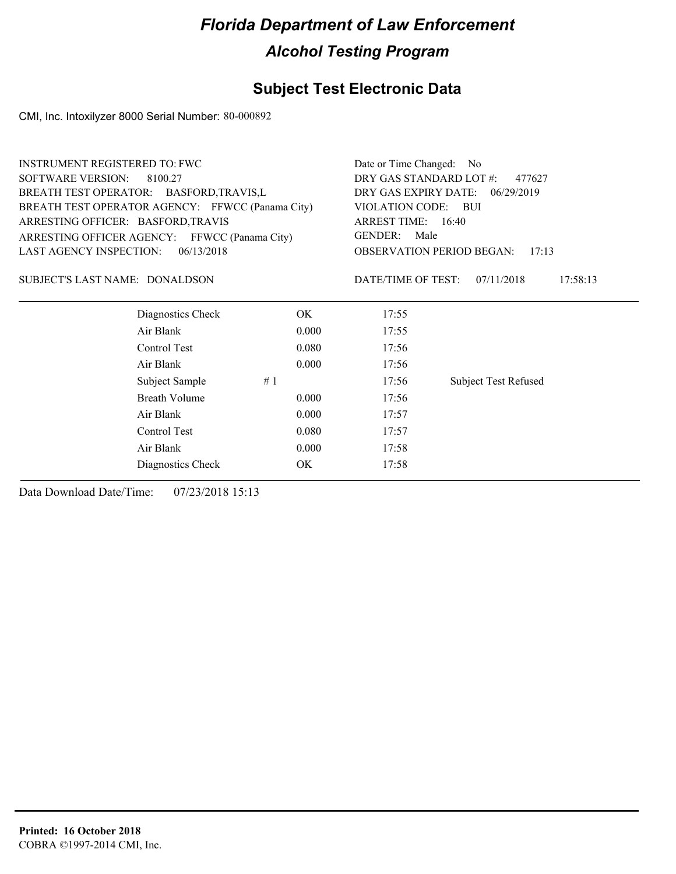#### **Subject Test Electronic Data**

CMI, Inc. Intoxilyzer 8000 Serial Number: 80-000892

| <b>INSTRUMENT REGISTERED TO: FWC</b>             |                                   | Date or Time Changed:<br>- No |                                           |
|--------------------------------------------------|-----------------------------------|-------------------------------|-------------------------------------------|
| <b>SOFTWARE VERSION:</b><br>8100.27              | DRY GAS STANDARD LOT #:<br>477627 |                               |                                           |
| BREATH TEST OPERATOR: BASFORD, TRAVIS, L         |                                   | DRY GAS EXPIRY DATE:          | 06/29/2019                                |
| BREATH TEST OPERATOR AGENCY: FFWCC (Panama City) |                                   | <b>VIOLATION CODE:</b>        | - BUI                                     |
| ARRESTING OFFICER: BASFORD, TRAVIS               |                                   | ARREST TIME: 16:40            |                                           |
| ARRESTING OFFICER AGENCY: FFWCC (Panama City)    |                                   | <b>GENDER:</b><br>Male        |                                           |
| <b>LAST AGENCY INSPECTION:</b><br>06/13/2018     |                                   |                               | <b>OBSERVATION PERIOD BEGAN:</b><br>17:13 |
| SUBJECT'S LAST NAME: DONALDSON                   |                                   | DATE/TIME OF TEST:            | 07/11/2018<br>17:58:13                    |
| Diagnostics Check                                | OK.                               | 17:55                         |                                           |
| Air Blank                                        | 0.000                             | 17:55                         |                                           |
| Control Test                                     | 0.080                             | 17:56                         |                                           |
| Air Blank                                        | 0.000                             | 17:56                         |                                           |
| Subject Sample                                   | #1                                | 17:56                         | <b>Subject Test Refused</b>               |
| <b>Breath Volume</b>                             | 0.000                             | 17:56                         |                                           |
| Air Blank                                        | 0.000                             | 17:57                         |                                           |
| Control Test                                     | 0.080                             | 17:57                         |                                           |
| Air Blank                                        | 0.000                             | 17:58                         |                                           |
| Diagnostics Check                                | OK                                | 17:58                         |                                           |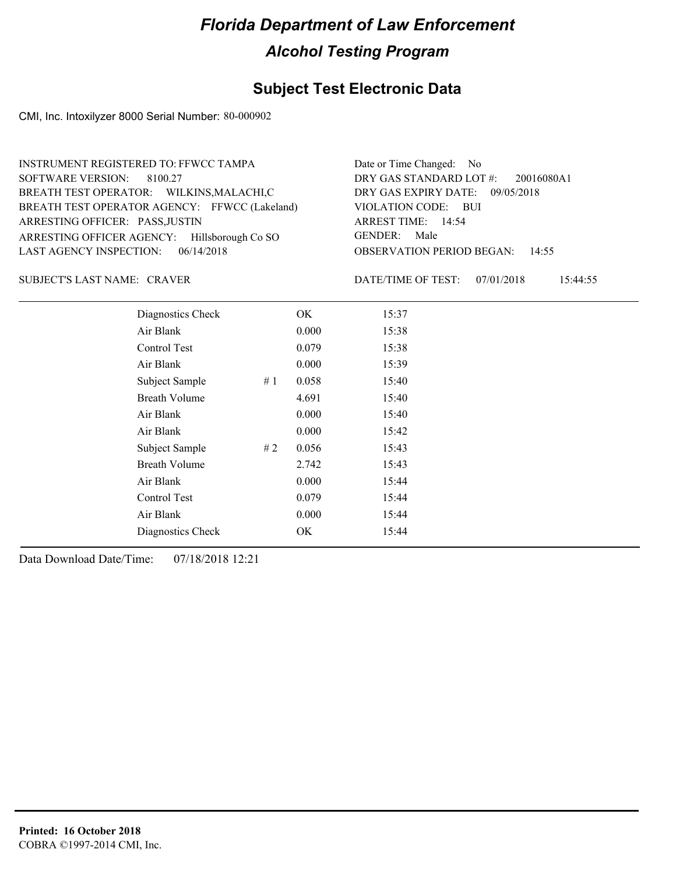#### **Subject Test Electronic Data**

CMI, Inc. Intoxilyzer 8000 Serial Number: 80-000902

| INSTRUMENT REGISTERED TO: FFWCC TAMPA         | Date or Time Changed: No               |
|-----------------------------------------------|----------------------------------------|
| SOFTWARE VERSION: 8100.27                     | DRY GAS STANDARD LOT $\#$ : 20016080A1 |
| BREATH TEST OPERATOR: WILKINS, MALACHI, C     | DRY GAS EXPIRY DATE: 09/05/2018        |
| BREATH TEST OPERATOR AGENCY: FFWCC (Lakeland) | VIOLATION CODE: BUI                    |
| ARRESTING OFFICER: PASS, JUSTIN               | ARREST TIME: 14:54                     |
| ARRESTING OFFICER AGENCY: Hillsborough Co SO  | GENDER: Male                           |
| LAST AGENCY INSPECTION: $06/14/2018$          | <b>OBSERVATION PERIOD BEGAN: 14:55</b> |

#### CRAVER SUBJECT'S LAST NAME: DATE/TIME OF TEST:

DATE/TIME OF TEST: 07/01/2018 15:44:55

| Diagnostics Check    |    | OK    | 15:37 |
|----------------------|----|-------|-------|
| Air Blank            |    | 0.000 | 15:38 |
| Control Test         |    | 0.079 | 15:38 |
| Air Blank            |    | 0.000 | 15:39 |
| Subject Sample       | #1 | 0.058 | 15:40 |
| <b>Breath Volume</b> |    | 4.691 | 15:40 |
| Air Blank            |    | 0.000 | 15:40 |
| Air Blank            |    | 0.000 | 15:42 |
| Subject Sample       | #2 | 0.056 | 15:43 |
| <b>Breath Volume</b> |    | 2.742 | 15:43 |
| Air Blank            |    | 0.000 | 15:44 |
| <b>Control Test</b>  |    | 0.079 | 15:44 |
| Air Blank            |    | 0.000 | 15:44 |
| Diagnostics Check    |    | OK    | 15:44 |
|                      |    |       |       |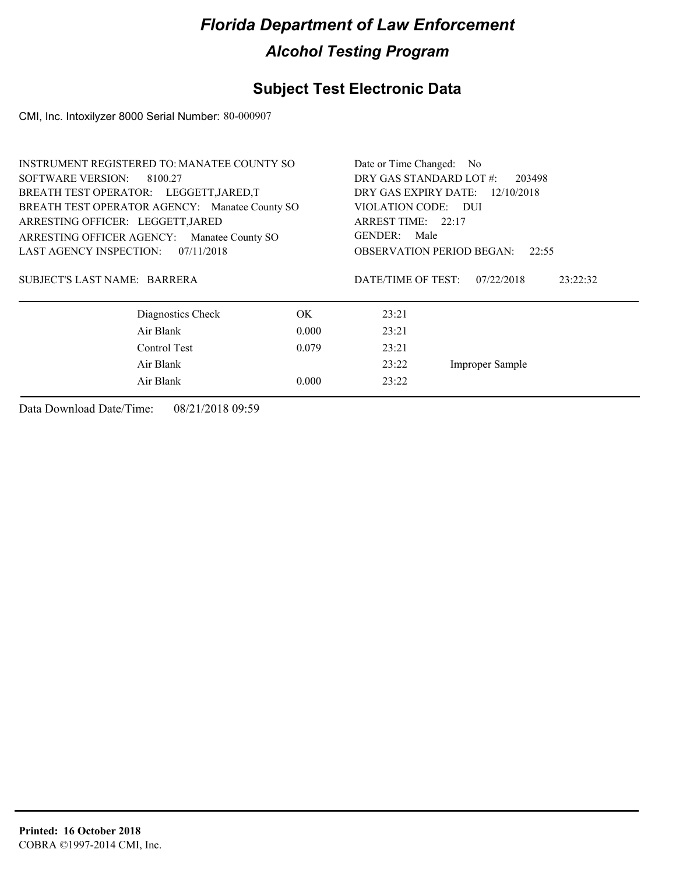### **Subject Test Electronic Data**

CMI, Inc. Intoxilyzer 8000 Serial Number: 80-000907

| <b>INSTRUMENT REGISTERED TO: MANATEE COUNTY SO</b> | Date or Time Changed: No          |                                    |          |
|----------------------------------------------------|-----------------------------------|------------------------------------|----------|
| <b>SOFTWARE VERSION:</b><br>8100.27                | DRY GAS STANDARD LOT #:<br>203498 |                                    |          |
| BREATH TEST OPERATOR: LEGGETT, JARED, T            |                                   | DRY GAS EXPIRY DATE:<br>12/10/2018 |          |
| BREATH TEST OPERATOR AGENCY: Manatee County SO     |                                   | VIOLATION CODE: DUI                |          |
| ARRESTING OFFICER: LEGGETT, JARED                  |                                   | ARREST TIME: $22:17$               |          |
| ARRESTING OFFICER AGENCY:<br>Manatee County SO     |                                   | GENDER:<br>Male                    |          |
| LAST AGENCY INSPECTION:<br>07/11/2018              |                                   | <b>OBSERVATION PERIOD BEGAN:</b>   | 22:55    |
|                                                    |                                   |                                    |          |
| SUBJECT'S LAST NAME: BARRERA                       |                                   | DATE/TIME OF TEST:<br>07/22/2018   | 23:22:32 |
|                                                    |                                   |                                    |          |
| Diagnostics Check                                  | OK.                               | 23:21                              |          |
| Air Blank                                          | 0.000                             | 23:21                              |          |
| Control Test                                       | 0.079                             | 23:21                              |          |
| Air Blank                                          | 23:22<br>Improper Sample          |                                    |          |
| Air Blank                                          | 23:22                             |                                    |          |
|                                                    |                                   |                                    |          |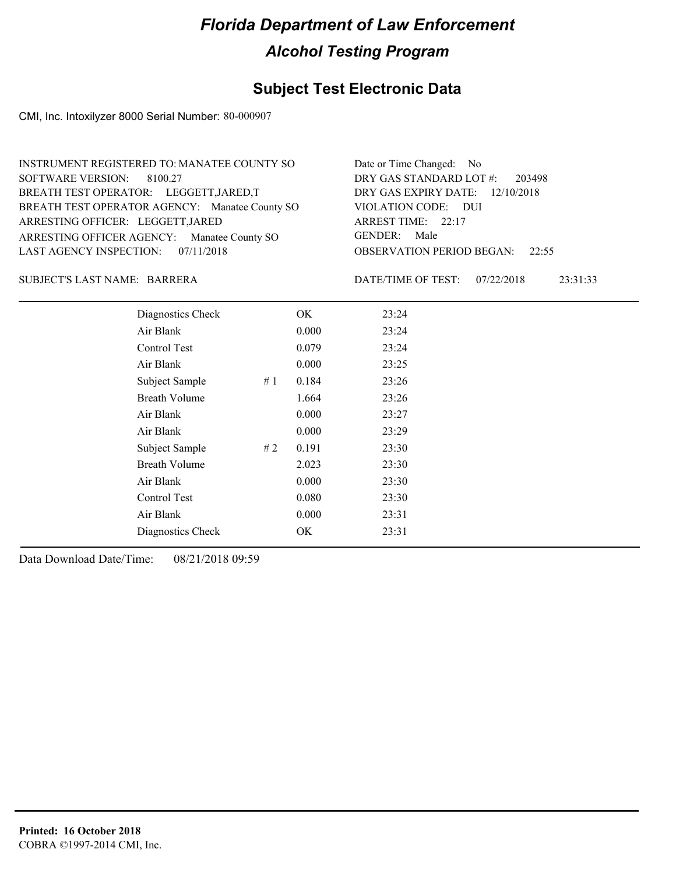#### **Subject Test Electronic Data**

CMI, Inc. Intoxilyzer 8000 Serial Number: 80-000907

| INSTRUMENT REGISTERED TO: MANATEE COUNTY SO    | Date or Time Changed: No               |
|------------------------------------------------|----------------------------------------|
| SOFTWARE VERSION: 8100.27                      | DRY GAS STANDARD LOT #: 203498         |
| BREATH TEST OPERATOR: LEGGETT, JARED, T        | DRY GAS EXPIRY DATE: 12/10/2018        |
| BREATH TEST OPERATOR AGENCY: Manatee County SO | VIOLATION CODE: DUI                    |
| ARRESTING OFFICER: LEGGETT, JARED              | ARREST TIME: 22:17                     |
| ARRESTING OFFICER AGENCY: Manatee County SO    | GENDER: Male                           |
| LAST AGENCY INSPECTION: $07/11/2018$           | <b>OBSERVATION PERIOD BEGAN: 22:55</b> |

#### BARRERA SUBJECT'S LAST NAME: DATE/TIME OF TEST:

DATE/TIME OF TEST: 07/22/2018 23:31:33

| Diagnostics Check    |    | OK    | 23:24 |
|----------------------|----|-------|-------|
| Air Blank            |    | 0.000 | 23:24 |
| Control Test         |    | 0.079 | 23:24 |
| Air Blank            |    | 0.000 | 23:25 |
| Subject Sample       | #1 | 0.184 | 23:26 |
| <b>Breath Volume</b> |    | 1.664 | 23:26 |
| Air Blank            |    | 0.000 | 23:27 |
| Air Blank            |    | 0.000 | 23:29 |
| Subject Sample       | #2 | 0.191 | 23:30 |
| <b>Breath Volume</b> |    | 2.023 | 23:30 |
| Air Blank            |    | 0.000 | 23:30 |
| Control Test         |    | 0.080 | 23:30 |
| Air Blank            |    | 0.000 | 23:31 |
| Diagnostics Check    |    | OK    | 23:31 |
|                      |    |       |       |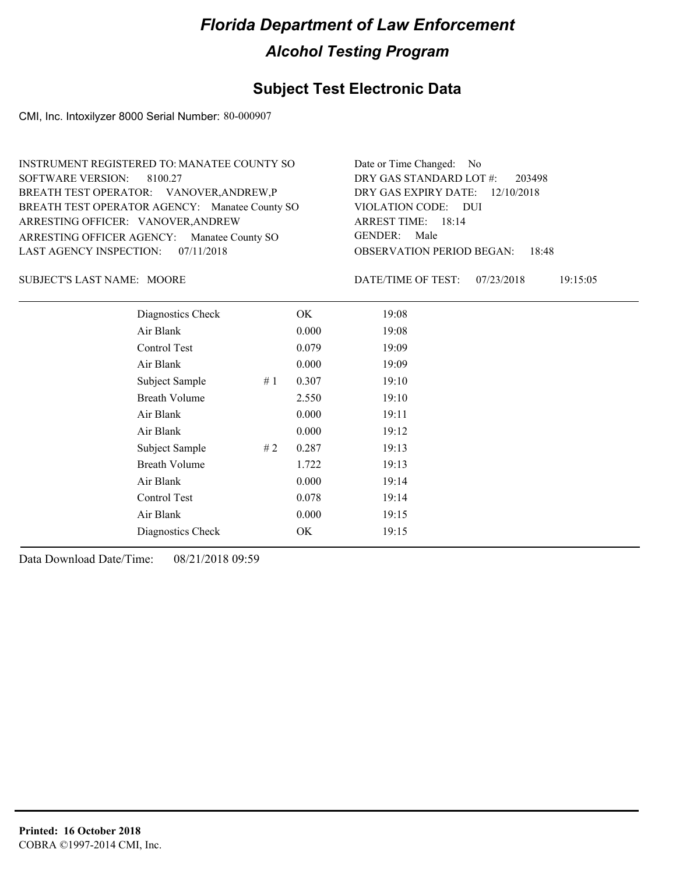#### **Subject Test Electronic Data**

CMI, Inc. Intoxilyzer 8000 Serial Number: 80-000907

| INSTRUMENT REGISTERED TO: MANATEE COUNTY SO    | Date or Time Changed: No               |
|------------------------------------------------|----------------------------------------|
| SOFTWARE VERSION: 8100.27                      | DRY GAS STANDARD LOT #: 203498         |
| BREATH TEST OPERATOR: VANOVER, ANDREW, P       | DRY GAS EXPIRY DATE: 12/10/2018        |
| BREATH TEST OPERATOR AGENCY: Manatee County SO | VIOLATION CODE: DUI                    |
| ARRESTING OFFICER: VANOVER, ANDREW             | ARREST TIME: 18:14                     |
| ARRESTING OFFICER AGENCY: Manatee County SO    | GENDER: Male                           |
| LAST AGENCY INSPECTION: $07/11/2018$           | <b>OBSERVATION PERIOD BEGAN: 18:48</b> |

SUBJECT'S LAST NAME: MOORE DATE/TIME OF TEST:

DATE/TIME OF TEST: 07/23/2018 19:15:05

| Diagnostics Check    |    | OK    | 19:08 |
|----------------------|----|-------|-------|
| Air Blank            |    | 0.000 | 19:08 |
| Control Test         |    | 0.079 | 19:09 |
| Air Blank            |    | 0.000 | 19:09 |
| Subject Sample       | #1 | 0.307 | 19:10 |
| <b>Breath Volume</b> |    | 2.550 | 19:10 |
| Air Blank            |    | 0.000 | 19:11 |
| Air Blank            |    | 0.000 | 19:12 |
| Subject Sample       | #2 | 0.287 | 19:13 |
| <b>Breath Volume</b> |    | 1.722 | 19:13 |
| Air Blank            |    | 0.000 | 19:14 |
| Control Test         |    | 0.078 | 19:14 |
| Air Blank            |    | 0.000 | 19:15 |
| Diagnostics Check    |    | OK    | 19:15 |
|                      |    |       |       |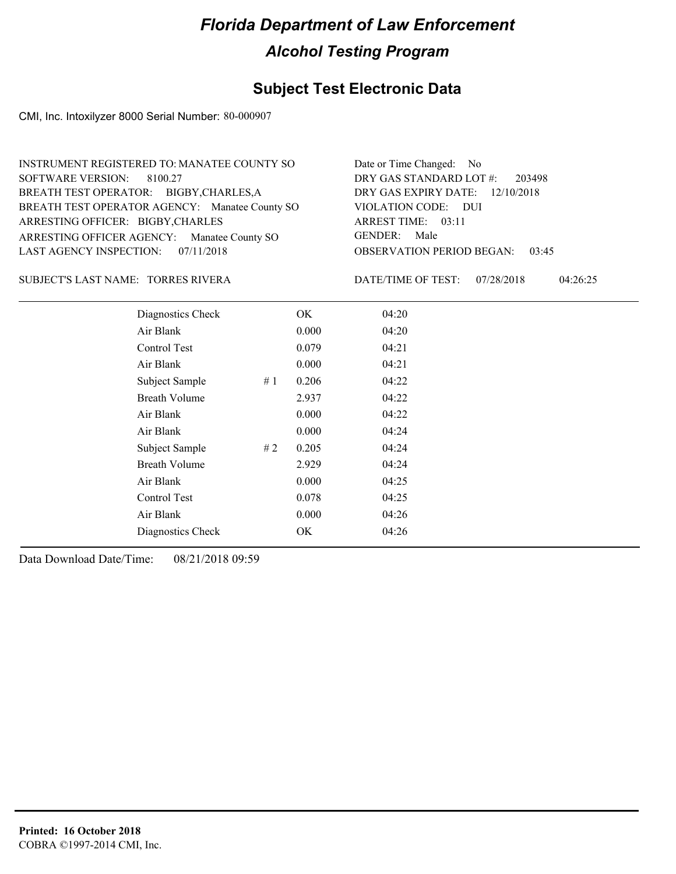#### **Subject Test Electronic Data**

CMI, Inc. Intoxilyzer 8000 Serial Number: 80-000907

| INSTRUMENT REGISTERED TO: MANATEE COUNTY SO    | Date or Time Changed: No               |
|------------------------------------------------|----------------------------------------|
| SOFTWARE VERSION: 8100.27                      | DRY GAS STANDARD LOT #: 203498         |
| BREATH TEST OPERATOR: BIGBY, CHARLES, A        | DRY GAS EXPIRY DATE: 12/10/2018        |
| BREATH TEST OPERATOR AGENCY: Manatee County SO | VIOLATION CODE: DUI                    |
| ARRESTING OFFICER: BIGBY, CHARLES              | ARREST TIME: 03:11                     |
| ARRESTING OFFICER AGENCY: Manatee County SO    | GENDER: Male                           |
| LAST AGENCY INSPECTION: $07/11/2018$           | <b>OBSERVATION PERIOD BEGAN: 03:45</b> |

TORRES RIVERA SUBJECT'S LAST NAME: DATE/TIME OF TEST:

DATE/TIME OF TEST: 07/28/2018 04:26:25

| Diagnostics Check    |    | OK    | 04:20 |
|----------------------|----|-------|-------|
| Air Blank            |    | 0.000 | 04:20 |
| <b>Control Test</b>  |    | 0.079 | 04:21 |
| Air Blank            |    | 0.000 | 04:21 |
| Subject Sample       | #1 | 0.206 | 04:22 |
| <b>Breath Volume</b> |    | 2.937 | 04:22 |
| Air Blank            |    | 0.000 | 04:22 |
| Air Blank            |    | 0.000 | 04:24 |
| Subject Sample       | #2 | 0.205 | 04:24 |
| <b>Breath Volume</b> |    | 2.929 | 04:24 |
| Air Blank            |    | 0.000 | 04:25 |
| Control Test         |    | 0.078 | 04:25 |
| Air Blank            |    | 0.000 | 04:26 |
| Diagnostics Check    |    | OK    | 04:26 |
|                      |    |       |       |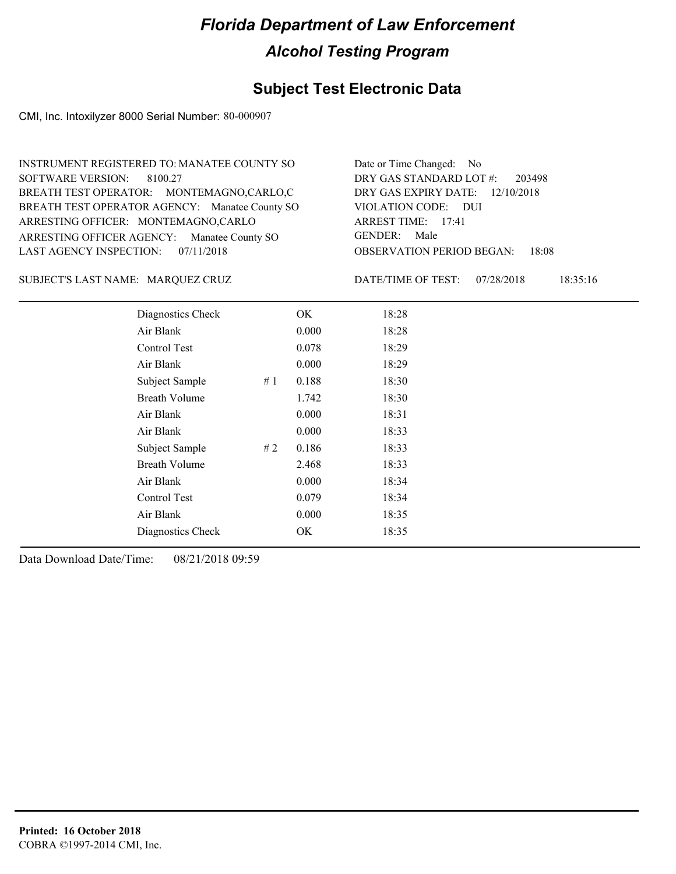#### **Subject Test Electronic Data**

CMI, Inc. Intoxilyzer 8000 Serial Number: 80-000907

| INSTRUMENT REGISTERED TO: MANATEE COUNTY SO    | Date or Time Changed: No               |
|------------------------------------------------|----------------------------------------|
| SOFTWARE VERSION: 8100.27                      | DRY GAS STANDARD LOT #: 203498         |
| BREATH TEST OPERATOR: MONTEMAGNO,CARLO,C       | DRY GAS EXPIRY DATE: 12/10/2018        |
| BREATH TEST OPERATOR AGENCY: Manatee County SO | VIOLATION CODE: DUI                    |
| ARRESTING OFFICER: MONTEMAGNO,CARLO            | ARREST TIME: 17:41                     |
| ARRESTING OFFICER AGENCY: Manatee County SO    | GENDER: Male                           |
| LAST AGENCY INSPECTION: $07/11/2018$           | <b>OBSERVATION PERIOD BEGAN: 18:08</b> |

MARQUEZ CRUZ SUBJECT'S LAST NAME: DATE/TIME OF TEST:

DATE/TIME OF TEST: 07/28/2018 18:35:16

| Diagnostics Check    |    | OK    | 18:28 |
|----------------------|----|-------|-------|
| Air Blank            |    | 0.000 | 18:28 |
| Control Test         |    | 0.078 | 18:29 |
| Air Blank            |    | 0.000 | 18:29 |
| Subject Sample       | #1 | 0.188 | 18:30 |
| <b>Breath Volume</b> |    | 1.742 | 18:30 |
| Air Blank            |    | 0.000 | 18:31 |
| Air Blank            |    | 0.000 | 18:33 |
| Subject Sample       | #2 | 0.186 | 18:33 |
| <b>Breath Volume</b> |    | 2.468 | 18:33 |
| Air Blank            |    | 0.000 | 18:34 |
| Control Test         |    | 0.079 | 18:34 |
| Air Blank            |    | 0.000 | 18:35 |
| Diagnostics Check    |    | OK    | 18:35 |
|                      |    |       |       |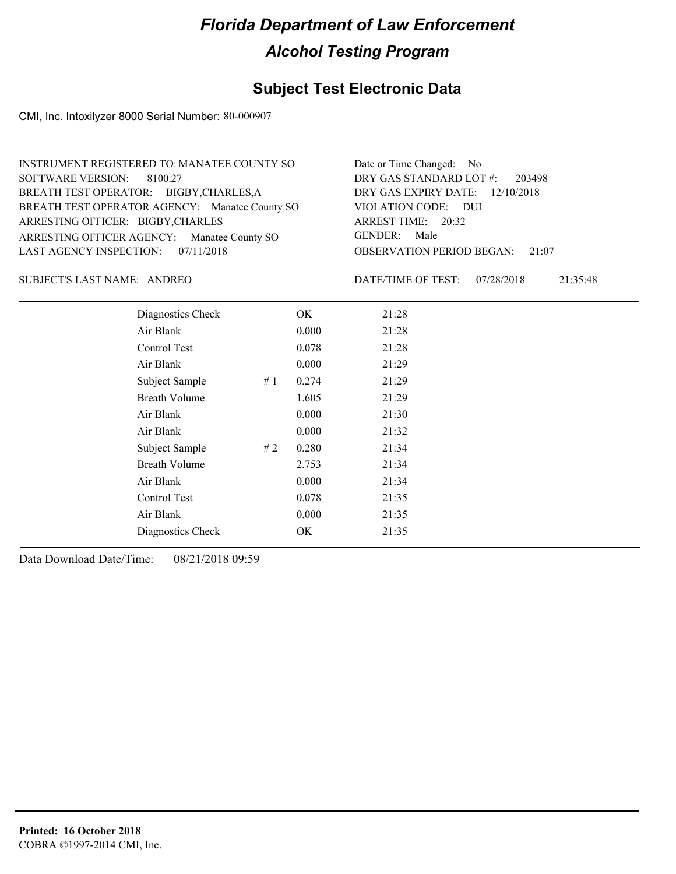#### **Subject Test Electronic Data**

CMI, Inc. Intoxilyzer 8000 Serial Number: 80-000907

| INSTRUMENT REGISTERED TO: MANATEE COUNTY SO    | Date or Time Changed: No               |
|------------------------------------------------|----------------------------------------|
| SOFTWARE VERSION: 8100.27                      | DRY GAS STANDARD LOT #: 203498         |
| BREATH TEST OPERATOR: BIGBY, CHARLES, A        | DRY GAS EXPIRY DATE: 12/10/2018        |
| BREATH TEST OPERATOR AGENCY: Manatee County SO | VIOLATION CODE: DUI                    |
| ARRESTING OFFICER: BIGBY, CHARLES              | ARREST TIME: 20:32                     |
| ARRESTING OFFICER AGENCY: Manatee County SO    | GENDER: Male                           |
| LAST AGENCY INSPECTION: $07/11/2018$           | <b>OBSERVATION PERIOD BEGAN: 21:07</b> |

SUBJECT'S LAST NAME: ANDREO DATE/TIME OF TEST:

DATE/TIME OF TEST: 07/28/2018 21:35:48

| Diagnostics Check    | OK    | 21:28 |
|----------------------|-------|-------|
| Air Blank            | 0.000 | 21:28 |
| Control Test         | 0.078 | 21:28 |
| Air Blank            | 0.000 | 21:29 |
| Subject Sample<br>#1 | 0.274 | 21:29 |
| <b>Breath Volume</b> | 1.605 | 21:29 |
| Air Blank            | 0.000 | 21:30 |
| Air Blank            | 0.000 | 21:32 |
| Subject Sample<br>#2 | 0.280 | 21:34 |
| <b>Breath Volume</b> | 2.753 | 21:34 |
| Air Blank            | 0.000 | 21:34 |
| Control Test         | 0.078 | 21:35 |
| Air Blank            | 0.000 | 21:35 |
| Diagnostics Check    | OK    | 21:35 |
|                      |       |       |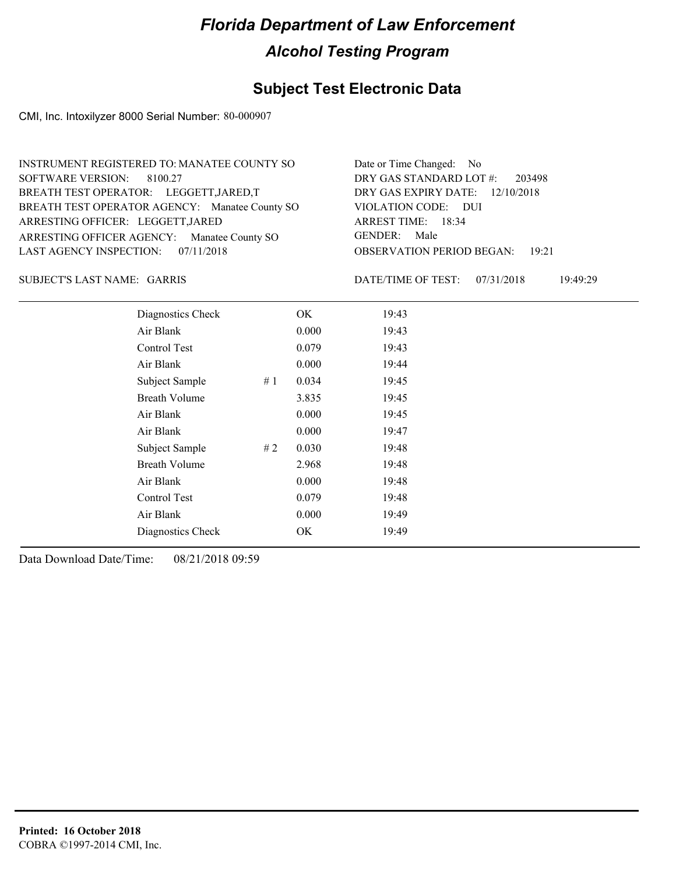#### **Subject Test Electronic Data**

CMI, Inc. Intoxilyzer 8000 Serial Number: 80-000907

| INSTRUMENT REGISTERED TO: MANATEE COUNTY SO    | Date or Time Changed: No               |
|------------------------------------------------|----------------------------------------|
| SOFTWARE VERSION: 8100.27                      | DRY GAS STANDARD LOT #: 203498         |
| BREATH TEST OPERATOR: LEGGETT, JARED, T        | DRY GAS EXPIRY DATE: 12/10/2018        |
| BREATH TEST OPERATOR AGENCY: Manatee County SO | VIOLATION CODE: DUI                    |
| ARRESTING OFFICER: LEGGETT, JARED              | ARREST TIME: 18:34                     |
| ARRESTING OFFICER AGENCY: Manatee County SO    | GENDER: Male                           |
| LAST AGENCY INSPECTION: $07/11/2018$           | <b>OBSERVATION PERIOD BEGAN: 19:21</b> |

GARRIS SUBJECT'S LAST NAME: DATE/TIME OF TEST:

DATE/TIME OF TEST: 07/31/2018 19:49:29

| Diagnostics Check    |    | OK    | 19:43 |
|----------------------|----|-------|-------|
| Air Blank            |    | 0.000 | 19:43 |
| <b>Control Test</b>  |    | 0.079 | 19:43 |
| Air Blank            |    | 0.000 | 19:44 |
| Subject Sample       | #1 | 0.034 | 19:45 |
| <b>Breath Volume</b> |    | 3.835 | 19:45 |
| Air Blank            |    | 0.000 | 19:45 |
| Air Blank            |    | 0.000 | 19:47 |
| Subject Sample       | #2 | 0.030 | 19:48 |
| <b>Breath Volume</b> |    | 2.968 | 19:48 |
| Air Blank            |    | 0.000 | 19:48 |
| Control Test         |    | 0.079 | 19:48 |
| Air Blank            |    | 0.000 | 19:49 |
| Diagnostics Check    |    | OK    | 19:49 |
|                      |    |       |       |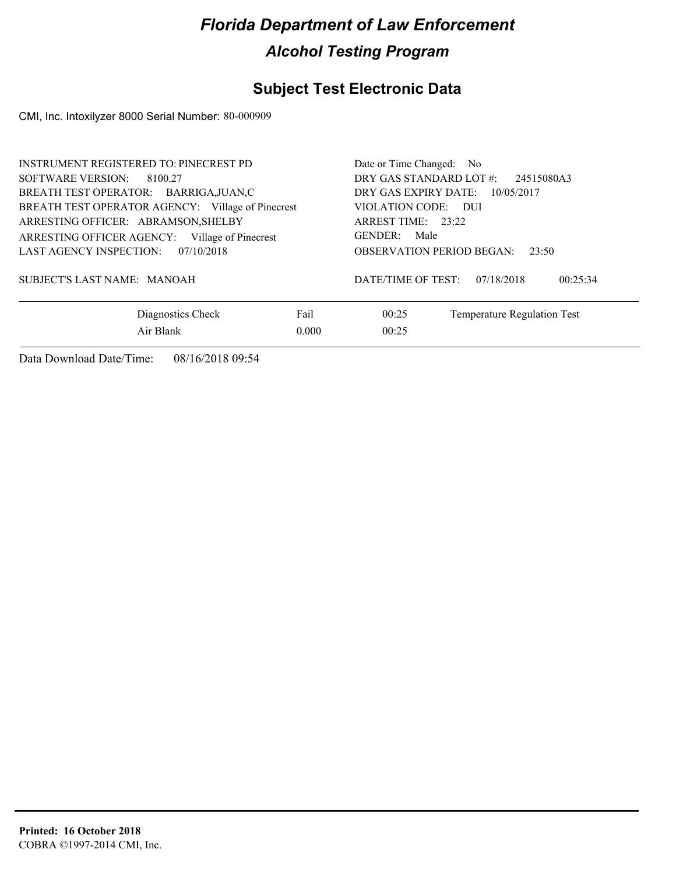### **Subject Test Electronic Data**

CMI, Inc. Intoxilyzer 8000 Serial Number: 80-000909

| <b>INSTRUMENT REGISTERED TO: PINECREST PD</b><br>SOFTWARE VERSION: 8100.27<br>BREATH TEST OPERATOR: BARRIGA, JUAN, C<br>BREATH TEST OPERATOR AGENCY: Village of Pinecrest<br>ARRESTING OFFICER: ABRAMSON, SHELBY<br>ARRESTING OFFICER AGENCY: Village of Pinecrest<br>LAST AGENCY INSPECTION:<br>07/10/2018<br>SUBJECT'S LAST NAME: MANOAH |       | Date or Time Changed: No<br>DRY GAS STANDARD LOT #:<br>DRY GAS EXPIRY DATE:<br>VIOLATION CODE: DUI<br>ARREST TIME: 23:22<br><b>GENDER:</b><br>Male<br><b>OBSERVATION PERIOD BEGAN:</b><br>DATE/TIME OF TEST: | 24515080A3<br>10/05/2017<br>23:50<br>07/18/2018<br>00:25:34 |
|--------------------------------------------------------------------------------------------------------------------------------------------------------------------------------------------------------------------------------------------------------------------------------------------------------------------------------------------|-------|--------------------------------------------------------------------------------------------------------------------------------------------------------------------------------------------------------------|-------------------------------------------------------------|
| Diagnostics Check                                                                                                                                                                                                                                                                                                                          | Fail  | 00:25                                                                                                                                                                                                        | Temperature Regulation Test                                 |
| Air Blank                                                                                                                                                                                                                                                                                                                                  | 0.000 | 00:25                                                                                                                                                                                                        |                                                             |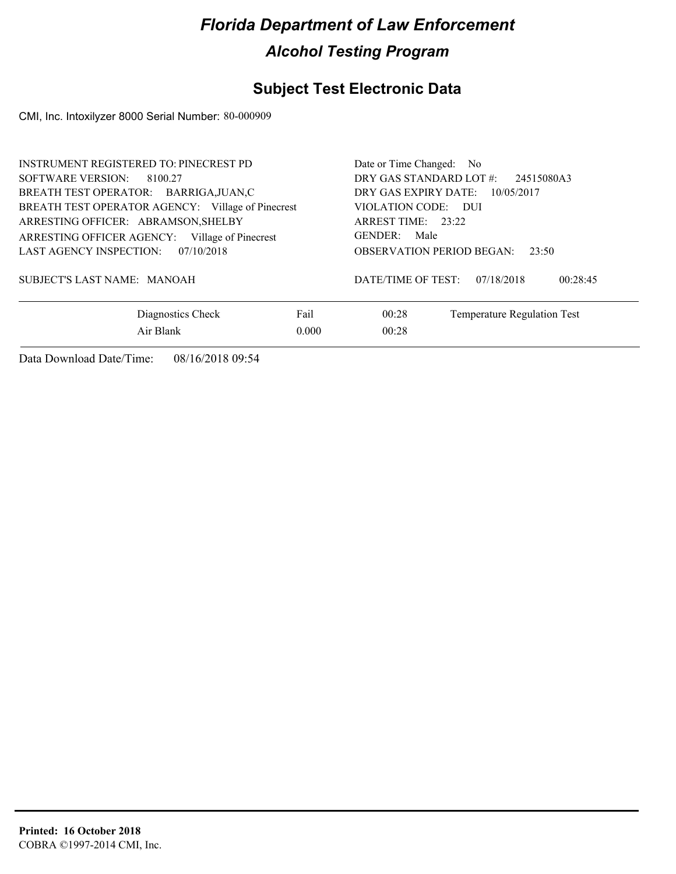### **Subject Test Electronic Data**

CMI, Inc. Intoxilyzer 8000 Serial Number: 80-000909

| <b>INSTRUMENT REGISTERED TO: PINECREST PD</b><br>SOFTWARE VERSION:<br>8100.27<br>BREATH TEST OPERATOR: BARRIGA, JUAN, C<br>BREATH TEST OPERATOR AGENCY: Village of Pinecrest<br>ARRESTING OFFICER: ABRAMSON, SHELBY<br>ARRESTING OFFICER AGENCY:<br>Village of Pinecrest<br>LAST AGENCY INSPECTION:<br>07/10/2018<br>SUBJECT'S LAST NAME: MANOAH | Date or Time Changed: No<br>DRY GAS STANDARD LOT #:<br>DRY GAS EXPIRY DATE:<br>VIOLATION CODE: DUI<br>ARREST TIME: 23:22<br>GENDER:<br>Male<br><b>OBSERVATION PERIOD BEGAN:</b><br>DATE/TIME OF TEST: | 24515080A3<br>10/05/2017<br>23:50<br>07/18/2018<br>00:28:45 |                             |
|--------------------------------------------------------------------------------------------------------------------------------------------------------------------------------------------------------------------------------------------------------------------------------------------------------------------------------------------------|-------------------------------------------------------------------------------------------------------------------------------------------------------------------------------------------------------|-------------------------------------------------------------|-----------------------------|
| Diagnostics Check                                                                                                                                                                                                                                                                                                                                | Fail                                                                                                                                                                                                  | 00:28                                                       | Temperature Regulation Test |
| Air Blank                                                                                                                                                                                                                                                                                                                                        | 0.000                                                                                                                                                                                                 | 00:28                                                       |                             |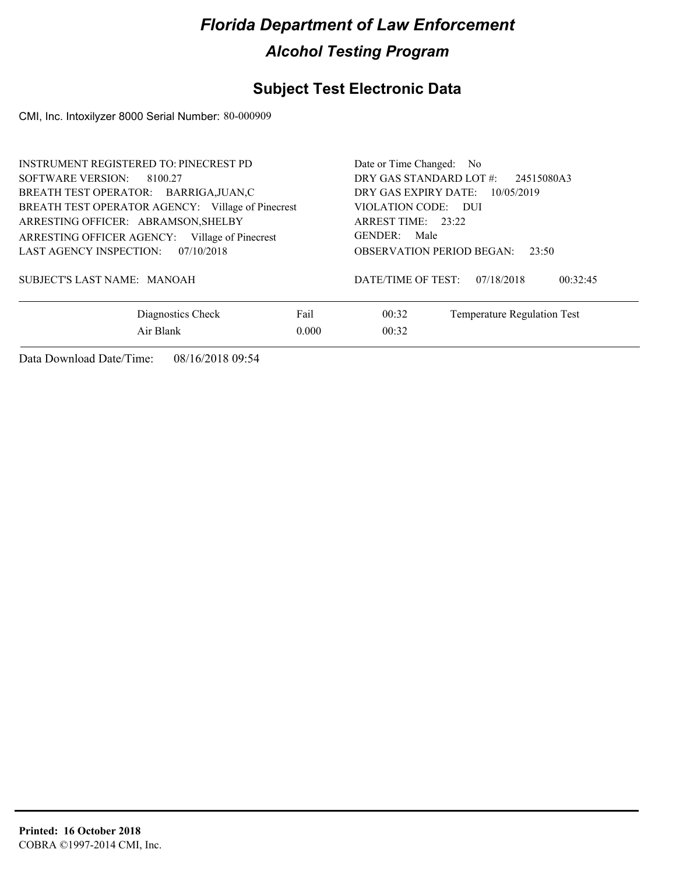### **Subject Test Electronic Data**

CMI, Inc. Intoxilyzer 8000 Serial Number: 80-000909

| <b>INSTRUMENT REGISTERED TO: PINECREST PD</b><br>SOFTWARE VERSION:<br>8100.27<br>BREATH TEST OPERATOR: BARRIGA, JUAN, C<br>BREATH TEST OPERATOR AGENCY: Village of Pinecrest<br>ARRESTING OFFICER: ABRAMSON, SHELBY<br>ARRESTING OFFICER AGENCY:<br>Village of Pinecrest<br>LAST AGENCY INSPECTION:<br>07/10/2018<br>SUBJECT'S LAST NAME: MANOAH |       | Date or Time Changed: No<br>DRY GAS STANDARD LOT #:<br>DRY GAS EXPIRY DATE:<br>VIOLATION CODE: DUI<br>ARREST TIME: $23:22$<br>GENDER:<br>Male<br><b>OBSERVATION PERIOD BEGAN:</b><br>DATE/TIME OF TEST: | 24515080A3<br>10/05/2019<br>23:50<br>07/18/2018<br>00:32:45 |
|--------------------------------------------------------------------------------------------------------------------------------------------------------------------------------------------------------------------------------------------------------------------------------------------------------------------------------------------------|-------|---------------------------------------------------------------------------------------------------------------------------------------------------------------------------------------------------------|-------------------------------------------------------------|
| Diagnostics Check                                                                                                                                                                                                                                                                                                                                | Fail  | 00:32                                                                                                                                                                                                   | Temperature Regulation Test                                 |
| Air Blank                                                                                                                                                                                                                                                                                                                                        | 0.000 | 00:32                                                                                                                                                                                                   |                                                             |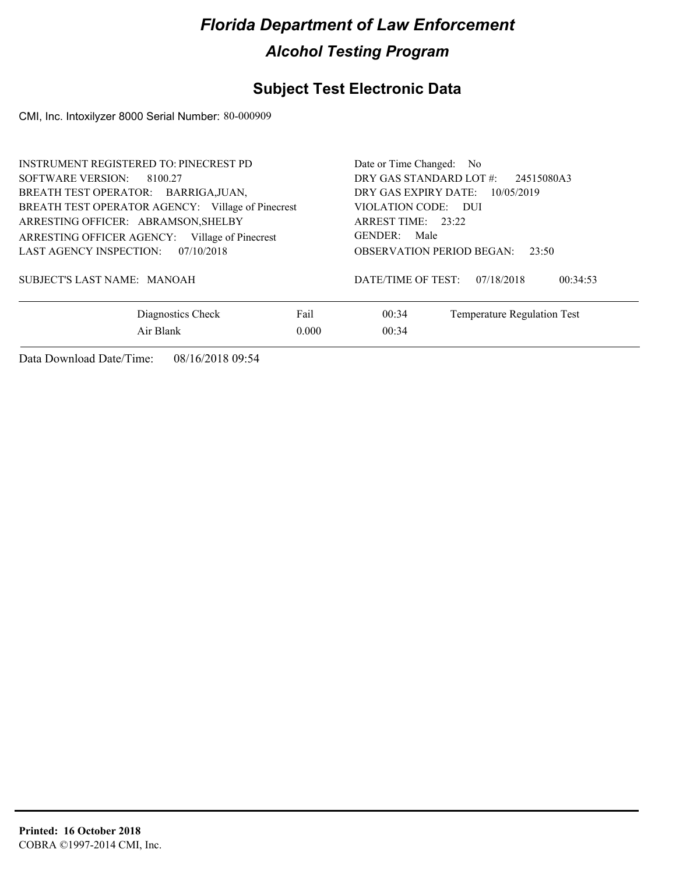### **Subject Test Electronic Data**

CMI, Inc. Intoxilyzer 8000 Serial Number: 80-000909

| <b>INSTRUMENT REGISTERED TO: PINECREST PD</b><br>SOFTWARE VERSION:<br>8100.27<br>BREATH TEST OPERATOR: BARRIGA, JUAN,<br>BREATH TEST OPERATOR AGENCY: Village of Pinecrest<br>ARRESTING OFFICER: ABRAMSON, SHELBY<br>ARRESTING OFFICER AGENCY:<br>Village of Pinecrest<br>LAST AGENCY INSPECTION:<br>07/10/2018<br>SUBJECT'S LAST NAME: MANOAH |       | Date or Time Changed: No<br>DRY GAS STANDARD LOT #:<br>DRY GAS EXPIRY DATE:<br>VIOLATION CODE: DUI<br>ARREST TIME: 23:22<br>GENDER:<br>Male<br><b>OBSERVATION PERIOD BEGAN:</b><br>DATE/TIME OF TEST: | 24515080A3<br>10/05/2019<br>23:50<br>07/18/2018<br>00:34:53 |
|------------------------------------------------------------------------------------------------------------------------------------------------------------------------------------------------------------------------------------------------------------------------------------------------------------------------------------------------|-------|-------------------------------------------------------------------------------------------------------------------------------------------------------------------------------------------------------|-------------------------------------------------------------|
| Diagnostics Check                                                                                                                                                                                                                                                                                                                              | Fail  | 00:34                                                                                                                                                                                                 | Temperature Regulation Test                                 |
| Air Blank                                                                                                                                                                                                                                                                                                                                      | 0.000 | 00:34                                                                                                                                                                                                 |                                                             |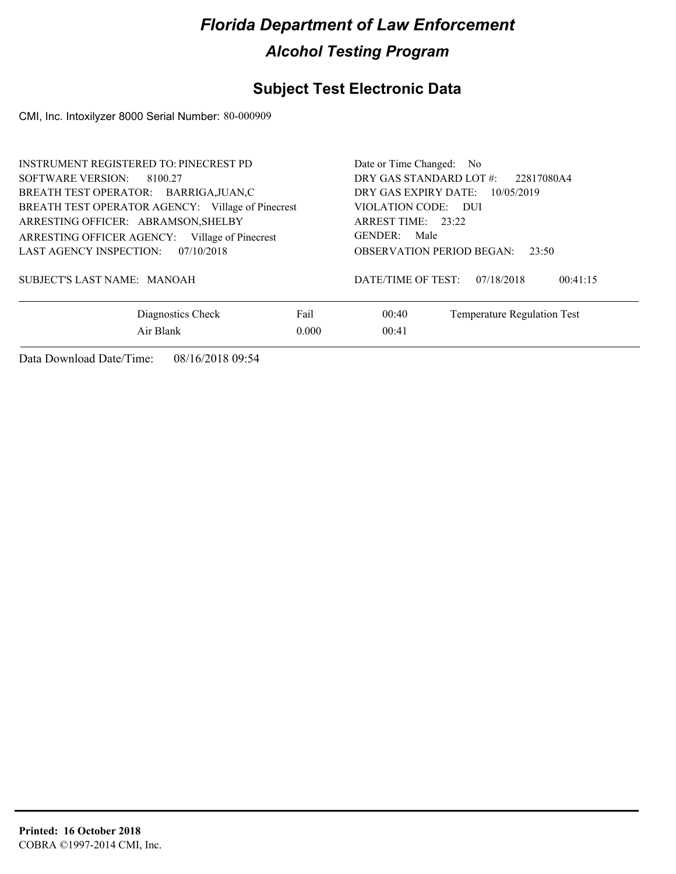### **Subject Test Electronic Data**

CMI, Inc. Intoxilyzer 8000 Serial Number: 80-000909

| <b>INSTRUMENT REGISTERED TO: PINECREST PD</b><br>SOFTWARE VERSION:<br>8100.27<br>BREATH TEST OPERATOR: BARRIGA, JUAN, C<br>BREATH TEST OPERATOR AGENCY: Village of Pinecrest<br>ARRESTING OFFICER: ABRAMSON, SHELBY<br>ARRESTING OFFICER AGENCY:<br>Village of Pinecrest<br>LAST AGENCY INSPECTION:<br>07/10/2018<br>SUBJECT'S LAST NAME: MANOAH |       | Date or Time Changed: No<br>DRY GAS STANDARD LOT #:<br>DRY GAS EXPIRY DATE:<br>VIOLATION CODE: DUI<br>ARREST TIME: 23:22<br>GENDER:<br>Male<br><b>OBSERVATION PERIOD BEGAN:</b><br>DATE/TIME OF TEST: | 22817080A4<br>10/05/2019<br>23:50<br>07/18/2018<br>00:41:15 |
|--------------------------------------------------------------------------------------------------------------------------------------------------------------------------------------------------------------------------------------------------------------------------------------------------------------------------------------------------|-------|-------------------------------------------------------------------------------------------------------------------------------------------------------------------------------------------------------|-------------------------------------------------------------|
| Diagnostics Check                                                                                                                                                                                                                                                                                                                                | Fail  | 00:40                                                                                                                                                                                                 | Temperature Regulation Test                                 |
| Air Blank                                                                                                                                                                                                                                                                                                                                        | 0.000 | 00:41                                                                                                                                                                                                 |                                                             |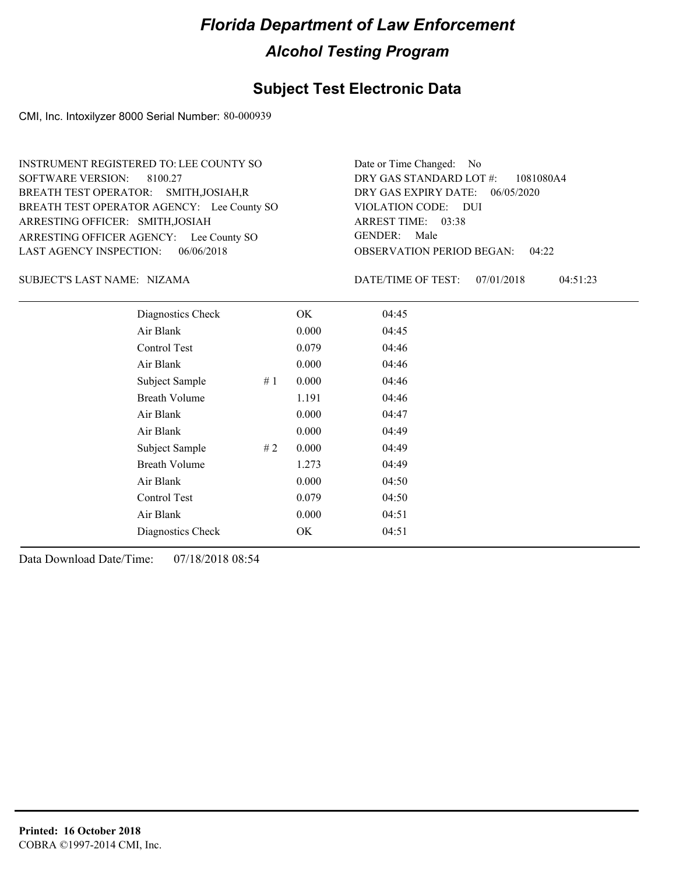### **Subject Test Electronic Data**

CMI, Inc. Intoxilyzer 8000 Serial Number: 80-000939

ARRESTING OFFICER AGENCY: Lee County SO GENDER: BREATH TEST OPERATOR AGENCY: Lee County SO VIOLATION CODE: SOFTWARE VERSION: ARRESTING OFFICER: SMITH,JOSIAH BREATH TEST OPERATOR: SMITH,JOSIAH,R LAST AGENCY INSPECTION: 06/06/2018 8100.27 INSTRUMENT REGISTERED TO: LEE COUNTY SO

OBSERVATION PERIOD BEGAN: 04:22 VIOLATION CODE: DUI 03:38 ARREST TIME: 06/05/2020 DRY GAS EXPIRY DATE: 1081080A4 DRY GAS STANDARD LOT #: Date or Time Changed: No GENDER: Male

NIZAMA SUBJECT'S LAST NAME: DATE/TIME OF TEST:

DATE/TIME OF TEST: 07/01/2018 04:51:23

| Diagnostics Check     | OK    | 04:45 |
|-----------------------|-------|-------|
| Air Blank             | 0.000 | 04:45 |
| Control Test          | 0.079 | 04:46 |
| Air Blank             | 0.000 | 04:46 |
| Subject Sample<br>#1  | 0.000 | 04:46 |
| <b>Breath Volume</b>  | 1.191 | 04:46 |
| Air Blank             | 0.000 | 04:47 |
| Air Blank             | 0.000 | 04:49 |
| Subject Sample<br># 2 | 0.000 | 04:49 |
| <b>Breath Volume</b>  | 1.273 | 04:49 |
| Air Blank             | 0.000 | 04:50 |
| Control Test          | 0.079 | 04:50 |
| Air Blank             | 0.000 | 04:51 |
| Diagnostics Check     | OK    | 04:51 |
|                       |       |       |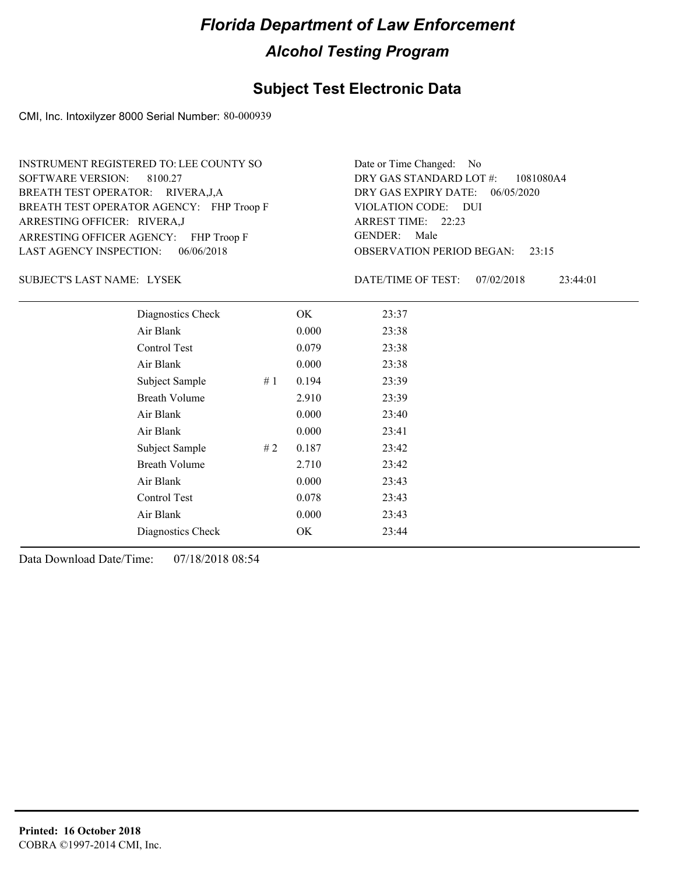### **Subject Test Electronic Data**

CMI, Inc. Intoxilyzer 8000 Serial Number: 80-000939

ARRESTING OFFICER AGENCY: FHP Troop F GENDER: BREATH TEST OPERATOR AGENCY: FHP Troop F VIOLATION CODE: SOFTWARE VERSION: 8100.27 ARRESTING OFFICER: RIVERA,J BREATH TEST OPERATOR: RIVERA,J,A LAST AGENCY INSPECTION: 06/06/2018 INSTRUMENT REGISTERED TO: LEE COUNTY SO

OBSERVATION PERIOD BEGAN: 23:15 VIOLATION CODE: DUI ARREST TIME: 22:23 06/05/2020 DRY GAS EXPIRY DATE: 1081080A4 DRY GAS STANDARD LOT #: Date or Time Changed: No GENDER: Male

LYSEK SUBJECT'S LAST NAME: DATE/TIME OF TEST:

DATE/TIME OF TEST: 07/02/2018 23:44:01

| Diagnostics Check    |    | OK    | 23:37 |
|----------------------|----|-------|-------|
| Air Blank            |    | 0.000 | 23:38 |
| Control Test         |    | 0.079 | 23:38 |
| Air Blank            |    | 0.000 | 23:38 |
| Subject Sample       | #1 | 0.194 | 23:39 |
| <b>Breath Volume</b> |    | 2.910 | 23:39 |
| Air Blank            |    | 0.000 | 23:40 |
| Air Blank            |    | 0.000 | 23:41 |
| Subject Sample       | #2 | 0.187 | 23:42 |
| <b>Breath Volume</b> |    | 2.710 | 23:42 |
| Air Blank            |    | 0.000 | 23:43 |
| Control Test         |    | 0.078 | 23:43 |
| Air Blank            |    | 0.000 | 23:43 |
| Diagnostics Check    |    | OK    | 23:44 |
|                      |    |       |       |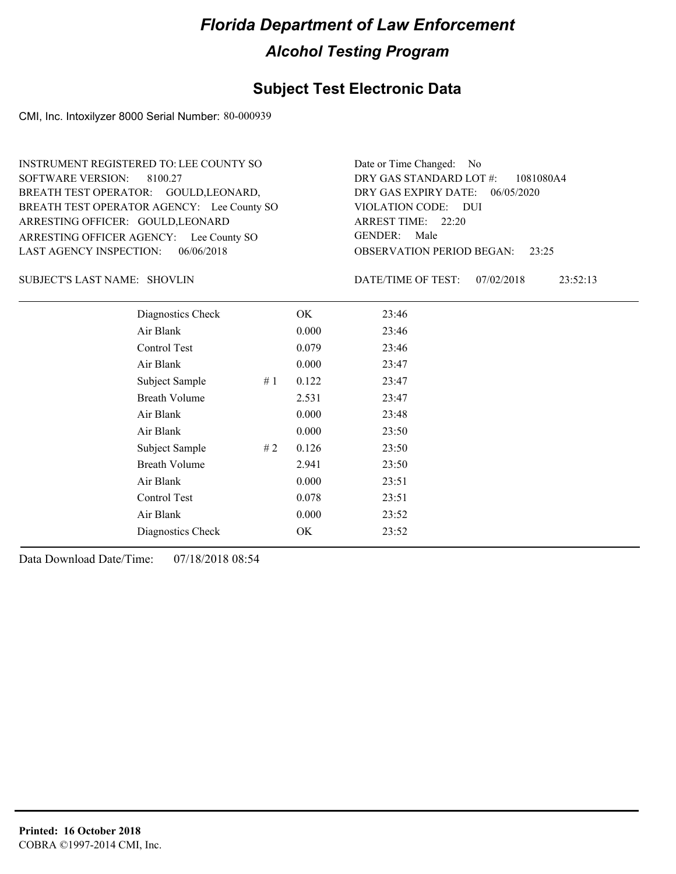### **Subject Test Electronic Data**

CMI, Inc. Intoxilyzer 8000 Serial Number: 80-000939

ARRESTING OFFICER AGENCY: Lee County SO GENDER: BREATH TEST OPERATOR AGENCY: Lee County SO VIOLATION CODE: SOFTWARE VERSION: 8100.27 ARRESTING OFFICER: GOULD, LEONARD BREATH TEST OPERATOR: GOULD, LEONARD, LAST AGENCY INSPECTION: 06/06/2018 INSTRUMENT REGISTERED TO: LEE COUNTY SO

OBSERVATION PERIOD BEGAN: 23:25 VIOLATION CODE: DUI ARREST TIME: 22:20 06/05/2020 DRY GAS EXPIRY DATE: 1081080A4 DRY GAS STANDARD LOT #: Date or Time Changed: No GENDER: Male

SHOVLIN SUBJECT'S LAST NAME: DATE/TIME OF TEST:

DATE/TIME OF TEST: 07/02/2018 23:52:13

| Diagnostics Check    |    | OK    | 23:46 |
|----------------------|----|-------|-------|
| Air Blank            |    | 0.000 | 23:46 |
| Control Test         |    | 0.079 | 23:46 |
| Air Blank            |    | 0.000 | 23:47 |
| Subject Sample       | #1 | 0.122 | 23:47 |
| <b>Breath Volume</b> |    | 2.531 | 23:47 |
| Air Blank            |    | 0.000 | 23:48 |
| Air Blank            |    | 0.000 | 23:50 |
| Subject Sample       | #2 | 0.126 | 23:50 |
| <b>Breath Volume</b> |    | 2.941 | 23:50 |
| Air Blank            |    | 0.000 | 23:51 |
| Control Test         |    | 0.078 | 23:51 |
| Air Blank            |    | 0.000 | 23:52 |
| Diagnostics Check    |    | OK    | 23:52 |
|                      |    |       |       |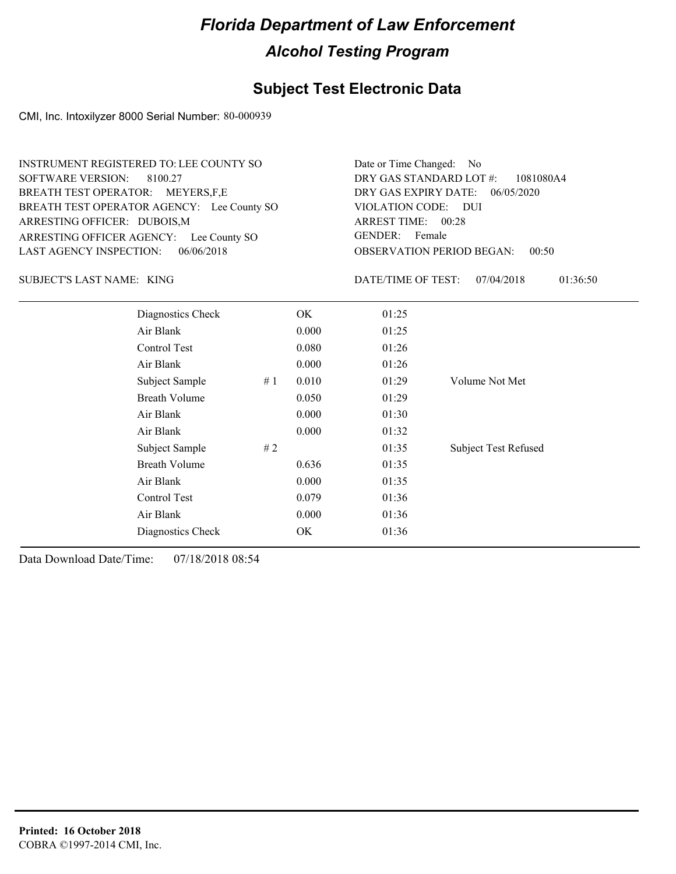### **Subject Test Electronic Data**

CMI, Inc. Intoxilyzer 8000 Serial Number: 80-000939

| <b>INSTRUMENT REGISTERED TO: LEE COUNTY SO</b><br>BREATH TEST OPERATOR AGENCY: Lee County SO<br>ARRESTING OFFICER AGENCY: Lee County SO | Date or Time Changed:<br>No.<br>DRY GAS STANDARD LOT #:<br>1081080A4<br>DRY GAS EXPIRY DATE:<br>06/05/2020<br>VIOLATION CODE: DUI<br><b>ARREST TIME:</b><br>00:28<br><b>GENDER:</b><br>Female<br><b>OBSERVATION PERIOD BEGAN:</b><br>00:50 |                    |                             |  |
|-----------------------------------------------------------------------------------------------------------------------------------------|--------------------------------------------------------------------------------------------------------------------------------------------------------------------------------------------------------------------------------------------|--------------------|-----------------------------|--|
|                                                                                                                                         |                                                                                                                                                                                                                                            | DATE/TIME OF TEST: | 07/04/2018<br>01:36:50      |  |
|                                                                                                                                         | OK                                                                                                                                                                                                                                         | 01:25              |                             |  |
|                                                                                                                                         | 0.000                                                                                                                                                                                                                                      | 01:25              |                             |  |
|                                                                                                                                         | 0.080                                                                                                                                                                                                                                      | 01:26              |                             |  |
|                                                                                                                                         | 0.000                                                                                                                                                                                                                                      | 01:26              |                             |  |
| #1                                                                                                                                      | 0.010                                                                                                                                                                                                                                      | 01:29              | Volume Not Met              |  |
|                                                                                                                                         | 0.050                                                                                                                                                                                                                                      | 01:29              |                             |  |
|                                                                                                                                         | 0.000                                                                                                                                                                                                                                      | 01:30              |                             |  |
|                                                                                                                                         | 0.000                                                                                                                                                                                                                                      | 01:32              |                             |  |
| #2                                                                                                                                      |                                                                                                                                                                                                                                            | 01:35              | <b>Subject Test Refused</b> |  |
|                                                                                                                                         | 0.636                                                                                                                                                                                                                                      | 01:35              |                             |  |
|                                                                                                                                         | 0.000                                                                                                                                                                                                                                      | 01:35              |                             |  |
|                                                                                                                                         | 0.079                                                                                                                                                                                                                                      | 01:36              |                             |  |
|                                                                                                                                         | 0.000                                                                                                                                                                                                                                      | 01:36              |                             |  |
|                                                                                                                                         | OK                                                                                                                                                                                                                                         | 01:36              |                             |  |
|                                                                                                                                         |                                                                                                                                                                                                                                            |                    |                             |  |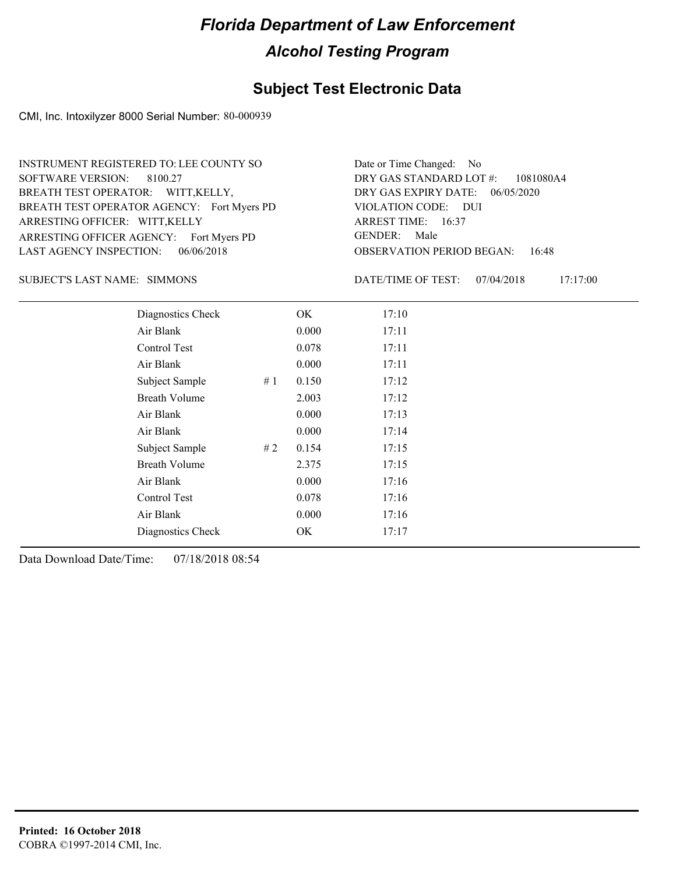### **Subject Test Electronic Data**

CMI, Inc. Intoxilyzer 8000 Serial Number: 80-000939

ARRESTING OFFICER AGENCY: Fort Myers PD GENDER: BREATH TEST OPERATOR AGENCY: Fort Myers PD VIOLATION CODE: SOFTWARE VERSION: 8100.27 ARRESTING OFFICER: WITT,KELLY BREATH TEST OPERATOR: WITT,KELLY, LAST AGENCY INSPECTION: 06/06/2018 INSTRUMENT REGISTERED TO: LEE COUNTY SO

OBSERVATION PERIOD BEGAN: 16:48 VIOLATION CODE: DUI ARREST TIME: 16:37 06/05/2020 DRY GAS EXPIRY DATE: 1081080A4 DRY GAS STANDARD LOT #: Date or Time Changed: No GENDER: Male

SUBJECT'S LAST NAME: SIMMONS DATE/TIME OF TEST:

DATE/TIME OF TEST: 07/04/2018 17:17:00

| Diagnostics Check    |    | OK    | 17:10 |
|----------------------|----|-------|-------|
| Air Blank            |    | 0.000 | 17:11 |
| Control Test         |    | 0.078 | 17:11 |
| Air Blank            |    | 0.000 | 17:11 |
| Subject Sample       | #1 | 0.150 | 17:12 |
| Breath Volume        |    | 2.003 | 17:12 |
| Air Blank            |    | 0.000 | 17:13 |
| Air Blank            |    | 0.000 | 17:14 |
| Subject Sample       | #2 | 0.154 | 17:15 |
| <b>Breath Volume</b> |    | 2.375 | 17:15 |
| Air Blank            |    | 0.000 | 17:16 |
| Control Test         |    | 0.078 | 17:16 |
| Air Blank            |    | 0.000 | 17:16 |
| Diagnostics Check    |    | OK.   | 17:17 |
|                      |    |       |       |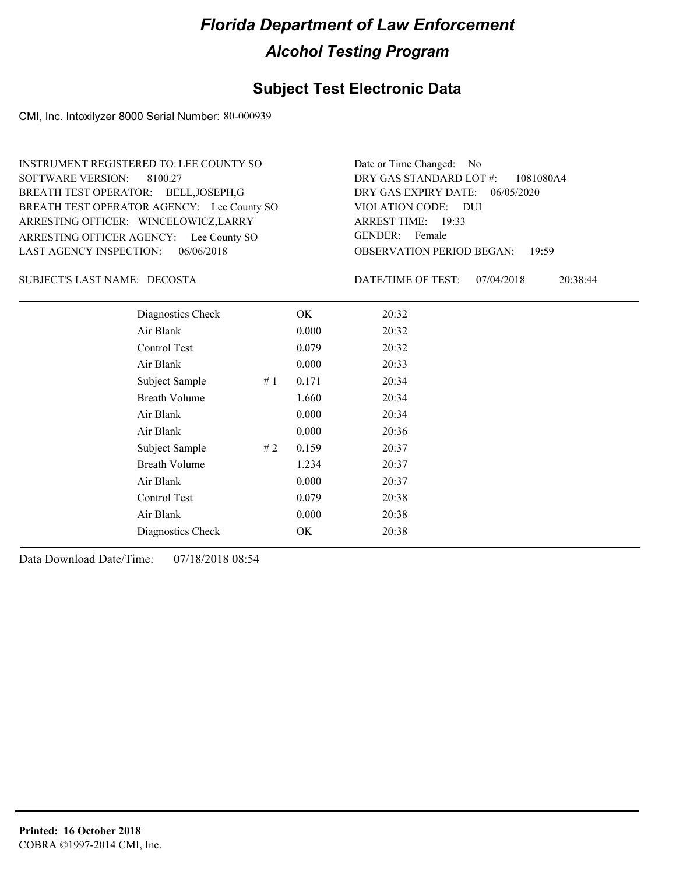### **Subject Test Electronic Data**

CMI, Inc. Intoxilyzer 8000 Serial Number: 80-000939

ARRESTING OFFICER AGENCY: Lee County SO GENDER: BREATH TEST OPERATOR AGENCY: Lee County SO VIOLATION CODE: SOFTWARE VERSION: ARRESTING OFFICER: WINCELOWICZ,LARRY BREATH TEST OPERATOR: BELL,JOSEPH,G LAST AGENCY INSPECTION: 06/06/2018 8100.27 INSTRUMENT REGISTERED TO: LEE COUNTY SO

OBSERVATION PERIOD BEGAN: 19:59 VIOLATION CODE: DUI ARREST TIME: 19:33 06/05/2020 DRY GAS EXPIRY DATE: 1081080A4 DRY GAS STANDARD LOT #: Date or Time Changed: No GENDER: Female

DECOSTA SUBJECT'S LAST NAME: DATE/TIME OF TEST:

DATE/TIME OF TEST: 07/04/2018 20:38:44

| Diagnostics Check    |    | OK    | 20:32 |
|----------------------|----|-------|-------|
| Air Blank            |    | 0.000 | 20:32 |
| Control Test         |    | 0.079 | 20:32 |
| Air Blank            |    | 0.000 | 20:33 |
| Subject Sample       | #1 | 0.171 | 20:34 |
| <b>Breath Volume</b> |    | 1.660 | 20:34 |
| Air Blank            |    | 0.000 | 20:34 |
| Air Blank            |    | 0.000 | 20:36 |
| Subject Sample       | #2 | 0.159 | 20:37 |
| <b>Breath Volume</b> |    | 1.234 | 20:37 |
| Air Blank            |    | 0.000 | 20:37 |
| Control Test         |    | 0.079 | 20:38 |
| Air Blank            |    | 0.000 | 20:38 |
| Diagnostics Check    |    | OK    | 20:38 |
|                      |    |       |       |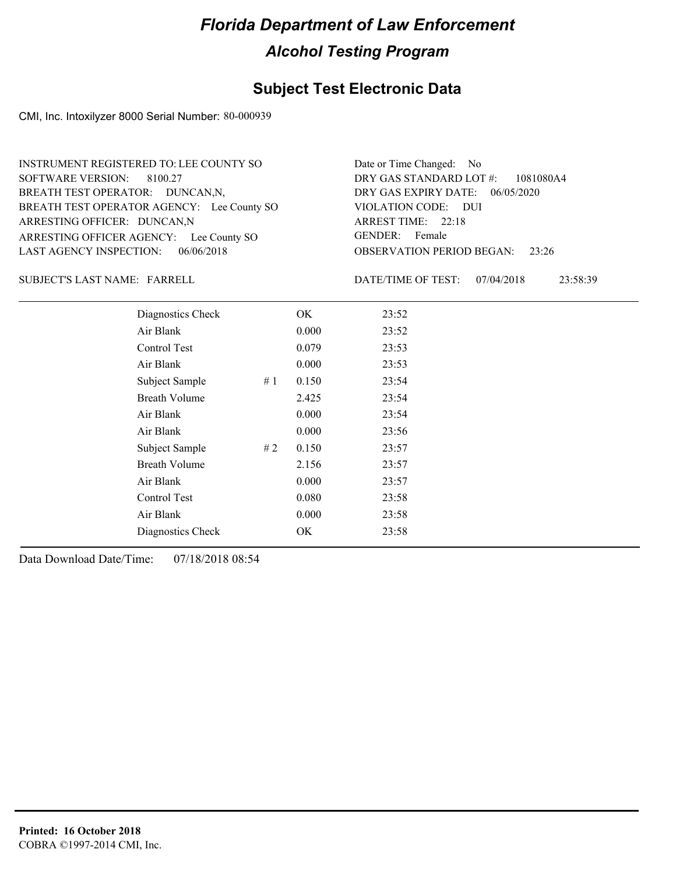### **Subject Test Electronic Data**

CMI, Inc. Intoxilyzer 8000 Serial Number: 80-000939

ARRESTING OFFICER AGENCY: Lee County SO GENDER: BREATH TEST OPERATOR AGENCY: Lee County SO VIOLATION CODE: SOFTWARE VERSION: 8100.27 ARRESTING OFFICER: DUNCAN,N BREATH TEST OPERATOR: DUNCAN,N, LAST AGENCY INSPECTION: 06/06/2018 INSTRUMENT REGISTERED TO: LEE COUNTY SO

OBSERVATION PERIOD BEGAN: 23:26 VIOLATION CODE: DUI ARREST TIME: 22:18 06/05/2020 DRY GAS EXPIRY DATE: 1081080A4 DRY GAS STANDARD LOT #: Date or Time Changed: No GENDER: Female

SUBJECT'S LAST NAME: FARRELL DATE/TIME OF TEST:

DATE/TIME OF TEST: 07/04/2018 23:58:39

| Diagnostics Check    | OK    | 23:52 |
|----------------------|-------|-------|
| Air Blank            | 0.000 | 23:52 |
| Control Test         | 0.079 | 23:53 |
| Air Blank            | 0.000 | 23:53 |
| Subject Sample<br>#1 | 0.150 | 23:54 |
| <b>Breath Volume</b> | 2.425 | 23:54 |
| Air Blank            | 0.000 | 23:54 |
| Air Blank            | 0.000 | 23:56 |
| Subject Sample<br>#2 | 0.150 | 23:57 |
| <b>Breath Volume</b> | 2.156 | 23:57 |
| Air Blank            | 0.000 | 23:57 |
| Control Test         | 0.080 | 23:58 |
| Air Blank            | 0.000 | 23:58 |
| Diagnostics Check    | OK    | 23:58 |
|                      |       |       |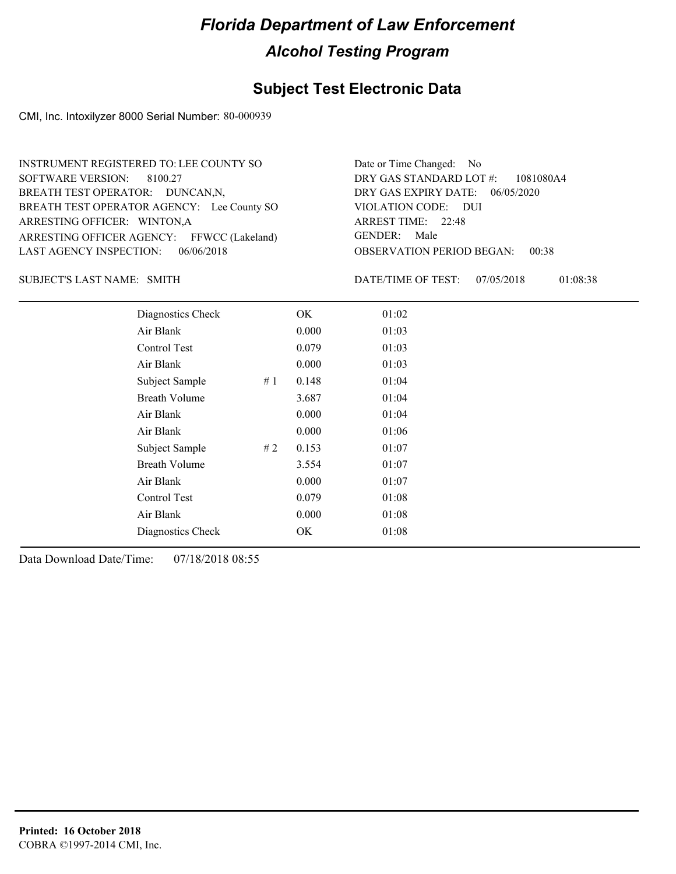### **Subject Test Electronic Data**

CMI, Inc. Intoxilyzer 8000 Serial Number: 80-000939

ARRESTING OFFICER AGENCY: FFWCC (Lakeland) GENDER: BREATH TEST OPERATOR AGENCY: Lee County SO VIOLATION CODE: SOFTWARE VERSION: ARRESTING OFFICER: WINTON,A BREATH TEST OPERATOR: DUNCAN,N, LAST AGENCY INSPECTION: 06/06/2018 8100.27 INSTRUMENT REGISTERED TO: LEE COUNTY SO

OBSERVATION PERIOD BEGAN: 00:38 VIOLATION CODE: DUI 22:48 ARREST TIME: 06/05/2020 DRY GAS EXPIRY DATE: 1081080A4 DRY GAS STANDARD LOT #: Date or Time Changed: No GENDER: Male

SUBJECT'S LAST NAME: SMITH **Example 2018** DATE/TIME OF TEST:

DATE/TIME OF TEST: 07/05/2018 01:08:38

| Diagnostics Check    |    | OK    | 01:02 |
|----------------------|----|-------|-------|
| Air Blank            |    | 0.000 | 01:03 |
| Control Test         |    | 0.079 | 01:03 |
| Air Blank            |    | 0.000 | 01:03 |
| Subject Sample<br>#1 |    | 0.148 | 01:04 |
| <b>Breath Volume</b> |    | 3.687 | 01:04 |
| Air Blank            |    | 0.000 | 01:04 |
| Air Blank            |    | 0.000 | 01:06 |
| Subject Sample       | #2 | 0.153 | 01:07 |
| <b>Breath Volume</b> |    | 3.554 | 01:07 |
| Air Blank            |    | 0.000 | 01:07 |
| Control Test         |    | 0.079 | 01:08 |
| Air Blank            |    | 0.000 | 01:08 |
| Diagnostics Check    |    | OK    | 01:08 |
|                      |    |       |       |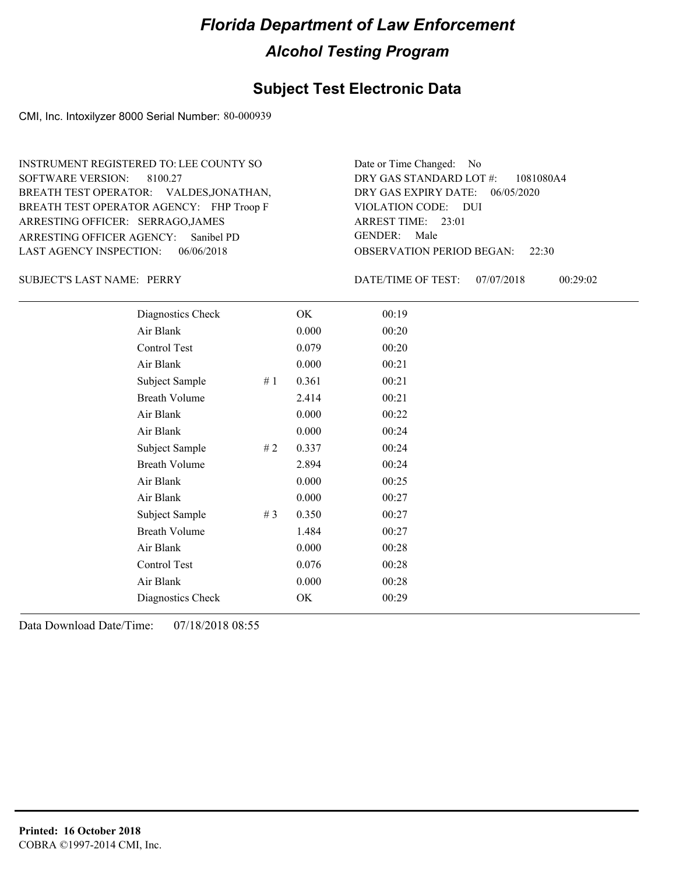### **Subject Test Electronic Data**

CMI, Inc. Intoxilyzer 8000 Serial Number: 80-000939

ARRESTING OFFICER AGENCY: GENDER: Sanibel PD BREATH TEST OPERATOR AGENCY: FHP Troop F VIOLATION CODE: SOFTWARE VERSION: ARRESTING OFFICER: SERRAGO,JAMES BREATH TEST OPERATOR: VALDES,JONATHAN, LAST AGENCY INSPECTION: 06/06/2018 8100.27 INSTRUMENT REGISTERED TO: LEE COUNTY SO

OBSERVATION PERIOD BEGAN: 22:30 VIOLATION CODE: DUI 23:01 ARREST TIME: 06/05/2020 DRY GAS EXPIRY DATE: 1081080A4 DRY GAS STANDARD LOT #: Date or Time Changed: No GENDER: Male

SUBJECT'S LAST NAME: PERRY DATE/TIME OF TEST:

DATE/TIME OF TEST: 07/07/2018 00:29:02

| Diagnostics Check    |    | OK    | 00:19 |
|----------------------|----|-------|-------|
| Air Blank            |    | 0.000 | 00:20 |
| Control Test         |    | 0.079 | 00:20 |
| Air Blank            |    | 0.000 | 00:21 |
| Subject Sample       | #1 | 0.361 | 00:21 |
| <b>Breath Volume</b> |    | 2.414 | 00:21 |
| Air Blank            |    | 0.000 | 00:22 |
| Air Blank            |    | 0.000 | 00:24 |
| Subject Sample       | #2 | 0.337 | 00:24 |
| <b>Breath Volume</b> |    | 2.894 | 00:24 |
| Air Blank            |    | 0.000 | 00:25 |
| Air Blank            |    | 0.000 | 00:27 |
| Subject Sample       | #3 | 0.350 | 00:27 |
| <b>Breath Volume</b> |    | 1.484 | 00:27 |
| Air Blank            |    | 0.000 | 00:28 |
| Control Test         |    | 0.076 | 00:28 |
| Air Blank            |    | 0.000 | 00:28 |
| Diagnostics Check    |    | OK    | 00:29 |
|                      |    |       |       |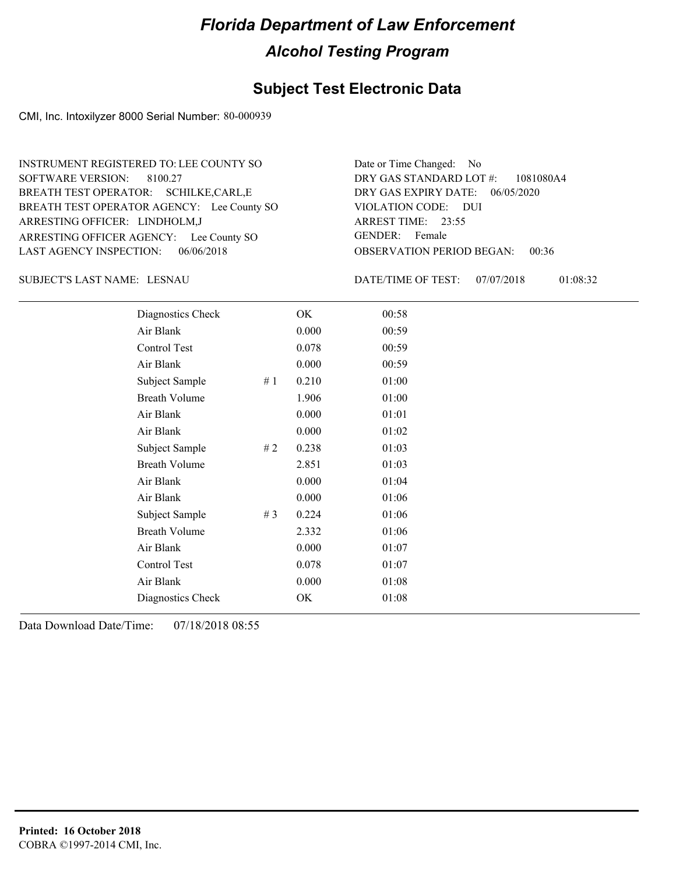### **Subject Test Electronic Data**

CMI, Inc. Intoxilyzer 8000 Serial Number: 80-000939

ARRESTING OFFICER AGENCY: Lee County SO GENDER: BREATH TEST OPERATOR AGENCY: Lee County SO VIOLATION CODE: SOFTWARE VERSION: ARRESTING OFFICER: LINDHOLM,J BREATH TEST OPERATOR: SCHILKE,CARL,E LAST AGENCY INSPECTION: 06/06/2018 8100.27 INSTRUMENT REGISTERED TO: LEE COUNTY SO

OBSERVATION PERIOD BEGAN: 00:36 VIOLATION CODE: DUI 23:55 ARREST TIME: 06/05/2020 DRY GAS EXPIRY DATE: 1081080A4 DRY GAS STANDARD LOT #: Date or Time Changed: No GENDER: Female

LESNAU SUBJECT'S LAST NAME: DATE/TIME OF TEST:

DATE/TIME OF TEST: 07/07/2018 01:08:32

| Diagnostics Check    |       | OK    | 00:58 |
|----------------------|-------|-------|-------|
| Air Blank            |       | 0.000 | 00:59 |
| <b>Control Test</b>  |       | 0.078 | 00:59 |
| Air Blank            |       | 0.000 | 00:59 |
| Subject Sample       | #1    | 0.210 | 01:00 |
| <b>Breath Volume</b> |       | 1.906 | 01:00 |
| Air Blank            |       | 0.000 | 01:01 |
| Air Blank            |       | 0.000 | 01:02 |
| Subject Sample       | #2    | 0.238 | 01:03 |
| <b>Breath Volume</b> |       | 2.851 | 01:03 |
| Air Blank            |       | 0.000 | 01:04 |
| Air Blank            |       | 0.000 | 01:06 |
| Subject Sample       | # $3$ | 0.224 | 01:06 |
| <b>Breath Volume</b> |       | 2.332 | 01:06 |
| Air Blank            |       | 0.000 | 01:07 |
| Control Test         |       | 0.078 | 01:07 |
| Air Blank            |       | 0.000 | 01:08 |
| Diagnostics Check    |       | OK    | 01:08 |
|                      |       |       |       |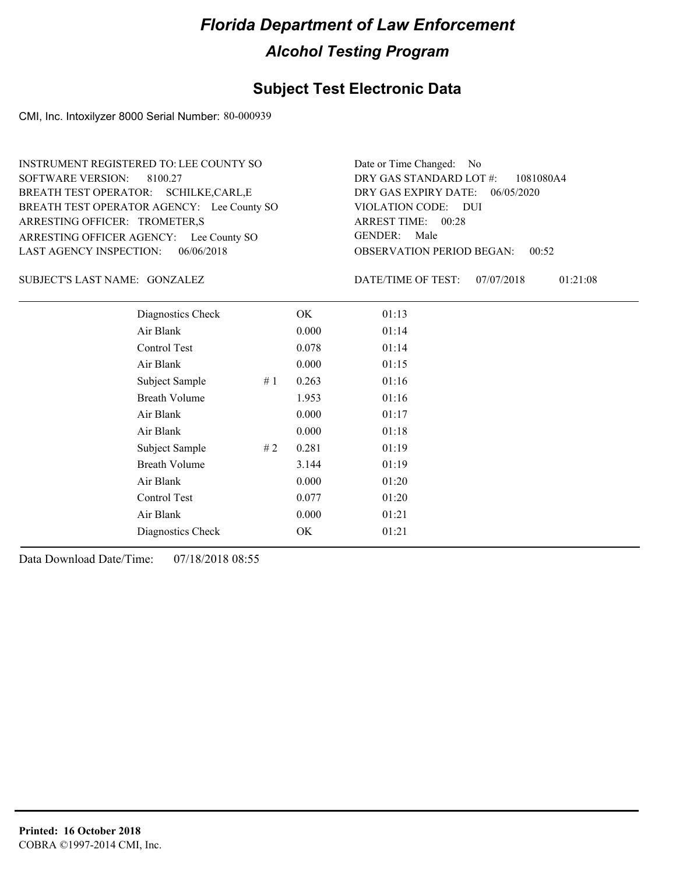### **Subject Test Electronic Data**

CMI, Inc. Intoxilyzer 8000 Serial Number: 80-000939

ARRESTING OFFICER AGENCY: Lee County SO GENDER: BREATH TEST OPERATOR AGENCY: Lee County SO VIOLATION CODE: SOFTWARE VERSION: ARRESTING OFFICER: TROMETER,S BREATH TEST OPERATOR: SCHILKE,CARL,E LAST AGENCY INSPECTION: 06/06/2018 8100.27 INSTRUMENT REGISTERED TO: LEE COUNTY SO

OBSERVATION PERIOD BEGAN: 00:52 VIOLATION CODE: DUI ARREST TIME: 00:28 06/05/2020 DRY GAS EXPIRY DATE: 1081080A4 DRY GAS STANDARD LOT #: Date or Time Changed: No GENDER: Male

GONZALEZ SUBJECT'S LAST NAME: DATE/TIME OF TEST:

DATE/TIME OF TEST: 07/07/2018 01:21:08

| Diagnostics Check    |    | OK    | 01:13 |
|----------------------|----|-------|-------|
| Air Blank            |    | 0.000 | 01:14 |
| Control Test         |    | 0.078 | 01:14 |
| Air Blank            |    | 0.000 | 01:15 |
| Subject Sample       | #1 | 0.263 | 01:16 |
| <b>Breath Volume</b> |    | 1.953 | 01:16 |
| Air Blank            |    | 0.000 | 01:17 |
| Air Blank            |    | 0.000 | 01:18 |
| Subject Sample       | #2 | 0.281 | 01:19 |
| <b>Breath Volume</b> |    | 3.144 | 01:19 |
| Air Blank            |    | 0.000 | 01:20 |
| Control Test         |    | 0.077 | 01:20 |
| Air Blank            |    | 0.000 | 01:21 |
| Diagnostics Check    |    | OK.   | 01:21 |
|                      |    |       |       |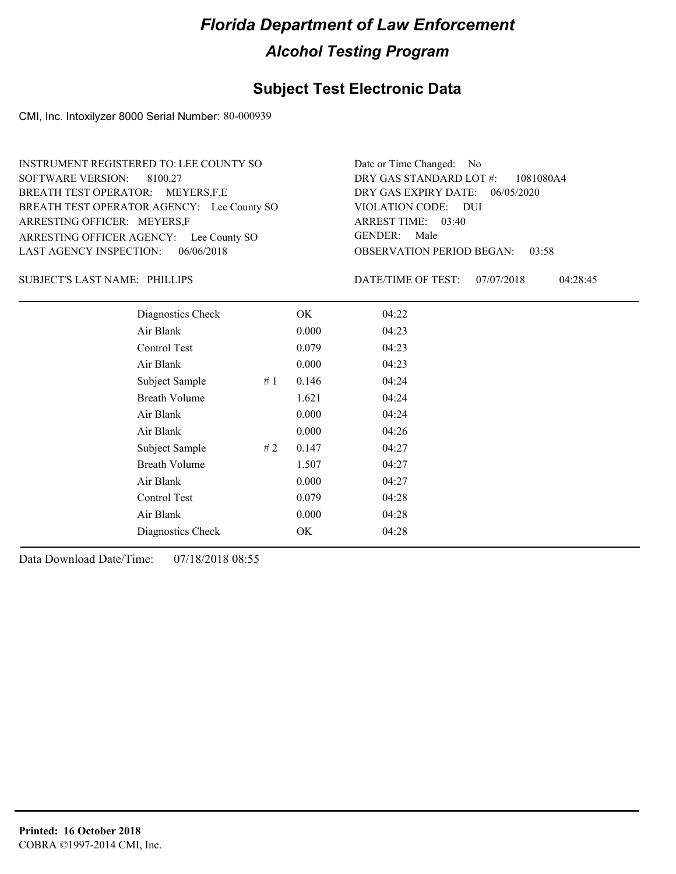### **Subject Test Electronic Data**

CMI, Inc. Intoxilyzer 8000 Serial Number: 80-000939

ARRESTING OFFICER AGENCY: Lee County SO GENDER: BREATH TEST OPERATOR AGENCY: Lee County SO VIOLATION CODE: SOFTWARE VERSION: 8100.27 ARRESTING OFFICER: MEYERS,F BREATH TEST OPERATOR: MEYERS,F,E LAST AGENCY INSPECTION: 06/06/2018 INSTRUMENT REGISTERED TO: LEE COUNTY SO

OBSERVATION PERIOD BEGAN: 03:58 VIOLATION CODE: DUI 03:40 ARREST TIME: 06/05/2020 DRY GAS EXPIRY DATE: 1081080A4 DRY GAS STANDARD LOT #: Date or Time Changed: No GENDER: Male

SUBJECT'S LAST NAME: PHILLIPS **Example 20 SOME** DATE/TIME OF TEST:

DATE/TIME OF TEST: 07/07/2018 04:28:45

| Diagnostics Check    | OK    | 04:22 |
|----------------------|-------|-------|
| Air Blank            | 0.000 | 04:23 |
| Control Test         | 0.079 | 04:23 |
| Air Blank            | 0.000 | 04:23 |
| Subject Sample<br>#1 | 0.146 | 04:24 |
| <b>Breath Volume</b> | 1.621 | 04:24 |
| Air Blank            | 0.000 | 04:24 |
| Air Blank            | 0.000 | 04:26 |
| Subject Sample<br>#2 | 0.147 | 04:27 |
| <b>Breath Volume</b> | 1.507 | 04:27 |
| Air Blank            | 0.000 | 04:27 |
| Control Test         | 0.079 | 04:28 |
| Air Blank            | 0.000 | 04:28 |
| Diagnostics Check    | OK    | 04:28 |
|                      |       |       |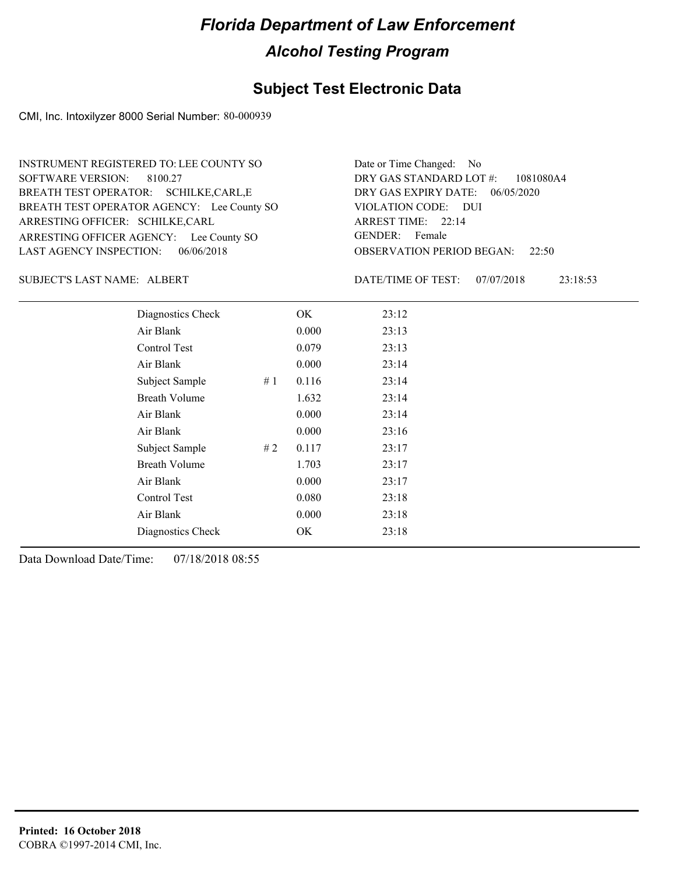### **Subject Test Electronic Data**

CMI, Inc. Intoxilyzer 8000 Serial Number: 80-000939

ARRESTING OFFICER AGENCY: Lee County SO GENDER: BREATH TEST OPERATOR AGENCY: Lee County SO VIOLATION CODE: SOFTWARE VERSION: 8100.27 ARRESTING OFFICER: SCHILKE,CARL BREATH TEST OPERATOR: SCHILKE,CARL,E LAST AGENCY INSPECTION: 06/06/2018 INSTRUMENT REGISTERED TO: LEE COUNTY SO

OBSERVATION PERIOD BEGAN: 22:50 VIOLATION CODE: DUI ARREST TIME: 22:14 06/05/2020 DRY GAS EXPIRY DATE: 1081080A4 DRY GAS STANDARD LOT #: Date or Time Changed: No GENDER: Female

ALBERT SUBJECT'S LAST NAME: DATE/TIME OF TEST:

DATE/TIME OF TEST: 07/07/2018 23:18:53

| Diagnostics Check    | OK    | 23:12 |
|----------------------|-------|-------|
| Air Blank            | 0.000 | 23:13 |
| Control Test         | 0.079 | 23:13 |
| Air Blank            | 0.000 | 23:14 |
| Subject Sample<br>#1 | 0.116 | 23:14 |
| <b>Breath Volume</b> | 1.632 | 23:14 |
| Air Blank            | 0.000 | 23:14 |
| Air Blank            | 0.000 | 23:16 |
| Subject Sample<br>#2 | 0.117 | 23:17 |
| <b>Breath Volume</b> | 1.703 | 23:17 |
| Air Blank            | 0.000 | 23:17 |
| Control Test         | 0.080 | 23:18 |
| Air Blank            | 0.000 | 23:18 |
| Diagnostics Check    | OK    | 23:18 |
|                      |       |       |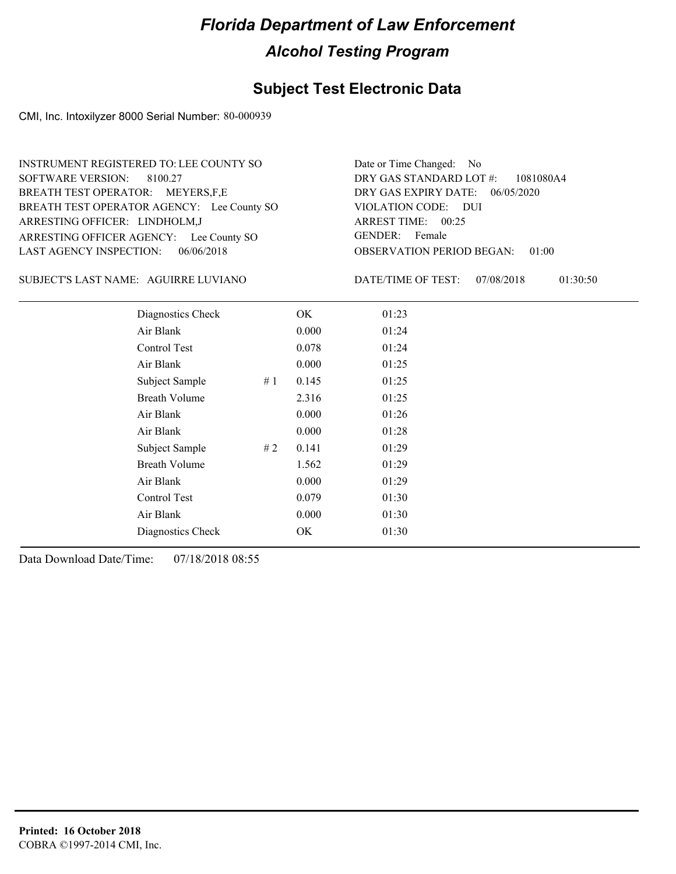### **Subject Test Electronic Data**

CMI, Inc. Intoxilyzer 8000 Serial Number: 80-000939

ARRESTING OFFICER AGENCY: Lee County SO GENDER: BREATH TEST OPERATOR AGENCY: Lee County SO VIOLATION CODE: SOFTWARE VERSION: 8100.27 ARRESTING OFFICER: LINDHOLM,J BREATH TEST OPERATOR: MEYERS,F,E LAST AGENCY INSPECTION: 06/06/2018 INSTRUMENT REGISTERED TO: LEE COUNTY SO

OBSERVATION PERIOD BEGAN: 01:00 VIOLATION CODE: DUI ARREST TIME: 00:25 06/05/2020 DRY GAS EXPIRY DATE: 1081080A4 DRY GAS STANDARD LOT #: Date or Time Changed: No GENDER: Female

AGUIRRE LUVIANO SUBJECT'S LAST NAME: DATE/TIME OF TEST:

DATE/TIME OF TEST: 07/08/2018 01:30:50

| Diagnostics Check    |    | OK    | 01:23 |
|----------------------|----|-------|-------|
| Air Blank            |    | 0.000 | 01:24 |
| Control Test         |    | 0.078 | 01:24 |
| Air Blank            |    | 0.000 | 01:25 |
| Subject Sample       | #1 | 0.145 | 01:25 |
| <b>Breath Volume</b> |    | 2.316 | 01:25 |
| Air Blank            |    | 0.000 | 01:26 |
| Air Blank            |    | 0.000 | 01:28 |
| Subject Sample       | #2 | 0.141 | 01:29 |
| <b>Breath Volume</b> |    | 1.562 | 01:29 |
| Air Blank            |    | 0.000 | 01:29 |
| Control Test         |    | 0.079 | 01:30 |
| Air Blank            |    | 0.000 | 01:30 |
| Diagnostics Check    |    | OK    | 01:30 |
|                      |    |       |       |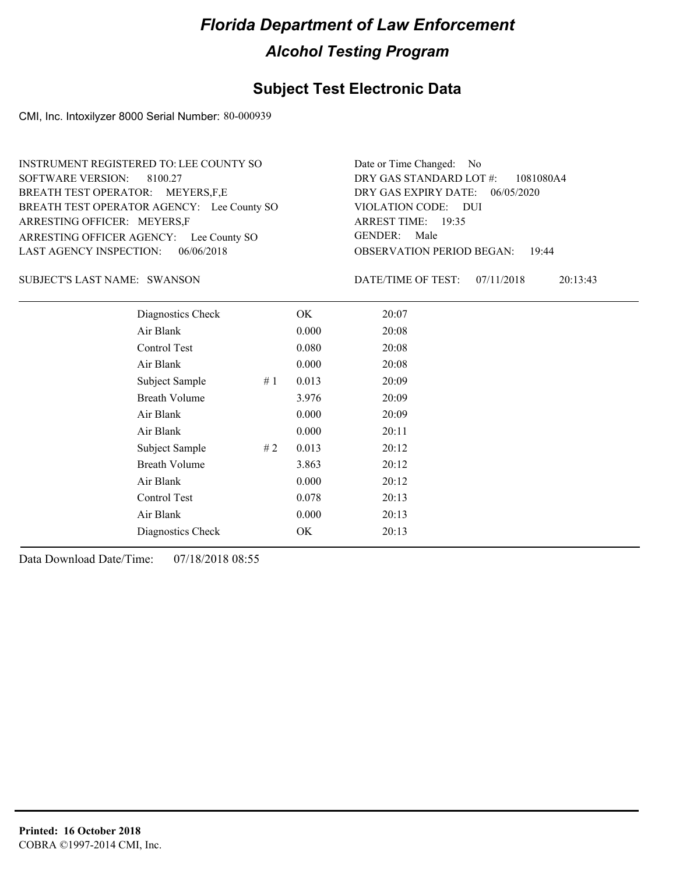### **Subject Test Electronic Data**

CMI, Inc. Intoxilyzer 8000 Serial Number: 80-000939

ARRESTING OFFICER AGENCY: Lee County SO GENDER: BREATH TEST OPERATOR AGENCY: Lee County SO VIOLATION CODE: SOFTWARE VERSION: 8100.27 ARRESTING OFFICER: MEYERS,F BREATH TEST OPERATOR: MEYERS,F,E LAST AGENCY INSPECTION: 06/06/2018 INSTRUMENT REGISTERED TO: LEE COUNTY SO

OBSERVATION PERIOD BEGAN: 19:44 VIOLATION CODE: DUI ARREST TIME: 19:35 06/05/2020 DRY GAS EXPIRY DATE: 1081080A4 DRY GAS STANDARD LOT #: Date or Time Changed: No GENDER: Male

SUBJECT'S LAST NAME: SWANSON DATE/TIME OF TEST:

DATE/TIME OF TEST: 07/11/2018 20:13:43

| Diagnostics Check    |    | OK    | 20:07 |
|----------------------|----|-------|-------|
| Air Blank            |    | 0.000 | 20:08 |
| Control Test         |    | 0.080 | 20:08 |
| Air Blank            |    | 0.000 | 20:08 |
| Subject Sample       | #1 | 0.013 | 20:09 |
| <b>Breath Volume</b> |    | 3.976 | 20:09 |
| Air Blank            |    | 0.000 | 20:09 |
| Air Blank            |    | 0.000 | 20:11 |
| Subject Sample       | #2 | 0.013 | 20:12 |
| <b>Breath Volume</b> |    | 3.863 | 20:12 |
| Air Blank            |    | 0.000 | 20:12 |
| Control Test         |    | 0.078 | 20:13 |
| Air Blank            |    | 0.000 | 20:13 |
| Diagnostics Check    |    | OK    | 20:13 |
|                      |    |       |       |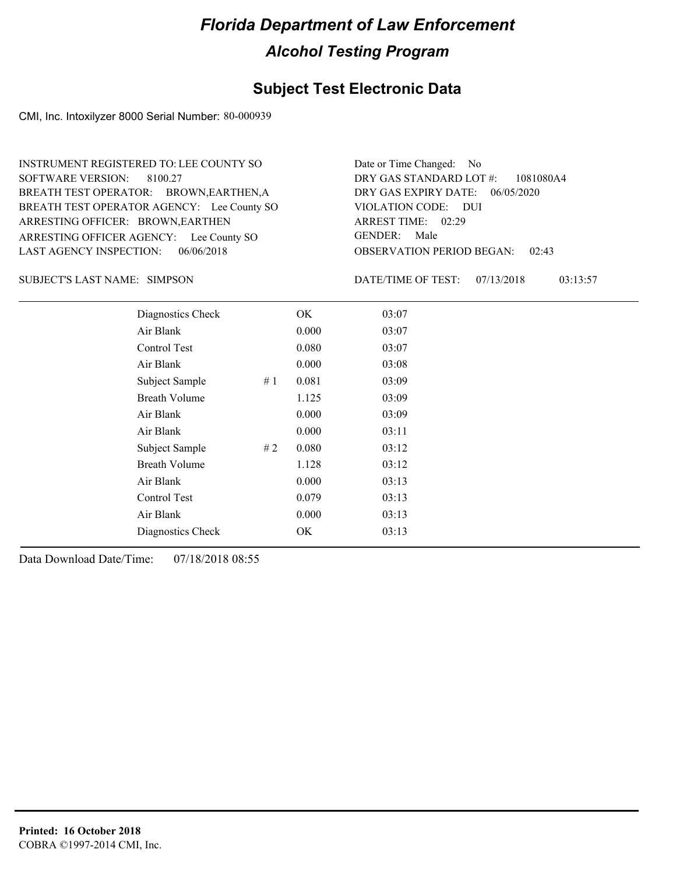### **Subject Test Electronic Data**

CMI, Inc. Intoxilyzer 8000 Serial Number: 80-000939

ARRESTING OFFICER AGENCY: Lee County SO GENDER: BREATH TEST OPERATOR AGENCY: Lee County SO VIOLATION CODE: SOFTWARE VERSION: ARRESTING OFFICER: BROWN, EARTHEN BREATH TEST OPERATOR: BROWN,EARTHEN,A LAST AGENCY INSPECTION: 06/06/2018 8100.27 INSTRUMENT REGISTERED TO: LEE COUNTY SO

OBSERVATION PERIOD BEGAN: 02:43 VIOLATION CODE: DUI 02:29 ARREST TIME: 06/05/2020 DRY GAS EXPIRY DATE: 1081080A4 DRY GAS STANDARD LOT #: Date or Time Changed: No GENDER: Male

SUBJECT'S LAST NAME: SIMPSON DATE/TIME OF TEST:

DATE/TIME OF TEST: 07/13/2018 03:13:57

| Diagnostics Check    |    | OK    | 03:07 |
|----------------------|----|-------|-------|
| Air Blank            |    | 0.000 | 03:07 |
| Control Test         |    | 0.080 | 03:07 |
| Air Blank            |    | 0.000 | 03:08 |
| Subject Sample       | #1 | 0.081 | 03:09 |
| <b>Breath Volume</b> |    | 1.125 | 03:09 |
| Air Blank            |    | 0.000 | 03:09 |
| Air Blank            |    | 0.000 | 03:11 |
| Subject Sample       | #2 | 0.080 | 03:12 |
| <b>Breath Volume</b> |    | 1.128 | 03:12 |
| Air Blank            |    | 0.000 | 03:13 |
| Control Test         |    | 0.079 | 03:13 |
| Air Blank            |    | 0.000 | 03:13 |
| Diagnostics Check    |    | OK    | 03:13 |
|                      |    |       |       |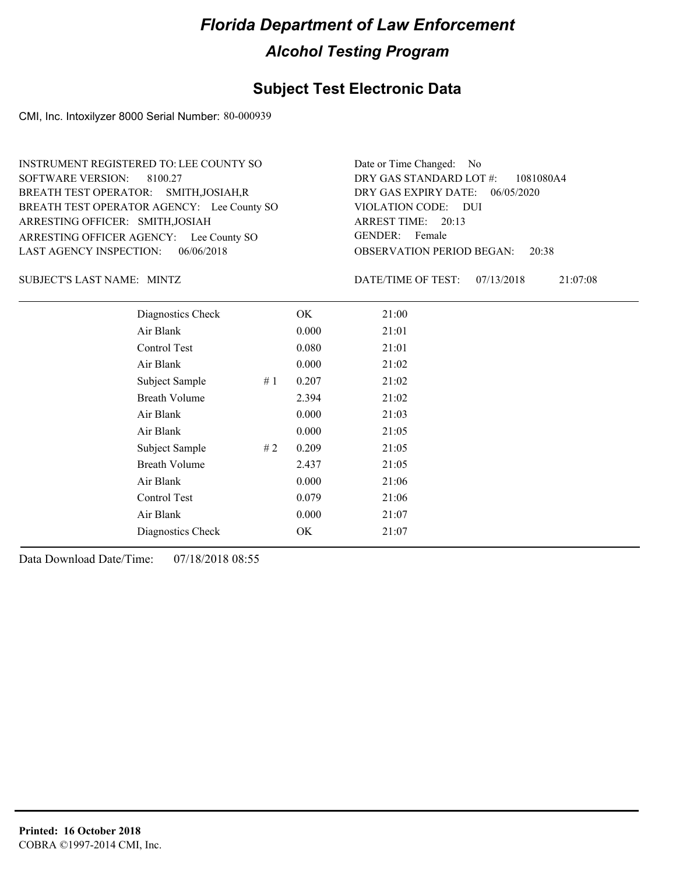### **Subject Test Electronic Data**

CMI, Inc. Intoxilyzer 8000 Serial Number: 80-000939

ARRESTING OFFICER AGENCY: Lee County SO GENDER: BREATH TEST OPERATOR AGENCY: Lee County SO VIOLATION CODE: SOFTWARE VERSION: 8100.27 ARRESTING OFFICER: SMITH,JOSIAH BREATH TEST OPERATOR: SMITH,JOSIAH,R LAST AGENCY INSPECTION: 06/06/2018 INSTRUMENT REGISTERED TO: LEE COUNTY SO

OBSERVATION PERIOD BEGAN: 20:38 VIOLATION CODE: DUI ARREST TIME: 20:13 06/05/2020 DRY GAS EXPIRY DATE: 1081080A4 DRY GAS STANDARD LOT #: Date or Time Changed: No GENDER: Female

SUBJECT'S LAST NAME: MINTZ **Example 20 SUBJECT'S LAST NAME:** MINTZ

DATE/TIME OF TEST: 07/13/2018 21:07:08

| Diagnostics Check    | OK    | 21:00 |
|----------------------|-------|-------|
| Air Blank            | 0.000 | 21:01 |
| Control Test         | 0.080 | 21:01 |
| Air Blank            | 0.000 | 21:02 |
| Subject Sample<br>#1 | 0.207 | 21:02 |
| <b>Breath Volume</b> | 2.394 | 21:02 |
| Air Blank            | 0.000 | 21:03 |
| Air Blank            | 0.000 | 21:05 |
| Subject Sample<br>#2 | 0.209 | 21:05 |
| <b>Breath Volume</b> | 2.437 | 21:05 |
| Air Blank            | 0.000 | 21:06 |
| Control Test         | 0.079 | 21:06 |
| Air Blank            | 0.000 | 21:07 |
| Diagnostics Check    | OK    | 21:07 |
|                      |       |       |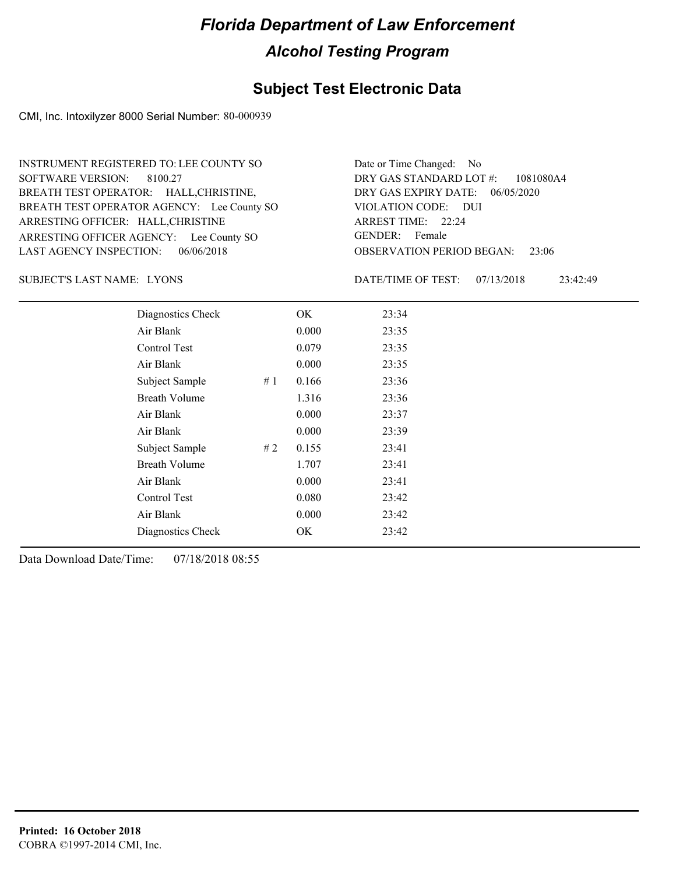### **Subject Test Electronic Data**

CMI, Inc. Intoxilyzer 8000 Serial Number: 80-000939

ARRESTING OFFICER AGENCY: Lee County SO GENDER: BREATH TEST OPERATOR AGENCY: Lee County SO VIOLATION CODE: SOFTWARE VERSION: ARRESTING OFFICER: HALL, CHRISTINE BREATH TEST OPERATOR: HALL,CHRISTINE, LAST AGENCY INSPECTION: 06/06/2018 8100.27 INSTRUMENT REGISTERED TO: LEE COUNTY SO

OBSERVATION PERIOD BEGAN: 23:06 VIOLATION CODE: DUI ARREST TIME: 22:24 06/05/2020 DRY GAS EXPIRY DATE: 1081080A4 DRY GAS STANDARD LOT #: Date or Time Changed: No GENDER: Female

SUBJECT'S LAST NAME: LYONS DATE/TIME OF TEST:

DATE/TIME OF TEST: 07/13/2018 23:42:49

| Diagnostics Check    | OK    | 23:34 |
|----------------------|-------|-------|
| Air Blank            | 0.000 | 23:35 |
| Control Test         | 0.079 | 23:35 |
| Air Blank            | 0.000 | 23:35 |
| Subject Sample<br>#1 | 0.166 | 23:36 |
| <b>Breath Volume</b> | 1.316 | 23:36 |
| Air Blank            | 0.000 | 23:37 |
| Air Blank            | 0.000 | 23:39 |
| Subject Sample<br>#2 | 0.155 | 23:41 |
| <b>Breath Volume</b> | 1.707 | 23:41 |
| Air Blank            | 0.000 | 23:41 |
| Control Test         | 0.080 | 23:42 |
| Air Blank            | 0.000 | 23:42 |
| Diagnostics Check    | OK    | 23:42 |
|                      |       |       |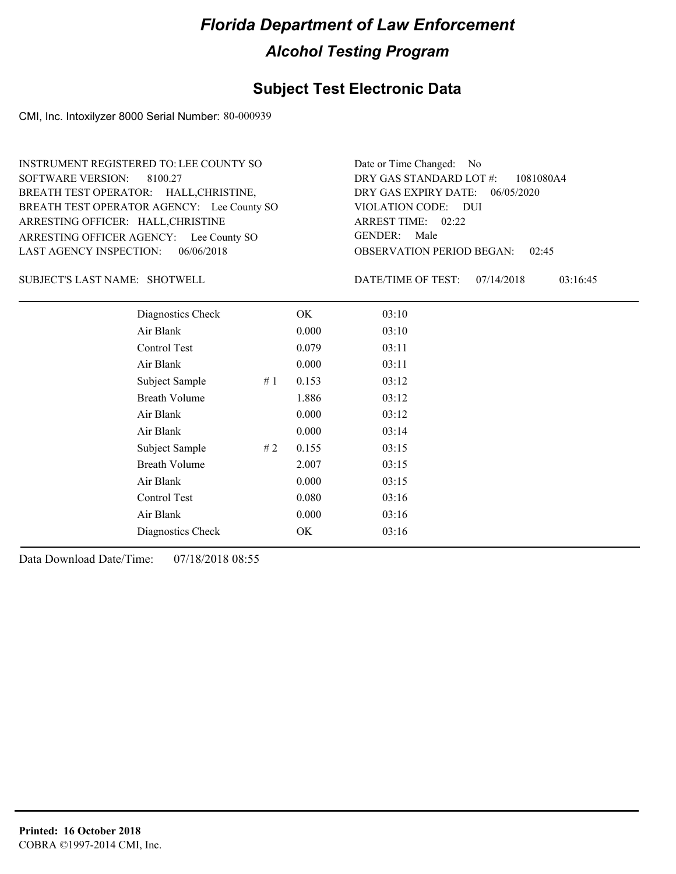### **Subject Test Electronic Data**

CMI, Inc. Intoxilyzer 8000 Serial Number: 80-000939

ARRESTING OFFICER AGENCY: Lee County SO GENDER: BREATH TEST OPERATOR AGENCY: Lee County SO VIOLATION CODE: SOFTWARE VERSION: ARRESTING OFFICER: HALL, CHRISTINE BREATH TEST OPERATOR: HALL,CHRISTINE, LAST AGENCY INSPECTION: 06/06/2018 8100.27 INSTRUMENT REGISTERED TO: LEE COUNTY SO

OBSERVATION PERIOD BEGAN: 02:45 VIOLATION CODE: DUI 02:22 ARREST TIME: 06/05/2020 DRY GAS EXPIRY DATE: 1081080A4 DRY GAS STANDARD LOT #: Date or Time Changed: No GENDER: Male

SUBJECT'S LAST NAME: SHOTWELL DATE/TIME OF TEST:

DATE/TIME OF TEST: 07/14/2018 03:16:45

| Diagnostics Check    |     | OK    | 03:10 |
|----------------------|-----|-------|-------|
| Air Blank            |     | 0.000 | 03:10 |
| Control Test         |     | 0.079 | 03:11 |
| Air Blank            |     | 0.000 | 03:11 |
| Subject Sample       | #1  | 0.153 | 03:12 |
| <b>Breath Volume</b> |     | 1.886 | 03:12 |
| Air Blank            |     | 0.000 | 03:12 |
| Air Blank            |     | 0.000 | 03:14 |
| Subject Sample       | # 2 | 0.155 | 03:15 |
| <b>Breath Volume</b> |     | 2.007 | 03:15 |
| Air Blank            |     | 0.000 | 03:15 |
| Control Test         |     | 0.080 | 03:16 |
| Air Blank            |     | 0.000 | 03:16 |
| Diagnostics Check    |     | OK    | 03:16 |
|                      |     |       |       |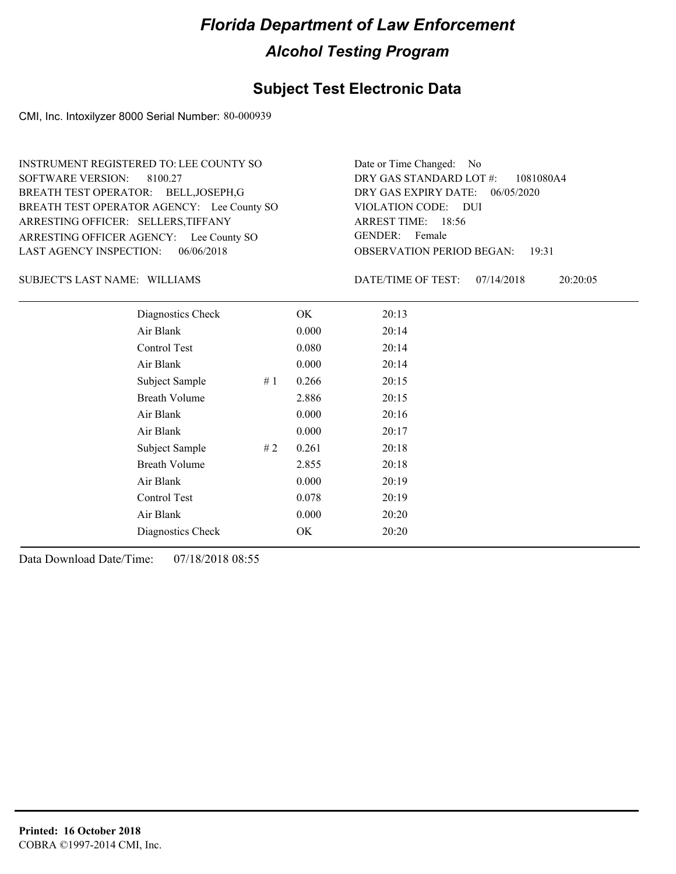### **Subject Test Electronic Data**

CMI, Inc. Intoxilyzer 8000 Serial Number: 80-000939

ARRESTING OFFICER AGENCY: Lee County SO GENDER: BREATH TEST OPERATOR AGENCY: Lee County SO VIOLATION CODE: SOFTWARE VERSION: ARRESTING OFFICER: SELLERS,TIFFANY BREATH TEST OPERATOR: BELL,JOSEPH,G LAST AGENCY INSPECTION: 06/06/2018 8100.27 INSTRUMENT REGISTERED TO: LEE COUNTY SO

OBSERVATION PERIOD BEGAN: 19:31 VIOLATION CODE: DUI ARREST TIME: 18:56 DRY GAS EXPIRY DATE: 06/05/2020 1081080A4 DRY GAS STANDARD LOT #: Date or Time Changed: No GENDER: Female

#### SUBJECT'S LAST NAME: WILLIAMS DATE/TIME OF TEST:

DATE/TIME OF TEST: 07/14/2018 20:20:05

| Diagnostics Check    |    | OK    | 20:13 |
|----------------------|----|-------|-------|
| Air Blank            |    | 0.000 | 20:14 |
| Control Test         |    | 0.080 | 20:14 |
| Air Blank            |    | 0.000 | 20:14 |
| Subject Sample       | #1 | 0.266 | 20:15 |
| <b>Breath Volume</b> |    | 2.886 | 20:15 |
| Air Blank            |    | 0.000 | 20:16 |
| Air Blank            |    | 0.000 | 20:17 |
| Subject Sample       | #2 | 0.261 | 20:18 |
| <b>Breath Volume</b> |    | 2.855 | 20:18 |
| Air Blank            |    | 0.000 | 20:19 |
| Control Test         |    | 0.078 | 20:19 |
| Air Blank            |    | 0.000 | 20:20 |
| Diagnostics Check    |    | OK    | 20:20 |
|                      |    |       |       |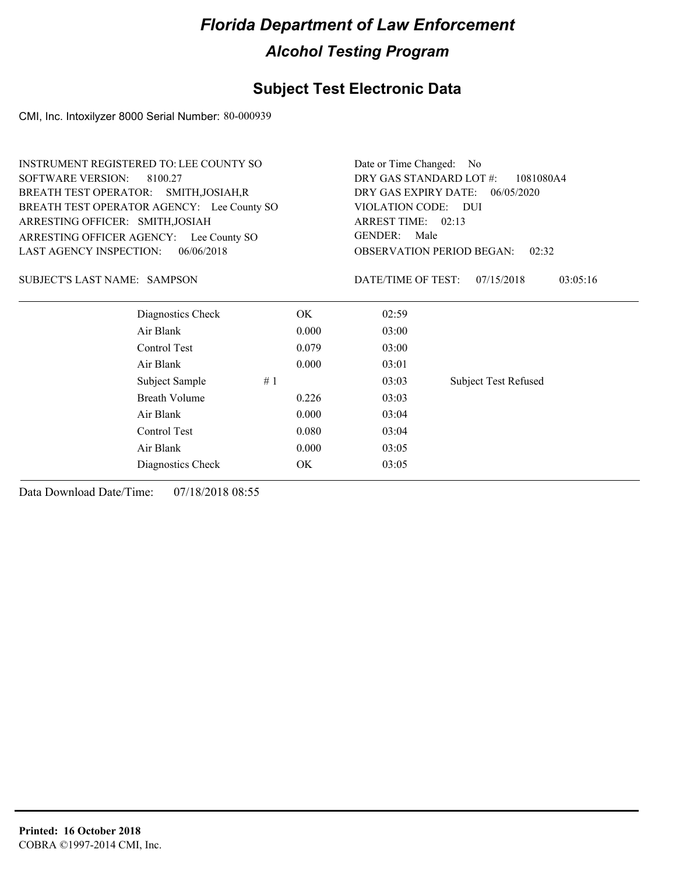### **Subject Test Electronic Data**

CMI, Inc. Intoxilyzer 8000 Serial Number: 80-000939

| <b>SOFTWARE VERSION:</b><br>DRY GAS STANDARD LOT #:<br>8100.27<br>1081080A4<br><b>BREATH TEST OPERATOR:</b><br>DRY GAS EXPIRY DATE:<br>SMITH, JOSIAH, R<br>06/05/2020<br>BREATH TEST OPERATOR AGENCY: Lee County SO<br>VIOLATION CODE: DUI<br>ARREST TIME: 02:13<br>ARRESTING OFFICER: SMITH, JOSIAH<br><b>GENDER:</b><br>Male<br>ARRESTING OFFICER AGENCY: Lee County SO<br><b>LAST AGENCY INSPECTION:</b><br>06/06/2018<br><b>OBSERVATION PERIOD BEGAN:</b><br>02:32<br>DATE/TIME OF TEST:<br><b>SUBJECT'S LAST NAME: SAMPSON</b><br>07/15/2018<br>03:05:16<br>Diagnostics Check<br>OK.<br>02:59<br>Air Blank<br>0.000<br>03:00<br>Control Test<br>03:00<br>0.079 | <b>INSTRUMENT REGISTERED TO: LEE COUNTY SO</b> |  | Date or Time Changed: | N <sub>o</sub> |  |  |  |
|---------------------------------------------------------------------------------------------------------------------------------------------------------------------------------------------------------------------------------------------------------------------------------------------------------------------------------------------------------------------------------------------------------------------------------------------------------------------------------------------------------------------------------------------------------------------------------------------------------------------------------------------------------------------|------------------------------------------------|--|-----------------------|----------------|--|--|--|
|                                                                                                                                                                                                                                                                                                                                                                                                                                                                                                                                                                                                                                                                     |                                                |  |                       |                |  |  |  |
|                                                                                                                                                                                                                                                                                                                                                                                                                                                                                                                                                                                                                                                                     |                                                |  |                       |                |  |  |  |
|                                                                                                                                                                                                                                                                                                                                                                                                                                                                                                                                                                                                                                                                     |                                                |  |                       |                |  |  |  |
|                                                                                                                                                                                                                                                                                                                                                                                                                                                                                                                                                                                                                                                                     |                                                |  |                       |                |  |  |  |
|                                                                                                                                                                                                                                                                                                                                                                                                                                                                                                                                                                                                                                                                     |                                                |  |                       |                |  |  |  |
|                                                                                                                                                                                                                                                                                                                                                                                                                                                                                                                                                                                                                                                                     |                                                |  |                       |                |  |  |  |
|                                                                                                                                                                                                                                                                                                                                                                                                                                                                                                                                                                                                                                                                     |                                                |  |                       |                |  |  |  |
|                                                                                                                                                                                                                                                                                                                                                                                                                                                                                                                                                                                                                                                                     |                                                |  |                       |                |  |  |  |
|                                                                                                                                                                                                                                                                                                                                                                                                                                                                                                                                                                                                                                                                     |                                                |  |                       |                |  |  |  |
|                                                                                                                                                                                                                                                                                                                                                                                                                                                                                                                                                                                                                                                                     |                                                |  |                       |                |  |  |  |
| Air Blank<br>0.000<br>03:01                                                                                                                                                                                                                                                                                                                                                                                                                                                                                                                                                                                                                                         |                                                |  |                       |                |  |  |  |
| Subject Sample<br><b>Subject Test Refused</b><br>#1<br>03:03                                                                                                                                                                                                                                                                                                                                                                                                                                                                                                                                                                                                        |                                                |  |                       |                |  |  |  |
| <b>Breath Volume</b><br>0.226<br>03:03                                                                                                                                                                                                                                                                                                                                                                                                                                                                                                                                                                                                                              |                                                |  |                       |                |  |  |  |
| Air Blank<br>0.000<br>03:04                                                                                                                                                                                                                                                                                                                                                                                                                                                                                                                                                                                                                                         |                                                |  |                       |                |  |  |  |
| Control Test<br>0.080<br>03:04                                                                                                                                                                                                                                                                                                                                                                                                                                                                                                                                                                                                                                      |                                                |  |                       |                |  |  |  |
| Air Blank<br>0.000<br>03:05                                                                                                                                                                                                                                                                                                                                                                                                                                                                                                                                                                                                                                         |                                                |  |                       |                |  |  |  |
| OK.<br>03:05<br>Diagnostics Check                                                                                                                                                                                                                                                                                                                                                                                                                                                                                                                                                                                                                                   |                                                |  |                       |                |  |  |  |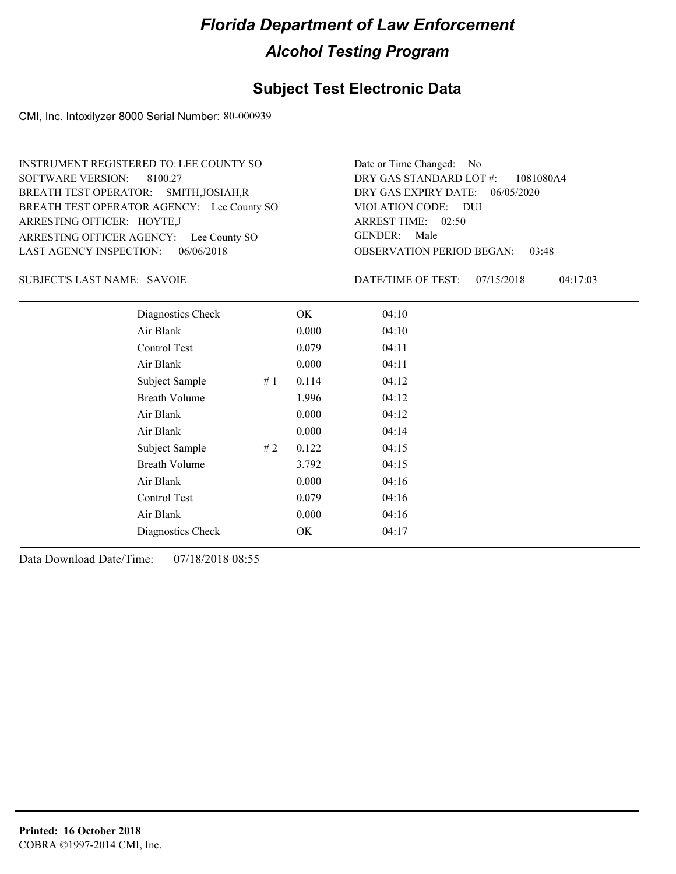### **Subject Test Electronic Data**

CMI, Inc. Intoxilyzer 8000 Serial Number: 80-000939

ARRESTING OFFICER AGENCY: Lee County SO GENDER: BREATH TEST OPERATOR AGENCY: Lee County SO VIOLATION CODE: SOFTWARE VERSION: ARRESTING OFFICER: HOYTE,J BREATH TEST OPERATOR: SMITH,JOSIAH,R LAST AGENCY INSPECTION: 06/06/2018 8100.27 INSTRUMENT REGISTERED TO: LEE COUNTY SO

OBSERVATION PERIOD BEGAN: 03:48 VIOLATION CODE: DUI 02:50 ARREST TIME: DRY GAS EXPIRY DATE: 06/05/2020 1081080A4 DRY GAS STANDARD LOT #: Date or Time Changed: No GENDER: Male

SUBJECT'S LAST NAME: SAVOIE **Example 20** DATE/TIME OF TEST:

DATE/TIME OF TEST: 07/15/2018 04:17:03

| Diagnostics Check    |    | OK    | 04:10 |  |
|----------------------|----|-------|-------|--|
| Air Blank            |    | 0.000 | 04:10 |  |
| Control Test         |    | 0.079 | 04:11 |  |
| Air Blank            |    | 0.000 | 04:11 |  |
| Subject Sample       | #1 | 0.114 | 04:12 |  |
| <b>Breath Volume</b> |    | 1.996 | 04:12 |  |
| Air Blank            |    | 0.000 | 04:12 |  |
| Air Blank            |    | 0.000 | 04:14 |  |
| Subject Sample       | #2 | 0.122 | 04:15 |  |
| <b>Breath Volume</b> |    | 3.792 | 04:15 |  |
| Air Blank            |    | 0.000 | 04:16 |  |
| Control Test         |    | 0.079 | 04:16 |  |
| Air Blank            |    | 0.000 | 04:16 |  |
| Diagnostics Check    |    | OK    | 04:17 |  |
|                      |    |       |       |  |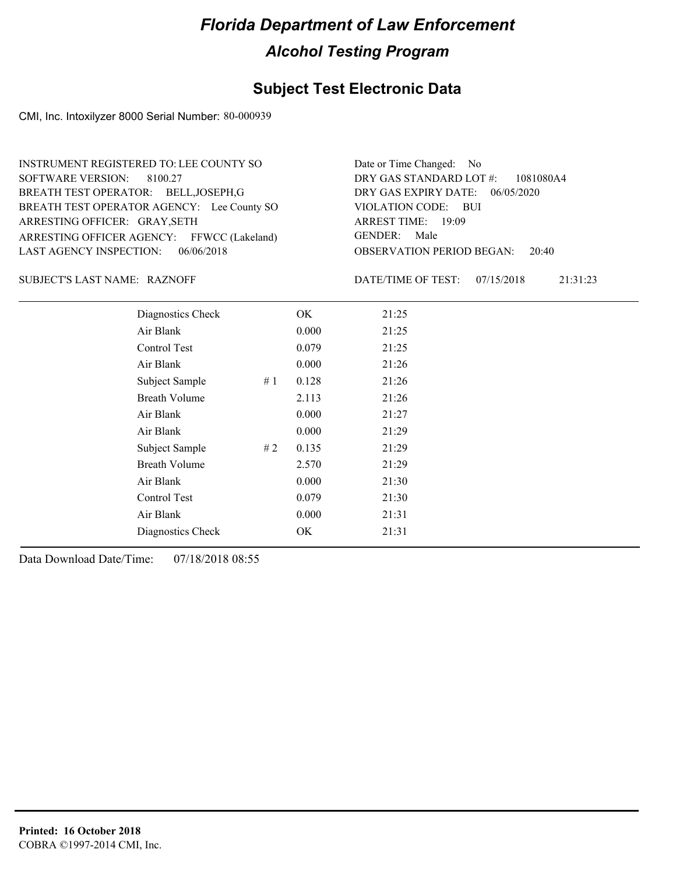### **Subject Test Electronic Data**

CMI, Inc. Intoxilyzer 8000 Serial Number: 80-000939

ARRESTING OFFICER AGENCY: FFWCC (Lakeland) GENDER: BREATH TEST OPERATOR AGENCY: Lee County SO VIOLATION CODE: SOFTWARE VERSION: 8100.27 ARRESTING OFFICER: GRAY, SETH BREATH TEST OPERATOR: BELL,JOSEPH,G LAST AGENCY INSPECTION: 06/06/2018 INSTRUMENT REGISTERED TO: LEE COUNTY SO

OBSERVATION PERIOD BEGAN: 20:40 VIOLATION CODE: BUI 19:09 ARREST TIME: DRY GAS EXPIRY DATE: 06/05/2020 1081080A4 DRY GAS STANDARD LOT #: Date or Time Changed: No GENDER: Male

#### SUBJECT'S LAST NAME: RAZNOFF **EXAMPLE SUBJECT'S LAST NAME:** RAZNOFF

DATE/TIME OF TEST: 07/15/2018 21:31:23

| Diagnostics Check |    | OK    | 21:25 |
|-------------------|----|-------|-------|
| Air Blank         |    | 0.000 | 21:25 |
| Control Test      |    | 0.079 | 21:25 |
| Air Blank         |    | 0.000 | 21:26 |
| Subject Sample    | #1 | 0.128 | 21:26 |
| Breath Volume     |    | 2.113 | 21:26 |
| Air Blank         |    | 0.000 | 21:27 |
| Air Blank         |    | 0.000 | 21:29 |
| Subject Sample    | #2 | 0.135 | 21:29 |
| Breath Volume     |    | 2.570 | 21:29 |
| Air Blank         |    | 0.000 | 21:30 |
| Control Test      |    | 0.079 | 21:30 |
| Air Blank         |    | 0.000 | 21:31 |
| Diagnostics Check |    | OK    | 21:31 |
|                   |    |       |       |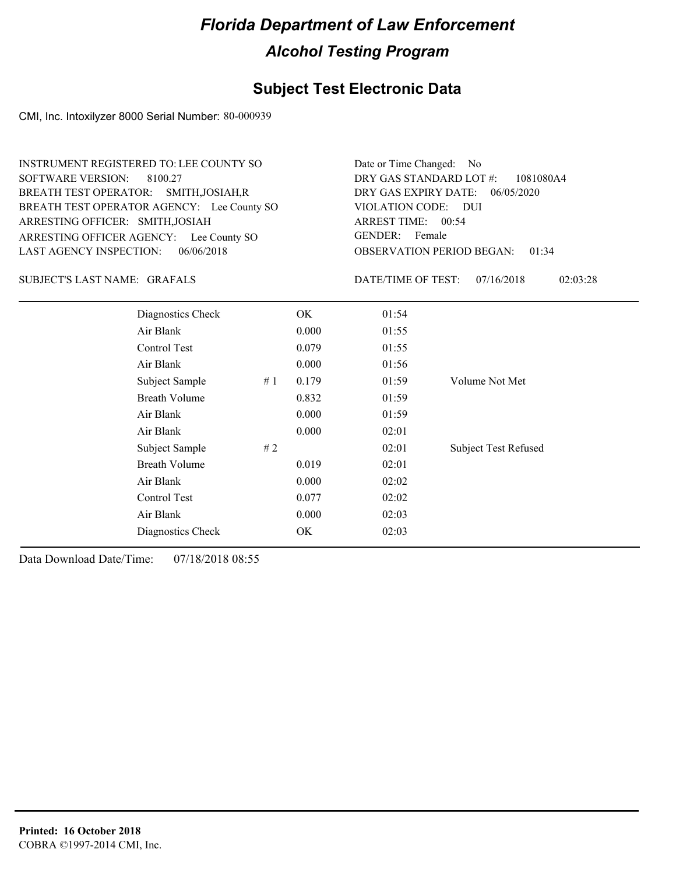### **Subject Test Electronic Data**

CMI, Inc. Intoxilyzer 8000 Serial Number: 80-000939

ARRESTING OFFICER AGENCY: Lee County SO GENDER: BREATH TEST OPERATOR AGENCY: Lee County SO VIOLATION CODE: SOFTWARE VERSION: ARRESTING OFFICER: SMITH,JOSIAH BREATH TEST OPERATOR: SMITH,JOSIAH,R LAST AGENCY INSPECTION: 06/06/2018 8100.27 INSTRUMENT REGISTERED TO: LEE COUNTY SO

OBSERVATION PERIOD BEGAN: 01:34 VIOLATION CODE: DUI ARREST TIME: 00:54 DRY GAS EXPIRY DATE: 06/05/2020 1081080A4 DRY GAS STANDARD LOT #: Date or Time Changed: No GENDER: Female

#### GRAFALS SUBJECT'S LAST NAME: DATE/TIME OF TEST:

DATE/TIME OF TEST: 07/16/2018 02:03:28

| Diagnostics Check       | OK    | 01:54 |                             |
|-------------------------|-------|-------|-----------------------------|
| Air Blank               | 0.000 | 01:55 |                             |
| Control Test            | 0.079 | 01:55 |                             |
| Air Blank               | 0.000 | 01:56 |                             |
| Subject Sample<br>#1    | 0.179 | 01:59 | Volume Not Met              |
| <b>Breath Volume</b>    | 0.832 | 01:59 |                             |
| Air Blank               | 0.000 | 01:59 |                             |
| Air Blank               | 0.000 | 02:01 |                             |
| # $2$<br>Subject Sample |       | 02:01 | <b>Subject Test Refused</b> |
| <b>Breath Volume</b>    | 0.019 | 02:01 |                             |
| Air Blank               | 0.000 | 02:02 |                             |
| Control Test            | 0.077 | 02:02 |                             |
| Air Blank               | 0.000 | 02:03 |                             |
| Diagnostics Check       | OK    | 02:03 |                             |
|                         |       |       |                             |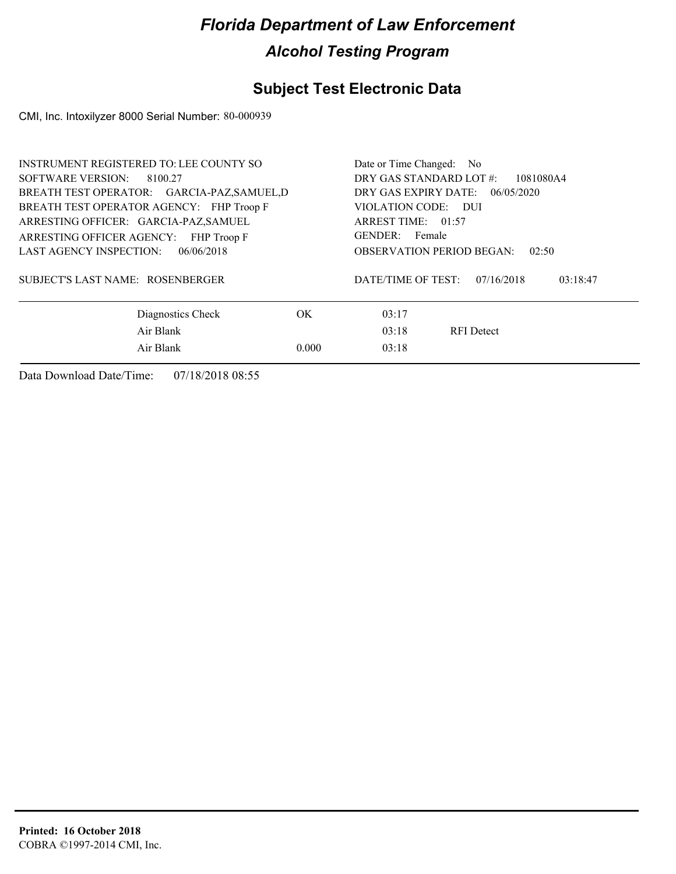### **Subject Test Electronic Data**

CMI, Inc. Intoxilyzer 8000 Serial Number: 80-000939

| <b>INSTRUMENT REGISTERED TO: LEE COUNTY SO</b> | Date or Time Changed: No                     |  |  |  |
|------------------------------------------------|----------------------------------------------|--|--|--|
| SOFTWARE VERSION: 8100.27                      | DRY GAS STANDARD LOT #:<br>1081080A4         |  |  |  |
| BREATH TEST OPERATOR: GARCIA-PAZ, SAMUEL, D    | DRY GAS EXPIRY DATE:<br>06/05/2020           |  |  |  |
| BREATH TEST OPERATOR AGENCY: FHP Troop F       | VIOLATION CODE: DUI                          |  |  |  |
| ARRESTING OFFICER: GARCIA-PAZ, SAMUEL          | ARREST TIME: 01:57                           |  |  |  |
| ARRESTING OFFICER AGENCY: FHP Troop F          | GENDER: Female                               |  |  |  |
| LAST AGENCY INSPECTION:<br>06/06/2018          | <b>OBSERVATION PERIOD BEGAN:</b><br>02:50    |  |  |  |
| SUBJECT'S LAST NAME: ROSENBERGER               | DATE/TIME OF TEST:<br>07/16/2018<br>03:18:47 |  |  |  |
| OK.<br>Diagnostics Check                       | 03:17                                        |  |  |  |
| Air Blank                                      | 03:18<br><b>RFI</b> Detect                   |  |  |  |
| Air Blank<br>0.000                             | 03:18                                        |  |  |  |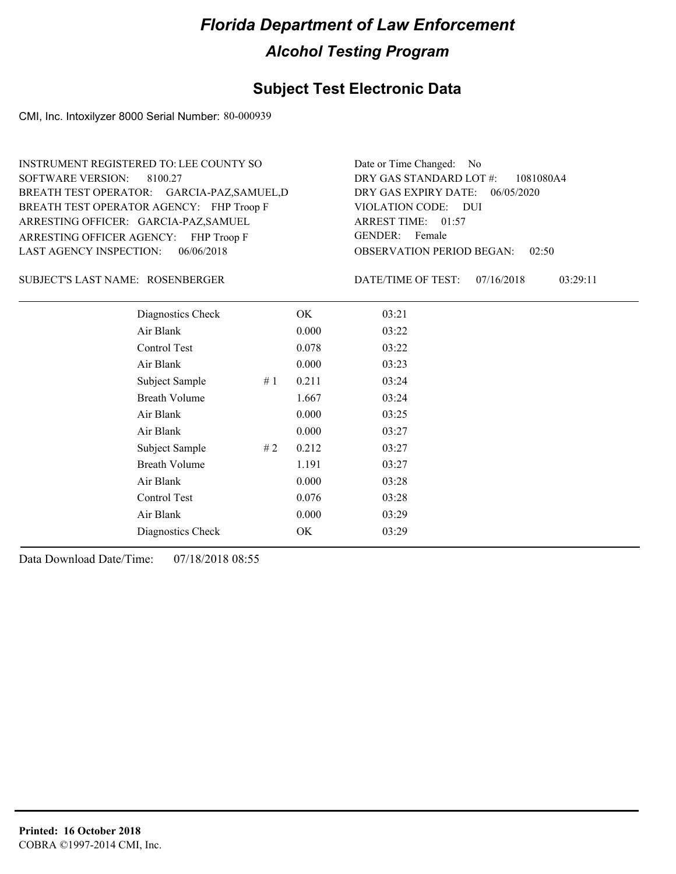### **Subject Test Electronic Data**

CMI, Inc. Intoxilyzer 8000 Serial Number: 80-000939

ARRESTING OFFICER AGENCY: FHP Troop F GENDER: BREATH TEST OPERATOR AGENCY: FHP Troop F VIOLATION CODE: SOFTWARE VERSION: ARRESTING OFFICER: GARCIA-PAZ,SAMUEL GARCIA-PAZ,SAMUEL,D BREATH TEST OPERATOR: LAST AGENCY INSPECTION: 06/06/2018 8100.27 INSTRUMENT REGISTERED TO: LEE COUNTY SO

OBSERVATION PERIOD BEGAN: 02:50 VIOLATION CODE: DUI ARREST TIME: 01:57 DRY GAS EXPIRY DATE: 06/05/2020 1081080A4 DRY GAS STANDARD LOT #: Date or Time Changed: No GENDER: Female

ROSENBERGER SUBJECT'S LAST NAME: DATE/TIME OF TEST:

DATE/TIME OF TEST: 07/16/2018 03:29:11

| Diagnostics Check    |    | OK    | 03:21 |
|----------------------|----|-------|-------|
| Air Blank            |    | 0.000 | 03:22 |
| Control Test         |    | 0.078 | 03:22 |
| Air Blank            |    | 0.000 | 03:23 |
| Subject Sample       | #1 | 0.211 | 03:24 |
| <b>Breath Volume</b> |    | 1.667 | 03:24 |
| Air Blank            |    | 0.000 | 03:25 |
| Air Blank            |    | 0.000 | 03:27 |
| Subject Sample       | #2 | 0.212 | 03:27 |
| <b>Breath Volume</b> |    | 1.191 | 03:27 |
| Air Blank            |    | 0.000 | 03:28 |
| Control Test         |    | 0.076 | 03:28 |
| Air Blank            |    | 0.000 | 03:29 |
| Diagnostics Check    |    | OK    | 03:29 |
|                      |    |       |       |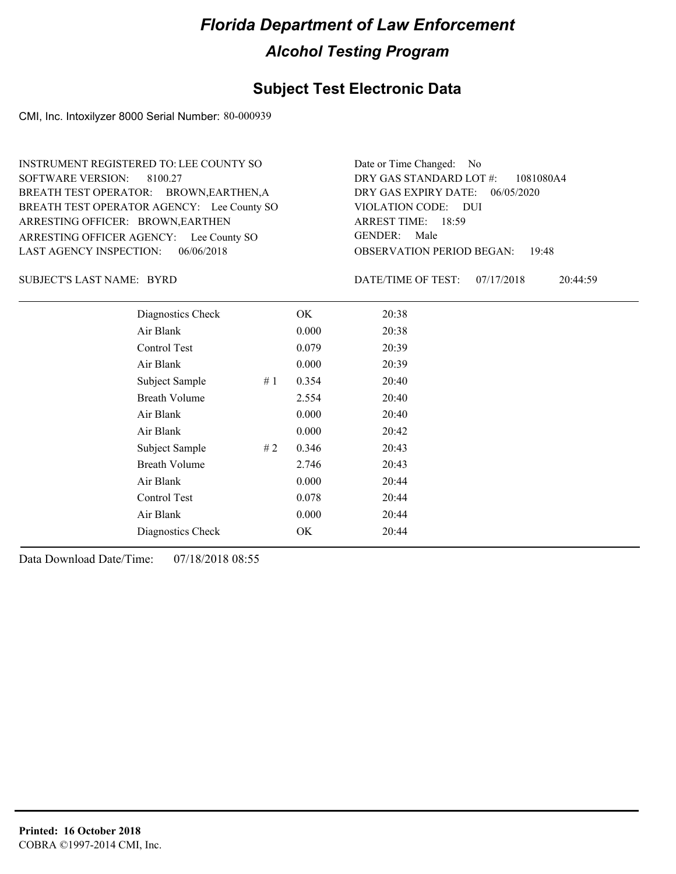### **Subject Test Electronic Data**

CMI, Inc. Intoxilyzer 8000 Serial Number: 80-000939

ARRESTING OFFICER AGENCY: Lee County SO GENDER: BREATH TEST OPERATOR AGENCY: Lee County SO VIOLATION CODE: SOFTWARE VERSION: ARRESTING OFFICER: BROWN, EARTHEN BREATH TEST OPERATOR: BROWN,EARTHEN,A LAST AGENCY INSPECTION: 06/06/2018 8100.27 INSTRUMENT REGISTERED TO: LEE COUNTY SO

OBSERVATION PERIOD BEGAN: 19:48 VIOLATION CODE: DUI ARREST TIME: 18:59 DRY GAS EXPIRY DATE: 06/05/2020 1081080A4 DRY GAS STANDARD LOT #: Date or Time Changed: No GENDER: Male

SUBJECT'S LAST NAME: BYRD DATE/TIME OF TEST:

DATE/TIME OF TEST: 07/17/2018 20:44:59

| Diagnostics Check    |    | OK    | 20:38 |
|----------------------|----|-------|-------|
| Air Blank            |    | 0.000 | 20:38 |
| Control Test         |    | 0.079 | 20:39 |
| Air Blank            |    | 0.000 | 20:39 |
| Subject Sample       | #1 | 0.354 | 20:40 |
| <b>Breath Volume</b> |    | 2.554 | 20:40 |
| Air Blank            |    | 0.000 | 20:40 |
| Air Blank            |    | 0.000 | 20:42 |
| Subject Sample       | #2 | 0.346 | 20:43 |
| <b>Breath Volume</b> |    | 2.746 | 20:43 |
| Air Blank            |    | 0.000 | 20:44 |
| <b>Control Test</b>  |    | 0.078 | 20:44 |
| Air Blank            |    | 0.000 | 20:44 |
| Diagnostics Check    |    | OK    | 20:44 |
|                      |    |       |       |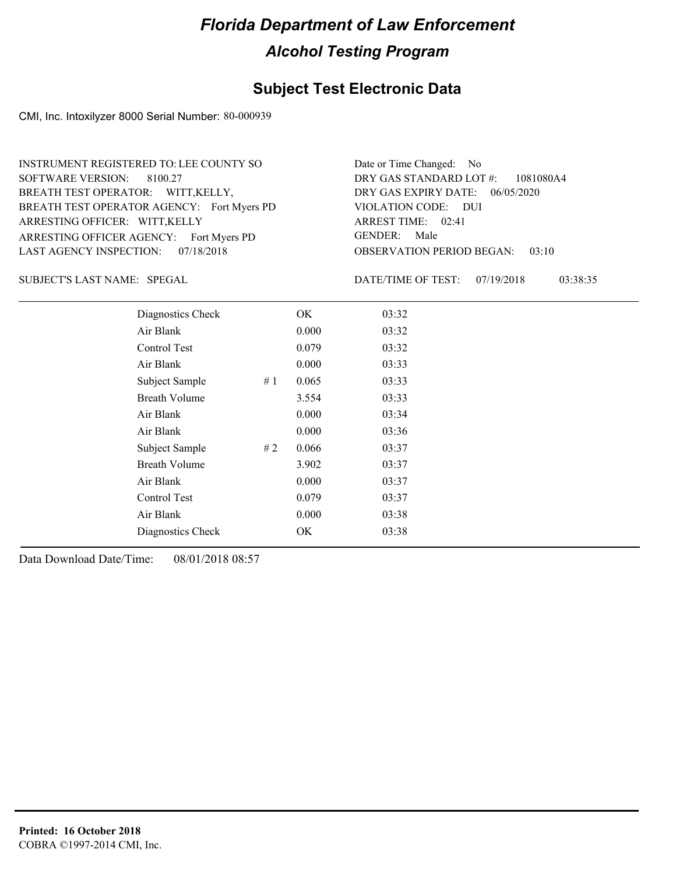### **Subject Test Electronic Data**

CMI, Inc. Intoxilyzer 8000 Serial Number: 80-000939

ARRESTING OFFICER AGENCY: Fort Myers PD GENDER: BREATH TEST OPERATOR AGENCY: Fort Myers PD VIOLATION CODE: SOFTWARE VERSION: ARRESTING OFFICER: WITT,KELLY BREATH TEST OPERATOR: WITT,KELLY, LAST AGENCY INSPECTION: 07/18/2018 8100.27 INSTRUMENT REGISTERED TO: LEE COUNTY SO

OBSERVATION PERIOD BEGAN: 03:10 VIOLATION CODE: DUI 02:41 ARREST TIME: DRY GAS EXPIRY DATE: 06/05/2020 1081080A4 DRY GAS STANDARD LOT #: Date or Time Changed: No GENDER: Male

SPEGAL SUBJECT'S LAST NAME: DATE/TIME OF TEST:

DATE/TIME OF TEST: 07/19/2018 03:38:35

| Diagnostics Check    | OK    | 03:32 |
|----------------------|-------|-------|
| Air Blank            | 0.000 | 03:32 |
| Control Test         | 0.079 | 03:32 |
| Air Blank            | 0.000 | 03:33 |
| Subject Sample<br>#1 | 0.065 | 03:33 |
| <b>Breath Volume</b> | 3.554 | 03:33 |
| Air Blank            | 0.000 | 03:34 |
| Air Blank            | 0.000 | 03:36 |
| Subject Sample<br>#2 | 0.066 | 03:37 |
| <b>Breath Volume</b> | 3.902 | 03:37 |
| Air Blank            | 0.000 | 03:37 |
| Control Test         | 0.079 | 03:37 |
| Air Blank            | 0.000 | 03:38 |
| Diagnostics Check    | OK.   | 03:38 |
|                      |       |       |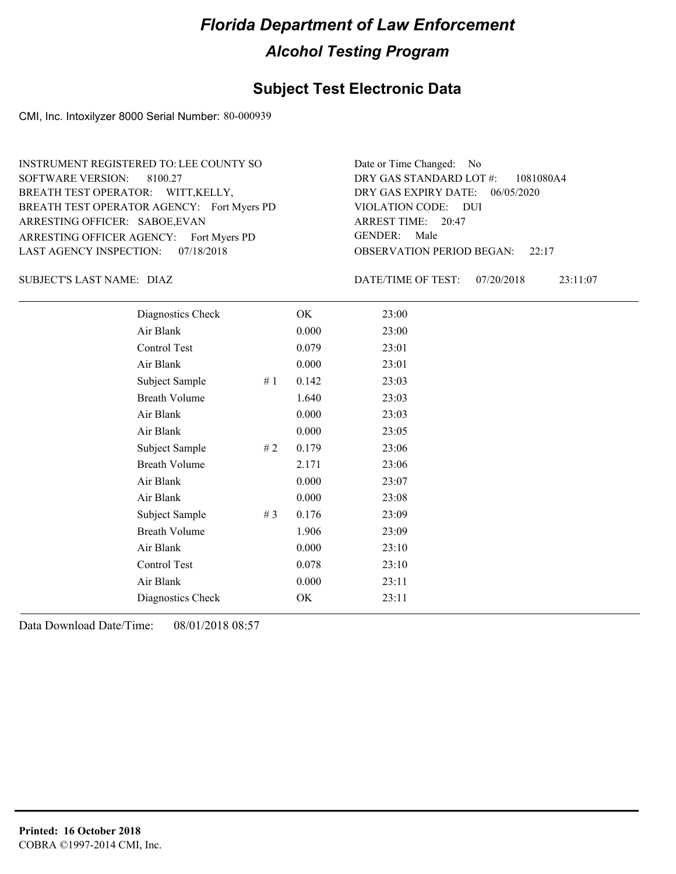### **Subject Test Electronic Data**

CMI, Inc. Intoxilyzer 8000 Serial Number: 80-000939

ARRESTING OFFICER AGENCY: Fort Myers PD GENDER: BREATH TEST OPERATOR AGENCY: Fort Myers PD VIOLATION CODE: SOFTWARE VERSION: ARRESTING OFFICER: SABOE,EVAN BREATH TEST OPERATOR: WITT,KELLY, LAST AGENCY INSPECTION: 07/18/2018 8100.27 INSTRUMENT REGISTERED TO: LEE COUNTY SO

OBSERVATION PERIOD BEGAN: 22:17 VIOLATION CODE: DUI 20:47 ARREST TIME: DRY GAS EXPIRY DATE: 06/05/2020 1081080A4 DRY GAS STANDARD LOT #: Date or Time Changed: No GENDER: Male

DIAZ SUBJECT'S LAST NAME: DATE/TIME OF TEST:

DATE/TIME OF TEST: 07/20/2018 23:11:07

| Diagnostics Check    |       | OK    | 23:00 |
|----------------------|-------|-------|-------|
| Air Blank            |       | 0.000 | 23:00 |
| Control Test         |       | 0.079 | 23:01 |
| Air Blank            |       | 0.000 | 23:01 |
| Subject Sample       | #1    | 0.142 | 23:03 |
| <b>Breath Volume</b> |       | 1.640 | 23:03 |
| Air Blank            |       | 0.000 | 23:03 |
| Air Blank            |       | 0.000 | 23:05 |
| Subject Sample       | #2    | 0.179 | 23:06 |
| <b>Breath Volume</b> |       | 2.171 | 23:06 |
| Air Blank            |       | 0.000 | 23:07 |
| Air Blank            |       | 0.000 | 23:08 |
| Subject Sample       | # $3$ | 0.176 | 23:09 |
| <b>Breath Volume</b> |       | 1.906 | 23:09 |
| Air Blank            |       | 0.000 | 23:10 |
| Control Test         |       | 0.078 | 23:10 |
| Air Blank            |       | 0.000 | 23:11 |
| Diagnostics Check    |       | OK    | 23:11 |
|                      |       |       |       |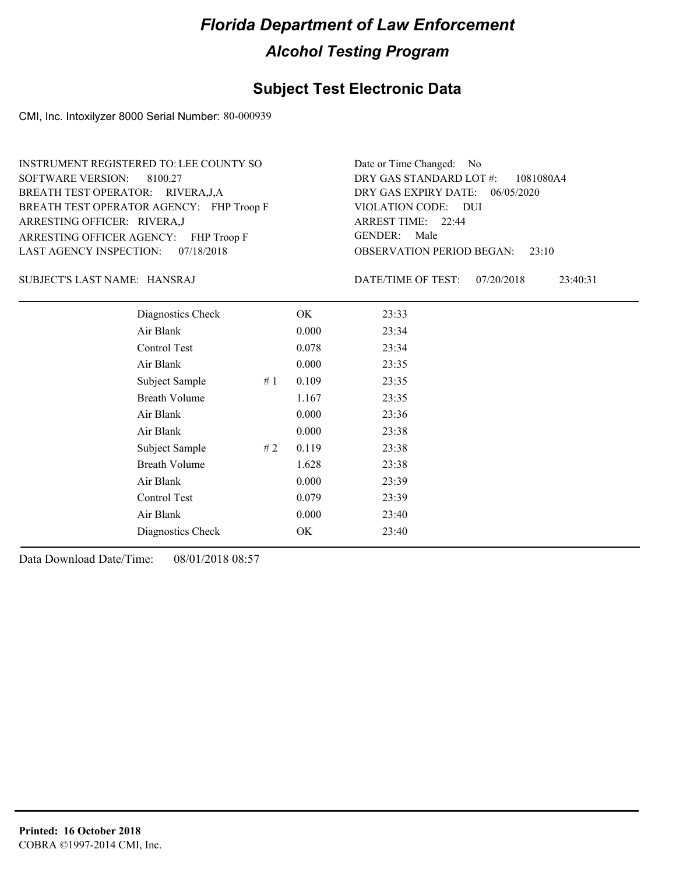### **Subject Test Electronic Data**

CMI, Inc. Intoxilyzer 8000 Serial Number: 80-000939

ARRESTING OFFICER AGENCY: FHP Troop F GENDER: BREATH TEST OPERATOR AGENCY: FHP Troop F VIOLATION CODE: SOFTWARE VERSION: 8100.27 ARRESTING OFFICER: RIVERA,J BREATH TEST OPERATOR: RIVERA,J,A LAST AGENCY INSPECTION: 07/18/2018 INSTRUMENT REGISTERED TO: LEE COUNTY SO

OBSERVATION PERIOD BEGAN: 23:10 VIOLATION CODE: DUI 22:44 ARREST TIME: DRY GAS EXPIRY DATE: 06/05/2020 1081080A4 DRY GAS STANDARD LOT #: Date or Time Changed: No GENDER: Male

HANSRAJ SUBJECT'S LAST NAME: DATE/TIME OF TEST:

DATE/TIME OF TEST: 07/20/2018 23:40:31

| Diagnostics Check    |    | OK    | 23:33 |
|----------------------|----|-------|-------|
| Air Blank            |    | 0.000 | 23:34 |
| Control Test         |    | 0.078 | 23:34 |
| Air Blank            |    | 0.000 | 23:35 |
| Subject Sample       | #1 | 0.109 | 23:35 |
| <b>Breath Volume</b> |    | 1.167 | 23:35 |
| Air Blank            |    | 0.000 | 23:36 |
| Air Blank            |    | 0.000 | 23:38 |
| Subject Sample       | #2 | 0.119 | 23:38 |
| <b>Breath Volume</b> |    | 1.628 | 23:38 |
| Air Blank            |    | 0.000 | 23:39 |
| Control Test         |    | 0.079 | 23:39 |
| Air Blank            |    | 0.000 | 23:40 |
| Diagnostics Check    |    | OK    | 23:40 |
|                      |    |       |       |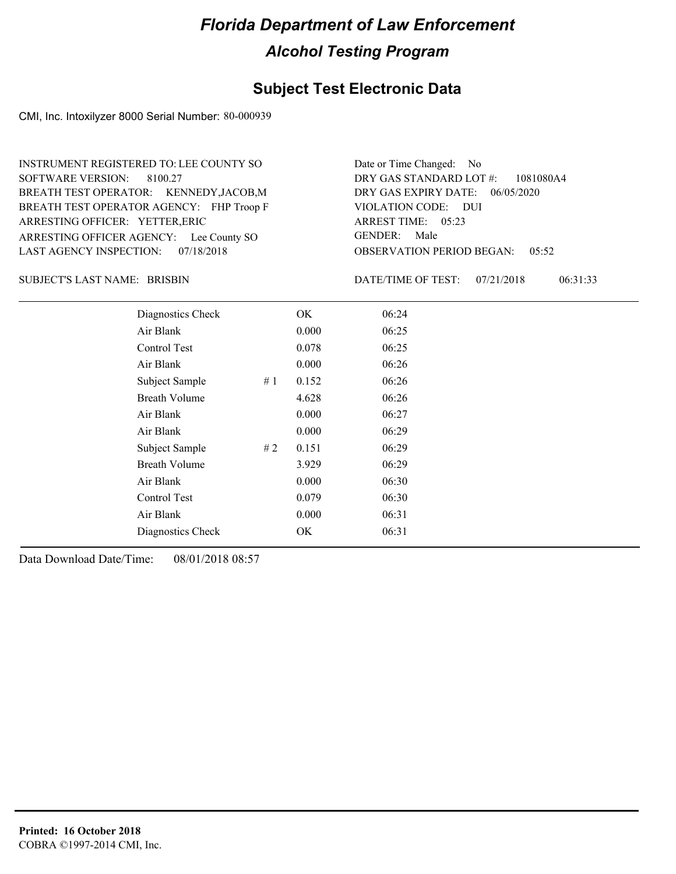### **Subject Test Electronic Data**

CMI, Inc. Intoxilyzer 8000 Serial Number: 80-000939

ARRESTING OFFICER AGENCY: Lee County SO GENDER: BREATH TEST OPERATOR AGENCY: FHP Troop F VIOLATION CODE: SOFTWARE VERSION: ARRESTING OFFICER: YETTER,ERIC BREATH TEST OPERATOR: KENNEDY,JACOB,M LAST AGENCY INSPECTION: 07/18/2018 8100.27 INSTRUMENT REGISTERED TO: LEE COUNTY SO

OBSERVATION PERIOD BEGAN: 05:52 VIOLATION CODE: DUI ARREST TIME: 05:23 DRY GAS EXPIRY DATE: 06/05/2020 1081080A4 DRY GAS STANDARD LOT #: Date or Time Changed: No GENDER: Male

BRISBIN SUBJECT'S LAST NAME: DATE/TIME OF TEST:

DATE/TIME OF TEST: 07/21/2018 06:31:33

| Diagnostics Check    |    | OK    | 06:24 |
|----------------------|----|-------|-------|
| Air Blank            |    | 0.000 | 06:25 |
| Control Test         |    | 0.078 | 06:25 |
| Air Blank            |    | 0.000 | 06:26 |
| Subject Sample       | #1 | 0.152 | 06:26 |
| <b>Breath Volume</b> |    | 4.628 | 06:26 |
| Air Blank            |    | 0.000 | 06:27 |
| Air Blank            |    | 0.000 | 06:29 |
| Subject Sample       | #2 | 0.151 | 06:29 |
| <b>Breath Volume</b> |    | 3.929 | 06:29 |
| Air Blank            |    | 0.000 | 06:30 |
| Control Test         |    | 0.079 | 06:30 |
| Air Blank            |    | 0.000 | 06:31 |
| Diagnostics Check    |    | OK    | 06:31 |
|                      |    |       |       |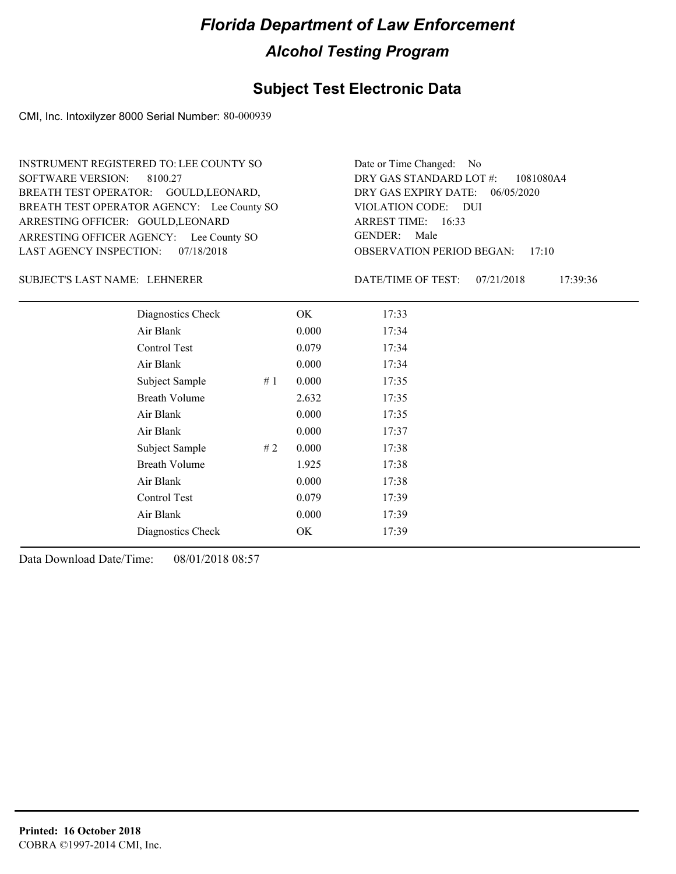### **Subject Test Electronic Data**

CMI, Inc. Intoxilyzer 8000 Serial Number: 80-000939

ARRESTING OFFICER AGENCY: Lee County SO GENDER: BREATH TEST OPERATOR AGENCY: Lee County SO VIOLATION CODE: SOFTWARE VERSION: ARRESTING OFFICER: GOULD, LEONARD BREATH TEST OPERATOR: GOULD, LEONARD, LAST AGENCY INSPECTION: 07/18/2018 8100.27 INSTRUMENT REGISTERED TO: LEE COUNTY SO

OBSERVATION PERIOD BEGAN: 17:10 VIOLATION CODE: DUI ARREST TIME: 16:33 DRY GAS EXPIRY DATE: 06/05/2020 1081080A4 DRY GAS STANDARD LOT #: Date or Time Changed: No GENDER: Male

#### LEHNERER SUBJECT'S LAST NAME: DATE/TIME OF TEST:

DATE/TIME OF TEST: 07/21/2018 17:39:36

| Diagnostics Check    | OK    | 17:33 |
|----------------------|-------|-------|
| Air Blank            | 0.000 | 17:34 |
| Control Test         | 0.079 | 17:34 |
| Air Blank            | 0.000 | 17:34 |
| Subject Sample<br>#1 | 0.000 | 17:35 |
| <b>Breath Volume</b> | 2.632 | 17:35 |
| Air Blank            | 0.000 | 17:35 |
| Air Blank            | 0.000 | 17:37 |
| Subject Sample<br>#2 | 0.000 | 17:38 |
| <b>Breath Volume</b> | 1.925 | 17:38 |
| Air Blank            | 0.000 | 17:38 |
| Control Test         | 0.079 | 17:39 |
| Air Blank            | 0.000 | 17:39 |
| Diagnostics Check    | OK    | 17:39 |
|                      |       |       |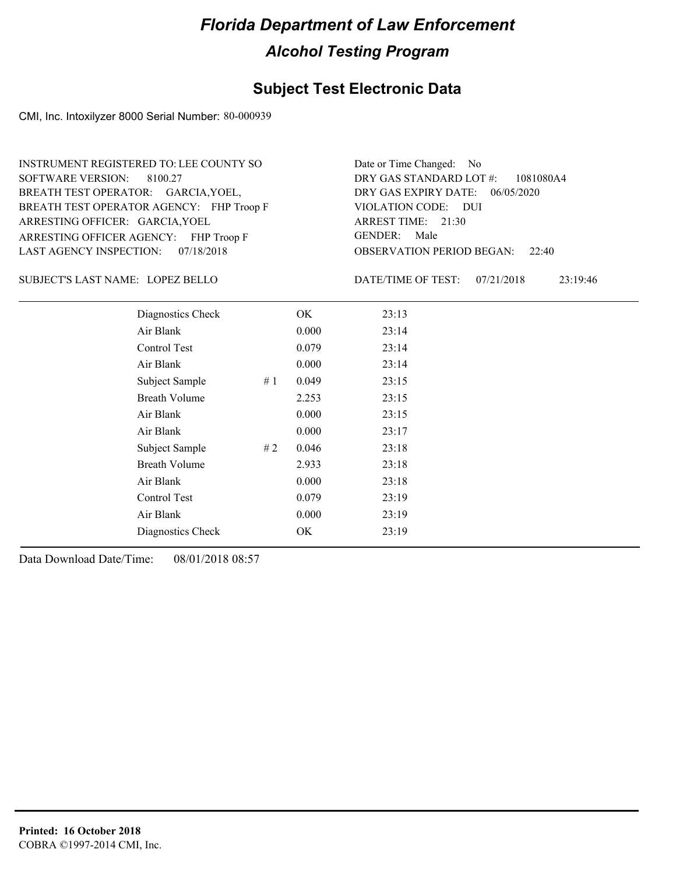### **Subject Test Electronic Data**

CMI, Inc. Intoxilyzer 8000 Serial Number: 80-000939

ARRESTING OFFICER AGENCY: FHP Troop F GENDER: BREATH TEST OPERATOR AGENCY: FHP Troop F VIOLATION CODE: SOFTWARE VERSION: 8100.27 ARRESTING OFFICER: GARCIA, YOEL BREATH TEST OPERATOR: GARCIA, YOEL, LAST AGENCY INSPECTION: 07/18/2018 INSTRUMENT REGISTERED TO: LEE COUNTY SO

OBSERVATION PERIOD BEGAN: 22:40 VIOLATION CODE: DUI ARREST TIME: 21:30 DRY GAS EXPIRY DATE: 06/05/2020 1081080A4 DRY GAS STANDARD LOT #: Date or Time Changed: No GENDER: Male

LOPEZ BELLO SUBJECT'S LAST NAME: DATE/TIME OF TEST:

DATE/TIME OF TEST: 07/21/2018 23:19:46

| Diagnostics Check    |    | OK    | 23:13 |
|----------------------|----|-------|-------|
| Air Blank            |    | 0.000 | 23:14 |
| Control Test         |    | 0.079 | 23:14 |
| Air Blank            |    | 0.000 | 23:14 |
| Subject Sample       | #1 | 0.049 | 23:15 |
| <b>Breath Volume</b> |    | 2.253 | 23:15 |
| Air Blank            |    | 0.000 | 23:15 |
| Air Blank            |    | 0.000 | 23:17 |
| Subject Sample       | #2 | 0.046 | 23:18 |
| <b>Breath Volume</b> |    | 2.933 | 23:18 |
| Air Blank            |    | 0.000 | 23:18 |
| <b>Control Test</b>  |    | 0.079 | 23:19 |
| Air Blank            |    | 0.000 | 23:19 |
| Diagnostics Check    |    | OK    | 23:19 |
|                      |    |       |       |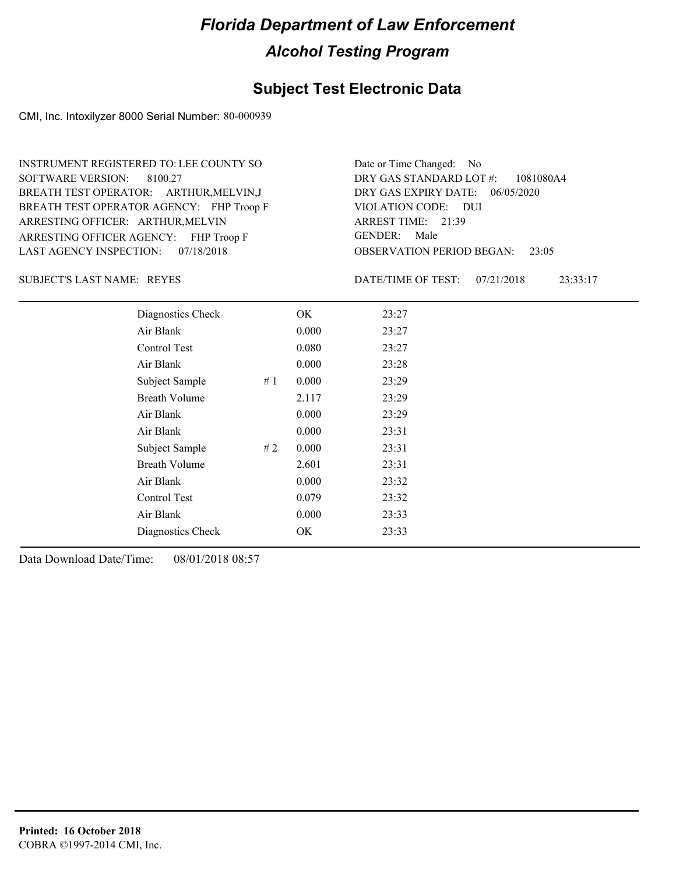### **Subject Test Electronic Data**

CMI, Inc. Intoxilyzer 8000 Serial Number: 80-000939

ARRESTING OFFICER AGENCY: FHP Troop F GENDER: BREATH TEST OPERATOR AGENCY: FHP Troop F VIOLATION CODE: SOFTWARE VERSION: 8100.27 ARRESTING OFFICER: ARTHUR, MELVIN BREATH TEST OPERATOR: ARTHUR,MELVIN,J LAST AGENCY INSPECTION: 07/18/2018 INSTRUMENT REGISTERED TO: LEE COUNTY SO

OBSERVATION PERIOD BEGAN: 23:05 VIOLATION CODE: DUI ARREST TIME: 21:39 DRY GAS EXPIRY DATE: 06/05/2020 1081080A4 DRY GAS STANDARD LOT #: Date or Time Changed: No GENDER: Male

SUBJECT'S LAST NAME: REYES **EXECUTE:** DATE/TIME OF TEST:

DATE/TIME OF TEST: 07/21/2018 23:33:17

| Diagnostics Check    |    | OK    | 23:27 |
|----------------------|----|-------|-------|
| Air Blank            |    | 0.000 | 23:27 |
| Control Test         |    | 0.080 | 23:27 |
| Air Blank            |    | 0.000 | 23:28 |
| Subject Sample       | #1 | 0.000 | 23:29 |
| <b>Breath Volume</b> |    | 2.117 | 23:29 |
| Air Blank            |    | 0.000 | 23:29 |
| Air Blank            |    | 0.000 | 23:31 |
| Subject Sample       | #2 | 0.000 | 23:31 |
| <b>Breath Volume</b> |    | 2.601 | 23:31 |
| Air Blank            |    | 0.000 | 23:32 |
| Control Test         |    | 0.079 | 23:32 |
| Air Blank            |    | 0.000 | 23:33 |
| Diagnostics Check    |    | OK    | 23:33 |
|                      |    |       |       |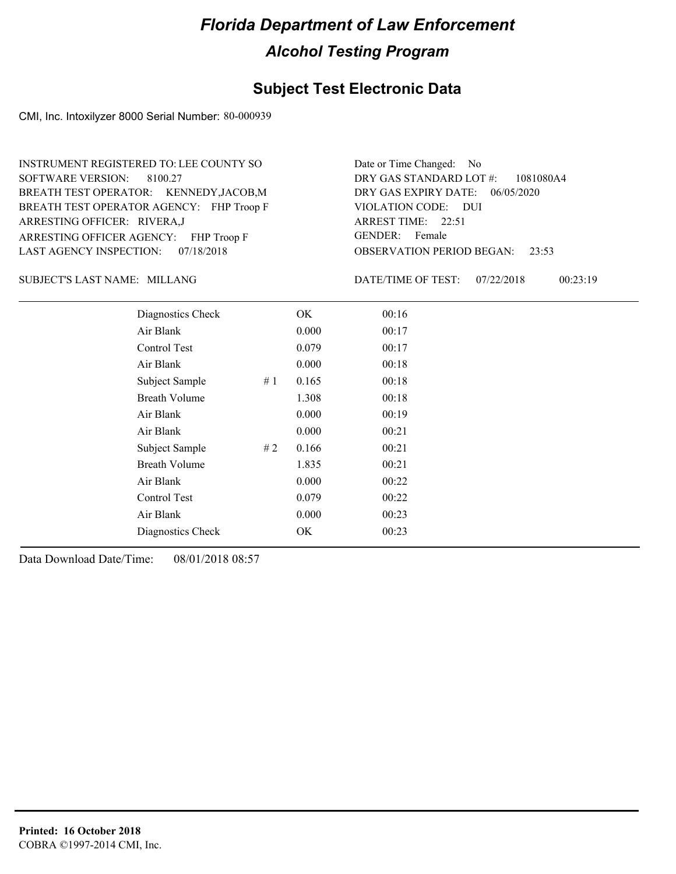#### **Subject Test Electronic Data**

CMI, Inc. Intoxilyzer 8000 Serial Number: 80-000939

ARRESTING OFFICER AGENCY: FHP Troop F GENDER: BREATH TEST OPERATOR AGENCY: FHP Troop F VIOLATION CODE: SOFTWARE VERSION: ARRESTING OFFICER: RIVERA,J BREATH TEST OPERATOR: KENNEDY,JACOB,M LAST AGENCY INSPECTION: 07/18/2018 8100.27 INSTRUMENT REGISTERED TO: LEE COUNTY SO

OBSERVATION PERIOD BEGAN: 23:53 VIOLATION CODE: DUI ARREST TIME: 22:51 DRY GAS EXPIRY DATE: 06/05/2020 1081080A4 DRY GAS STANDARD LOT #: Date or Time Changed: No GENDER: Female

MILLANG SUBJECT'S LAST NAME: DATE/TIME OF TEST:

DATE/TIME OF TEST: 07/22/2018 00:23:19

| Diagnostics Check    |    | OK    | 00:16 |  |
|----------------------|----|-------|-------|--|
| Air Blank            |    | 0.000 | 00:17 |  |
| Control Test         |    | 0.079 | 00:17 |  |
| Air Blank            |    | 0.000 | 00:18 |  |
| Subject Sample       | #1 | 0.165 | 00:18 |  |
| <b>Breath Volume</b> |    | 1.308 | 00:18 |  |
| Air Blank            |    | 0.000 | 00:19 |  |
| Air Blank            |    | 0.000 | 00:21 |  |
| Subject Sample       | #2 | 0.166 | 00:21 |  |
| <b>Breath Volume</b> |    | 1.835 | 00:21 |  |
| Air Blank            |    | 0.000 | 00:22 |  |
| Control Test         |    | 0.079 | 00:22 |  |
| Air Blank            |    | 0.000 | 00:23 |  |
| Diagnostics Check    |    | OK    | 00:23 |  |
|                      |    |       |       |  |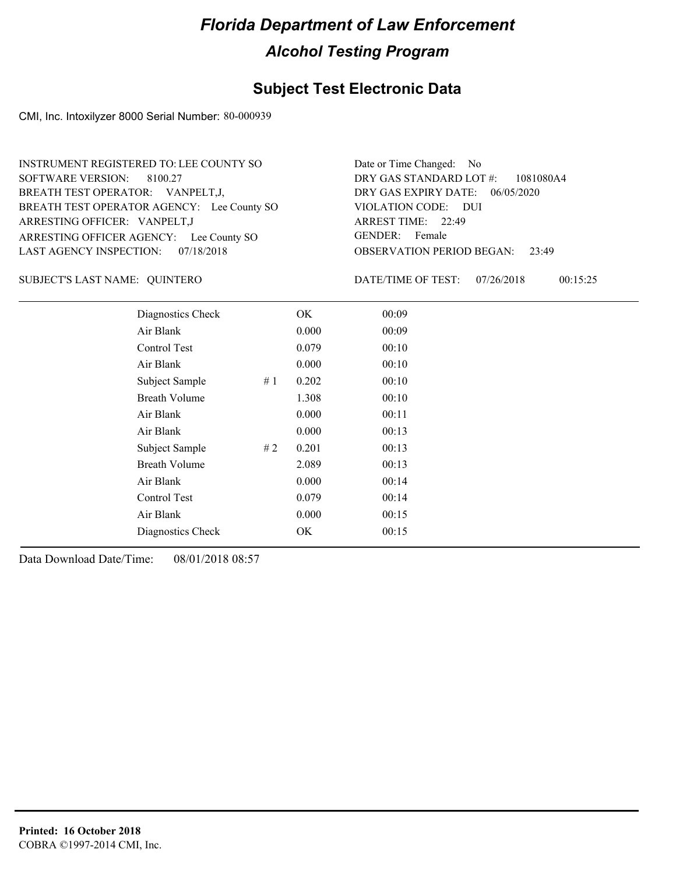#### **Subject Test Electronic Data**

CMI, Inc. Intoxilyzer 8000 Serial Number: 80-000939

ARRESTING OFFICER AGENCY: Lee County SO GENDER: BREATH TEST OPERATOR AGENCY: Lee County SO VIOLATION CODE: SOFTWARE VERSION: ARRESTING OFFICER: VANPELT,J BREATH TEST OPERATOR: VANPELT,J, LAST AGENCY INSPECTION: 07/18/2018 8100.27 INSTRUMENT REGISTERED TO: LEE COUNTY SO

OBSERVATION PERIOD BEGAN: 23:49 VIOLATION CODE: DUI 22:49 ARREST TIME: DRY GAS EXPIRY DATE: 06/05/2020 1081080A4 DRY GAS STANDARD LOT #: Date or Time Changed: No GENDER: Female

QUINTERO SUBJECT'S LAST NAME: DATE/TIME OF TEST:

DATE/TIME OF TEST: 07/26/2018 00:15:25

| Diagnostics Check    |    | OK    | 00:09 |
|----------------------|----|-------|-------|
| Air Blank            |    | 0.000 | 00:09 |
| Control Test         |    | 0.079 | 00:10 |
| Air Blank            |    | 0.000 | 00:10 |
| Subject Sample       | #1 | 0.202 | 00:10 |
| <b>Breath Volume</b> |    | 1.308 | 00:10 |
| Air Blank            |    | 0.000 | 00:11 |
| Air Blank            |    | 0.000 | 00:13 |
| Subject Sample       | #2 | 0.201 | 00:13 |
| <b>Breath Volume</b> |    | 2.089 | 00:13 |
| Air Blank            |    | 0.000 | 00:14 |
| Control Test         |    | 0.079 | 00:14 |
| Air Blank            |    | 0.000 | 00:15 |
| Diagnostics Check    |    | OK    | 00:15 |
|                      |    |       |       |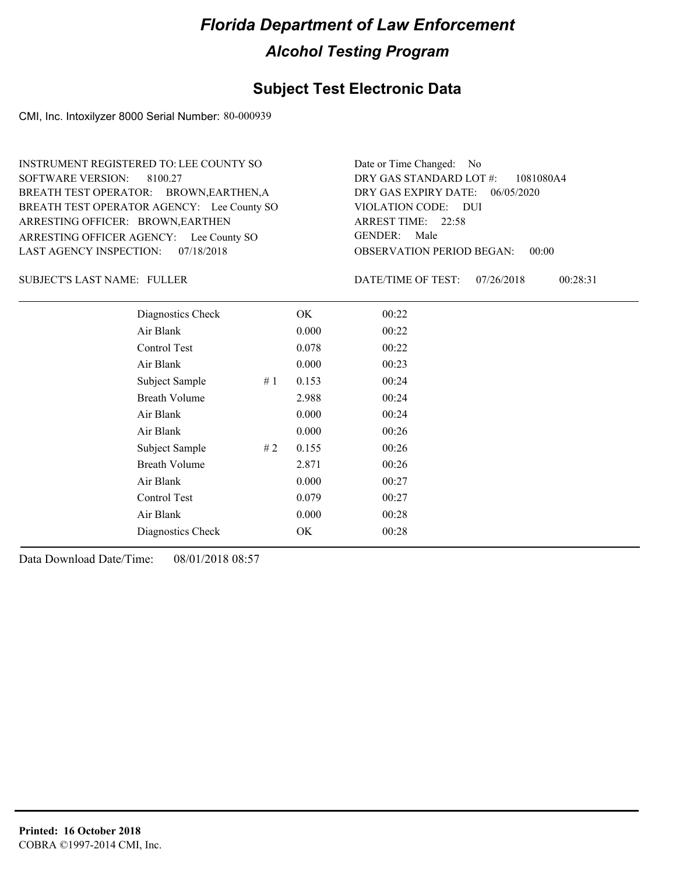#### **Subject Test Electronic Data**

CMI, Inc. Intoxilyzer 8000 Serial Number: 80-000939

ARRESTING OFFICER AGENCY: Lee County SO GENDER: BREATH TEST OPERATOR AGENCY: Lee County SO VIOLATION CODE: SOFTWARE VERSION: ARRESTING OFFICER: BROWN, EARTHEN BREATH TEST OPERATOR: BROWN,EARTHEN,A LAST AGENCY INSPECTION: 07/18/2018 8100.27 INSTRUMENT REGISTERED TO: LEE COUNTY SO

OBSERVATION PERIOD BEGAN: 00:00 VIOLATION CODE: DUI ARREST TIME: 22:58 DRY GAS EXPIRY DATE: 06/05/2020 1081080A4 DRY GAS STANDARD LOT #: Date or Time Changed: No GENDER: Male

SUBJECT'S LAST NAME: FULLER DATE/TIME OF TEST:

DATE/TIME OF TEST: 07/26/2018 00:28:31

| Diagnostics Check    |    | OK    | 00:22 |  |
|----------------------|----|-------|-------|--|
| Air Blank            |    | 0.000 | 00:22 |  |
| Control Test         |    | 0.078 | 00:22 |  |
| Air Blank            |    | 0.000 | 00:23 |  |
| Subject Sample       | #1 | 0.153 | 00:24 |  |
| <b>Breath Volume</b> |    | 2.988 | 00:24 |  |
| Air Blank            |    | 0.000 | 00:24 |  |
| Air Blank            |    | 0.000 | 00:26 |  |
| Subject Sample       | #2 | 0.155 | 00:26 |  |
| <b>Breath Volume</b> |    | 2.871 | 00:26 |  |
| Air Blank            |    | 0.000 | 00:27 |  |
| <b>Control Test</b>  |    | 0.079 | 00:27 |  |
| Air Blank            |    | 0.000 | 00:28 |  |
| Diagnostics Check    |    | OK    | 00:28 |  |
|                      |    |       |       |  |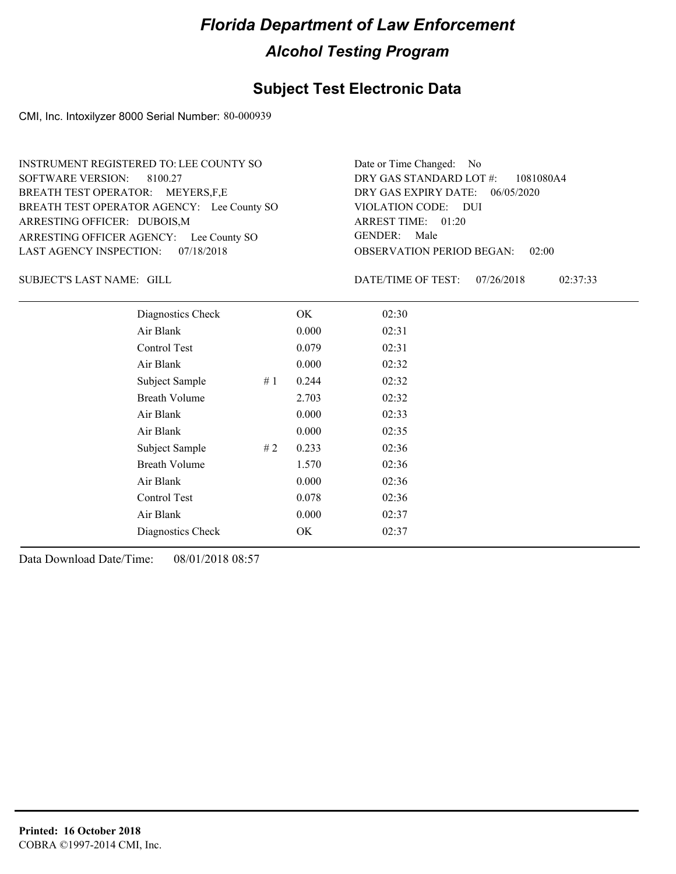#### **Subject Test Electronic Data**

CMI, Inc. Intoxilyzer 8000 Serial Number: 80-000939

ARRESTING OFFICER AGENCY: Lee County SO GENDER: BREATH TEST OPERATOR AGENCY: Lee County SO VIOLATION CODE: SOFTWARE VERSION: ARRESTING OFFICER: DUBOIS,M BREATH TEST OPERATOR: MEYERS,F,E LAST AGENCY INSPECTION: 07/18/2018 8100.27 INSTRUMENT REGISTERED TO: LEE COUNTY SO

OBSERVATION PERIOD BEGAN: 02:00 VIOLATION CODE: DUI ARREST TIME: 01:20 DRY GAS EXPIRY DATE: 06/05/2020 1081080A4 DRY GAS STANDARD LOT #: Date or Time Changed: No GENDER: Male

SUBJECT'S LAST NAME: GILL **Example 20 SUBJECT'S LAST NAME:** GILL

DATE/TIME OF TEST: 07/26/2018 02:37:33

| Diagnostics Check    |    | OK    | 02:30 |
|----------------------|----|-------|-------|
| Air Blank            |    | 0.000 | 02:31 |
| Control Test         |    | 0.079 | 02:31 |
| Air Blank            |    | 0.000 | 02:32 |
| Subject Sample       | #1 | 0.244 | 02:32 |
| <b>Breath Volume</b> |    | 2.703 | 02:32 |
| Air Blank            |    | 0.000 | 02:33 |
| Air Blank            |    | 0.000 | 02:35 |
| Subject Sample       | #2 | 0.233 | 02:36 |
| <b>Breath Volume</b> |    | 1.570 | 02:36 |
| Air Blank            |    | 0.000 | 02:36 |
| Control Test         |    | 0.078 | 02:36 |
| Air Blank            |    | 0.000 | 02:37 |
| Diagnostics Check    |    | OK    | 02:37 |
|                      |    |       |       |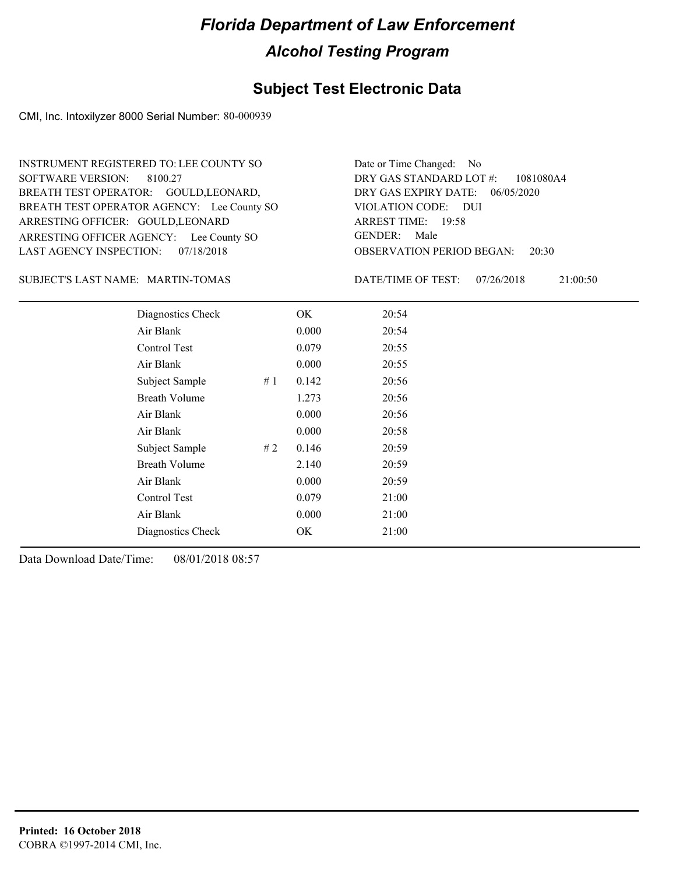#### **Subject Test Electronic Data**

CMI, Inc. Intoxilyzer 8000 Serial Number: 80-000939

ARRESTING OFFICER AGENCY: Lee County SO GENDER: BREATH TEST OPERATOR AGENCY: Lee County SO VIOLATION CODE: SOFTWARE VERSION: ARRESTING OFFICER: GOULD, LEONARD BREATH TEST OPERATOR: GOULD, LEONARD, LAST AGENCY INSPECTION: 07/18/2018 8100.27 INSTRUMENT REGISTERED TO: LEE COUNTY SO

OBSERVATION PERIOD BEGAN: 20:30 VIOLATION CODE: DUI ARREST TIME: 19:58 DRY GAS EXPIRY DATE: 06/05/2020 1081080A4 DRY GAS STANDARD LOT #: Date or Time Changed: No GENDER: Male

MARTIN-TOMAS SUBJECT'S LAST NAME: DATE/TIME OF TEST:

DATE/TIME OF TEST: 07/26/2018 21:00:50

| Diagnostics Check    |    | OK    | 20:54 |
|----------------------|----|-------|-------|
| Air Blank            |    | 0.000 | 20:54 |
| Control Test         |    | 0.079 | 20:55 |
| Air Blank            |    | 0.000 | 20:55 |
| Subject Sample       | #1 | 0.142 | 20:56 |
| <b>Breath Volume</b> |    | 1.273 | 20:56 |
| Air Blank            |    | 0.000 | 20:56 |
| Air Blank            |    | 0.000 | 20:58 |
| Subject Sample       | #2 | 0.146 | 20:59 |
| <b>Breath Volume</b> |    | 2.140 | 20:59 |
| Air Blank            |    | 0.000 | 20:59 |
| Control Test         |    | 0.079 | 21:00 |
| Air Blank            |    | 0.000 | 21:00 |
| Diagnostics Check    |    | OK    | 21:00 |
|                      |    |       |       |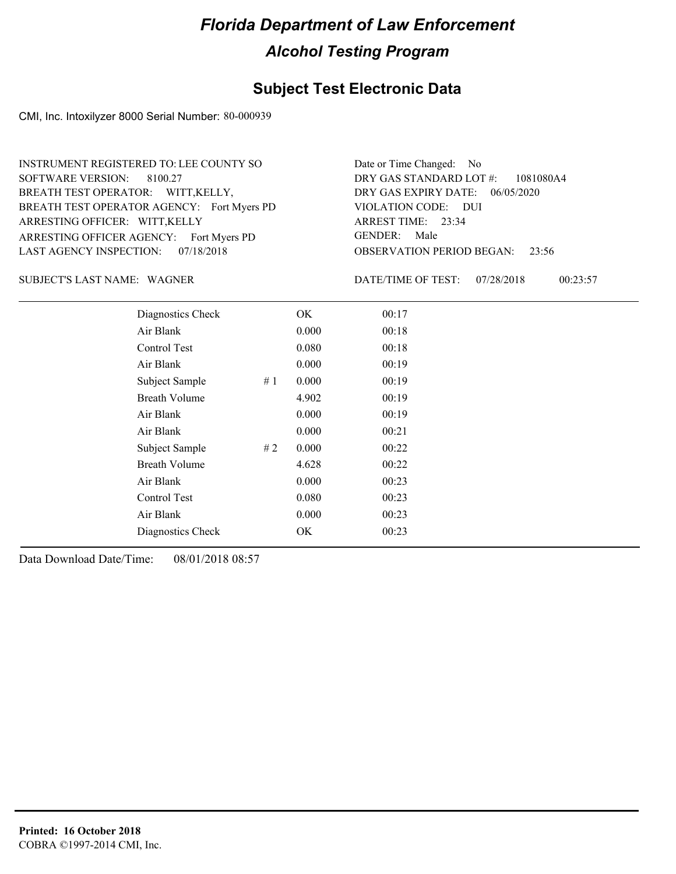#### **Subject Test Electronic Data**

CMI, Inc. Intoxilyzer 8000 Serial Number: 80-000939

ARRESTING OFFICER AGENCY: Fort Myers PD GENDER: BREATH TEST OPERATOR AGENCY: Fort Myers PD VIOLATION CODE: SOFTWARE VERSION: ARRESTING OFFICER: WITT,KELLY BREATH TEST OPERATOR: WITT,KELLY, LAST AGENCY INSPECTION: 07/18/2018 8100.27 INSTRUMENT REGISTERED TO: LEE COUNTY SO

OBSERVATION PERIOD BEGAN: 23:56 VIOLATION CODE: DUI 23:34 ARREST TIME: DRY GAS EXPIRY DATE: 06/05/2020 1081080A4 DRY GAS STANDARD LOT #: Date or Time Changed: No GENDER: Male

SUBJECT'S LAST NAME: WAGNER **EXECUTE:** DATE/TIME OF TEST:

DATE/TIME OF TEST: 07/28/2018 00:23:57

| Diagnostics Check    | OK    | 00:17 |
|----------------------|-------|-------|
| Air Blank            | 0.000 | 00:18 |
| Control Test         | 0.080 | 00:18 |
| Air Blank            | 0.000 | 00:19 |
| Subject Sample<br>#1 | 0.000 | 00:19 |
| <b>Breath Volume</b> | 4.902 | 00:19 |
| Air Blank            | 0.000 | 00:19 |
| Air Blank            | 0.000 | 00:21 |
| #2<br>Subject Sample | 0.000 | 00:22 |
| <b>Breath Volume</b> | 4.628 | 00:22 |
| Air Blank            | 0.000 | 00:23 |
| <b>Control Test</b>  | 0.080 | 00:23 |
| Air Blank            | 0.000 | 00:23 |
| Diagnostics Check    | OK    | 00:23 |
|                      |       |       |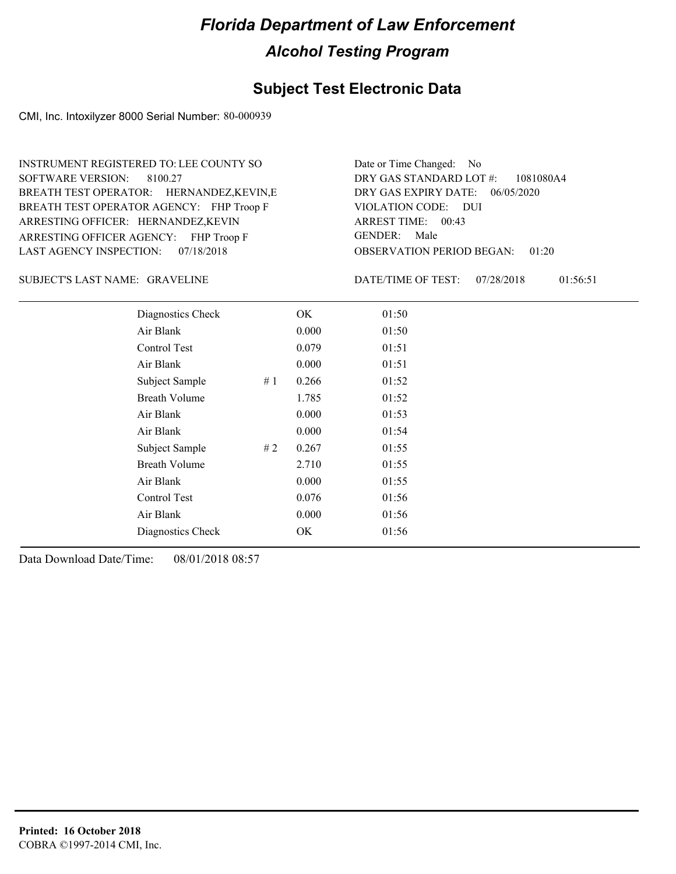#### **Subject Test Electronic Data**

CMI, Inc. Intoxilyzer 8000 Serial Number: 80-000939

ARRESTING OFFICER AGENCY: FHP Troop F GENDER: BREATH TEST OPERATOR AGENCY: FHP Troop F VIOLATION CODE: SOFTWARE VERSION: ARRESTING OFFICER: HERNANDEZ,KEVIN BREATH TEST OPERATOR: HERNANDEZ,KEVIN,E LAST AGENCY INSPECTION: 07/18/2018 8100.27 INSTRUMENT REGISTERED TO: LEE COUNTY SO

OBSERVATION PERIOD BEGAN: 01:20 VIOLATION CODE: DUI ARREST TIME: 00:43 DRY GAS EXPIRY DATE: 06/05/2020 1081080A4 DRY GAS STANDARD LOT #: Date or Time Changed: No GENDER: Male

SUBJECT'S LAST NAME: GRAVELINE **STARVELING** DATE/TIME OF TEST:

DATE/TIME OF TEST: 07/28/2018 01:56:51

| Diagnostics Check    | OK    | 01:50 |
|----------------------|-------|-------|
| Air Blank            | 0.000 | 01:50 |
| Control Test         | 0.079 | 01:51 |
| Air Blank            | 0.000 | 01:51 |
| Subject Sample<br>#1 | 0.266 | 01:52 |
| <b>Breath Volume</b> | 1.785 | 01:52 |
| Air Blank            | 0.000 | 01:53 |
| Air Blank            | 0.000 | 01:54 |
| Subject Sample<br>#2 | 0.267 | 01:55 |
| <b>Breath Volume</b> | 2.710 | 01:55 |
| Air Blank            | 0.000 | 01:55 |
| <b>Control Test</b>  | 0.076 | 01:56 |
| Air Blank            | 0.000 | 01:56 |
| Diagnostics Check    | OK    | 01:56 |
|                      |       |       |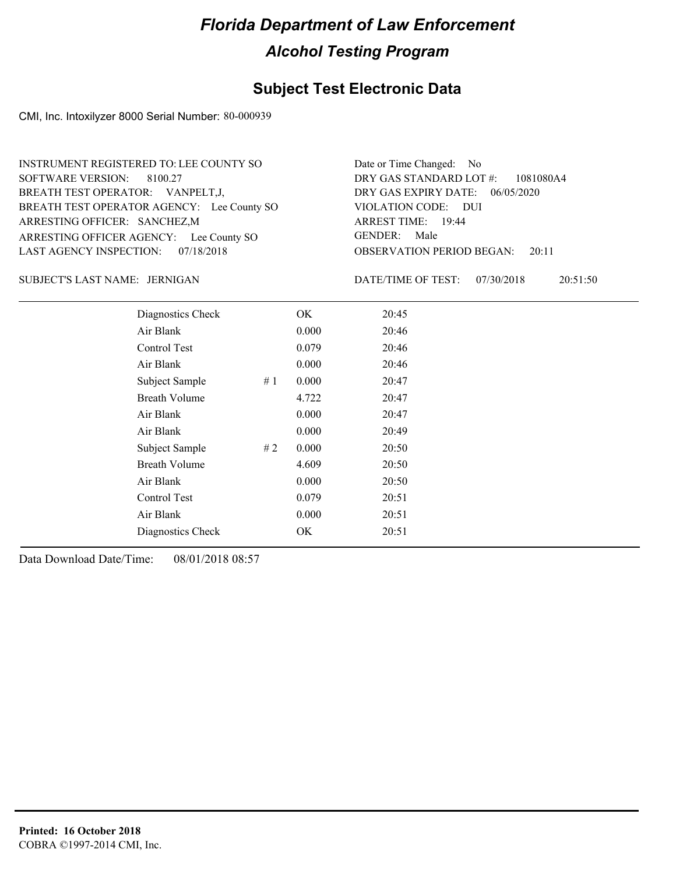#### **Subject Test Electronic Data**

CMI, Inc. Intoxilyzer 8000 Serial Number: 80-000939

ARRESTING OFFICER AGENCY: Lee County SO GENDER: BREATH TEST OPERATOR AGENCY: Lee County SO VIOLATION CODE: SOFTWARE VERSION: 8100.27 ARRESTING OFFICER: SANCHEZ,M BREATH TEST OPERATOR: VANPELT,J, LAST AGENCY INSPECTION: 07/18/2018 INSTRUMENT REGISTERED TO: LEE COUNTY SO

OBSERVATION PERIOD BEGAN: 20:11 VIOLATION CODE: DUI 19:44 ARREST TIME: DRY GAS EXPIRY DATE: 06/05/2020 1081080A4 DRY GAS STANDARD LOT #: Date or Time Changed: No GENDER: Male

JERNIGAN SUBJECT'S LAST NAME: DATE/TIME OF TEST:

DATE/TIME OF TEST: 07/30/2018 20:51:50

| Diagnostics Check    |    | OK    | 20:45 |  |
|----------------------|----|-------|-------|--|
| Air Blank            |    | 0.000 | 20:46 |  |
| Control Test         |    | 0.079 | 20:46 |  |
| Air Blank            |    | 0.000 | 20:46 |  |
| Subject Sample       | #1 | 0.000 | 20:47 |  |
| <b>Breath Volume</b> |    | 4.722 | 20:47 |  |
| Air Blank            |    | 0.000 | 20:47 |  |
| Air Blank            |    | 0.000 | 20:49 |  |
| Subject Sample       | #2 | 0.000 | 20:50 |  |
| <b>Breath Volume</b> |    | 4.609 | 20:50 |  |
| Air Blank            |    | 0.000 | 20:50 |  |
| Control Test         |    | 0.079 | 20:51 |  |
| Air Blank            |    | 0.000 | 20:51 |  |
| Diagnostics Check    |    | OK    | 20:51 |  |
|                      |    |       |       |  |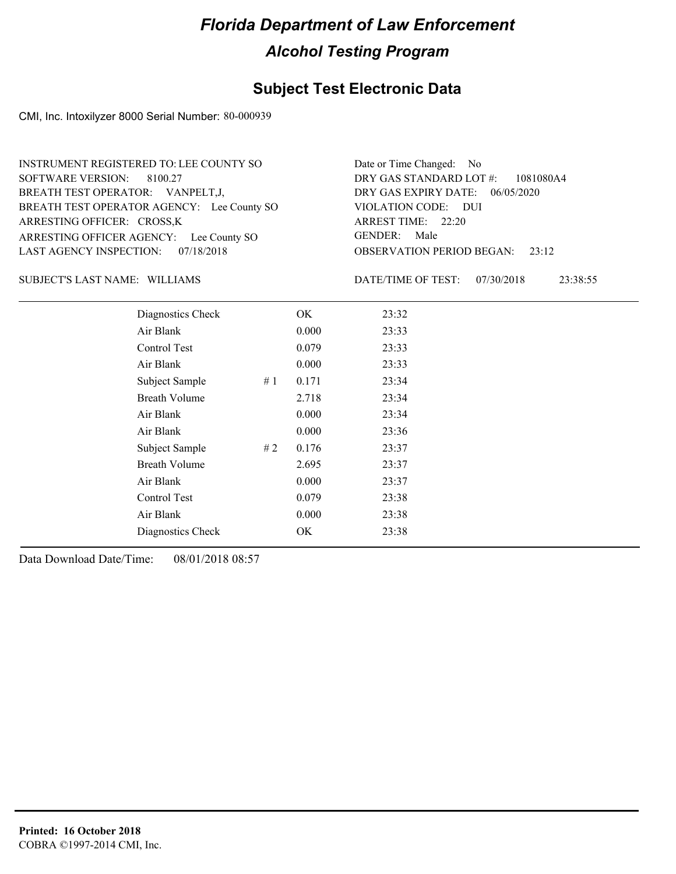#### **Subject Test Electronic Data**

CMI, Inc. Intoxilyzer 8000 Serial Number: 80-000939

ARRESTING OFFICER AGENCY: Lee County SO GENDER: BREATH TEST OPERATOR AGENCY: Lee County SO VIOLATION CODE: SOFTWARE VERSION: 8100.27 ARRESTING OFFICER: CROSS,K BREATH TEST OPERATOR: VANPELT,J, LAST AGENCY INSPECTION: 07/18/2018 INSTRUMENT REGISTERED TO: LEE COUNTY SO

OBSERVATION PERIOD BEGAN: 23:12 VIOLATION CODE: DUI ARREST TIME: 22:20 DRY GAS EXPIRY DATE: 06/05/2020 1081080A4 DRY GAS STANDARD LOT #: Date or Time Changed: No GENDER: Male

#### SUBJECT'S LAST NAME: WILLIAMS DATE/TIME OF TEST:

DATE/TIME OF TEST: 07/30/2018 23:38:55

| Diagnostics Check    | OK    | 23:32 |
|----------------------|-------|-------|
| Air Blank            | 0.000 | 23:33 |
| Control Test         | 0.079 | 23:33 |
| Air Blank            | 0.000 | 23:33 |
| Subject Sample<br>#1 | 0.171 | 23:34 |
| <b>Breath Volume</b> | 2.718 | 23:34 |
| Air Blank            | 0.000 | 23:34 |
| Air Blank            | 0.000 | 23:36 |
| Subject Sample<br>#2 | 0.176 | 23:37 |
| <b>Breath Volume</b> | 2.695 | 23:37 |
| Air Blank            | 0.000 | 23:37 |
| Control Test         | 0.079 | 23:38 |
| Air Blank            | 0.000 | 23:38 |
| Diagnostics Check    | OK    | 23:38 |
|                      |       |       |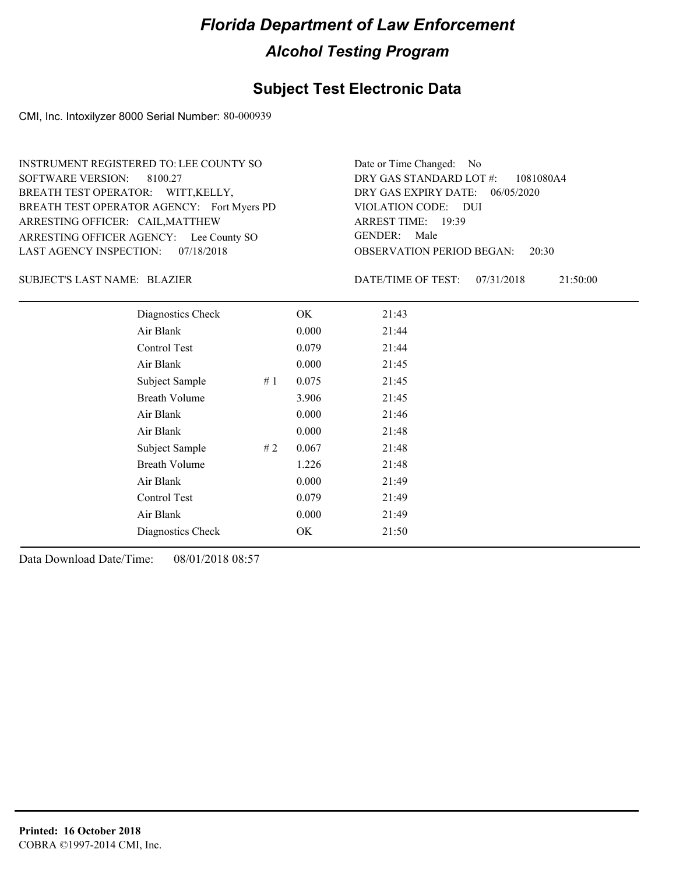#### **Subject Test Electronic Data**

CMI, Inc. Intoxilyzer 8000 Serial Number: 80-000939

ARRESTING OFFICER AGENCY: Lee County SO GENDER: BREATH TEST OPERATOR AGENCY: Fort Myers PD VIOLATION CODE: SOFTWARE VERSION: ARRESTING OFFICER: CAIL, MATTHEW BREATH TEST OPERATOR: WITT,KELLY, LAST AGENCY INSPECTION: 07/18/2018 8100.27 INSTRUMENT REGISTERED TO: LEE COUNTY SO

OBSERVATION PERIOD BEGAN: 20:30 VIOLATION CODE: DUI 19:39 ARREST TIME: DRY GAS EXPIRY DATE: 06/05/2020 1081080A4 DRY GAS STANDARD LOT #: Date or Time Changed: No GENDER: Male

BLAZIER SUBJECT'S LAST NAME: DATE/TIME OF TEST:

DATE/TIME OF TEST: 07/31/2018 21:50:00

| Diagnostics Check    |    | OK    | 21:43 |  |  |
|----------------------|----|-------|-------|--|--|
| Air Blank            |    | 0.000 | 21:44 |  |  |
| Control Test         |    | 0.079 | 21:44 |  |  |
| Air Blank            |    | 0.000 | 21:45 |  |  |
| Subject Sample       | #1 | 0.075 | 21:45 |  |  |
| <b>Breath Volume</b> |    | 3.906 | 21:45 |  |  |
| Air Blank            |    | 0.000 | 21:46 |  |  |
| Air Blank            |    | 0.000 | 21:48 |  |  |
| Subject Sample       | #2 | 0.067 | 21:48 |  |  |
| <b>Breath Volume</b> |    | 1.226 | 21:48 |  |  |
| Air Blank            |    | 0.000 | 21:49 |  |  |
| Control Test         |    | 0.079 | 21:49 |  |  |
| Air Blank            |    | 0.000 | 21:49 |  |  |
| Diagnostics Check    |    | OK    | 21:50 |  |  |
|                      |    |       |       |  |  |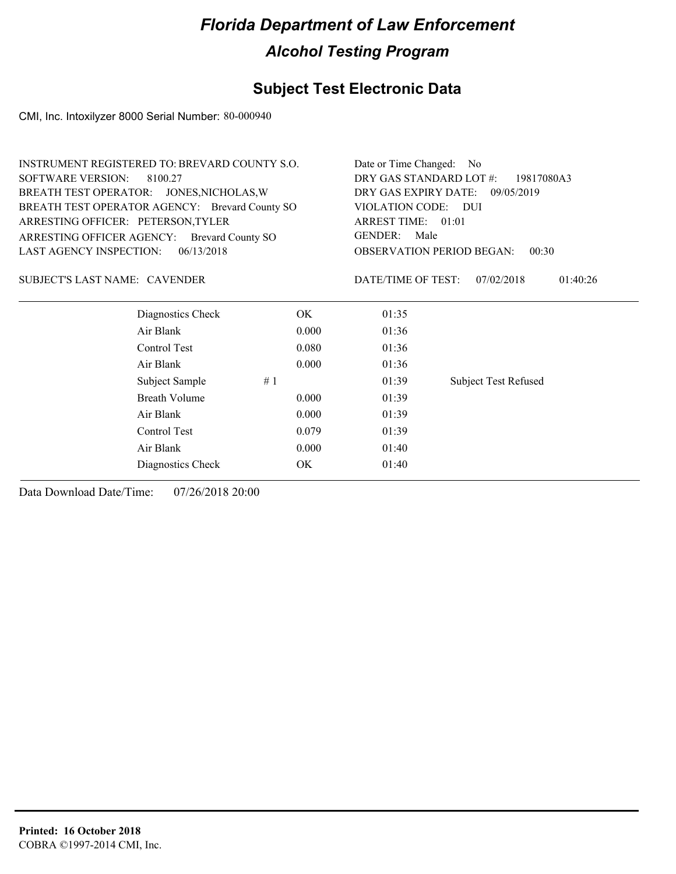## **Subject Test Electronic Data**

CMI, Inc. Intoxilyzer 8000 Serial Number: 80-000940

| INSTRUMENT REGISTERED TO: BREVARD COUNTY S.O.  |                      | Date or Time Changed: No                  |                          |                             |  |  |  |
|------------------------------------------------|----------------------|-------------------------------------------|--------------------------|-----------------------------|--|--|--|
| <b>SOFTWARE VERSION:</b>                       | 8100.27              | DRY GAS STANDARD LOT #:<br>19817080A3     |                          |                             |  |  |  |
| BREATH TEST OPERATOR: JONES, NICHOLAS, W       |                      | DRY GAS EXPIRY DATE: 09/05/2019           |                          |                             |  |  |  |
| BREATH TEST OPERATOR AGENCY: Brevard County SO |                      |                                           | VIOLATION CODE:<br>- DUI |                             |  |  |  |
| ARRESTING OFFICER: PETERSON, TYLER             |                      |                                           | ARREST TIME: 01:01       |                             |  |  |  |
| ARRESTING OFFICER AGENCY: Brevard County SO    |                      |                                           | <b>GENDER:</b><br>Male   |                             |  |  |  |
| LAST AGENCY INSPECTION:                        | 06/13/2018           | <b>OBSERVATION PERIOD BEGAN:</b><br>00:30 |                          |                             |  |  |  |
| SUBJECT'S LAST NAME: CAVENDER                  |                      |                                           | DATE/TIME OF TEST:       | 07/02/2018<br>01:40:26      |  |  |  |
|                                                | Diagnostics Check    | OK                                        | 01:35                    |                             |  |  |  |
|                                                | Air Blank            | 0.000                                     | 01:36                    |                             |  |  |  |
|                                                | Control Test         | 0.080                                     | 01:36                    |                             |  |  |  |
|                                                | Air Blank            | 0.000                                     | 01:36                    |                             |  |  |  |
|                                                | Subject Sample       | #1                                        | 01:39                    | <b>Subject Test Refused</b> |  |  |  |
|                                                | <b>Breath Volume</b> | 0.000                                     | 01:39                    |                             |  |  |  |
|                                                | Air Blank            | 0.000                                     | 01:39                    |                             |  |  |  |
|                                                | Control Test         | 0.079                                     | 01:39                    |                             |  |  |  |
|                                                | Air Blank            | 01:40                                     |                          |                             |  |  |  |
|                                                | Diagnostics Check    | OK                                        | 01:40                    |                             |  |  |  |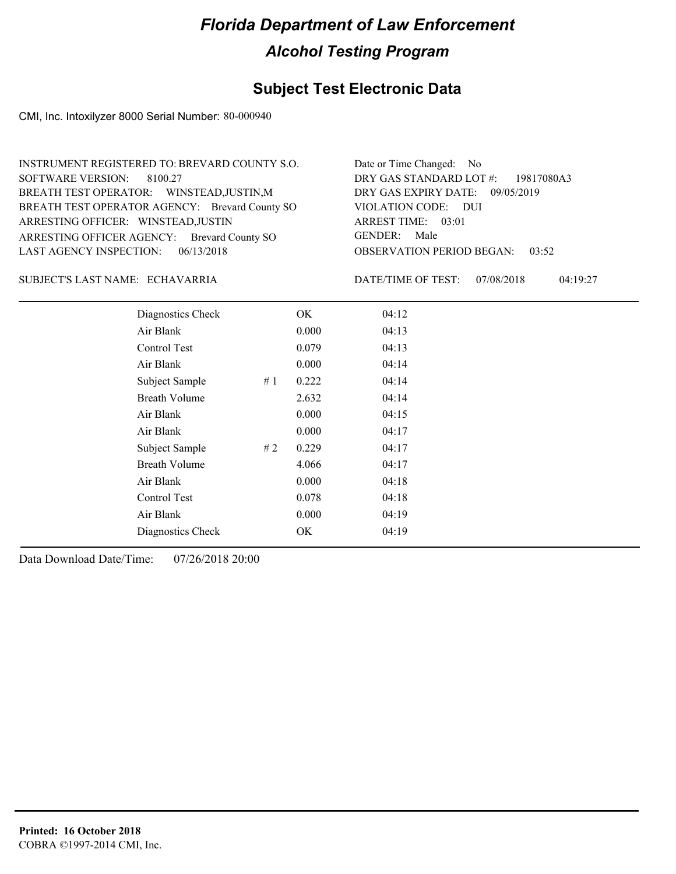## **Subject Test Electronic Data**

CMI, Inc. Intoxilyzer 8000 Serial Number: 80-000940

| INSTRUMENT REGISTERED TO: BREVARD COUNTY S.O.  | Date or Time Changed: No               |
|------------------------------------------------|----------------------------------------|
| SOFTWARE VERSION: 8100.27                      | DRY GAS STANDARD LOT #: 19817080A3     |
| BREATH TEST OPERATOR: WINSTEAD, JUSTIN, M      | DRY GAS EXPIRY DATE: 09/05/2019        |
| BREATH TEST OPERATOR AGENCY: Brevard County SO | VIOLATION CODE: DUI                    |
| ARRESTING OFFICER: WINSTEAD, JUSTIN            | ARREST TIME: 03:01                     |
| ARRESTING OFFICER AGENCY: Brevard County SO    | GENDER: Male                           |
| LAST AGENCY INSPECTION: 06/13/2018             | <b>OBSERVATION PERIOD BEGAN: 03:52</b> |

#### ECHAVARRIA SUBJECT'S LAST NAME: DATE/TIME OF TEST:

DATE/TIME OF TEST: 07/08/2018 04:19:27

| Diagnostics Check    |    | OK    | 04:12 |  |
|----------------------|----|-------|-------|--|
| Air Blank            |    | 0.000 | 04:13 |  |
| Control Test         |    | 0.079 | 04:13 |  |
| Air Blank            |    | 0.000 | 04:14 |  |
| Subject Sample       | #1 | 0.222 | 04:14 |  |
| <b>Breath Volume</b> |    | 2.632 | 04:14 |  |
| Air Blank            |    | 0.000 | 04:15 |  |
| Air Blank            |    | 0.000 | 04:17 |  |
| Subject Sample       | #2 | 0.229 | 04:17 |  |
| <b>Breath Volume</b> |    | 4.066 | 04:17 |  |
| Air Blank            |    | 0.000 | 04:18 |  |
| Control Test         |    | 0.078 | 04:18 |  |
| Air Blank            |    | 0.000 | 04:19 |  |
| Diagnostics Check    |    | OK    | 04:19 |  |
|                      |    |       |       |  |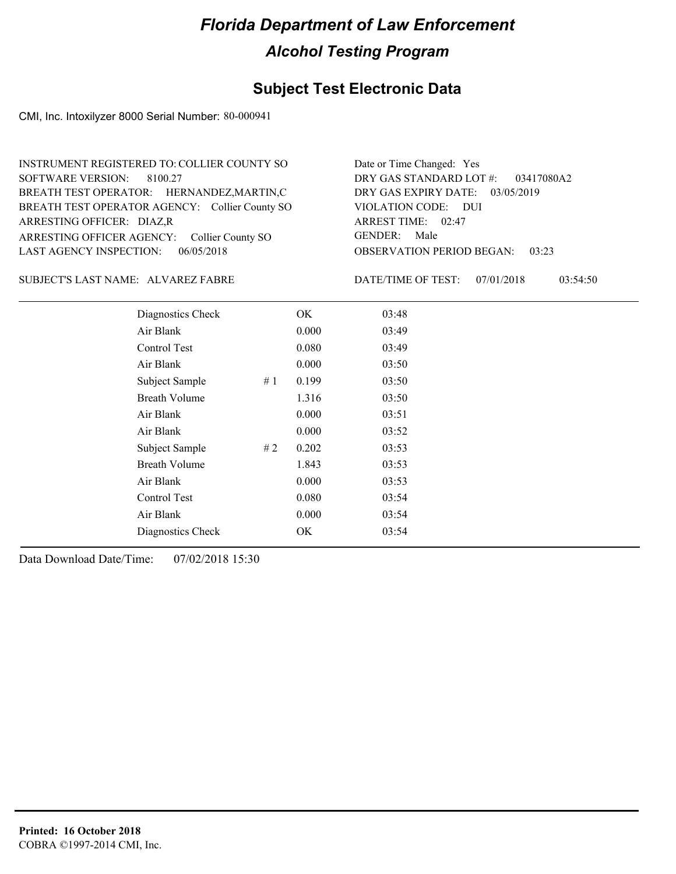## **Subject Test Electronic Data**

CMI, Inc. Intoxilyzer 8000 Serial Number: 80-000941

| INSTRUMENT REGISTERED TO: COLLIER COUNTY SO    | Date or Time Changed: Yes              |
|------------------------------------------------|----------------------------------------|
| SOFTWARE VERSION: 8100.27                      | DRY GAS STANDARD LOT #: 03417080A2     |
| BREATH TEST OPERATOR: HERNANDEZ, MARTIN, C     | DRY GAS EXPIRY DATE: 03/05/2019        |
| BREATH TEST OPERATOR AGENCY: Collier County SO | VIOLATION CODE: DUI                    |
| ARRESTING OFFICER: DIAZ, R                     | ARREST TIME: 02:47                     |
| ARRESTING OFFICER AGENCY: Collier County SO    | GENDER: Male                           |
| LAST AGENCY INSPECTION: $06/05/2018$           | <b>OBSERVATION PERIOD BEGAN: 03:23</b> |

ALVAREZ FABRE SUBJECT'S LAST NAME: DATE/TIME OF TEST:

DATE/TIME OF TEST: 07/01/2018 03:54:50

| Diagnostics Check    | OK    | 03:48 |
|----------------------|-------|-------|
| Air Blank            | 0.000 | 03:49 |
| Control Test         | 0.080 | 03:49 |
| Air Blank            | 0.000 | 03:50 |
| Subject Sample<br>#1 | 0.199 | 03:50 |
| <b>Breath Volume</b> | 1.316 | 03:50 |
| Air Blank            | 0.000 | 03:51 |
| Air Blank            | 0.000 | 03:52 |
| Subject Sample<br>#2 | 0.202 | 03:53 |
| <b>Breath Volume</b> | 1.843 | 03:53 |
| Air Blank            | 0.000 | 03:53 |
| Control Test         | 0.080 | 03:54 |
| Air Blank            | 0.000 | 03:54 |
| Diagnostics Check    | OK    | 03:54 |
|                      |       |       |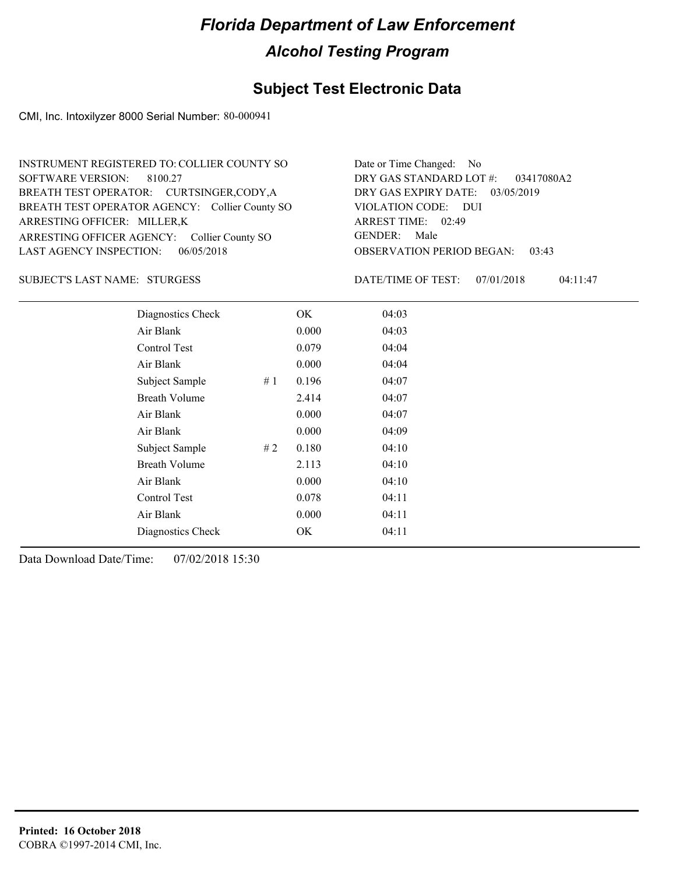## **Subject Test Electronic Data**

CMI, Inc. Intoxilyzer 8000 Serial Number: 80-000941

| INSTRUMENT REGISTERED TO: COLLIER COUNTY SO    | Date or Time Changed: No               |
|------------------------------------------------|----------------------------------------|
| SOFTWARE VERSION: 8100.27                      | DRY GAS STANDARD LOT #: 03417080A2     |
| BREATH TEST OPERATOR: CURTSINGER, CODY, A      | DRY GAS EXPIRY DATE: $03/05/2019$      |
| BREATH TEST OPERATOR AGENCY: Collier County SO | VIOLATION CODE: DUI                    |
| ARRESTING OFFICER: MILLER,K                    | ARREST TIME: 02:49                     |
| ARRESTING OFFICER AGENCY: Collier County SO    | GENDER: Male                           |
| LAST AGENCY INSPECTION: $06/05/2018$           | <b>OBSERVATION PERIOD BEGAN: 03:43</b> |

#### SUBJECT'S LAST NAME: STURGESS DATE/TIME OF TEST:

DATE/TIME OF TEST: 07/01/2018 04:11:47

| Diagnostics Check    |    | OK    | 04:03 |
|----------------------|----|-------|-------|
| Air Blank            |    | 0.000 | 04:03 |
| Control Test         |    | 0.079 | 04:04 |
| Air Blank            |    | 0.000 | 04:04 |
| Subject Sample       | #1 | 0.196 | 04:07 |
| <b>Breath Volume</b> |    | 2.414 | 04:07 |
| Air Blank            |    | 0.000 | 04:07 |
| Air Blank            |    | 0.000 | 04:09 |
| Subject Sample       | #2 | 0.180 | 04:10 |
| <b>Breath Volume</b> |    | 2.113 | 04:10 |
| Air Blank            |    | 0.000 | 04:10 |
| Control Test         |    | 0.078 | 04:11 |
| Air Blank            |    | 0.000 | 04:11 |
| Diagnostics Check    |    | OK    | 04:11 |
|                      |    |       |       |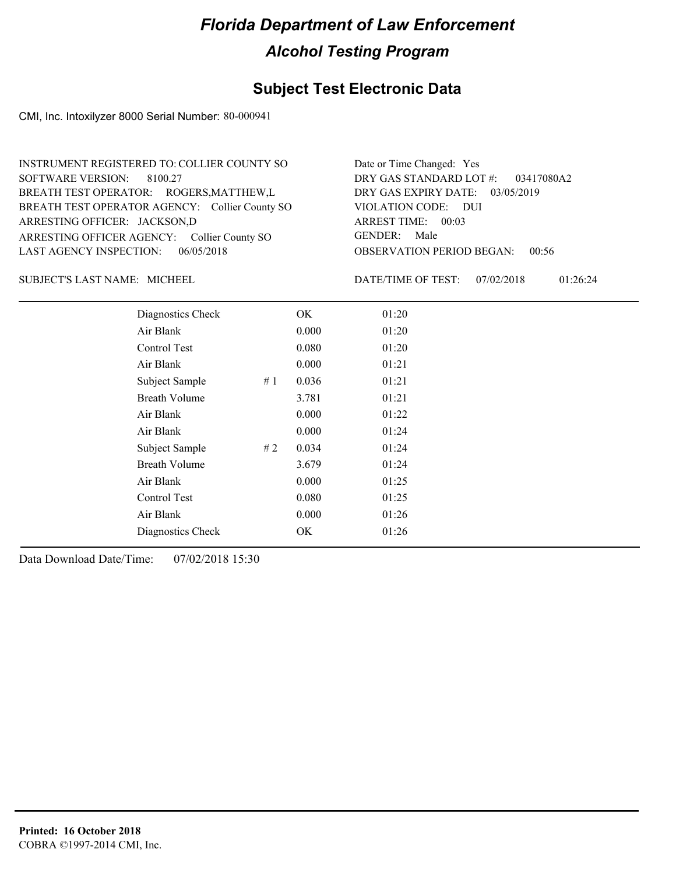## **Subject Test Electronic Data**

CMI, Inc. Intoxilyzer 8000 Serial Number: 80-000941

| INSTRUMENT REGISTERED TO: COLLIER COUNTY SO    | Date or Time Changed: Yes              |
|------------------------------------------------|----------------------------------------|
| SOFTWARE VERSION: 8100.27                      | DRY GAS STANDARD LOT $\#$ : 03417080A2 |
| BREATH TEST OPERATOR: ROGERS, MATTHEW, L       | DRY GAS EXPIRY DATE: 03/05/2019        |
| BREATH TEST OPERATOR AGENCY: Collier County SO | VIOLATION CODE: DUI                    |
| ARRESTING OFFICER: JACKSON,D                   | ARREST TIME: 00:03                     |
| ARRESTING OFFICER AGENCY: Collier County SO    | GENDER: Male                           |
| LAST AGENCY INSPECTION: $06/05/2018$           | <b>OBSERVATION PERIOD BEGAN: 00:56</b> |

SUBJECT'S LAST NAME: MICHEEL DATE/TIME OF TEST:

DATE/TIME OF TEST: 07/02/2018 01:26:24

| Diagnostics Check    |    | OK    | 01:20 |
|----------------------|----|-------|-------|
| Air Blank            |    | 0.000 | 01:20 |
| Control Test         |    | 0.080 | 01:20 |
| Air Blank            |    | 0.000 | 01:21 |
| Subject Sample       | #1 | 0.036 | 01:21 |
| <b>Breath Volume</b> |    | 3.781 | 01:21 |
| Air Blank            |    | 0.000 | 01:22 |
| Air Blank            |    | 0.000 | 01:24 |
| Subject Sample       | #2 | 0.034 | 01:24 |
| <b>Breath Volume</b> |    | 3.679 | 01:24 |
| Air Blank            |    | 0.000 | 01:25 |
| Control Test         |    | 0.080 | 01:25 |
| Air Blank            |    | 0.000 | 01:26 |
| Diagnostics Check    |    | OK    | 01:26 |
|                      |    |       |       |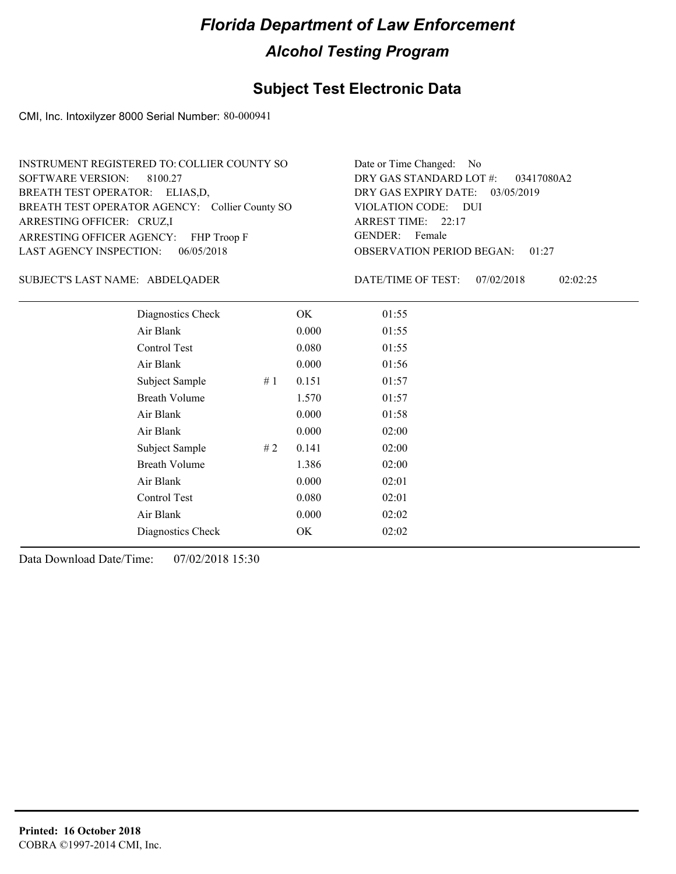## **Subject Test Electronic Data**

CMI, Inc. Intoxilyzer 8000 Serial Number: 80-000941

| INSTRUMENT REGISTERED TO: COLLIER COUNTY SO    | Date or Time Changed: No               |
|------------------------------------------------|----------------------------------------|
| SOFTWARE VERSION: 8100.27                      | DRY GAS STANDARD LOT #: 03417080A2     |
| BREATH TEST OPERATOR: ELIAS,D,                 | DRY GAS EXPIRY DATE: $03/05/2019$      |
| BREATH TEST OPERATOR AGENCY: Collier County SO | VIOLATION CODE: DUI                    |
| ARRESTING OFFICER: CRUZ,I                      | ARREST TIME: 22:17                     |
| ARRESTING OFFICER AGENCY: FHP Troop F          | GENDER: Female                         |
| LAST AGENCY INSPECTION: $06/05/2018$           | <b>OBSERVATION PERIOD BEGAN: 01:27</b> |

#### ABDELQADER SUBJECT'S LAST NAME: DATE/TIME OF TEST:

DATE/TIME OF TEST: 07/02/2018 02:02:25

| Diagnostics Check    |    | OK    | 01:55 |
|----------------------|----|-------|-------|
| Air Blank            |    | 0.000 | 01:55 |
| Control Test         |    | 0.080 | 01:55 |
| Air Blank            |    | 0.000 | 01:56 |
| Subject Sample       | #1 | 0.151 | 01:57 |
| <b>Breath Volume</b> |    | 1.570 | 01:57 |
| Air Blank            |    | 0.000 | 01:58 |
| Air Blank            |    | 0.000 | 02:00 |
| Subject Sample       | #2 | 0.141 | 02:00 |
| <b>Breath Volume</b> |    | 1.386 | 02:00 |
| Air Blank            |    | 0.000 | 02:01 |
| Control Test         |    | 0.080 | 02:01 |
| Air Blank            |    | 0.000 | 02:02 |
| Diagnostics Check    |    | OK    | 02:02 |
|                      |    |       |       |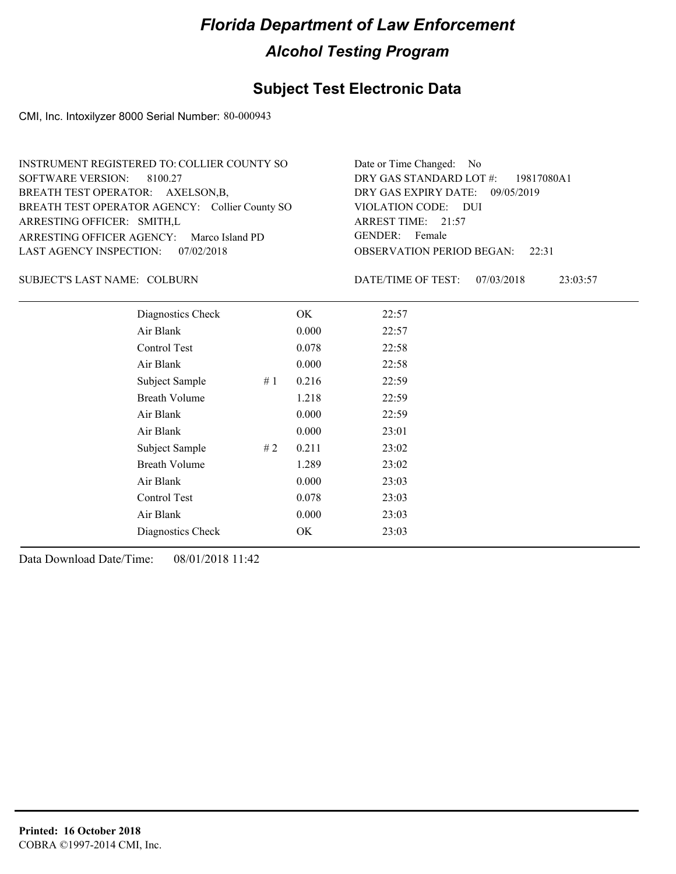## **Subject Test Electronic Data**

CMI, Inc. Intoxilyzer 8000 Serial Number: 80-000943

| INSTRUMENT REGISTERED TO: COLLIER COUNTY SO    | Date or Time Changed: No               |
|------------------------------------------------|----------------------------------------|
| SOFTWARE VERSION: 8100.27                      | DRY GAS STANDARD LOT $\#$ : 19817080A1 |
| BREATH TEST OPERATOR: AXELSON, B,              | DRY GAS EXPIRY DATE: 09/05/2019        |
| BREATH TEST OPERATOR AGENCY: Collier County SO | VIOLATION CODE: DUI                    |
| ARRESTING OFFICER: SMITH,L                     | ARREST TIME: 21:57                     |
| ARRESTING OFFICER AGENCY: Marco Island PD      | GENDER: Female                         |
| LAST AGENCY INSPECTION: 07/02/2018             | <b>OBSERVATION PERIOD BEGAN:</b> 22:31 |

#### SUBJECT'S LAST NAME: COLBURN DATE/TIME OF TEST:

DATE/TIME OF TEST: 07/03/2018 23:03:57

| Diagnostics Check    |    | OK    | 22:57 |
|----------------------|----|-------|-------|
| Air Blank            |    | 0.000 | 22:57 |
| Control Test         |    | 0.078 | 22:58 |
| Air Blank            |    | 0.000 | 22:58 |
| Subject Sample       | #1 | 0.216 | 22:59 |
| <b>Breath Volume</b> |    | 1.218 | 22:59 |
| Air Blank            |    | 0.000 | 22:59 |
| Air Blank            |    | 0.000 | 23:01 |
| Subject Sample       | #2 | 0.211 | 23:02 |
| <b>Breath Volume</b> |    | 1.289 | 23:02 |
| Air Blank            |    | 0.000 | 23:03 |
| Control Test         |    | 0.078 | 23:03 |
| Air Blank            |    | 0.000 | 23:03 |
| Diagnostics Check    |    | OK    | 23:03 |
|                      |    |       |       |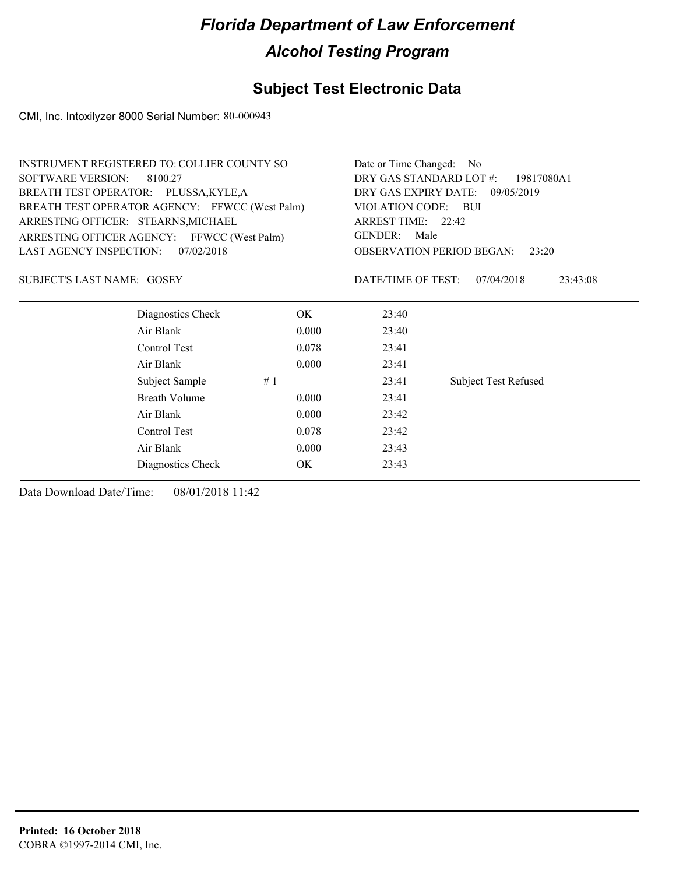## **Subject Test Electronic Data**

CMI, Inc. Intoxilyzer 8000 Serial Number: 80-000943

| <b>INSTRUMENT REGISTERED TO: COLLIER COUNTY SO</b> |            | Date or Time Changed: No                                                        |                                           |                             |  |
|----------------------------------------------------|------------|---------------------------------------------------------------------------------|-------------------------------------------|-----------------------------|--|
| <b>SOFTWARE VERSION:</b><br>8100.27                |            | DRY GAS STANDARD LOT #:<br>19817080A1                                           |                                           |                             |  |
| BREATH TEST OPERATOR: PLUSSA, KYLE, A              |            | DRY GAS EXPIRY DATE:<br>09/05/2019<br>VIOLATION CODE: BUI<br>ARREST TIME: 22:42 |                                           |                             |  |
| BREATH TEST OPERATOR AGENCY: FFWCC (West Palm)     |            |                                                                                 |                                           |                             |  |
| ARRESTING OFFICER: STEARNS, MICHAEL                |            |                                                                                 |                                           |                             |  |
| ARRESTING OFFICER AGENCY: FFWCC (West Palm)        |            | <b>GENDER:</b><br>Male                                                          |                                           |                             |  |
| LAST AGENCY INSPECTION:                            | 07/02/2018 |                                                                                 | <b>OBSERVATION PERIOD BEGAN:</b><br>23:20 |                             |  |
| SUBJECT'S LAST NAME: GOSEY                         |            |                                                                                 | DATE/TIME OF TEST:                        | 07/04/2018<br>23:43:08      |  |
| Diagnostics Check                                  |            | OK.                                                                             | 23:40                                     |                             |  |
| Air Blank                                          |            | 0.000                                                                           | 23:40                                     |                             |  |
| Control Test                                       |            | 0.078                                                                           | 23:41                                     |                             |  |
| Air Blank                                          |            | 0.000                                                                           | 23:41                                     |                             |  |
| Subject Sample                                     | #1         |                                                                                 | 23:41                                     | <b>Subject Test Refused</b> |  |
| <b>Breath Volume</b>                               |            | 0.000                                                                           | 23:41                                     |                             |  |
| Air Blank                                          |            | 0.000                                                                           | 23:42                                     |                             |  |
| Control Test                                       |            | 0.078                                                                           | 23:42                                     |                             |  |
| Air Blank                                          |            | 0.000                                                                           | 23:43                                     |                             |  |
| Diagnostics Check                                  |            | OK                                                                              | 23:43                                     |                             |  |
|                                                    |            |                                                                                 |                                           |                             |  |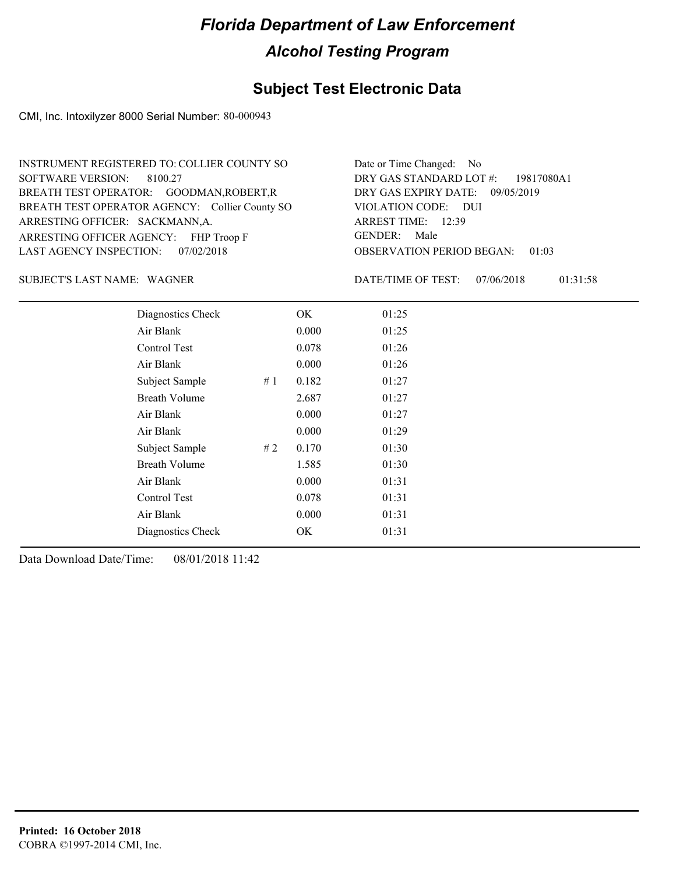## **Subject Test Electronic Data**

CMI, Inc. Intoxilyzer 8000 Serial Number: 80-000943

| INSTRUMENT REGISTERED TO: COLLIER COUNTY SO    | Date or Time Changed: No               |
|------------------------------------------------|----------------------------------------|
| SOFTWARE VERSION: 8100.27                      | DRY GAS STANDARD LOT #: 19817080A1     |
| BREATH TEST OPERATOR: GOODMAN, ROBERT, R       | DRY GAS EXPIRY DATE: 09/05/2019        |
| BREATH TEST OPERATOR AGENCY: Collier County SO | VIOLATION CODE: DUI                    |
| ARRESTING OFFICER: SACKMANN, A.                | ARREST TIME: 12:39                     |
| ARRESTING OFFICER AGENCY: FHP Troop F          | GENDER: Male                           |
| LAST AGENCY INSPECTION: 07/02/2018             | <b>OBSERVATION PERIOD BEGAN: 01:03</b> |

SUBJECT'S LAST NAME: WAGNER **EXECUTE:** DATE/TIME OF TEST:

DATE/TIME OF TEST: 07/06/2018 01:31:58

| Diagnostics Check    |    | OK    | 01:25 |  |
|----------------------|----|-------|-------|--|
| Air Blank            |    | 0.000 | 01:25 |  |
| Control Test         |    | 0.078 | 01:26 |  |
| Air Blank            |    | 0.000 | 01:26 |  |
| Subject Sample       | #1 | 0.182 | 01:27 |  |
| <b>Breath Volume</b> |    | 2.687 | 01:27 |  |
| Air Blank            |    | 0.000 | 01:27 |  |
| Air Blank            |    | 0.000 | 01:29 |  |
| Subject Sample       | #2 | 0.170 | 01:30 |  |
| <b>Breath Volume</b> |    | 1.585 | 01:30 |  |
| Air Blank            |    | 0.000 | 01:31 |  |
| Control Test         |    | 0.078 | 01:31 |  |
| Air Blank            |    | 0.000 | 01:31 |  |
| Diagnostics Check    |    | OK    | 01:31 |  |
|                      |    |       |       |  |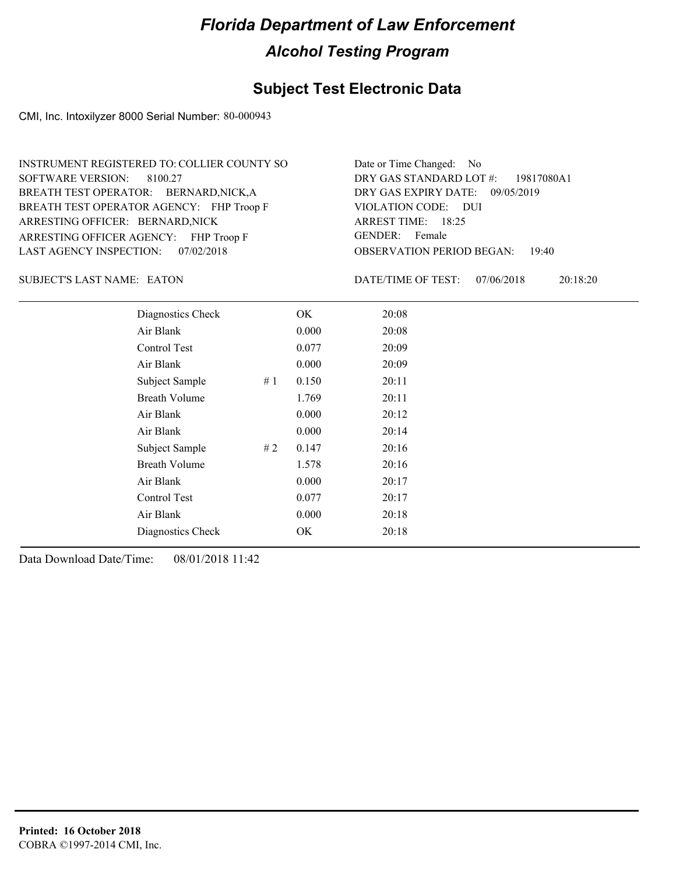## **Subject Test Electronic Data**

CMI, Inc. Intoxilyzer 8000 Serial Number: 80-000943

| INSTRUMENT REGISTERED TO: COLLIER COUNTY SO | Date or Time Changed: No               |
|---------------------------------------------|----------------------------------------|
| SOFTWARE VERSION: 8100.27                   | DRY GAS STANDARD LOT #: 19817080A1     |
| BREATH TEST OPERATOR: BERNARD, NICK, A      | DRY GAS EXPIRY DATE: 09/05/2019        |
| BREATH TEST OPERATOR AGENCY: FHP Troop F    | VIOLATION CODE: DUI                    |
| ARRESTING OFFICER: BERNARD, NICK            | ARREST TIME: 18:25                     |
| ARRESTING OFFICER AGENCY: FHP Troop F       | GENDER: Female                         |
| LAST AGENCY INSPECTION: 07/02/2018          | <b>OBSERVATION PERIOD BEGAN: 19:40</b> |

SUBJECT'S LAST NAME: EATON DATE/TIME OF TEST:

DATE/TIME OF TEST: 07/06/2018 20:18:20

| Diagnostics Check    |    | OK    | 20:08 |
|----------------------|----|-------|-------|
| Air Blank            |    | 0.000 | 20:08 |
| Control Test         |    | 0.077 | 20:09 |
| Air Blank            |    | 0.000 | 20:09 |
| Subject Sample       | #1 | 0.150 | 20:11 |
| <b>Breath Volume</b> |    | 1.769 | 20:11 |
| Air Blank            |    | 0.000 | 20:12 |
| Air Blank            |    | 0.000 | 20:14 |
| Subject Sample       | #2 | 0.147 | 20:16 |
| <b>Breath Volume</b> |    | 1.578 | 20:16 |
| Air Blank            |    | 0.000 | 20:17 |
| Control Test         |    | 0.077 | 20:17 |
| Air Blank            |    | 0.000 | 20:18 |
| Diagnostics Check    |    | OK    | 20:18 |
|                      |    |       |       |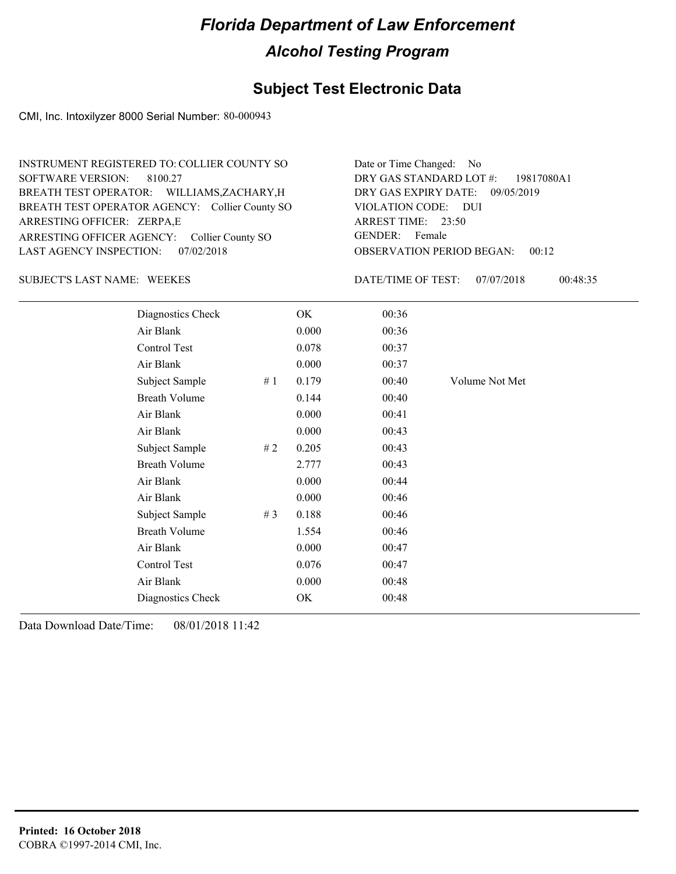## **Subject Test Electronic Data**

CMI, Inc. Intoxilyzer 8000 Serial Number: 80-000943

| INSTRUMENT REGISTERED TO: COLLIER COUNTY SO    | Date or Time Changed: No               |
|------------------------------------------------|----------------------------------------|
| SOFTWARE VERSION: 8100.27                      | DRY GAS STANDARD LOT $#$ : 19817080A1  |
| BREATH TEST OPERATOR: WILLIAMS, ZACHARY, H     | DRY GAS EXPIRY DATE: 09/05/2019        |
| BREATH TEST OPERATOR AGENCY: Collier County SO | VIOLATION CODE: DUI                    |
| ARRESTING OFFICER: ZERPA,E                     | ARREST TIME: 23:50                     |
| ARRESTING OFFICER AGENCY: Collier County SO    | GENDER: Female                         |
| LAST AGENCY INSPECTION: 07/02/2018             | <b>OBSERVATION PERIOD BEGAN: 00:12</b> |

#### SUBJECT'S LAST NAME: WEEKES DATE/TIME OF TEST:

DATE/TIME OF TEST: 07/07/2018 00:48:35

| Diagnostics Check    |     | OK    | 00:36 |                |
|----------------------|-----|-------|-------|----------------|
| Air Blank            |     | 0.000 | 00:36 |                |
| Control Test         |     | 0.078 | 00:37 |                |
| Air Blank            |     | 0.000 | 00:37 |                |
| Subject Sample       | #1  | 0.179 | 00:40 | Volume Not Met |
| <b>Breath Volume</b> |     | 0.144 | 00:40 |                |
| Air Blank            |     | 0.000 | 00:41 |                |
| Air Blank            |     | 0.000 | 00:43 |                |
| Subject Sample       | # 2 | 0.205 | 00:43 |                |
| <b>Breath Volume</b> |     | 2.777 | 00:43 |                |
| Air Blank            |     | 0.000 | 00:44 |                |
| Air Blank            |     | 0.000 | 00:46 |                |
| Subject Sample       | #3  | 0.188 | 00:46 |                |
| <b>Breath Volume</b> |     | 1.554 | 00:46 |                |
| Air Blank            |     | 0.000 | 00:47 |                |
| Control Test         |     | 0.076 | 00:47 |                |
| Air Blank            |     | 0.000 | 00:48 |                |
| Diagnostics Check    |     | OK    | 00:48 |                |
|                      |     |       |       |                |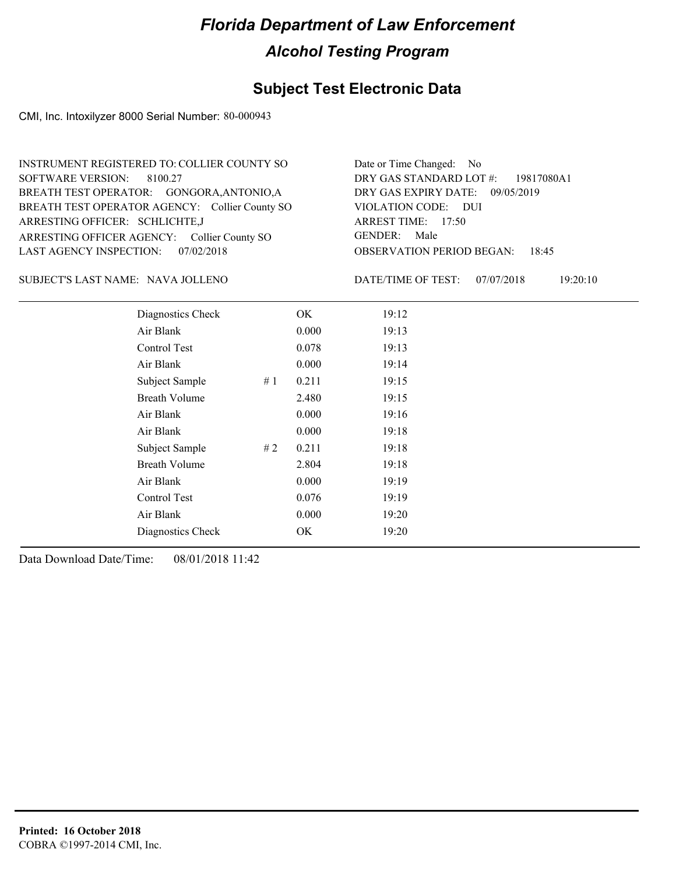## **Subject Test Electronic Data**

CMI, Inc. Intoxilyzer 8000 Serial Number: 80-000943

| INSTRUMENT REGISTERED TO: COLLIER COUNTY SO    | Date or Time Changed: No               |
|------------------------------------------------|----------------------------------------|
| SOFTWARE VERSION: 8100.27                      | DRY GAS STANDARD LOT #: 19817080A1     |
| BREATH TEST OPERATOR: GONGORA, ANTONIO, A      | DRY GAS EXPIRY DATE: 09/05/2019        |
| BREATH TEST OPERATOR AGENCY: Collier County SO | VIOLATION CODE: DUI                    |
| ARRESTING OFFICER: SCHLICHTE, J                | ARREST TIME: 17:50                     |
| ARRESTING OFFICER AGENCY: Collier County SO    | GENDER: Male                           |
| LAST AGENCY INSPECTION: 07/02/2018             | <b>OBSERVATION PERIOD BEGAN: 18:45</b> |

NAVA JOLLENO SUBJECT'S LAST NAME: DATE/TIME OF TEST:

DATE/TIME OF TEST: 07/07/2018 19:20:10

| Diagnostics Check    |    | OK    | 19:12 |
|----------------------|----|-------|-------|
| Air Blank            |    | 0.000 | 19:13 |
| Control Test         |    | 0.078 | 19:13 |
| Air Blank            |    | 0.000 | 19:14 |
| Subject Sample       | #1 | 0.211 | 19:15 |
| <b>Breath Volume</b> |    | 2.480 | 19:15 |
| Air Blank            |    | 0.000 | 19:16 |
| Air Blank            |    | 0.000 | 19:18 |
| Subject Sample       | #2 | 0.211 | 19:18 |
| <b>Breath Volume</b> |    | 2.804 | 19:18 |
| Air Blank            |    | 0.000 | 19:19 |
| Control Test         |    | 0.076 | 19:19 |
| Air Blank            |    | 0.000 | 19:20 |
| Diagnostics Check    |    | OK    | 19:20 |
|                      |    |       |       |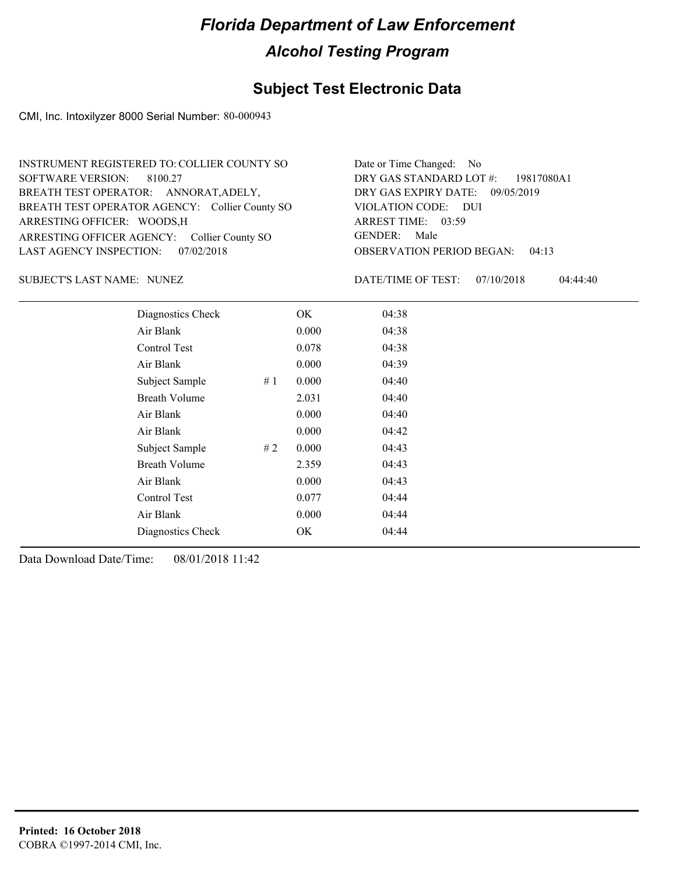## **Subject Test Electronic Data**

CMI, Inc. Intoxilyzer 8000 Serial Number: 80-000943

| INSTRUMENT REGISTERED TO: COLLIER COUNTY SO    | Date or Time Changed: No               |
|------------------------------------------------|----------------------------------------|
| SOFTWARE VERSION: 8100.27                      | DRY GAS STANDARD LOT #: 19817080A1     |
| BREATH TEST OPERATOR: ANNORAT, ADELY,          | DRY GAS EXPIRY DATE: 09/05/2019        |
| BREATH TEST OPERATOR AGENCY: Collier County SO | VIOLATION CODE: DUI                    |
| ARRESTING OFFICER: WOODS, H                    | ARREST TIME: 03:59                     |
| ARRESTING OFFICER AGENCY: Collier County SO    | GENDER: Male                           |
| LAST AGENCY INSPECTION: 07/02/2018             | <b>OBSERVATION PERIOD BEGAN: 04:13</b> |

NUNEZ SUBJECT'S LAST NAME: DATE/TIME OF TEST:

DATE/TIME OF TEST: 07/10/2018 04:44:40

| Diagnostics Check    |    | OK    | 04:38 |
|----------------------|----|-------|-------|
| Air Blank            |    | 0.000 | 04:38 |
| Control Test         |    | 0.078 | 04:38 |
| Air Blank            |    | 0.000 | 04:39 |
| Subject Sample       | #1 | 0.000 | 04:40 |
| <b>Breath Volume</b> |    | 2.031 | 04:40 |
| Air Blank            |    | 0.000 | 04:40 |
| Air Blank            |    | 0.000 | 04:42 |
| Subject Sample       | #2 | 0.000 | 04:43 |
| <b>Breath Volume</b> |    | 2.359 | 04:43 |
| Air Blank            |    | 0.000 | 04:43 |
| Control Test         |    | 0.077 | 04:44 |
| Air Blank            |    | 0.000 | 04:44 |
| Diagnostics Check    |    | OK    | 04:44 |
|                      |    |       |       |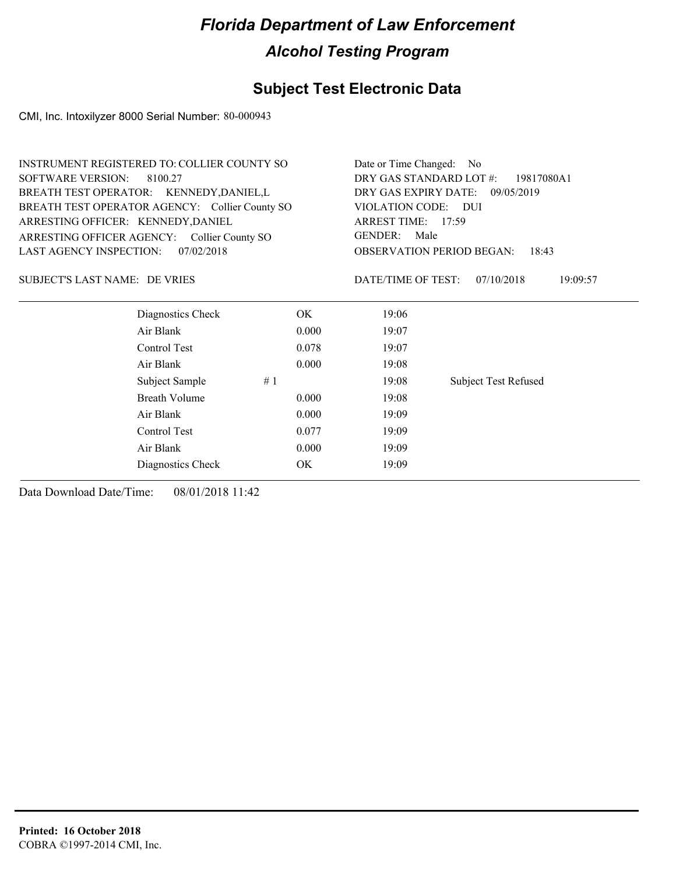## **Subject Test Electronic Data**

CMI, Inc. Intoxilyzer 8000 Serial Number: 80-000943

|                                          | <b>INSTRUMENT REGISTERED TO: COLLIER COUNTY SO</b> |       | Date or Time Changed:                     | No.                                       |  |
|------------------------------------------|----------------------------------------------------|-------|-------------------------------------------|-------------------------------------------|--|
| <b>SOFTWARE VERSION:</b><br>8100.27      |                                                    |       | DRY GAS STANDARD LOT #:<br>19817080A1     |                                           |  |
| BREATH TEST OPERATOR: KENNEDY, DANIEL, L |                                                    |       | DRY GAS EXPIRY DATE:<br>09/05/2019        |                                           |  |
|                                          | BREATH TEST OPERATOR AGENCY: Collier County SO     |       | VIOLATION CODE: DUI<br>ARREST TIME: 17:59 |                                           |  |
| ARRESTING OFFICER: KENNEDY, DANIEL       |                                                    |       |                                           |                                           |  |
| ARRESTING OFFICER AGENCY:                | Collier County SO                                  |       | <b>GENDER:</b><br>Male                    |                                           |  |
| <b>LAST AGENCY INSPECTION:</b>           | 07/02/2018                                         |       |                                           | <b>OBSERVATION PERIOD BEGAN:</b><br>18:43 |  |
| SUBJECT'S LAST NAME: DE VRIES            |                                                    |       | DATE/TIME OF TEST:                        | 07/10/2018<br>19:09:57                    |  |
|                                          | Diagnostics Check                                  | OK.   | 19:06                                     |                                           |  |
|                                          | Air Blank                                          | 0.000 | 19:07                                     |                                           |  |
|                                          | Control Test                                       | 0.078 | 19:07                                     |                                           |  |
|                                          | Air Blank                                          | 0.000 | 19:08                                     |                                           |  |
|                                          | Subject Sample                                     | #1    | 19:08                                     | <b>Subject Test Refused</b>               |  |
|                                          | Breath Volume                                      | 0.000 | 19:08                                     |                                           |  |
|                                          | Air Blank                                          | 0.000 | 19:09                                     |                                           |  |
|                                          | Control Test                                       | 0.077 | 19:09                                     |                                           |  |

Air Blank 0.000 19:09 Diagnostics Check OK 19:09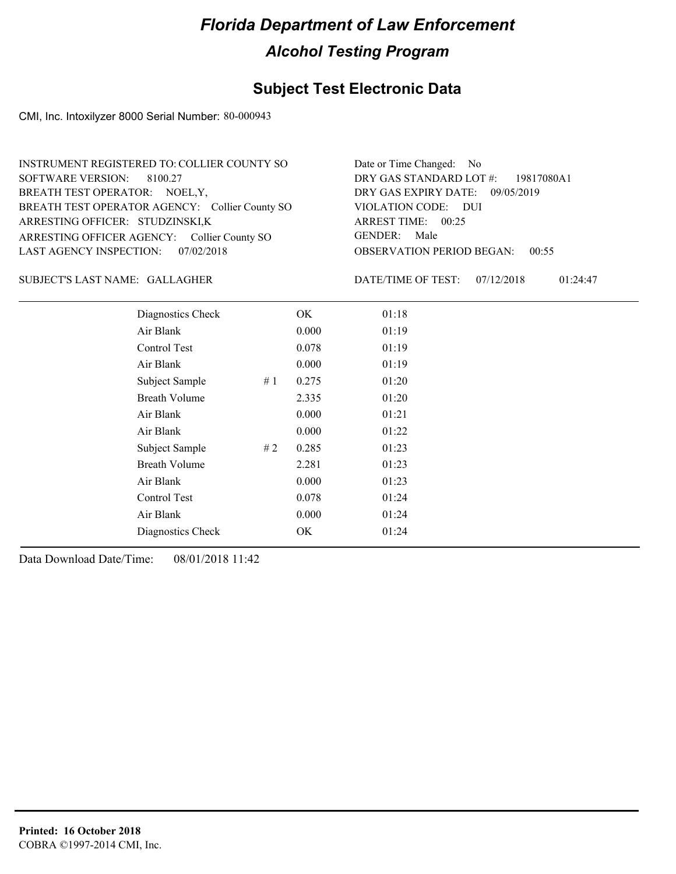## **Subject Test Electronic Data**

CMI, Inc. Intoxilyzer 8000 Serial Number: 80-000943

| INSTRUMENT REGISTERED TO: COLLIER COUNTY SO    | Date or Time Changed: No               |
|------------------------------------------------|----------------------------------------|
| SOFTWARE VERSION: 8100.27                      | DRY GAS STANDARD LOT $#$ : 19817080A1  |
| BREATH TEST OPERATOR: NOEL, Y,                 | DRY GAS EXPIRY DATE: 09/05/2019        |
| BREATH TEST OPERATOR AGENCY: Collier County SO | VIOLATION CODE: DUI                    |
| ARRESTING OFFICER: STUDZINSKI,K                | ARREST TIME: 00:25                     |
| ARRESTING OFFICER AGENCY: Collier County SO    | GENDER: Male                           |
| LAST AGENCY INSPECTION: 07/02/2018             | <b>OBSERVATION PERIOD BEGAN: 00:55</b> |

#### GALLAGHER SUBJECT'S LAST NAME: DATE/TIME OF TEST:

DATE/TIME OF TEST: 07/12/2018 01:24:47

| Diagnostics Check    |    | OK    | 01:18 |  |  |
|----------------------|----|-------|-------|--|--|
| Air Blank            |    | 0.000 | 01:19 |  |  |
| Control Test         |    | 0.078 | 01:19 |  |  |
| Air Blank            |    | 0.000 | 01:19 |  |  |
| Subject Sample       | #1 | 0.275 | 01:20 |  |  |
| <b>Breath Volume</b> |    | 2.335 | 01:20 |  |  |
| Air Blank            |    | 0.000 | 01:21 |  |  |
| Air Blank            |    | 0.000 | 01:22 |  |  |
| Subject Sample       | #2 | 0.285 | 01:23 |  |  |
| <b>Breath Volume</b> |    | 2.281 | 01:23 |  |  |
| Air Blank            |    | 0.000 | 01:23 |  |  |
| Control Test         |    | 0.078 | 01:24 |  |  |
| Air Blank            |    | 0.000 | 01:24 |  |  |
| Diagnostics Check    |    | OK    | 01:24 |  |  |
|                      |    |       |       |  |  |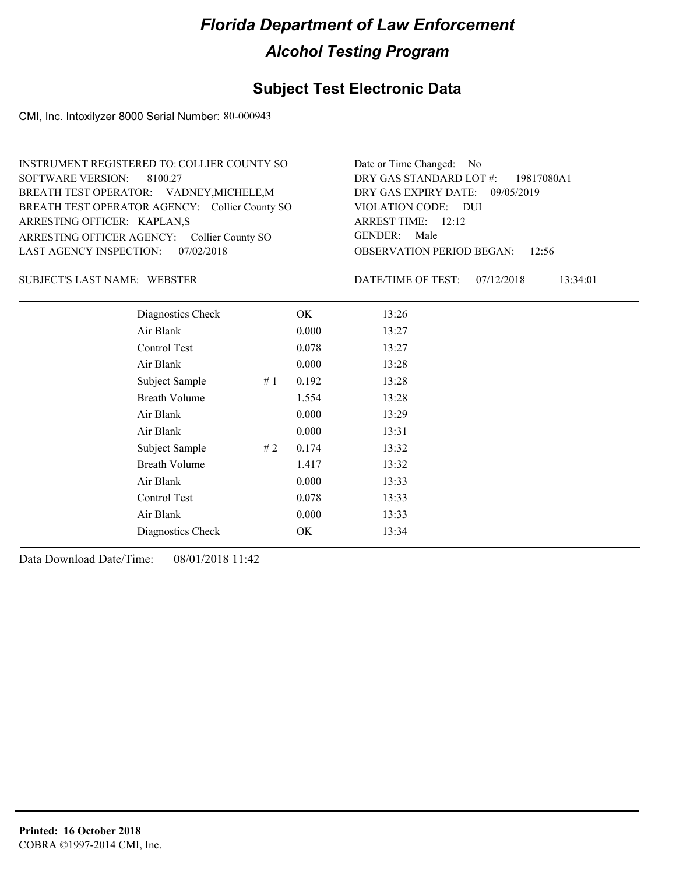## **Subject Test Electronic Data**

CMI, Inc. Intoxilyzer 8000 Serial Number: 80-000943

| INSTRUMENT REGISTERED TO: COLLIER COUNTY SO    | Date or Time Changed: No               |
|------------------------------------------------|----------------------------------------|
| SOFTWARE VERSION: 8100.27                      | DRY GAS STANDARD LOT #: 19817080A1     |
| BREATH TEST OPERATOR: VADNEY, MICHELE, M       | DRY GAS EXPIRY DATE: 09/05/2019        |
| BREATH TEST OPERATOR AGENCY: Collier County SO | VIOLATION CODE: DUI                    |
| ARRESTING OFFICER: KAPLAN,S                    | ARREST TIME: 12:12                     |
| ARRESTING OFFICER AGENCY: Collier County SO    | GENDER: Male                           |
| LAST AGENCY INSPECTION: 07/02/2018             | <b>OBSERVATION PERIOD BEGAN:</b> 12:56 |

#### WEBSTER SUBJECT'S LAST NAME: DATE/TIME OF TEST:

DATE/TIME OF TEST: 07/12/2018 13:34:01

| Diagnostics Check    |    | OK    | 13:26 |
|----------------------|----|-------|-------|
| Air Blank            |    | 0.000 | 13:27 |
| Control Test         |    | 0.078 | 13:27 |
| Air Blank            |    | 0.000 | 13:28 |
| Subject Sample       | #1 | 0.192 | 13:28 |
| <b>Breath Volume</b> |    | 1.554 | 13:28 |
| Air Blank            |    | 0.000 | 13:29 |
| Air Blank            |    | 0.000 | 13:31 |
| Subject Sample       | #2 | 0.174 | 13:32 |
| <b>Breath Volume</b> |    | 1.417 | 13:32 |
| Air Blank            |    | 0.000 | 13:33 |
| Control Test         |    | 0.078 | 13:33 |
| Air Blank            |    | 0.000 | 13:33 |
| Diagnostics Check    |    | OK    | 13:34 |
|                      |    |       |       |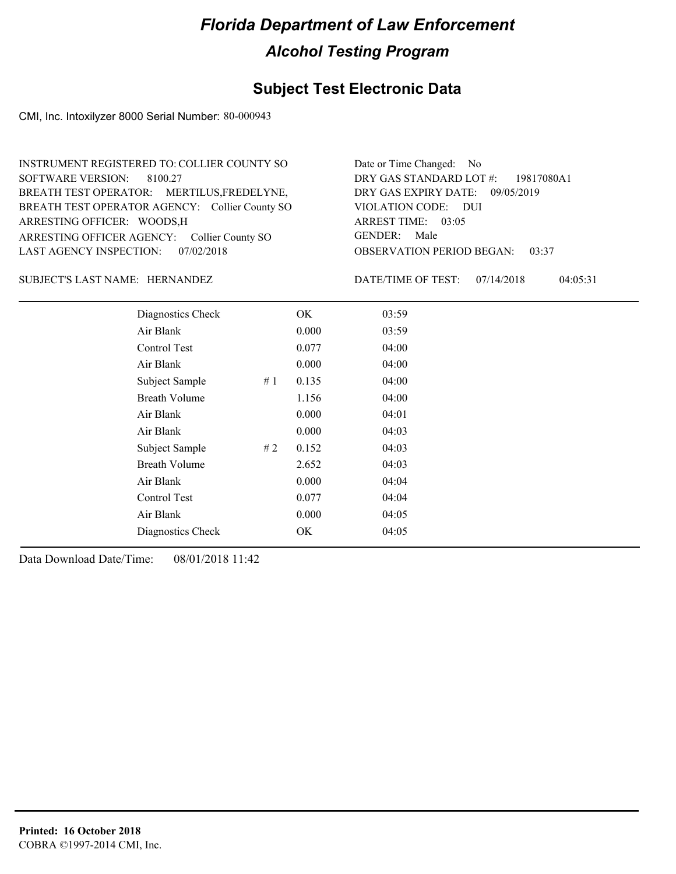## **Subject Test Electronic Data**

CMI, Inc. Intoxilyzer 8000 Serial Number: 80-000943

| INSTRUMENT REGISTERED TO: COLLIER COUNTY SO    | Date or Time Changed: No               |
|------------------------------------------------|----------------------------------------|
| SOFTWARE VERSION: 8100.27                      | DRY GAS STANDARD LOT $\#$ : 19817080A1 |
| BREATH TEST OPERATOR: MERTILUS, FREDELYNE,     | DRY GAS EXPIRY DATE: 09/05/2019        |
| BREATH TEST OPERATOR AGENCY: Collier County SO | VIOLATION CODE: DUI                    |
| ARRESTING OFFICER: WOODS, H                    | ARREST TIME: 03:05                     |
| ARRESTING OFFICER AGENCY: Collier County SO    | GENDER: Male                           |
| LAST AGENCY INSPECTION: 07/02/2018             | <b>OBSERVATION PERIOD BEGAN: 03:37</b> |

#### SUBJECT'S LAST NAME: HERNANDEZ DATE/TIME OF TEST:

DATE/TIME OF TEST: 07/14/2018 04:05:31

| Diagnostics Check    |    | OK    | 03:59 |  |
|----------------------|----|-------|-------|--|
| Air Blank            |    | 0.000 | 03:59 |  |
| Control Test         |    | 0.077 | 04:00 |  |
| Air Blank            |    | 0.000 | 04:00 |  |
| Subject Sample       | #1 | 0.135 | 04:00 |  |
| <b>Breath Volume</b> |    | 1.156 | 04:00 |  |
| Air Blank            |    | 0.000 | 04:01 |  |
| Air Blank            |    | 0.000 | 04:03 |  |
| Subject Sample       | #2 | 0.152 | 04:03 |  |
| <b>Breath Volume</b> |    | 2.652 | 04:03 |  |
| Air Blank            |    | 0.000 | 04:04 |  |
| Control Test         |    | 0.077 | 04:04 |  |
| Air Blank            |    | 0.000 | 04:05 |  |
| Diagnostics Check    |    | OK    | 04:05 |  |
|                      |    |       |       |  |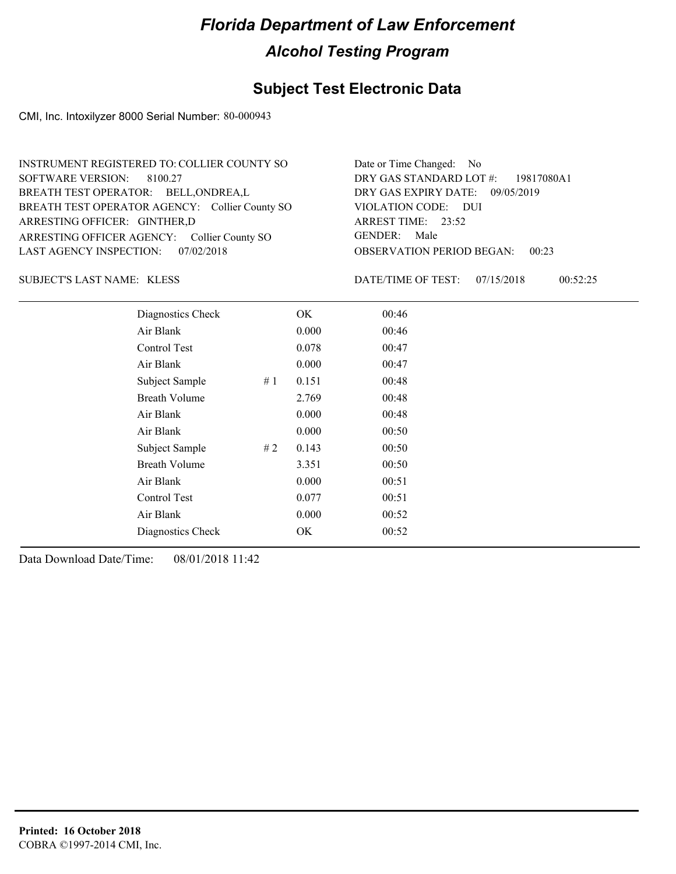## **Subject Test Electronic Data**

CMI, Inc. Intoxilyzer 8000 Serial Number: 80-000943

| INSTRUMENT REGISTERED TO: COLLIER COUNTY SO    | Date or Time Changed: No               |
|------------------------------------------------|----------------------------------------|
| SOFTWARE VERSION: 8100.27                      | DRY GAS STANDARD LOT $\#$ : 19817080A1 |
| BREATH TEST OPERATOR: BELL, ONDREA, L          | DRY GAS EXPIRY DATE: 09/05/2019        |
| BREATH TEST OPERATOR AGENCY: Collier County SO | VIOLATION CODE: DUI                    |
| ARRESTING OFFICER: GINTHER,D                   | ARREST TIME: 23:52                     |
| ARRESTING OFFICER AGENCY: Collier County SO    | GENDER: Male                           |
| LAST AGENCY INSPECTION: 07/02/2018             | <b>OBSERVATION PERIOD BEGAN: 00:23</b> |

KLESS SUBJECT'S LAST NAME: DATE/TIME OF TEST:

DATE/TIME OF TEST: 07/15/2018 00:52:25

| Diagnostics Check    |    | OK    | 00:46 |
|----------------------|----|-------|-------|
| Air Blank            |    | 0.000 | 00:46 |
| Control Test         |    | 0.078 | 00:47 |
| Air Blank            |    | 0.000 | 00:47 |
| Subject Sample       | #1 | 0.151 | 00:48 |
| <b>Breath Volume</b> |    | 2.769 | 00:48 |
| Air Blank            |    | 0.000 | 00:48 |
| Air Blank            |    | 0.000 | 00:50 |
| Subject Sample       | #2 | 0.143 | 00:50 |
| <b>Breath Volume</b> |    | 3.351 | 00:50 |
| Air Blank            |    | 0.000 | 00:51 |
| Control Test         |    | 0.077 | 00:51 |
| Air Blank            |    | 0.000 | 00:52 |
| Diagnostics Check    |    | OK    | 00:52 |
|                      |    |       |       |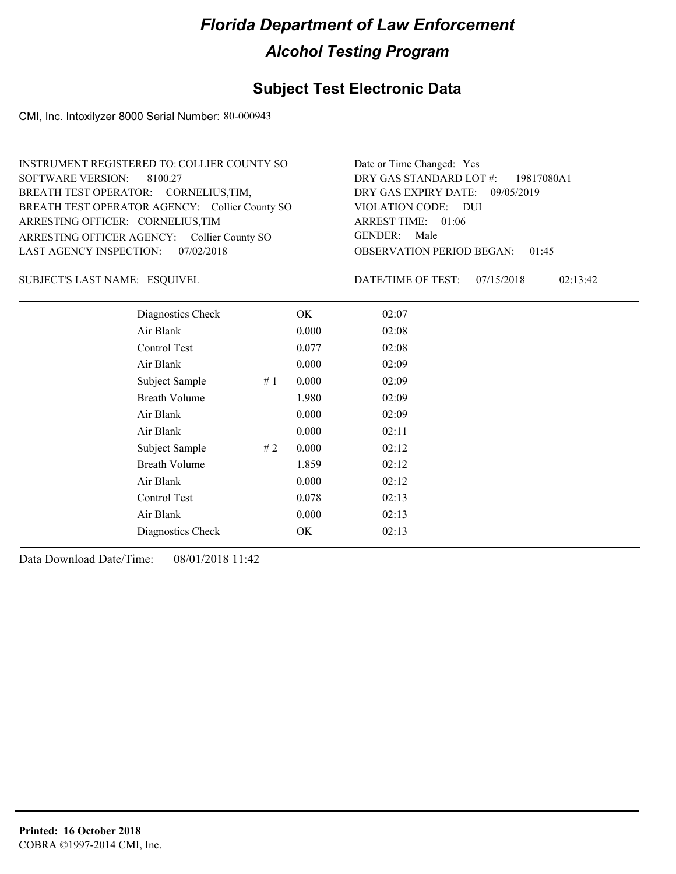## **Subject Test Electronic Data**

CMI, Inc. Intoxilyzer 8000 Serial Number: 80-000943

| INSTRUMENT REGISTERED TO: COLLIER COUNTY SO    | Date or Time Changed: Yes              |
|------------------------------------------------|----------------------------------------|
| SOFTWARE VERSION: 8100.27                      | DRY GAS STANDARD LOT $\#$ : 19817080A1 |
| BREATH TEST OPERATOR: CORNELIUS, TIM,          | DRY GAS EXPIRY DATE: 09/05/2019        |
| BREATH TEST OPERATOR AGENCY: Collier County SO | VIOLATION CODE: DUI                    |
| ARRESTING OFFICER: CORNELIUS, TIM              | ARREST TIME: 01:06                     |
| ARRESTING OFFICER AGENCY: Collier County SO    | GENDER: Male                           |
| LAST AGENCY INSPECTION: 07/02/2018             | <b>OBSERVATION PERIOD BEGAN: 01:45</b> |

ESQUIVEL SUBJECT'S LAST NAME: DATE/TIME OF TEST:

DATE/TIME OF TEST: 07/15/2018 02:13:42

| Diagnostics Check    | OK    | 02:07 |
|----------------------|-------|-------|
| Air Blank            | 0.000 | 02:08 |
| Control Test         | 0.077 | 02:08 |
| Air Blank            | 0.000 | 02:09 |
| Subject Sample<br>#1 | 0.000 | 02:09 |
| <b>Breath Volume</b> | 1.980 | 02:09 |
| Air Blank            | 0.000 | 02:09 |
| Air Blank            | 0.000 | 02:11 |
| Subject Sample<br>#2 | 0.000 | 02:12 |
| <b>Breath Volume</b> | 1.859 | 02:12 |
| Air Blank            | 0.000 | 02:12 |
| Control Test         | 0.078 | 02:13 |
| Air Blank            | 0.000 | 02:13 |
| Diagnostics Check    | OK    | 02:13 |
|                      |       |       |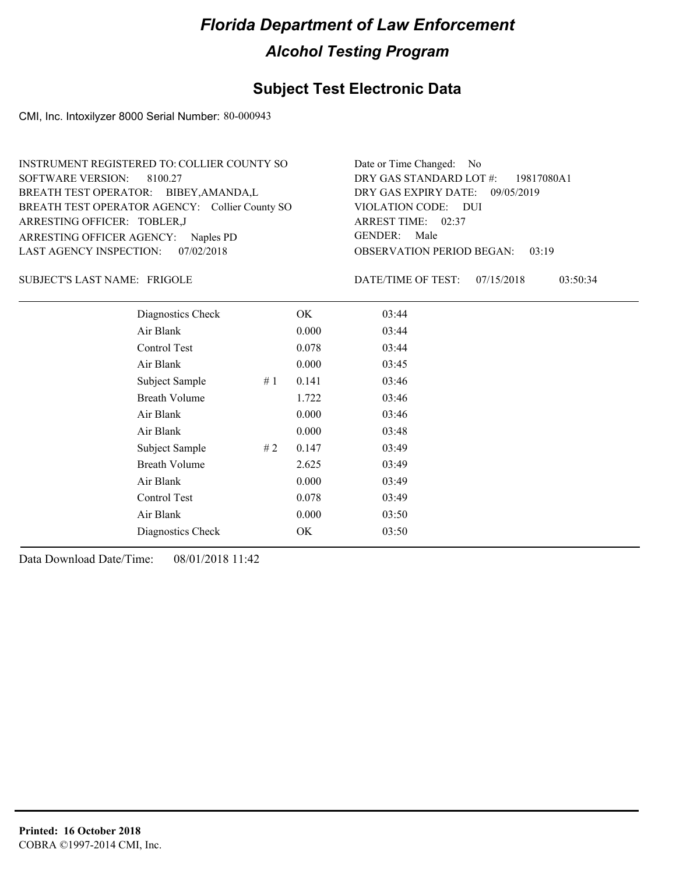## **Subject Test Electronic Data**

CMI, Inc. Intoxilyzer 8000 Serial Number: 80-000943

| INSTRUMENT REGISTERED TO: COLLIER COUNTY SO    | Date or Time Changed: No               |
|------------------------------------------------|----------------------------------------|
| SOFTWARE VERSION: 8100.27                      | DRY GAS STANDARD LOT #: 19817080A1     |
| BREATH TEST OPERATOR: BIBEY, AMANDA, L         | DRY GAS EXPIRY DATE: 09/05/2019        |
| BREATH TEST OPERATOR AGENCY: Collier County SO | VIOLATION CODE: DUI                    |
| ARRESTING OFFICER: TOBLER, J                   | ARREST TIME: 02:37                     |
| ARRESTING OFFICER AGENCY: Naples PD            | GENDER: Male                           |
| LAST AGENCY INSPECTION: 07/02/2018             | <b>OBSERVATION PERIOD BEGAN: 03:19</b> |

FRIGOLE SUBJECT'S LAST NAME: DATE/TIME OF TEST:

DATE/TIME OF TEST: 07/15/2018 03:50:34

| Diagnostics Check    |    | OK    | 03:44 |  |
|----------------------|----|-------|-------|--|
| Air Blank            |    | 0.000 | 03:44 |  |
| Control Test         |    | 0.078 | 03:44 |  |
| Air Blank            |    | 0.000 | 03:45 |  |
| Subject Sample       | #1 | 0.141 | 03:46 |  |
| <b>Breath Volume</b> |    | 1.722 | 03:46 |  |
| Air Blank            |    | 0.000 | 03:46 |  |
| Air Blank            |    | 0.000 | 03:48 |  |
| Subject Sample       | #2 | 0.147 | 03:49 |  |
| <b>Breath Volume</b> |    | 2.625 | 03:49 |  |
| Air Blank            |    | 0.000 | 03:49 |  |
| Control Test         |    | 0.078 | 03:49 |  |
| Air Blank            |    | 0.000 | 03:50 |  |
| Diagnostics Check    |    | OK    | 03:50 |  |
|                      |    |       |       |  |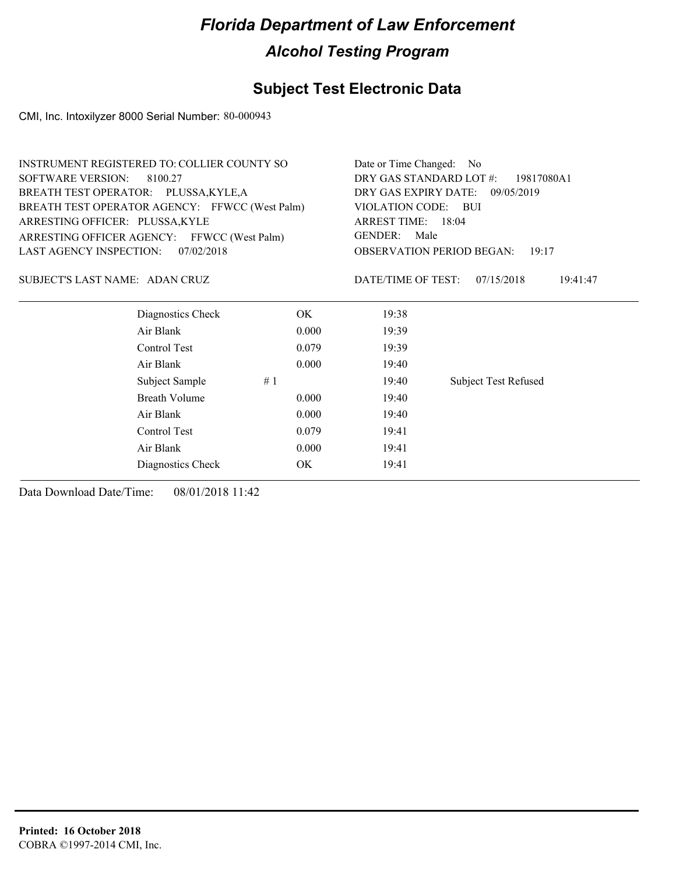## **Subject Test Electronic Data**

CMI, Inc. Intoxilyzer 8000 Serial Number: 80-000943

|                                              | INSTRUMENT REGISTERED TO: COLLIER COUNTY SO    | Date or Time Changed: No              |                                           |                             |  |
|----------------------------------------------|------------------------------------------------|---------------------------------------|-------------------------------------------|-----------------------------|--|
| <b>SOFTWARE VERSION:</b>                     | 8100.27                                        | DRY GAS STANDARD LOT #:<br>19817080A1 |                                           |                             |  |
|                                              | BREATH TEST OPERATOR: PLUSSA, KYLE, A          |                                       | DRY GAS EXPIRY DATE:<br>09/05/2019        |                             |  |
|                                              | BREATH TEST OPERATOR AGENCY: FFWCC (West Palm) | VIOLATION CODE: BUI                   |                                           |                             |  |
| ARRESTING OFFICER: PLUSSA, KYLE              |                                                | ARREST TIME: 18:04                    |                                           |                             |  |
|                                              | ARRESTING OFFICER AGENCY: FFWCC (West Palm)    |                                       | <b>GENDER:</b><br>Male                    |                             |  |
| <b>LAST AGENCY INSPECTION:</b>               | 07/02/2018                                     |                                       | <b>OBSERVATION PERIOD BEGAN:</b><br>19:17 |                             |  |
| SUBJECT'S LAST NAME: ADAN CRUZ               |                                                |                                       | DATE/TIME OF TEST:                        | 07/15/2018<br>19:41:47      |  |
|                                              | Diagnostics Check                              | OK                                    | 19:38                                     |                             |  |
|                                              | Air Blank                                      | 0.000                                 | 19:39                                     |                             |  |
|                                              | Control Test                                   | 0.079                                 | 19:39                                     |                             |  |
|                                              | Air Blank                                      | 0.000                                 | 19:40                                     |                             |  |
|                                              | Subject Sample                                 | #1                                    | 19:40                                     | <b>Subject Test Refused</b> |  |
| Breath Volume<br>0.000<br>Air Blank<br>0.000 |                                                |                                       | 19:40                                     |                             |  |
|                                              |                                                |                                       | 19:40                                     |                             |  |
|                                              | Control Test                                   | 0.079                                 | 19:41                                     |                             |  |

Air Blank 0.000 19:41 Diagnostics Check OK 19:41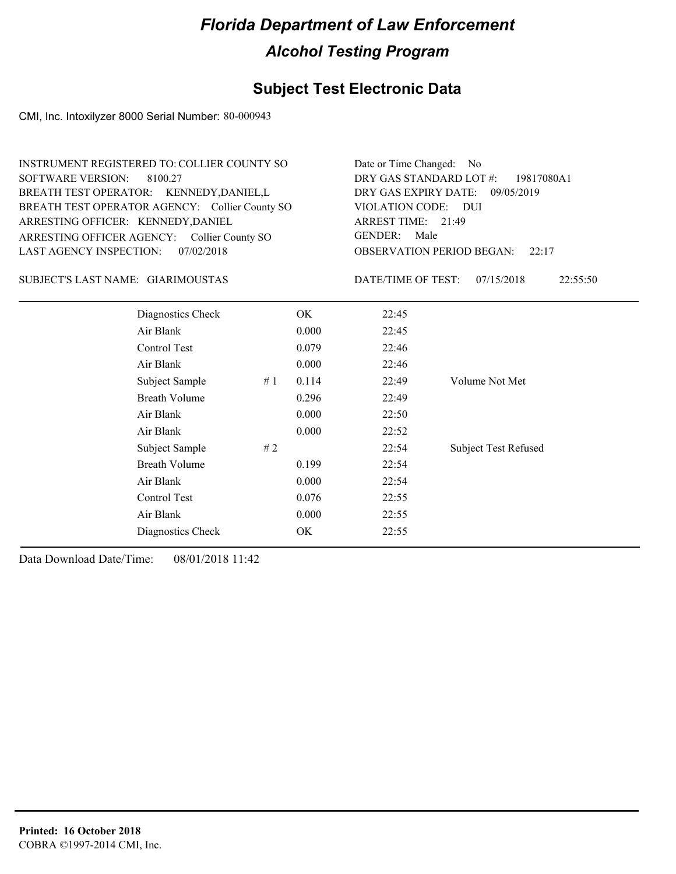## **Subject Test Electronic Data**

CMI, Inc. Intoxilyzer 8000 Serial Number: 80-000943

| <b>SOFTWARE VERSION:</b><br>ARRESTING OFFICER: KENNEDY, DANIEL | <b>INSTRUMENT REGISTERED TO: COLLIER COUNTY SO</b><br>8100.27<br>BREATH TEST OPERATOR: KENNEDY, DANIEL, L<br>BREATH TEST OPERATOR AGENCY: Collier County SO<br>ARRESTING OFFICER AGENCY: Collier County SO |    |       | Date or Time Changed: No<br>DRY GAS STANDARD LOT #:<br>DRY GAS EXPIRY DATE:<br><b>VIOLATION CODE:</b><br>ARREST TIME: 21:49<br><b>GENDER:</b><br>Male | 19817080A1<br>09/05/2019<br>DUI |
|----------------------------------------------------------------|------------------------------------------------------------------------------------------------------------------------------------------------------------------------------------------------------------|----|-------|-------------------------------------------------------------------------------------------------------------------------------------------------------|---------------------------------|
| <b>LAST AGENCY INSPECTION:</b>                                 | 07/02/2018                                                                                                                                                                                                 |    |       | OBSERVATION PERIOD BEGAN:                                                                                                                             | 22:17                           |
| SUBJECT'S LAST NAME: GIARIMOUSTAS                              |                                                                                                                                                                                                            |    |       | DATE/TIME OF TEST:                                                                                                                                    | 07/15/2018<br>22:55:50          |
|                                                                | Diagnostics Check                                                                                                                                                                                          |    | OK.   | 22:45                                                                                                                                                 |                                 |
|                                                                | Air Blank                                                                                                                                                                                                  |    | 0.000 | 22:45                                                                                                                                                 |                                 |
|                                                                | <b>Control Test</b>                                                                                                                                                                                        |    | 0.079 | 22:46                                                                                                                                                 |                                 |
|                                                                | Air Blank                                                                                                                                                                                                  |    | 0.000 | 22:46                                                                                                                                                 |                                 |
|                                                                | Subject Sample                                                                                                                                                                                             | #1 | 0.114 | 22:49                                                                                                                                                 | Volume Not Met                  |
|                                                                | <b>Breath Volume</b>                                                                                                                                                                                       |    | 0.296 | 22:49                                                                                                                                                 |                                 |
|                                                                | Air Blank                                                                                                                                                                                                  |    | 0.000 | 22:50                                                                                                                                                 |                                 |
|                                                                | Air Blank                                                                                                                                                                                                  |    | 0.000 | 22:52                                                                                                                                                 |                                 |
|                                                                | Subject Sample                                                                                                                                                                                             | #2 |       | 22:54                                                                                                                                                 | <b>Subject Test Refused</b>     |
|                                                                | <b>Breath Volume</b>                                                                                                                                                                                       |    | 0.199 | 22:54                                                                                                                                                 |                                 |
|                                                                | Air Blank                                                                                                                                                                                                  |    | 0.000 | 22:54                                                                                                                                                 |                                 |
|                                                                | Control Test                                                                                                                                                                                               |    | 0.076 | 22:55                                                                                                                                                 |                                 |
|                                                                | Air Blank                                                                                                                                                                                                  |    | 0.000 | 22:55                                                                                                                                                 |                                 |
|                                                                | Diagnostics Check                                                                                                                                                                                          |    | OK    | 22:55                                                                                                                                                 |                                 |
|                                                                |                                                                                                                                                                                                            |    |       |                                                                                                                                                       |                                 |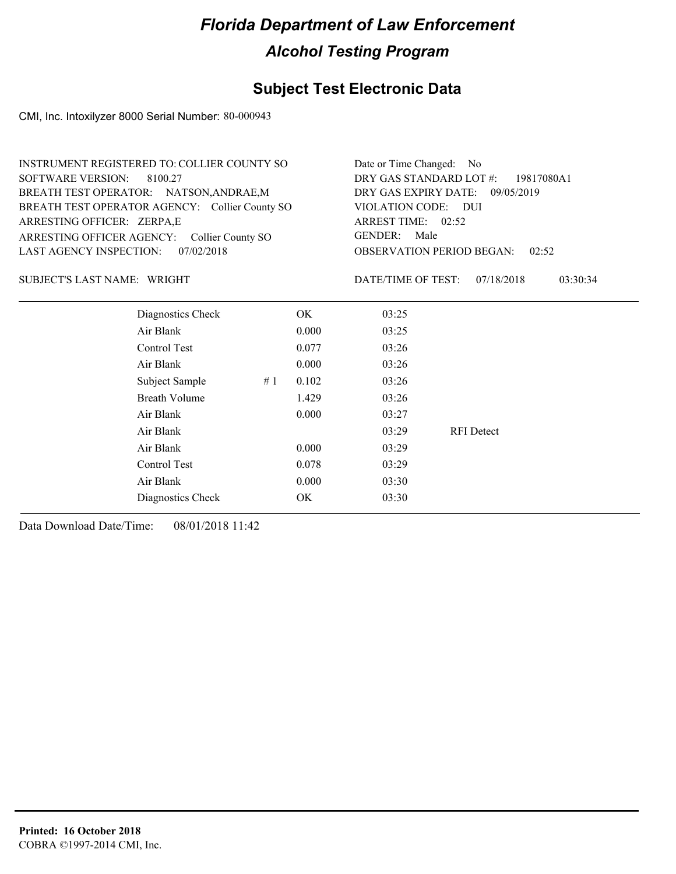## **Subject Test Electronic Data**

CMI, Inc. Intoxilyzer 8000 Serial Number: 80-000943

| INSTRUMENT REGISTERED TO: COLLIER COUNTY SO    | Date or Time Changed: No               |
|------------------------------------------------|----------------------------------------|
| SOFTWARE VERSION: 8100.27                      | DRY GAS STANDARD LOT $\#$ : 19817080A1 |
| BREATH TEST OPERATOR: NATSON, ANDRAE, M        | DRY GAS EXPIRY DATE: 09/05/2019        |
| BREATH TEST OPERATOR AGENCY: Collier County SO | VIOLATION CODE: DUI                    |
| ARRESTING OFFICER: ZERPA,E                     | ARREST TIME: 02:52                     |
| ARRESTING OFFICER AGENCY: Collier County SO    | GENDER: Male                           |
| LAST AGENCY INSPECTION: 07/02/2018             | <b>OBSERVATION PERIOD BEGAN: 02:52</b> |

#### SUBJECT'S LAST NAME: WRIGHT **Example 2018** DATE/TIME OF TEST:

DATE/TIME OF TEST: 07/18/2018 03:30:34

| Diagnostics Check    | OK    | 03:25 |                   |
|----------------------|-------|-------|-------------------|
| Air Blank            | 0.000 | 03:25 |                   |
| Control Test         | 0.077 | 03:26 |                   |
| Air Blank            | 0.000 | 03:26 |                   |
| Subject Sample<br>#1 | 0.102 | 03:26 |                   |
| <b>Breath Volume</b> | 1.429 | 03:26 |                   |
| Air Blank            | 0.000 | 03:27 |                   |
| Air Blank            |       | 03:29 | <b>RFI</b> Detect |
| Air Blank            | 0.000 | 03:29 |                   |
| Control Test         | 0.078 | 03:29 |                   |
| Air Blank            | 0.000 | 03:30 |                   |
| Diagnostics Check    | OK    | 03:30 |                   |
|                      |       |       |                   |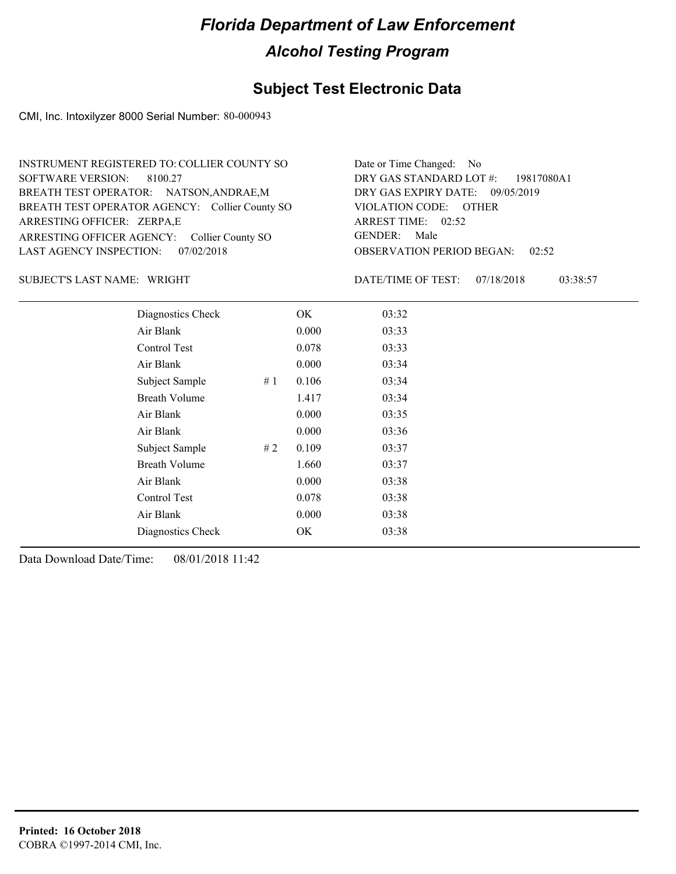## **Subject Test Electronic Data**

CMI, Inc. Intoxilyzer 8000 Serial Number: 80-000943

| INSTRUMENT REGISTERED TO: COLLIER COUNTY SO    | Date or Time Changed: No               |
|------------------------------------------------|----------------------------------------|
| SOFTWARE VERSION: 8100.27                      | DRY GAS STANDARD LOT #: 19817080A1     |
| BREATH TEST OPERATOR: NATSON, ANDRAE, M        | DRY GAS EXPIRY DATE: 09/05/2019        |
| BREATH TEST OPERATOR AGENCY: Collier County SO | VIOLATION CODE: OTHER                  |
| ARRESTING OFFICER: ZERPA,E                     | ARREST TIME: 02:52                     |
| ARRESTING OFFICER AGENCY: Collier County SO    | GENDER: Male                           |
| LAST AGENCY INSPECTION: 07/02/2018             | <b>OBSERVATION PERIOD BEGAN: 02:52</b> |

#### SUBJECT'S LAST NAME: WRIGHT **Example 2018** DATE/TIME OF TEST:

DATE/TIME OF TEST: 07/18/2018 03:38:57

| Diagnostics Check    |    | OK    | 03:32 |  |
|----------------------|----|-------|-------|--|
| Air Blank            |    | 0.000 | 03:33 |  |
| Control Test         |    | 0.078 | 03:33 |  |
| Air Blank            |    | 0.000 | 03:34 |  |
| Subject Sample       | #1 | 0.106 | 03:34 |  |
| <b>Breath Volume</b> |    | 1.417 | 03:34 |  |
| Air Blank            |    | 0.000 | 03:35 |  |
| Air Blank            |    | 0.000 | 03:36 |  |
| Subject Sample       | #2 | 0.109 | 03:37 |  |
| <b>Breath Volume</b> |    | 1.660 | 03:37 |  |
| Air Blank            |    | 0.000 | 03:38 |  |
| Control Test         |    | 0.078 | 03:38 |  |
| Air Blank            |    | 0.000 | 03:38 |  |
| Diagnostics Check    |    | OK    | 03:38 |  |
|                      |    |       |       |  |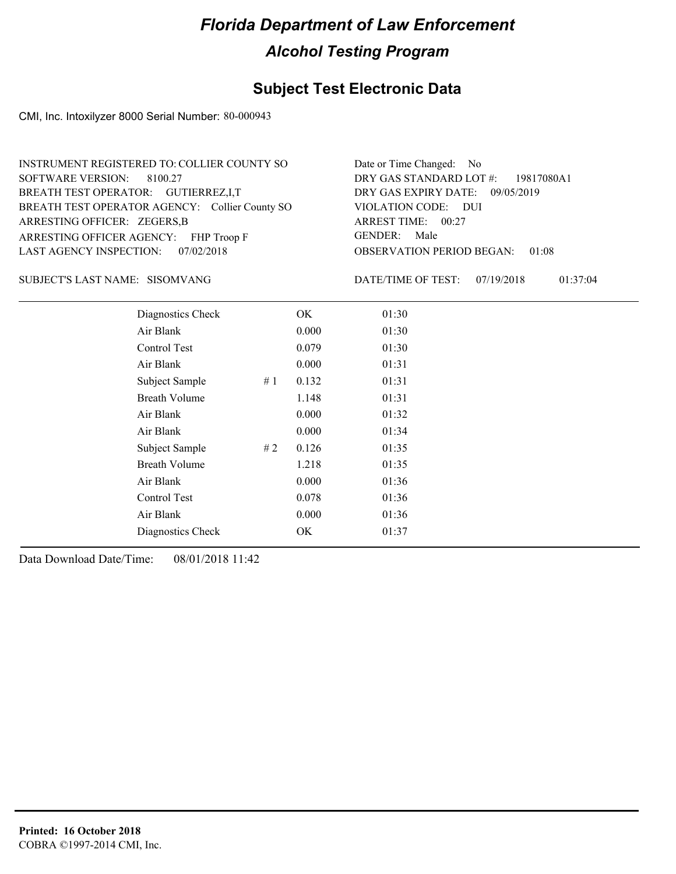## **Subject Test Electronic Data**

CMI, Inc. Intoxilyzer 8000 Serial Number: 80-000943

| INSTRUMENT REGISTERED TO: COLLIER COUNTY SO    | Date or Time Changed: No               |
|------------------------------------------------|----------------------------------------|
| SOFTWARE VERSION: 8100.27                      | DRY GAS STANDARD LOT #: 19817080A1     |
| BREATH TEST OPERATOR: GUTIERREZ, I, T          | DRY GAS EXPIRY DATE: 09/05/2019        |
| BREATH TEST OPERATOR AGENCY: Collier County SO | VIOLATION CODE: DUI                    |
| ARRESTING OFFICER: ZEGERS, B                   | ARREST TIME: 00:27                     |
| ARRESTING OFFICER AGENCY: FHP Troop F          | GENDER: Male                           |
| LAST AGENCY INSPECTION: 07/02/2018             | <b>OBSERVATION PERIOD BEGAN: 01:08</b> |

#### SISOMVANG SUBJECT'S LAST NAME: DATE/TIME OF TEST:

DATE/TIME OF TEST: 07/19/2018 01:37:04

| Diagnostics Check    |    | OK    | 01:30 |  |
|----------------------|----|-------|-------|--|
| Air Blank            |    | 0.000 | 01:30 |  |
| Control Test         |    | 0.079 | 01:30 |  |
| Air Blank            |    | 0.000 | 01:31 |  |
| Subject Sample       | #1 | 0.132 | 01:31 |  |
| <b>Breath Volume</b> |    | 1.148 | 01:31 |  |
| Air Blank            |    | 0.000 | 01:32 |  |
| Air Blank            |    | 0.000 | 01:34 |  |
| Subject Sample       | #2 | 0.126 | 01:35 |  |
| <b>Breath Volume</b> |    | 1.218 | 01:35 |  |
| Air Blank            |    | 0.000 | 01:36 |  |
| Control Test         |    | 0.078 | 01:36 |  |
| Air Blank            |    | 0.000 | 01:36 |  |
| Diagnostics Check    |    | OK    | 01:37 |  |
|                      |    |       |       |  |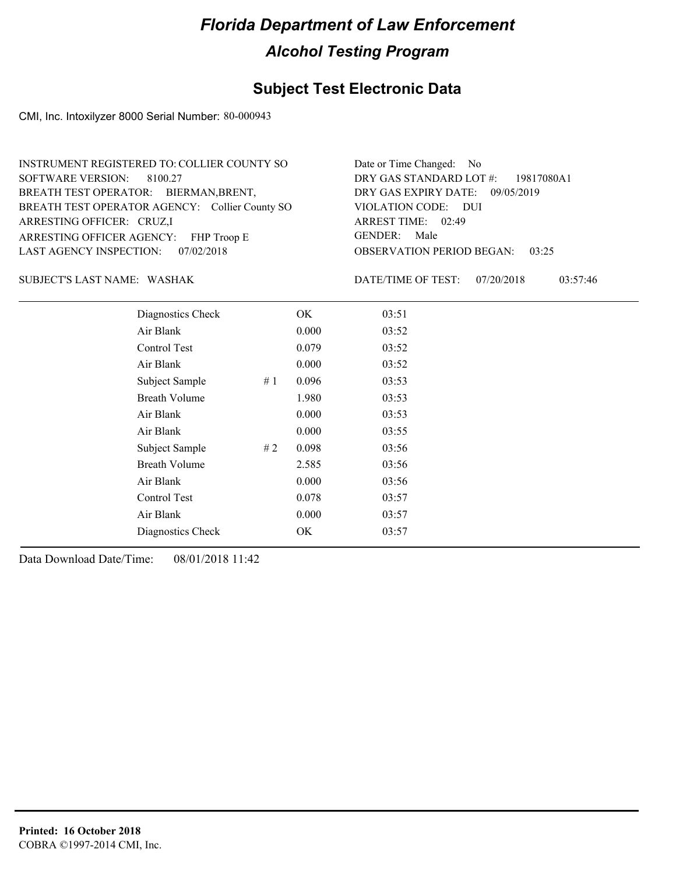## **Subject Test Electronic Data**

CMI, Inc. Intoxilyzer 8000 Serial Number: 80-000943

| INSTRUMENT REGISTERED TO: COLLIER COUNTY SO    | Date or Time Changed: No               |
|------------------------------------------------|----------------------------------------|
| SOFTWARE VERSION: 8100.27                      | DRY GAS STANDARD LOT $\#$ : 19817080A1 |
| BREATH TEST OPERATOR: BIERMAN, BRENT,          | DRY GAS EXPIRY DATE: 09/05/2019        |
| BREATH TEST OPERATOR AGENCY: Collier County SO | VIOLATION CODE: DUI                    |
| ARRESTING OFFICER: CRUZ,I                      | ARREST TIME: 02:49                     |
| ARRESTING OFFICER AGENCY: FHP Troop E          | GENDER: Male                           |
| LAST AGENCY INSPECTION: 07/02/2018             | <b>OBSERVATION PERIOD BEGAN: 03:25</b> |

#### WASHAK SUBJECT'S LAST NAME: DATE/TIME OF TEST:

DATE/TIME OF TEST: 07/20/2018 03:57:46

| Diagnostics Check    |    | OK    | 03:51 |  |
|----------------------|----|-------|-------|--|
| Air Blank            |    | 0.000 | 03:52 |  |
| Control Test         |    | 0.079 | 03:52 |  |
| Air Blank            |    | 0.000 | 03:52 |  |
| Subject Sample       | #1 | 0.096 | 03:53 |  |
| <b>Breath Volume</b> |    | 1.980 | 03:53 |  |
| Air Blank            |    | 0.000 | 03:53 |  |
| Air Blank            |    | 0.000 | 03:55 |  |
| Subject Sample       | #2 | 0.098 | 03:56 |  |
| <b>Breath Volume</b> |    | 2.585 | 03:56 |  |
| Air Blank            |    | 0.000 | 03:56 |  |
| Control Test         |    | 0.078 | 03:57 |  |
| Air Blank            |    | 0.000 | 03:57 |  |
| Diagnostics Check    |    | OK    | 03:57 |  |
|                      |    |       |       |  |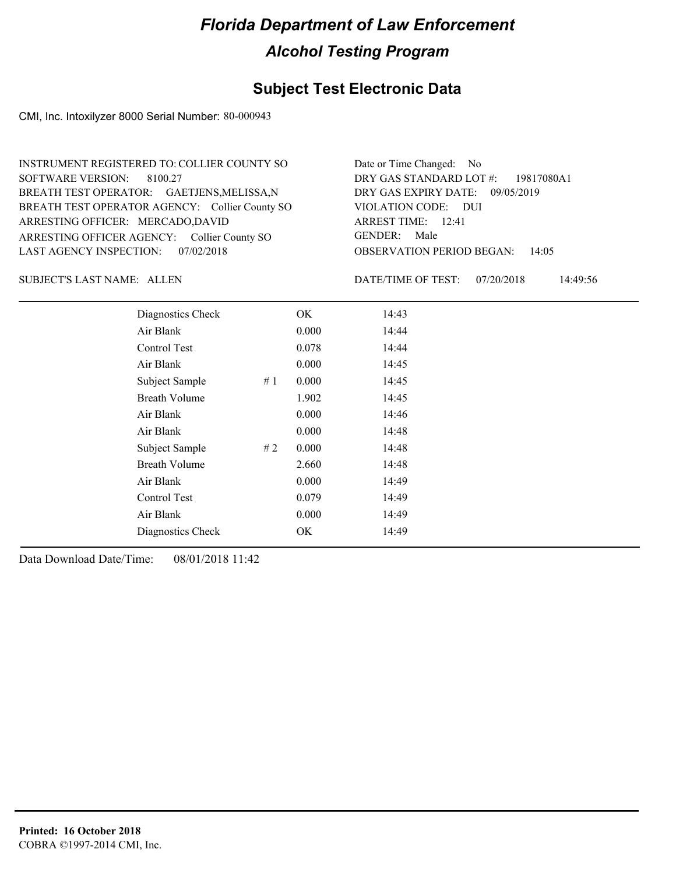#### **Subject Test Electronic Data**

CMI, Inc. Intoxilyzer 8000 Serial Number: 80-000943

| INSTRUMENT REGISTERED TO: COLLIER COUNTY SO    | Date or Time Changed: No               |
|------------------------------------------------|----------------------------------------|
| SOFTWARE VERSION: 8100.27                      | DRY GAS STANDARD LOT #: 19817080A1     |
| BREATH TEST OPERATOR: GAETJENS, MELISSA, N     | DRY GAS EXPIRY DATE: 09/05/2019        |
| BREATH TEST OPERATOR AGENCY: Collier County SO | VIOLATION CODE: DUI                    |
| ARRESTING OFFICER: MERCADO,DAVID               | ARREST TIME: 12:41                     |
| ARRESTING OFFICER AGENCY: Collier County SO    | GENDER: Male                           |
| LAST AGENCY INSPECTION: 07/02/2018             | <b>OBSERVATION PERIOD BEGAN: 14:05</b> |

SUBJECT'S LAST NAME: ALLEN DATE/TIME OF TEST:

DATE/TIME OF TEST: 07/20/2018 14:49:56

| Diagnostics Check       | OK    | 14:43 |
|-------------------------|-------|-------|
| Air Blank               | 0.000 | 14:44 |
| <b>Control Test</b>     | 0.078 | 14:44 |
| Air Blank               | 0.000 | 14:45 |
| Subject Sample<br># $1$ | 0.000 | 14:45 |
| <b>Breath Volume</b>    | 1.902 | 14:45 |
| Air Blank               | 0.000 | 14:46 |
| Air Blank               | 0.000 | 14:48 |
| Subject Sample<br>#2    | 0.000 | 14:48 |
| <b>Breath Volume</b>    | 2.660 | 14:48 |
| Air Blank               | 0.000 | 14:49 |
| Control Test            | 0.079 | 14:49 |
| Air Blank               | 0.000 | 14:49 |
| Diagnostics Check       | OK    | 14:49 |
|                         |       |       |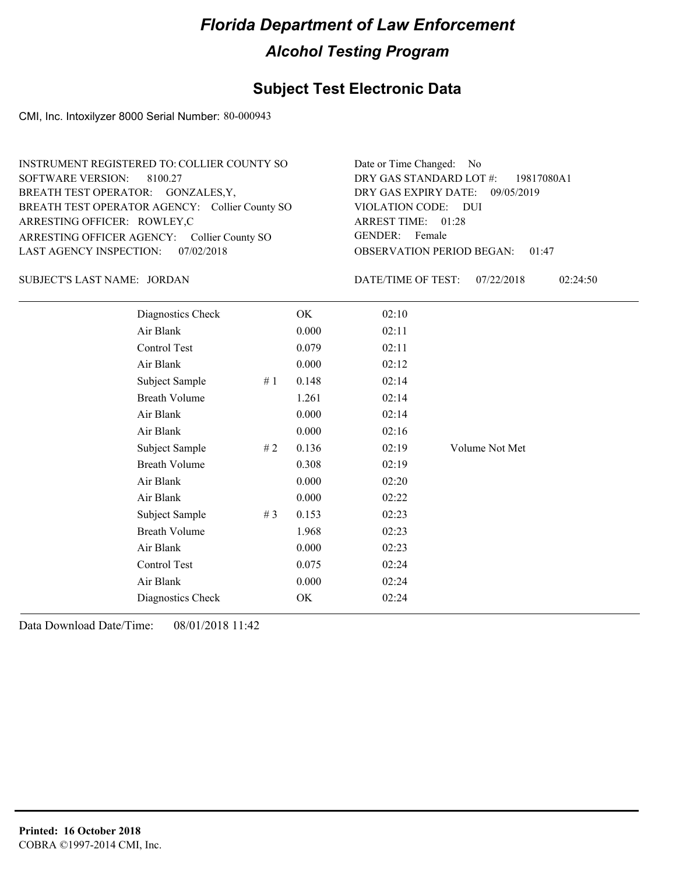#### **Subject Test Electronic Data**

CMI, Inc. Intoxilyzer 8000 Serial Number: 80-000943

| INSTRUMENT REGISTERED TO: COLLIER COUNTY SO    | Date or Time Changed: No               |
|------------------------------------------------|----------------------------------------|
| SOFTWARE VERSION: 8100.27                      | DRY GAS STANDARD LOT #: 19817080A1     |
| BREATH TEST OPERATOR: GONZALES, Y,             | DRY GAS EXPIRY DATE: 09/05/2019        |
| BREATH TEST OPERATOR AGENCY: Collier County SO | VIOLATION CODE: DUI                    |
| ARRESTING OFFICER: ROWLEY,C                    | ARREST TIME: 01:28                     |
| ARRESTING OFFICER AGENCY: Collier County SO    | GENDER: Female                         |
| LAST AGENCY INSPECTION: 07/02/2018             | <b>OBSERVATION PERIOD BEGAN: 01:47</b> |

JORDAN SUBJECT'S LAST NAME: DATE/TIME OF TEST:

DATE/TIME OF TEST: 07/22/2018 02:24:50

| Diagnostics Check    |       | OK    | 02:10 |                |
|----------------------|-------|-------|-------|----------------|
| Air Blank            |       | 0.000 | 02:11 |                |
| Control Test         |       | 0.079 | 02:11 |                |
| Air Blank            |       | 0.000 | 02:12 |                |
| Subject Sample       | #1    | 0.148 | 02:14 |                |
| <b>Breath Volume</b> |       | 1.261 | 02:14 |                |
| Air Blank            |       | 0.000 | 02:14 |                |
| Air Blank            |       | 0.000 | 02:16 |                |
| Subject Sample       | # 2   | 0.136 | 02:19 | Volume Not Met |
| <b>Breath Volume</b> |       | 0.308 | 02:19 |                |
| Air Blank            |       | 0.000 | 02:20 |                |
| Air Blank            |       | 0.000 | 02:22 |                |
| Subject Sample       | # $3$ | 0.153 | 02:23 |                |
| <b>Breath Volume</b> |       | 1.968 | 02:23 |                |
| Air Blank            |       | 0.000 | 02:23 |                |
| Control Test         |       | 0.075 | 02:24 |                |
| Air Blank            |       | 0.000 | 02:24 |                |
| Diagnostics Check    |       | OK    | 02:24 |                |
|                      |       |       |       |                |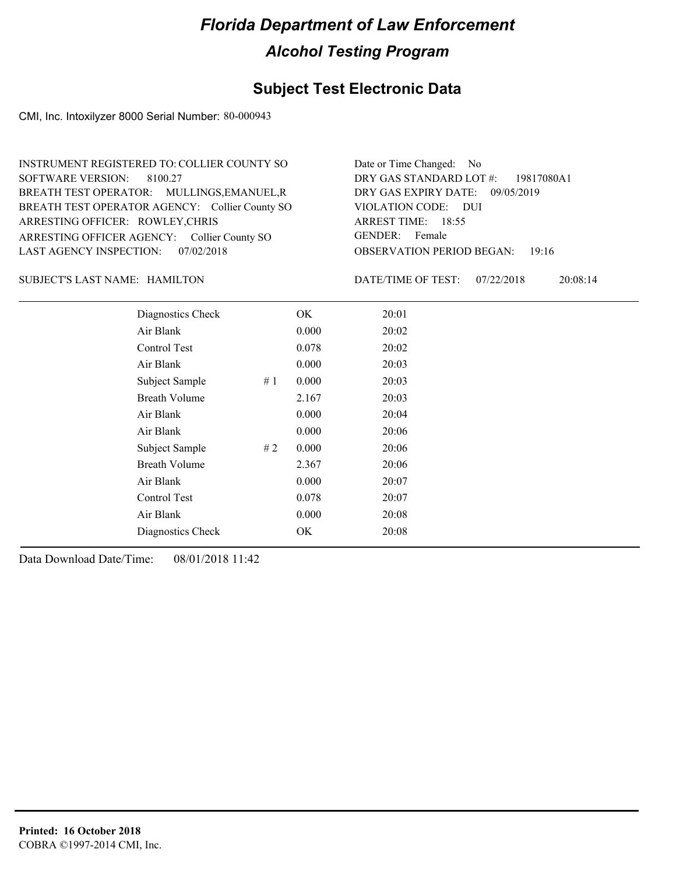#### **Subject Test Electronic Data**

CMI, Inc. Intoxilyzer 8000 Serial Number: 80-000943

OBSERVATION PERIOD BEGAN: 19:16 ARRESTING OFFICER AGENCY: Collier County SO GENDER: BREATH TEST OPERATOR AGENCY: Collier County SO VIOLATION CODE: SOFTWARE VERSION: VIOLATION CODE: DUI ARREST TIME: 18:55 ARRESTING OFFICER: ROWLEY, CHRIS 09/05/2019 DRY GAS EXPIRY DATE: 19817080A1 BREATH TEST OPERATOR: MULLINGS,EMANUEL,R LAST AGENCY INSPECTION: 07/02/2018 8100.27 INSTRUMENT REGISTERED TO: COLLIER COUNTY SO DRY GAS STANDARD LOT #: Date or Time Changed: No GENDER: Female

#### HAMILTON SUBJECT'S LAST NAME: DATE/TIME OF TEST:

DATE/TIME OF TEST: 07/22/2018 20:08:14

| Diagnostics Check    |    | OK    | 20:01 |
|----------------------|----|-------|-------|
| Air Blank            |    | 0.000 | 20:02 |
| Control Test         |    | 0.078 | 20:02 |
| Air Blank            |    | 0.000 | 20:03 |
| Subject Sample       | #1 | 0.000 | 20:03 |
| <b>Breath Volume</b> |    | 2.167 | 20:03 |
| Air Blank            |    | 0.000 | 20:04 |
| Air Blank            |    | 0.000 | 20:06 |
| Subject Sample       | #2 | 0.000 | 20:06 |
| <b>Breath Volume</b> |    | 2.367 | 20:06 |
| Air Blank            |    | 0.000 | 20:07 |
| Control Test         |    | 0.078 | 20:07 |
| Air Blank            |    | 0.000 | 20:08 |
| Diagnostics Check    |    | OK.   | 20:08 |
|                      |    |       |       |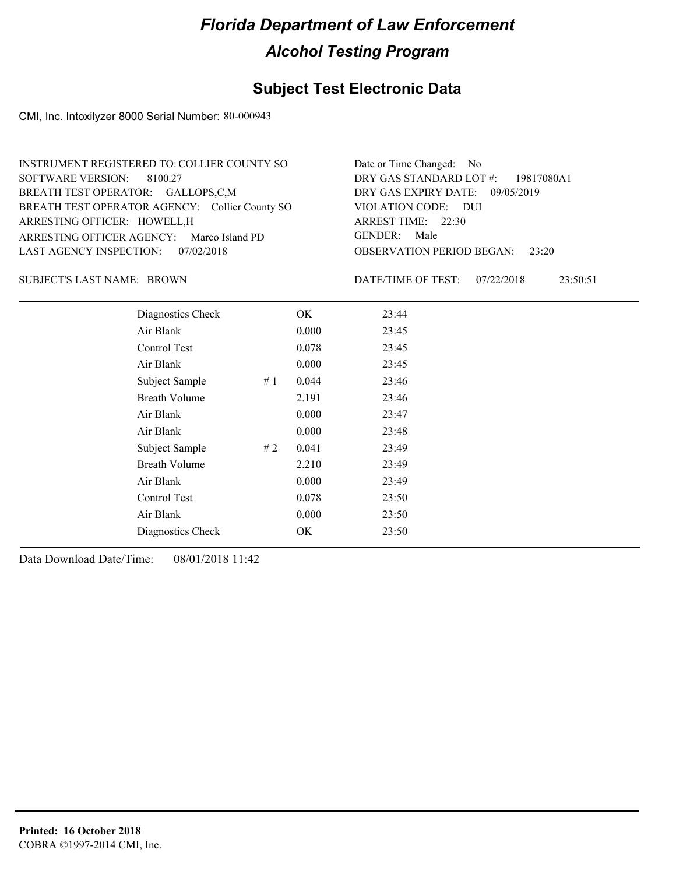#### **Subject Test Electronic Data**

CMI, Inc. Intoxilyzer 8000 Serial Number: 80-000943

| INSTRUMENT REGISTERED TO: COLLIER COUNTY SO    | Date or Time Changed: No               |
|------------------------------------------------|----------------------------------------|
| SOFTWARE VERSION: 8100.27                      | DRY GAS STANDARD LOT #: 19817080A1     |
| BREATH TEST OPERATOR: GALLOPS,C,M              | DRY GAS EXPIRY DATE: 09/05/2019        |
| BREATH TEST OPERATOR AGENCY: Collier County SO | VIOLATION CODE: DUI                    |
| ARRESTING OFFICER: HOWELL, H                   | ARREST TIME: 22:30                     |
| ARRESTING OFFICER AGENCY: Marco Island PD      | GENDER: Male                           |
| LAST AGENCY INSPECTION: 07/02/2018             | <b>OBSERVATION PERIOD BEGAN:</b> 23:20 |

SUBJECT'S LAST NAME: BROWN DATE/TIME OF TEST:

DATE/TIME OF TEST: 07/22/2018 23:50:51

| Diagnostics Check    |    | OK    | 23:44 |
|----------------------|----|-------|-------|
| Air Blank            |    | 0.000 | 23:45 |
| Control Test         |    | 0.078 | 23:45 |
| Air Blank            |    | 0.000 | 23:45 |
| Subject Sample       | #1 | 0.044 | 23:46 |
| <b>Breath Volume</b> |    | 2.191 | 23:46 |
| Air Blank            |    | 0.000 | 23:47 |
| Air Blank            |    | 0.000 | 23:48 |
| Subject Sample       | #2 | 0.041 | 23:49 |
| <b>Breath Volume</b> |    | 2.210 | 23:49 |
| Air Blank            |    | 0.000 | 23:49 |
| Control Test         |    | 0.078 | 23:50 |
| Air Blank            |    | 0.000 | 23:50 |
| Diagnostics Check    |    | OK    | 23:50 |
|                      |    |       |       |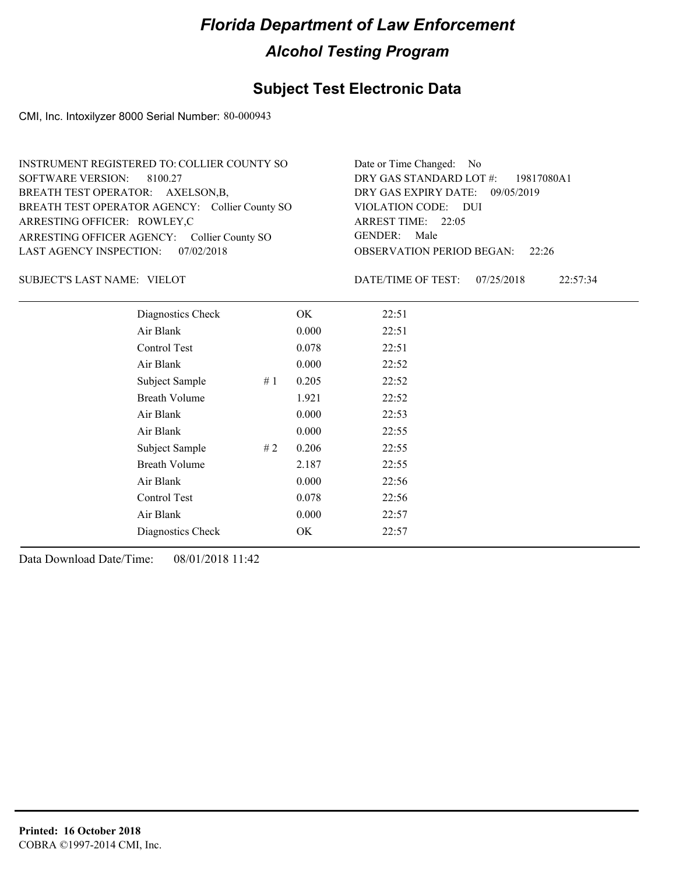#### **Subject Test Electronic Data**

CMI, Inc. Intoxilyzer 8000 Serial Number: 80-000943

| INSTRUMENT REGISTERED TO: COLLIER COUNTY SO    | Date or Time Changed: No               |
|------------------------------------------------|----------------------------------------|
| SOFTWARE VERSION: 8100.27                      | DRY GAS STANDARD LOT $\#$ : 19817080A1 |
| BREATH TEST OPERATOR: AXELSON,B,               | DRY GAS EXPIRY DATE: 09/05/2019        |
| BREATH TEST OPERATOR AGENCY: Collier County SO | VIOLATION CODE: DUI                    |
| ARRESTING OFFICER: ROWLEY,C                    | ARREST TIME: 22:05                     |
| ARRESTING OFFICER AGENCY: Collier County SO    | GENDER: Male                           |
| LAST AGENCY INSPECTION: 07/02/2018             | <b>OBSERVATION PERIOD BEGAN: 22:26</b> |

SUBJECT'S LAST NAME: VIELOT **Example 2018** DATE/TIME OF TEST:

DATE/TIME OF TEST: 07/25/2018 22:57:34

| Diagnostics Check    |     | OK    | 22:51 |
|----------------------|-----|-------|-------|
| Air Blank            |     | 0.000 | 22:51 |
| Control Test         |     | 0.078 | 22:51 |
| Air Blank            |     | 0.000 | 22:52 |
| Subject Sample       | #1  | 0.205 | 22:52 |
| <b>Breath Volume</b> |     | 1.921 | 22:52 |
| Air Blank            |     | 0.000 | 22:53 |
| Air Blank            |     | 0.000 | 22:55 |
| Subject Sample       | # 2 | 0.206 | 22:55 |
| <b>Breath Volume</b> |     | 2.187 | 22:55 |
| Air Blank            |     | 0.000 | 22:56 |
| Control Test         |     | 0.078 | 22:56 |
| Air Blank            |     | 0.000 | 22:57 |
| Diagnostics Check    |     | OK    | 22:57 |
|                      |     |       |       |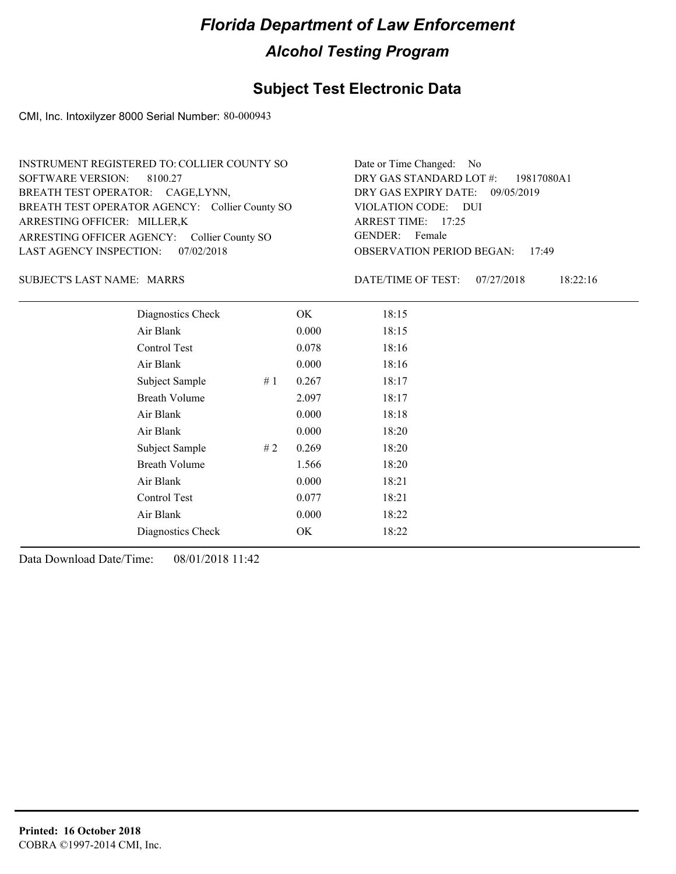#### **Subject Test Electronic Data**

CMI, Inc. Intoxilyzer 8000 Serial Number: 80-000943

| INSTRUMENT REGISTERED TO: COLLIER COUNTY SO    | Date or Time Changed: No               |
|------------------------------------------------|----------------------------------------|
| SOFTWARE VERSION: 8100.27                      | DRY GAS STANDARD LOT #: 19817080A1     |
| BREATH TEST OPERATOR: CAGE,LYNN,               | DRY GAS EXPIRY DATE: 09/05/2019        |
| BREATH TEST OPERATOR AGENCY: Collier County SO | VIOLATION CODE: DUI                    |
| ARRESTING OFFICER: MILLER,K                    | ARREST TIME: 17:25                     |
| ARRESTING OFFICER AGENCY: Collier County SO    | GENDER: Female                         |
| LAST AGENCY INSPECTION: 07/02/2018             | <b>OBSERVATION PERIOD BEGAN: 17:49</b> |

#### SUBJECT'S LAST NAME: MARRS DATE/TIME OF TEST:

DATE/TIME OF TEST: 07/27/2018 18:22:16

| Diagnostics Check    |     | OK    | 18:15 |  |
|----------------------|-----|-------|-------|--|
| Air Blank            |     | 0.000 | 18:15 |  |
| Control Test         |     | 0.078 | 18:16 |  |
| Air Blank            |     | 0.000 | 18:16 |  |
| Subject Sample       | #1  | 0.267 | 18:17 |  |
| <b>Breath Volume</b> |     | 2.097 | 18:17 |  |
| Air Blank            |     | 0.000 | 18:18 |  |
| Air Blank            |     | 0.000 | 18:20 |  |
| Subject Sample       | # 2 | 0.269 | 18:20 |  |
| <b>Breath Volume</b> |     | 1.566 | 18:20 |  |
| Air Blank            |     | 0.000 | 18:21 |  |
| <b>Control Test</b>  |     | 0.077 | 18:21 |  |
| Air Blank            |     | 0.000 | 18:22 |  |
| Diagnostics Check    |     | OK    | 18:22 |  |
|                      |     |       |       |  |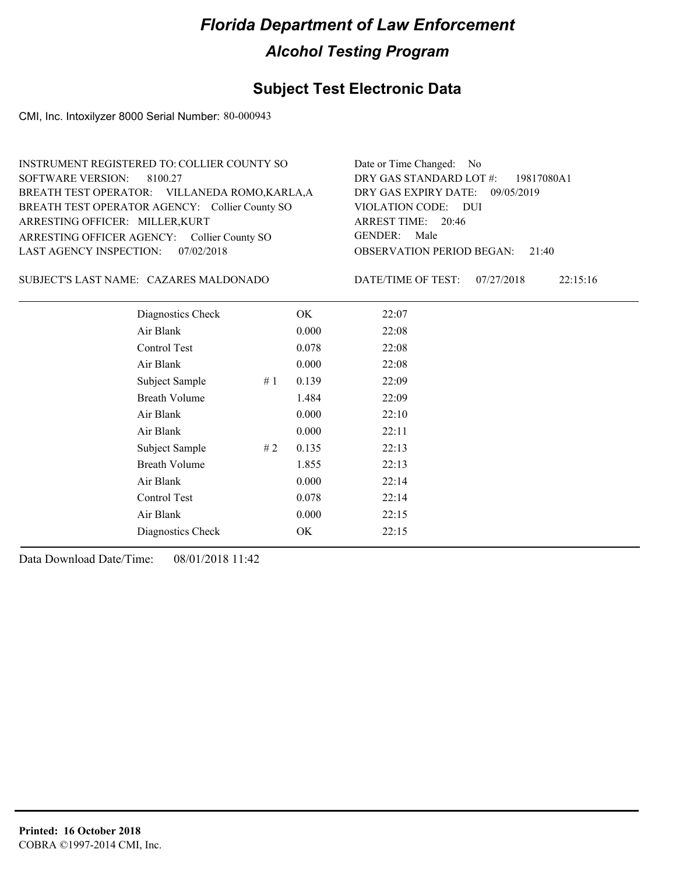#### **Subject Test Electronic Data**

CMI, Inc. Intoxilyzer 8000 Serial Number: 80-000943

| INSTRUMENT REGISTERED TO: COLLIER COUNTY SO    | Date or Time Changed: No               |
|------------------------------------------------|----------------------------------------|
| SOFTWARE VERSION: 8100.27                      | DRY GAS STANDARD LOT #: 19817080A1     |
| BREATH TEST OPERATOR: VILLANEDA ROMO, KARLA, A | DRY GAS EXPIRY DATE: 09/05/2019        |
| BREATH TEST OPERATOR AGENCY: Collier County SO | VIOLATION CODE: DUI                    |
| ARRESTING OFFICER: MILLER, KURT                | ARREST TIME: 20:46                     |
| ARRESTING OFFICER AGENCY: Collier County SO    | GENDER: Male                           |
| LAST AGENCY INSPECTION: 07/02/2018             | <b>OBSERVATION PERIOD BEGAN: 21:40</b> |

CAZARES MALDONADO SUBJECT'S LAST NAME: DATE/TIME OF TEST:

DATE/TIME OF TEST: 07/27/2018 22:15:16

| Diagnostics Check    |    | OK    | 22:07 |
|----------------------|----|-------|-------|
| Air Blank            |    | 0.000 | 22:08 |
| Control Test         |    | 0.078 | 22:08 |
| Air Blank            |    | 0.000 | 22:08 |
| Subject Sample       | #1 | 0.139 | 22:09 |
| <b>Breath Volume</b> |    | 1.484 | 22:09 |
| Air Blank            |    | 0.000 | 22:10 |
| Air Blank            |    | 0.000 | 22:11 |
| Subject Sample       | #2 | 0.135 | 22:13 |
| <b>Breath Volume</b> |    | 1.855 | 22:13 |
| Air Blank            |    | 0.000 | 22:14 |
| Control Test         |    | 0.078 | 22:14 |
| Air Blank            |    | 0.000 | 22:15 |
| Diagnostics Check    |    | OK    | 22:15 |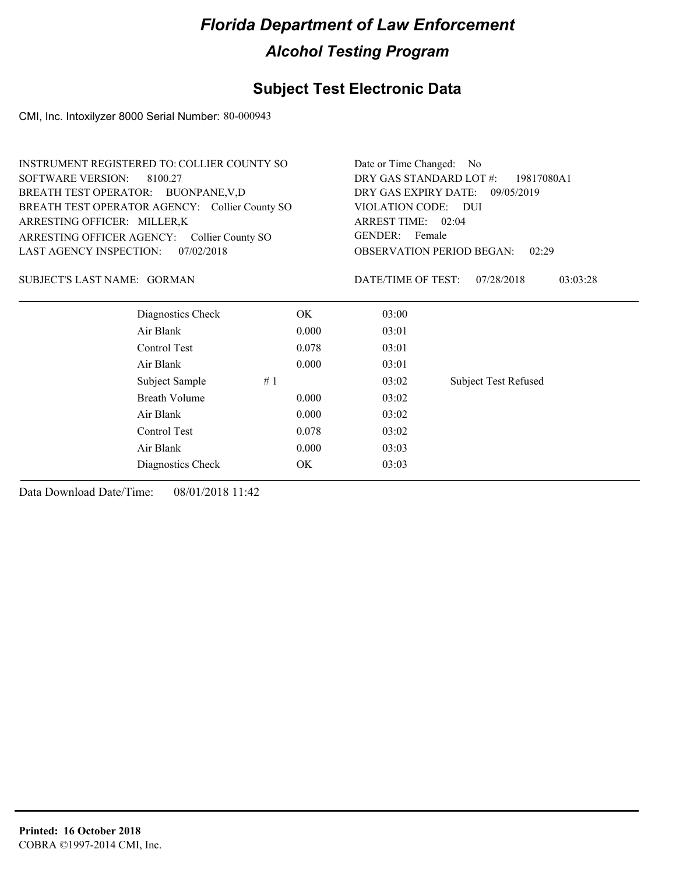### **Subject Test Electronic Data**

CMI, Inc. Intoxilyzer 8000 Serial Number: 80-000943

| <b>INSTRUMENT REGISTERED TO: COLLIER COUNTY SO</b> | Date or Time Changed: No                     |
|----------------------------------------------------|----------------------------------------------|
| SOFTWARE VERSION: 8100.27                          | DRY GAS STANDARD LOT $\#$ : 19817080A1       |
| BREATH TEST OPERATOR: BUONPANE, V,D                | DRY GAS EXPIRY DATE:<br>09/05/2019           |
| BREATH TEST OPERATOR AGENCY: Collier County SO     | VIOLATION CODE: DUI                          |
| ARRESTING OFFICER: MILLER,K                        | ARREST TIME: 02:04                           |
| ARRESTING OFFICER AGENCY: Collier County SO        | GENDER: Female                               |
| LAST AGENCY INSPECTION:<br>07/02/2018              | <b>OBSERVATION PERIOD BEGAN:</b><br>02:29    |
| SUBJECT'S LAST NAME: GORMAN                        | 03:03:28<br>DATE/TIME OF TEST:<br>07/28/2018 |
| Diagnostics Check<br>OK                            | 03:00                                        |

| Air Blank            |    | 0.000 | 03:01 |                             |
|----------------------|----|-------|-------|-----------------------------|
| Control Test         |    | 0.078 | 03:01 |                             |
| Air Blank            |    | 0.000 | 03:01 |                             |
| Subject Sample       | #1 |       | 03:02 | <b>Subject Test Refused</b> |
| <b>Breath Volume</b> |    | 0.000 | 03:02 |                             |
| Air Blank            |    | 0.000 | 03:02 |                             |
| Control Test         |    | 0.078 | 03:02 |                             |
| Air Blank            |    | 0.000 | 03:03 |                             |
| Diagnostics Check    |    | OK    | 03:03 |                             |
|                      |    |       |       |                             |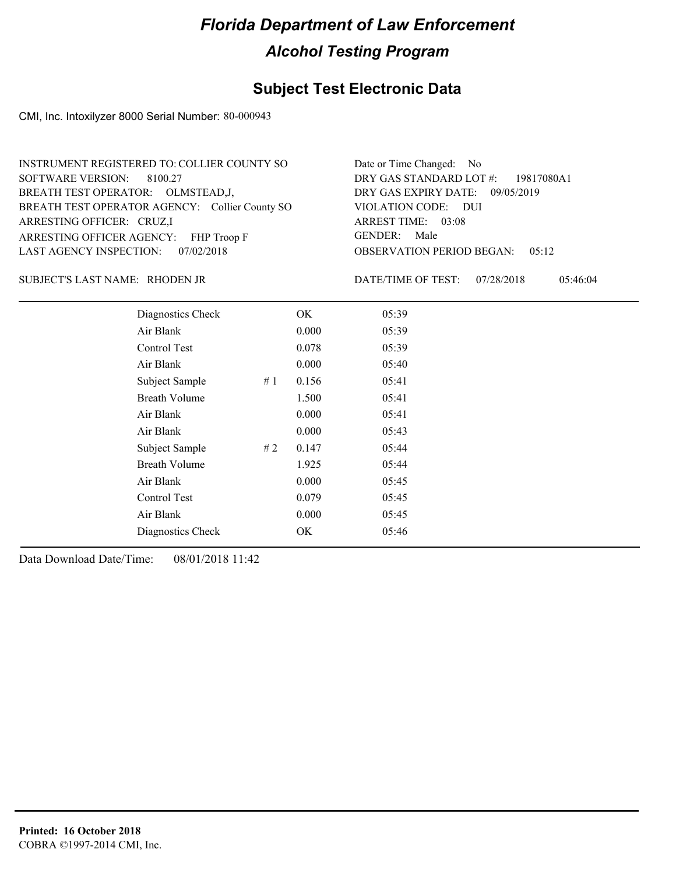#### **Subject Test Electronic Data**

CMI, Inc. Intoxilyzer 8000 Serial Number: 80-000943

| INSTRUMENT REGISTERED TO: COLLIER COUNTY SO    | Date or Time Changed: No               |
|------------------------------------------------|----------------------------------------|
| SOFTWARE VERSION: 8100.27                      | DRY GAS STANDARD LOT #: 19817080A1     |
| BREATH TEST OPERATOR: OLMSTEAD, J,             | DRY GAS EXPIRY DATE: 09/05/2019        |
| BREATH TEST OPERATOR AGENCY: Collier County SO | VIOLATION CODE: DUI                    |
| ARRESTING OFFICER: CRUZ,I                      | ARREST TIME: 03:08                     |
| ARRESTING OFFICER AGENCY: FHP Troop F          | GENDER: Male                           |
| LAST AGENCY INSPECTION: 07/02/2018             | <b>OBSERVATION PERIOD BEGAN: 05:12</b> |

#### RHODEN JR SUBJECT'S LAST NAME: DATE/TIME OF TEST:

DATE/TIME OF TEST: 07/28/2018 05:46:04

| Diagnostics Check    |    | OK    | 05:39 |  |
|----------------------|----|-------|-------|--|
| Air Blank            |    | 0.000 | 05:39 |  |
| Control Test         |    | 0.078 | 05:39 |  |
| Air Blank            |    | 0.000 | 05:40 |  |
| Subject Sample       | #1 | 0.156 | 05:41 |  |
| <b>Breath Volume</b> |    | 1.500 | 05:41 |  |
| Air Blank            |    | 0.000 | 05:41 |  |
| Air Blank            |    | 0.000 | 05:43 |  |
| Subject Sample       | #2 | 0.147 | 05:44 |  |
| <b>Breath Volume</b> |    | 1.925 | 05:44 |  |
| Air Blank            |    | 0.000 | 05:45 |  |
| Control Test         |    | 0.079 | 05:45 |  |
| Air Blank            |    | 0.000 | 05:45 |  |
| Diagnostics Check    |    | OK    | 05:46 |  |
|                      |    |       |       |  |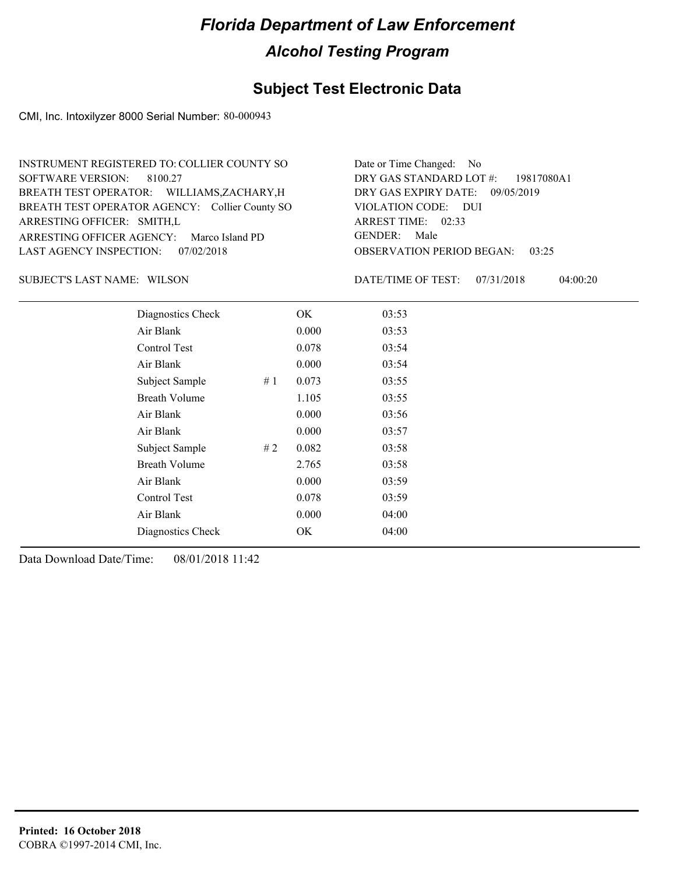#### **Subject Test Electronic Data**

CMI, Inc. Intoxilyzer 8000 Serial Number: 80-000943

| INSTRUMENT REGISTERED TO: COLLIER COUNTY SO    | Date or Time Changed: No               |
|------------------------------------------------|----------------------------------------|
| SOFTWARE VERSION: 8100.27                      | DRY GAS STANDARD LOT #: 19817080A1     |
| BREATH TEST OPERATOR: WILLIAMS, ZACHARY, H     | DRY GAS EXPIRY DATE: 09/05/2019        |
| BREATH TEST OPERATOR AGENCY: Collier County SO | VIOLATION CODE: DUI                    |
| ARRESTING OFFICER: SMITH,L                     | ARREST TIME: 02:33                     |
| ARRESTING OFFICER AGENCY: Marco Island PD      | GENDER: Male                           |
| LAST AGENCY INSPECTION: 07/02/2018             | <b>OBSERVATION PERIOD BEGAN: 03:25</b> |

SUBJECT'S LAST NAME: WILSON **Example 20 SUBJECT'S LAST NAME:** WILSON

DATE/TIME OF TEST: 07/31/2018 04:00:20

| Diagnostics Check    |    | OK    | 03:53 |
|----------------------|----|-------|-------|
| Air Blank            |    | 0.000 | 03:53 |
| Control Test         |    | 0.078 | 03:54 |
| Air Blank            |    | 0.000 | 03:54 |
| Subject Sample       | #1 | 0.073 | 03:55 |
| <b>Breath Volume</b> |    | 1.105 | 03:55 |
| Air Blank            |    | 0.000 | 03:56 |
| Air Blank            |    | 0.000 | 03:57 |
| Subject Sample       | #2 | 0.082 | 03:58 |
| <b>Breath Volume</b> |    | 2.765 | 03:58 |
| Air Blank            |    | 0.000 | 03:59 |
| Control Test         |    | 0.078 | 03:59 |
| Air Blank            |    | 0.000 | 04:00 |
| Diagnostics Check    |    | OK    | 04:00 |
|                      |    |       |       |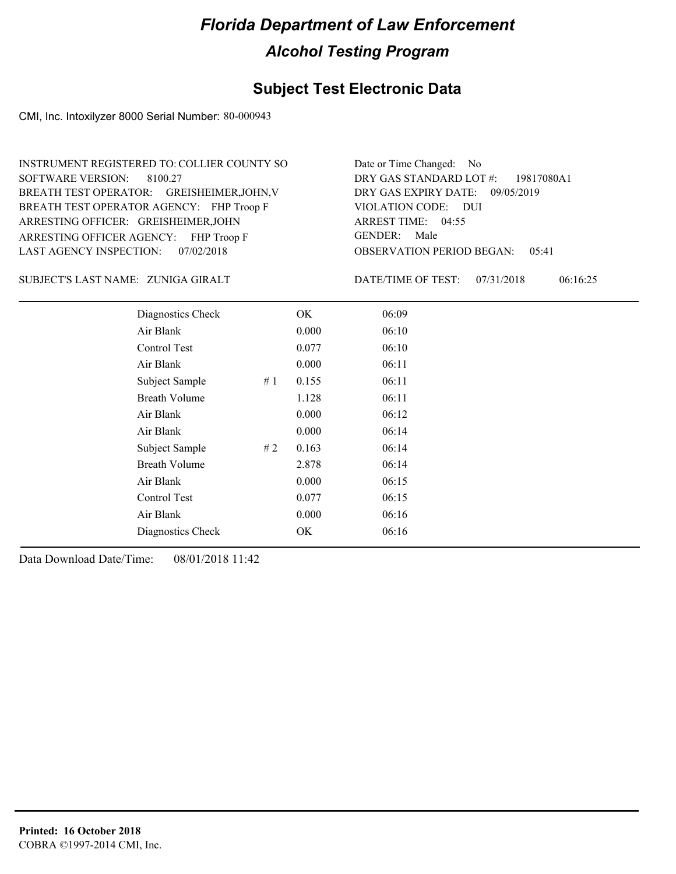#### **Subject Test Electronic Data**

CMI, Inc. Intoxilyzer 8000 Serial Number: 80-000943

ARRESTING OFFICER AGENCY: FHP Troop F GENDER: BREATH TEST OPERATOR AGENCY: FHP Troop F VIOLATION CODE: SOFTWARE VERSION: ARRESTING OFFICER: GREISHEIMER, JOHN BREATH TEST OPERATOR: GREISHEIMER,JOHN,V LAST AGENCY INSPECTION: 07/02/2018 8100.27 INSTRUMENT REGISTERED TO: COLLIER COUNTY SO

OBSERVATION PERIOD BEGAN: 05:41 VIOLATION CODE: DUI ARREST TIME: 04:55 09/05/2019 DRY GAS EXPIRY DATE: 19817080A1 DRY GAS STANDARD LOT #: Date or Time Changed: No GENDER: Male

ZUNIGA GIRALT SUBJECT'S LAST NAME: DATE/TIME OF TEST:

DATE/TIME OF TEST: 07/31/2018 06:16:25

| Diagnostics Check    |    | OK    | 06:09 |
|----------------------|----|-------|-------|
| Air Blank            |    | 0.000 | 06:10 |
| Control Test         |    | 0.077 | 06:10 |
| Air Blank            |    | 0.000 | 06:11 |
| Subject Sample       | #1 | 0.155 | 06:11 |
| <b>Breath Volume</b> |    | 1.128 | 06:11 |
| Air Blank            |    | 0.000 | 06:12 |
| Air Blank            |    | 0.000 | 06:14 |
| Subject Sample       | #2 | 0.163 | 06:14 |
| <b>Breath Volume</b> |    | 2.878 | 06:14 |
| Air Blank            |    | 0.000 | 06:15 |
| Control Test         |    | 0.077 | 06:15 |
| Air Blank            |    | 0.000 | 06:16 |
| Diagnostics Check    |    | OK    | 06:16 |
|                      |    |       |       |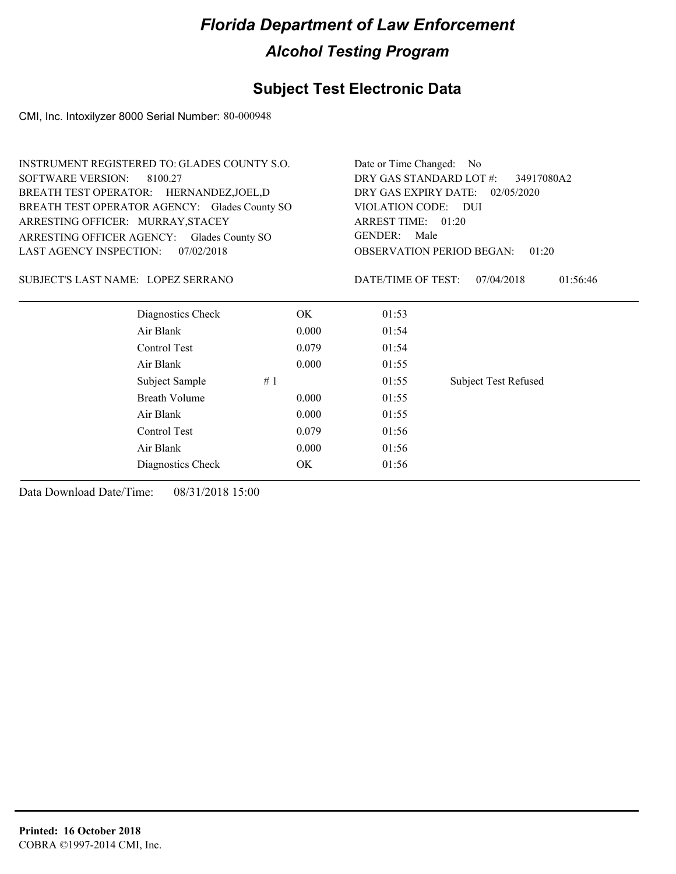#### **Subject Test Electronic Data**

CMI, Inc. Intoxilyzer 8000 Serial Number: 80-000948

| <b>INSTRUMENT REGISTERED TO: GLADES COUNTY S.O.</b> |       | Date or Time Changed: No              |                                           |  |  |
|-----------------------------------------------------|-------|---------------------------------------|-------------------------------------------|--|--|
| <b>SOFTWARE VERSION:</b><br>8100.27                 |       | DRY GAS STANDARD LOT #:<br>34917080A2 |                                           |  |  |
| BREATH TEST OPERATOR: HERNANDEZ, JOEL, D            |       | DRY GAS EXPIRY DATE: 02/05/2020       |                                           |  |  |
| BREATH TEST OPERATOR AGENCY: Glades County SO       |       | VIOLATION CODE: DUI                   |                                           |  |  |
| ARRESTING OFFICER: MURRAY, STACEY                   |       | ARREST TIME: 01:20                    |                                           |  |  |
| ARRESTING OFFICER AGENCY: Glades County SO          |       | <b>GENDER:</b><br>Male                |                                           |  |  |
| LAST AGENCY INSPECTION:<br>07/02/2018               |       |                                       | <b>OBSERVATION PERIOD BEGAN:</b><br>01:20 |  |  |
| SUBJECT'S LAST NAME: LOPEZ SERRANO                  |       | DATE/TIME OF TEST:                    | 07/04/2018<br>01:56:46                    |  |  |
| Diagnostics Check                                   | OK    | 01:53                                 |                                           |  |  |
| Air Blank                                           | 0.000 | 01:54                                 |                                           |  |  |
| Control Test                                        | 0.079 | 01:54                                 |                                           |  |  |
| Air Blank                                           | 0.000 | 01:55                                 |                                           |  |  |
| Subject Sample                                      | #1    | 01:55                                 | <b>Subject Test Refused</b>               |  |  |
| <b>Breath Volume</b>                                | 0.000 | 01:55                                 |                                           |  |  |
| Air Blank                                           | 0.000 | 01:55                                 |                                           |  |  |
| Control Test                                        | 0.079 | 01:56                                 |                                           |  |  |
| Air Blank                                           | 0.000 | 01:56                                 |                                           |  |  |
| Diagnostics Check                                   | OK    | 01:56                                 |                                           |  |  |
|                                                     |       |                                       |                                           |  |  |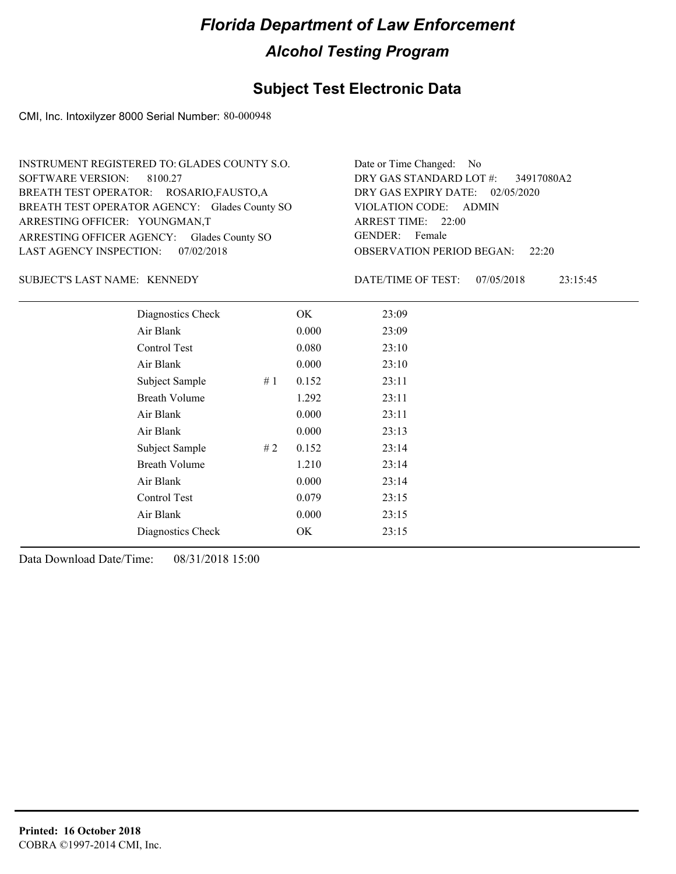#### **Subject Test Electronic Data**

CMI, Inc. Intoxilyzer 8000 Serial Number: 80-000948

| INSTRUMENT REGISTERED TO: GLADES COUNTY S.O.  | Date or Time Changed: No               |
|-----------------------------------------------|----------------------------------------|
| SOFTWARE VERSION: 8100.27                     | DRY GAS STANDARD LOT #: 34917080A2     |
| BREATH TEST OPERATOR: ROSARIO, FAUSTO, A      | DRY GAS EXPIRY DATE: $02/05/2020$      |
| BREATH TEST OPERATOR AGENCY: Glades County SO | VIOLATION CODE: ADMIN                  |
| ARRESTING OFFICER: YOUNGMAN,T                 | ARREST TIME: 22:00                     |
| ARRESTING OFFICER AGENCY: Glades County SO    | GENDER: Female                         |
| LAST AGENCY INSPECTION: 07/02/2018            | <b>OBSERVATION PERIOD BEGAN: 22:20</b> |

#### SUBJECT'S LAST NAME: KENNEDY DATE/TIME OF TEST:

DATE/TIME OF TEST: 07/05/2018 23:15:45

| Diagnostics Check    |    | OK    | 23:09 |
|----------------------|----|-------|-------|
| Air Blank            |    | 0.000 | 23:09 |
| Control Test         |    | 0.080 | 23:10 |
| Air Blank            |    | 0.000 | 23:10 |
| Subject Sample       | #1 | 0.152 | 23:11 |
| <b>Breath Volume</b> |    | 1.292 | 23:11 |
| Air Blank            |    | 0.000 | 23:11 |
| Air Blank            |    | 0.000 | 23:13 |
| Subject Sample       | #2 | 0.152 | 23:14 |
| <b>Breath Volume</b> |    | 1.210 | 23:14 |
| Air Blank            |    | 0.000 | 23:14 |
| Control Test         |    | 0.079 | 23:15 |
| Air Blank            |    | 0.000 | 23:15 |
| Diagnostics Check    |    | OK    | 23:15 |
|                      |    |       |       |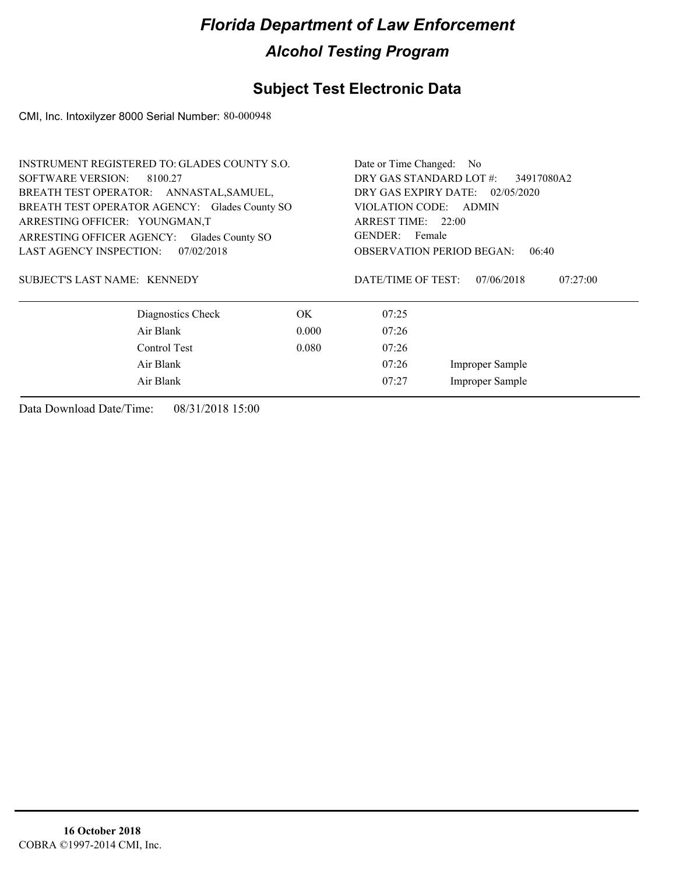### **Subject Test Electronic Data**

CMI, Inc. Intoxilyzer 8000 Serial Number: 80-000948

| <b>INSTRUMENT REGISTERED TO: GLADES COUNTY S.O.</b> |                   |                                       | Date or Time Changed: No                  |                        |          |  |
|-----------------------------------------------------|-------------------|---------------------------------------|-------------------------------------------|------------------------|----------|--|
| <b>SOFTWARE VERSION:</b>                            | 8100.27           | DRY GAS STANDARD LOT #:<br>34917080A2 |                                           |                        |          |  |
| BREATH TEST OPERATOR: ANNASTAL, SAMUEL,             |                   |                                       | DRY GAS EXPIRY DATE: 02/05/2020           |                        |          |  |
| BREATH TEST OPERATOR AGENCY: Glades County SO       |                   |                                       | VIOLATION CODE: ADMIN                     |                        |          |  |
| ARRESTING OFFICER: YOUNGMAN,T                       |                   |                                       | ARREST TIME: 22:00                        |                        |          |  |
| ARRESTING OFFICER AGENCY:                           | Glades County SO  |                                       | GENDER: Female                            |                        |          |  |
| <b>LAST AGENCY INSPECTION:</b>                      | 07/02/2018        |                                       | <b>OBSERVATION PERIOD BEGAN:</b><br>06:40 |                        |          |  |
| SUBJECT'S LAST NAME: KENNEDY                        |                   |                                       | DATE/TIME OF TEST:                        | 07/06/2018             | 07:27:00 |  |
|                                                     | Diagnostics Check | OK.                                   | 07:25                                     |                        |          |  |
|                                                     | Air Blank         | 0.000                                 | 07:26                                     |                        |          |  |
|                                                     | Control Test      | 0.080                                 | 07:26                                     |                        |          |  |
| Air Blank                                           |                   |                                       | 07:26                                     | <b>Improper Sample</b> |          |  |
|                                                     | Air Blank         |                                       | 07:27                                     | Improper Sample        |          |  |
|                                                     |                   |                                       |                                           |                        |          |  |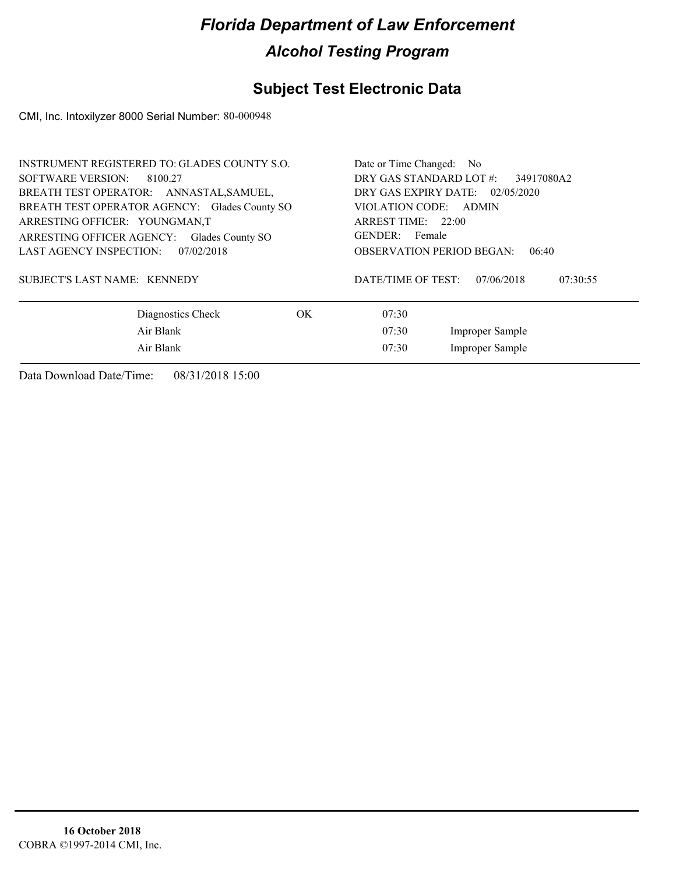#### **Subject Test Electronic Data**

CMI, Inc. Intoxilyzer 8000 Serial Number: 80-000948

| <b>INSTRUMENT REGISTERED TO: GLADES COUNTY S.O.</b> | Date or Time Changed: No                     |  |  |  |
|-----------------------------------------------------|----------------------------------------------|--|--|--|
| SOFTWARE VERSION:<br>8100.27                        | DRY GAS STANDARD LOT #:<br>34917080A2        |  |  |  |
| BREATH TEST OPERATOR: ANNASTAL, SAMUEL,             | DRY GAS EXPIRY DATE: 02/05/2020              |  |  |  |
| BREATH TEST OPERATOR AGENCY: Glades County SO       | VIOLATION CODE: ADMIN                        |  |  |  |
| ARRESTING OFFICER: YOUNGMAN,T                       | ARREST TIME: 22:00                           |  |  |  |
| ARRESTING OFFICER AGENCY:<br>Glades County SO       | GENDER: Female                               |  |  |  |
| LAST AGENCY INSPECTION:<br>07/02/2018               | <b>OBSERVATION PERIOD BEGAN:</b><br>06:40    |  |  |  |
| <b>SUBJECT'S LAST NAME: KENNEDY</b>                 | DATE/TIME OF TEST:<br>07/06/2018<br>07:30:55 |  |  |  |
| Diagnostics Check<br>OK.                            | 07:30                                        |  |  |  |
| Air Blank                                           | 07:30<br>Improper Sample                     |  |  |  |
| Air Blank                                           | Improper Sample<br>07:30                     |  |  |  |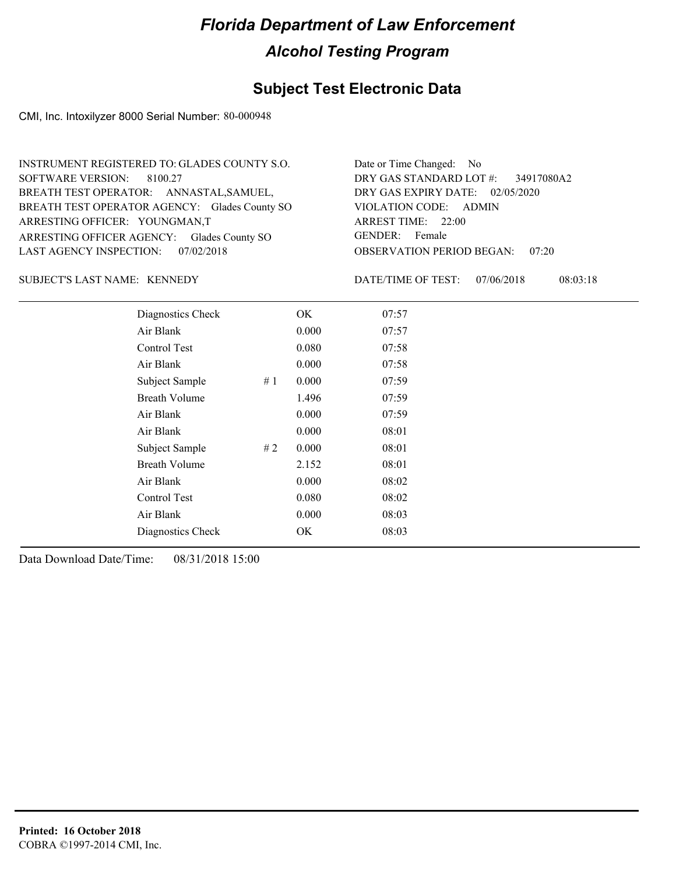#### **Subject Test Electronic Data**

CMI, Inc. Intoxilyzer 8000 Serial Number: 80-000948

| INSTRUMENT REGISTERED TO: GLADES COUNTY S.O.  | Date or Time Changed: No               |
|-----------------------------------------------|----------------------------------------|
| SOFTWARE VERSION: 8100.27                     | DRY GAS STANDARD LOT #: 34917080A2     |
| BREATH TEST OPERATOR: ANNASTAL, SAMUEL,       | DRY GAS EXPIRY DATE: 02/05/2020        |
| BREATH TEST OPERATOR AGENCY: Glades County SO | VIOLATION CODE: ADMIN                  |
| ARRESTING OFFICER: YOUNGMAN,T                 | ARREST TIME: 22:00                     |
| ARRESTING OFFICER AGENCY: Glades County SO    | GENDER: Female                         |
| LAST AGENCY INSPECTION: 07/02/2018            | <b>OBSERVATION PERIOD BEGAN: 07:20</b> |

SUBJECT'S LAST NAME: KENNEDY DATE/TIME OF TEST:

DATE/TIME OF TEST: 07/06/2018 08:03:18

| Diagnostics Check    |    | OK    | 07:57 |
|----------------------|----|-------|-------|
| Air Blank            |    | 0.000 | 07:57 |
| Control Test         |    | 0.080 | 07:58 |
| Air Blank            |    | 0.000 | 07:58 |
| Subject Sample       | #1 | 0.000 | 07:59 |
| <b>Breath Volume</b> |    | 1.496 | 07:59 |
| Air Blank            |    | 0.000 | 07:59 |
| Air Blank            |    | 0.000 | 08:01 |
| Subject Sample       | #2 | 0.000 | 08:01 |
| <b>Breath Volume</b> |    | 2.152 | 08:01 |
| Air Blank            |    | 0.000 | 08:02 |
| Control Test         |    | 0.080 | 08:02 |
| Air Blank            |    | 0.000 | 08:03 |
| Diagnostics Check    |    | OK    | 08:03 |
|                      |    |       |       |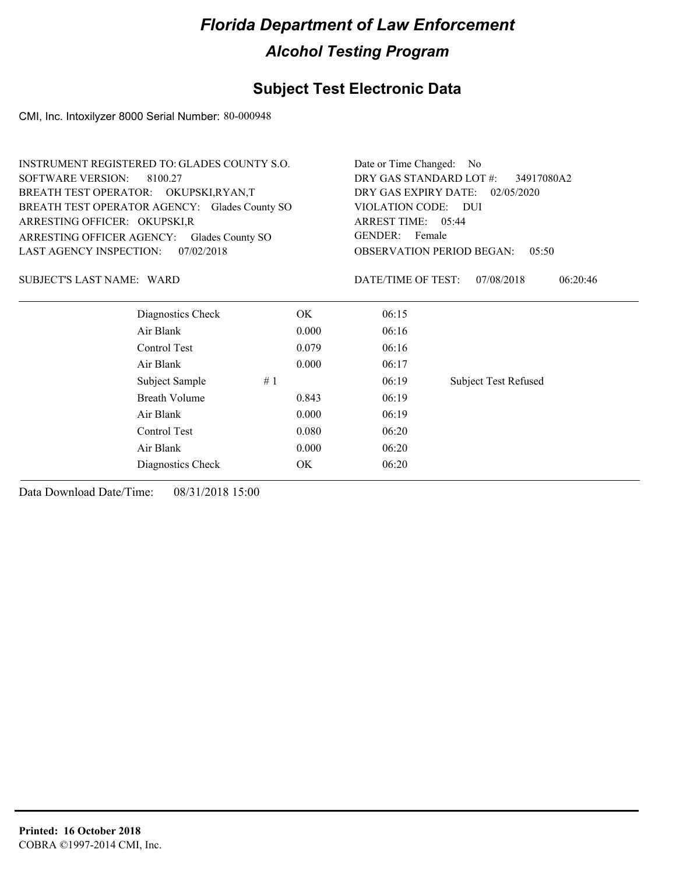### **Subject Test Electronic Data**

CMI, Inc. Intoxilyzer 8000 Serial Number: 80-000948

|                                  | <b>INSTRUMENT REGISTERED TO: GLADES COUNTY S.O.</b> |    | Date or Time Changed: No              |                                           |                             |  |
|----------------------------------|-----------------------------------------------------|----|---------------------------------------|-------------------------------------------|-----------------------------|--|
| <b>SOFTWARE VERSION:</b>         | 8100.27                                             |    | DRY GAS STANDARD LOT #:<br>34917080A2 |                                           |                             |  |
|                                  | BREATH TEST OPERATOR: OKUPSKI,RYAN,T                |    | DRY GAS EXPIRY DATE:<br>02/05/2020    |                                           |                             |  |
|                                  | BREATH TEST OPERATOR AGENCY: Glades County SO       |    |                                       | VIOLATION CODE: DUI<br>ARREST TIME: 05:44 |                             |  |
| ARRESTING OFFICER: OKUPSKI,R     |                                                     |    |                                       |                                           |                             |  |
| ARRESTING OFFICER AGENCY:        | Glades County SO                                    |    |                                       | <b>GENDER:</b><br>Female                  |                             |  |
| LAST AGENCY INSPECTION:          | 07/02/2018                                          |    |                                       | <b>OBSERVATION PERIOD BEGAN:</b><br>05:50 |                             |  |
| <b>SUBJECT'S LAST NAME: WARD</b> |                                                     |    |                                       | DATE/TIME OF TEST:                        | 07/08/2018<br>06:20:46      |  |
|                                  | Diagnostics Check                                   |    | OK                                    | 06:15                                     |                             |  |
|                                  | Air Blank                                           |    | 0.000                                 | 06:16                                     |                             |  |
|                                  | Control Test                                        |    | 0.079                                 | 06:16                                     |                             |  |
|                                  | Air Blank                                           |    | 0.000                                 | 06:17                                     |                             |  |
|                                  | Subject Sample                                      | #1 |                                       | 06:19                                     | <b>Subject Test Refused</b> |  |
|                                  | <b>Breath Volume</b>                                |    | 0.843                                 | 06:19                                     |                             |  |
|                                  | Air Blank                                           |    | 0.000                                 | 06:19                                     |                             |  |
|                                  | Control Test                                        |    | 0.080                                 | 06:20                                     |                             |  |
|                                  | Air Blank                                           |    | 0.000                                 | 06:20                                     |                             |  |
|                                  | Diagnostics Check                                   |    | OK                                    | 06:20                                     |                             |  |
|                                  |                                                     |    |                                       |                                           |                             |  |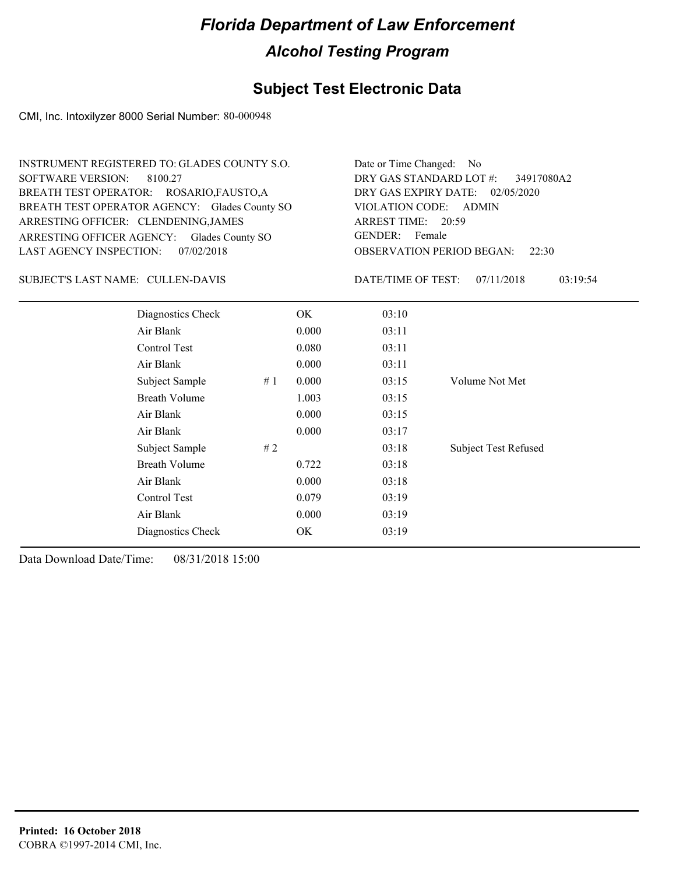#### **Subject Test Electronic Data**

CMI, Inc. Intoxilyzer 8000 Serial Number: 80-000948

| INSTRUMENT REGISTERED TO: GLADES COUNTY S.O.  | Date or Time Changed: No               |
|-----------------------------------------------|----------------------------------------|
| SOFTWARE VERSION: 8100.27                     | DRY GAS STANDARD LOT #: 34917080A2     |
| BREATH TEST OPERATOR: ROSARIO, FAUSTO, A      | DRY GAS EXPIRY DATE: 02/05/2020        |
| BREATH TEST OPERATOR AGENCY: Glades County SO | VIOLATION CODE: ADMIN                  |
| ARRESTING OFFICER: CLENDENING, JAMES          | ARREST TIME: 20:59                     |
| ARRESTING OFFICER AGENCY: Glades County SO    | GENDER: Female                         |
| LAST AGENCY INSPECTION: 07/02/2018            | <b>OBSERVATION PERIOD BEGAN:</b> 22:30 |

#### CULLEN-DAVIS SUBJECT'S LAST NAME: DATE/TIME OF TEST:

DATE/TIME OF TEST: 07/11/2018 03:19:54

| Diagnostics Check    | OK    | 03:10 |                             |
|----------------------|-------|-------|-----------------------------|
| Air Blank            | 0.000 | 03:11 |                             |
| Control Test         | 0.080 | 03:11 |                             |
| Air Blank            | 0.000 | 03:11 |                             |
| Subject Sample<br>#1 | 0.000 | 03:15 | Volume Not Met              |
| <b>Breath Volume</b> | 1.003 | 03:15 |                             |
| Air Blank            | 0.000 | 03:15 |                             |
| Air Blank            | 0.000 | 03:17 |                             |
| Subject Sample<br>#2 |       | 03:18 | <b>Subject Test Refused</b> |
| <b>Breath Volume</b> | 0.722 | 03:18 |                             |
| Air Blank            | 0.000 | 03:18 |                             |
| Control Test         | 0.079 | 03:19 |                             |
| Air Blank            | 0.000 | 03:19 |                             |
| Diagnostics Check    | OK    | 03:19 |                             |
|                      |       |       |                             |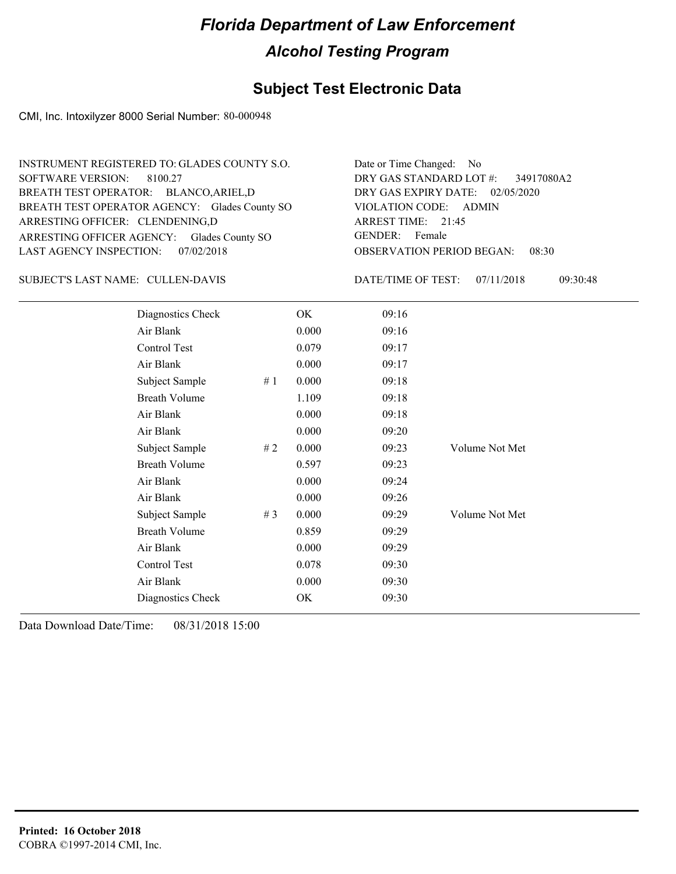#### **Subject Test Electronic Data**

CMI, Inc. Intoxilyzer 8000 Serial Number: 80-000948

| INSTRUMENT REGISTERED TO: GLADES COUNTY S.O.  | Date or Time Changed: No               |
|-----------------------------------------------|----------------------------------------|
| SOFTWARE VERSION: 8100.27                     | DRY GAS STANDARD LOT #: 34917080A2     |
| BREATH TEST OPERATOR: BLANCO, ARIEL, D        | DRY GAS EXPIRY DATE: 02/05/2020        |
| BREATH TEST OPERATOR AGENCY: Glades County SO | VIOLATION CODE: ADMIN                  |
| ARRESTING OFFICER: CLENDENING,D               | ARREST TIME: 21:45                     |
| ARRESTING OFFICER AGENCY: Glades County SO    | GENDER: Female                         |
| LAST AGENCY INSPECTION: 07/02/2018            | <b>OBSERVATION PERIOD BEGAN: 08:30</b> |

CULLEN-DAVIS SUBJECT'S LAST NAME: DATE/TIME OF TEST:

DATE/TIME OF TEST: 07/11/2018 09:30:48

| Diagnostics Check    |    | OK    | 09:16 |                |
|----------------------|----|-------|-------|----------------|
| Air Blank            |    | 0.000 | 09:16 |                |
| Control Test         |    | 0.079 | 09:17 |                |
| Air Blank            |    | 0.000 | 09:17 |                |
| Subject Sample       | #1 | 0.000 | 09:18 |                |
| <b>Breath Volume</b> |    | 1.109 | 09:18 |                |
| Air Blank            |    | 0.000 | 09:18 |                |
| Air Blank            |    | 0.000 | 09:20 |                |
| Subject Sample       | #2 | 0.000 | 09:23 | Volume Not Met |
| <b>Breath Volume</b> |    | 0.597 | 09:23 |                |
| Air Blank            |    | 0.000 | 09:24 |                |
| Air Blank            |    | 0.000 | 09:26 |                |
| Subject Sample       | #3 | 0.000 | 09:29 | Volume Not Met |
| <b>Breath Volume</b> |    | 0.859 | 09:29 |                |
| Air Blank            |    | 0.000 | 09:29 |                |
| Control Test         |    | 0.078 | 09:30 |                |
| Air Blank            |    | 0.000 | 09:30 |                |
| Diagnostics Check    |    | OK    | 09:30 |                |
|                      |    |       |       |                |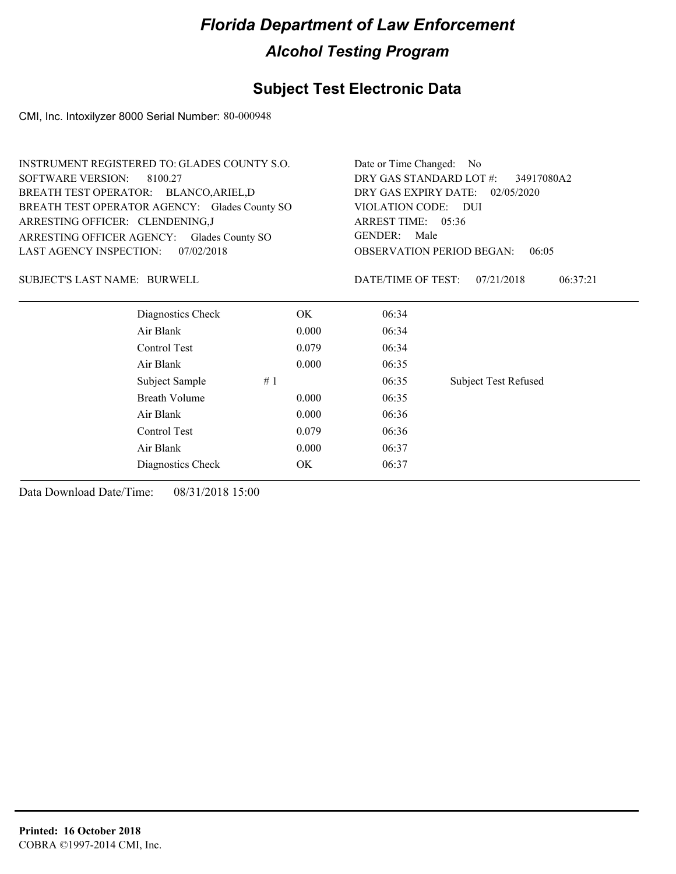#### **Subject Test Electronic Data**

CMI, Inc. Intoxilyzer 8000 Serial Number: 80-000948

| INSTRUMENT REGISTERED TO: GLADES COUNTY S.O.  |            | Date or Time Changed: No           |                                           |  |  |
|-----------------------------------------------|------------|------------------------------------|-------------------------------------------|--|--|
| <b>SOFTWARE VERSION:</b><br>8100.27           |            |                                    | DRY GAS STANDARD LOT #:<br>34917080A2     |  |  |
| BREATH TEST OPERATOR: BLANCO, ARIEL, D        |            | DRY GAS EXPIRY DATE:<br>02/05/2020 |                                           |  |  |
| BREATH TEST OPERATOR AGENCY: Glades County SO |            | VIOLATION CODE: DUI                |                                           |  |  |
| ARRESTING OFFICER: CLENDENING,J               |            | ARREST TIME: 05:36                 |                                           |  |  |
| ARRESTING OFFICER AGENCY: Glades County SO    |            | <b>GENDER:</b><br>Male             |                                           |  |  |
| LAST AGENCY INSPECTION:                       | 07/02/2018 |                                    | <b>OBSERVATION PERIOD BEGAN:</b><br>06:05 |  |  |
| SUBJECT'S LAST NAME: BURWELL                  |            | DATE/TIME OF TEST:                 | 07/21/2018<br>06:37:21                    |  |  |
| Diagnostics Check                             | OK.        | 06:34                              |                                           |  |  |
| Air Blank                                     | 0.000      | 06:34                              |                                           |  |  |
| Control Test                                  | 0.079      | 06:34                              |                                           |  |  |
| Air Blank                                     | 0.000      | 06:35                              |                                           |  |  |
| Subject Sample                                | #1         | 06:35                              | <b>Subject Test Refused</b>               |  |  |
| <b>Breath Volume</b>                          | 0.000      | 06:35                              |                                           |  |  |
| Air Blank                                     | 0.000      | 06:36                              |                                           |  |  |
| Control Test                                  | 0.079      | 06:36                              |                                           |  |  |
| Air Blank                                     | 0.000      | 06:37                              |                                           |  |  |
| Diagnostics Check                             | OK         | 06:37                              |                                           |  |  |
|                                               |            |                                    |                                           |  |  |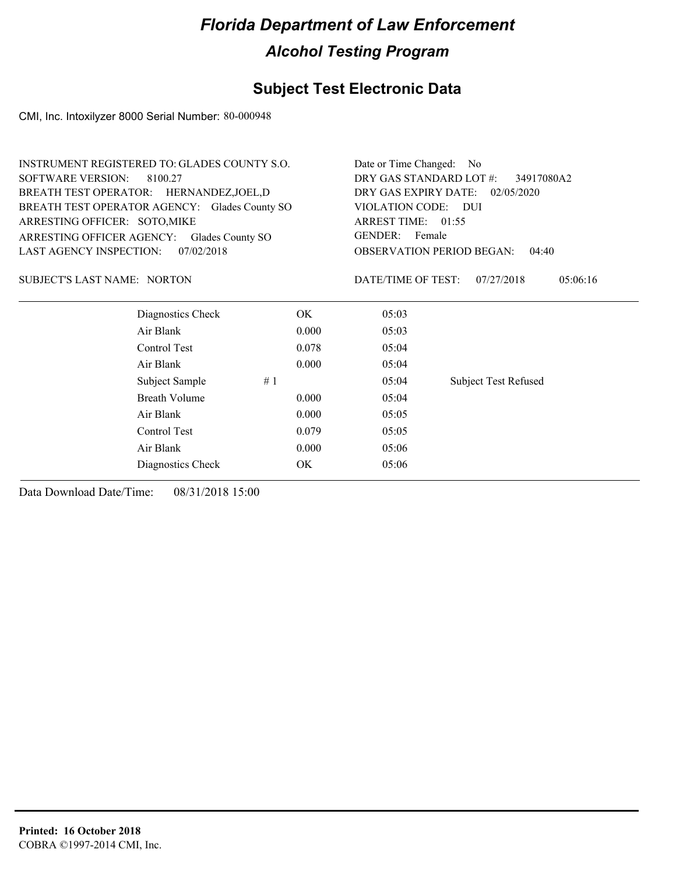### **Subject Test Electronic Data**

CMI, Inc. Intoxilyzer 8000 Serial Number: 80-000948

| <b>INSTRUMENT REGISTERED TO: GLADES COUNTY S.O.</b> |       | Date or Time Changed: No                                                                                                                                 |                             |  |
|-----------------------------------------------------|-------|----------------------------------------------------------------------------------------------------------------------------------------------------------|-----------------------------|--|
| <b>SOFTWARE VERSION:</b><br>8100.27                 |       | DRY GAS STANDARD LOT #:<br>34917080A2                                                                                                                    |                             |  |
| BREATH TEST OPERATOR: HERNANDEZ, JOEL, D            |       | DRY GAS EXPIRY DATE:<br>02/05/2020<br>VIOLATION CODE: DUI<br>ARREST TIME: 01:55<br><b>GENDER:</b><br>Female<br><b>OBSERVATION PERIOD BEGAN:</b><br>04:40 |                             |  |
| BREATH TEST OPERATOR AGENCY: Glades County SO       |       |                                                                                                                                                          |                             |  |
| ARRESTING OFFICER: SOTO, MIKE                       |       |                                                                                                                                                          |                             |  |
| ARRESTING OFFICER AGENCY:<br>Glades County SO       |       |                                                                                                                                                          |                             |  |
| <b>LAST AGENCY INSPECTION:</b><br>07/02/2018        |       |                                                                                                                                                          |                             |  |
| <b>SUBJECT'S LAST NAME: NORTON</b>                  |       | DATE/TIME OF TEST:                                                                                                                                       | 07/27/2018<br>05:06:16      |  |
| Diagnostics Check                                   | OK.   | 05:03                                                                                                                                                    |                             |  |
| Air Blank                                           | 0.000 | 05:03                                                                                                                                                    |                             |  |
| Control Test                                        | 0.078 | 05:04                                                                                                                                                    |                             |  |
| Air Blank                                           | 0.000 | 05:04                                                                                                                                                    |                             |  |
| Subject Sample                                      | #1    | 05:04                                                                                                                                                    | <b>Subject Test Refused</b> |  |
| Breath Volume                                       | 0.000 | 05:04                                                                                                                                                    |                             |  |
| Air Blank                                           | 0.000 | 05:05                                                                                                                                                    |                             |  |
| Control Test                                        | 0.079 | 05:05                                                                                                                                                    |                             |  |
| Air Blank                                           | 0.000 | 05:06                                                                                                                                                    |                             |  |
| Diagnostics Check                                   | OK.   | 05:06                                                                                                                                                    |                             |  |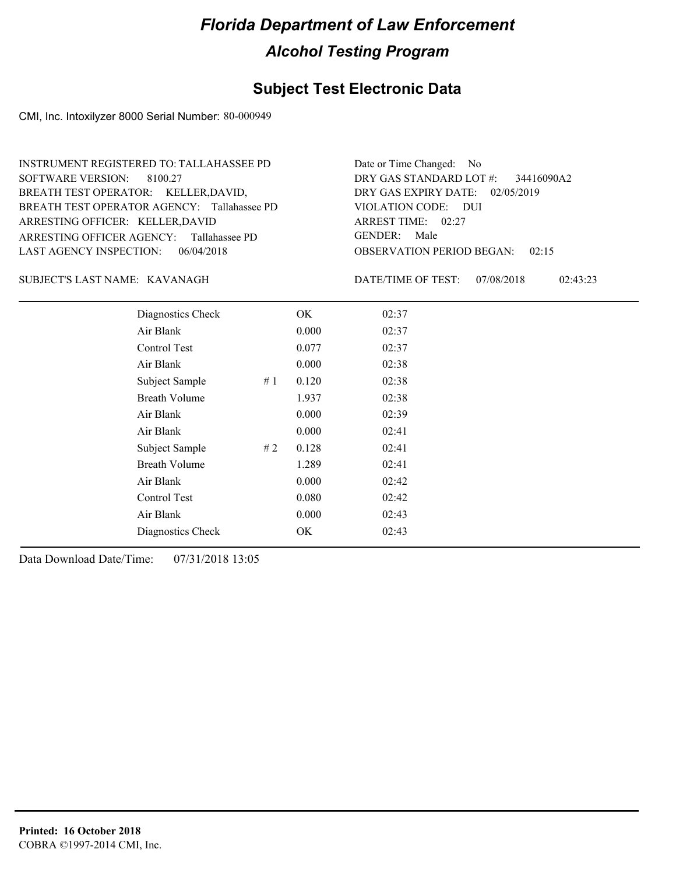#### **Subject Test Electronic Data**

CMI, Inc. Intoxilyzer 8000 Serial Number: 80-000949

ARRESTING OFFICER AGENCY: Tallahassee PD GENDER: BREATH TEST OPERATOR AGENCY: Tallahassee PD VIOLATION CODE: SOFTWARE VERSION: 8100.27 ARRESTING OFFICER: KELLER,DAVID BREATH TEST OPERATOR: KELLER,DAVID, LAST AGENCY INSPECTION: 06/04/2018 INSTRUMENT REGISTERED TO: TALLAHASSEE PD

OBSERVATION PERIOD BEGAN: 02:15 VIOLATION CODE: DUI ARREST TIME: 02:27 02/05/2019 DRY GAS EXPIRY DATE: 34416090A2 DRY GAS STANDARD LOT #: Date or Time Changed: No GENDER: Male

#### KAVANAGH SUBJECT'S LAST NAME: DATE/TIME OF TEST:

DATE/TIME OF TEST: 07/08/2018 02:43:23

| Diagnostics Check    |    | OK    | 02:37 |  |
|----------------------|----|-------|-------|--|
| Air Blank            |    | 0.000 | 02:37 |  |
| Control Test         |    | 0.077 | 02:37 |  |
| Air Blank            |    | 0.000 | 02:38 |  |
| Subject Sample       | #1 | 0.120 | 02:38 |  |
| <b>Breath Volume</b> |    | 1.937 | 02:38 |  |
| Air Blank            |    | 0.000 | 02:39 |  |
| Air Blank            |    | 0.000 | 02:41 |  |
| Subject Sample       | #2 | 0.128 | 02:41 |  |
| <b>Breath Volume</b> |    | 1.289 | 02:41 |  |
| Air Blank            |    | 0.000 | 02:42 |  |
| Control Test         |    | 0.080 | 02:42 |  |
| Air Blank            |    | 0.000 | 02:43 |  |
| Diagnostics Check    |    | OK    | 02:43 |  |
|                      |    |       |       |  |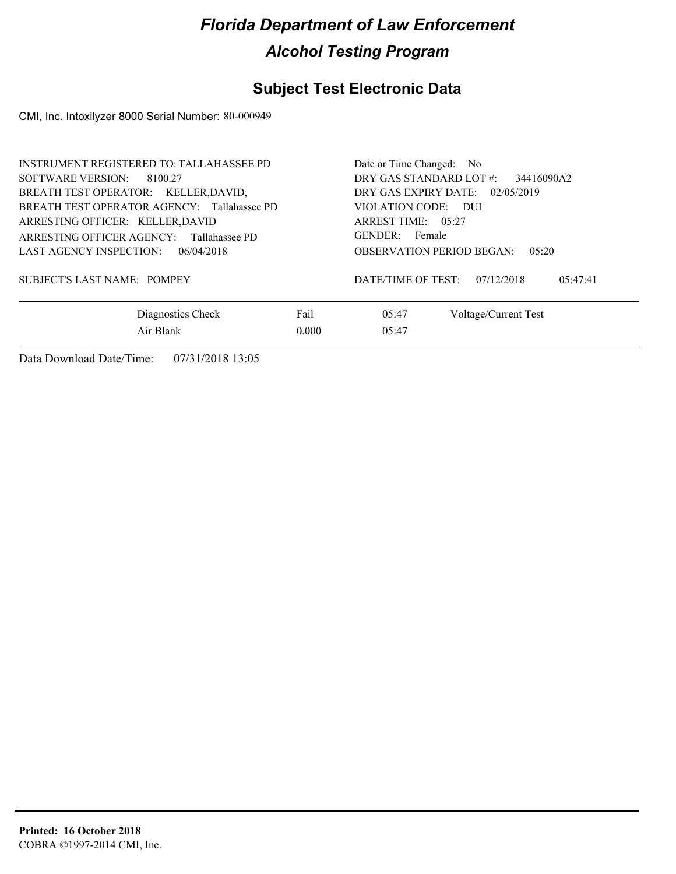### **Subject Test Electronic Data**

CMI, Inc. Intoxilyzer 8000 Serial Number: 80-000949

| <b>INSTRUMENT REGISTERED TO: TALLAHASSEE PD</b><br>SOFTWARE VERSION: 8100.27<br>BREATH TEST OPERATOR: KELLER, DAVID,<br>BREATH TEST OPERATOR AGENCY: Tallahassee PD |               | Date or Time Changed: No<br>DRY GAS STANDARD LOT #:<br>34416090A2<br>DRY GAS EXPIRY DATE: $02/05/2019$<br>VIOLATION CODE: DUI |
|---------------------------------------------------------------------------------------------------------------------------------------------------------------------|---------------|-------------------------------------------------------------------------------------------------------------------------------|
| ARRESTING OFFICER: KELLER, DAVID<br>ARRESTING OFFICER AGENCY: Tallahassee PD<br>LAST AGENCY INSPECTION: $06/04/2018$                                                |               | ARREST TIME: $05:27$<br>GENDER: Female<br><b>OBSERVATION PERIOD BEGAN:</b><br>0.5:20                                          |
| SUBJECT'S LAST NAME: POMPEY                                                                                                                                         |               | DATE/TIME OF TEST:<br>07/12/2018<br>05:47:41                                                                                  |
| Diagnostics Check<br>Air Blank                                                                                                                                      | Fail<br>0.000 | 05:47<br>Voltage/Current Test<br>05:47                                                                                        |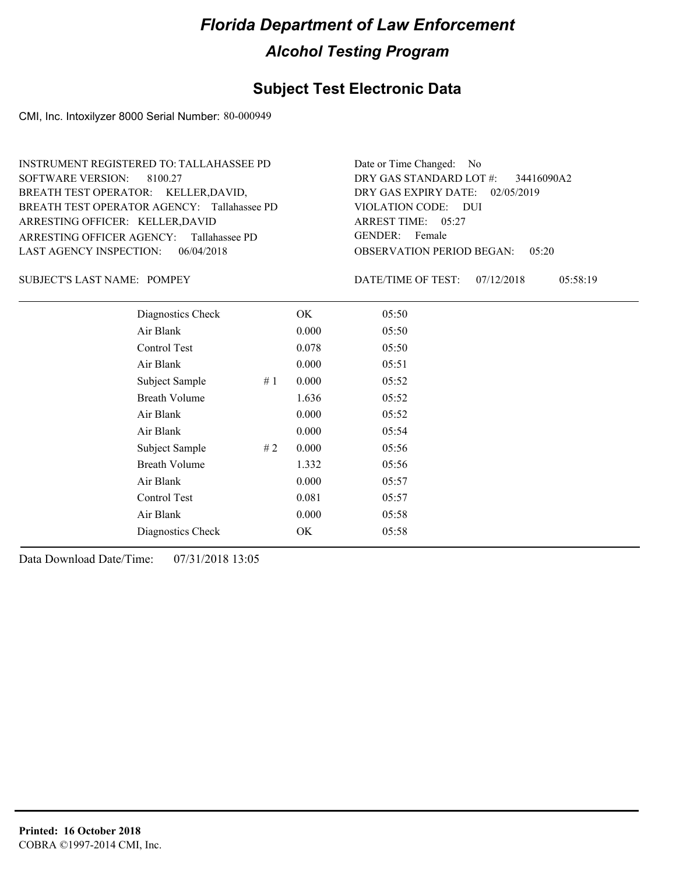#### **Subject Test Electronic Data**

CMI, Inc. Intoxilyzer 8000 Serial Number: 80-000949

ARRESTING OFFICER AGENCY: Tallahassee PD GENDER: BREATH TEST OPERATOR AGENCY: Tallahassee PD VIOLATION CODE: SOFTWARE VERSION: 8100.27 ARRESTING OFFICER: KELLER,DAVID BREATH TEST OPERATOR: KELLER,DAVID, LAST AGENCY INSPECTION: 06/04/2018 INSTRUMENT REGISTERED TO: TALLAHASSEE PD

OBSERVATION PERIOD BEGAN: 05:20 VIOLATION CODE: DUI ARREST TIME: 05:27 02/05/2019 DRY GAS EXPIRY DATE: 34416090A2 DRY GAS STANDARD LOT #: Date or Time Changed: No GENDER: Female

SUBJECT'S LAST NAME: POMPEY DATE/TIME OF TEST:

DATE/TIME OF TEST: 07/12/2018 05:58:19

| Diagnostics Check    |    | OK    | 05:50 |
|----------------------|----|-------|-------|
| Air Blank            |    | 0.000 | 05:50 |
| Control Test         |    | 0.078 | 05:50 |
| Air Blank            |    | 0.000 | 05:51 |
| Subject Sample       | #1 | 0.000 | 05:52 |
| <b>Breath Volume</b> |    | 1.636 | 05:52 |
| Air Blank            |    | 0.000 | 05:52 |
| Air Blank            |    | 0.000 | 05:54 |
| Subject Sample       | #2 | 0.000 | 05:56 |
| <b>Breath Volume</b> |    | 1.332 | 05:56 |
| Air Blank            |    | 0.000 | 05:57 |
| Control Test         |    | 0.081 | 05:57 |
| Air Blank            |    | 0.000 | 05:58 |
| Diagnostics Check    |    | OK    | 05:58 |
|                      |    |       |       |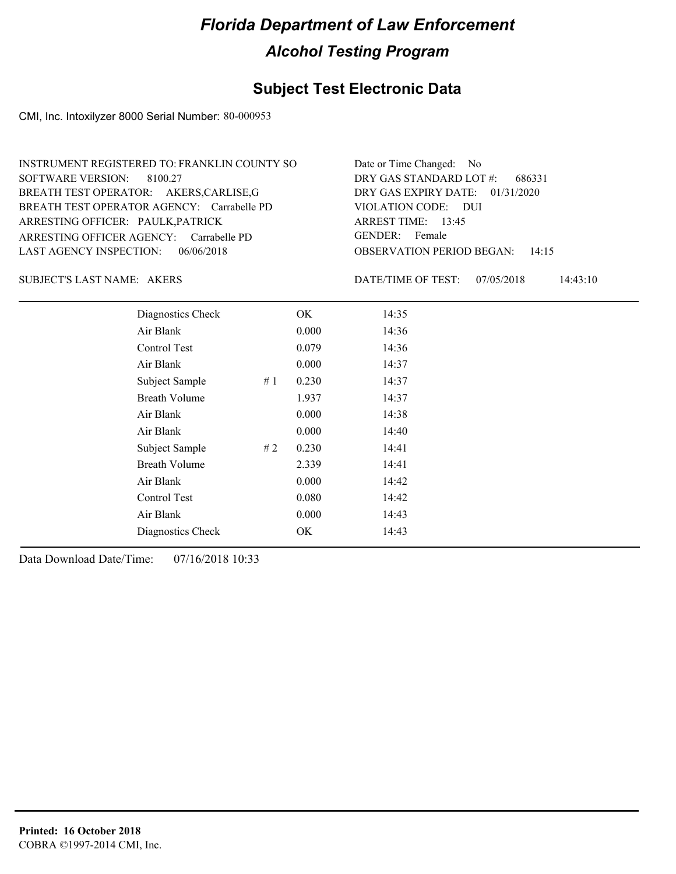#### **Subject Test Electronic Data**

CMI, Inc. Intoxilyzer 8000 Serial Number: 80-000953

| INSTRUMENT REGISTERED TO: FRANKLIN COUNTY SO | Date or Time Changed: No               |
|----------------------------------------------|----------------------------------------|
| SOFTWARE VERSION: 8100.27                    | DRY GAS STANDARD LOT $\#$ : 686331     |
| BREATH TEST OPERATOR: AKERS, CARLISE, G      | DRY GAS EXPIRY DATE: $01/31/2020$      |
| BREATH TEST OPERATOR AGENCY: Carrabelle PD   | VIOLATION CODE: DUI                    |
| ARRESTING OFFICER: PAULK, PATRICK            | ARREST TIME: 13:45                     |
| ARRESTING OFFICER AGENCY: Carrabelle PD      | GENDER: Female                         |
| LAST AGENCY INSPECTION: $06/06/2018$         | <b>OBSERVATION PERIOD BEGAN: 14:15</b> |

AKERS SUBJECT'S LAST NAME: DATE/TIME OF TEST:

DATE/TIME OF TEST: 07/05/2018 14:43:10

| Diagnostics Check    |    | OK    | 14:35 |
|----------------------|----|-------|-------|
| Air Blank            |    | 0.000 | 14:36 |
| Control Test         |    | 0.079 | 14:36 |
| Air Blank            |    | 0.000 | 14:37 |
| Subject Sample       | #1 | 0.230 | 14:37 |
| <b>Breath Volume</b> |    | 1.937 | 14:37 |
| Air Blank            |    | 0.000 | 14:38 |
| Air Blank            |    | 0.000 | 14:40 |
| Subject Sample       | #2 | 0.230 | 14:41 |
| <b>Breath Volume</b> |    | 2.339 | 14:41 |
| Air Blank            |    | 0.000 | 14:42 |
| Control Test         |    | 0.080 | 14:42 |
| Air Blank            |    | 0.000 | 14:43 |
| Diagnostics Check    |    | OK    | 14:43 |
|                      |    |       |       |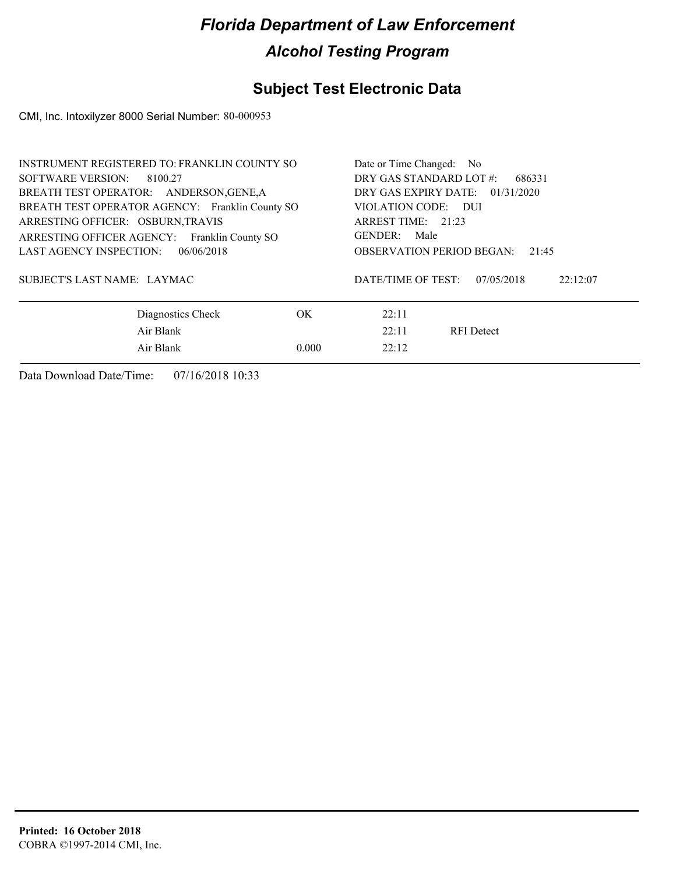### **Subject Test Electronic Data**

CMI, Inc. Intoxilyzer 8000 Serial Number: 80-000953

| <b>INSTRUMENT REGISTERED TO: FRANKLIN COUNTY SO</b> | Date or Time Changed: No                  |                                              |  |
|-----------------------------------------------------|-------------------------------------------|----------------------------------------------|--|
| SOFTWARE VERSION:<br>8100.27                        | DRY GAS STANDARD LOT #:<br>686331         |                                              |  |
| BREATH TEST OPERATOR: ANDERSON, GENE, A             | DRY GAS EXPIRY DATE: 01/31/2020           |                                              |  |
| BREATH TEST OPERATOR AGENCY: Franklin County SO     | VIOLATION CODE: DUI                       |                                              |  |
| ARRESTING OFFICER: OSBURN, TRAVIS                   | ARREST TIME: 21:23                        |                                              |  |
| ARRESTING OFFICER AGENCY: Franklin County SO        | GENDER: Male                              |                                              |  |
| <b>LAST AGENCY INSPECTION:</b><br>06/06/2018        | <b>OBSERVATION PERIOD BEGAN:</b><br>21:45 |                                              |  |
| SUBJECT'S LAST NAME: LAYMAC                         |                                           | DATE/TIME OF TEST:<br>07/05/2018<br>22:12:07 |  |
| Diagnostics Check                                   | OK                                        | 22:11                                        |  |
| Air Blank                                           | 22:11<br><b>RFI</b> Detect                |                                              |  |
| Air Blank                                           | 22:12                                     |                                              |  |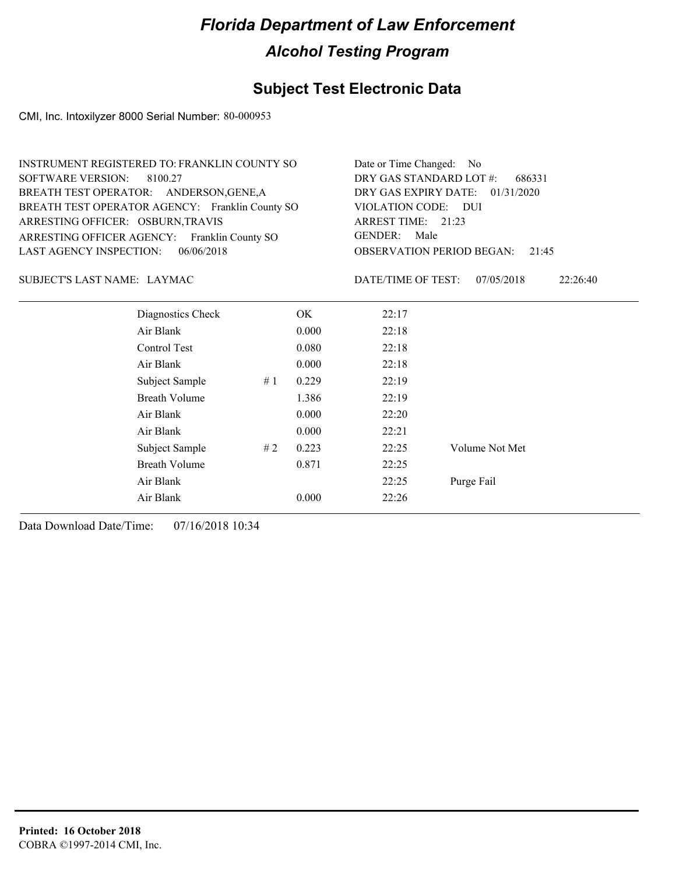#### **Subject Test Electronic Data**

CMI, Inc. Intoxilyzer 8000 Serial Number: 80-000953

| INSTRUMENT REGISTERED TO: FRANKLIN COUNTY SO    | Date or Time Changed: No               |
|-------------------------------------------------|----------------------------------------|
| SOFTWARE VERSION: 8100.27                       | DRY GAS STANDARD LOT #: 686331         |
| BREATH TEST OPERATOR: ANDERSON, GENE, A         | DRY GAS EXPIRY DATE: 01/31/2020        |
| BREATH TEST OPERATOR AGENCY: Franklin County SO | VIOLATION CODE: DUI                    |
| ARRESTING OFFICER: OSBURN, TRAVIS               | ARREST TIME: 21:23                     |
| ARRESTING OFFICER AGENCY: Franklin County SO    | GENDER: Male                           |
| LAST AGENCY INSPECTION: $06/06/2018$            | <b>OBSERVATION PERIOD BEGAN: 21:45</b> |
|                                                 |                                        |

#### LAYMAC SUBJECT'S LAST NAME: DATE/TIME OF TEST:

DATE/TIME OF TEST: 07/05/2018 22:26:40

| Diagnostics Check    |    | OK    | 22:17 |                |
|----------------------|----|-------|-------|----------------|
| Air Blank            |    | 0.000 | 22:18 |                |
| Control Test         |    | 0.080 | 22:18 |                |
| Air Blank            |    | 0.000 | 22:18 |                |
| Subject Sample       | #1 | 0.229 | 22:19 |                |
| <b>Breath Volume</b> |    | 1.386 | 22:19 |                |
| Air Blank            |    | 0.000 | 22:20 |                |
| Air Blank            |    | 0.000 | 22:21 |                |
| Subject Sample       | #2 | 0.223 | 22:25 | Volume Not Met |
| <b>Breath Volume</b> |    | 0.871 | 22:25 |                |
| Air Blank            |    |       | 22:25 | Purge Fail     |
| Air Blank            |    | 0.000 | 22:26 |                |
|                      |    |       |       |                |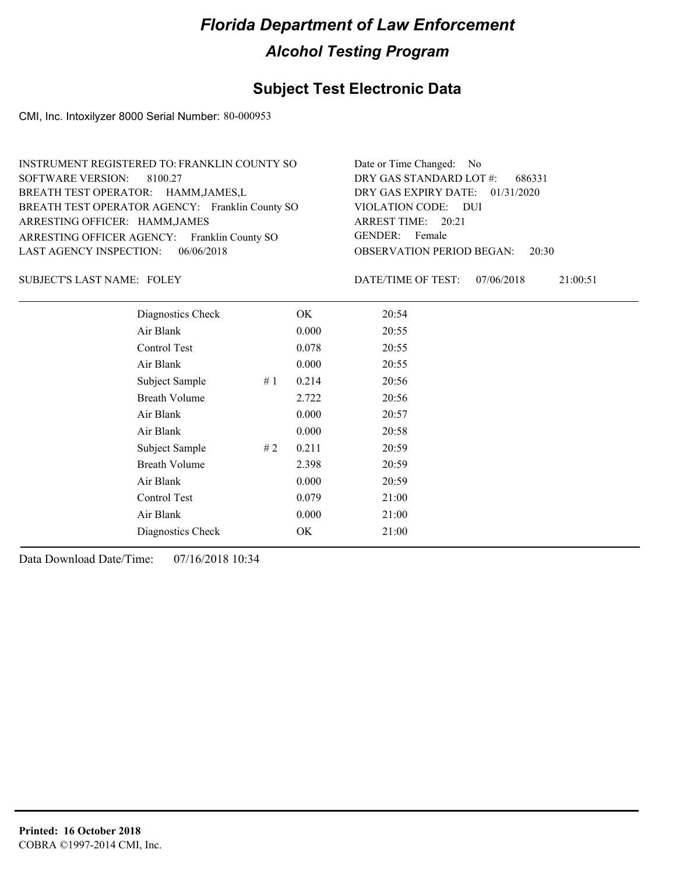#### **Subject Test Electronic Data**

CMI, Inc. Intoxilyzer 8000 Serial Number: 80-000953

| INSTRUMENT REGISTERED TO: FRANKLIN COUNTY SO    | Date or Time Changed: No               |
|-------------------------------------------------|----------------------------------------|
| SOFTWARE VERSION: 8100.27                       | DRY GAS STANDARD LOT #: 686331         |
| BREATH TEST OPERATOR: HAMM, JAMES, L            | DRY GAS EXPIRY DATE: $01/31/2020$      |
| BREATH TEST OPERATOR AGENCY: Franklin County SO | VIOLATION CODE: DUI                    |
| ARRESTING OFFICER: HAMM, JAMES                  | ARREST TIME: 20:21                     |
| ARRESTING OFFICER AGENCY: Franklin County SO    | GENDER: Female                         |
| LAST AGENCY INSPECTION: 06/06/2018              | <b>OBSERVATION PERIOD BEGAN: 20:30</b> |

SUBJECT'S LAST NAME: FOLEY **Example 20** DATE/TIME OF TEST:

DATE/TIME OF TEST: 07/06/2018 21:00:51

| Diagnostics Check    |    | OK    | 20:54 |
|----------------------|----|-------|-------|
| Air Blank            |    | 0.000 | 20:55 |
| Control Test         |    | 0.078 | 20:55 |
| Air Blank            |    | 0.000 | 20:55 |
| Subject Sample       | #1 | 0.214 | 20:56 |
| <b>Breath Volume</b> |    | 2.722 | 20:56 |
| Air Blank            |    | 0.000 | 20:57 |
| Air Blank            |    | 0.000 | 20:58 |
| Subject Sample       | #2 | 0.211 | 20:59 |
| <b>Breath Volume</b> |    | 2.398 | 20:59 |
| Air Blank            |    | 0.000 | 20:59 |
| <b>Control Test</b>  |    | 0.079 | 21:00 |
| Air Blank            |    | 0.000 | 21:00 |
| Diagnostics Check    |    | OK    | 21:00 |
|                      |    |       |       |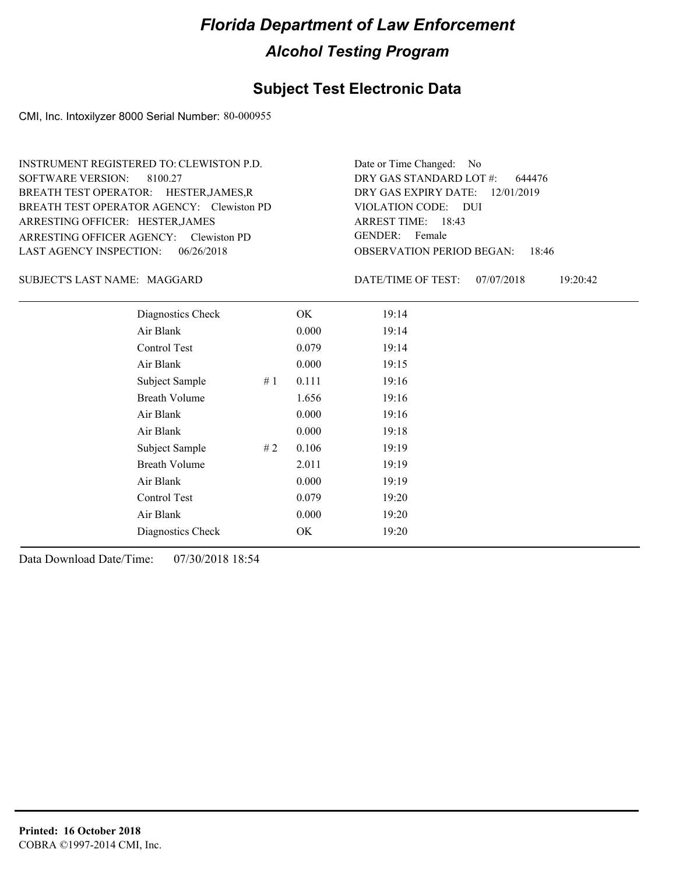#### **Subject Test Electronic Data**

CMI, Inc. Intoxilyzer 8000 Serial Number: 80-000955

ARRESTING OFFICER AGENCY: GENDER: Clewiston PD BREATH TEST OPERATOR AGENCY: Clewiston PD VIOLATION CODE: SOFTWARE VERSION: 8100.27 ARRESTING OFFICER: HESTER,JAMES BREATH TEST OPERATOR: HESTER,JAMES,R LAST AGENCY INSPECTION: 06/26/2018 INSTRUMENT REGISTERED TO: CLEWISTON P.D.

OBSERVATION PERIOD BEGAN: 18:46 VIOLATION CODE: DUI 18:43 ARREST TIME: DRY GAS EXPIRY DATE: 12/01/2019 644476 DRY GAS STANDARD LOT #: Date or Time Changed: No GENDER: Female

MAGGARD SUBJECT'S LAST NAME: DATE/TIME OF TEST:

DATE/TIME OF TEST: 07/07/2018 19:20:42

| Diagnostics Check    |    | OK    | 19:14 |
|----------------------|----|-------|-------|
| Air Blank            |    | 0.000 | 19:14 |
| Control Test         |    | 0.079 | 19:14 |
| Air Blank            |    | 0.000 | 19:15 |
| Subject Sample       | #1 | 0.111 | 19:16 |
| <b>Breath Volume</b> |    | 1.656 | 19:16 |
| Air Blank            |    | 0.000 | 19:16 |
| Air Blank            |    | 0.000 | 19:18 |
| Subject Sample       | #2 | 0.106 | 19:19 |
| <b>Breath Volume</b> |    | 2.011 | 19:19 |
| Air Blank            |    | 0.000 | 19:19 |
| Control Test         |    | 0.079 | 19:20 |
| Air Blank            |    | 0.000 | 19:20 |
| Diagnostics Check    |    | OK    | 19:20 |
|                      |    |       |       |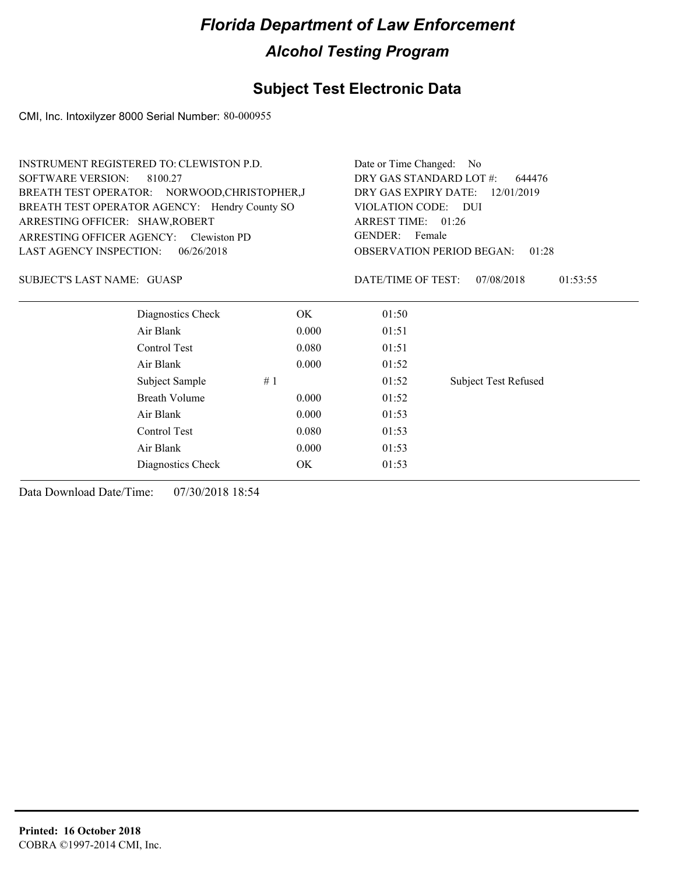#### **Subject Test Electronic Data**

CMI, Inc. Intoxilyzer 8000 Serial Number: 80-000955

| Date or Time Changed:<br>No                  |  |  |
|----------------------------------------------|--|--|
| DRY GAS STANDARD LOT #:<br>644476            |  |  |
| DRY GAS EXPIRY DATE:<br>12/01/2019           |  |  |
| <b>VIOLATION CODE:</b><br>- DUI              |  |  |
| ARREST TIME: 01:26                           |  |  |
| GENDER: Female                               |  |  |
| <b>OBSERVATION PERIOD BEGAN:</b><br>01:28    |  |  |
| DATE/TIME OF TEST:<br>07/08/2018<br>01:53:55 |  |  |
| 01:50                                        |  |  |
| 0.000<br>01:51                               |  |  |
| 0.080<br>01:51                               |  |  |
| 0.000<br>01:52                               |  |  |
| <b>Subject Test Refused</b><br>01:52         |  |  |
| 0.000<br>01:52                               |  |  |
| 0.000<br>01:53                               |  |  |
| 0.080<br>01:53                               |  |  |
| 0.000<br>01:53                               |  |  |
| 01:53                                        |  |  |
|                                              |  |  |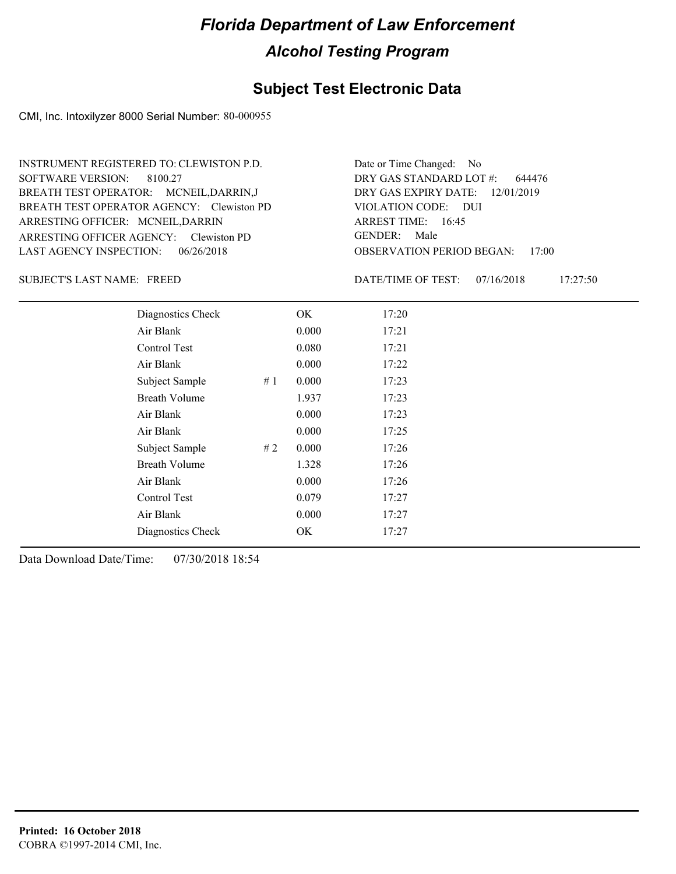#### **Subject Test Electronic Data**

CMI, Inc. Intoxilyzer 8000 Serial Number: 80-000955

ARRESTING OFFICER AGENCY: GENDER: Clewiston PD BREATH TEST OPERATOR AGENCY: Clewiston PD VIOLATION CODE: SOFTWARE VERSION: 8100.27 ARRESTING OFFICER: MCNEIL, DARRIN BREATH TEST OPERATOR: MCNEIL,DARRIN,J LAST AGENCY INSPECTION: 06/26/2018 INSTRUMENT REGISTERED TO: CLEWISTON P.D.

OBSERVATION PERIOD BEGAN: 17:00 VIOLATION CODE: DUI ARREST TIME: 16:45 DRY GAS EXPIRY DATE: 12/01/2019 644476 DRY GAS STANDARD LOT #: Date or Time Changed: No GENDER: Male

SUBJECT'S LAST NAME: FREED DATE/TIME OF TEST:

DATE/TIME OF TEST: 07/16/2018 17:27:50

| Diagnostics Check    | OK    | 17:20 |
|----------------------|-------|-------|
| Air Blank            | 0.000 | 17:21 |
| Control Test         | 0.080 | 17:21 |
| Air Blank            | 0.000 | 17:22 |
| Subject Sample<br>#1 | 0.000 | 17:23 |
| <b>Breath Volume</b> | 1.937 | 17:23 |
| Air Blank            | 0.000 | 17:23 |
| Air Blank            | 0.000 | 17:25 |
| Subject Sample<br>#2 | 0.000 | 17:26 |
| <b>Breath Volume</b> | 1.328 | 17:26 |
| Air Blank            | 0.000 | 17:26 |
| Control Test         | 0.079 | 17:27 |
| Air Blank            | 0.000 | 17:27 |
| Diagnostics Check    | OK    | 17:27 |
|                      |       |       |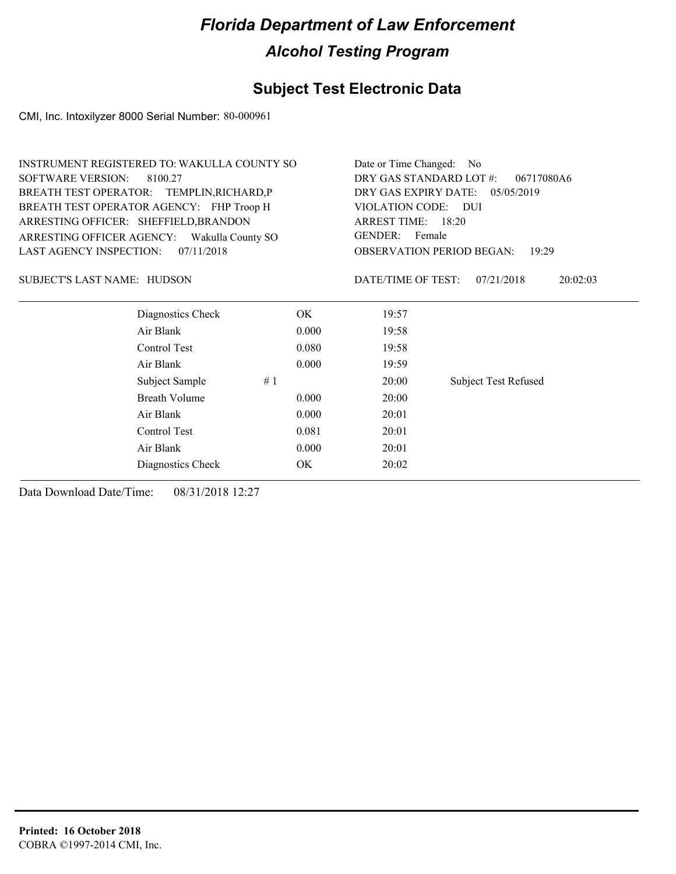#### **Subject Test Electronic Data**

CMI, Inc. Intoxilyzer 8000 Serial Number: 80-000961

| <b>INSTRUMENT REGISTERED TO: WAKULLA COUNTY SO</b> |       | Date or Time Changed: No                  |                             |  |  |
|----------------------------------------------------|-------|-------------------------------------------|-----------------------------|--|--|
| <b>SOFTWARE VERSION:</b><br>8100.27                |       | DRY GAS STANDARD LOT #:<br>06717080A6     |                             |  |  |
| BREATH TEST OPERATOR: TEMPLIN, RICHARD, P          |       | DRY GAS EXPIRY DATE: 05/05/2019           |                             |  |  |
| BREATH TEST OPERATOR AGENCY: FHP Troop H           |       | VIOLATION CODE:<br>– DUI                  |                             |  |  |
| ARRESTING OFFICER: SHEFFIELD, BRANDON              |       | ARREST TIME: 18:20<br>GENDER: Female      |                             |  |  |
| ARRESTING OFFICER AGENCY:<br>Wakulla County SO     |       |                                           |                             |  |  |
| <b>LAST AGENCY INSPECTION:</b><br>07/11/2018       |       | <b>OBSERVATION PERIOD BEGAN:</b><br>19:29 |                             |  |  |
| <b>SUBJECT'S LAST NAME: HUDSON</b>                 |       | DATE/TIME OF TEST:                        | 07/21/2018<br>20:02:03      |  |  |
| Diagnostics Check                                  | OK.   | 19:57                                     |                             |  |  |
| Air Blank                                          | 0.000 | 19:58                                     |                             |  |  |
| Control Test                                       | 0.080 | 19:58                                     |                             |  |  |
| Air Blank                                          | 0.000 | 19:59                                     |                             |  |  |
| Subject Sample                                     | #1    | 20:00                                     | <b>Subject Test Refused</b> |  |  |
| <b>Breath Volume</b>                               | 0.000 | 20:00                                     |                             |  |  |
| Air Blank                                          | 0.000 | 20:01                                     |                             |  |  |
| Control Test                                       | 0.081 | 20:01                                     |                             |  |  |
| Air Blank                                          | 0.000 | 20:01                                     |                             |  |  |
| Diagnostics Check                                  | OK    | 20:02                                     |                             |  |  |
|                                                    |       |                                           |                             |  |  |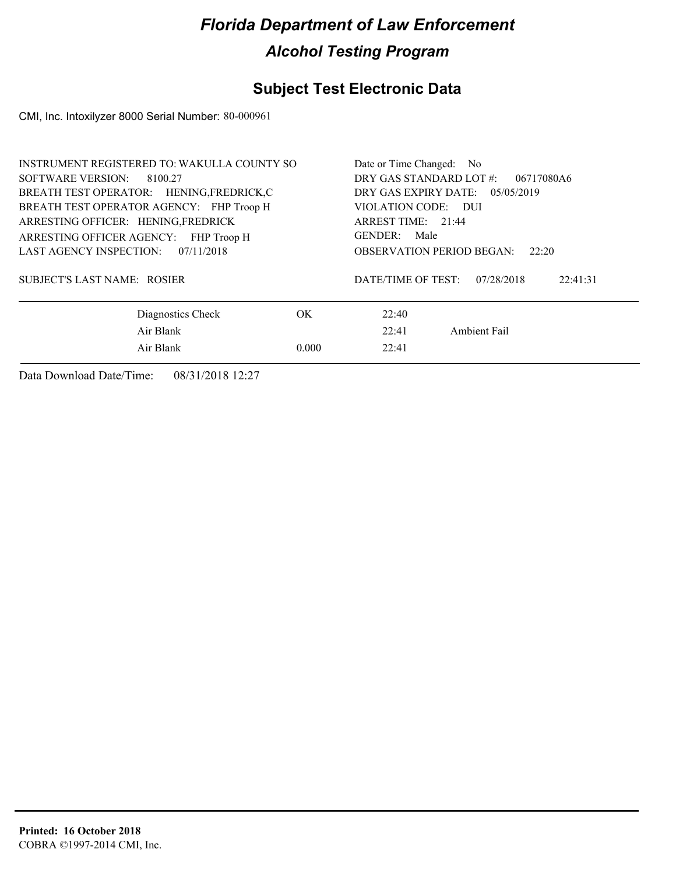### **Subject Test Electronic Data**

CMI, Inc. Intoxilyzer 8000 Serial Number: 80-000961

| INSTRUMENT REGISTERED TO: WAKULLA COUNTY SO | Date or Time Changed: No                                                                                                                                                                |  |  |
|---------------------------------------------|-----------------------------------------------------------------------------------------------------------------------------------------------------------------------------------------|--|--|
| SOFTWARE VERSION: 8100.27                   | DRY GAS STANDARD LOT #:<br>06717080A6<br>DRY GAS EXPIRY DATE: $05/05/2019$<br>VIOLATION CODE: DUI<br>ARREST TIME: 21:44<br>GENDER:<br>Male<br><b>OBSERVATION PERIOD BEGAN:</b><br>22:20 |  |  |
| BREATH TEST OPERATOR: HENING, FREDRICK, C   |                                                                                                                                                                                         |  |  |
| BREATH TEST OPERATOR AGENCY: FHP Troop H    |                                                                                                                                                                                         |  |  |
| ARRESTING OFFICER: HENING, FREDRICK         |                                                                                                                                                                                         |  |  |
| ARRESTING OFFICER AGENCY: FHP Troop H       |                                                                                                                                                                                         |  |  |
| LAST AGENCY INSPECTION: 07/11/2018          |                                                                                                                                                                                         |  |  |
| SUBJECT'S LAST NAME: ROSIER                 | DATE/TIME OF TEST:<br>22:41:31<br>07/28/2018                                                                                                                                            |  |  |
| Diagnostics Check<br>OK.                    | 22:40                                                                                                                                                                                   |  |  |
| Air Blank                                   | Ambient Fail<br>22:41                                                                                                                                                                   |  |  |
| Air Blank<br>0.000                          | 22:41                                                                                                                                                                                   |  |  |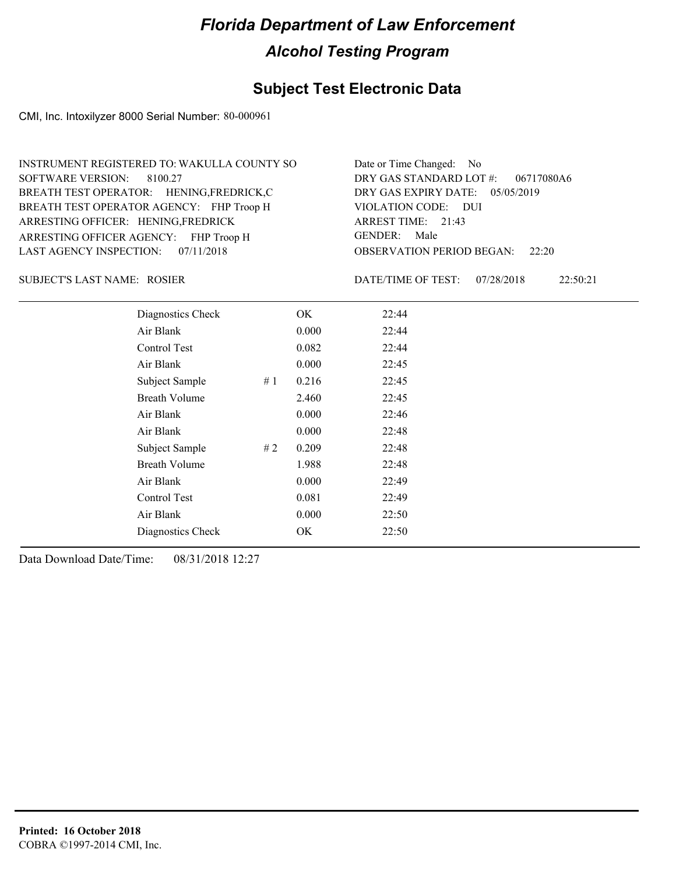#### **Subject Test Electronic Data**

CMI, Inc. Intoxilyzer 8000 Serial Number: 80-000961

| INSTRUMENT REGISTERED TO: WAKULLA COUNTY SO | Date or Time Changed: No               |
|---------------------------------------------|----------------------------------------|
| SOFTWARE VERSION: 8100.27                   | DRY GAS STANDARD LOT #: 06717080A6     |
| BREATH TEST OPERATOR: HENING, FREDRICK, C   | DRY GAS EXPIRY DATE: 05/05/2019        |
| BREATH TEST OPERATOR AGENCY: FHP Troop H    | VIOLATION CODE: DUI                    |
| ARRESTING OFFICER: HENING, FREDRICK         | ARREST TIME: 21:43                     |
| ARRESTING OFFICER AGENCY: FHP Troop H       | GENDER: Male                           |
| LAST AGENCY INSPECTION: 07/11/2018          | <b>OBSERVATION PERIOD BEGAN:</b> 22:20 |

ROSIER SUBJECT'S LAST NAME: DATE/TIME OF TEST:

DATE/TIME OF TEST: 07/28/2018 22:50:21

| Diagnostics Check    |    | OK    | 22:44 |
|----------------------|----|-------|-------|
| Air Blank            |    | 0.000 | 22:44 |
| Control Test         |    | 0.082 | 22:44 |
| Air Blank            |    | 0.000 | 22:45 |
| Subject Sample       | #1 | 0.216 | 22:45 |
| <b>Breath Volume</b> |    | 2.460 | 22:45 |
| Air Blank            |    | 0.000 | 22:46 |
| Air Blank            |    | 0.000 | 22:48 |
| Subject Sample       | #2 | 0.209 | 22:48 |
| <b>Breath Volume</b> |    | 1.988 | 22:48 |
| Air Blank            |    | 0.000 | 22:49 |
| Control Test         |    | 0.081 | 22:49 |
| Air Blank            |    | 0.000 | 22:50 |
| Diagnostics Check    |    | OK    | 22:50 |
|                      |    |       |       |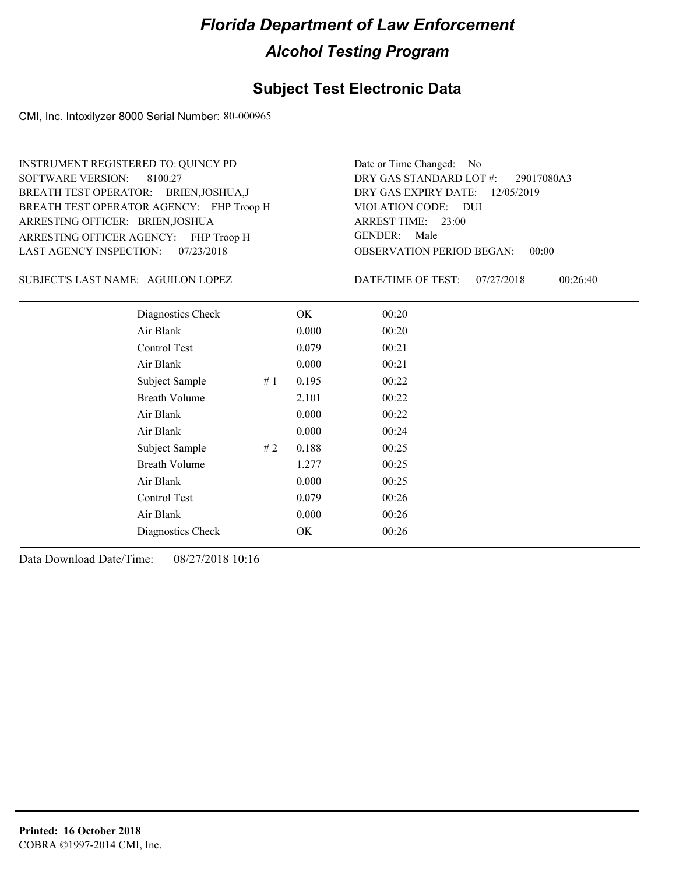#### **Subject Test Electronic Data**

CMI, Inc. Intoxilyzer 8000 Serial Number: 80-000965

ARRESTING OFFICER AGENCY: FHP Troop H GENDER: BREATH TEST OPERATOR AGENCY: FHP Troop H VIOLATION CODE: SOFTWARE VERSION: ARRESTING OFFICER: BRIEN,JOSHUA BREATH TEST OPERATOR: BRIEN,JOSHUA,J LAST AGENCY INSPECTION: 07/23/2018 8100.27 INSTRUMENT REGISTERED TO: QUINCY PD

OBSERVATION PERIOD BEGAN: 00:00 VIOLATION CODE: DUI ARREST TIME: 23:00 12/05/2019 DRY GAS EXPIRY DATE: 29017080A3 DRY GAS STANDARD LOT #: Date or Time Changed: No GENDER: Male

SUBJECT'S LAST NAME: AGUILON LOPEZ DATE/TIME OF TEST:

DATE/TIME OF TEST: 07/27/2018 00:26:40

| Diagnostics Check    |    | OK    | 00:20 |
|----------------------|----|-------|-------|
| Air Blank            |    | 0.000 | 00:20 |
| Control Test         |    | 0.079 | 00:21 |
| Air Blank            |    | 0.000 | 00:21 |
| Subject Sample       | #1 | 0.195 | 00:22 |
| <b>Breath Volume</b> |    | 2.101 | 00:22 |
| Air Blank            |    | 0.000 | 00:22 |
| Air Blank            |    | 0.000 | 00:24 |
| Subject Sample       | #2 | 0.188 | 00:25 |
| <b>Breath Volume</b> |    | 1.277 | 00:25 |
| Air Blank            |    | 0.000 | 00:25 |
| Control Test         |    | 0.079 | 00:26 |
| Air Blank            |    | 0.000 | 00:26 |
| Diagnostics Check    |    | OK    | 00:26 |
|                      |    |       |       |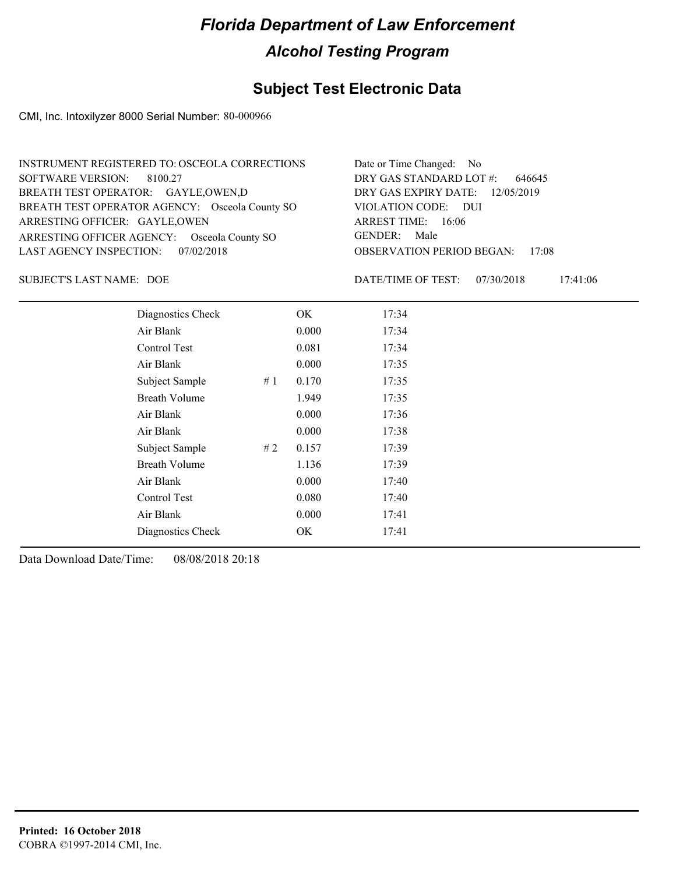#### **Subject Test Electronic Data**

CMI, Inc. Intoxilyzer 8000 Serial Number: 80-000966

| INSTRUMENT REGISTERED TO: OSCEOLA CORRECTIONS  | Date or Time Changed: No               |
|------------------------------------------------|----------------------------------------|
| SOFTWARE VERSION: 8100.27                      | DRY GAS STANDARD LOT $#$ : 646645      |
| BREATH TEST OPERATOR: GAYLE, OWEN, D           | DRY GAS EXPIRY DATE: 12/05/2019        |
| BREATH TEST OPERATOR AGENCY: Osceola County SO | VIOLATION CODE: DUI                    |
| ARRESTING OFFICER: GAYLE, OWEN                 | ARREST TIME: 16:06                     |
| ARRESTING OFFICER AGENCY: Osceola County SO    | GENDER: Male                           |
| LAST AGENCY INSPECTION: 07/02/2018             | <b>OBSERVATION PERIOD BEGAN: 17:08</b> |

SUBJECT'S LAST NAME: DOE DATE/TIME OF TEST:

DATE/TIME OF TEST: 07/30/2018 17:41:06

| Diagnostics Check    |    | OK    | 17:34 |
|----------------------|----|-------|-------|
| Air Blank            |    | 0.000 | 17:34 |
| Control Test         |    | 0.081 | 17:34 |
| Air Blank            |    | 0.000 | 17:35 |
| Subject Sample       | #1 | 0.170 | 17:35 |
| <b>Breath Volume</b> |    | 1.949 | 17:35 |
| Air Blank            |    | 0.000 | 17:36 |
| Air Blank            |    | 0.000 | 17:38 |
| Subject Sample       | #2 | 0.157 | 17:39 |
| <b>Breath Volume</b> |    | 1.136 | 17:39 |
| Air Blank            |    | 0.000 | 17:40 |
| Control Test         |    | 0.080 | 17:40 |
| Air Blank            |    | 0.000 | 17:41 |
| Diagnostics Check    |    | OK    | 17:41 |
|                      |    |       |       |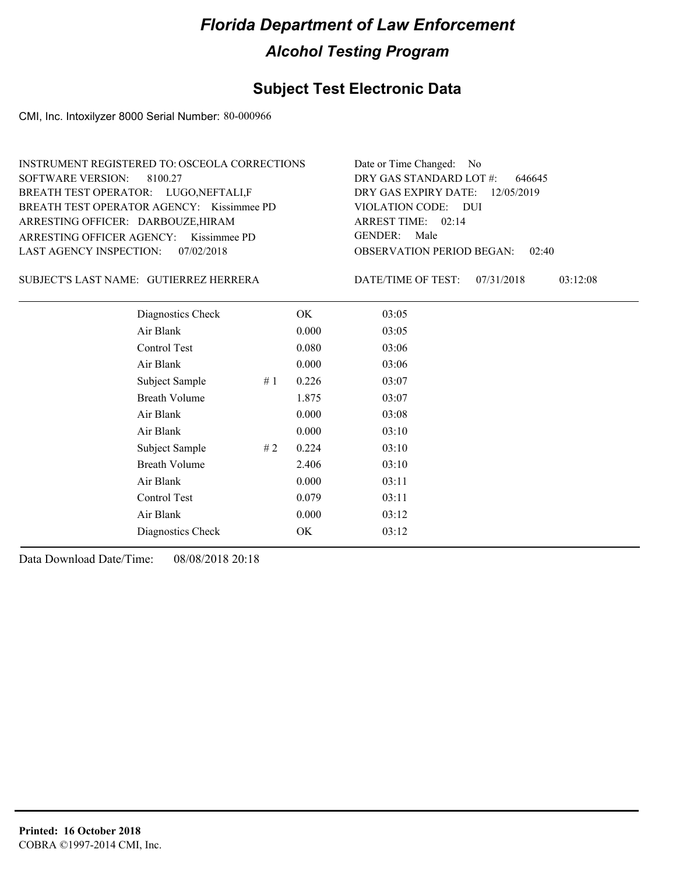### **Subject Test Electronic Data**

CMI, Inc. Intoxilyzer 8000 Serial Number: 80-000966

| Date or Time Changed: No               |
|----------------------------------------|
| DRY GAS STANDARD LOT $\#$ : 646645     |
| DRY GAS EXPIRY DATE: 12/05/2019        |
| VIOLATION CODE: DUI                    |
| ARREST TIME: 02:14                     |
| GENDER: Male                           |
| <b>OBSERVATION PERIOD BEGAN: 02:40</b> |
|                                        |

#### GUTIERREZ HERRERA SUBJECT'S LAST NAME: DATE/TIME OF TEST:

DATE/TIME OF TEST: 07/31/2018 03:12:08

| Diagnostics Check    |     | OK    | 03:05 |
|----------------------|-----|-------|-------|
| Air Blank            |     | 0.000 | 03:05 |
| Control Test         |     | 0.080 | 03:06 |
| Air Blank            |     | 0.000 | 03:06 |
| Subject Sample       | #1  | 0.226 | 03:07 |
| <b>Breath Volume</b> |     | 1.875 | 03:07 |
| Air Blank            |     | 0.000 | 03:08 |
| Air Blank            |     | 0.000 | 03:10 |
| Subject Sample       | # 2 | 0.224 | 03:10 |
| <b>Breath Volume</b> |     | 2.406 | 03:10 |
| Air Blank            |     | 0.000 | 03:11 |
| Control Test         |     | 0.079 | 03:11 |
| Air Blank            |     | 0.000 | 03:12 |
| Diagnostics Check    |     | OK    | 03:12 |
|                      |     |       |       |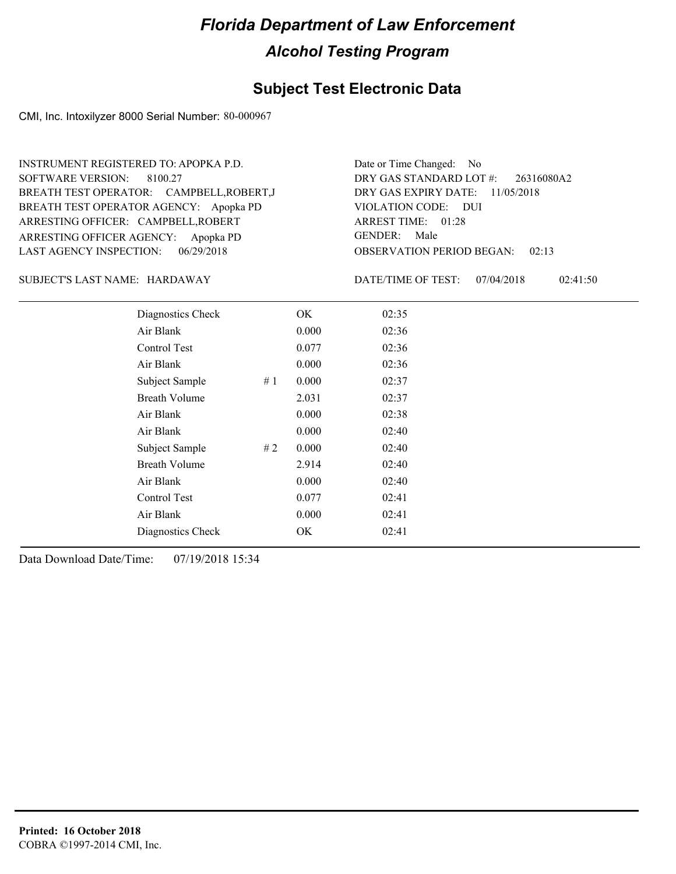#### **Subject Test Electronic Data**

CMI, Inc. Intoxilyzer 8000 Serial Number: 80-000967

ARRESTING OFFICER AGENCY: Apopka PD GENDER: BREATH TEST OPERATOR AGENCY: Apopka PD VIOLATION CODE: SOFTWARE VERSION: 8100.27 ARRESTING OFFICER: CAMPBELL,ROBERT BREATH TEST OPERATOR: CAMPBELL,ROBERT,J LAST AGENCY INSPECTION: 06/29/2018 INSTRUMENT REGISTERED TO: APOPKA P.D.

OBSERVATION PERIOD BEGAN: 02:13 VIOLATION CODE: DUI ARREST TIME: 01:28 DRY GAS EXPIRY DATE: 11/05/2018 26316080A2 DRY GAS STANDARD LOT #: Date or Time Changed: No GENDER: Male

HARDAWAY SUBJECT'S LAST NAME: DATE/TIME OF TEST:

DATE/TIME OF TEST: 07/04/2018 02:41:50

| Diagnostics Check    |    | OK    | 02:35 |
|----------------------|----|-------|-------|
| Air Blank            |    | 0.000 | 02:36 |
| Control Test         |    | 0.077 | 02:36 |
| Air Blank            |    | 0.000 | 02:36 |
| Subject Sample       | #1 | 0.000 | 02:37 |
| <b>Breath Volume</b> |    | 2.031 | 02:37 |
| Air Blank            |    | 0.000 | 02:38 |
| Air Blank            |    | 0.000 | 02:40 |
| Subject Sample       | #2 | 0.000 | 02:40 |
| <b>Breath Volume</b> |    | 2.914 | 02:40 |
| Air Blank            |    | 0.000 | 02:40 |
| Control Test         |    | 0.077 | 02:41 |
| Air Blank            |    | 0.000 | 02:41 |
| Diagnostics Check    |    | OK    | 02:41 |
|                      |    |       |       |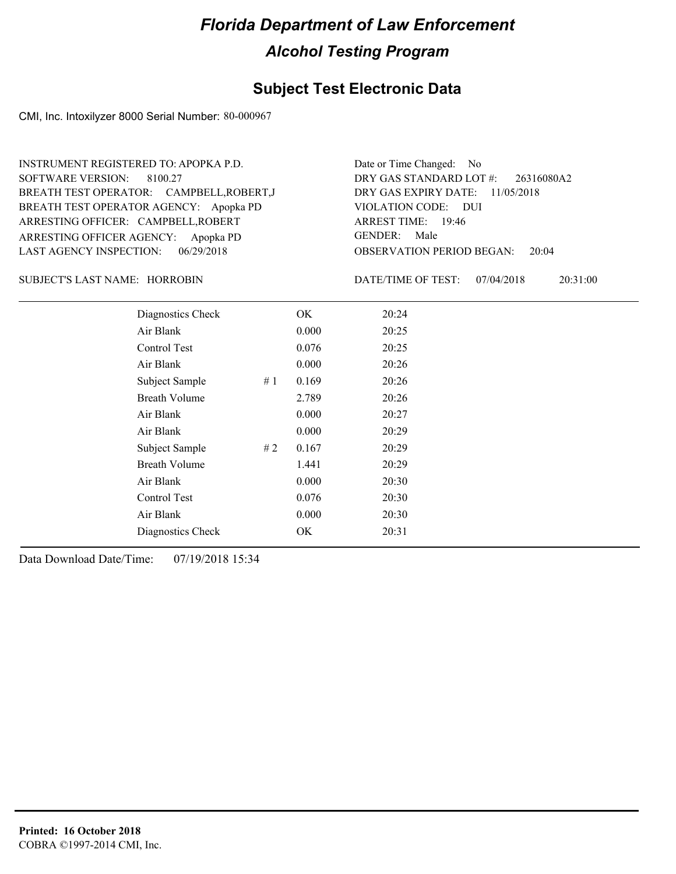#### **Subject Test Electronic Data**

CMI, Inc. Intoxilyzer 8000 Serial Number: 80-000967

ARRESTING OFFICER AGENCY: Apopka PD GENDER: BREATH TEST OPERATOR AGENCY: Apopka PD VIOLATION CODE: SOFTWARE VERSION: 8100.27 ARRESTING OFFICER: CAMPBELL,ROBERT BREATH TEST OPERATOR: CAMPBELL,ROBERT,J LAST AGENCY INSPECTION: 06/29/2018 INSTRUMENT REGISTERED TO: APOPKA P.D.

OBSERVATION PERIOD BEGAN: 20:04 VIOLATION CODE: DUI 19:46 ARREST TIME: DRY GAS EXPIRY DATE: 11/05/2018 26316080A2 DRY GAS STANDARD LOT #: Date or Time Changed: No GENDER: Male

HORROBIN SUBJECT'S LAST NAME: DATE/TIME OF TEST:

DATE/TIME OF TEST: 07/04/2018 20:31:00

| Diagnostics Check    | OK    | 20:24 |
|----------------------|-------|-------|
| Air Blank            | 0.000 | 20:25 |
| Control Test         | 0.076 | 20:25 |
| Air Blank            | 0.000 | 20:26 |
| Subject Sample<br>#1 | 0.169 | 20:26 |
| <b>Breath Volume</b> | 2.789 | 20:26 |
| Air Blank            | 0.000 | 20:27 |
| Air Blank            | 0.000 | 20:29 |
| Subject Sample<br>#2 | 0.167 | 20:29 |
| <b>Breath Volume</b> | 1.441 | 20:29 |
| Air Blank            | 0.000 | 20:30 |
| Control Test         | 0.076 | 20:30 |
| Air Blank            | 0.000 | 20:30 |
| Diagnostics Check    | OK    | 20:31 |
|                      |       |       |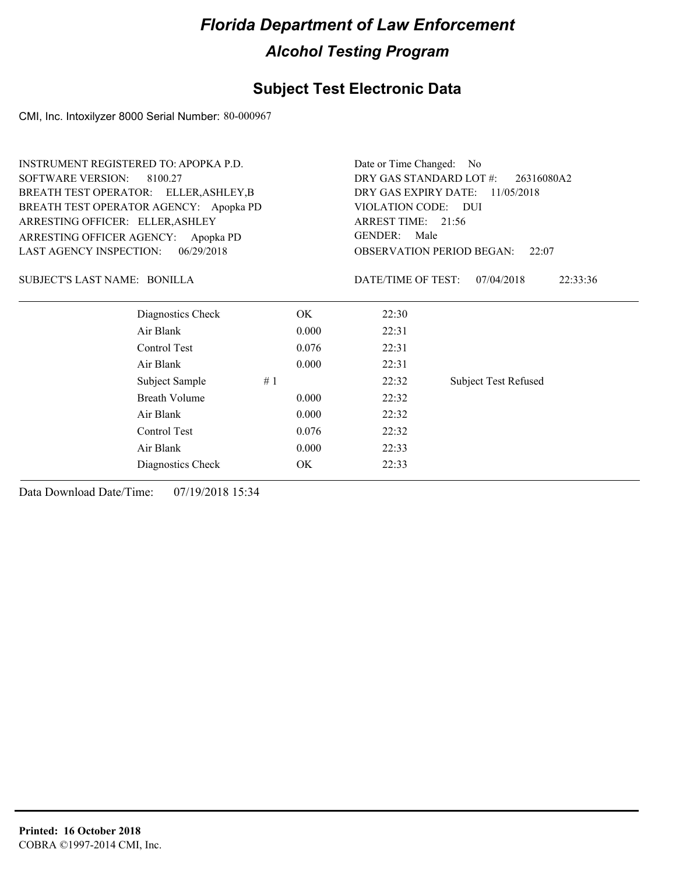### **Subject Test Electronic Data**

CMI, Inc. Intoxilyzer 8000 Serial Number: 80-000967

| <b>INSTRUMENT REGISTERED TO: APOPKA P.D.</b> |                                        | Date or Time Changed: No              |                                    |                                           |  |  |  |
|----------------------------------------------|----------------------------------------|---------------------------------------|------------------------------------|-------------------------------------------|--|--|--|
| <b>SOFTWARE VERSION:</b>                     | 8100.27                                | DRY GAS STANDARD LOT #:<br>26316080A2 |                                    |                                           |  |  |  |
|                                              | BREATH TEST OPERATOR: ELLER, ASHLEY, B |                                       | DRY GAS EXPIRY DATE:<br>11/05/2018 |                                           |  |  |  |
|                                              | BREATH TEST OPERATOR AGENCY: Apopka PD |                                       | VIOLATION CODE: DUI                |                                           |  |  |  |
| ARRESTING OFFICER: ELLER, ASHLEY             |                                        |                                       | ARREST TIME: 21:56                 |                                           |  |  |  |
| ARRESTING OFFICER AGENCY:                    | Apopka PD                              |                                       | <b>GENDER:</b><br>Male             |                                           |  |  |  |
| <b>LAST AGENCY INSPECTION:</b>               | 06/29/2018                             |                                       |                                    | <b>OBSERVATION PERIOD BEGAN:</b><br>22:07 |  |  |  |
| SUBJECT'S LAST NAME: BONILLA                 |                                        |                                       | DATE/TIME OF TEST:                 | 07/04/2018<br>22:33:36                    |  |  |  |
|                                              | Diagnostics Check                      | OK.                                   | 22:30                              |                                           |  |  |  |
|                                              | Air Blank                              | 0.000                                 | 22:31                              |                                           |  |  |  |
|                                              | Control Test                           | 0.076                                 | 22:31                              |                                           |  |  |  |
|                                              | Air Blank                              | 0.000                                 | 22:31                              |                                           |  |  |  |
|                                              | Subject Sample<br>#1                   |                                       | 22:32                              | <b>Subject Test Refused</b>               |  |  |  |
|                                              | <b>Breath Volume</b>                   | 0.000                                 | 22:32                              |                                           |  |  |  |
|                                              | Air Blank                              | 0.000                                 | 22:32                              |                                           |  |  |  |
|                                              | Control Test                           | 0.076                                 | 22:32                              |                                           |  |  |  |
|                                              | Air Blank                              | 0.000                                 | 22:33                              |                                           |  |  |  |
|                                              | Diagnostics Check                      | OK                                    | 22:33                              |                                           |  |  |  |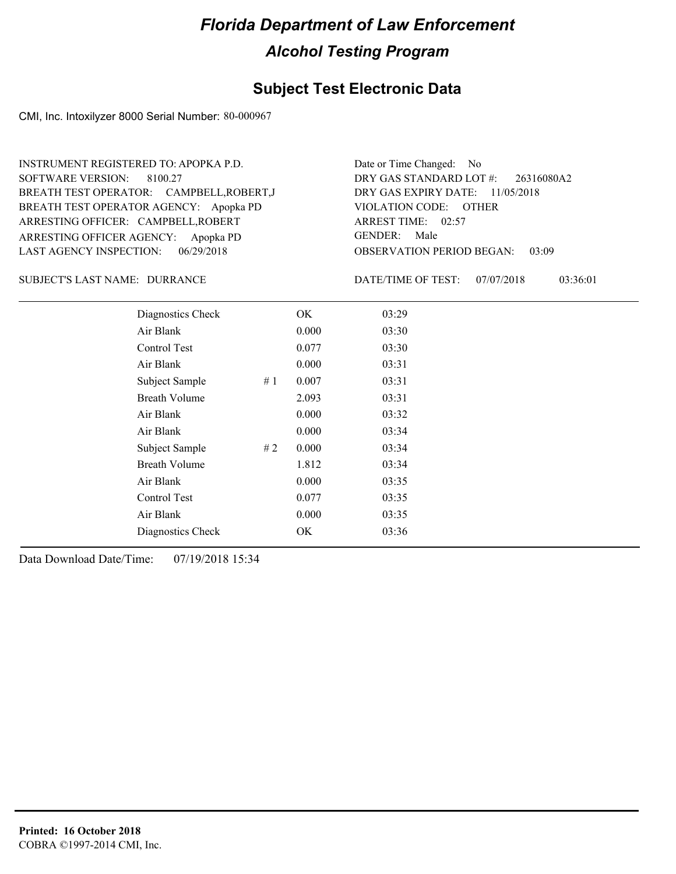#### **Subject Test Electronic Data**

CMI, Inc. Intoxilyzer 8000 Serial Number: 80-000967

ARRESTING OFFICER AGENCY: Apopka PD GENDER: BREATH TEST OPERATOR AGENCY: Apopka PD VIOLATION CODE: SOFTWARE VERSION: ARRESTING OFFICER: CAMPBELL,ROBERT BREATH TEST OPERATOR: CAMPBELL,ROBERT,J LAST AGENCY INSPECTION: 06/29/2018 8100.27 INSTRUMENT REGISTERED TO: APOPKA P.D.

OBSERVATION PERIOD BEGAN: 03:09 VIOLATION CODE: OTHER ARREST TIME: 02:57 DRY GAS EXPIRY DATE: 11/05/2018 26316080A2 DRY GAS STANDARD LOT #: Date or Time Changed: No GENDER: Male

DURRANCE SUBJECT'S LAST NAME: DATE/TIME OF TEST:

DATE/TIME OF TEST: 07/07/2018 03:36:01

| Diagnostics Check    |    | OK    | 03:29 |
|----------------------|----|-------|-------|
| Air Blank            |    | 0.000 | 03:30 |
| Control Test         |    | 0.077 | 03:30 |
| Air Blank            |    | 0.000 | 03:31 |
| Subject Sample       | #1 | 0.007 | 03:31 |
| <b>Breath Volume</b> |    | 2.093 | 03:31 |
| Air Blank            |    | 0.000 | 03:32 |
| Air Blank            |    | 0.000 | 03:34 |
| Subject Sample       | #2 | 0.000 | 03:34 |
| <b>Breath Volume</b> |    | 1.812 | 03:34 |
| Air Blank            |    | 0.000 | 03:35 |
| Control Test         |    | 0.077 | 03:35 |
| Air Blank            |    | 0.000 | 03:35 |
| Diagnostics Check    |    | OK    | 03:36 |
|                      |    |       |       |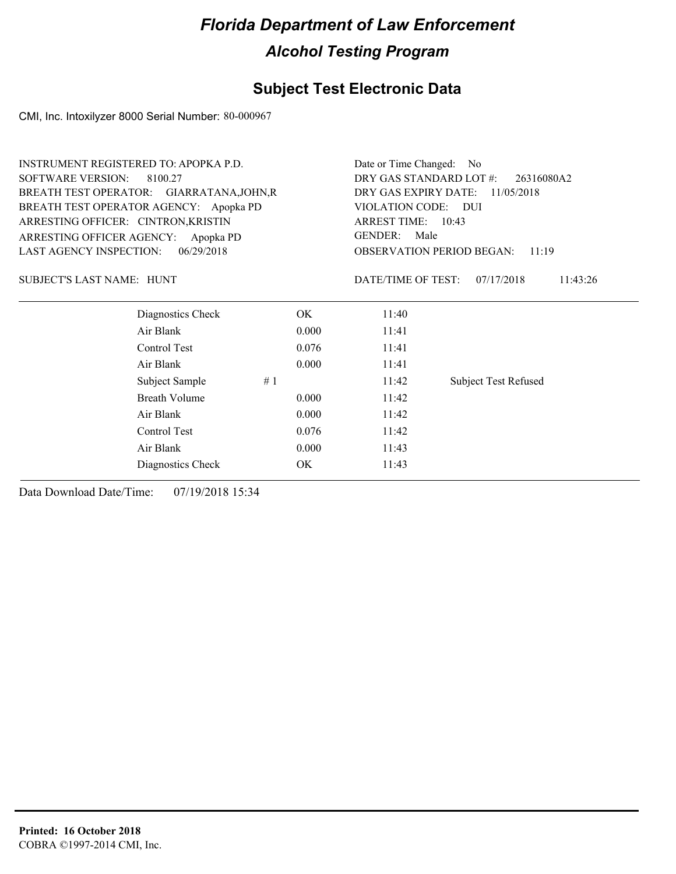### **Subject Test Electronic Data**

CMI, Inc. Intoxilyzer 8000 Serial Number: 80-000967

| <b>INSTRUMENT REGISTERED TO: APOPKA P.D.</b> |            | Date or Time Changed:<br>- No         |                                    |                                           |  |  |
|----------------------------------------------|------------|---------------------------------------|------------------------------------|-------------------------------------------|--|--|
| <b>SOFTWARE VERSION:</b><br>8100.27          |            | DRY GAS STANDARD LOT #:<br>26316080A2 |                                    |                                           |  |  |
| BREATH TEST OPERATOR: GIARRATANA, JOHN, R    |            |                                       | DRY GAS EXPIRY DATE:<br>11/05/2018 |                                           |  |  |
| BREATH TEST OPERATOR AGENCY: Apopka PD       |            |                                       | VIOLATION CODE: DUI                |                                           |  |  |
| ARRESTING OFFICER: CINTRON, KRISTIN          |            |                                       | ARREST TIME: 10:43                 |                                           |  |  |
| ARRESTING OFFICER AGENCY:                    | Apopka PD  |                                       | <b>GENDER:</b><br>Male             |                                           |  |  |
| <b>LAST AGENCY INSPECTION:</b>               | 06/29/2018 |                                       |                                    | <b>OBSERVATION PERIOD BEGAN:</b><br>11:19 |  |  |
| <b>SUBJECT'S LAST NAME: HUNT</b>             |            |                                       | DATE/TIME OF TEST:                 | 07/17/2018<br>11:43:26                    |  |  |
| Diagnostics Check                            |            | OK.                                   | 11:40                              |                                           |  |  |
| Air Blank                                    |            | 0.000                                 | 11:41                              |                                           |  |  |
| Control Test                                 |            | 0.076                                 | 11:41                              |                                           |  |  |
| Air Blank                                    |            | 0.000                                 | 11:41                              |                                           |  |  |
| Subject Sample                               | #1         |                                       | 11:42                              | <b>Subject Test Refused</b>               |  |  |
| <b>Breath Volume</b>                         |            | 0.000                                 | 11:42                              |                                           |  |  |
| Air Blank                                    |            | 0.000                                 | 11:42                              |                                           |  |  |
| Control Test                                 |            | 0.076                                 | 11:42                              |                                           |  |  |
| Air Blank                                    |            | 0.000                                 | 11:43                              |                                           |  |  |
| Diagnostics Check                            |            | OK.                                   | 11:43                              |                                           |  |  |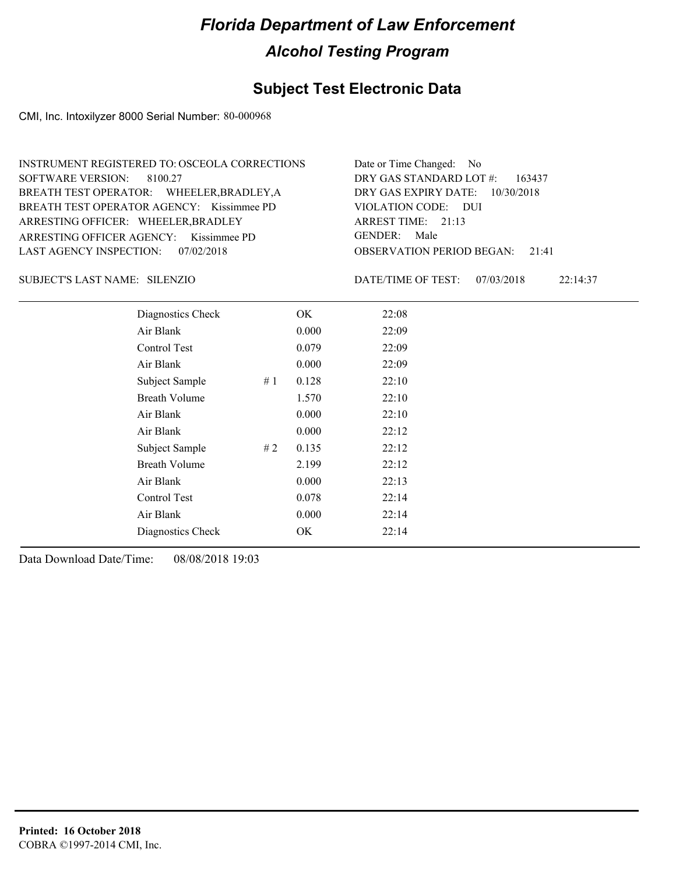### **Subject Test Electronic Data**

CMI, Inc. Intoxilyzer 8000 Serial Number: 80-000968

| INSTRUMENT REGISTERED TO: OSCEOLA CORRECTIONS | Date or Time Changed: No               |
|-----------------------------------------------|----------------------------------------|
| SOFTWARE VERSION: 8100.27                     | DRY GAS STANDARD LOT $\#$ : 163437     |
| BREATH TEST OPERATOR: WHEELER, BRADLEY, A     | DRY GAS EXPIRY DATE: $10/30/2018$      |
| BREATH TEST OPERATOR AGENCY: Kissimmee PD     | VIOLATION CODE: DUI                    |
| ARRESTING OFFICER: WHEELER, BRADLEY           | ARREST TIME: 21:13                     |
| ARRESTING OFFICER AGENCY: Kissimmee PD        | GENDER: Male                           |
| LAST AGENCY INSPECTION: 07/02/2018            | <b>OBSERVATION PERIOD BEGAN: 21:41</b> |

SILENZIO SUBJECT'S LAST NAME: DATE/TIME OF TEST:

DATE/TIME OF TEST: 07/03/2018 22:14:37

| Diagnostics Check     | OK    | 22:08 |
|-----------------------|-------|-------|
| Air Blank             | 0.000 | 22:09 |
| Control Test          | 0.079 | 22:09 |
| Air Blank             | 0.000 | 22:09 |
| Subject Sample<br>#1  | 0.128 | 22:10 |
| <b>Breath Volume</b>  | 1.570 | 22:10 |
| Air Blank             | 0.000 | 22:10 |
| Air Blank             | 0.000 | 22:12 |
| Subject Sample<br># 2 | 0.135 | 22:12 |
| <b>Breath Volume</b>  | 2.199 | 22:12 |
| Air Blank             | 0.000 | 22:13 |
| Control Test          | 0.078 | 22:14 |
| Air Blank             | 0.000 | 22:14 |
| Diagnostics Check     | OK    | 22:14 |
|                       |       |       |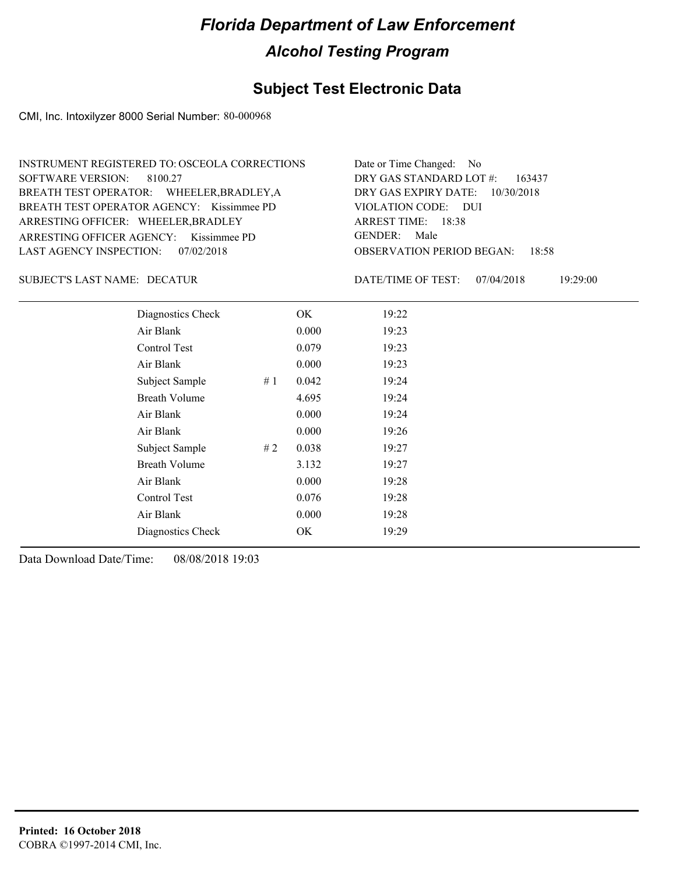### **Subject Test Electronic Data**

CMI, Inc. Intoxilyzer 8000 Serial Number: 80-000968

| INSTRUMENT REGISTERED TO: OSCEOLA CORRECTIONS | Date or Time Changed: No               |
|-----------------------------------------------|----------------------------------------|
| SOFTWARE VERSION: 8100.27                     | DRY GAS STANDARD LOT $\#$ : 163437     |
| BREATH TEST OPERATOR: WHEELER, BRADLEY, A     | DRY GAS EXPIRY DATE: 10/30/2018        |
| BREATH TEST OPERATOR AGENCY: Kissimmee PD     | VIOLATION CODE: DUI                    |
| ARRESTING OFFICER: WHEELER, BRADLEY           | ARREST TIME: 18:38                     |
| ARRESTING OFFICER AGENCY: Kissimmee PD        | GENDER: Male                           |
| LAST AGENCY INSPECTION: 07/02/2018            | <b>OBSERVATION PERIOD BEGAN:</b> 18:58 |

#### DECATUR SUBJECT'S LAST NAME: DATE/TIME OF TEST:

DATE/TIME OF TEST: 07/04/2018 19:29:00

| Diagnostics Check    |    | OK    | 19:22 |  |  |
|----------------------|----|-------|-------|--|--|
| Air Blank            |    | 0.000 | 19:23 |  |  |
| Control Test         |    | 0.079 | 19:23 |  |  |
| Air Blank            |    | 0.000 | 19:23 |  |  |
| Subject Sample       | #1 | 0.042 | 19:24 |  |  |
| <b>Breath Volume</b> |    | 4.695 | 19:24 |  |  |
| Air Blank            |    | 0.000 | 19:24 |  |  |
| Air Blank            |    | 0.000 | 19:26 |  |  |
| Subject Sample       | #2 | 0.038 | 19:27 |  |  |
| <b>Breath Volume</b> |    | 3.132 | 19:27 |  |  |
| Air Blank            |    | 0.000 | 19:28 |  |  |
| Control Test         |    | 0.076 | 19:28 |  |  |
| Air Blank            |    | 0.000 | 19:28 |  |  |
| Diagnostics Check    |    | OK    | 19:29 |  |  |
|                      |    |       |       |  |  |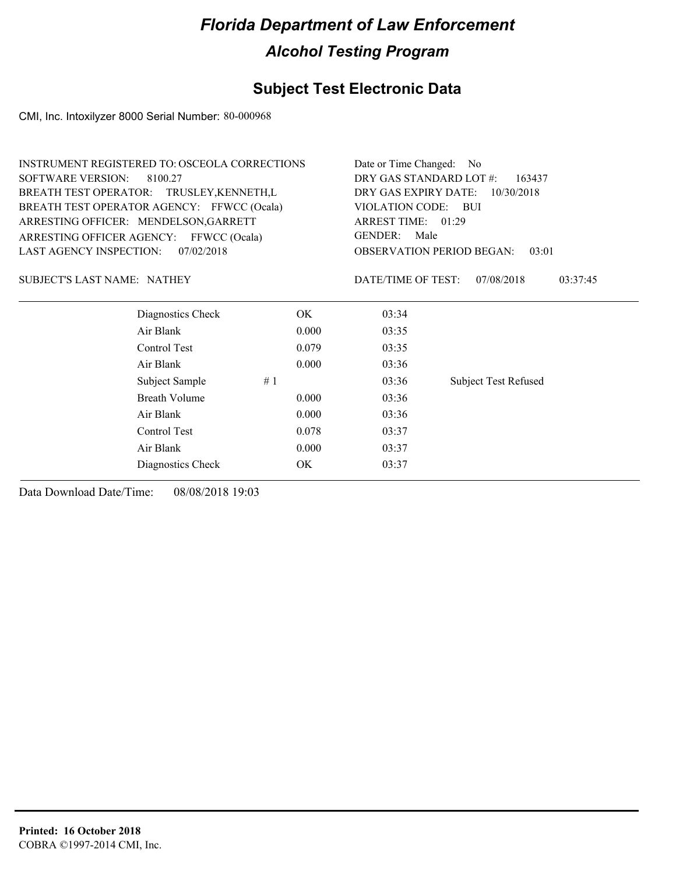### **Subject Test Electronic Data**

CMI, Inc. Intoxilyzer 8000 Serial Number: 80-000968

| <b>INSTRUMENT REGISTERED TO: OSCEOLA CORRECTIONS</b> |       | Date or Time Changed: No           |                                           |  |  |  |
|------------------------------------------------------|-------|------------------------------------|-------------------------------------------|--|--|--|
| <b>SOFTWARE VERSION:</b><br>8100.27                  |       | DRY GAS STANDARD LOT #:<br>163437  |                                           |  |  |  |
| BREATH TEST OPERATOR: TRUSLEY, KENNETH, L            |       | DRY GAS EXPIRY DATE:<br>10/30/2018 |                                           |  |  |  |
| BREATH TEST OPERATOR AGENCY: FFWCC (Ocala)           |       | VIOLATION CODE: BUI                |                                           |  |  |  |
| ARRESTING OFFICER: MENDELSON, GARRETT                |       | ARREST TIME: 01:29                 |                                           |  |  |  |
| ARRESTING OFFICER AGENCY: FFWCC (Ocala)              |       | <b>GENDER:</b><br>Male             |                                           |  |  |  |
| <b>LAST AGENCY INSPECTION:</b><br>07/02/2018         |       |                                    | <b>OBSERVATION PERIOD BEGAN:</b><br>03:01 |  |  |  |
| <b>SUBJECT'S LAST NAME: NATHEY</b>                   |       | DATE/TIME OF TEST:                 | 07/08/2018<br>03:37:45                    |  |  |  |
| Diagnostics Check                                    | OK.   | 03:34                              |                                           |  |  |  |
| Air Blank                                            | 0.000 | 03:35                              |                                           |  |  |  |
| Control Test                                         | 0.079 | 03:35                              |                                           |  |  |  |
| Air Blank                                            | 0.000 | 03:36                              |                                           |  |  |  |
| Subject Sample                                       | #1    | 03:36                              | <b>Subject Test Refused</b>               |  |  |  |
| <b>Breath Volume</b>                                 | 0.000 | 03:36                              |                                           |  |  |  |
| Air Blank                                            | 0.000 | 03:36                              |                                           |  |  |  |
| Control Test                                         | 0.078 | 03:37                              |                                           |  |  |  |
| Air Blank                                            | 0.000 | 03:37                              |                                           |  |  |  |
| Diagnostics Check                                    | OK    | 03:37                              |                                           |  |  |  |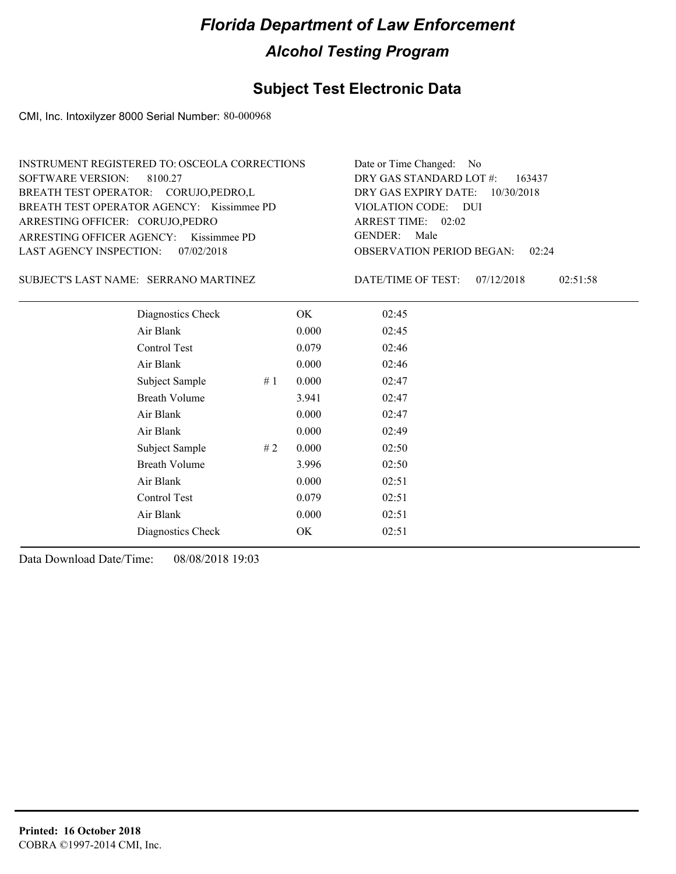### **Subject Test Electronic Data**

CMI, Inc. Intoxilyzer 8000 Serial Number: 80-000968

| INSTRUMENT REGISTERED TO: OSCEOLA CORRECTIONS | Date or Time Changed: No               |
|-----------------------------------------------|----------------------------------------|
| SOFTWARE VERSION: 8100.27                     | DRY GAS STANDARD LOT $\#$ : 163437     |
| BREATH TEST OPERATOR: CORUJO, PEDRO, L        | DRY GAS EXPIRY DATE: $10/30/2018$      |
| BREATH TEST OPERATOR AGENCY: Kissimmee PD     | VIOLATION CODE: DUI                    |
| ARRESTING OFFICER: CORUJO, PEDRO              | ARREST TIME: 02:02                     |
| ARRESTING OFFICER AGENCY: Kissimmee PD        | GENDER: Male                           |
| LAST AGENCY INSPECTION: 07/02/2018            | <b>OBSERVATION PERIOD BEGAN: 02:24</b> |

SUBJECT'S LAST NAME: SERRANO MARTINEZ DATE/TIME OF TEST:

DATE/TIME OF TEST: 07/12/2018 02:51:58

| Diagnostics Check    |    | OK    | 02:45 |
|----------------------|----|-------|-------|
| Air Blank            |    | 0.000 | 02:45 |
| Control Test         |    | 0.079 | 02:46 |
| Air Blank            |    | 0.000 | 02:46 |
| Subject Sample       | #1 | 0.000 | 02:47 |
| <b>Breath Volume</b> |    | 3.941 | 02:47 |
| Air Blank            |    | 0.000 | 02:47 |
| Air Blank            |    | 0.000 | 02:49 |
| Subject Sample       | #2 | 0.000 | 02:50 |
| <b>Breath Volume</b> |    | 3.996 | 02:50 |
| Air Blank            |    | 0.000 | 02:51 |
| Control Test         |    | 0.079 | 02:51 |
| Air Blank            |    | 0.000 | 02:51 |
| Diagnostics Check    |    | OK    | 02:51 |
|                      |    |       |       |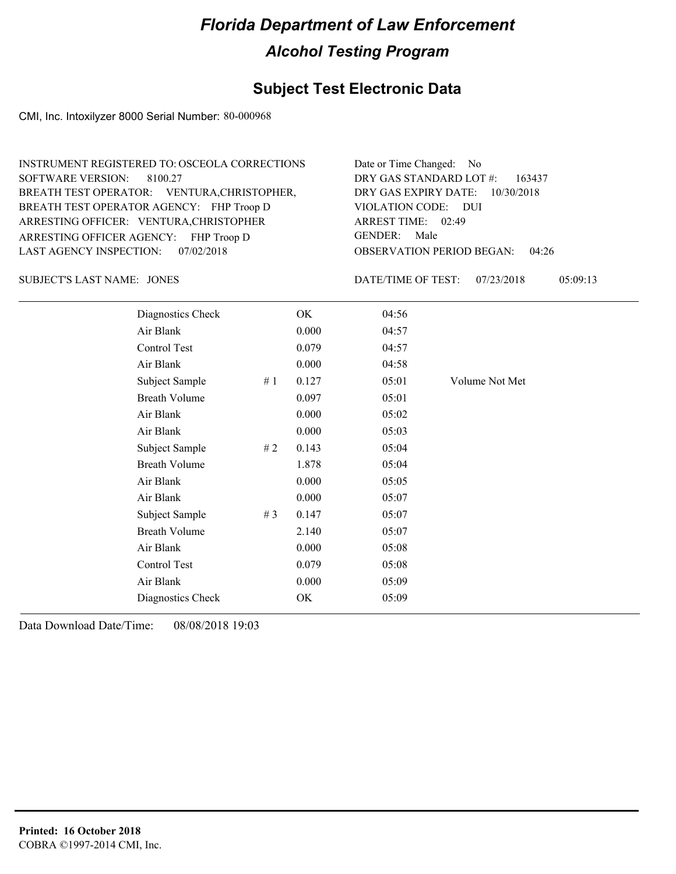#### **Subject Test Electronic Data**

CMI, Inc. Intoxilyzer 8000 Serial Number: 80-000968

Control Test 0.079 05:08 Air Blank 0.000 05:09 Diagnostics Check OK 05:09

JONES SUBJECT'S LAST NAME: DATE/TIME OF TEST:

DATE/TIME OF TEST: 07/23/2018 05:09:13

| Diagnostics Check    |    | OK    | 04:56 |                |  |
|----------------------|----|-------|-------|----------------|--|
| Air Blank            |    | 0.000 | 04:57 |                |  |
| Control Test         |    | 0.079 | 04:57 |                |  |
| Air Blank            |    | 0.000 | 04:58 |                |  |
| Subject Sample       | #1 | 0.127 | 05:01 | Volume Not Met |  |
| <b>Breath Volume</b> |    | 0.097 | 05:01 |                |  |
| Air Blank            |    | 0.000 | 05:02 |                |  |
| Air Blank            |    | 0.000 | 05:03 |                |  |
| Subject Sample       | #2 | 0.143 | 05:04 |                |  |
| Breath Volume        |    | 1.878 | 05:04 |                |  |
| Air Blank            |    | 0.000 | 05:05 |                |  |
| Air Blank            |    | 0.000 | 05:07 |                |  |
| Subject Sample       | #3 | 0.147 | 05:07 |                |  |
| Breath Volume        |    | 2.140 | 05:07 |                |  |
| Air Blank            |    | 0.000 | 05:08 |                |  |
|                      |    |       |       |                |  |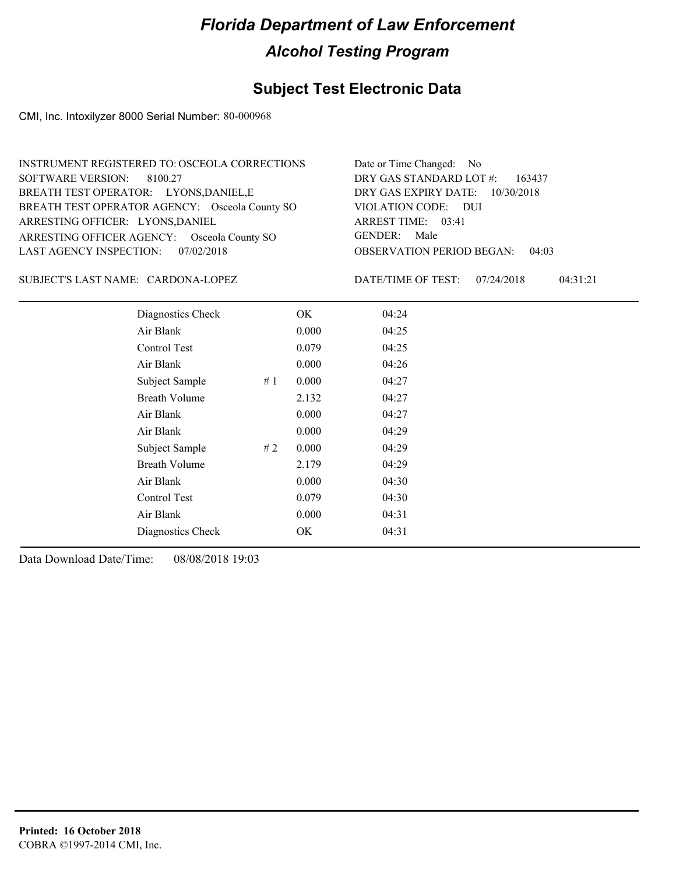### **Subject Test Electronic Data**

CMI, Inc. Intoxilyzer 8000 Serial Number: 80-000968

| INSTRUMENT REGISTERED TO: OSCEOLA CORRECTIONS  | Date or Time Changed: No               |
|------------------------------------------------|----------------------------------------|
| SOFTWARE VERSION: 8100.27                      | DRY GAS STANDARD LOT $#$ : 163437      |
| BREATH TEST OPERATOR: LYONS, DANIEL, E         | DRY GAS EXPIRY DATE: 10/30/2018        |
| BREATH TEST OPERATOR AGENCY: Osceola County SO | VIOLATION CODE: DUI                    |
| ARRESTING OFFICER: LYONS, DANIEL               | ARREST TIME: 03:41                     |
| ARRESTING OFFICER AGENCY: Osceola County SO    | GENDER: Male                           |
| LAST AGENCY INSPECTION: 07/02/2018             | <b>OBSERVATION PERIOD BEGAN: 04:03</b> |

SUBJECT'S LAST NAME: CARDONA-LOPEZ DATE/TIME OF TEST:

DATE/TIME OF TEST: 07/24/2018 04:31:21

| Diagnostics Check    |    | OK    | 04:24 |
|----------------------|----|-------|-------|
| Air Blank            |    | 0.000 | 04:25 |
| Control Test         |    | 0.079 | 04:25 |
| Air Blank            |    | 0.000 | 04:26 |
| Subject Sample       | #1 | 0.000 | 04:27 |
| <b>Breath Volume</b> |    | 2.132 | 04:27 |
| Air Blank            |    | 0.000 | 04:27 |
| Air Blank            |    | 0.000 | 04:29 |
| Subject Sample       | #2 | 0.000 | 04:29 |
| <b>Breath Volume</b> |    | 2.179 | 04:29 |
| Air Blank            |    | 0.000 | 04:30 |
| Control Test         |    | 0.079 | 04:30 |
| Air Blank            |    | 0.000 | 04:31 |
| Diagnostics Check    |    | OK    | 04:31 |
|                      |    |       |       |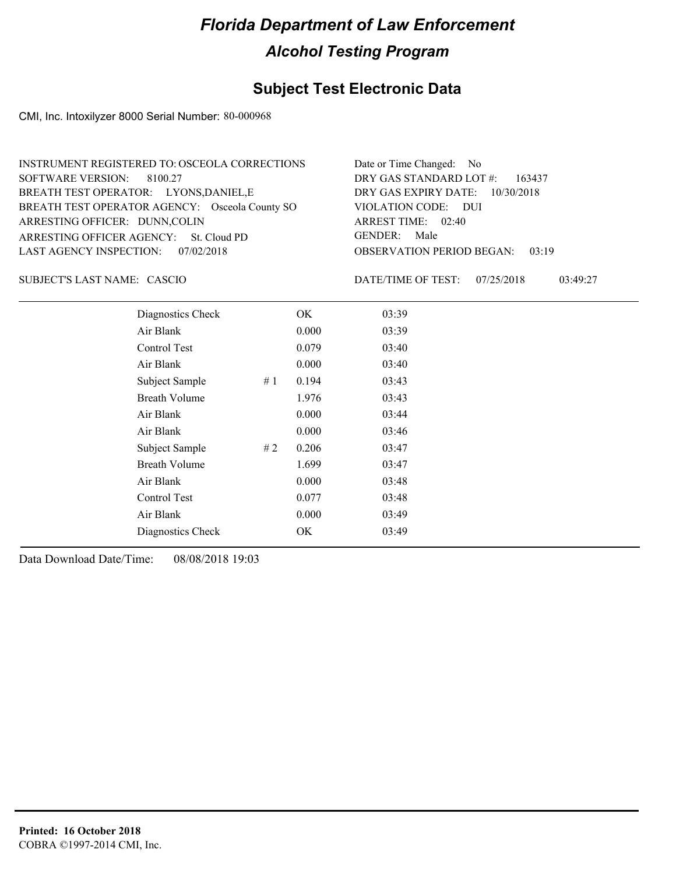### **Subject Test Electronic Data**

CMI, Inc. Intoxilyzer 8000 Serial Number: 80-000968

| INSTRUMENT REGISTERED TO: OSCEOLA CORRECTIONS  | Date or Time Changed: No               |
|------------------------------------------------|----------------------------------------|
| SOFTWARE VERSION: 8100.27                      | DRY GAS STANDARD LOT $\#$ : 163437     |
| BREATH TEST OPERATOR: LYONS, DANIEL, E         | DRY GAS EXPIRY DATE: 10/30/2018        |
| BREATH TEST OPERATOR AGENCY: Osceola County SO | VIOLATION CODE: DUI                    |
| ARRESTING OFFICER: DUNN, COLIN                 | ARREST TIME: 02:40                     |
| ARRESTING OFFICER AGENCY: St. Cloud PD         | GENDER: Male                           |
| LAST AGENCY INSPECTION: 07/02/2018             | <b>OBSERVATION PERIOD BEGAN: 03:19</b> |

CASCIO SUBJECT'S LAST NAME: DATE/TIME OF TEST:

DATE/TIME OF TEST: 07/25/2018 03:49:27

| Diagnostics Check    |    | OK    | 03:39 |
|----------------------|----|-------|-------|
| Air Blank            |    | 0.000 | 03:39 |
| Control Test         |    | 0.079 | 03:40 |
| Air Blank            |    | 0.000 | 03:40 |
| Subject Sample       | #1 | 0.194 | 03:43 |
| <b>Breath Volume</b> |    | 1.976 | 03:43 |
| Air Blank            |    | 0.000 | 03:44 |
| Air Blank            |    | 0.000 | 03:46 |
| Subject Sample       | #2 | 0.206 | 03:47 |
| <b>Breath Volume</b> |    | 1.699 | 03:47 |
| Air Blank            |    | 0.000 | 03:48 |
| Control Test         |    | 0.077 | 03:48 |
| Air Blank            |    | 0.000 | 03:49 |
| Diagnostics Check    |    | OK    | 03:49 |
|                      |    |       |       |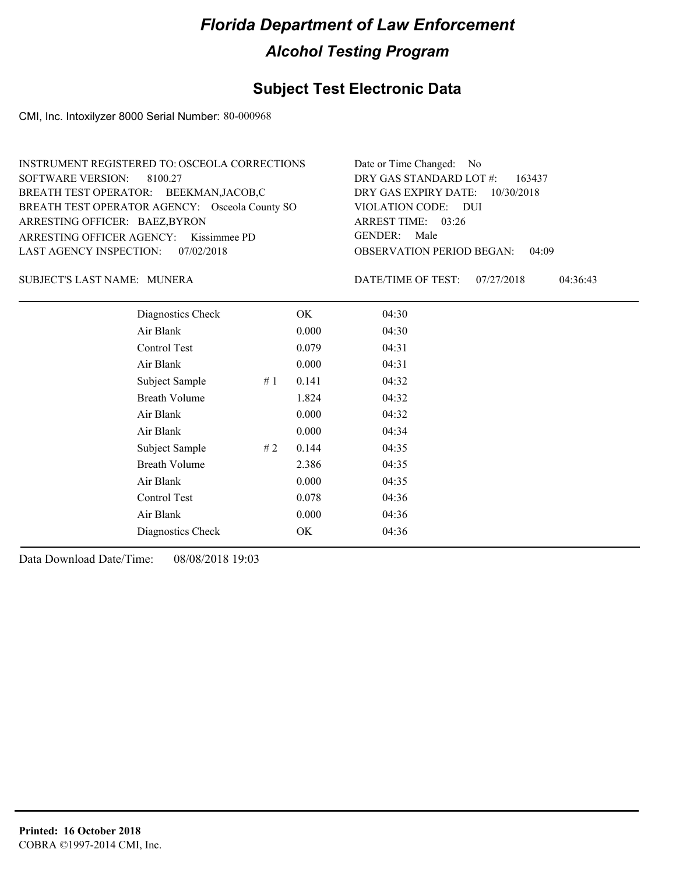### **Subject Test Electronic Data**

CMI, Inc. Intoxilyzer 8000 Serial Number: 80-000968

| INSTRUMENT REGISTERED TO: OSCEOLA CORRECTIONS  | Date or Time Changed: No               |
|------------------------------------------------|----------------------------------------|
| SOFTWARE VERSION: 8100.27                      | DRY GAS STANDARD LOT $\#$ : 163437     |
| BREATH TEST OPERATOR: BEEKMAN,JACOB,C          | DRY GAS EXPIRY DATE: 10/30/2018        |
| BREATH TEST OPERATOR AGENCY: Osceola County SO | VIOLATION CODE: DUI                    |
| ARRESTING OFFICER: BAEZ, BYRON                 | ARREST TIME: 03:26                     |
| ARRESTING OFFICER AGENCY: Kissimmee PD         | GENDER: Male                           |
| LAST AGENCY INSPECTION: 07/02/2018             | <b>OBSERVATION PERIOD BEGAN: 04:09</b> |

MUNERA SUBJECT'S LAST NAME: DATE/TIME OF TEST:

DATE/TIME OF TEST: 07/27/2018 04:36:43

| Diagnostics Check    |    | OK    | 04:30 |
|----------------------|----|-------|-------|
| Air Blank            |    | 0.000 | 04:30 |
| Control Test         |    | 0.079 | 04:31 |
| Air Blank            |    | 0.000 | 04:31 |
| Subject Sample       | #1 | 0.141 | 04:32 |
| <b>Breath Volume</b> |    | 1.824 | 04:32 |
| Air Blank            |    | 0.000 | 04:32 |
| Air Blank            |    | 0.000 | 04:34 |
| Subject Sample       | #2 | 0.144 | 04:35 |
| <b>Breath Volume</b> |    | 2.386 | 04:35 |
| Air Blank            |    | 0.000 | 04:35 |
| Control Test         |    | 0.078 | 04:36 |
| Air Blank            |    | 0.000 | 04:36 |
| Diagnostics Check    |    | OK    | 04:36 |
|                      |    |       |       |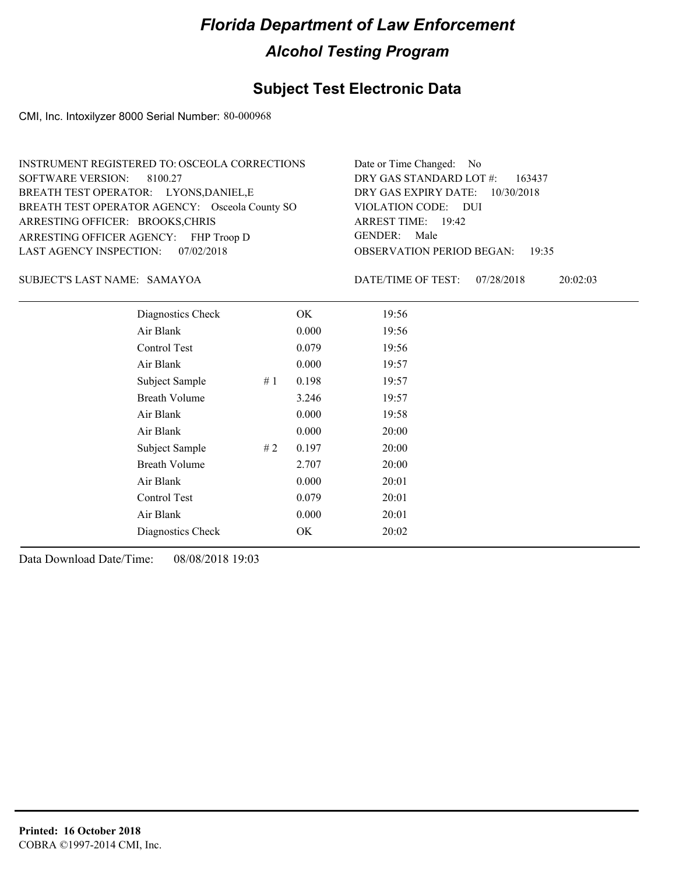### **Subject Test Electronic Data**

CMI, Inc. Intoxilyzer 8000 Serial Number: 80-000968

| INSTRUMENT REGISTERED TO: OSCEOLA CORRECTIONS  | Date or Time Changed: No               |
|------------------------------------------------|----------------------------------------|
| SOFTWARE VERSION: 8100.27                      | DRY GAS STANDARD LOT $\#$ : 163437     |
| BREATH TEST OPERATOR: LYONS, DANIEL, E         | DRY GAS EXPIRY DATE: 10/30/2018        |
| BREATH TEST OPERATOR AGENCY: Osceola County SO | VIOLATION CODE: DUI                    |
| ARRESTING OFFICER: BROOKS, CHRIS               | ARREST TIME: 19:42                     |
| ARRESTING OFFICER AGENCY: FHP Troop D          | GENDER: Male                           |
| LAST AGENCY INSPECTION: 07/02/2018             | <b>OBSERVATION PERIOD BEGAN: 19:35</b> |

SAMAYOA SUBJECT'S LAST NAME: DATE/TIME OF TEST:

DATE/TIME OF TEST: 07/28/2018 20:02:03

| Diagnostics Check    |    | OK    | 19:56 |  |
|----------------------|----|-------|-------|--|
| Air Blank            |    | 0.000 | 19:56 |  |
| Control Test         |    | 0.079 | 19:56 |  |
| Air Blank            |    | 0.000 | 19:57 |  |
| Subject Sample       | #1 | 0.198 | 19:57 |  |
| <b>Breath Volume</b> |    | 3.246 | 19:57 |  |
| Air Blank            |    | 0.000 | 19:58 |  |
| Air Blank            |    | 0.000 | 20:00 |  |
| Subject Sample       | #2 | 0.197 | 20:00 |  |
| <b>Breath Volume</b> |    | 2.707 | 20:00 |  |
| Air Blank            |    | 0.000 | 20:01 |  |
| <b>Control Test</b>  |    | 0.079 | 20:01 |  |
| Air Blank            |    | 0.000 | 20:01 |  |
| Diagnostics Check    |    | OK    | 20:02 |  |
|                      |    |       |       |  |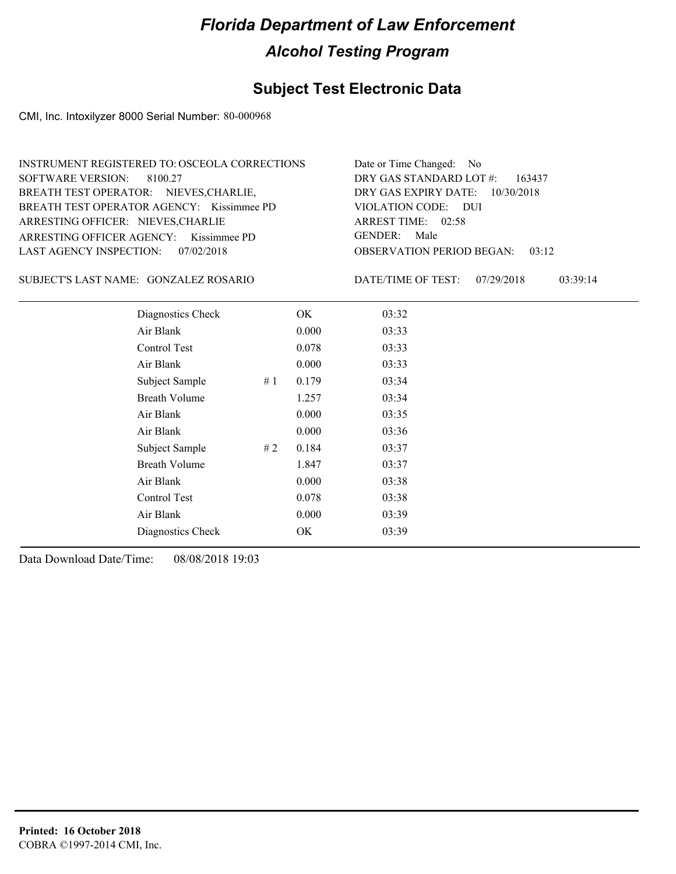### **Subject Test Electronic Data**

CMI, Inc. Intoxilyzer 8000 Serial Number: 80-000968

| INSTRUMENT REGISTERED TO: OSCEOLA CORRECTIONS | Date or Time Changed: No               |
|-----------------------------------------------|----------------------------------------|
| SOFTWARE VERSION: 8100.27                     | DRY GAS STANDARD LOT #: 163437         |
| BREATH TEST OPERATOR: NIEVES, CHARLIE,        | DRY GAS EXPIRY DATE: $10/30/2018$      |
| BREATH TEST OPERATOR AGENCY: Kissimmee PD     | VIOLATION CODE: DUI                    |
| ARRESTING OFFICER: NIEVES, CHARLIE            | ARREST TIME: 02:58                     |
| ARRESTING OFFICER AGENCY: Kissimmee PD        | GENDER: Male                           |
| LAST AGENCY INSPECTION: 07/02/2018            | <b>OBSERVATION PERIOD BEGAN: 03:12</b> |

GONZALEZ ROSARIO SUBJECT'S LAST NAME: DATE/TIME OF TEST:

DATE/TIME OF TEST: 07/29/2018 03:39:14

| Diagnostics Check    | OK    | 03:32 |
|----------------------|-------|-------|
| Air Blank            | 0.000 | 03:33 |
| Control Test         | 0.078 | 03:33 |
| Air Blank            | 0.000 | 03:33 |
| Subject Sample<br>#1 | 0.179 | 03:34 |
| <b>Breath Volume</b> | 1.257 | 03:34 |
| Air Blank            | 0.000 | 03:35 |
| Air Blank            | 0.000 | 03:36 |
| Subject Sample<br>#2 | 0.184 | 03:37 |
| <b>Breath Volume</b> | 1.847 | 03:37 |
| Air Blank            | 0.000 | 03:38 |
| Control Test         | 0.078 | 03:38 |
| Air Blank            | 0.000 | 03:39 |
| Diagnostics Check    | OK    | 03:39 |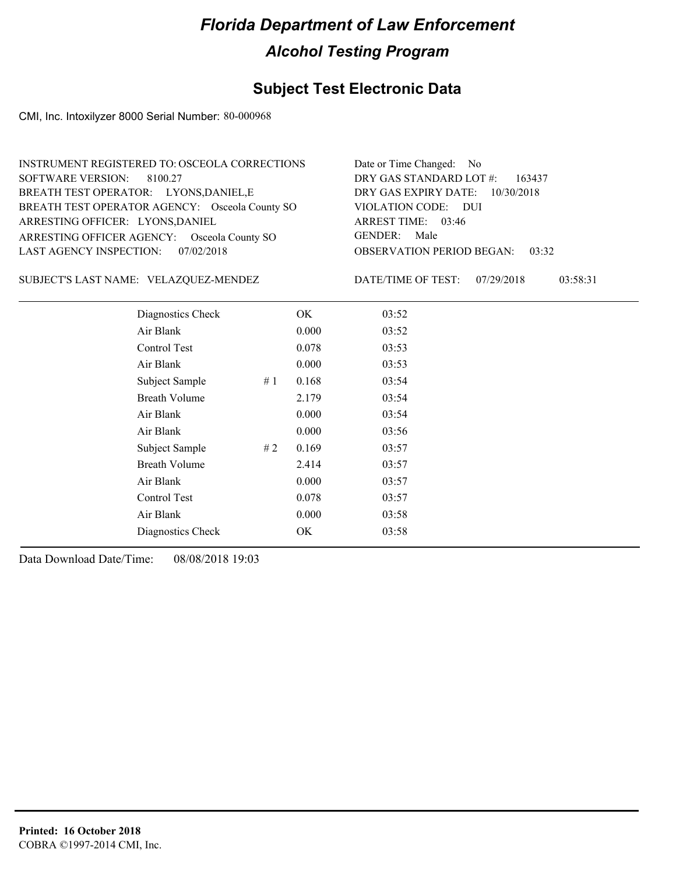### **Subject Test Electronic Data**

CMI, Inc. Intoxilyzer 8000 Serial Number: 80-000968

| INSTRUMENT REGISTERED TO: OSCEOLA CORRECTIONS  | Date or Time Changed: No               |
|------------------------------------------------|----------------------------------------|
| SOFTWARE VERSION: 8100.27                      | DRY GAS STANDARD LOT $\#$ : 163437     |
| BREATH TEST OPERATOR: LYONS, DANIEL, E         | DRY GAS EXPIRY DATE: 10/30/2018        |
| BREATH TEST OPERATOR AGENCY: Osceola County SO | VIOLATION CODE: DUI                    |
| ARRESTING OFFICER: LYONS, DANIEL               | ARREST TIME: 03:46                     |
| ARRESTING OFFICER AGENCY: Osceola County SO    | GENDER: Male                           |
| LAST AGENCY INSPECTION: 07/02/2018             | <b>OBSERVATION PERIOD BEGAN: 03:32</b> |

SUBJECT'S LAST NAME: VELAZQUEZ-MENDEZ DATE/TIME OF TEST:

DATE/TIME OF TEST: 07/29/2018 03:58:31

| Diagnostics Check    |    | OK    | 03:52 |
|----------------------|----|-------|-------|
| Air Blank            |    | 0.000 | 03:52 |
| Control Test         |    | 0.078 | 03:53 |
| Air Blank            |    | 0.000 | 03:53 |
| Subject Sample       | #1 | 0.168 | 03:54 |
| <b>Breath Volume</b> |    | 2.179 | 03:54 |
| Air Blank            |    | 0.000 | 03:54 |
| Air Blank            |    | 0.000 | 03:56 |
| Subject Sample       | #2 | 0.169 | 03:57 |
| <b>Breath Volume</b> |    | 2.414 | 03:57 |
| Air Blank            |    | 0.000 | 03:57 |
| Control Test         |    | 0.078 | 03:57 |
| Air Blank            |    | 0.000 | 03:58 |
| Diagnostics Check    |    | OK    | 03:58 |
|                      |    |       |       |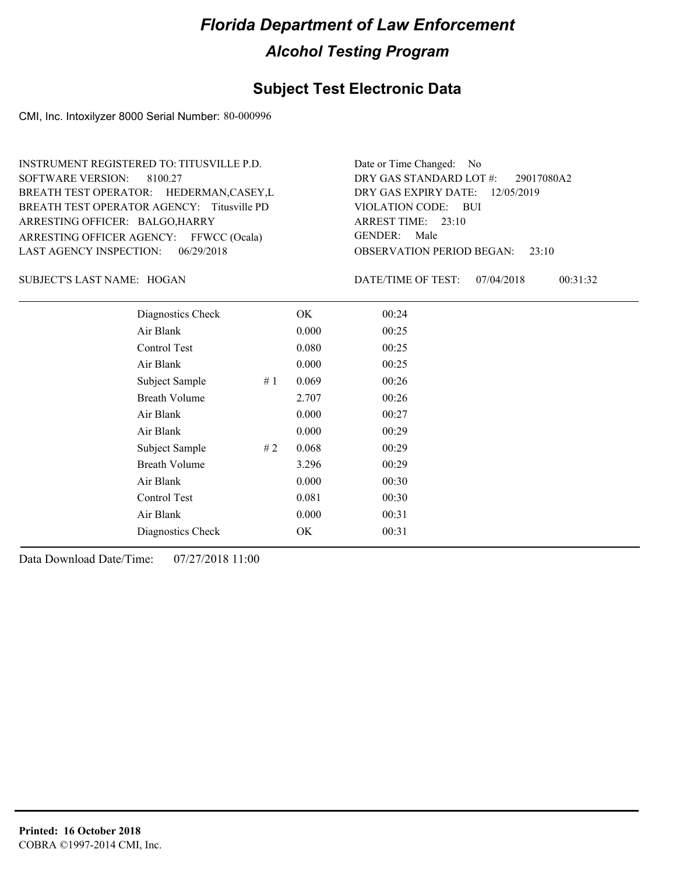#### **Subject Test Electronic Data**

CMI, Inc. Intoxilyzer 8000 Serial Number: 80-000996

ARRESTING OFFICER AGENCY: FFWCC (Ocala) GENDER: BREATH TEST OPERATOR AGENCY: Titusville PD VIOLATION CODE: SOFTWARE VERSION: ARRESTING OFFICER: BALGO,HARRY BREATH TEST OPERATOR: HEDERMAN,CASEY,L LAST AGENCY INSPECTION: 06/29/2018 8100.27 INSTRUMENT REGISTERED TO: TITUSVILLE P.D.

OBSERVATION PERIOD BEGAN: 23:10 VIOLATION CODE: BUI ARREST TIME: 23:10 12/05/2019 DRY GAS EXPIRY DATE: 29017080A2 DRY GAS STANDARD LOT #: Date or Time Changed: No GENDER: Male

SUBJECT'S LAST NAME: HOGAN DATE/TIME OF TEST:

DATE/TIME OF TEST: 07/04/2018 00:31:32

| Diagnostics Check    |    | OK    | 00:24 |
|----------------------|----|-------|-------|
| Air Blank            |    | 0.000 | 00:25 |
| Control Test         |    | 0.080 | 00:25 |
| Air Blank            |    | 0.000 | 00:25 |
| Subject Sample       | #1 | 0.069 | 00:26 |
| <b>Breath Volume</b> |    | 2.707 | 00:26 |
| Air Blank            |    | 0.000 | 00:27 |
| Air Blank            |    | 0.000 | 00:29 |
| Subject Sample       | #2 | 0.068 | 00:29 |
| <b>Breath Volume</b> |    | 3.296 | 00:29 |
| Air Blank            |    | 0.000 | 00:30 |
| Control Test         |    | 0.081 | 00:30 |
| Air Blank            |    | 0.000 | 00:31 |
| Diagnostics Check    |    | OK.   | 00:31 |
|                      |    |       |       |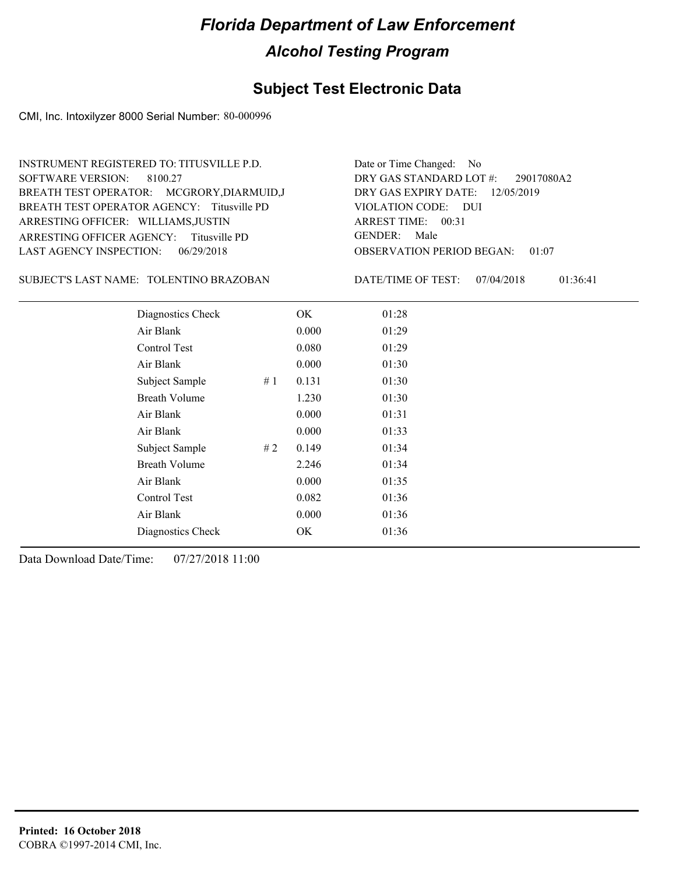#### **Subject Test Electronic Data**

CMI, Inc. Intoxilyzer 8000 Serial Number: 80-000996

ARRESTING OFFICER AGENCY: GENDER: Titusville PD BREATH TEST OPERATOR AGENCY: Titusville PD VIOLATION CODE: SOFTWARE VERSION: 8100.27 ARRESTING OFFICER: WILLIAMS,JUSTIN BREATH TEST OPERATOR: MCGRORY,DIARMUID,J LAST AGENCY INSPECTION: 06/29/2018 INSTRUMENT REGISTERED TO: TITUSVILLE P.D.

TOLENTINO BRAZOBAN SUBJECT'S LAST NAME: DATE/TIME OF TEST:

OBSERVATION PERIOD BEGAN: 01:07 VIOLATION CODE: DUI ARREST TIME: 00:31 12/05/2019 DRY GAS EXPIRY DATE: 29017080A2 DRY GAS STANDARD LOT #: Date or Time Changed: No GENDER: Male

DATE/TIME OF TEST: 07/04/2018 01:36:41

| Diagnostics Check    |    | OK    | 01:28 |
|----------------------|----|-------|-------|
| Air Blank            |    | 0.000 | 01:29 |
| Control Test         |    | 0.080 | 01:29 |
| Air Blank            |    | 0.000 | 01:30 |
| Subject Sample       | #1 | 0.131 | 01:30 |
| Breath Volume        |    | 1.230 | 01:30 |
| Air Blank            |    | 0.000 | 01:31 |
| Air Blank            |    | 0.000 | 01:33 |
| Subject Sample       | #2 | 0.149 | 01:34 |
| <b>Breath Volume</b> |    | 2.246 | 01:34 |
| Air Blank            |    | 0.000 | 01:35 |
| Control Test         |    | 0.082 | 01:36 |
| Air Blank            |    | 0.000 | 01:36 |
| Diagnostics Check    |    | OK    | 01:36 |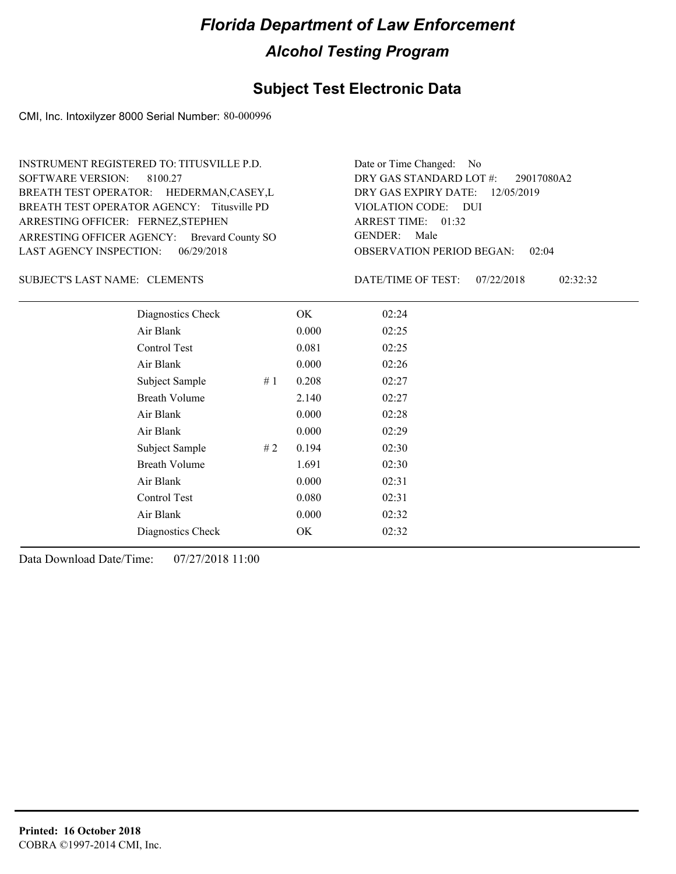#### **Subject Test Electronic Data**

CMI, Inc. Intoxilyzer 8000 Serial Number: 80-000996

ARRESTING OFFICER AGENCY: Brevard County SO GENDER: BREATH TEST OPERATOR AGENCY: Titusville PD VIOLATION CODE: SOFTWARE VERSION: ARRESTING OFFICER: FERNEZ, STEPHEN BREATH TEST OPERATOR: HEDERMAN,CASEY,L LAST AGENCY INSPECTION: 06/29/2018 8100.27 INSTRUMENT REGISTERED TO: TITUSVILLE P.D.

OBSERVATION PERIOD BEGAN: 02:04 VIOLATION CODE: DUI ARREST TIME: 01:32 12/05/2019 DRY GAS EXPIRY DATE: 29017080A2 DRY GAS STANDARD LOT #: Date or Time Changed: No GENDER: Male

#### CLEMENTS SUBJECT'S LAST NAME: DATE/TIME OF TEST:

DATE/TIME OF TEST: 07/22/2018 02:32:32

| Diagnostics Check    |    | OK    | 02:24 |
|----------------------|----|-------|-------|
| Air Blank            |    | 0.000 | 02:25 |
| Control Test         |    | 0.081 | 02:25 |
| Air Blank            |    | 0.000 | 02:26 |
| Subject Sample       | #1 | 0.208 | 02:27 |
| <b>Breath Volume</b> |    | 2.140 | 02:27 |
| Air Blank            |    | 0.000 | 02:28 |
| Air Blank            |    | 0.000 | 02:29 |
| Subject Sample       | #2 | 0.194 | 02:30 |
| <b>Breath Volume</b> |    | 1.691 | 02:30 |
| Air Blank            |    | 0.000 | 02:31 |
| Control Test         |    | 0.080 | 02:31 |
| Air Blank            |    | 0.000 | 02:32 |
| Diagnostics Check    |    | OK    | 02:32 |
|                      |    |       |       |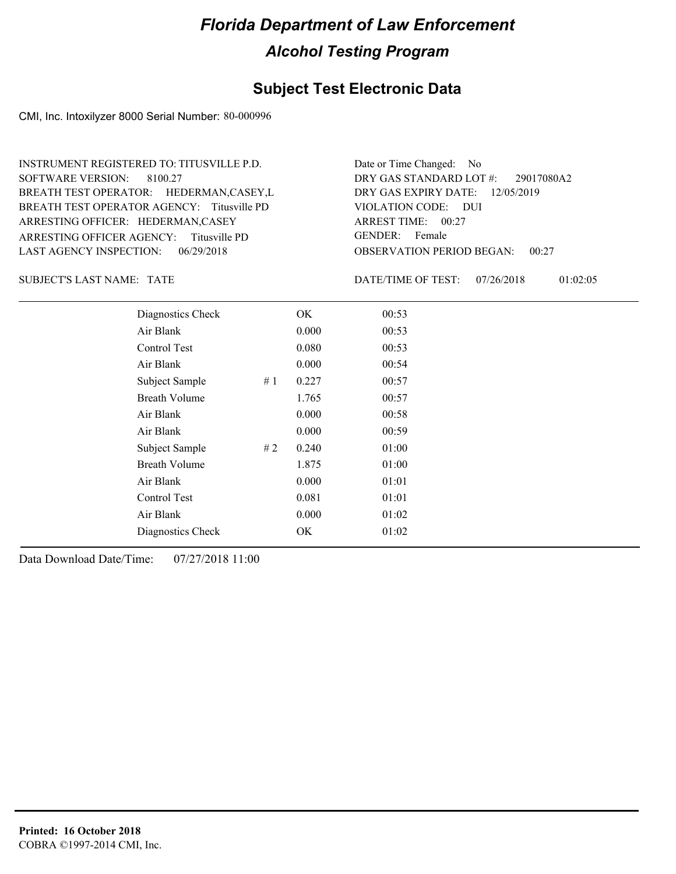#### **Subject Test Electronic Data**

CMI, Inc. Intoxilyzer 8000 Serial Number: 80-000996

ARRESTING OFFICER AGENCY: GENDER: Titusville PD BREATH TEST OPERATOR AGENCY: Titusville PD VIOLATION CODE: SOFTWARE VERSION: ARRESTING OFFICER: HEDERMAN,CASEY BREATH TEST OPERATOR: HEDERMAN,CASEY,L LAST AGENCY INSPECTION: 06/29/2018 8100.27 INSTRUMENT REGISTERED TO: TITUSVILLE P.D.

OBSERVATION PERIOD BEGAN: 00:27 VIOLATION CODE: DUI ARREST TIME: 00:27 12/05/2019 DRY GAS EXPIRY DATE: 29017080A2 DRY GAS STANDARD LOT #: Date or Time Changed: No GENDER: Female

SUBJECT'S LAST NAME: TATE **The CONSTRUST OF THE CONSTRUST** DATE/TIME OF TEST:

DATE/TIME OF TEST: 07/26/2018 01:02:05

| Diagnostics Check    |    | OK    | 00:53 |
|----------------------|----|-------|-------|
| Air Blank            |    | 0.000 | 00:53 |
| Control Test         |    | 0.080 | 00:53 |
| Air Blank            |    | 0.000 | 00:54 |
| Subject Sample       | #1 | 0.227 | 00:57 |
| <b>Breath Volume</b> |    | 1.765 | 00:57 |
| Air Blank            |    | 0.000 | 00:58 |
| Air Blank            |    | 0.000 | 00:59 |
| Subject Sample       | #2 | 0.240 | 01:00 |
| <b>Breath Volume</b> |    | 1.875 | 01:00 |
| Air Blank            |    | 0.000 | 01:01 |
| Control Test         |    | 0.081 | 01:01 |
| Air Blank            |    | 0.000 | 01:02 |
| Diagnostics Check    |    | OK    | 01:02 |
|                      |    |       |       |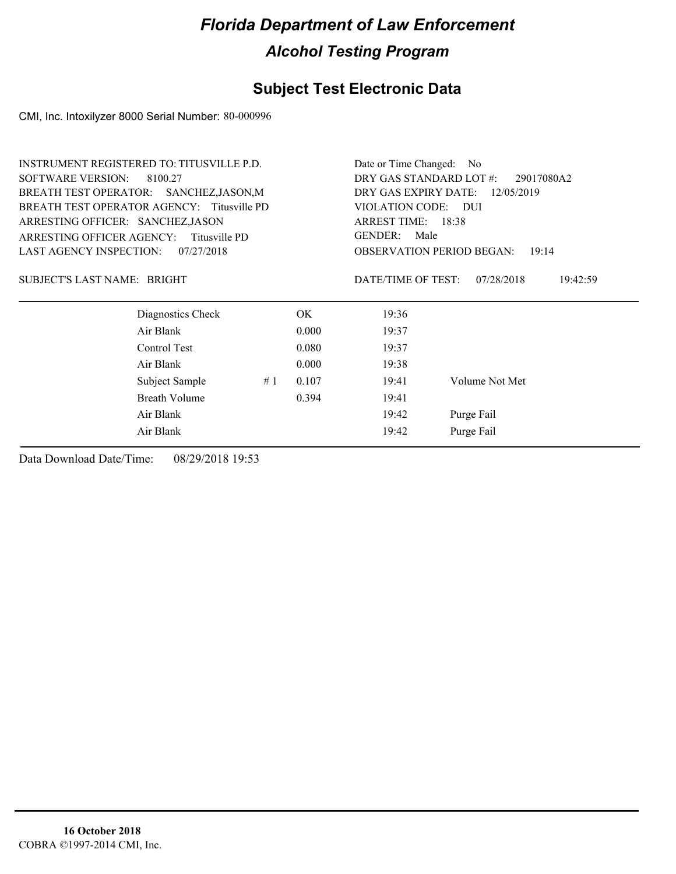### **Subject Test Electronic Data**

CMI, Inc. Intoxilyzer 8000 Serial Number: 80-000996

|                                                                                                                            | INSTRUMENT REGISTERED TO: TITUSVILLE P.D. |    |                                    | Date or Time Changed: No |                                           |  |
|----------------------------------------------------------------------------------------------------------------------------|-------------------------------------------|----|------------------------------------|--------------------------|-------------------------------------------|--|
| <b>SOFTWARE VERSION:</b>                                                                                                   | 8100.27                                   |    |                                    | DRY GAS STANDARD LOT #:  | 29017080A2                                |  |
| BREATH TEST OPERATOR: SANCHEZ, JASON, M<br>BREATH TEST OPERATOR AGENCY: Titusville PD<br>ARRESTING OFFICER: SANCHEZ, JASON |                                           |    | DRY GAS EXPIRY DATE:<br>12/05/2019 |                          |                                           |  |
|                                                                                                                            |                                           |    | <b>VIOLATION CODE:</b>             | - DUI                    |                                           |  |
|                                                                                                                            |                                           |    | ARREST TIME: 18:38                 |                          |                                           |  |
| ARRESTING OFFICER AGENCY:                                                                                                  | Titusville PD                             |    |                                    | <b>GENDER:</b><br>Male   |                                           |  |
| <b>LAST AGENCY INSPECTION:</b>                                                                                             | 07/27/2018                                |    |                                    |                          | <b>OBSERVATION PERIOD BEGAN:</b><br>19:14 |  |
| SUBJECT'S LAST NAME: BRIGHT                                                                                                |                                           |    |                                    | DATE/TIME OF TEST:       | 07/28/2018<br>19:42:59                    |  |
|                                                                                                                            | Diagnostics Check                         |    | OK.                                | 19:36                    |                                           |  |
|                                                                                                                            | Air Blank                                 |    | 0.000                              | 19:37                    |                                           |  |
|                                                                                                                            | Control Test                              |    | 0.080                              | 19:37                    |                                           |  |
|                                                                                                                            | Air Blank                                 |    | 0.000                              | 19:38                    |                                           |  |
|                                                                                                                            | Subject Sample                            | #1 | 0.107                              | 19:41                    | Volume Not Met                            |  |
|                                                                                                                            | Breath Volume                             |    | 0.394                              | 19:41                    |                                           |  |
|                                                                                                                            | Air Blank                                 |    |                                    | 19:42                    | Purge Fail                                |  |
|                                                                                                                            | Air Blank                                 |    |                                    | 19:42                    | Purge Fail                                |  |
|                                                                                                                            |                                           |    |                                    |                          |                                           |  |